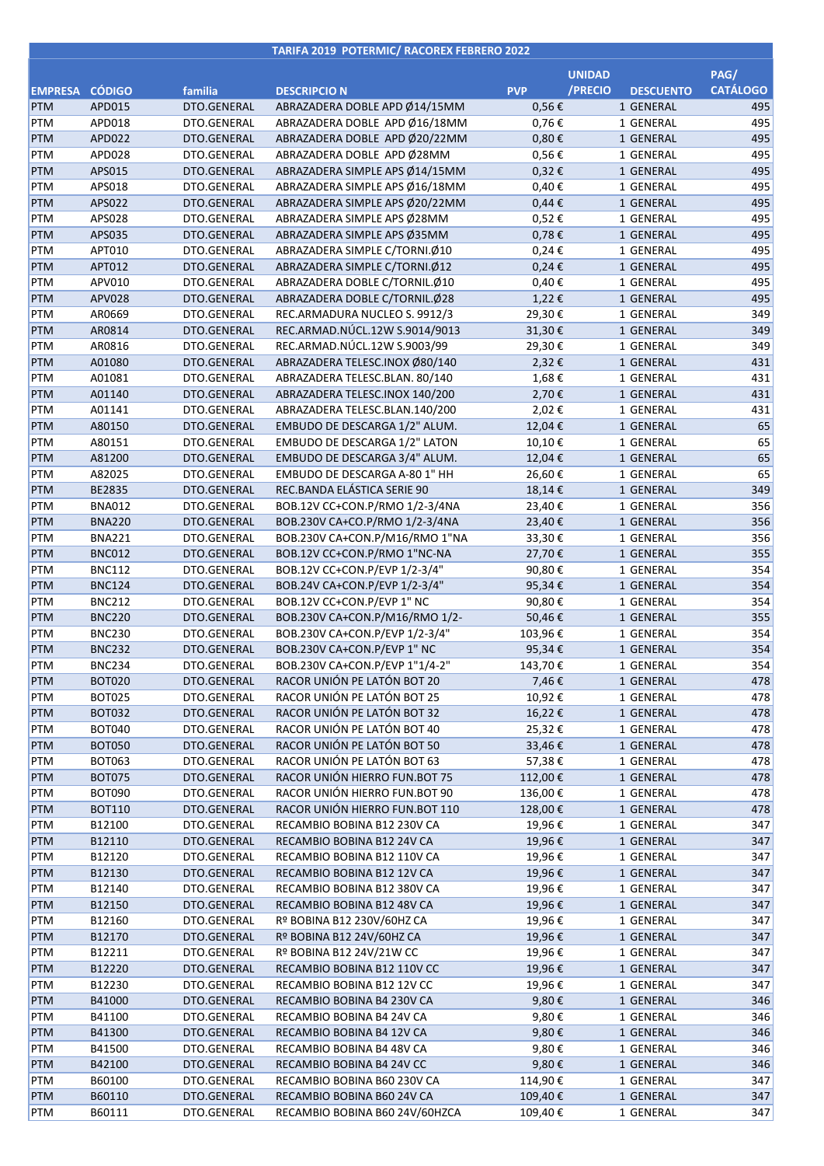## **TARIFA 2019 POTERMIC/ RACOREX FEBRERO 2022**

|                   |                                |                            |                                                                |                  | <b>UNIDAD</b>               | PAG/            |
|-------------------|--------------------------------|----------------------------|----------------------------------------------------------------|------------------|-----------------------------|-----------------|
| EMPRESA CÓDIGO    |                                | familia                    | <b>DESCRIPCIO N</b>                                            | <b>PVP</b>       | /PRECIO<br><b>DESCUENTO</b> | <b>CATÁLOGO</b> |
| <b>PTM</b>        | APD015                         | DTO.GENERAL                | ABRAZADERA DOBLE APD Ø14/15MM                                  | 0,56€            | 1 GENERAL                   | 495             |
| <b>PTM</b>        | APD018                         | DTO.GENERAL                | ABRAZADERA DOBLE APD Ø16/18MM                                  | 0,76€            | 1 GENERAL                   | 495             |
| PTM               | APD022                         | DTO.GENERAL                | ABRAZADERA DOBLE APD Ø20/22MM                                  | $0,80 \in$       | 1 GENERAL                   | 495             |
| <b>PTM</b>        | APD028                         | DTO.GENERAL                | ABRAZADERA DOBLE APD Ø28MM                                     | 0,56€            | 1 GENERAL                   | 495             |
| PTM               | APS015                         | DTO.GENERAL                | ABRAZADERA SIMPLE APS Ø14/15MM                                 | 0,32€            | 1 GENERAL                   | 495             |
| PTM               | APS018                         | DTO.GENERAL                | ABRAZADERA SIMPLE APS Ø16/18MM                                 | 0,40€            | 1 GENERAL                   | 495             |
| PTM               | APS022                         | DTO.GENERAL                | ABRAZADERA SIMPLE APS Ø20/22MM                                 | $0,44 \in$       | 1 GENERAL                   | 495             |
| PTM               | APS028                         | DTO.GENERAL                | ABRAZADERA SIMPLE APS Ø28MM                                    | 0,52€            | 1 GENERAL                   | 495             |
| PTM               | APS035                         | DTO.GENERAL                | ABRAZADERA SIMPLE APS Ø35MM                                    | 0,78€            | 1 GENERAL                   | 495             |
| PTM               | APT010                         | DTO.GENERAL                | ABRAZADERA SIMPLE C/TORNI.Ø10                                  | 0,24€            | 1 GENERAL                   | 495             |
| PTM               | APT012                         | DTO.GENERAL                | ABRAZADERA SIMPLE C/TORNI.Ø12                                  | $0,24 \in$       | 1 GENERAL                   | 495             |
| PTM               | APV010                         | DTO.GENERAL                | ABRAZADERA DOBLE C/TORNIL.Ø10                                  | 0,40€            | 1 GENERAL                   | 495<br>495      |
| PTM               | <b>APV028</b><br>AR0669        | DTO.GENERAL<br>DTO.GENERAL | ABRAZADERA DOBLE C/TORNIL.Ø28<br>REC.ARMADURA NUCLEO S. 9912/3 | 1,22€            | 1 GENERAL<br>1 GENERAL      | 349             |
| PTM<br>PTM        | AR0814                         | DTO.GENERAL                | REC.ARMAD.NÚCL.12W S.9014/9013                                 | 29,30€<br>31,30€ | 1 GENERAL                   | 349             |
| <b>PTM</b>        | AR0816                         | DTO.GENERAL                | REC.ARMAD.NÚCL.12W S.9003/99                                   | 29,30€           | 1 GENERAL                   | 349             |
| PTM               | A01080                         | DTO.GENERAL                | ABRAZADERA TELESC.INOX Ø80/140                                 | 2,32€            | 1 GENERAL                   | 431             |
| PTM               | A01081                         | DTO.GENERAL                | ABRAZADERA TELESC.BLAN. 80/140                                 | 1,68€            | 1 GENERAL                   | 431             |
| PTM               | A01140                         | DTO.GENERAL                | ABRAZADERA TELESC.INOX 140/200                                 | 2,70€            | 1 GENERAL                   | 431             |
| PTM               | A01141                         | DTO.GENERAL                | ABRAZADERA TELESC.BLAN.140/200                                 | 2,02€            | 1 GENERAL                   | 431             |
| PTM               | A80150                         | DTO.GENERAL                | EMBUDO DE DESCARGA 1/2" ALUM.                                  | 12,04€           | 1 GENERAL                   | 65              |
| PTM               | A80151                         | DTO.GENERAL                | EMBUDO DE DESCARGA 1/2" LATON                                  | 10,10€           | 1 GENERAL                   | 65              |
| PTM               | A81200                         | DTO.GENERAL                | EMBUDO DE DESCARGA 3/4" ALUM.                                  | 12,04€           | 1 GENERAL                   | 65              |
| <b>PTM</b>        | A82025                         | DTO.GENERAL                | EMBUDO DE DESCARGA A-80 1" HH                                  | 26,60€           | 1 GENERAL                   | 65              |
| PTM               | BE2835                         | DTO.GENERAL                | REC.BANDA ELÁSTICA SERIE 90                                    | 18,14€           | 1 GENERAL                   | 349             |
| PTM               | <b>BNA012</b>                  | DTO.GENERAL                | BOB.12V CC+CON.P/RMO 1/2-3/4NA                                 | 23,40€           | 1 GENERAL                   | 356             |
| PTM               | <b>BNA220</b>                  | DTO.GENERAL                | BOB.230V CA+CO.P/RMO 1/2-3/4NA                                 | 23,40€           | 1 GENERAL                   | 356             |
| <b>PTM</b>        | <b>BNA221</b>                  | DTO.GENERAL                | BOB.230V CA+CON.P/M16/RMO 1"NA                                 | 33,30€           | 1 GENERAL                   | 356             |
| PTM               | <b>BNC012</b>                  | DTO.GENERAL                | BOB.12V CC+CON.P/RMO 1"NC-NA                                   | 27,70€           | 1 GENERAL                   | 355             |
| PTM               | <b>BNC112</b>                  | DTO.GENERAL                | BOB.12V CC+CON.P/EVP 1/2-3/4"                                  | 90,80€           | 1 GENERAL                   | 354             |
| PTM               | <b>BNC124</b>                  | DTO.GENERAL                | BOB.24V CA+CON.P/EVP 1/2-3/4"                                  | 95,34€           | 1 GENERAL                   | 354             |
| <b>PTM</b>        | <b>BNC212</b>                  | DTO.GENERAL                | BOB.12V CC+CON.P/EVP 1" NC                                     | 90,80€           | 1 GENERAL                   | 354             |
| PTM               | <b>BNC220</b>                  | DTO.GENERAL                | BOB.230V CA+CON.P/M16/RMO 1/2-                                 | 50,46€           | 1 GENERAL                   | 355             |
| PTM               | <b>BNC230</b>                  | DTO.GENERAL                | BOB.230V CA+CON.P/EVP 1/2-3/4"                                 | 103,96€          | 1 GENERAL                   | 354             |
| <b>PTM</b>        | <b>BNC232</b>                  | DTO.GENERAL                | BOB.230V CA+CON.P/EVP 1" NC                                    | 95,34€           | 1 GENERAL                   | 354             |
| <b>PTM</b>        | <b>BNC234</b>                  | DTO.GENERAL<br>DTO.GENERAL | BOB.230V CA+CON.P/EVP 1"1/4-2"<br>RACOR UNIÓN PE LATÓN BOT 20  | 143,70€          | 1 GENERAL                   | 354<br>478      |
| <b>PTM</b><br>PTM | <b>BOT020</b><br><b>BOT025</b> | DTO.GENERAL                | RACOR UNIÓN PE LATÓN BOT 25                                    | 7,46 €<br>10,92€ | 1 GENERAL<br>1 GENERAL      | 478             |
| <b>PTM</b>        | <b>BOT032</b>                  | DTO.GENERAL                | RACOR UNIÓN PE LATÓN BOT 32                                    | 16,22€           | 1 GENERAL                   | 478             |
| PTM               | <b>BOT040</b>                  | DTO.GENERAL                | RACOR UNIÓN PE LATÓN BOT 40                                    | 25,32€           | 1 GENERAL                   | 478             |
| <b>PTM</b>        | <b>BOT050</b>                  | DTO.GENERAL                | RACOR UNIÓN PE LATÓN BOT 50                                    | 33,46€           | 1 GENERAL                   | 478             |
| PTM               | <b>BOT063</b>                  | DTO.GENERAL                | RACOR UNIÓN PE LATÓN BOT 63                                    | 57,38€           | 1 GENERAL                   | 478             |
| <b>PTM</b>        | <b>BOT075</b>                  | DTO.GENERAL                | RACOR UNIÓN HIERRO FUN.BOT 75                                  | 112,00€          | 1 GENERAL                   | 478             |
| PTM               | <b>BOT090</b>                  | DTO.GENERAL                | RACOR UNIÓN HIERRO FUN.BOT 90                                  | 136,00€          | 1 GENERAL                   | 478             |
| <b>PTM</b>        | <b>BOT110</b>                  | DTO.GENERAL                | RACOR UNIÓN HIERRO FUN.BOT 110                                 | 128,00€          | 1 GENERAL                   | 478             |
| PTM               | B12100                         | DTO.GENERAL                | RECAMBIO BOBINA B12 230V CA                                    | 19,96€           | 1 GENERAL                   | 347             |
| PTM               | B12110                         | DTO.GENERAL                | RECAMBIO BOBINA B12 24V CA                                     | 19,96€           | 1 GENERAL                   | 347             |
| PTM               | B12120                         | DTO.GENERAL                | RECAMBIO BOBINA B12 110V CA                                    | 19,96€           | 1 GENERAL                   | 347             |
| <b>PTM</b>        | B12130                         | DTO.GENERAL                | RECAMBIO BOBINA B12 12V CA                                     | 19,96€           | 1 GENERAL                   | 347             |
| PTM               | B12140                         | DTO.GENERAL                | RECAMBIO BOBINA B12 380V CA                                    | 19,96€           | 1 GENERAL                   | 347             |
| <b>PTM</b>        | B12150                         | DTO.GENERAL                | RECAMBIO BOBINA B12 48V CA                                     | 19,96€           | 1 GENERAL                   | 347             |
| PTM               | B12160                         | DTO.GENERAL                | Rº BOBINA B12 230V/60HZ CA                                     | 19,96€           | 1 GENERAL                   | 347             |
| PTM               | B12170                         | DTO.GENERAL                | Rº BOBINA B12 24V/60HZ CA                                      | 19,96€           | 1 GENERAL                   | 347             |
| PTM               | B12211                         | DTO.GENERAL                | Rº BOBINA B12 24V/21W CC                                       | 19,96€           | 1 GENERAL                   | 347             |
| <b>PTM</b>        | B12220                         | DTO.GENERAL                | RECAMBIO BOBINA B12 110V CC                                    | 19,96€           | 1 GENERAL                   | 347             |
| PTM<br><b>PTM</b> | B12230<br>B41000               | DTO.GENERAL<br>DTO.GENERAL | RECAMBIO BOBINA B12 12V CC<br>RECAMBIO BOBINA B4 230V CA       | 19,96€<br>9,80€  | 1 GENERAL<br>1 GENERAL      | 347<br>346      |
| PTM               | B41100                         | DTO.GENERAL                | RECAMBIO BOBINA B4 24V CA                                      | 9,80€            | 1 GENERAL                   | 346             |
| <b>PTM</b>        | B41300                         | DTO.GENERAL                | RECAMBIO BOBINA B4 12V CA                                      | 9,80€            | 1 GENERAL                   | 346             |
| PTM               | B41500                         | DTO.GENERAL                | RECAMBIO BOBINA B4 48V CA                                      | 9,80€            | 1 GENERAL                   | 346             |
| <b>PTM</b>        | B42100                         | DTO.GENERAL                | RECAMBIO BOBINA B4 24V CC                                      | 9,80€            | 1 GENERAL                   | 346             |
| PTM               | B60100                         | DTO.GENERAL                | RECAMBIO BOBINA B60 230V CA                                    | 114,90€          | 1 GENERAL                   | 347             |
| <b>PTM</b>        | B60110                         | DTO.GENERAL                | RECAMBIO BOBINA B60 24V CA                                     | 109,40€          | 1 GENERAL                   | 347             |
| PTM               | B60111                         | DTO.GENERAL                | RECAMBIO BOBINA B60 24V/60HZCA                                 | 109,40€          | 1 GENERAL                   | 347             |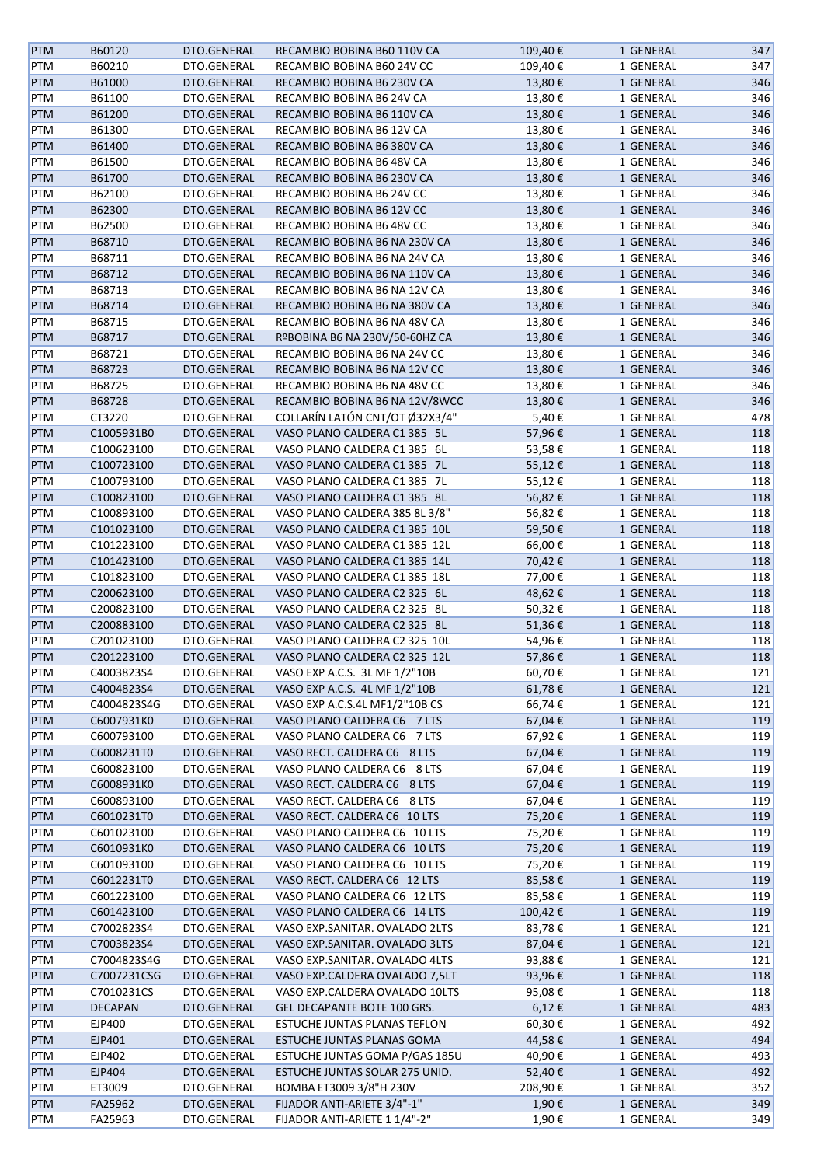| <b>PTM</b> | B60120         | DTO.GENERAL | RECAMBIO BOBINA B60 110V CA                                    | 109,40€ | 1 GENERAL | 347 |
|------------|----------------|-------------|----------------------------------------------------------------|---------|-----------|-----|
| PTM        | B60210         | DTO.GENERAL | RECAMBIO BOBINA B60 24V CC                                     | 109,40€ | 1 GENERAL | 347 |
| <b>PTM</b> | B61000         | DTO.GENERAL | RECAMBIO BOBINA B6 230V CA                                     | 13,80€  | 1 GENERAL | 346 |
| PTM        | B61100         | DTO.GENERAL | RECAMBIO BOBINA B6 24V CA                                      | 13,80€  | 1 GENERAL | 346 |
| <b>PTM</b> | B61200         | DTO.GENERAL | RECAMBIO BOBINA B6 110V CA                                     | 13,80€  | 1 GENERAL | 346 |
| PTM        | B61300         | DTO.GENERAL | RECAMBIO BOBINA B6 12V CA                                      | 13,80€  | 1 GENERAL | 346 |
| <b>PTM</b> | B61400         | DTO.GENERAL | RECAMBIO BOBINA B6 380V CA                                     | 13,80€  | 1 GENERAL | 346 |
| PTM        | B61500         | DTO.GENERAL | RECAMBIO BOBINA B6 48V CA                                      | 13,80€  | 1 GENERAL | 346 |
| <b>PTM</b> | B61700         | DTO.GENERAL | RECAMBIO BOBINA B6 230V CA                                     | 13,80€  | 1 GENERAL | 346 |
| PTM        | B62100         | DTO.GENERAL | RECAMBIO BOBINA B6 24V CC                                      | 13,80€  | 1 GENERAL | 346 |
| <b>PTM</b> | B62300         | DTO.GENERAL | RECAMBIO BOBINA B6 12V CC                                      | 13,80€  | 1 GENERAL | 346 |
| PTM        | B62500         | DTO.GENERAL | RECAMBIO BOBINA B6 48V CC                                      | 13,80€  | 1 GENERAL | 346 |
| <b>PTM</b> | B68710         | DTO.GENERAL | RECAMBIO BOBINA B6 NA 230V CA                                  | 13,80€  | 1 GENERAL | 346 |
| PTM        | B68711         | DTO.GENERAL | RECAMBIO BOBINA B6 NA 24V CA                                   | 13,80€  | 1 GENERAL | 346 |
| <b>PTM</b> | B68712         | DTO.GENERAL | RECAMBIO BOBINA B6 NA 110V CA                                  | 13,80€  | 1 GENERAL | 346 |
| PTM        | B68713         | DTO.GENERAL | RECAMBIO BOBINA B6 NA 12V CA                                   | 13,80€  | 1 GENERAL | 346 |
| <b>PTM</b> | B68714         | DTO.GENERAL | RECAMBIO BOBINA B6 NA 380V CA                                  | 13,80€  | 1 GENERAL | 346 |
| PTM        | B68715         | DTO.GENERAL | RECAMBIO BOBINA B6 NA 48V CA                                   | 13,80€  |           | 346 |
| <b>PTM</b> | B68717         |             |                                                                |         | 1 GENERAL | 346 |
|            |                | DTO.GENERAL | RºBOBINA B6 NA 230V/50-60HZ CA<br>RECAMBIO BOBINA B6 NA 24V CC | 13,80€  | 1 GENERAL |     |
| PTM        | B68721         | DTO.GENERAL |                                                                | 13,80€  | 1 GENERAL | 346 |
| <b>PTM</b> | B68723         | DTO.GENERAL | RECAMBIO BOBINA B6 NA 12V CC                                   | 13,80€  | 1 GENERAL | 346 |
| PTM        | B68725         | DTO.GENERAL | RECAMBIO BOBINA B6 NA 48V CC                                   | 13,80€  | 1 GENERAL | 346 |
| <b>PTM</b> | B68728         | DTO.GENERAL | RECAMBIO BOBINA B6 NA 12V/8WCC                                 | 13,80€  | 1 GENERAL | 346 |
| PTM        | CT3220         | DTO.GENERAL | COLLARÍN LATÓN CNT/OT Ø32X3/4"                                 | 5,40€   | 1 GENERAL | 478 |
| <b>PTM</b> | C1005931B0     | DTO.GENERAL | VASO PLANO CALDERA C1 385 5L                                   | 57,96€  | 1 GENERAL | 118 |
| PTM        | C100623100     | DTO.GENERAL | VASO PLANO CALDERA C1 385 6L                                   | 53,58€  | 1 GENERAL | 118 |
| <b>PTM</b> | C100723100     | DTO.GENERAL | VASO PLANO CALDERA C1 385 7L                                   | 55,12€  | 1 GENERAL | 118 |
| PTM        | C100793100     | DTO.GENERAL | VASO PLANO CALDERA C1 385 7L                                   | 55,12€  | 1 GENERAL | 118 |
| <b>PTM</b> | C100823100     | DTO.GENERAL | VASO PLANO CALDERA C1 385 8L                                   | 56,82€  | 1 GENERAL | 118 |
| PTM        | C100893100     | DTO.GENERAL | VASO PLANO CALDERA 385 8L 3/8"                                 | 56,82€  | 1 GENERAL | 118 |
| <b>PTM</b> | C101023100     | DTO.GENERAL | VASO PLANO CALDERA C1 385 10L                                  | 59,50€  | 1 GENERAL | 118 |
| PTM        | C101223100     | DTO.GENERAL | VASO PLANO CALDERA C1 385 12L                                  | 66,00€  | 1 GENERAL | 118 |
| <b>PTM</b> | C101423100     | DTO.GENERAL | VASO PLANO CALDERA C1 385 14L                                  | 70,42€  | 1 GENERAL | 118 |
| PTM        | C101823100     | DTO.GENERAL | VASO PLANO CALDERA C1 385 18L                                  | 77,00 € | 1 GENERAL | 118 |
| <b>PTM</b> | C200623100     | DTO.GENERAL | VASO PLANO CALDERA C2 325 6L                                   | 48,62€  | 1 GENERAL | 118 |
| PTM        | C200823100     | DTO.GENERAL | VASO PLANO CALDERA C2 325 8L                                   | 50,32€  | 1 GENERAL | 118 |
| <b>PTM</b> | C200883100     | DTO.GENERAL | VASO PLANO CALDERA C2 325 8L                                   | 51,36€  | 1 GENERAL | 118 |
| PTM        | C201023100     | DTO.GENERAL | VASO PLANO CALDERA C2 325 10L                                  | 54,96€  | 1 GENERAL | 118 |
| <b>PTM</b> | C201223100     | DTO.GENERAL | VASO PLANO CALDERA C2 325 12L                                  | 57,86€  | 1 GENERAL | 118 |
| PTM        | C4003823S4     | DTO.GENERAL | VASO EXP A.C.S. 3L MF 1/2"10B                                  | 60,70€  | 1 GENERAL | 121 |
| <b>PTM</b> | C4004823S4     | DTO.GENERAL | VASO EXP A.C.S. 4L MF 1/2"10B                                  | 61,78€  | 1 GENERAL | 121 |
| PTM        | C4004823S4G    | DTO.GENERAL | VASO EXP A.C.S.4L MF1/2"10B CS                                 | 66,74€  | 1 GENERAL | 121 |
| <b>PTM</b> | C6007931K0     | DTO.GENERAL | VASO PLANO CALDERA C6 7 LTS                                    | 67,04€  | 1 GENERAL | 119 |
| PTM        | C600793100     | DTO.GENERAL | VASO PLANO CALDERA C6 7 LTS                                    | 67,92€  | 1 GENERAL | 119 |
| <b>PTM</b> | C6008231T0     | DTO.GENERAL | VASO RECT. CALDERA C6 8 LTS                                    | 67,04€  | 1 GENERAL | 119 |
| PTM        | C600823100     | DTO.GENERAL | VASO PLANO CALDERA C6 8 LTS                                    | 67,04€  | 1 GENERAL | 119 |
| <b>PTM</b> | C6008931K0     | DTO.GENERAL | VASO RECT. CALDERA C6 8 LTS                                    | 67,04€  | 1 GENERAL | 119 |
| PTM        | C600893100     | DTO.GENERAL | VASO RECT. CALDERA C6 8 LTS                                    | 67,04€  | 1 GENERAL | 119 |
| <b>PTM</b> | C6010231T0     | DTO.GENERAL | VASO RECT. CALDERA C6 10 LTS                                   | 75,20€  | 1 GENERAL | 119 |
| PTM        | C601023100     | DTO.GENERAL | VASO PLANO CALDERA C6 10 LTS                                   | 75,20€  | 1 GENERAL | 119 |
| <b>PTM</b> | C6010931K0     | DTO.GENERAL | VASO PLANO CALDERA C6 10 LTS                                   | 75,20€  | 1 GENERAL | 119 |
| PTM        | C601093100     | DTO.GENERAL | VASO PLANO CALDERA C6 10 LTS                                   | 75,20€  | 1 GENERAL | 119 |
| <b>PTM</b> | C6012231T0     | DTO.GENERAL | VASO RECT. CALDERA C6 12 LTS                                   | 85,58€  | 1 GENERAL | 119 |
| PTM        | C601223100     | DTO.GENERAL | VASO PLANO CALDERA C6 12 LTS                                   | 85,58€  | 1 GENERAL | 119 |
| <b>PTM</b> | C601423100     | DTO.GENERAL | VASO PLANO CALDERA C6 14 LTS                                   | 100,42€ | 1 GENERAL | 119 |
| PTM        | C7002823S4     | DTO.GENERAL | VASO EXP.SANITAR. OVALADO 2LTS                                 | 83,78€  | 1 GENERAL | 121 |
| PTM        | C7003823S4     | DTO.GENERAL | VASO EXP.SANITAR. OVALADO 3LTS                                 | 87,04 € | 1 GENERAL | 121 |
| PTM        | C7004823S4G    | DTO.GENERAL | VASO EXP.SANITAR. OVALADO 4LTS                                 | 93,88€  | 1 GENERAL | 121 |
| <b>PTM</b> | C7007231CSG    | DTO.GENERAL | VASO EXP.CALDERA OVALADO 7,5LT                                 | 93,96€  | 1 GENERAL | 118 |
| PTM        | C7010231CS     | DTO.GENERAL | VASO EXP.CALDERA OVALADO 10LTS                                 | 95,08€  | 1 GENERAL | 118 |
| <b>PTM</b> | <b>DECAPAN</b> | DTO.GENERAL | GEL DECAPANTE BOTE 100 GRS.                                    | 6,12€   | 1 GENERAL | 483 |
| PTM        | EJP400         | DTO.GENERAL | ESTUCHE JUNTAS PLANAS TEFLON                                   | 60,30€  | 1 GENERAL | 492 |
| PTM        | EJP401         | DTO.GENERAL | ESTUCHE JUNTAS PLANAS GOMA                                     | 44,58€  | 1 GENERAL | 494 |
| PTM        | EJP402         | DTO.GENERAL | ESTUCHE JUNTAS GOMA P/GAS 185U                                 | 40,90€  | 1 GENERAL | 493 |
| PTM        | EJP404         | DTO.GENERAL | ESTUCHE JUNTAS SOLAR 275 UNID.                                 | 52,40€  | 1 GENERAL | 492 |
| PTM        | ET3009         | DTO.GENERAL | BOMBA ET3009 3/8"H 230V                                        | 208,90€ | 1 GENERAL | 352 |
| <b>PTM</b> | FA25962        | DTO.GENERAL | FIJADOR ANTI-ARIETE 3/4"-1"                                    | 1,90€   | 1 GENERAL | 349 |
| PTM        | FA25963        | DTO.GENERAL | FIJADOR ANTI-ARIETE 1 1/4"-2"                                  | 1,90€   | 1 GENERAL | 349 |
|            |                |             |                                                                |         |           |     |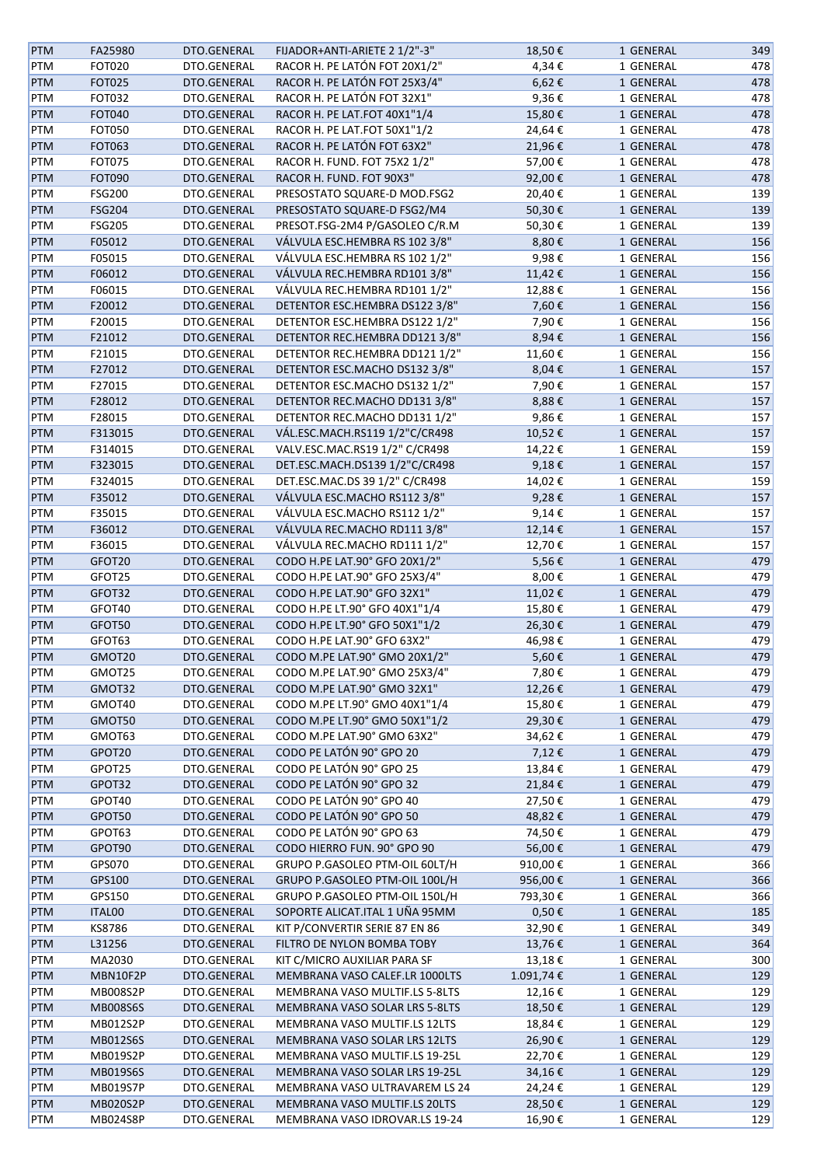| <b>PTM</b> | FA25980         | DTO.GENERAL | FIJADOR+ANTI-ARIETE 2 1/2"-3"  | 18,50€     | 1 GENERAL | 349 |
|------------|-----------------|-------------|--------------------------------|------------|-----------|-----|
| PTM        | <b>FOT020</b>   | DTO.GENERAL | RACOR H. PE LATÓN FOT 20X1/2"  | 4,34€      | 1 GENERAL | 478 |
| PTM        | <b>FOT025</b>   | DTO.GENERAL | RACOR H. PE LATÓN FOT 25X3/4"  | $6,62$ €   | 1 GENERAL | 478 |
| PTM        | <b>FOT032</b>   | DTO.GENERAL | RACOR H. PE LATÓN FOT 32X1"    | 9,36€      | 1 GENERAL | 478 |
| <b>PTM</b> | <b>FOT040</b>   | DTO.GENERAL | RACOR H. PE LAT.FOT 40X1"1/4   | 15,80€     | 1 GENERAL | 478 |
| PTM        | <b>FOT050</b>   | DTO.GENERAL | RACOR H. PE LAT.FOT 50X1"1/2   | 24,64€     | 1 GENERAL | 478 |
| PTM        | FOT063          | DTO.GENERAL | RACOR H. PE LATÓN FOT 63X2"    | 21,96€     | 1 GENERAL | 478 |
| PTM        | FOT075          | DTO.GENERAL | RACOR H. FUND. FOT 75X2 1/2"   | 57,00€     | 1 GENERAL | 478 |
| <b>PTM</b> | <b>FOT090</b>   | DTO.GENERAL | RACOR H. FUND. FOT 90X3"       | 92,00€     | 1 GENERAL | 478 |
| PTM        | <b>FSG200</b>   | DTO.GENERAL | PRESOSTATO SQUARE-D MOD.FSG2   | 20,40€     | 1 GENERAL | 139 |
|            |                 | DTO.GENERAL |                                | 50,30€     |           | 139 |
| PTM        | <b>FSG204</b>   |             | PRESOSTATO SQUARE-D FSG2/M4    |            | 1 GENERAL |     |
| PTM        | <b>FSG205</b>   | DTO.GENERAL | PRESOT.FSG-2M4 P/GASOLEO C/R.M | 50,30€     | 1 GENERAL | 139 |
| PTM        | F05012          | DTO.GENERAL | VÁLVULA ESC.HEMBRA RS 102 3/8" | 8,80€      | 1 GENERAL | 156 |
| PTM        | F05015          | DTO.GENERAL | VÁLVULA ESC.HEMBRA RS 102 1/2" | 9,98€      | 1 GENERAL | 156 |
| PTM        | F06012          | DTO.GENERAL | VÁLVULA REC.HEMBRA RD101 3/8"  | 11,42€     | 1 GENERAL | 156 |
| PTM        | F06015          | DTO.GENERAL | VÁLVULA REC.HEMBRA RD101 1/2"  | 12,88€     | 1 GENERAL | 156 |
| PTM        | F20012          | DTO.GENERAL | DETENTOR ESC.HEMBRA DS122 3/8" | 7,60€      | 1 GENERAL | 156 |
| PTM        | F20015          | DTO.GENERAL | DETENTOR ESC.HEMBRA DS122 1/2" | 7,90€      | 1 GENERAL | 156 |
| <b>PTM</b> | F21012          | DTO.GENERAL | DETENTOR REC.HEMBRA DD121 3/8" | 8,94€      | 1 GENERAL | 156 |
| PTM        | F21015          | DTO.GENERAL | DETENTOR REC.HEMBRA DD121 1/2" | 11,60€     | 1 GENERAL | 156 |
| <b>PTM</b> | F27012          | DTO.GENERAL | DETENTOR ESC.MACHO DS132 3/8"  | 8,04€      | 1 GENERAL | 157 |
| PTM        | F27015          | DTO.GENERAL | DETENTOR ESC.MACHO DS132 1/2"  | 7,90€      | 1 GENERAL | 157 |
| <b>PTM</b> | F28012          | DTO.GENERAL | DETENTOR REC.MACHO DD131 3/8"  | 8,88€      | 1 GENERAL | 157 |
| PTM        | F28015          | DTO.GENERAL | DETENTOR REC.MACHO DD131 1/2"  | 9,86€      | 1 GENERAL | 157 |
| PTM        | F313015         | DTO.GENERAL | VÁL.ESC.MACH.RS119 1/2"C/CR498 | 10,52€     | 1 GENERAL | 157 |
| PTM        | F314015         | DTO.GENERAL | VALV.ESC.MAC.RS19 1/2" C/CR498 | 14,22€     | 1 GENERAL | 159 |
| PTM        | F323015         | DTO.GENERAL | DET.ESC.MACH.DS139 1/2"C/CR498 | 9,18€      | 1 GENERAL | 157 |
| PTM        | F324015         | DTO.GENERAL | DET.ESC.MAC.DS 39 1/2" C/CR498 | 14,02€     | 1 GENERAL | 159 |
| PTM        | F35012          | DTO.GENERAL | VÁLVULA ESC.MACHO RS112 3/8"   | 9,28€      | 1 GENERAL | 157 |
| PTM        | F35015          | DTO.GENERAL | VÁLVULA ESC.MACHO RS112 1/2"   | 9,14€      | 1 GENERAL | 157 |
| PTM        | F36012          | DTO.GENERAL | VÁLVULA REC.MACHO RD111 3/8"   | 12,14€     | 1 GENERAL | 157 |
|            |                 |             |                                |            |           |     |
| PTM        | F36015          | DTO.GENERAL | VÁLVULA REC.MACHO RD111 1/2"   | 12,70€     | 1 GENERAL | 157 |
| PTM        | GFOT20          | DTO.GENERAL | CODO H.PE LAT.90° GFO 20X1/2"  | 5,56€      | 1 GENERAL | 479 |
| PTM        | GFOT25          | DTO.GENERAL | CODO H.PE LAT.90° GFO 25X3/4"  | 8,00€      | 1 GENERAL | 479 |
| <b>PTM</b> | GFOT32          | DTO.GENERAL | CODO H.PE LAT.90° GFO 32X1"    | 11,02€     | 1 GENERAL | 479 |
| PTM        | GFOT40          | DTO.GENERAL | CODO H.PE LT.90° GFO 40X1"1/4  | 15,80€     | 1 GENERAL | 479 |
| PTM        | GFOT50          | DTO.GENERAL | CODO H.PE LT.90° GFO 50X1"1/2  | 26,30€     | 1 GENERAL | 479 |
| PTM        | GFOT63          | DTO.GENERAL | CODO H.PE LAT.90° GFO 63X2"    | 46,98€     | 1 GENERAL | 479 |
| <b>PTM</b> | GMOT20          | DTO.GENERAL | CODO M.PE LAT.90° GMO 20X1/2"  | 5,60€      | 1 GENERAL | 479 |
| PTM        | GMOT25          | DTO.GENERAL | CODO M.PE LAT.90° GMO 25X3/4"  | 7,80€      | 1 GENERAL | 479 |
| <b>PTM</b> | GMOT32          | DTO.GENERAL | CODO M.PE LAT.90° GMO 32X1"    | 12,26€     | 1 GENERAL | 479 |
| PTM        | GMOT40          | DTO.GENERAL | CODO M.PE LT.90° GMO 40X1"1/4  | 15,80€     | 1 GENERAL | 479 |
| <b>PTM</b> | GMOT50          | DTO.GENERAL | CODO M.PE LT.90° GMO 50X1"1/2  | 29,30€     | 1 GENERAL | 479 |
| PTM        | GMOT63          | DTO.GENERAL | CODO M.PE LAT.90° GMO 63X2"    | 34,62€     | 1 GENERAL | 479 |
| <b>PTM</b> | GPOT20          | DTO.GENERAL | CODO PE LATÓN 90° GPO 20       | 7,12€      | 1 GENERAL | 479 |
| PTM        | GPOT25          | DTO.GENERAL | CODO PE LATÓN 90° GPO 25       | 13,84€     | 1 GENERAL | 479 |
| <b>PTM</b> | GPOT32          | DTO.GENERAL | CODO PE LATÓN 90° GPO 32       | 21,84 €    | 1 GENERAL | 479 |
| PTM        | GPOT40          | DTO.GENERAL | CODO PE LATÓN 90° GPO 40       | 27,50€     | 1 GENERAL | 479 |
| <b>PTM</b> | GPOT50          | DTO.GENERAL | CODO PE LATÓN 90° GPO 50       | 48,82€     | 1 GENERAL | 479 |
| PTM        | GPOT63          | DTO.GENERAL | CODO PE LATÓN 90° GPO 63       | 74,50€     | 1 GENERAL | 479 |
| <b>PTM</b> | GPOT90          | DTO.GENERAL | CODO HIERRO FUN. 90° GPO 90    | 56,00 €    | 1 GENERAL | 479 |
| PTM        | GPS070          | DTO.GENERAL | GRUPO P.GASOLEO PTM-OIL 60LT/H | 910,00€    | 1 GENERAL | 366 |
| <b>PTM</b> | GPS100          | DTO.GENERAL | GRUPO P.GASOLEO PTM-OIL 100L/H | 956,00€    | 1 GENERAL | 366 |
| PTM        | GPS150          | DTO.GENERAL | GRUPO P.GASOLEO PTM-OIL 150L/H | 793,30€    | 1 GENERAL | 366 |
| <b>PTM</b> | ITAL00          | DTO.GENERAL | SOPORTE ALICAT.ITAL 1 UÑA 95MM | $0,50 \in$ | 1 GENERAL | 185 |
|            |                 |             |                                |            |           |     |
| PTM        | KS8786          | DTO.GENERAL | KIT P/CONVERTIR SERIE 87 EN 86 | 32,90€     | 1 GENERAL | 349 |
| <b>PTM</b> | L31256          | DTO.GENERAL | FILTRO DE NYLON BOMBA TOBY     | 13,76€     | 1 GENERAL | 364 |
| PTM        | MA2030          | DTO.GENERAL | KIT C/MICRO AUXILIAR PARA SF   | 13,18€     | 1 GENERAL | 300 |
| <b>PTM</b> | MBN10F2P        | DTO.GENERAL | MEMBRANA VASO CALEF.LR 1000LTS | 1.091,74€  | 1 GENERAL | 129 |
| PTM        | MB008S2P        | DTO.GENERAL | MEMBRANA VASO MULTIF.LS 5-8LTS | 12,16€     | 1 GENERAL | 129 |
| <b>PTM</b> | <b>MB008S6S</b> | DTO.GENERAL | MEMBRANA VASO SOLAR LRS 5-8LTS | 18,50€     | 1 GENERAL | 129 |
| PTM        | MB012S2P        | DTO.GENERAL | MEMBRANA VASO MULTIF.LS 12LTS  | 18,84€     | 1 GENERAL | 129 |
| <b>PTM</b> | MB012S6S        | DTO.GENERAL | MEMBRANA VASO SOLAR LRS 12LTS  | 26,90€     | 1 GENERAL | 129 |
| PTM        | MB019S2P        | DTO.GENERAL | MEMBRANA VASO MULTIF.LS 19-25L | 22,70€     | 1 GENERAL | 129 |
| <b>PTM</b> | MB019S6S        | DTO.GENERAL | MEMBRANA VASO SOLAR LRS 19-25L | 34,16€     | 1 GENERAL | 129 |
| PTM        | MB019S7P        | DTO.GENERAL | MEMBRANA VASO ULTRAVAREM LS 24 | 24,24 €    | 1 GENERAL | 129 |
| <b>PTM</b> | MB020S2P        | DTO.GENERAL | MEMBRANA VASO MULTIF.LS 20LTS  | 28,50€     | 1 GENERAL | 129 |
| PTM        | MB024S8P        | DTO.GENERAL | MEMBRANA VASO IDROVAR.LS 19-24 | 16,90€     | 1 GENERAL | 129 |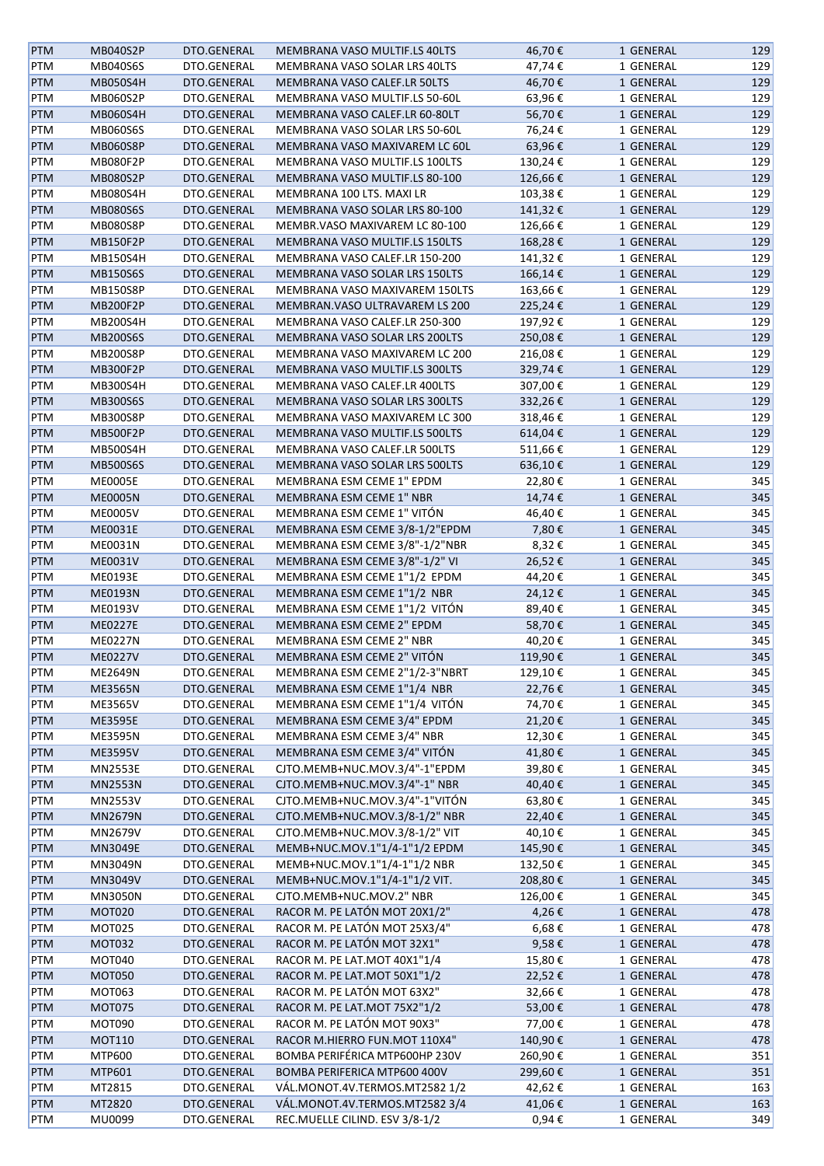| <b>PTM</b> | MB040S2P        | DTO.GENERAL | MEMBRANA VASO MULTIF.LS 40LTS         | 46,70€  | 1 GENERAL | 129 |
|------------|-----------------|-------------|---------------------------------------|---------|-----------|-----|
| PTM        | MB040S6S        | DTO.GENERAL | MEMBRANA VASO SOLAR LRS 40LTS         | 47,74€  | 1 GENERAL | 129 |
| <b>PTM</b> | <b>MB050S4H</b> | DTO.GENERAL | MEMBRANA VASO CALEF.LR 50LTS          | 46,70€  | 1 GENERAL | 129 |
| PTM        | MB060S2P        | DTO.GENERAL | MEMBRANA VASO MULTIF.LS 50-60L        | 63,96€  | 1 GENERAL | 129 |
| <b>PTM</b> | MB060S4H        | DTO.GENERAL | MEMBRANA VASO CALEF.LR 60-80LT        | 56,70€  | 1 GENERAL | 129 |
| PTM        | MB060S6S        | DTO.GENERAL | MEMBRANA VASO SOLAR LRS 50-60L        | 76,24€  | 1 GENERAL | 129 |
| <b>PTM</b> | <b>MB060S8P</b> | DTO.GENERAL | MEMBRANA VASO MAXIVAREM LC 60L        | 63,96€  | 1 GENERAL | 129 |
| PTM        | MB080F2P        | DTO.GENERAL | MEMBRANA VASO MULTIF.LS 100LTS        | 130,24€ | 1 GENERAL | 129 |
| PTM        | MB080S2P        | DTO.GENERAL | MEMBRANA VASO MULTIF.LS 80-100        | 126,66€ | 1 GENERAL | 129 |
| PTM        | <b>MB080S4H</b> | DTO.GENERAL | MEMBRANA 100 LTS. MAXI LR             | 103,38€ | 1 GENERAL | 129 |
| <b>PTM</b> | <b>MB080S6S</b> | DTO.GENERAL | MEMBRANA VASO SOLAR LRS 80-100        | 141,32€ | 1 GENERAL | 129 |
|            |                 |             |                                       |         |           |     |
| PTM        | <b>MB080S8P</b> | DTO.GENERAL | MEMBR.VASO MAXIVAREM LC 80-100        | 126,66€ | 1 GENERAL | 129 |
| <b>PTM</b> | MB150F2P        | DTO.GENERAL | MEMBRANA VASO MULTIF.LS 150LTS        | 168,28€ | 1 GENERAL | 129 |
| PTM        | <b>MB150S4H</b> | DTO.GENERAL | MEMBRANA VASO CALEF.LR 150-200        | 141,32€ | 1 GENERAL | 129 |
| <b>PTM</b> | <b>MB150S6S</b> | DTO.GENERAL | MEMBRANA VASO SOLAR LRS 150LTS        | 166,14€ | 1 GENERAL | 129 |
| PTM        | <b>MB150S8P</b> | DTO.GENERAL | MEMBRANA VASO MAXIVAREM 150LTS        | 163,66€ | 1 GENERAL | 129 |
| <b>PTM</b> | MB200F2P        | DTO.GENERAL | MEMBRAN. VASO ULTRAVAREM LS 200       | 225,24€ | 1 GENERAL | 129 |
| PTM        | <b>MB200S4H</b> | DTO.GENERAL | MEMBRANA VASO CALEF.LR 250-300        | 197,92€ | 1 GENERAL | 129 |
| <b>PTM</b> | <b>MB200S6S</b> | DTO.GENERAL | MEMBRANA VASO SOLAR LRS 200LTS        | 250,08€ | 1 GENERAL | 129 |
| PTM        | <b>MB200S8P</b> | DTO.GENERAL | MEMBRANA VASO MAXIVAREM LC 200        | 216,08€ | 1 GENERAL | 129 |
| <b>PTM</b> | MB300F2P        | DTO.GENERAL | MEMBRANA VASO MULTIF.LS 300LTS        | 329,74€ | 1 GENERAL | 129 |
| PTM        | MB300S4H        | DTO.GENERAL | MEMBRANA VASO CALEF.LR 400LTS         | 307,00€ | 1 GENERAL | 129 |
| <b>PTM</b> | <b>MB300S6S</b> | DTO.GENERAL | <b>MEMBRANA VASO SOLAR LRS 300LTS</b> | 332,26€ | 1 GENERAL | 129 |
| <b>PTM</b> | MB300S8P        | DTO.GENERAL | MEMBRANA VASO MAXIVAREM LC 300        | 318,46€ | 1 GENERAL | 129 |
| <b>PTM</b> | <b>MB500F2P</b> | DTO.GENERAL | MEMBRANA VASO MULTIF.LS 500LTS        | 614,04€ | 1 GENERAL | 129 |
| PTM        | <b>MB500S4H</b> | DTO.GENERAL | MEMBRANA VASO CALEF.LR 500LTS         | 511,66€ | 1 GENERAL | 129 |
| <b>PTM</b> | <b>MB500S6S</b> | DTO.GENERAL | MEMBRANA VASO SOLAR LRS 500LTS        | 636,10€ | 1 GENERAL | 129 |
| PTM        | <b>ME0005E</b>  | DTO.GENERAL | MEMBRANA ESM CEME 1" EPDM             | 22,80€  | 1 GENERAL | 345 |
| <b>PTM</b> | <b>ME0005N</b>  | DTO.GENERAL | MEMBRANA ESM CEME 1" NBR              | 14,74€  | 1 GENERAL | 345 |
| PTM        | <b>ME0005V</b>  | DTO.GENERAL | MEMBRANA ESM CEME 1" VITÓN            | 46,40€  | 1 GENERAL | 345 |
| <b>PTM</b> | ME0031E         | DTO.GENERAL | MEMBRANA ESM CEME 3/8-1/2"EPDM        | 7,80€   | 1 GENERAL | 345 |
| PTM        | ME0031N         | DTO.GENERAL | MEMBRANA ESM CEME 3/8"-1/2"NBR        | 8,32€   | 1 GENERAL | 345 |
| PTM        | ME0031V         | DTO.GENERAL | MEMBRANA ESM CEME 3/8"-1/2" VI        | 26,52€  | 1 GENERAL | 345 |
| PTM        | ME0193E         | DTO.GENERAL | MEMBRANA ESM CEME 1"1/2 EPDM          | 44,20€  | 1 GENERAL | 345 |
| <b>PTM</b> | <b>ME0193N</b>  | DTO.GENERAL | MEMBRANA ESM CEME 1"1/2 NBR           | 24,12€  | 1 GENERAL | 345 |
| PTM        | ME0193V         | DTO.GENERAL | MEMBRANA ESM CEME 1"1/2 VITÓN         | 89,40€  | 1 GENERAL | 345 |
| <b>PTM</b> | <b>ME0227E</b>  | DTO.GENERAL | MEMBRANA ESM CEME 2" EPDM             | 58,70€  | 1 GENERAL | 345 |
| PTM        | <b>ME0227N</b>  | DTO.GENERAL | MEMBRANA ESM CEME 2" NBR              | 40,20€  | 1 GENERAL | 345 |
| <b>PTM</b> | <b>ME0227V</b>  | DTO.GENERAL | MEMBRANA ESM CEME 2" VITÓN            | 119,90€ | 1 GENERAL | 345 |
| PTM        | ME2649N         | DTO.GENERAL | MEMBRANA ESM CEME 2"1/2-3"NBRT        | 129,10€ | 1 GENERAL | 345 |
| <b>PTM</b> | <b>ME3565N</b>  | DTO.GENERAL | MEMBRANA ESM CEME 1"1/4 NBR           | 22,76€  | 1 GENERAL | 345 |
|            | ME3565V         | DTO.GENERAL | MEMBRANA ESM CEME 1"1/4 VITÓN         |         |           | 345 |
| PTM        |                 |             | MEMBRANA ESM CEME 3/4" EPDM           | 74,70€  | 1 GENERAL |     |
| PTM        | <b>ME3595E</b>  | DTO.GENERAL |                                       | 21,20€  | 1 GENERAL | 345 |
| PTM        | ME3595N         | DTO.GENERAL | MEMBRANA ESM CEME 3/4" NBR            | 12,30€  | 1 GENERAL | 345 |
| <b>PTM</b> | ME3595V         | DTO.GENERAL | MEMBRANA ESM CEME 3/4" VITÓN          | 41,80€  | 1 GENERAL | 345 |
| PTM        | <b>MN2553E</b>  | DTO.GENERAL | CJTO.MEMB+NUC.MOV.3/4"-1"EPDM         | 39,80€  | 1 GENERAL | 345 |
| PTM        | <b>MN2553N</b>  | DTO.GENERAL | CJTO.MEMB+NUC.MOV.3/4"-1" NBR         | 40,40€  | 1 GENERAL | 345 |
| PTM        | MN2553V         | DTO.GENERAL | CJTO.MEMB+NUC.MOV.3/4"-1"VITÓN        | 63,80€  | 1 GENERAL | 345 |
| <b>PTM</b> | MN2679N         | DTO.GENERAL | CJTO.MEMB+NUC.MOV.3/8-1/2" NBR        | 22,40€  | 1 GENERAL | 345 |
| PTM        | MN2679V         | DTO.GENERAL | CJTO.MEMB+NUC.MOV.3/8-1/2" VIT        | 40,10€  | 1 GENERAL | 345 |
| <b>PTM</b> | MN3049E         | DTO.GENERAL | MEMB+NUC.MOV.1"1/4-1"1/2 EPDM         | 145,90€ | 1 GENERAL | 345 |
| PTM        | MN3049N         | DTO.GENERAL | MEMB+NUC.MOV.1"1/4-1"1/2 NBR          | 132,50€ | 1 GENERAL | 345 |
| <b>PTM</b> | MN3049V         | DTO.GENERAL | MEMB+NUC.MOV.1"1/4-1"1/2 VIT.         | 208,80€ | 1 GENERAL | 345 |
| PTM        | <b>MN3050N</b>  | DTO.GENERAL | CJTO.MEMB+NUC.MOV.2" NBR              | 126,00€ | 1 GENERAL | 345 |
| <b>PTM</b> | <b>MOT020</b>   | DTO.GENERAL | RACOR M. PE LATÓN MOT 20X1/2"         | 4,26€   | 1 GENERAL | 478 |
| PTM        | <b>MOT025</b>   | DTO.GENERAL | RACOR M. PE LATÓN MOT 25X3/4"         | 6,68€   | 1 GENERAL | 478 |
| <b>PTM</b> | <b>MOT032</b>   | DTO.GENERAL | RACOR M. PE LATÓN MOT 32X1"           | 9,58€   | 1 GENERAL | 478 |
| PTM        | <b>MOT040</b>   | DTO.GENERAL | RACOR M. PE LAT.MOT 40X1"1/4          | 15,80€  | 1 GENERAL | 478 |
| <b>PTM</b> | <b>MOT050</b>   | DTO.GENERAL | RACOR M. PE LAT.MOT 50X1"1/2          | 22,52€  | 1 GENERAL | 478 |
| PTM        | <b>MOT063</b>   | DTO.GENERAL | RACOR M. PE LATÓN MOT 63X2"           | 32,66€  | 1 GENERAL | 478 |
| <b>PTM</b> | <b>MOT075</b>   | DTO.GENERAL | RACOR M. PE LAT.MOT 75X2"1/2          | 53,00€  | 1 GENERAL | 478 |
| PTM        | MOT090          | DTO.GENERAL | RACOR M. PE LATÓN MOT 90X3"           | 77,00€  | 1 GENERAL | 478 |
| <b>PTM</b> | <b>MOT110</b>   | DTO.GENERAL | RACOR M.HIERRO FUN.MOT 110X4"         | 140,90€ | 1 GENERAL | 478 |
| PTM        | MTP600          | DTO.GENERAL | BOMBA PERIFÉRICA MTP600HP 230V        | 260,90€ | 1 GENERAL | 351 |
| <b>PTM</b> | MTP601          | DTO.GENERAL | BOMBA PERIFERICA MTP600 400V          | 299,60€ | 1 GENERAL | 351 |
| PTM        | MT2815          | DTO.GENERAL | VÁL.MONOT.4V.TERMOS.MT2582 1/2        | 42,62€  | 1 GENERAL | 163 |
| <b>PTM</b> | MT2820          | DTO.GENERAL | VÁL.MONOT.4V.TERMOS.MT2582 3/4        | 41,06€  | 1 GENERAL | 163 |
| PTM        | MU0099          | DTO.GENERAL | REC.MUELLE CILIND. ESV 3/8-1/2        | 0,94€   | 1 GENERAL | 349 |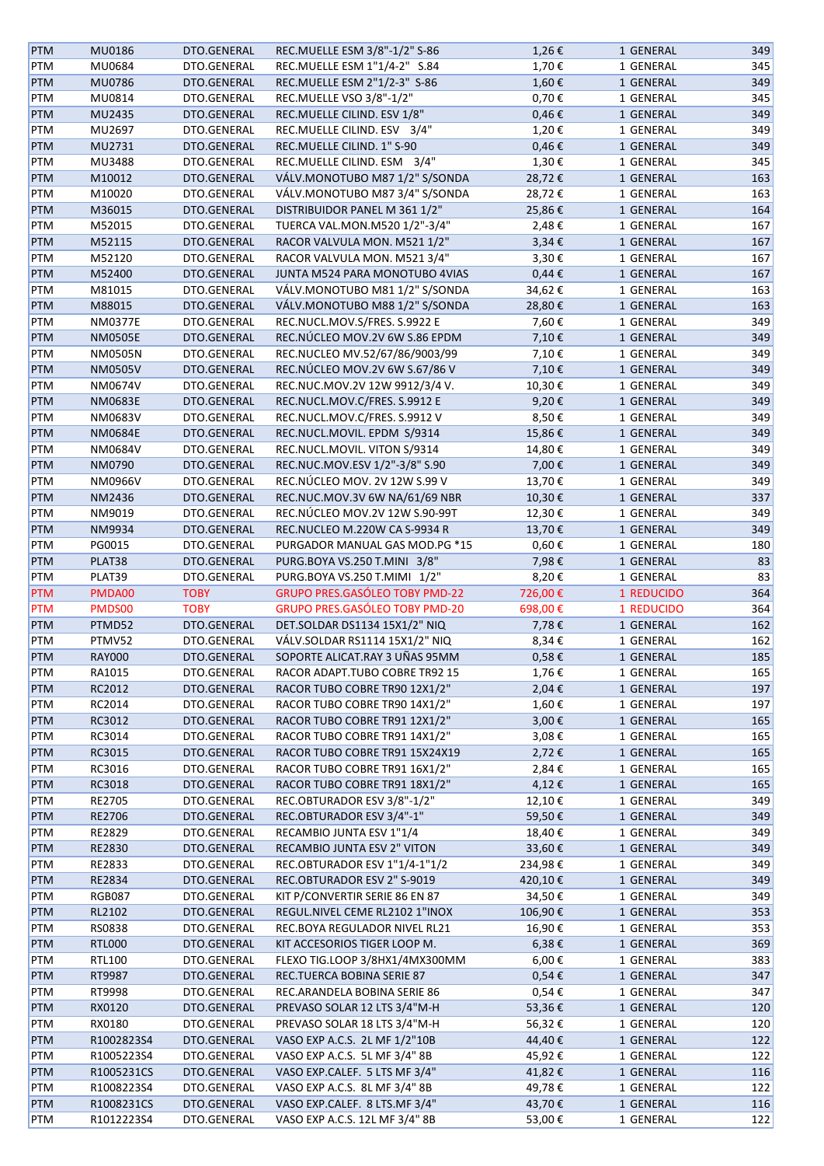| <b>PTM</b> | MU0186         | DTO.GENERAL | REC.MUELLE ESM 3/8"-1/2" S-86  | 1,26€      | 1 GENERAL  | 349 |
|------------|----------------|-------------|--------------------------------|------------|------------|-----|
| PTM        | MU0684         | DTO.GENERAL | REC.MUELLE ESM 1"1/4-2" S.84   | 1,70€      | 1 GENERAL  | 345 |
| <b>PTM</b> | MU0786         | DTO.GENERAL | REC.MUELLE ESM 2"1/2-3" S-86   | 1,60€      | 1 GENERAL  | 349 |
| PTM        | MU0814         | DTO.GENERAL | REC.MUELLE VSO 3/8"-1/2"       | 0,70€      | 1 GENERAL  | 345 |
| PTM        | MU2435         | DTO.GENERAL | REC.MUELLE CILIND. ESV 1/8"    | $0,46 \in$ | 1 GENERAL  | 349 |
|            | MU2697         | DTO.GENERAL | REC.MUELLE CILIND. ESV 3/4"    | 1,20€      | 1 GENERAL  | 349 |
| PTM        |                |             |                                |            |            |     |
| <b>PTM</b> | MU2731         | DTO.GENERAL | REC.MUELLE CILIND. 1" S-90     | $0,46 \in$ | 1 GENERAL  | 349 |
| PTM        | MU3488         | DTO.GENERAL | REC.MUELLE CILIND. ESM 3/4"    | 1,30€      | 1 GENERAL  | 345 |
| <b>PTM</b> | M10012         | DTO.GENERAL | VÁLV.MONOTUBO M87 1/2" S/SONDA | 28,72€     | 1 GENERAL  | 163 |
| PTM        | M10020         | DTO.GENERAL | VÁLV.MONOTUBO M87 3/4" S/SONDA | 28,72€     | 1 GENERAL  | 163 |
| <b>PTM</b> | M36015         | DTO.GENERAL | DISTRIBUIDOR PANEL M 361 1/2"  | 25,86€     | 1 GENERAL  | 164 |
| PTM        | M52015         | DTO.GENERAL | TUERCA VAL.MON.M520 1/2"-3/4"  | 2,48€      | 1 GENERAL  | 167 |
| <b>PTM</b> | M52115         | DTO.GENERAL | RACOR VALVULA MON. M521 1/2"   | $3,34 \in$ | 1 GENERAL  | 167 |
| PTM        | M52120         | DTO.GENERAL | RACOR VALVULA MON. M521 3/4"   | 3,30€      | 1 GENERAL  | 167 |
| <b>PTM</b> | M52400         | DTO.GENERAL | JUNTA M524 PARA MONOTUBO 4VIAS | $0,44 \in$ | 1 GENERAL  | 167 |
| PTM        | M81015         | DTO.GENERAL | VÁLV.MONOTUBO M81 1/2" S/SONDA | 34,62€     | 1 GENERAL  | 163 |
| <b>PTM</b> | M88015         | DTO.GENERAL | VÁLV.MONOTUBO M88 1/2" S/SONDA | 28,80€     | 1 GENERAL  | 163 |
|            |                |             |                                |            |            |     |
| PTM        | <b>NM0377E</b> | DTO.GENERAL | REC.NUCL.MOV.S/FRES. S.9922 E  | 7,60€      | 1 GENERAL  | 349 |
| <b>PTM</b> | <b>NM0505E</b> | DTO.GENERAL | REC.NÚCLEO MOV.2V 6W S.86 EPDM | 7,10€      | 1 GENERAL  | 349 |
| PTM        | NM0505N        | DTO.GENERAL | REC.NUCLEO MV.52/67/86/9003/99 | 7,10€      | 1 GENERAL  | 349 |
| PTM        | <b>NM0505V</b> | DTO.GENERAL | REC.NÚCLEO MOV.2V 6W S.67/86 V | 7,10€      | 1 GENERAL  | 349 |
| PTM        | NM0674V        | DTO.GENERAL | REC.NUC.MOV.2V 12W 9912/3/4 V. | 10,30€     | 1 GENERAL  | 349 |
| <b>PTM</b> | <b>NM0683E</b> | DTO.GENERAL | REC.NUCL.MOV.C/FRES. S.9912 E  | 9,20€      | 1 GENERAL  | 349 |
| PTM        | NM0683V        | DTO.GENERAL | REC.NUCL.MOV.C/FRES. S.9912 V  | 8,50€      | 1 GENERAL  | 349 |
| <b>PTM</b> | <b>NM0684E</b> | DTO.GENERAL | REC.NUCL.MOVIL. EPDM S/9314    | 15,86€     | 1 GENERAL  | 349 |
| PTM        | NM0684V        | DTO.GENERAL | REC.NUCL.MOVIL. VITON S/9314   | 14,80€     | 1 GENERAL  | 349 |
| <b>PTM</b> | NM0790         | DTO.GENERAL | REC.NUC.MOV.ESV 1/2"-3/8" S.90 | 7,00€      | 1 GENERAL  | 349 |
| PTM        | NM0966V        | DTO.GENERAL | REC.NÚCLEO MOV. 2V 12W S.99 V  | 13,70€     | 1 GENERAL  | 349 |
| <b>PTM</b> | NM2436         | DTO.GENERAL | REC.NUC.MOV.3V 6W NA/61/69 NBR | 10,30€     | 1 GENERAL  | 337 |
| PTM        | NM9019         | DTO.GENERAL | REC.NÚCLEO MOV.2V 12W S.90-99T | 12,30€     | 1 GENERAL  | 349 |
| <b>PTM</b> | NM9934         | DTO.GENERAL | REC.NUCLEO M.220W CA S-9934 R  | 13,70€     | 1 GENERAL  | 349 |
| PTM        | PG0015         | DTO.GENERAL | PURGADOR MANUAL GAS MOD.PG *15 | $0,60 \in$ | 1 GENERAL  | 180 |
|            |                |             |                                | 7,98€      |            |     |
| PTM        | PLAT38         | DTO.GENERAL | PURG.BOYA VS.250 T.MINI 3/8"   |            | 1 GENERAL  | 83  |
| PTM        | PLAT39         | DTO.GENERAL | PURG.BOYA VS.250 T.MIMI 1/2"   | 8,20€      | 1 GENERAL  | 83  |
| <b>PTM</b> | PMDA00         | <b>TOBY</b> | GRUPO PRES.GASÓLEO TOBY PMD-22 | 726,00€    | 1 REDUCIDO | 364 |
| <b>PTM</b> | PMDS00         | <b>TOBY</b> | GRUPO PRES.GASÓLEO TOBY PMD-20 | 698,00€    | 1 REDUCIDO | 364 |
| <b>PTM</b> | PTMD52         | DTO.GENERAL | DET.SOLDAR DS1134 15X1/2" NIQ  | 7,78€      | 1 GENERAL  | 162 |
| PTM        | PTMV52         | DTO.GENERAL | VÁLV.SOLDAR RS1114 15X1/2" NIQ | 8,34€      | 1 GENERAL  | 162 |
| <b>PTM</b> | <b>RAY000</b>  | DTO.GENERAL | SOPORTE ALICAT.RAY 3 UÑAS 95MM | 0,58€      | 1 GENERAL  | 185 |
| PTM        | RA1015         | DTO.GENERAL | RACOR ADAPT.TUBO COBRE TR92 15 | 1,76€      | 1 GENERAL  | 165 |
| <b>PTM</b> | RC2012         | DTO.GENERAL | RACOR TUBO COBRE TR90 12X1/2"  | 2,04€      | 1 GENERAL  | 197 |
| PTM        | RC2014         | DTO.GENERAL | RACOR TUBO COBRE TR90 14X1/2"  | 1,60€      | 1 GENERAL  | 197 |
| <b>PTM</b> | RC3012         | DTO.GENERAL | RACOR TUBO COBRE TR91 12X1/2"  | 3,00€      | 1 GENERAL  | 165 |
| PTM        | RC3014         | DTO.GENERAL | RACOR TUBO COBRE TR91 14X1/2"  | 3,08€      | 1 GENERAL  | 165 |
| <b>PTM</b> | RC3015         | DTO.GENERAL | RACOR TUBO COBRE TR91 15X24X19 | 2,72€      | 1 GENERAL  | 165 |
| PTM        | RC3016         | DTO.GENERAL | RACOR TUBO COBRE TR91 16X1/2"  | 2,84€      | 1 GENERAL  | 165 |
| <b>PTM</b> | RC3018         | DTO.GENERAL | RACOR TUBO COBRE TR91 18X1/2"  | 4,12€      | 1 GENERAL  | 165 |
| PTM        | RE2705         | DTO.GENERAL | REC.OBTURADOR ESV 3/8"-1/2"    | 12,10€     | 1 GENERAL  | 349 |
| <b>PTM</b> | RE2706         | DTO.GENERAL | REC.OBTURADOR ESV 3/4"-1"      | 59,50€     | 1 GENERAL  | 349 |
| PTM        | RE2829         | DTO.GENERAL | RECAMBIO JUNTA ESV 1"1/4       | 18,40€     | 1 GENERAL  | 349 |
|            |                |             |                                |            |            | 349 |
| <b>PTM</b> | RE2830         | DTO.GENERAL | RECAMBIO JUNTA ESV 2" VITON    | 33,60€     | 1 GENERAL  |     |
| PTM        | RE2833         | DTO.GENERAL | REC.OBTURADOR ESV 1"1/4-1"1/2  | 234,98€    | 1 GENERAL  | 349 |
| <b>PTM</b> | RE2834         | DTO.GENERAL | REC.OBTURADOR ESV 2" S-9019    | 420,10€    | 1 GENERAL  | 349 |
| PTM        | RGB087         | DTO.GENERAL | KIT P/CONVERTIR SERIE 86 EN 87 | 34,50€     | 1 GENERAL  | 349 |
| <b>PTM</b> | RL2102         | DTO.GENERAL | REGUL.NIVEL CEME RL2102 1"INOX | 106,90€    | 1 GENERAL  | 353 |
| PTM        | RS0838         | DTO.GENERAL | REC.BOYA REGULADOR NIVEL RL21  | 16,90€     | 1 GENERAL  | 353 |
| <b>PTM</b> | <b>RTL000</b>  | DTO.GENERAL | KIT ACCESORIOS TIGER LOOP M.   | $6,38 \in$ | 1 GENERAL  | 369 |
| PTM        | RTL100         | DTO.GENERAL | FLEXO TIG.LOOP 3/8HX1/4MX300MM | $6,00 \in$ | 1 GENERAL  | 383 |
| PTM        | RT9987         | DTO.GENERAL | REC.TUERCA BOBINA SERIE 87     | 0,54€      | 1 GENERAL  | 347 |
| PTM        | RT9998         | DTO.GENERAL | REC.ARANDELA BOBINA SERIE 86   | 0,54€      | 1 GENERAL  | 347 |
| PTM        | RX0120         | DTO.GENERAL | PREVASO SOLAR 12 LTS 3/4"M-H   | 53,36€     | 1 GENERAL  | 120 |
| PTM        | RX0180         | DTO.GENERAL | PREVASO SOLAR 18 LTS 3/4"M-H   | 56,32€     | 1 GENERAL  | 120 |
| <b>PTM</b> | R1002823S4     | DTO.GENERAL | VASO EXP A.C.S. 2L MF 1/2"10B  | 44,40€     | 1 GENERAL  | 122 |
| PTM        | R1005223S4     | DTO.GENERAL | VASO EXP A.C.S. 5L MF 3/4" 8B  | 45,92€     | 1 GENERAL  | 122 |
| <b>PTM</b> | R1005231CS     | DTO.GENERAL | VASO EXP.CALEF. 5 LTS MF 3/4"  | 41,82€     | 1 GENERAL  | 116 |
| PTM        | R1008223S4     | DTO.GENERAL | VASO EXP A.C.S. 8L MF 3/4" 8B  | 49,78€     | 1 GENERAL  | 122 |
| <b>PTM</b> | R1008231CS     | DTO.GENERAL | VASO EXP.CALEF. 8 LTS.MF 3/4"  | 43,70€     | 1 GENERAL  | 116 |
| PTM        | R1012223S4     | DTO.GENERAL | VASO EXP A.C.S. 12L MF 3/4" 8B | 53,00€     | 1 GENERAL  | 122 |
|            |                |             |                                |            |            |     |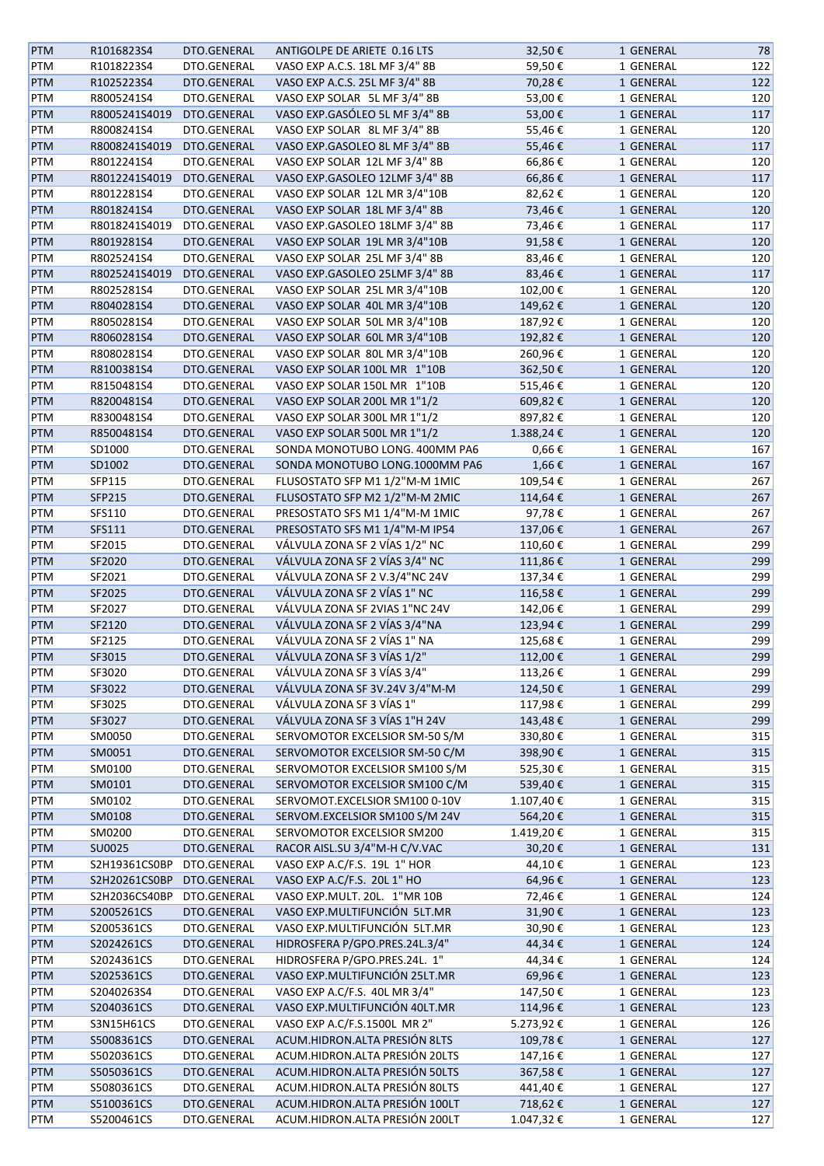| <b>PTM</b> | R1016823S4               | DTO.GENERAL                | ANTIGOLPE DE ARIETE 0.16 LTS   | 32,50€             | 1 GENERAL | 78         |
|------------|--------------------------|----------------------------|--------------------------------|--------------------|-----------|------------|
| <b>PTM</b> | R1018223S4               | DTO.GENERAL                | VASO EXP A.C.S. 18L MF 3/4" 8B | 59,50€             | 1 GENERAL | 122        |
| <b>PTM</b> | R1025223S4               | DTO.GENERAL                | VASO EXP A.C.S. 25L MF 3/4" 8B | 70,28€             | 1 GENERAL | 122        |
| <b>PTM</b> | R8005241S4               | DTO.GENERAL                | VASO EXP SOLAR 5L MF 3/4" 8B   | 53,00€             | 1 GENERAL | 120        |
| <b>PTM</b> | R8005241S4019            | DTO.GENERAL                | VASO EXP.GASÓLEO 5L MF 3/4" 8B | 53,00€             | 1 GENERAL | 117        |
| <b>PTM</b> | R8008241S4               | DTO.GENERAL                | VASO EXP SOLAR 8L MF 3/4" 8B   | 55,46€             | 1 GENERAL | 120        |
| <b>PTM</b> | R8008241S4019            | DTO.GENERAL                | VASO EXP.GASOLEO 8L MF 3/4" 8B | 55,46€             | 1 GENERAL | 117        |
| <b>PTM</b> | R8012241S4               | DTO.GENERAL                | VASO EXP SOLAR 12L MF 3/4" 8B  | 66,86€             | 1 GENERAL | 120        |
| <b>PTM</b> | R8012241S4019            | DTO.GENERAL                | VASO EXP.GASOLEO 12LMF 3/4" 8B | 66,86€             | 1 GENERAL | 117        |
|            | R8012281S4               | DTO.GENERAL                | VASO EXP SOLAR 12L MR 3/4"10B  | 82,62€             | 1 GENERAL | 120        |
| PTM        | R8018241S4               | DTO.GENERAL                | VASO EXP SOLAR 18L MF 3/4" 8B  | 73,46€             |           | 120        |
| PTM        |                          |                            |                                |                    | 1 GENERAL |            |
| PTM        | R8018241S4019            | DTO.GENERAL                | VASO EXP.GASOLEO 18LMF 3/4" 8B | 73,46€             | 1 GENERAL | 117        |
| PTM        | R8019281S4               | DTO.GENERAL                | VASO EXP SOLAR 19L MR 3/4"10B  | 91,58€             | 1 GENERAL | 120        |
| PTM        | R8025241S4               | DTO.GENERAL                | VASO EXP SOLAR 25L MF 3/4" 8B  | 83,46€             | 1 GENERAL | 120        |
| <b>PTM</b> | R8025241S4019            | DTO.GENERAL                | VASO EXP.GASOLEO 25LMF 3/4" 8B | 83,46€             | 1 GENERAL | 117        |
| <b>PTM</b> | R8025281S4               | DTO.GENERAL                | VASO EXP SOLAR 25L MR 3/4"10B  | 102,00€            | 1 GENERAL | 120        |
| <b>PTM</b> | R8040281S4               | DTO.GENERAL                | VASO EXP SOLAR 40L MR 3/4"10B  | 149,62€            | 1 GENERAL | 120        |
| <b>PTM</b> | R8050281S4               | DTO.GENERAL                | VASO EXP SOLAR 50L MR 3/4"10B  | 187,92€            | 1 GENERAL | 120        |
| PTM        | R8060281S4               | DTO.GENERAL                | VASO EXP SOLAR 60L MR 3/4"10B  | 192,82€            | 1 GENERAL | 120        |
| PTM        | R8080281S4               | DTO.GENERAL                | VASO EXP SOLAR 80L MR 3/4"10B  | 260,96€            | 1 GENERAL | 120        |
| <b>PTM</b> | R8100381S4               | DTO.GENERAL                | VASO EXP SOLAR 100L MR 1"10B   | 362,50€            | 1 GENERAL | 120        |
| <b>PTM</b> | R8150481S4               | DTO.GENERAL                | VASO EXP SOLAR 150L MR 1"10B   | 515,46€            | 1 GENERAL | 120        |
| <b>PTM</b> | R8200481S4               | DTO.GENERAL                | VASO EXP SOLAR 200L MR 1"1/2   | 609,82€            | 1 GENERAL | 120        |
| PTM        | R8300481S4               | DTO.GENERAL                | VASO EXP SOLAR 300L MR 1"1/2   | 897,82€            | 1 GENERAL | 120        |
| PTM        | R8500481S4               | DTO.GENERAL                | VASO EXP SOLAR 500L MR 1"1/2   | 1.388,24€          | 1 GENERAL | 120        |
| PTM        | SD1000                   | DTO.GENERAL                | SONDA MONOTUBO LONG. 400MM PA6 | $0,66 \in$         | 1 GENERAL | 167        |
| <b>PTM</b> | SD1002                   | DTO.GENERAL                | SONDA MONOTUBO LONG.1000MM PA6 | 1,66€              | 1 GENERAL | 167        |
| <b>PTM</b> | SFP115                   | DTO.GENERAL                | FLUSOSTATO SFP M1 1/2"M-M 1MIC | 109,54€            | 1 GENERAL | 267        |
| <b>PTM</b> | SFP215                   | DTO.GENERAL                | FLUSOSTATO SFP M2 1/2"M-M 2MIC | 114,64€            | 1 GENERAL | 267        |
| <b>PTM</b> | SFS110                   | DTO.GENERAL                | PRESOSTATO SFS M1 1/4"M-M 1MIC | 97,78€             | 1 GENERAL | 267        |
| <b>PTM</b> | SFS111                   | DTO.GENERAL                | PRESOSTATO SFS M1 1/4"M-M IP54 | 137,06€            | 1 GENERAL | 267        |
| <b>PTM</b> | SF2015                   | DTO.GENERAL                | VÁLVULA ZONA SF 2 VÍAS 1/2" NC | 110,60€            | 1 GENERAL | 299        |
| <b>PTM</b> | SF2020                   | DTO.GENERAL                | VÁLVULA ZONA SF 2 VÍAS 3/4" NC | 111,86€            | 1 GENERAL | 299        |
| PTM        | SF2021                   | DTO.GENERAL                | VÁLVULA ZONA SF 2 V.3/4"NC 24V | 137,34€            | 1 GENERAL | 299        |
| <b>PTM</b> | SF2025                   | DTO.GENERAL                | VÁLVULA ZONA SF 2 VÍAS 1" NC   | 116,58€            | 1 GENERAL | 299        |
| PTM        | SF2027                   | DTO.GENERAL                | VÁLVULA ZONA SF 2VIAS 1"NC 24V | 142,06€            | 1 GENERAL | 299        |
|            |                          | DTO.GENERAL                | VÁLVULA ZONA SF 2 VÍAS 3/4"NA  |                    |           | 299        |
| <b>PTM</b> | SF2120                   | DTO.GENERAL                |                                | 123,94€<br>125,68€ | 1 GENERAL |            |
| PTM        | SF2125                   |                            | VÁLVULA ZONA SF 2 VÍAS 1" NA   |                    | 1 GENERAL | 299        |
| <b>PTM</b> | SF3015                   | DTO.GENERAL                | VÁLVULA ZONA SF 3 VÍAS 1/2"    | 112,00€            | 1 GENERAL | 299        |
| <b>PTM</b> | SF3020                   | DTO.GENERAL                | VÁLVULA ZONA SF 3 VÍAS 3/4"    | 113,26€            | 1 GENERAL | 299        |
| <b>PTM</b> | SF3022                   | DTO.GENERAL                | VÁLVULA ZONA SF 3V.24V 3/4"M-M | 124,50€            | 1 GENERAL | 299        |
| <b>PTM</b> | SF3025                   | DTO.GENERAL                | VÁLVULA ZONA SF 3 VÍAS 1"      | 117,98€            | 1 GENERAL | 299        |
| <b>PTM</b> | SF3027                   | DTO.GENERAL                | VÁLVULA ZONA SF 3 VÍAS 1"H 24V | 143,48€            | 1 GENERAL | 299        |
| <b>PTM</b> | SM0050                   | DTO.GENERAL                | SERVOMOTOR EXCELSIOR SM-50 S/M | 330,80€            | 1 GENERAL | 315        |
| <b>PTM</b> | SM0051                   | DTO.GENERAL                | SERVOMOTOR EXCELSIOR SM-50 C/M | 398,90€            | 1 GENERAL | 315        |
| <b>PTM</b> | SM0100                   | DTO.GENERAL                | SERVOMOTOR EXCELSIOR SM100 S/M | 525,30€            | 1 GENERAL | 315        |
| <b>PTM</b> | SM0101                   | DTO.GENERAL                | SERVOMOTOR EXCELSIOR SM100 C/M | 539,40€            | 1 GENERAL | 315        |
| PTM        | SM0102                   | DTO.GENERAL                | SERVOMOT.EXCELSIOR SM100 0-10V | 1.107,40€          | 1 GENERAL | 315        |
| <b>PTM</b> | SM0108                   | DTO.GENERAL                | SERVOM.EXCELSIOR SM100 S/M 24V | 564,20€            | 1 GENERAL | 315        |
| PTM        | SM0200                   | DTO.GENERAL                | SERVOMOTOR EXCELSIOR SM200     | 1.419,20€          | 1 GENERAL | 315        |
| <b>PTM</b> | SU0025                   | DTO.GENERAL                | RACOR AISL.SU 3/4"M-H C/V.VAC  | 30,20€             | 1 GENERAL | 131        |
| PTM        | S2H19361CS0BP            | DTO.GENERAL                | VASO EXP A.C/F.S. 19L 1" HOR   | 44,10€             | 1 GENERAL | 123        |
| <b>PTM</b> | S2H20261CS0BP            | DTO.GENERAL                | VASO EXP A.C/F.S. 20L 1" HO    | 64,96€             | 1 GENERAL | 123        |
| <b>PTM</b> | S2H2036CS40BP            | DTO.GENERAL                | VASO EXP.MULT. 20L. 1"MR 10B   | 72,46€             | 1 GENERAL | 124        |
| <b>PTM</b> | S2005261CS               | DTO.GENERAL                | VASO EXP.MULTIFUNCIÓN 5LT.MR   | 31,90€             | 1 GENERAL | 123        |
| <b>PTM</b> | S2005361CS               | DTO.GENERAL                | VASO EXP.MULTIFUNCIÓN 5LT.MR   | 30,90€             | 1 GENERAL | 123        |
| <b>PTM</b> | S2024261CS               | DTO.GENERAL                | HIDROSFERA P/GPO.PRES.24L.3/4" | 44,34€             | 1 GENERAL | 124        |
| <b>PTM</b> | S2024361CS               | DTO.GENERAL                | HIDROSFERA P/GPO.PRES.24L. 1"  | 44,34€             | 1 GENERAL | 124        |
| <b>PTM</b> | S2025361CS               | DTO.GENERAL                | VASO EXP.MULTIFUNCIÓN 25LT.MR  | 69,96€             | 1 GENERAL | 123        |
| <b>PTM</b> | S2040263S4               | DTO.GENERAL                | VASO EXP A.C/F.S. 40L MR 3/4"  | 147,50€            | 1 GENERAL | 123        |
| <b>PTM</b> | S2040361CS               | DTO.GENERAL                | VASO EXP.MULTIFUNCIÓN 40LT.MR  | 114,96€            | 1 GENERAL | 123        |
| PTM        | S3N15H61CS               | DTO.GENERAL                | VASO EXP A.C/F.S.1500L MR 2"   | 5.273,92€          | 1 GENERAL | 126        |
| PTM        | S5008361CS               | DTO.GENERAL                | ACUM.HIDRON.ALTA PRESIÓN 8LTS  | 109,78€            | 1 GENERAL | 127        |
|            | S5020361CS               |                            | ACUM.HIDRON.ALTA PRESIÓN 20LTS |                    |           |            |
| PTM        |                          | DTO.GENERAL                | ACUM.HIDRON.ALTA PRESIÓN 50LTS | 147,16€            | 1 GENERAL | 127<br>127 |
| <b>PTM</b> | S5050361CS<br>S5080361CS | DTO.GENERAL<br>DTO.GENERAL | ACUM.HIDRON.ALTA PRESIÓN 80LTS | 367,58€            | 1 GENERAL | 127        |
| PTM        |                          |                            |                                | 441,40€            | 1 GENERAL |            |
| <b>PTM</b> | S5100361CS               | DTO.GENERAL                | ACUM.HIDRON.ALTA PRESIÓN 100LT | 718,62€            | 1 GENERAL | 127        |
| PTM        | S5200461CS               | DTO.GENERAL                | ACUM.HIDRON.ALTA PRESIÓN 200LT | 1.047,32€          | 1 GENERAL | 127        |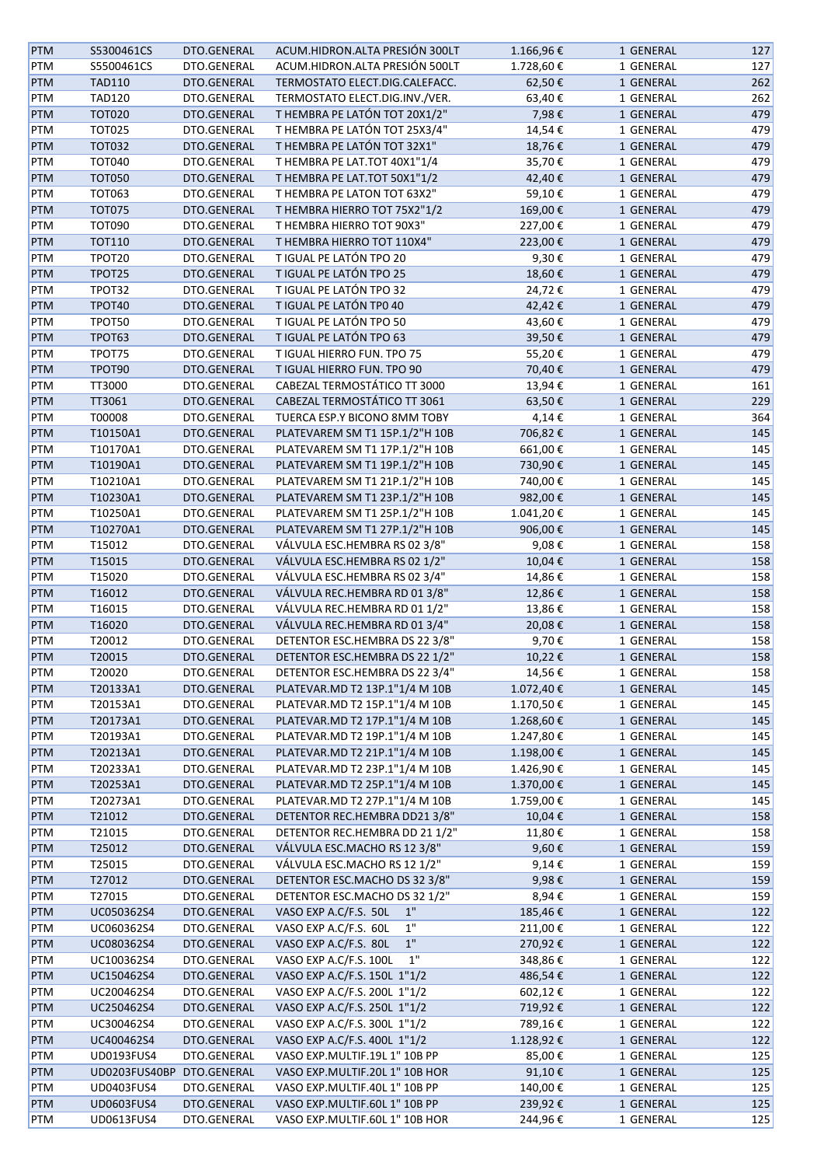| <b>PTM</b> | S5300461CS                | DTO.GENERAL | ACUM.HIDRON.ALTA PRESIÓN 300LT | 1.166,96€       | 1 GENERAL | 127 |
|------------|---------------------------|-------------|--------------------------------|-----------------|-----------|-----|
| <b>PTM</b> | S5500461CS                | DTO.GENERAL | ACUM.HIDRON.ALTA PRESIÓN 500LT | 1.728,60€       | 1 GENERAL | 127 |
| <b>PTM</b> | <b>TAD110</b>             | DTO.GENERAL | TERMOSTATO ELECT.DIG.CALEFACC. | 62,50€          | 1 GENERAL | 262 |
| PTM        | <b>TAD120</b>             | DTO.GENERAL | TERMOSTATO ELECT.DIG.INV./VER. | 63,40€          | 1 GENERAL | 262 |
| <b>PTM</b> | <b>TOT020</b>             | DTO.GENERAL | T HEMBRA PE LATÓN TOT 20X1/2"  | 7,98€           | 1 GENERAL | 479 |
| <b>PTM</b> | <b>TOT025</b>             | DTO.GENERAL | T HEMBRA PE LATÓN TOT 25X3/4"  | 14,54€          | 1 GENERAL | 479 |
| <b>PTM</b> | <b>TOT032</b>             | DTO.GENERAL | T HEMBRA PE LATÓN TOT 32X1"    | 18,76€          | 1 GENERAL | 479 |
| <b>PTM</b> | <b>TOT040</b>             | DTO.GENERAL | T HEMBRA PE LAT.TOT 40X1"1/4   | 35,70€          | 1 GENERAL | 479 |
| <b>PTM</b> | <b>TOT050</b>             | DTO.GENERAL | T HEMBRA PE LAT.TOT 50X1"1/2   | 42,40€          | 1 GENERAL | 479 |
| PTM        | <b>TOT063</b>             | DTO.GENERAL | T HEMBRA PE LATON TOT 63X2"    | 59,10€          | 1 GENERAL | 479 |
| PTM        | <b>TOT075</b>             | DTO.GENERAL | T HEMBRA HIERRO TOT 75X2"1/2   | 169,00€         | 1 GENERAL | 479 |
| PTM        | <b>TOT090</b>             | DTO.GENERAL | T HEMBRA HIERRO TOT 90X3"      | 227,00€         | 1 GENERAL | 479 |
| <b>PTM</b> | TOT110                    | DTO.GENERAL | T HEMBRA HIERRO TOT 110X4"     | 223,00€         | 1 GENERAL | 479 |
| PTM        | TPOT20                    | DTO.GENERAL | T IGUAL PE LATÓN TPO 20        | 9,30€           | 1 GENERAL | 479 |
| <b>PTM</b> | TPOT25                    | DTO.GENERAL | T IGUAL PE LATÓN TPO 25        | 18,60€          | 1 GENERAL | 479 |
| PTM        | TPOT32                    | DTO.GENERAL | T IGUAL PE LATÓN TPO 32        | 24,72€          | 1 GENERAL | 479 |
| <b>PTM</b> | TPOT40                    | DTO.GENERAL | T IGUAL PE LATÓN TPO 40        | 42,42€          | 1 GENERAL | 479 |
| <b>PTM</b> | TPOT50                    | DTO.GENERAL | T IGUAL PE LATÓN TPO 50        | 43,60€          | 1 GENERAL | 479 |
| <b>PTM</b> | TPOT63                    | DTO.GENERAL | T IGUAL PE LATÓN TPO 63        | 39,50€          | 1 GENERAL | 479 |
| PTM        | TPOT75                    | DTO.GENERAL | T IGUAL HIERRO FUN. TPO 75     | 55,20€          | 1 GENERAL | 479 |
| <b>PTM</b> | TPOT90                    | DTO.GENERAL | T IGUAL HIERRO FUN. TPO 90     | 70,40€          | 1 GENERAL | 479 |
| <b>PTM</b> | TT3000                    | DTO.GENERAL | CABEZAL TERMOSTÁTICO TT 3000   | 13,94€          | 1 GENERAL | 161 |
| PTM        | TT3061                    | DTO.GENERAL | CABEZAL TERMOSTÁTICO TT 3061   | 63,50€          | 1 GENERAL | 229 |
| PTM        | T00008                    | DTO.GENERAL | TUERCA ESP.Y BICONO 8MM TOBY   | 4,14€           | 1 GENERAL | 364 |
| <b>PTM</b> | T10150A1                  | DTO.GENERAL | PLATEVAREM SM T1 15P.1/2"H 10B | 706,82€         | 1 GENERAL | 145 |
| PTM        | T10170A1                  | DTO.GENERAL | PLATEVAREM SM T1 17P.1/2"H 10B | 661,00€         | 1 GENERAL | 145 |
| <b>PTM</b> | T10190A1                  | DTO.GENERAL | PLATEVAREM SM T1 19P.1/2"H 10B | 730,90€         | 1 GENERAL | 145 |
| PTM        | T10210A1                  | DTO.GENERAL | PLATEVAREM SM T1 21P.1/2"H 10B | 740,00€         | 1 GENERAL | 145 |
| <b>PTM</b> | T10230A1                  | DTO.GENERAL | PLATEVAREM SM T1 23P.1/2"H 10B | 982,00€         | 1 GENERAL | 145 |
| PTM        | T10250A1                  | DTO.GENERAL | PLATEVAREM SM T1 25P.1/2"H 10B | 1.041,20€       | 1 GENERAL | 145 |
| <b>PTM</b> | T10270A1                  | DTO.GENERAL | PLATEVAREM SM T1 27P.1/2"H 10B | 906,00€         | 1 GENERAL | 145 |
| PTM        | T15012                    | DTO.GENERAL | VÁLVULA ESC.HEMBRA RS 02 3/8"  | 9,08€           | 1 GENERAL | 158 |
| <b>PTM</b> | T15015                    | DTO.GENERAL | VÁLVULA ESC.HEMBRA RS 02 1/2"  | 10,04€          | 1 GENERAL | 158 |
| PTM        | T15020                    | DTO.GENERAL | VÁLVULA ESC.HEMBRA RS 02 3/4"  | 14,86€          | 1 GENERAL | 158 |
| <b>PTM</b> | T16012                    | DTO.GENERAL | VÁLVULA REC.HEMBRA RD 01 3/8"  | 12,86€          | 1 GENERAL | 158 |
| PTM        | T16015                    | DTO.GENERAL | VÁLVULA REC.HEMBRA RD 01 1/2"  | 13,86€          | 1 GENERAL | 158 |
| <b>PTM</b> | T16020                    | DTO.GENERAL | VÁLVULA REC.HEMBRA RD 01 3/4"  | 20,08€          | 1 GENERAL | 158 |
| PTM        | T20012                    | DTO.GENERAL | DETENTOR ESC.HEMBRA DS 22 3/8" | 9,70€           | 1 GENERAL | 158 |
| <b>PTM</b> | T20015                    | DTO.GENERAL | DETENTOR ESC.HEMBRA DS 22 1/2" | 10,22€          | 1 GENERAL | 158 |
| PTM        | T20020                    | DTO.GENERAL | DETENTOR ESC.HEMBRA DS 22 3/4" | 14,56€          | 1 GENERAL | 158 |
| <b>PTM</b> | T20133A1                  | DTO.GENERAL | PLATEVAR.MD T2 13P.1"1/4 M 10B | 1.072,40€       | 1 GENERAL | 145 |
| PTM        | T20153A1                  | DTO.GENERAL | PLATEVAR.MD T2 15P.1"1/4 M 10B | 1.170,50€       | 1 GENERAL | 145 |
| <b>PTM</b> | T20173A1                  | DTO.GENERAL | PLATEVAR.MD T2 17P.1"1/4 M 10B | 1.268,60€       | 1 GENERAL | 145 |
| PTM        | T20193A1                  | DTO.GENERAL | PLATEVAR.MD T2 19P.1"1/4 M 10B | 1.247,80€       | 1 GENERAL | 145 |
| <b>PTM</b> | T20213A1                  | DTO.GENERAL | PLATEVAR.MD T2 21P.1"1/4 M 10B | 1.198,00€       | 1 GENERAL | 145 |
| PTM        | T20233A1                  | DTO.GENERAL | PLATEVAR.MD T2 23P.1"1/4 M 10B | 1.426,90€       | 1 GENERAL | 145 |
| <b>PTM</b> | T20253A1                  | DTO.GENERAL | PLATEVAR.MD T2 25P.1"1/4 M 10B | 1.370,00€       | 1 GENERAL | 145 |
| PTM        | T20273A1                  | DTO.GENERAL | PLATEVAR.MD T2 27P.1"1/4 M 10B | 1.759,00€       | 1 GENERAL | 145 |
| <b>PTM</b> | T21012                    | DTO.GENERAL | DETENTOR REC.HEMBRA DD21 3/8"  | 10,04€          | 1 GENERAL | 158 |
| PTM        | T21015                    | DTO.GENERAL | DETENTOR REC.HEMBRA DD 21 1/2" | 11,80€          | 1 GENERAL | 158 |
| PTM        | T25012                    | DTO.GENERAL | VÁLVULA ESC.MACHO RS 12 3/8"   | 9,60 $\epsilon$ | 1 GENERAL | 159 |
| PTM        | T25015                    | DTO.GENERAL | VÁLVULA ESC.MACHO RS 12 1/2"   | 9,14€           | 1 GENERAL | 159 |
| <b>PTM</b> | T27012                    | DTO.GENERAL | DETENTOR ESC.MACHO DS 32 3/8"  | 9,98€           | 1 GENERAL | 159 |
| PTM        | T27015                    | DTO.GENERAL | DETENTOR ESC.MACHO DS 32 1/2"  | 8,94€           | 1 GENERAL | 159 |
| <b>PTM</b> | UC050362S4                | DTO.GENERAL | 1"<br>VASO EXP A.C/F.S. 50L    | 185,46€         | 1 GENERAL | 122 |
| PTM        | UC060362S4                | DTO.GENERAL | VASO EXP A.C/F.S. 60L<br>1"    | 211,00€         | 1 GENERAL | 122 |
| <b>PTM</b> | UC080362S4                | DTO.GENERAL | $1"$<br>VASO EXP A.C/F.S. 80L  | 270,92€         | 1 GENERAL | 122 |
| PTM        | UC100362S4                | DTO.GENERAL | VASO EXP A.C/F.S. 100L<br>1"   | 348,86€         | 1 GENERAL | 122 |
| <b>PTM</b> | UC150462S4                | DTO.GENERAL | VASO EXP A.C/F.S. 150L 1"1/2   | 486,54€         | 1 GENERAL | 122 |
| PTM        | UC200462S4                | DTO.GENERAL | VASO EXP A.C/F.S. 200L 1"1/2   | 602,12€         | 1 GENERAL | 122 |
| <b>PTM</b> | UC250462S4                | DTO.GENERAL | VASO EXP A.C/F.S. 250L 1"1/2   | 719,92€         | 1 GENERAL | 122 |
| PTM        | UC300462S4                | DTO.GENERAL | VASO EXP A.C/F.S. 300L 1"1/2   | 789,16€         | 1 GENERAL | 122 |
| PTM        | UC400462S4                | DTO.GENERAL | VASO EXP A.C/F.S. 400L 1"1/2   | 1.128,92€       | 1 GENERAL | 122 |
| PTM        | UD0193FUS4                | DTO.GENERAL | VASO EXP.MULTIF.19L 1" 10B PP  | 85,00€          | 1 GENERAL | 125 |
| <b>PTM</b> | UD0203FUS40BP DTO.GENERAL |             | VASO EXP.MULTIF.20L 1" 10B HOR | 91,10€          | 1 GENERAL | 125 |
| PTM        | UD0403FUS4                | DTO.GENERAL | VASO EXP.MULTIF.40L 1" 10B PP  | 140,00€         | 1 GENERAL | 125 |
| <b>PTM</b> | <b>UD0603FUS4</b>         | DTO.GENERAL | VASO EXP.MULTIF.60L 1" 10B PP  | 239,92€         | 1 GENERAL | 125 |
| PTM        | UD0613FUS4                | DTO.GENERAL | VASO EXP.MULTIF.60L 1" 10B HOR | 244,96€         | 1 GENERAL | 125 |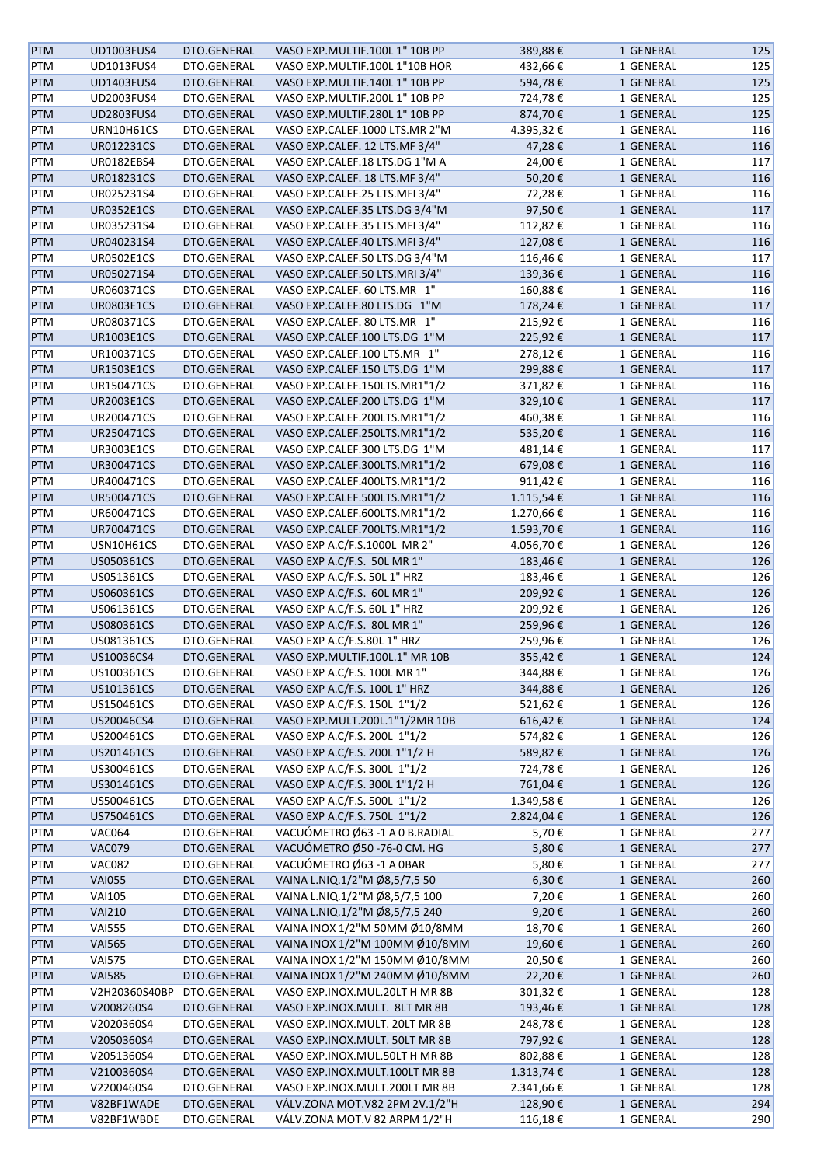| <b>PTM</b> | UD1003FUS4        | DTO.GENERAL | VASO EXP.MULTIF.100L 1" 10B PP | 389,88€   | 1 GENERAL | 125 |
|------------|-------------------|-------------|--------------------------------|-----------|-----------|-----|
| PTM        | UD1013FUS4        | DTO.GENERAL | VASO EXP.MULTIF.100L 1"10B HOR | 432,66€   | 1 GENERAL | 125 |
| <b>PTM</b> | <b>UD1403FUS4</b> | DTO.GENERAL | VASO EXP.MULTIF.140L 1" 10B PP | 594,78€   | 1 GENERAL | 125 |
|            | UD2003FUS4        |             | VASO EXP.MULTIF.200L 1" 10B PP |           |           |     |
| PTM        |                   | DTO.GENERAL |                                | 724,78€   | 1 GENERAL | 125 |
| <b>PTM</b> | <b>UD2803FUS4</b> | DTO.GENERAL | VASO EXP.MULTIF.280L 1" 10B PP | 874,70€   | 1 GENERAL | 125 |
| PTM        | URN10H61CS        | DTO.GENERAL | VASO EXP.CALEF.1000 LTS.MR 2"M | 4.395,32€ | 1 GENERAL | 116 |
| <b>PTM</b> | UR012231CS        | DTO.GENERAL | VASO EXP.CALEF. 12 LTS.MF 3/4" | 47,28€    | 1 GENERAL | 116 |
| PTM        | UR0182EBS4        | DTO.GENERAL | VASO EXP.CALEF.18 LTS.DG 1"M A | 24,00€    | 1 GENERAL | 117 |
| PTM        | UR018231CS        | DTO.GENERAL | VASO EXP.CALEF. 18 LTS.MF 3/4" | 50,20€    | 1 GENERAL | 116 |
| PTM        | UR025231S4        | DTO.GENERAL | VASO EXP.CALEF.25 LTS.MFI 3/4" | 72,28€    | 1 GENERAL | 116 |
| <b>PTM</b> | <b>UR0352E1CS</b> | DTO.GENERAL | VASO EXP.CALEF.35 LTS.DG 3/4"M | 97,50€    | 1 GENERAL | 117 |
| PTM        | UR035231S4        | DTO.GENERAL | VASO EXP.CALEF.35 LTS.MFI 3/4" | 112,82€   | 1 GENERAL | 116 |
|            |                   |             |                                |           |           |     |
| <b>PTM</b> | UR040231S4        | DTO.GENERAL | VASO EXP.CALEF.40 LTS.MFI 3/4" | 127,08€   | 1 GENERAL | 116 |
| PTM        | <b>UR0502E1CS</b> | DTO.GENERAL | VASO EXP.CALEF.50 LTS.DG 3/4"M | 116,46€   | 1 GENERAL | 117 |
| <b>PTM</b> | UR050271S4        | DTO.GENERAL | VASO EXP.CALEF.50 LTS.MRI 3/4" | 139,36€   | 1 GENERAL | 116 |
| PTM        | UR060371CS        | DTO.GENERAL | VASO EXP.CALEF. 60 LTS.MR 1"   | 160,88€   | 1 GENERAL | 116 |
| <b>PTM</b> | <b>UR0803E1CS</b> | DTO.GENERAL | VASO EXP.CALEF.80 LTS.DG 1"M   | 178,24€   | 1 GENERAL | 117 |
| PTM        | UR080371CS        | DTO.GENERAL | VASO EXP.CALEF. 80 LTS.MR 1"   | 215,92€   | 1 GENERAL | 116 |
| <b>PTM</b> | <b>UR1003E1CS</b> | DTO.GENERAL | VASO EXP.CALEF.100 LTS.DG 1"M  | 225,92€   | 1 GENERAL | 117 |
| PTM        | UR100371CS        | DTO.GENERAL | VASO EXP.CALEF.100 LTS.MR 1"   | 278,12€   | 1 GENERAL | 116 |
| <b>PTM</b> | <b>UR1503E1CS</b> | DTO.GENERAL | VASO EXP.CALEF.150 LTS.DG 1"M  | 299,88€   | 1 GENERAL | 117 |
|            |                   |             |                                |           |           |     |
| PTM        | UR150471CS        | DTO.GENERAL | VASO EXP.CALEF.150LTS.MR1"1/2  | 371,82€   | 1 GENERAL | 116 |
| PTM        | <b>UR2003E1CS</b> | DTO.GENERAL | VASO EXP.CALEF.200 LTS.DG 1"M  | 329,10€   | 1 GENERAL | 117 |
| PTM        | UR200471CS        | DTO.GENERAL | VASO EXP.CALEF.200LTS.MR1"1/2  | 460,38€   | 1 GENERAL | 116 |
| <b>PTM</b> | UR250471CS        | DTO.GENERAL | VASO EXP.CALEF.250LTS.MR1"1/2  | 535,20€   | 1 GENERAL | 116 |
| PTM        | <b>UR3003E1CS</b> | DTO.GENERAL | VASO EXP.CALEF.300 LTS.DG 1"M  | 481,14€   | 1 GENERAL | 117 |
| <b>PTM</b> | UR300471CS        | DTO.GENERAL | VASO EXP.CALEF.300LTS.MR1"1/2  | 679,08€   | 1 GENERAL | 116 |
| PTM        | UR400471CS        | DTO.GENERAL | VASO EXP.CALEF.400LTS.MR1"1/2  | 911,42€   | 1 GENERAL | 116 |
| <b>PTM</b> | UR500471CS        | DTO.GENERAL | VASO EXP.CALEF.500LTS.MR1"1/2  | 1.115,54€ | 1 GENERAL | 116 |
|            |                   |             |                                |           |           |     |
| PTM        | UR600471CS        | DTO.GENERAL | VASO EXP.CALEF.600LTS.MR1"1/2  | 1.270,66€ | 1 GENERAL | 116 |
| <b>PTM</b> | UR700471CS        | DTO.GENERAL | VASO EXP.CALEF.700LTS.MR1"1/2  | 1.593,70€ | 1 GENERAL | 116 |
| PTM        | USN10H61CS        | DTO.GENERAL | VASO EXP A.C/F.S.1000L MR 2"   | 4.056,70€ | 1 GENERAL | 126 |
| PTM        | US050361CS        | DTO.GENERAL | VASO EXP A.C/F.S. 50L MR 1"    | 183,46€   | 1 GENERAL | 126 |
| PTM        | US051361CS        | DTO.GENERAL | VASO EXP A.C/F.S. 50L 1" HRZ   | 183,46€   | 1 GENERAL | 126 |
| PTM        | US060361CS        | DTO.GENERAL | VASO EXP A.C/F.S. 60L MR 1"    | 209,92€   | 1 GENERAL | 126 |
| PTM        | US061361CS        | DTO.GENERAL | VASO EXP A.C/F.S. 60L 1" HRZ   | 209,92€   | 1 GENERAL | 126 |
| <b>PTM</b> | US080361CS        | DTO.GENERAL | VASO EXP A.C/F.S. 80L MR 1"    | 259,96€   | 1 GENERAL | 126 |
| PTM        | US081361CS        | DTO.GENERAL | VASO EXP A.C/F.S.80L 1" HRZ    | 259,96€   | 1 GENERAL | 126 |
|            |                   |             | VASO EXP.MULTIF.100L.1" MR 10B | 355,42€   |           |     |
| <b>PTM</b> | US10036CS4        | DTO.GENERAL |                                |           | 1 GENERAL | 124 |
| PTM        | US100361CS        | DTO.GENERAL | VASO EXP A.C/F.S. 100L MR 1"   | 344,88€   | 1 GENERAL | 126 |
| <b>PTM</b> | US101361CS        | DTO.GENERAL | VASO EXP A.C/F.S. 100L 1" HRZ  | 344,88€   | 1 GENERAL | 126 |
| PTM        | US150461CS        | DTO.GENERAL | VASO EXP A.C/F.S. 150L 1"1/2   | 521,62€   | 1 GENERAL | 126 |
| <b>PTM</b> | US20046CS4        | DTO.GENERAL | VASO EXP.MULT.200L.1"1/2MR 10B | 616,42€   | 1 GENERAL | 124 |
| PTM        | US200461CS        | DTO.GENERAL | VASO EXP A.C/F.S. 200L 1"1/2   | 574,82€   | 1 GENERAL | 126 |
| <b>PTM</b> | US201461CS        | DTO.GENERAL | VASO EXP A.C/F.S. 200L 1"1/2 H | 589,82€   | 1 GENERAL | 126 |
| PTM        | US300461CS        | DTO.GENERAL | VASO EXP A.C/F.S. 300L 1"1/2   | 724,78€   | 1 GENERAL | 126 |
| PTM        | US301461CS        | DTO.GENERAL | VASO EXP A.C/F.S. 300L 1"1/2 H | 761,04€   | 1 GENERAL | 126 |
| PTM        | US500461CS        | DTO.GENERAL | VASO EXP A.C/F.S. 500L 1"1/2   |           |           |     |
|            |                   |             |                                | 1.349,58€ | 1 GENERAL | 126 |
| <b>PTM</b> | US750461CS        | DTO.GENERAL | VASO EXP A.C/F.S. 750L 1"1/2   | 2.824,04€ | 1 GENERAL | 126 |
| PTM        | <b>VAC064</b>     | DTO.GENERAL | VACUÓMETRO Ø63 -1 A 0 B.RADIAL | 5,70€     | 1 GENERAL | 277 |
| <b>PTM</b> | <b>VAC079</b>     | DTO.GENERAL | VACUÓMETRO Ø50 - 76-0 CM. HG   | 5,80€     | 1 GENERAL | 277 |
| PTM        | <b>VAC082</b>     | DTO.GENERAL | VACUÓMETRO Ø63 -1 A OBAR       | 5,80€     | 1 GENERAL | 277 |
| <b>PTM</b> | <b>VAI055</b>     | DTO.GENERAL | VAINA L.NIQ.1/2"M Ø8,5/7,5 50  | 6,30€     | 1 GENERAL | 260 |
| PTM        | <b>VAI105</b>     | DTO.GENERAL | VAINA L.NIQ.1/2"M Ø8,5/7,5 100 | 7,20€     | 1 GENERAL | 260 |
| <b>PTM</b> | <b>VAI210</b>     | DTO.GENERAL | VAINA L.NIQ.1/2"M Ø8,5/7,5 240 | 9,20€     | 1 GENERAL | 260 |
| PTM        | <b>VAI555</b>     | DTO.GENERAL | VAINA INOX 1/2"M 50MM Ø10/8MM  | 18,70€    | 1 GENERAL | 260 |
| <b>PTM</b> |                   | DTO.GENERAL | VAINA INOX 1/2"M 100MM Ø10/8MM |           |           | 260 |
|            | <b>VAI565</b>     |             |                                | 19,60€    | 1 GENERAL |     |
| PTM        | <b>VAI575</b>     | DTO.GENERAL | VAINA INOX 1/2"M 150MM Ø10/8MM | 20,50€    | 1 GENERAL | 260 |
| <b>PTM</b> | <b>VAI585</b>     | DTO.GENERAL | VAINA INOX 1/2"M 240MM Ø10/8MM | 22,20€    | 1 GENERAL | 260 |
| PTM        | V2H20360S40BP     | DTO.GENERAL | VASO EXP.INOX.MUL.20LT H MR 8B | 301,32€   | 1 GENERAL | 128 |
| <b>PTM</b> | V2008260S4        | DTO.GENERAL | VASO EXP.INOX.MULT. 8LT MR 8B  | 193,46€   | 1 GENERAL | 128 |
| PTM        | V2020360S4        | DTO.GENERAL | VASO EXP.INOX.MULT. 20LT MR 8B | 248,78€   | 1 GENERAL | 128 |
| <b>PTM</b> | V2050360S4        | DTO.GENERAL | VASO EXP.INOX.MULT. 50LT MR 8B | 797,92€   | 1 GENERAL | 128 |
| PTM        | V2051360S4        | DTO.GENERAL | VASO EXP.INOX.MUL.50LT H MR 8B | 802,88€   | 1 GENERAL | 128 |
| <b>PTM</b> | V2100360S4        | DTO.GENERAL | VASO EXP.INOX.MULT.100LT MR 8B | 1.313,74€ | 1 GENERAL | 128 |
| PTM        | V2200460S4        | DTO.GENERAL | VASO EXP.INOX.MULT.200LT MR 8B | 2.341,66€ | 1 GENERAL | 128 |
|            |                   |             |                                |           |           |     |
| <b>PTM</b> | V82BF1WADE        | DTO.GENERAL | VÁLV.ZONA MOT.V82 2PM 2V.1/2"H | 128,90€   | 1 GENERAL | 294 |
| PTM        | V82BF1WBDE        | DTO.GENERAL | VÁLV.ZONA MOT.V 82 ARPM 1/2"H  | 116,18€   | 1 GENERAL | 290 |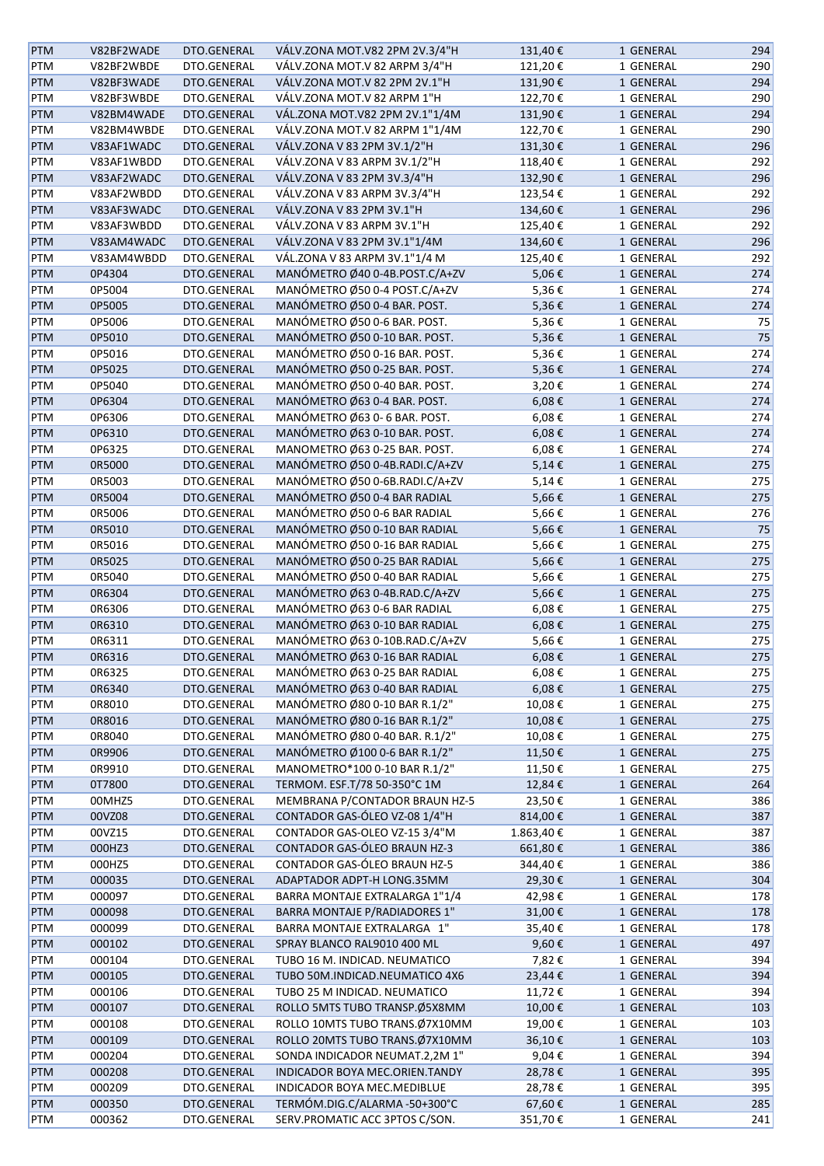| <b>PTM</b> | V82BF2WADE | DTO.GENERAL | VÁLV.ZONA MOT.V82 2PM 2V.3/4"H | 131,40€    | 1 GENERAL | 294 |
|------------|------------|-------------|--------------------------------|------------|-----------|-----|
| PTM        | V82BF2WBDE | DTO.GENERAL | VÁLV.ZONA MOT.V 82 ARPM 3/4"H  | 121,20€    | 1 GENERAL | 290 |
| PTM        | V82BF3WADE | DTO.GENERAL | VÁLV.ZONA MOT.V 82 2PM 2V.1"H  | 131,90€    | 1 GENERAL | 294 |
| PTM        | V82BF3WBDE | DTO.GENERAL | VÁLV.ZONA MOT.V 82 ARPM 1"H    | 122,70€    | 1 GENERAL | 290 |
| <b>PTM</b> | V82BM4WADE | DTO.GENERAL | VÁL.ZONA MOT.V82 2PM 2V.1"1/4M | 131,90€    | 1 GENERAL | 294 |
| PTM        | V82BM4WBDE | DTO.GENERAL | VÁLV.ZONA MOT.V 82 ARPM 1"1/4M | 122,70€    | 1 GENERAL | 290 |
|            |            |             | VÁLV.ZONA V 83 2PM 3V.1/2"H    |            |           |     |
| <b>PTM</b> | V83AF1WADC | DTO.GENERAL |                                | 131,30€    | 1 GENERAL | 296 |
| PTM        | V83AF1WBDD | DTO.GENERAL | VÁLV.ZONA V 83 ARPM 3V.1/2"H   | 118,40€    | 1 GENERAL | 292 |
| <b>PTM</b> | V83AF2WADC | DTO.GENERAL | VÁLV.ZONA V 83 2PM 3V.3/4"H    | 132,90€    | 1 GENERAL | 296 |
| PTM        | V83AF2WBDD | DTO.GENERAL | VÁLV.ZONA V 83 ARPM 3V.3/4"H   | 123,54€    | 1 GENERAL | 292 |
| <b>PTM</b> | V83AF3WADC | DTO.GENERAL | VÁLV.ZONA V 83 2PM 3V.1"H      | 134,60€    | 1 GENERAL | 296 |
| PTM        | V83AF3WBDD | DTO.GENERAL | VÁLV.ZONA V 83 ARPM 3V.1"H     | 125,40€    | 1 GENERAL | 292 |
| <b>PTM</b> | V83AM4WADC | DTO.GENERAL | VÁLV.ZONA V 83 2PM 3V.1"1/4M   | 134,60€    | 1 GENERAL | 296 |
| PTM        | V83AM4WBDD | DTO.GENERAL | VÁL.ZONA V 83 ARPM 3V.1"1/4 M  | 125,40€    | 1 GENERAL | 292 |
| PTM        | 0P4304     | DTO.GENERAL | MANÓMETRO Ø40 0-4B.POST.C/A+ZV | 5,06€      | 1 GENERAL | 274 |
| PTM        | 0P5004     | DTO.GENERAL | MANÓMETRO Ø50 0-4 POST.C/A+ZV  | 5,36€      | 1 GENERAL | 274 |
| PTM        | 0P5005     | DTO.GENERAL | MANÓMETRO Ø50 0-4 BAR. POST.   | 5,36€      | 1 GENERAL | 274 |
| PTM        | 0P5006     | DTO.GENERAL | MANÓMETRO Ø50 0-6 BAR. POST.   | 5,36€      | 1 GENERAL | 75  |
| <b>PTM</b> | 0P5010     | DTO.GENERAL | MANÓMETRO Ø50 0-10 BAR. POST.  | 5,36€      | 1 GENERAL | 75  |
| PTM        | 0P5016     | DTO.GENERAL | MANÓMETRO Ø50 0-16 BAR. POST.  | 5,36€      | 1 GENERAL | 274 |
| <b>PTM</b> | 0P5025     | DTO.GENERAL | MANÓMETRO Ø50 0-25 BAR. POST.  | 5,36€      | 1 GENERAL | 274 |
| PTM        | 0P5040     | DTO.GENERAL | MANÓMETRO Ø50 0-40 BAR. POST.  | 3,20€      | 1 GENERAL | 274 |
|            | 0P6304     | DTO.GENERAL | MANÓMETRO Ø63 0-4 BAR. POST.   | $6,08 \in$ |           | 274 |
| <b>PTM</b> |            |             |                                |            | 1 GENERAL |     |
| PTM        | 0P6306     | DTO.GENERAL | MANÓMETRO Ø63 0-6 BAR. POST.   | 6,08€      | 1 GENERAL | 274 |
| PTM        | 0P6310     | DTO.GENERAL | MANÓMETRO Ø63 0-10 BAR. POST.  | $6,08 \in$ | 1 GENERAL | 274 |
| PTM        | 0P6325     | DTO.GENERAL | MANOMETRO Ø63 0-25 BAR. POST.  | 6,08€      | 1 GENERAL | 274 |
| PTM        | 0R5000     | DTO.GENERAL | MANÓMETRO Ø50 0-4B.RADI.C/A+ZV | $5,14 \in$ | 1 GENERAL | 275 |
| PTM        | 0R5003     | DTO.GENERAL | MANÓMETRO Ø50 0-6B.RADI.C/A+ZV | 5,14€      | 1 GENERAL | 275 |
| <b>PTM</b> | 0R5004     | DTO.GENERAL | MANÓMETRO Ø50 0-4 BAR RADIAL   | 5,66€      | 1 GENERAL | 275 |
| PTM        | 0R5006     | DTO.GENERAL | MANÓMETRO Ø50 0-6 BAR RADIAL   | 5,66€      | 1 GENERAL | 276 |
| PTM        | 0R5010     | DTO.GENERAL | MANÓMETRO Ø50 0-10 BAR RADIAL  | 5,66€      | 1 GENERAL | 75  |
| PTM        | 0R5016     | DTO.GENERAL | MANÓMETRO Ø50 0-16 BAR RADIAL  | 5,66€      | 1 GENERAL | 275 |
| PTM        | 0R5025     | DTO.GENERAL | MANÓMETRO Ø50 0-25 BAR RADIAL  | 5,66€      | 1 GENERAL | 275 |
| PTM        | 0R5040     | DTO.GENERAL | MANÓMETRO Ø50 0-40 BAR RADIAL  | 5,66€      | 1 GENERAL | 275 |
| <b>PTM</b> | 0R6304     | DTO.GENERAL | MANÓMETRO Ø63 0-4B.RAD.C/A+ZV  | 5,66€      | 1 GENERAL | 275 |
| PTM        | 0R6306     | DTO.GENERAL | MANÓMETRO Ø63 0-6 BAR RADIAL   | 6,08€      | 1 GENERAL | 275 |
| <b>PTM</b> | 0R6310     | DTO.GENERAL | MANÓMETRO Ø63 0-10 BAR RADIAL  | $6,08 \in$ | 1 GENERAL | 275 |
|            |            |             |                                |            |           |     |
| PTM        | 0R6311     | DTO.GENERAL | MANÓMETRO Ø63 0-10B.RAD.C/A+ZV | 5,66€      | 1 GENERAL | 275 |
| <b>PTM</b> | 0R6316     | DTO.GENERAL | MANÓMETRO Ø63 0-16 BAR RADIAL  | 6,08€      | 1 GENERAL | 275 |
| PTM        | 0R6325     | DTO.GENERAL | MANÓMETRO Ø63 0-25 BAR RADIAL  | $6,08 \in$ | 1 GENERAL | 275 |
| <b>PTM</b> | 0R6340     | DTO.GENERAL | MANÓMETRO Ø63 0-40 BAR RADIAL  | $6,08 \in$ | 1 GENERAL | 275 |
| PTM        | 0R8010     | DTO.GENERAL | MANÓMETRO Ø80 0-10 BAR R.1/2"  | 10,08€     | 1 GENERAL | 275 |
| <b>PTM</b> | 0R8016     | DTO.GENERAL | MANÓMETRO Ø80 0-16 BAR R.1/2"  | 10,08€     | 1 GENERAL | 275 |
| PTM        | 0R8040     | DTO.GENERAL | MANÓMETRO Ø80 0-40 BAR. R.1/2" | 10,08€     | 1 GENERAL | 275 |
| <b>PTM</b> | 0R9906     | DTO.GENERAL | MANÓMETRO Ø100 0-6 BAR R.1/2"  | 11,50€     | 1 GENERAL | 275 |
| PTM        | 0R9910     | DTO.GENERAL | MANOMETRO*100 0-10 BAR R.1/2"  | 11,50€     | 1 GENERAL | 275 |
| <b>PTM</b> | 0T7800     | DTO.GENERAL | TERMOM. ESF.T/78 50-350°C 1M   | 12,84€     | 1 GENERAL | 264 |
| PTM        | 00MHZ5     | DTO.GENERAL | MEMBRANA P/CONTADOR BRAUN HZ-5 | 23,50€     | 1 GENERAL | 386 |
| PTM        | 00VZ08     | DTO.GENERAL | CONTADOR GAS-ÓLEO VZ-08 1/4"H  | 814,00€    | 1 GENERAL | 387 |
| PTM        | 00VZ15     | DTO.GENERAL | CONTADOR GAS-OLEO VZ-15 3/4"M  | 1.863,40€  | 1 GENERAL | 387 |
| PTM        | 000HZ3     | DTO.GENERAL | CONTADOR GAS-ÓLEO BRAUN HZ-3   | 661,80€    | 1 GENERAL | 386 |
| PTM        | 000HZ5     | DTO.GENERAL | CONTADOR GAS-ÓLEO BRAUN HZ-5   | 344,40€    | 1 GENERAL | 386 |
| <b>PTM</b> | 000035     | DTO.GENERAL | ADAPTADOR ADPT-H LONG.35MM     |            | 1 GENERAL | 304 |
|            |            |             |                                | 29,30€     |           |     |
| PTM        | 000097     | DTO.GENERAL | BARRA MONTAJE EXTRALARGA 1"1/4 | 42,98€     | 1 GENERAL | 178 |
| PTM        | 000098     | DTO.GENERAL | BARRA MONTAJE P/RADIADORES 1"  | 31,00€     | 1 GENERAL | 178 |
| PTM        | 000099     | DTO.GENERAL | BARRA MONTAJE EXTRALARGA 1"    | 35,40€     | 1 GENERAL | 178 |
| PTM        | 000102     | DTO.GENERAL | SPRAY BLANCO RAL9010 400 ML    | 9,60€      | 1 GENERAL | 497 |
| PTM        | 000104     | DTO.GENERAL | TUBO 16 M. INDICAD. NEUMATICO  | 7,82€      | 1 GENERAL | 394 |
| <b>PTM</b> | 000105     | DTO.GENERAL | TUBO 50M.INDICAD.NEUMATICO 4X6 | 23,44€     | 1 GENERAL | 394 |
| PTM        | 000106     | DTO.GENERAL | TUBO 25 M INDICAD. NEUMATICO   | 11,72€     | 1 GENERAL | 394 |
| PTM        | 000107     | DTO.GENERAL | ROLLO 5MTS TUBO TRANSP.Ø5X8MM  | 10,00€     | 1 GENERAL | 103 |
| PTM        | 000108     | DTO.GENERAL | ROLLO 10MTS TUBO TRANS.Ø7X10MM | 19,00€     | 1 GENERAL | 103 |
| PTM        | 000109     | DTO.GENERAL | ROLLO 20MTS TUBO TRANS.Ø7X10MM | 36,10€     | 1 GENERAL | 103 |
| PTM        | 000204     | DTO.GENERAL | SONDA INDICADOR NEUMAT.2,2M 1" | 9,04€      | 1 GENERAL | 394 |
| PTM        | 000208     | DTO.GENERAL | INDICADOR BOYA MEC.ORIEN.TANDY | 28,78€     | 1 GENERAL | 395 |
| PTM        | 000209     | DTO.GENERAL | INDICADOR BOYA MEC.MEDIBLUE    | 28,78€     | 1 GENERAL | 395 |
| <b>PTM</b> | 000350     | DTO.GENERAL | TERMÓM.DIG.C/ALARMA-50+300°C   | 67,60€     | 1 GENERAL | 285 |
| PTM        | 000362     | DTO.GENERAL | SERV.PROMATIC ACC 3PTOS C/SON. | 351,70€    | 1 GENERAL | 241 |
|            |            |             |                                |            |           |     |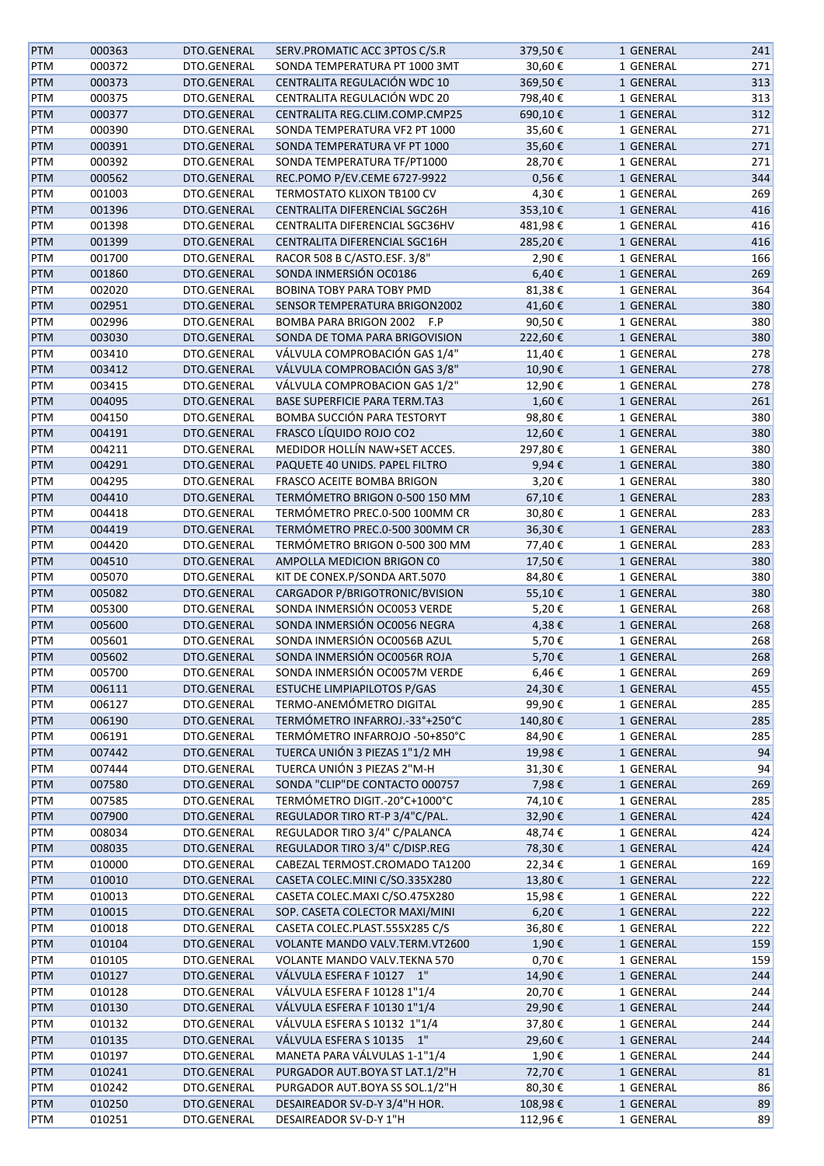| <b>PTM</b>        | 000363           | DTO.GENERAL                | SERV.PROMATIC ACC 3PTOS C/S.R                                | 379,50€    | 1 GENERAL              | 241        |
|-------------------|------------------|----------------------------|--------------------------------------------------------------|------------|------------------------|------------|
| PTM               | 000372           | DTO.GENERAL                | SONDA TEMPERATURA PT 1000 3MT                                | 30,60€     | 1 GENERAL              | 271        |
| PTM               | 000373           | DTO.GENERAL                | CENTRALITA REGULACIÓN WDC 10                                 | 369,50€    | 1 GENERAL              | 313        |
| PTM               | 000375           | DTO.GENERAL                | CENTRALITA REGULACIÓN WDC 20                                 | 798,40€    | 1 GENERAL              | 313        |
| <b>PTM</b>        | 000377           | DTO.GENERAL                | CENTRALITA REG.CLIM.COMP.CMP25                               | 690,10€    | 1 GENERAL              | 312        |
| PTM               | 000390           | DTO.GENERAL                | SONDA TEMPERATURA VF2 PT 1000                                | 35,60€     | 1 GENERAL              | 271        |
| <b>PTM</b>        | 000391           | DTO.GENERAL                | SONDA TEMPERATURA VF PT 1000                                 | 35,60€     | 1 GENERAL              | 271        |
| PTM               | 000392           | DTO.GENERAL                | SONDA TEMPERATURA TF/PT1000                                  | 28,70€     | 1 GENERAL              | 271        |
| <b>PTM</b>        | 000562           | DTO.GENERAL                | REC.POMO P/EV.CEME 6727-9922                                 | $0,56 \in$ | 1 GENERAL              | 344        |
| <b>PTM</b>        | 001003           | DTO.GENERAL                | TERMOSTATO KLIXON TB100 CV                                   | 4,30€      | 1 GENERAL              | 269        |
| PTM               | 001396           | DTO.GENERAL                | CENTRALITA DIFERENCIAL SGC26H                                | 353,10€    | 1 GENERAL              | 416        |
| PTM               | 001398           | DTO.GENERAL                | CENTRALITA DIFERENCIAL SGC36HV                               | 481,98€    | 1 GENERAL              | 416        |
| PTM               | 001399           | DTO.GENERAL                | CENTRALITA DIFERENCIAL SGC16H                                | 285,20€    | 1 GENERAL              | 416        |
| PTM               | 001700           | DTO.GENERAL                | RACOR 508 B C/ASTO.ESF. 3/8"                                 | 2,90€      | 1 GENERAL              | 166        |
| PTM               | 001860           | DTO.GENERAL                | SONDA INMERSIÓN OC0186                                       | 6,40€      | 1 GENERAL              | 269        |
| PTM               | 002020           | DTO.GENERAL                | BOBINA TOBY PARA TOBY PMD                                    | 81,38€     | 1 GENERAL              | 364        |
| PTM               | 002951           | DTO.GENERAL                | SENSOR TEMPERATURA BRIGON2002                                | 41,60€     | 1 GENERAL              | 380        |
|                   |                  |                            |                                                              |            |                        |            |
| PTM<br><b>PTM</b> | 002996<br>003030 | DTO.GENERAL<br>DTO.GENERAL | BOMBA PARA BRIGON 2002 F.P<br>SONDA DE TOMA PARA BRIGOVISION | 90,50€     | 1 GENERAL<br>1 GENERAL | 380<br>380 |
|                   |                  |                            |                                                              | 222,60€    |                        |            |
| PTM               | 003410           | DTO.GENERAL                | VÁLVULA COMPROBACIÓN GAS 1/4"                                | 11,40€     | 1 GENERAL              | 278        |
| <b>PTM</b>        | 003412           | DTO.GENERAL                | VÁLVULA COMPROBACIÓN GAS 3/8"                                | 10,90€     | 1 GENERAL              | 278        |
| PTM               | 003415           | DTO.GENERAL                | VÁLVULA COMPROBACION GAS 1/2"                                | 12,90€     | 1 GENERAL              | 278        |
| <b>PTM</b>        | 004095           | DTO.GENERAL                | <b>BASE SUPERFICIE PARA TERM.TA3</b>                         | 1,60€      | 1 GENERAL              | 261        |
| PTM               | 004150           | DTO.GENERAL                | BOMBA SUCCIÓN PARA TESTORYT                                  | 98,80€     | 1 GENERAL              | 380        |
| PTM               | 004191           | DTO.GENERAL                | FRASCO LÍQUIDO ROJO CO2                                      | 12,60€     | 1 GENERAL              | 380        |
| PTM               | 004211           | DTO.GENERAL                | MEDIDOR HOLLÍN NAW+SET ACCES.                                | 297,80€    | 1 GENERAL              | 380        |
| PTM               | 004291           | DTO.GENERAL                | PAQUETE 40 UNIDS. PAPEL FILTRO                               | 9,94€      | 1 GENERAL              | 380        |
| PTM               | 004295           | DTO.GENERAL                | FRASCO ACEITE BOMBA BRIGON                                   | 3,20€      | 1 GENERAL              | 380        |
| PTM               | 004410           | DTO.GENERAL                | TERMÓMETRO BRIGON 0-500 150 MM                               | 67,10€     | 1 GENERAL              | 283        |
| PTM               | 004418           | DTO.GENERAL                | TERMÓMETRO PREC.0-500 100MM CR                               | 30,80€     | 1 GENERAL              | 283        |
| PTM               | 004419           | DTO.GENERAL                | TERMÓMETRO PREC.0-500 300MM CR                               | 36,30€     | 1 GENERAL              | 283        |
| PTM               | 004420           | DTO.GENERAL                | TERMÓMETRO BRIGON 0-500 300 MM                               | 77,40€     | 1 GENERAL              | 283        |
| PTM               | 004510           | DTO.GENERAL                | AMPOLLA MEDICION BRIGON CO                                   | 17,50€     | 1 GENERAL              | 380        |
| PTM               | 005070           | DTO.GENERAL                | KIT DE CONEX.P/SONDA ART.5070                                | 84,80€     | 1 GENERAL              | 380        |
| <b>PTM</b>        | 005082           | DTO.GENERAL                | CARGADOR P/BRIGOTRONIC/BVISION                               | 55,10€     | 1 GENERAL              | 380        |
| PTM               | 005300           | DTO.GENERAL                | SONDA INMERSIÓN OC0053 VERDE                                 | 5,20€      | 1 GENERAL              | 268        |
| PTM               | 005600           | DTO.GENERAL                | SONDA INMERSIÓN OC0056 NEGRA                                 | 4,38€      | 1 GENERAL              | 268        |
| PTM               | 005601           | DTO.GENERAL                | SONDA INMERSIÓN OC0056B AZUL                                 | 5,70€      | 1 GENERAL              | 268        |
| <b>PTM</b>        | 005602           | DTO.GENERAL                | SONDA INMERSIÓN OC0056R ROJA                                 | 5,70€      | 1 GENERAL              | 268        |
| PTM               | 005700           | DTO.GENERAL                | SONDA INMERSIÓN OC0057M VERDE                                | 6,46€      | 1 GENERAL              | 269        |
| <b>PTM</b>        | 006111           | DTO.GENERAL                | <b>ESTUCHE LIMPIAPILOTOS P/GAS</b>                           | 24,30€     | 1 GENERAL              | 455        |
| PTM               | 006127           | DTO.GENERAL                | TERMO-ANEMÓMETRO DIGITAL                                     | 99,90€     | 1 GENERAL              | 285        |
| <b>PTM</b>        | 006190           | DTO.GENERAL                | TERMÓMETRO INFARROJ.-33°+250°C                               | 140,80€    | 1 GENERAL              | 285        |
| PTM               | 006191           | DTO.GENERAL                | TERMÓMETRO INFARROJO -50+850°C                               | 84,90€     | 1 GENERAL              | 285        |
| PTM               | 007442           | DTO.GENERAL                | TUERCA UNIÓN 3 PIEZAS 1"1/2 MH                               | 19,98€     | 1 GENERAL              | 94         |
| PTM               | 007444           | DTO.GENERAL                | TUERCA UNIÓN 3 PIEZAS 2"M-H                                  | 31,30€     | 1 GENERAL              | 94         |
| PTM               | 007580           | DTO.GENERAL                | SONDA "CLIP"DE CONTACTO 000757                               | 7,98€      | 1 GENERAL              | 269        |
| PTM               | 007585           | DTO.GENERAL                | TERMÓMETRO DIGIT.-20°C+1000°C                                | 74,10€     | 1 GENERAL              | 285        |
| PTM               | 007900           | DTO.GENERAL                | REGULADOR TIRO RT-P 3/4"C/PAL.                               | 32,90€     | 1 GENERAL              | 424        |
| PTM               | 008034           | DTO.GENERAL                | REGULADOR TIRO 3/4" C/PALANCA                                | 48,74€     | 1 GENERAL              | 424        |
| PTM               | 008035           | DTO.GENERAL                | REGULADOR TIRO 3/4" C/DISP.REG                               | 78,30€     | 1 GENERAL              | 424        |
| PTM               | 010000           | DTO.GENERAL                | CABEZAL TERMOST.CROMADO TA1200                               | 22,34€     | 1 GENERAL              | 169        |
| <b>PTM</b>        | 010010           | DTO.GENERAL                | CASETA COLEC.MINI C/SO.335X280                               | 13,80€     | 1 GENERAL              | 222        |
| PTM               | 010013           | DTO.GENERAL                | CASETA COLEC.MAXI C/SO.475X280                               | 15,98€     | 1 GENERAL              | 222        |
| PTM               | 010015           | DTO.GENERAL                | SOP. CASETA COLECTOR MAXI/MINI                               | 6,20€      | 1 GENERAL              | 222        |
| PTM               | 010018           | DTO.GENERAL                | CASETA COLEC.PLAST.555X285 C/S                               | 36,80€     | 1 GENERAL              | 222        |
| PTM               | 010104           | DTO.GENERAL                | VOLANTE MANDO VALV.TERM.VT2600                               | 1,90€      | 1 GENERAL              | 159        |
| PTM               | 010105           | DTO.GENERAL                | VOLANTE MANDO VALV.TEKNA 570                                 | 0,70€      | 1 GENERAL              | 159        |
| <b>PTM</b>        | 010127           | DTO.GENERAL                | VÁLVULA ESFERA F 10127 1"                                    | 14,90€     | 1 GENERAL              | 244        |
| PTM               | 010128           | DTO.GENERAL                | VÁLVULA ESFERA F 10128 1"1/4                                 | 20,70€     | 1 GENERAL              | 244        |
| <b>PTM</b>        | 010130           | DTO.GENERAL                | VÁLVULA ESFERA F 10130 1"1/4                                 | 29,90€     | 1 GENERAL              | 244        |
| PTM               | 010132           | DTO.GENERAL                | VÁLVULA ESFERA S 10132 1"1/4                                 | 37,80€     | 1 GENERAL              | 244        |
| PTM               | 010135           | DTO.GENERAL                | VÁLVULA ESFERA S 10135 1"                                    | 29,60€     | 1 GENERAL              | 244        |
| PTM               | 010197           | DTO.GENERAL                | MANETA PARA VÁLVULAS 1-1"1/4                                 | 1,90€      | 1 GENERAL              | 244        |
| PTM               | 010241           | DTO.GENERAL                | PURGADOR AUT.BOYA ST LAT.1/2"H                               | 72,70€     | 1 GENERAL              | 81         |
| PTM               | 010242           | DTO.GENERAL                | PURGADOR AUT.BOYA SS SOL.1/2"H                               | 80,30€     | 1 GENERAL              | 86         |
| <b>PTM</b>        | 010250           | DTO.GENERAL                | DESAIREADOR SV-D-Y 3/4"H HOR.                                | 108,98€    | 1 GENERAL              | 89         |
| PTM               | 010251           | DTO.GENERAL                | DESAIREADOR SV-D-Y 1"H                                       | 112,96€    | 1 GENERAL              | 89         |
|                   |                  |                            |                                                              |            |                        |            |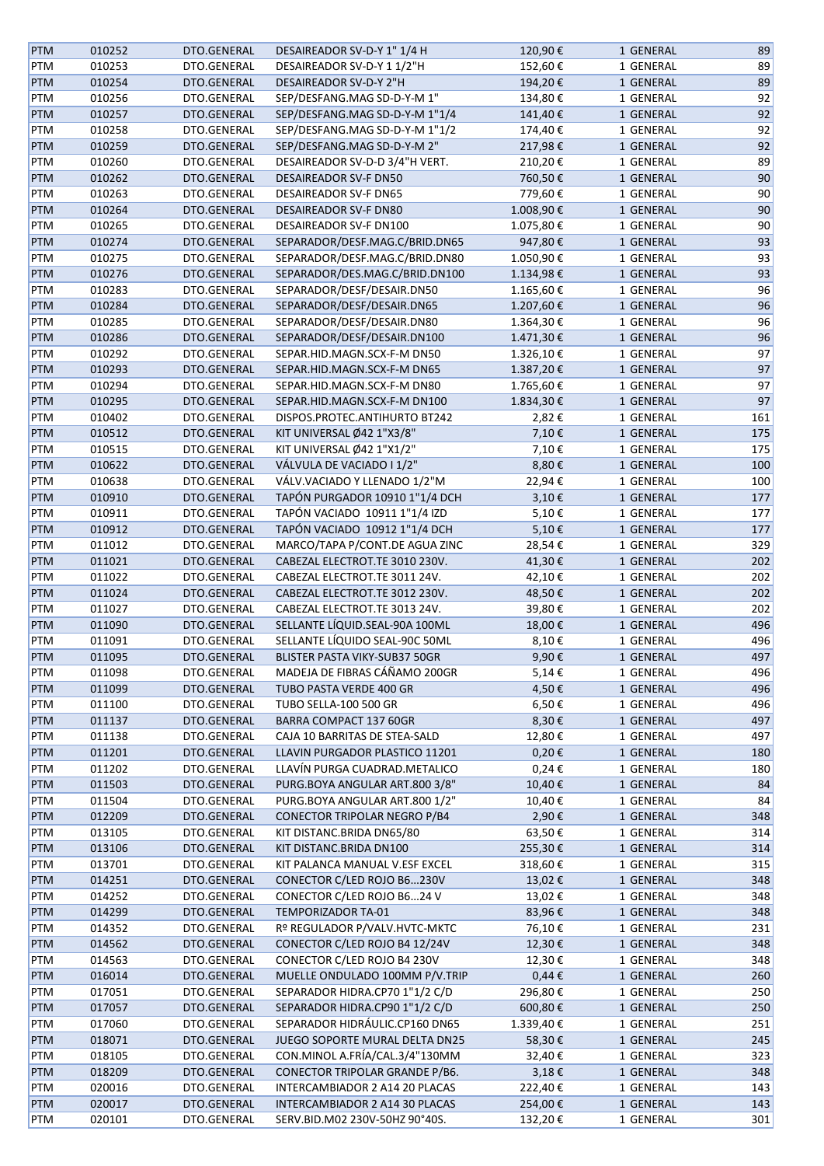| <b>PTM</b> | 010252 | DTO.GENERAL | DESAIREADOR SV-D-Y 1" 1/4 H          | 120,90€    | 1 GENERAL | 89  |
|------------|--------|-------------|--------------------------------------|------------|-----------|-----|
| PTM        | 010253 | DTO.GENERAL | DESAIREADOR SV-D-Y 1 1/2"H           | 152,60€    | 1 GENERAL | 89  |
| <b>PTM</b> | 010254 | DTO.GENERAL | DESAIREADOR SV-D-Y 2"H               | 194,20€    | 1 GENERAL | 89  |
| PTM        | 010256 | DTO.GENERAL | SEP/DESFANG.MAG SD-D-Y-M 1"          | 134,80€    | 1 GENERAL | 92  |
| PTM        | 010257 | DTO.GENERAL | SEP/DESFANG.MAG SD-D-Y-M 1"1/4       | 141,40€    | 1 GENERAL | 92  |
| PTM        | 010258 | DTO.GENERAL | SEP/DESFANG.MAG SD-D-Y-M 1"1/2       | 174,40€    | 1 GENERAL | 92  |
| PTM        | 010259 | DTO.GENERAL | SEP/DESFANG.MAG SD-D-Y-M 2"          | 217,98€    | 1 GENERAL | 92  |
| PTM        | 010260 | DTO.GENERAL | DESAIREADOR SV-D-D 3/4"H VERT.       | 210,20€    | 1 GENERAL | 89  |
| <b>PTM</b> | 010262 | DTO.GENERAL | <b>DESAIREADOR SV-F DN50</b>         | 760,50€    | 1 GENERAL | 90  |
|            | 010263 | DTO.GENERAL | <b>DESAIREADOR SV-F DN65</b>         | 779,60€    |           | 90  |
| PTM        | 010264 | DTO.GENERAL | <b>DESAIREADOR SV-F DN80</b>         | 1.008,90€  | 1 GENERAL | 90  |
| <b>PTM</b> |        |             |                                      |            | 1 GENERAL |     |
| PTM        | 010265 | DTO.GENERAL | <b>DESAIREADOR SV-F DN100</b>        | 1.075,80€  | 1 GENERAL | 90  |
| PTM        | 010274 | DTO.GENERAL | SEPARADOR/DESF.MAG.C/BRID.DN65       | 947,80€    | 1 GENERAL | 93  |
| PTM        | 010275 | DTO.GENERAL | SEPARADOR/DESF.MAG.C/BRID.DN80       | 1.050,90€  | 1 GENERAL | 93  |
| <b>PTM</b> | 010276 | DTO.GENERAL | SEPARADOR/DES.MAG.C/BRID.DN100       | 1.134,98€  | 1 GENERAL | 93  |
| PTM        | 010283 | DTO.GENERAL | SEPARADOR/DESF/DESAIR.DN50           | 1.165,60€  | 1 GENERAL | 96  |
| PTM        | 010284 | DTO.GENERAL | SEPARADOR/DESF/DESAIR.DN65           | 1.207,60€  | 1 GENERAL | 96  |
| PTM        | 010285 | DTO.GENERAL | SEPARADOR/DESF/DESAIR.DN80           | 1.364,30€  | 1 GENERAL | 96  |
| <b>PTM</b> | 010286 | DTO.GENERAL | SEPARADOR/DESF/DESAIR.DN100          | 1.471,30€  | 1 GENERAL | 96  |
| PTM        | 010292 | DTO.GENERAL | SEPAR.HID.MAGN.SCX-F-M DN50          | 1.326,10€  | 1 GENERAL | 97  |
| <b>PTM</b> | 010293 | DTO.GENERAL | SEPAR.HID.MAGN.SCX-F-M DN65          | 1.387,20€  | 1 GENERAL | 97  |
| PTM        | 010294 | DTO.GENERAL | SEPAR.HID.MAGN.SCX-F-M DN80          | 1.765,60€  | 1 GENERAL | 97  |
| <b>PTM</b> | 010295 | DTO.GENERAL | SEPAR.HID.MAGN.SCX-F-M DN100         | 1.834,30€  | 1 GENERAL | 97  |
| PTM        | 010402 | DTO.GENERAL | DISPOS.PROTEC.ANTIHURTO BT242        | 2,82€      | 1 GENERAL | 161 |
| <b>PTM</b> | 010512 | DTO.GENERAL | KIT UNIVERSAL Ø42 1"X3/8"            | 7,10€      | 1 GENERAL | 175 |
| PTM        | 010515 | DTO.GENERAL | KIT UNIVERSAL Ø42 1"X1/2"            | 7,10€      | 1 GENERAL | 175 |
| <b>PTM</b> | 010622 | DTO.GENERAL | VÁLVULA DE VACIADO I 1/2"            | 8,80€      | 1 GENERAL | 100 |
| PTM        | 010638 | DTO.GENERAL | VÁLV.VACIADO Y LLENADO 1/2"M         | 22,94€     | 1 GENERAL | 100 |
| <b>PTM</b> | 010910 | DTO.GENERAL | TAPÓN PURGADOR 10910 1"1/4 DCH       | 3,10€      | 1 GENERAL | 177 |
|            |        |             |                                      |            |           |     |
| PTM        | 010911 | DTO.GENERAL | TAPÓN VACIADO 10911 1"1/4 IZD        | 5,10€      | 1 GENERAL | 177 |
| <b>PTM</b> | 010912 | DTO.GENERAL | TAPÓN VACIADO 10912 1"1/4 DCH        | 5,10€      | 1 GENERAL | 177 |
| PTM        | 011012 | DTO.GENERAL | MARCO/TAPA P/CONT.DE AGUA ZINC       | 28,54€     | 1 GENERAL | 329 |
| PTM        | 011021 | DTO.GENERAL | CABEZAL ELECTROT.TE 3010 230V.       | 41,30€     | 1 GENERAL | 202 |
| PTM        | 011022 | DTO.GENERAL | CABEZAL ELECTROT.TE 3011 24V.        | 42,10€     | 1 GENERAL | 202 |
| PTM        | 011024 | DTO.GENERAL | CABEZAL ELECTROT.TE 3012 230V.       | 48,50€     | 1 GENERAL | 202 |
| PTM        | 011027 | DTO.GENERAL | CABEZAL ELECTROT.TE 3013 24V.        | 39,80€     | 1 GENERAL | 202 |
| <b>PTM</b> | 011090 | DTO.GENERAL | SELLANTE LÍQUID.SEAL-90A 100ML       | 18,00€     | 1 GENERAL | 496 |
| PTM        | 011091 | DTO.GENERAL | SELLANTE LÍQUIDO SEAL-90C 50ML       | 8,10€      | 1 GENERAL | 496 |
| <b>PTM</b> | 011095 | DTO.GENERAL | <b>BLISTER PASTA VIKY-SUB37 50GR</b> | 9,90€      | 1 GENERAL | 497 |
| PTM        | 011098 | DTO.GENERAL | MADEJA DE FIBRAS CÁÑAMO 200GR        | 5,14€      | 1 GENERAL | 496 |
| <b>PTM</b> | 011099 | DTO.GENERAL | TUBO PASTA VERDE 400 GR              | 4,50€      | 1 GENERAL | 496 |
| PTM        | 011100 | DTO.GENERAL | <b>TUBO SELLA-100 500 GR</b>         | 6,50€      | 1 GENERAL | 496 |
| <b>PTM</b> | 011137 | DTO.GENERAL | BARRA COMPACT 137 60GR               | 8,30€      | 1 GENERAL | 497 |
| PTM        | 011138 | DTO.GENERAL | CAJA 10 BARRITAS DE STEA-SALD        | 12,80€     | 1 GENERAL | 497 |
| <b>PTM</b> | 011201 | DTO.GENERAL | LLAVIN PURGADOR PLASTICO 11201       | $0,20 \in$ | 1 GENERAL | 180 |
| PTM        | 011202 | DTO.GENERAL | LLAVÍN PURGA CUADRAD.METALICO        | 0,24€      | 1 GENERAL | 180 |
| <b>PTM</b> | 011503 | DTO.GENERAL | PURG.BOYA ANGULAR ART.800 3/8"       | 10,40€     | 1 GENERAL | 84  |
| PTM        | 011504 | DTO.GENERAL | PURG.BOYA ANGULAR ART.800 1/2"       | 10,40€     | 1 GENERAL | 84  |
| <b>PTM</b> | 012209 | DTO.GENERAL | CONECTOR TRIPOLAR NEGRO P/B4         | 2,90€      | 1 GENERAL | 348 |
| PTM        | 013105 | DTO.GENERAL | KIT DISTANC.BRIDA DN65/80            | 63,50€     | 1 GENERAL | 314 |
| <b>PTM</b> | 013106 | DTO.GENERAL | KIT DISTANC.BRIDA DN100              | 255,30€    | 1 GENERAL | 314 |
| PTM        | 013701 | DTO.GENERAL | KIT PALANCA MANUAL V.ESF EXCEL       | 318,60€    | 1 GENERAL | 315 |
| <b>PTM</b> | 014251 | DTO.GENERAL | CONECTOR C/LED ROJO B6230V           | 13,02€     | 1 GENERAL | 348 |
| PTM        | 014252 | DTO.GENERAL | CONECTOR C/LED ROJO B624 V           | 13,02€     | 1 GENERAL | 348 |
|            |        | DTO.GENERAL | TEMPORIZADOR TA-01                   |            |           | 348 |
| <b>PTM</b> | 014299 |             |                                      | 83,96€     | 1 GENERAL |     |
| PTM        | 014352 | DTO.GENERAL | Rº REGULADOR P/VALV.HVTC-MKTC        | 76,10€     | 1 GENERAL | 231 |
| <b>PTM</b> | 014562 | DTO.GENERAL | CONECTOR C/LED ROJO B4 12/24V        | 12,30€     | 1 GENERAL | 348 |
| PTM        | 014563 | DTO.GENERAL | CONECTOR C/LED ROJO B4 230V          | 12,30€     | 1 GENERAL | 348 |
| <b>PTM</b> | 016014 | DTO.GENERAL | MUELLE ONDULADO 100MM P/V.TRIP       | $0,44 \in$ | 1 GENERAL | 260 |
| PTM        | 017051 | DTO.GENERAL | SEPARADOR HIDRA.CP70 1"1/2 C/D       | 296,80€    | 1 GENERAL | 250 |
| <b>PTM</b> | 017057 | DTO.GENERAL | SEPARADOR HIDRA.CP90 1"1/2 C/D       | 600,80€    | 1 GENERAL | 250 |
| PTM        | 017060 | DTO.GENERAL | SEPARADOR HIDRÁULIC.CP160 DN65       | 1.339,40€  | 1 GENERAL | 251 |
| <b>PTM</b> | 018071 | DTO.GENERAL | JUEGO SOPORTE MURAL DELTA DN25       | 58,30€     | 1 GENERAL | 245 |
| PTM        | 018105 | DTO.GENERAL | CON.MINOL A.FRÍA/CAL.3/4"130MM       | 32,40€     | 1 GENERAL | 323 |
| <b>PTM</b> | 018209 | DTO.GENERAL | CONECTOR TRIPOLAR GRANDE P/B6.       | 3,18€      | 1 GENERAL | 348 |
| PTM        | 020016 | DTO.GENERAL | INTERCAMBIADOR 2 A14 20 PLACAS       | 222,40€    | 1 GENERAL | 143 |
| <b>PTM</b> | 020017 | DTO.GENERAL | INTERCAMBIADOR 2 A14 30 PLACAS       | 254,00€    | 1 GENERAL | 143 |
| PTM        | 020101 | DTO.GENERAL | SERV.BID.M02 230V-50HZ 90°40S.       | 132,20€    | 1 GENERAL | 301 |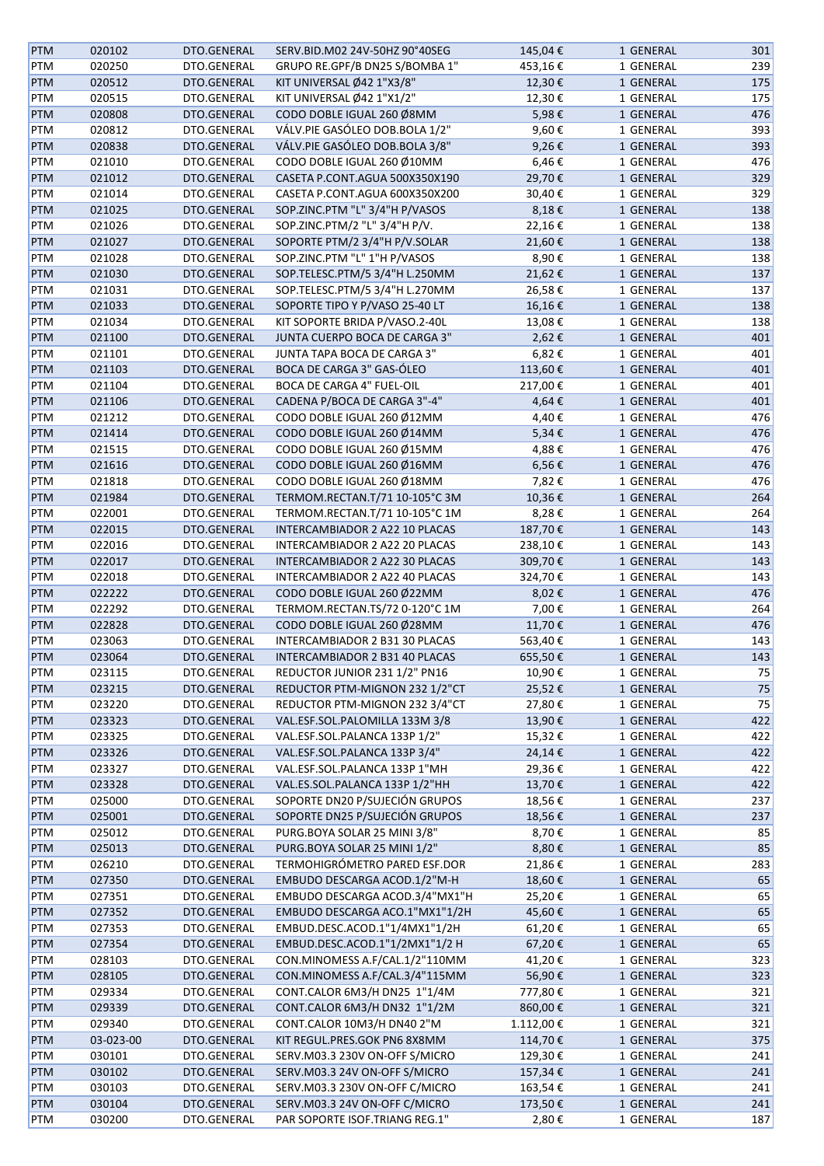| <b>PTM</b>        | 020102    | DTO.GENERAL                | SERV.BID.M02 24V-50HZ 90°40SEG                                  | 145,04€   | 1 GENERAL | 301      |
|-------------------|-----------|----------------------------|-----------------------------------------------------------------|-----------|-----------|----------|
| PTM               | 020250    | DTO.GENERAL                | GRUPO RE.GPF/B DN25 S/BOMBA 1"                                  | 453,16€   | 1 GENERAL | 239      |
| <b>PTM</b>        | 020512    | DTO.GENERAL                | KIT UNIVERSAL Ø42 1"X3/8"                                       | 12,30€    | 1 GENERAL | 175      |
| PTM               | 020515    | DTO.GENERAL                | KIT UNIVERSAL Ø42 1"X1/2"                                       | 12,30€    | 1 GENERAL | 175      |
| PTM               | 020808    | DTO.GENERAL                | CODO DOBLE IGUAL 260 Ø8MM                                       | 5,98€     | 1 GENERAL | 476      |
| PTM               | 020812    | DTO.GENERAL                | VÁLV.PIE GASÓLEO DOB.BOLA 1/2"                                  | 9,60€     | 1 GENERAL | 393      |
| <b>PTM</b>        | 020838    | DTO.GENERAL                | VÁLV.PIE GASÓLEO DOB.BOLA 3/8"                                  | 9,26€     | 1 GENERAL | 393      |
| PTM               | 021010    | DTO.GENERAL                | CODO DOBLE IGUAL 260 Ø10MM                                      | 6,46€     | 1 GENERAL | 476      |
| PTM               | 021012    | DTO.GENERAL                | CASETA P.CONT.AGUA 500X350X190                                  | 29,70€    | 1 GENERAL | 329      |
|                   | 021014    | DTO.GENERAL                | CASETA P.CONT.AGUA 600X350X200                                  | 30,40€    | 1 GENERAL | 329      |
| PTM               | 021025    | DTO.GENERAL                | SOP.ZINC.PTM "L" 3/4"H P/VASOS                                  | 8,18€     | 1 GENERAL | 138      |
| <b>PTM</b>        |           |                            |                                                                 |           |           |          |
| PTM               | 021026    | DTO.GENERAL                | SOP.ZINC.PTM/2 "L" 3/4"H P/V.                                   | 22,16€    | 1 GENERAL | 138      |
| <b>PTM</b>        | 021027    | DTO.GENERAL                | SOPORTE PTM/2 3/4"H P/V.SOLAR                                   | 21,60€    | 1 GENERAL | 138      |
| PTM               | 021028    | DTO.GENERAL                | SOP.ZINC.PTM "L" 1"H P/VASOS                                    | 8,90€     | 1 GENERAL | 138      |
| <b>PTM</b>        | 021030    | DTO.GENERAL                | SOP.TELESC.PTM/5 3/4"H L.250MM                                  | 21,62€    | 1 GENERAL | 137      |
| PTM               | 021031    | DTO.GENERAL                | SOP.TELESC.PTM/5 3/4"H L.270MM                                  | 26,58€    | 1 GENERAL | 137      |
| PTM               | 021033    | DTO.GENERAL                | SOPORTE TIPO Y P/VASO 25-40 LT                                  | 16,16€    | 1 GENERAL | 138      |
| PTM               | 021034    | DTO.GENERAL                | KIT SOPORTE BRIDA P/VASO.2-40L                                  | 13,08€    | 1 GENERAL | 138      |
| <b>PTM</b>        | 021100    | DTO.GENERAL                | JUNTA CUERPO BOCA DE CARGA 3"                                   | 2,62€     | 1 GENERAL | 401      |
| PTM               | 021101    | DTO.GENERAL                | JUNTA TAPA BOCA DE CARGA 3"                                     | 6,82€     | 1 GENERAL | 401      |
| <b>PTM</b>        | 021103    | DTO.GENERAL                | BOCA DE CARGA 3" GAS-ÓLEO                                       | 113,60€   | 1 GENERAL | 401      |
| PTM               | 021104    | DTO.GENERAL                | BOCA DE CARGA 4" FUEL-OIL                                       | 217,00€   | 1 GENERAL | 401      |
| PTM               | 021106    | DTO.GENERAL                | CADENA P/BOCA DE CARGA 3"-4"                                    | 4,64€     | 1 GENERAL | 401      |
| PTM               | 021212    | DTO.GENERAL                | CODO DOBLE IGUAL 260 Ø12MM                                      | 4,40€     | 1 GENERAL | 476      |
| <b>PTM</b>        | 021414    | DTO.GENERAL                | CODO DOBLE IGUAL 260 Ø14MM                                      | 5,34€     | 1 GENERAL | 476      |
| PTM               | 021515    | DTO.GENERAL                | CODO DOBLE IGUAL 260 Ø15MM                                      | 4,88€     | 1 GENERAL | 476      |
| <b>PTM</b>        | 021616    | DTO.GENERAL                | CODO DOBLE IGUAL 260 Ø16MM                                      | 6,56€     | 1 GENERAL | 476      |
| PTM               | 021818    | DTO.GENERAL                | CODO DOBLE IGUAL 260 Ø18MM                                      | 7,82€     | 1 GENERAL | 476      |
| <b>PTM</b>        | 021984    | DTO.GENERAL                | TERMOM.RECTAN.T/71 10-105°C 3M                                  | 10,36€    | 1 GENERAL | 264      |
| PTM               | 022001    | DTO.GENERAL                | TERMOM.RECTAN.T/71 10-105°C 1M                                  | 8,28€     | 1 GENERAL | 264      |
|                   | 022015    | DTO.GENERAL                | INTERCAMBIADOR 2 A22 10 PLACAS                                  |           |           | 143      |
| <b>PTM</b>        |           |                            |                                                                 | 187,70€   | 1 GENERAL |          |
| PTM               | 022016    | DTO.GENERAL                | INTERCAMBIADOR 2 A22 20 PLACAS                                  | 238,10€   | 1 GENERAL | 143      |
| PTM               | 022017    | DTO.GENERAL                | INTERCAMBIADOR 2 A22 30 PLACAS                                  | 309,70€   | 1 GENERAL | 143      |
| PTM               | 022018    | DTO.GENERAL                | INTERCAMBIADOR 2 A22 40 PLACAS                                  | 324,70€   | 1 GENERAL | 143      |
| PTM               | 022222    | DTO.GENERAL                | CODO DOBLE IGUAL 260 Ø22MM                                      | 8,02€     | 1 GENERAL | 476      |
| PTM               | 022292    | DTO.GENERAL                | TERMOM.RECTAN.TS/72 0-120°C 1M                                  | 7,00€     | 1 GENERAL | 264      |
| <b>PTM</b>        | 022828    | DTO.GENERAL                | CODO DOBLE IGUAL 260 Ø28MM                                      | 11,70€    | 1 GENERAL | 476      |
| PTM               | 023063    | DTO.GENERAL                | INTERCAMBIADOR 2 B31 30 PLACAS                                  | 563,40€   | 1 GENERAL | 143      |
| <b>PTM</b>        | 023064    | DTO.GENERAL                | INTERCAMBIADOR 2 B31 40 PLACAS                                  | 655,50€   | 1 GENERAL | 143      |
| PTM               | 023115    | DTO.GENERAL                | REDUCTOR JUNIOR 231 1/2" PN16                                   | 10,90€    | 1 GENERAL | 75       |
| <b>PTM</b>        | 023215    | DTO.GENERAL                | REDUCTOR PTM-MIGNON 232 1/2"CT                                  | 25,52€    | 1 GENERAL | 75       |
| PTM               | 023220    | DTO.GENERAL                | REDUCTOR PTM-MIGNON 232 3/4"CT                                  | 27,80€    | 1 GENERAL | 75       |
| <b>PTM</b>        | 023323    | DTO.GENERAL                | VAL.ESF.SOL.PALOMILLA 133M 3/8                                  | 13,90€    | 1 GENERAL | 422      |
| PTM               | 023325    | DTO.GENERAL                | VAL.ESF.SOL.PALANCA 133P 1/2"                                   | 15,32€    | 1 GENERAL | 422      |
| <b>PTM</b>        | 023326    | DTO.GENERAL                | VAL.ESF.SOL.PALANCA 133P 3/4"                                   | 24,14€    | 1 GENERAL | 422      |
| PTM               | 023327    | DTO.GENERAL                | VAL.ESF.SOL.PALANCA 133P 1"MH                                   | 29,36€    | 1 GENERAL | 422      |
| <b>PTM</b>        | 023328    | DTO.GENERAL                | VAL.ES.SOL.PALANCA 133P 1/2"HH                                  | 13,70€    | 1 GENERAL | 422      |
| PTM               | 025000    | DTO.GENERAL                | SOPORTE DN20 P/SUJECIÓN GRUPOS                                  | 18,56€    | 1 GENERAL | 237      |
| <b>PTM</b>        | 025001    | DTO.GENERAL                | SOPORTE DN25 P/SUJECIÓN GRUPOS                                  | 18,56€    | 1 GENERAL | 237      |
| PTM               | 025012    | DTO.GENERAL                | PURG.BOYA SOLAR 25 MINI 3/8"                                    | 8,70€     | 1 GENERAL | 85       |
| <b>PTM</b>        | 025013    | DTO.GENERAL                | PURG.BOYA SOLAR 25 MINI 1/2"                                    | 8,80€     | 1 GENERAL | 85       |
| PTM               | 026210    | DTO.GENERAL                | TERMOHIGRÓMETRO PARED ESF.DOR                                   | 21,86€    | 1 GENERAL | 283      |
| <b>PTM</b>        | 027350    | DTO.GENERAL                | EMBUDO DESCARGA ACOD.1/2"M-H                                    | 18,60€    | 1 GENERAL | 65       |
| PTM               | 027351    | DTO.GENERAL                | EMBUDO DESCARGA ACOD.3/4"MX1"H                                  | 25,20€    | 1 GENERAL | 65       |
| <b>PTM</b>        | 027352    | DTO.GENERAL                | EMBUDO DESCARGA ACO.1"MX1"1/2H                                  | 45,60€    | 1 GENERAL | 65       |
|                   |           |                            |                                                                 |           |           |          |
| PTM<br><b>PTM</b> | 027353    | DTO.GENERAL<br>DTO.GENERAL | EMBUD.DESC.ACOD.1"1/4MX1"1/2H<br>EMBUD.DESC.ACOD.1"1/2MX1"1/2 H | 61,20€    | 1 GENERAL | 65<br>65 |
|                   | 027354    |                            |                                                                 | 67,20€    | 1 GENERAL |          |
| PTM               | 028103    | DTO.GENERAL                | CON.MINOMESS A.F/CAL.1/2"110MM                                  | 41,20€    | 1 GENERAL | 323      |
| PTM               | 028105    | DTO.GENERAL                | CON.MINOMESS A.F/CAL.3/4"115MM                                  | 56,90€    | 1 GENERAL | 323      |
| PTM               | 029334    | DTO.GENERAL                | CONT.CALOR 6M3/H DN25 1"1/4M                                    | 777,80€   | 1 GENERAL | 321      |
| <b>PTM</b>        | 029339    | DTO.GENERAL                | CONT.CALOR 6M3/H DN32 1"1/2M                                    | 860,00€   | 1 GENERAL | 321      |
| PTM               | 029340    | DTO.GENERAL                | CONT.CALOR 10M3/H DN40 2"M                                      | 1.112,00€ | 1 GENERAL | 321      |
| <b>PTM</b>        | 03-023-00 | DTO.GENERAL                | KIT REGUL.PRES.GOK PN6 8X8MM                                    | 114,70€   | 1 GENERAL | 375      |
| PTM               | 030101    | DTO.GENERAL                | SERV.M03.3 230V ON-OFF S/MICRO                                  | 129,30€   | 1 GENERAL | 241      |
| <b>PTM</b>        | 030102    | DTO.GENERAL                | SERV.M03.3 24V ON-OFF S/MICRO                                   | 157,34€   | 1 GENERAL | 241      |
| PTM               | 030103    | DTO.GENERAL                | SERV.M03.3 230V ON-OFF C/MICRO                                  | 163,54€   | 1 GENERAL | 241      |
| <b>PTM</b>        | 030104    | DTO.GENERAL                | SERV.M03.3 24V ON-OFF C/MICRO                                   | 173,50€   | 1 GENERAL | 241      |
| PTM               | 030200    | DTO.GENERAL                | PAR SOPORTE ISOF.TRIANG REG.1"                                  | 2,80€     | 1 GENERAL | 187      |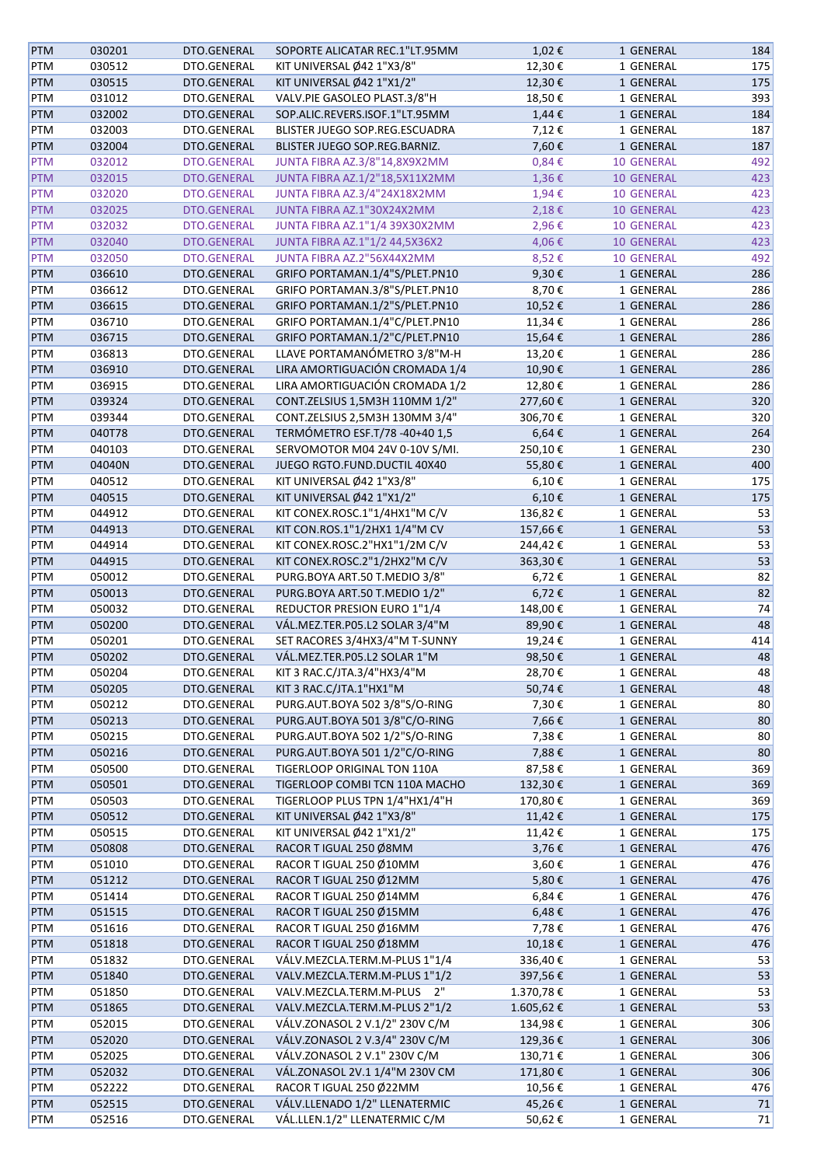| <b>PTM</b> | 030201 | DTO.GENERAL        | SOPORTE ALICATAR REC.1"LT.95MM | 1,02€      | 1 GENERAL         | 184 |
|------------|--------|--------------------|--------------------------------|------------|-------------------|-----|
| <b>PTM</b> | 030512 | DTO.GENERAL        | KIT UNIVERSAL Ø42 1"X3/8"      | 12,30€     | 1 GENERAL         | 175 |
| <b>PTM</b> | 030515 | DTO.GENERAL        | KIT UNIVERSAL Ø42 1"X1/2"      | 12,30€     | 1 GENERAL         | 175 |
| <b>PTM</b> | 031012 | DTO.GENERAL        | VALV.PIE GASOLEO PLAST.3/8"H   | 18,50€     | 1 GENERAL         | 393 |
| <b>PTM</b> | 032002 | DTO.GENERAL        | SOP.ALIC.REVERS.ISOF.1"LT.95MM | 1,44€      | 1 GENERAL         | 184 |
| <b>PTM</b> | 032003 | DTO.GENERAL        | BLISTER JUEGO SOP.REG.ESCUADRA | 7,12€      | 1 GENERAL         | 187 |
| <b>PTM</b> | 032004 | DTO.GENERAL        | BLISTER JUEGO SOP.REG.BARNIZ.  | 7,60€      | 1 GENERAL         | 187 |
| <b>PTM</b> | 032012 | <b>DTO.GENERAL</b> | JUNTA FIBRA AZ.3/8"14,8X9X2MM  | $0,84 \in$ | 10 GENERAL        | 492 |
| <b>PTM</b> | 032015 | DTO.GENERAL        | JUNTA FIBRA AZ.1/2"18,5X11X2MM | 1,36€      | <b>10 GENERAL</b> | 423 |
| <b>PTM</b> | 032020 | DTO.GENERAL        | JUNTA FIBRA AZ.3/4"24X18X2MM   | 1,94€      | <b>10 GENERAL</b> | 423 |
| <b>PTM</b> | 032025 | DTO.GENERAL        | JUNTA FIBRA AZ.1"30X24X2MM     | 2,18€      | 10 GENERAL        | 423 |
| <b>PTM</b> | 032032 | DTO.GENERAL        | JUNTA FIBRA AZ.1"1/4 39X30X2MM | 2,96€      | <b>10 GENERAL</b> | 423 |
| <b>PTM</b> | 032040 | DTO.GENERAL        | JUNTA FIBRA AZ.1"1/2 44,5X36X2 | 4,06€      | 10 GENERAL        | 423 |
| <b>PTM</b> | 032050 | DTO.GENERAL        | JUNTA FIBRA AZ.2"56X44X2MM     | 8,52€      | 10 GENERAL        | 492 |
| <b>PTM</b> | 036610 | DTO.GENERAL        | GRIFO PORTAMAN.1/4"S/PLET.PN10 | 9,30€      | 1 GENERAL         | 286 |
| PTM        | 036612 | DTO.GENERAL        | GRIFO PORTAMAN.3/8"S/PLET.PN10 | 8,70€      | 1 GENERAL         | 286 |
| <b>PTM</b> | 036615 | DTO.GENERAL        | GRIFO PORTAMAN.1/2"S/PLET.PN10 | 10,52€     | 1 GENERAL         | 286 |
| PTM        | 036710 | DTO.GENERAL        | GRIFO PORTAMAN.1/4"C/PLET.PN10 | 11,34€     | 1 GENERAL         | 286 |
| <b>PTM</b> | 036715 | DTO.GENERAL        | GRIFO PORTAMAN.1/2"C/PLET.PN10 | 15,64€     | 1 GENERAL         | 286 |
| PTM        | 036813 | DTO.GENERAL        | LLAVE PORTAMANÓMETRO 3/8"M-H   | 13,20€     | 1 GENERAL         | 286 |
| <b>PTM</b> | 036910 | DTO.GENERAL        | LIRA AMORTIGUACIÓN CROMADA 1/4 | 10,90€     | 1 GENERAL         | 286 |
| PTM        | 036915 | DTO.GENERAL        | LIRA AMORTIGUACIÓN CROMADA 1/2 | 12,80€     | 1 GENERAL         | 286 |
| <b>PTM</b> | 039324 | DTO.GENERAL        | CONT.ZELSIUS 1,5M3H 110MM 1/2" | 277,60€    | 1 GENERAL         | 320 |
| PTM        | 039344 | DTO.GENERAL        | CONT.ZELSIUS 2,5M3H 130MM 3/4" | 306,70€    | 1 GENERAL         | 320 |
| <b>PTM</b> | 040T78 | DTO.GENERAL        | TERMÓMETRO ESF.T/78 -40+40 1,5 | $6,64 \in$ | 1 GENERAL         | 264 |
| PTM        | 040103 | DTO.GENERAL        | SERVOMOTOR M04 24V 0-10V S/MI. | 250,10€    | 1 GENERAL         | 230 |
| <b>PTM</b> | 04040N | DTO.GENERAL        | JUEGO RGTO.FUND.DUCTIL 40X40   | 55,80€     | 1 GENERAL         | 400 |
| PTM        | 040512 | DTO.GENERAL        | KIT UNIVERSAL Ø42 1"X3/8"      | 6,10€      | 1 GENERAL         | 175 |
| <b>PTM</b> | 040515 | DTO.GENERAL        | KIT UNIVERSAL Ø42 1"X1/2"      | 6,10€      | 1 GENERAL         | 175 |
| PTM        | 044912 | DTO.GENERAL        | KIT CONEX.ROSC.1"1/4HX1"M C/V  | 136,82€    | 1 GENERAL         | 53  |
| <b>PTM</b> | 044913 | DTO.GENERAL        | KIT CON.ROS.1"1/2HX1 1/4"M CV  | 157,66€    | 1 GENERAL         | 53  |
| PTM        | 044914 | DTO.GENERAL        | KIT CONEX.ROSC.2"HX1"1/2M C/V  | 244,42€    | 1 GENERAL         | 53  |
| PTM        | 044915 | DTO.GENERAL        | KIT CONEX.ROSC.2"1/2HX2"M C/V  | 363,30€    | 1 GENERAL         | 53  |
| PTM        | 050012 | DTO.GENERAL        | PURG.BOYA ART.50 T.MEDIO 3/8"  | 6,72€      | 1 GENERAL         | 82  |
| <b>PTM</b> | 050013 | DTO.GENERAL        | PURG.BOYA ART.50 T.MEDIO 1/2"  | 6,72€      | 1 GENERAL         | 82  |
| PTM        | 050032 | DTO.GENERAL        | REDUCTOR PRESION EURO 1"1/4    | 148,00€    | 1 GENERAL         | 74  |
| <b>PTM</b> | 050200 | DTO.GENERAL        | VÁL.MEZ.TER.P05.L2 SOLAR 3/4"M | 89,90€     | 1 GENERAL         | 48  |
| PTM        | 050201 | DTO.GENERAL        | SET RACORES 3/4HX3/4"M T-SUNNY | 19,24€     | 1 GENERAL         | 414 |
| <b>PTM</b> | 050202 | DTO.GENERAL        | VÁL.MEZ.TER.P05.L2 SOLAR 1"M   | 98,50€     | 1 GENERAL         | 48  |
| PTM        | 050204 | DTO.GENERAL        | KIT 3 RAC.C/JTA.3/4"HX3/4"M    | 28,70€     | 1 GENERAL         | 48  |
| <b>PTM</b> | 050205 | DTO.GENERAL        | KIT 3 RAC.C/JTA.1"HX1"M        | 50,74€     | 1 GENERAL         | 48  |
| PTM        | 050212 | DTO.GENERAL        | PURG.AUT.BOYA 502 3/8"S/O-RING | 7,30€      | 1 GENERAL         | 80  |
| <b>PTM</b> | 050213 | DTO.GENERAL        | PURG.AUT.BOYA 501 3/8"C/O-RING | 7,66€      | 1 GENERAL         | 80  |
| PTM        | 050215 | DTO.GENERAL        | PURG.AUT.BOYA 502 1/2"S/O-RING | 7,38€      | 1 GENERAL         | 80  |
| <b>PTM</b> | 050216 | DTO.GENERAL        | PURG.AUT.BOYA 501 1/2"C/O-RING | 7,88€      | 1 GENERAL         | 80  |
| PTM        | 050500 | DTO.GENERAL        | TIGERLOOP ORIGINAL TON 110A    | 87,58€     | 1 GENERAL         | 369 |
| <b>PTM</b> | 050501 | DTO.GENERAL        | TIGERLOOP COMBI TCN 110A MACHO | 132,30€    | 1 GENERAL         | 369 |
| PTM        | 050503 | DTO.GENERAL        | TIGERLOOP PLUS TPN 1/4"HX1/4"H | 170,80€    | 1 GENERAL         | 369 |
| <b>PTM</b> | 050512 | DTO.GENERAL        | KIT UNIVERSAL Ø42 1"X3/8"      | 11,42€     | 1 GENERAL         | 175 |
| PTM        | 050515 | DTO.GENERAL        | KIT UNIVERSAL Ø42 1"X1/2"      | 11,42€     | 1 GENERAL         | 175 |
| PTM        | 050808 | DTO.GENERAL        | RACOR T IGUAL 250 Ø8MM         | 3,76€      | 1 GENERAL         | 476 |
| PTM        | 051010 | DTO.GENERAL        | RACOR T IGUAL 250 Ø10MM        | 3,60€      | 1 GENERAL         | 476 |
| <b>PTM</b> | 051212 | DTO.GENERAL        | RACOR T IGUAL 250 Ø12MM        | 5,80€      | 1 GENERAL         | 476 |
| PTM        | 051414 | DTO.GENERAL        | RACOR T IGUAL 250 Ø14MM        | 6,84€      | 1 GENERAL         | 476 |
| <b>PTM</b> | 051515 | DTO.GENERAL        | RACOR T IGUAL 250 Ø15MM        | 6,48€      | 1 GENERAL         | 476 |
| PTM        | 051616 | DTO.GENERAL        | RACOR T IGUAL 250 Ø16MM        | 7,78€      | 1 GENERAL         | 476 |
| <b>PTM</b> | 051818 | DTO.GENERAL        | RACOR T IGUAL 250 Ø18MM        | 10,18€     | 1 GENERAL         | 476 |
| PTM        | 051832 | DTO.GENERAL        | VÁLV.MEZCLA.TERM.M-PLUS 1"1/4  | 336,40€    | 1 GENERAL         | 53  |
| <b>PTM</b> | 051840 | DTO.GENERAL        | VALV.MEZCLA.TERM.M-PLUS 1"1/2  | 397,56€    | 1 GENERAL         | 53  |
| PTM        | 051850 | DTO.GENERAL        | VALV.MEZCLA.TERM.M-PLUS 2"     | 1.370,78€  | 1 GENERAL         | 53  |
| <b>PTM</b> | 051865 | DTO.GENERAL        | VALV.MEZCLA.TERM.M-PLUS 2"1/2  | 1.605,62€  | 1 GENERAL         | 53  |
| PTM        | 052015 | DTO.GENERAL        | VÁLV.ZONASOL 2 V.1/2" 230V C/M | 134,98€    | 1 GENERAL         | 306 |
| PTM        | 052020 | DTO.GENERAL        | VÁLV.ZONASOL 2 V.3/4" 230V C/M | 129,36€    | 1 GENERAL         | 306 |
| PTM        | 052025 | DTO.GENERAL        | VÁLV.ZONASOL 2 V.1" 230V C/M   | 130,71€    | 1 GENERAL         | 306 |
| <b>PTM</b> | 052032 | DTO.GENERAL        | VÁL.ZONASOL 2V.1 1/4"M 230V CM | 171,80€    | 1 GENERAL         | 306 |
| PTM        | 052222 | DTO.GENERAL        | RACOR T IGUAL 250 Ø22MM        | 10,56€     | 1 GENERAL         | 476 |
| <b>PTM</b> | 052515 | DTO.GENERAL        | VÁLV.LLENADO 1/2" LLENATERMIC  | 45,26€     | 1 GENERAL         | 71  |
| PTM        | 052516 | DTO.GENERAL        | VÁL.LLEN.1/2" LLENATERMIC C/M  | 50,62€     | 1 GENERAL         | 71  |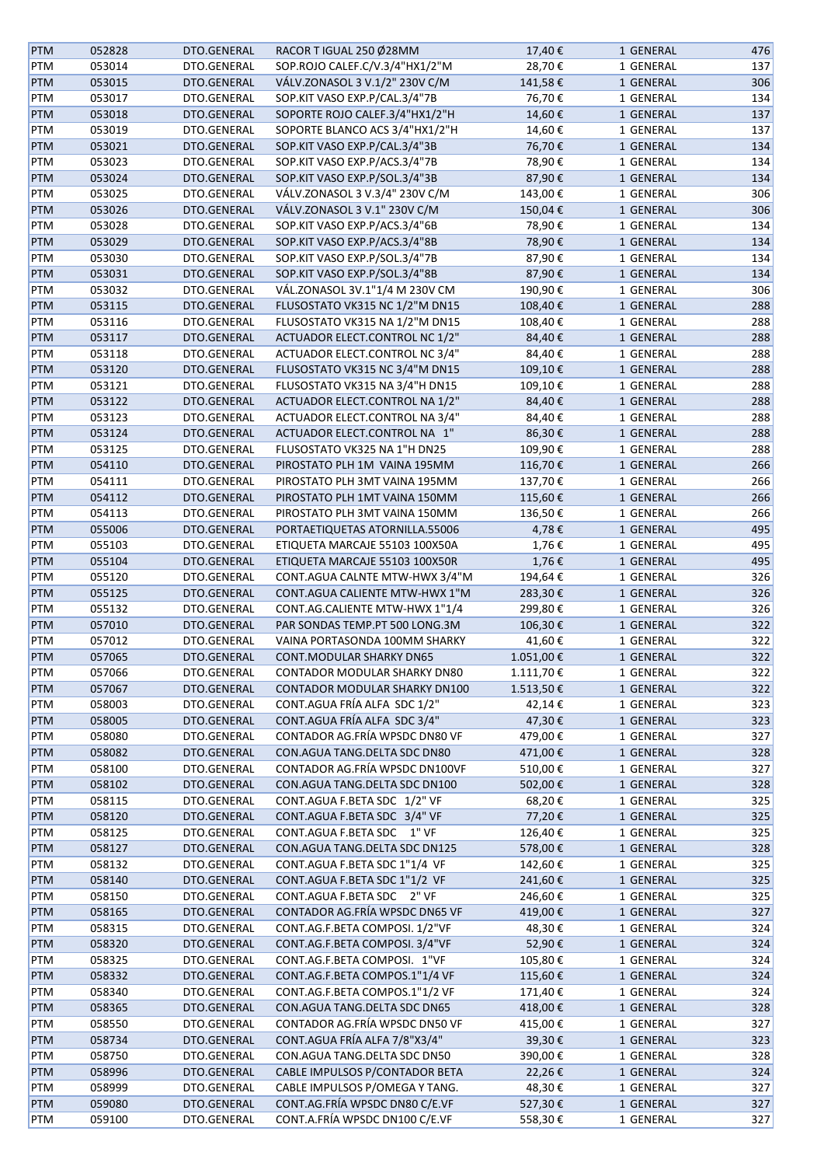| <b>PTM</b> | 052828 | DTO.GENERAL | RACOR T IGUAL 250 Ø28MM              | 17,40€    | 1 GENERAL | 476 |
|------------|--------|-------------|--------------------------------------|-----------|-----------|-----|
| PTM        | 053014 | DTO.GENERAL | SOP.ROJO CALEF.C/V.3/4"HX1/2"M       | 28,70€    | 1 GENERAL | 137 |
| PTM        | 053015 | DTO.GENERAL | VÁLV.ZONASOL 3 V.1/2" 230V C/M       | 141,58€   | 1 GENERAL | 306 |
| PTM        | 053017 | DTO.GENERAL | SOP.KIT VASO EXP.P/CAL.3/4"7B        | 76,70€    | 1 GENERAL | 134 |
| PTM        | 053018 | DTO.GENERAL | SOPORTE ROJO CALEF.3/4"HX1/2"H       | 14,60€    | 1 GENERAL | 137 |
| PTM        | 053019 | DTO.GENERAL | SOPORTE BLANCO ACS 3/4"HX1/2"H       | 14,60€    | 1 GENERAL | 137 |
| PTM        | 053021 | DTO.GENERAL | SOP.KIT VASO EXP.P/CAL.3/4"3B        | 76,70€    | 1 GENERAL | 134 |
| PTM        | 053023 | DTO.GENERAL | SOP.KIT VASO EXP.P/ACS.3/4"7B        | 78,90€    | 1 GENERAL | 134 |
| PTM        | 053024 | DTO.GENERAL | SOP.KIT VASO EXP.P/SOL.3/4"3B        | 87,90€    | 1 GENERAL | 134 |
|            |        | DTO.GENERAL | VÁLV.ZONASOL 3 V.3/4" 230V C/M       | 143,00€   |           | 306 |
| PTM        | 053025 | DTO.GENERAL | VÁLV.ZONASOL 3 V.1" 230V C/M         | 150,04€   | 1 GENERAL | 306 |
| <b>PTM</b> | 053026 |             |                                      |           | 1 GENERAL |     |
| PTM        | 053028 | DTO.GENERAL | SOP.KIT VASO EXP.P/ACS.3/4"6B        | 78,90€    | 1 GENERAL | 134 |
| PTM        | 053029 | DTO.GENERAL | SOP.KIT VASO EXP.P/ACS.3/4"8B        | 78,90€    | 1 GENERAL | 134 |
| PTM        | 053030 | DTO.GENERAL | SOP.KIT VASO EXP.P/SOL.3/4"7B        | 87,90€    | 1 GENERAL | 134 |
| PTM        | 053031 | DTO.GENERAL | SOP.KIT VASO EXP.P/SOL.3/4"8B        | 87,90€    | 1 GENERAL | 134 |
| PTM        | 053032 | DTO.GENERAL | VÁL.ZONASOL 3V.1"1/4 M 230V CM       | 190,90€   | 1 GENERAL | 306 |
| PTM        | 053115 | DTO.GENERAL | FLUSOSTATO VK315 NC 1/2"M DN15       | 108,40€   | 1 GENERAL | 288 |
| PTM        | 053116 | DTO.GENERAL | FLUSOSTATO VK315 NA 1/2"M DN15       | 108,40€   | 1 GENERAL | 288 |
| PTM        | 053117 | DTO.GENERAL | ACTUADOR ELECT.CONTROL NC 1/2"       | 84,40€    | 1 GENERAL | 288 |
| PTM        | 053118 | DTO.GENERAL | ACTUADOR ELECT.CONTROL NC 3/4"       | 84,40€    | 1 GENERAL | 288 |
| <b>PTM</b> | 053120 | DTO.GENERAL | FLUSOSTATO VK315 NC 3/4"M DN15       | 109,10€   | 1 GENERAL | 288 |
| PTM        | 053121 | DTO.GENERAL | FLUSOSTATO VK315 NA 3/4"H DN15       | 109,10€   | 1 GENERAL | 288 |
| <b>PTM</b> | 053122 | DTO.GENERAL | ACTUADOR ELECT.CONTROL NA 1/2"       | 84,40€    | 1 GENERAL | 288 |
| PTM        | 053123 | DTO.GENERAL | ACTUADOR ELECT.CONTROL NA 3/4"       | 84,40€    | 1 GENERAL | 288 |
| PTM        | 053124 | DTO.GENERAL | ACTUADOR ELECT.CONTROL NA 1"         | 86,30€    | 1 GENERAL | 288 |
| PTM        | 053125 | DTO.GENERAL | FLUSOSTATO VK325 NA 1"H DN25         | 109,90€   | 1 GENERAL | 288 |
| PTM        | 054110 | DTO.GENERAL | PIROSTATO PLH 1M VAINA 195MM         | 116,70€   | 1 GENERAL | 266 |
| PTM        | 054111 | DTO.GENERAL | PIROSTATO PLH 3MT VAINA 195MM        | 137,70€   | 1 GENERAL | 266 |
| PTM        | 054112 | DTO.GENERAL | PIROSTATO PLH 1MT VAINA 150MM        | 115,60€   | 1 GENERAL | 266 |
| PTM        | 054113 | DTO.GENERAL | PIROSTATO PLH 3MT VAINA 150MM        | 136,50€   | 1 GENERAL | 266 |
| <b>PTM</b> | 055006 | DTO.GENERAL | PORTAETIQUETAS ATORNILLA.55006       | 4,78€     | 1 GENERAL | 495 |
| PTM        | 055103 | DTO.GENERAL | ETIQUETA MARCAJE 55103 100X50A       | 1,76€     | 1 GENERAL | 495 |
|            |        |             |                                      |           |           | 495 |
| PTM        | 055104 | DTO.GENERAL | ETIQUETA MARCAJE 55103 100X50R       | 1,76€     | 1 GENERAL |     |
| PTM        | 055120 | DTO.GENERAL | CONT.AGUA CALNTE MTW-HWX 3/4"M       | 194,64€   | 1 GENERAL | 326 |
| PTM        | 055125 | DTO.GENERAL | CONT.AGUA CALIENTE MTW-HWX 1"M       | 283,30€   | 1 GENERAL | 326 |
| PTM        | 055132 | DTO.GENERAL | CONT.AG.CALIENTE MTW-HWX 1"1/4       | 299,80€   | 1 GENERAL | 326 |
| <b>PTM</b> | 057010 | DTO.GENERAL | PAR SONDAS TEMP.PT 500 LONG.3M       | 106,30€   | 1 GENERAL | 322 |
| PTM        | 057012 | DTO.GENERAL | VAINA PORTASONDA 100MM SHARKY        | 41,60€    | 1 GENERAL | 322 |
| <b>PTM</b> | 057065 | DTO.GENERAL | <b>CONT.MODULAR SHARKY DN65</b>      | 1.051,00€ | 1 GENERAL | 322 |
| PTM        | 057066 | DTO.GENERAL | CONTADOR MODULAR SHARKY DN80         | 1.111,70€ | 1 GENERAL | 322 |
| <b>PTM</b> | 057067 | DTO.GENERAL | <b>CONTADOR MODULAR SHARKY DN100</b> | 1.513,50€ | 1 GENERAL | 322 |
| PTM        | 058003 | DTO.GENERAL | CONT.AGUA FRÍA ALFA SDC 1/2"         | 42,14€    | 1 GENERAL | 323 |
| PTM        | 058005 | DTO.GENERAL | CONT.AGUA FRÍA ALFA SDC 3/4"         | 47,30€    | 1 GENERAL | 323 |
| PTM        | 058080 | DTO.GENERAL | CONTADOR AG.FRÍA WPSDC DN80 VF       | 479,00€   | 1 GENERAL | 327 |
| PTM        | 058082 | DTO.GENERAL | CON.AGUA TANG.DELTA SDC DN80         | 471,00€   | 1 GENERAL | 328 |
| PTM        | 058100 | DTO.GENERAL | CONTADOR AG.FRÍA WPSDC DN100VF       | 510,00€   | 1 GENERAL | 327 |
| PTM        | 058102 | DTO.GENERAL | CON.AGUA TANG.DELTA SDC DN100        | 502,00€   | 1 GENERAL | 328 |
| PTM        | 058115 | DTO.GENERAL | CONT.AGUA F.BETA SDC 1/2" VF         | 68,20€    | 1 GENERAL | 325 |
| <b>PTM</b> | 058120 | DTO.GENERAL | CONT.AGUA F.BETA SDC 3/4" VF         | 77,20€    | 1 GENERAL | 325 |
| PTM        | 058125 | DTO.GENERAL | CONT.AGUA F.BETA SDC 1" VF           | 126,40€   | 1 GENERAL | 325 |
| <b>PTM</b> | 058127 | DTO.GENERAL | CON.AGUA TANG.DELTA SDC DN125        | 578,00€   | 1 GENERAL | 328 |
| PTM        | 058132 | DTO.GENERAL | CONT.AGUA F.BETA SDC 1"1/4 VF        | 142,60€   | 1 GENERAL | 325 |
| <b>PTM</b> | 058140 | DTO.GENERAL | CONT.AGUA F.BETA SDC 1"1/2 VF        | 241,60€   | 1 GENERAL | 325 |
| PTM        | 058150 | DTO.GENERAL | CONT.AGUA F.BETA SDC 2" VF           | 246,60€   | 1 GENERAL | 325 |
| <b>PTM</b> | 058165 | DTO.GENERAL | CONTADOR AG.FRÍA WPSDC DN65 VF       | 419,00€   | 1 GENERAL | 327 |
| PTM        |        | DTO.GENERAL | CONT.AG.F.BETA COMPOSI. 1/2"VF       | 48,30€    |           | 324 |
|            | 058315 |             |                                      |           | 1 GENERAL |     |
| <b>PTM</b> | 058320 | DTO.GENERAL | CONT.AG.F.BETA COMPOSI. 3/4"VF       | 52,90€    | 1 GENERAL | 324 |
| PTM        | 058325 | DTO.GENERAL | CONT.AG.F.BETA COMPOSI. 1"VF         | 105,80€   | 1 GENERAL | 324 |
| PTM        | 058332 | DTO.GENERAL | CONT.AG.F.BETA COMPOS.1"1/4 VF       | 115,60€   | 1 GENERAL | 324 |
| PTM        | 058340 | DTO.GENERAL | CONT.AG.F.BETA COMPOS.1"1/2 VF       | 171,40€   | 1 GENERAL | 324 |
| <b>PTM</b> | 058365 | DTO.GENERAL | CON.AGUA TANG.DELTA SDC DN65         | 418,00€   | 1 GENERAL | 328 |
| PTM        | 058550 | DTO.GENERAL | CONTADOR AG.FRÍA WPSDC DN50 VF       | 415,00€   | 1 GENERAL | 327 |
| <b>PTM</b> | 058734 | DTO.GENERAL | CONT.AGUA FRÍA ALFA 7/8"X3/4"        | 39,30€    | 1 GENERAL | 323 |
| PTM        | 058750 | DTO.GENERAL | CON.AGUA TANG.DELTA SDC DN50         | 390,00€   | 1 GENERAL | 328 |
| <b>PTM</b> | 058996 | DTO.GENERAL | CABLE IMPULSOS P/CONTADOR BETA       | 22,26€    | 1 GENERAL | 324 |
| PTM        | 058999 | DTO.GENERAL | CABLE IMPULSOS P/OMEGA Y TANG.       | 48,30€    | 1 GENERAL | 327 |
| <b>PTM</b> | 059080 | DTO.GENERAL | CONT.AG.FRÍA WPSDC DN80 C/E.VF       | 527,30€   | 1 GENERAL | 327 |
| PTM        | 059100 | DTO.GENERAL | CONT.A.FRÍA WPSDC DN100 C/E.VF       | 558,30€   | 1 GENERAL | 327 |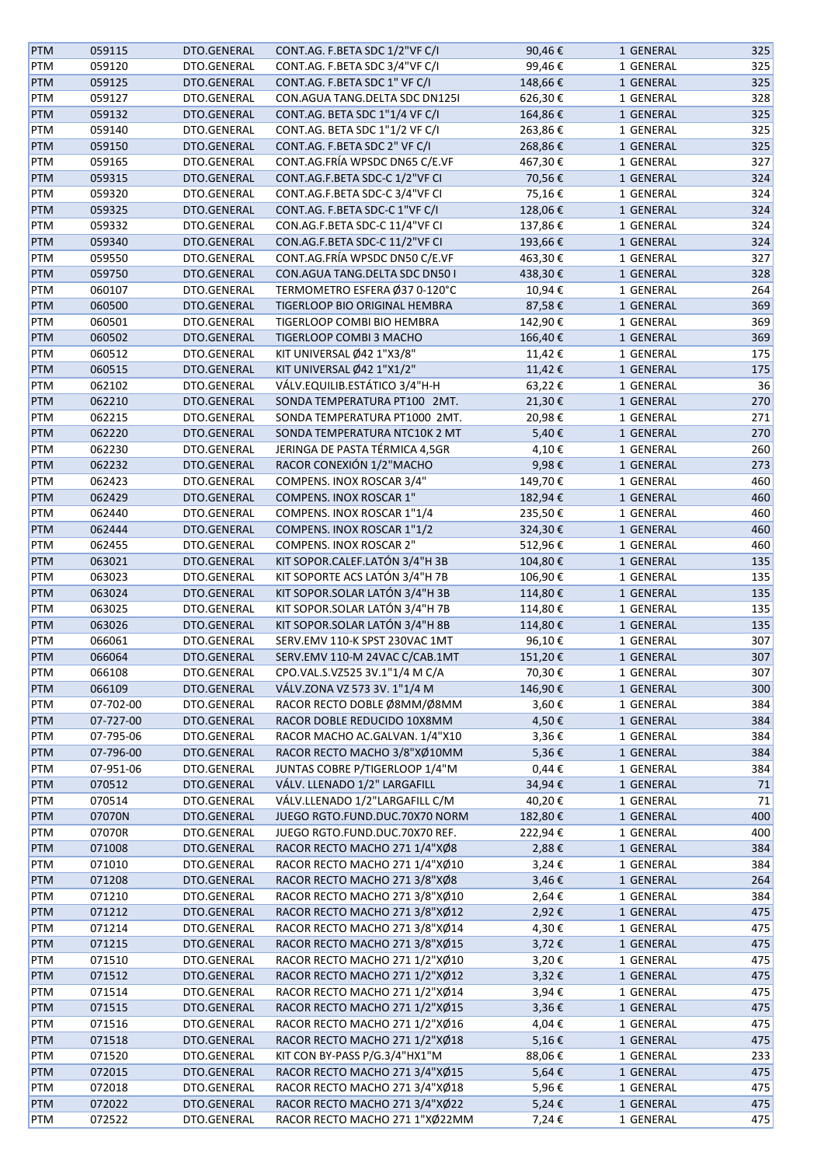| <b>PTM</b> | 059115    | DTO.GENERAL | CONT.AG. F.BETA SDC 1/2"VF C/I | 90,46€     | 1 GENERAL | 325 |
|------------|-----------|-------------|--------------------------------|------------|-----------|-----|
| PTM        | 059120    | DTO.GENERAL | CONT.AG. F.BETA SDC 3/4"VF C/I | 99,46€     | 1 GENERAL | 325 |
| <b>PTM</b> | 059125    | DTO.GENERAL | CONT.AG. F.BETA SDC 1" VF C/I  | 148,66€    | 1 GENERAL | 325 |
| PTM        | 059127    | DTO.GENERAL | CON.AGUA TANG.DELTA SDC DN125I | 626,30€    | 1 GENERAL | 328 |
| <b>PTM</b> | 059132    | DTO.GENERAL | CONT.AG. BETA SDC 1"1/4 VF C/I | 164,86€    | 1 GENERAL | 325 |
| PTM        | 059140    | DTO.GENERAL | CONT.AG. BETA SDC 1"1/2 VF C/I | 263,86€    | 1 GENERAL | 325 |
|            |           |             | CONT.AG. F.BETA SDC 2" VF C/I  |            |           |     |
| PTM        | 059150    | DTO.GENERAL |                                | 268,86€    | 1 GENERAL | 325 |
| PTM        | 059165    | DTO.GENERAL | CONT.AG.FRÍA WPSDC DN65 C/E.VF | 467,30€    | 1 GENERAL | 327 |
| PTM        | 059315    | DTO.GENERAL | CONT.AG.F.BETA SDC-C 1/2"VF CI | 70,56€     | 1 GENERAL | 324 |
| PTM        | 059320    | DTO.GENERAL | CONT.AG.F.BETA SDC-C 3/4"VF CI | 75,16€     | 1 GENERAL | 324 |
| <b>PTM</b> | 059325    | DTO.GENERAL | CONT.AG. F.BETA SDC-C 1"VF C/I | 128,06€    | 1 GENERAL | 324 |
| PTM        | 059332    | DTO.GENERAL | CON.AG.F.BETA SDC-C 11/4"VF CI | 137,86€    | 1 GENERAL | 324 |
| <b>PTM</b> | 059340    | DTO.GENERAL | CON.AG.F.BETA SDC-C 11/2"VF CI | 193,66€    | 1 GENERAL | 324 |
| PTM        | 059550    | DTO.GENERAL | CONT.AG.FRÍA WPSDC DN50 C/E.VF | 463,30€    | 1 GENERAL | 327 |
| <b>PTM</b> | 059750    | DTO.GENERAL | CON.AGUA TANG.DELTA SDC DN50 I | 438,30€    | 1 GENERAL | 328 |
| PTM        | 060107    | DTO.GENERAL | TERMOMETRO ESFERA Ø37 0-120°C  | 10,94€     | 1 GENERAL | 264 |
| PTM        | 060500    | DTO.GENERAL | TIGERLOOP BIO ORIGINAL HEMBRA  | 87,58€     | 1 GENERAL | 369 |
| PTM        | 060501    | DTO.GENERAL | TIGERLOOP COMBI BIO HEMBRA     | 142,90€    | 1 GENERAL | 369 |
| <b>PTM</b> | 060502    | DTO.GENERAL | TIGERLOOP COMBI 3 MACHO        | 166,40€    | 1 GENERAL | 369 |
| PTM        | 060512    | DTO.GENERAL | KIT UNIVERSAL Ø42 1"X3/8"      | 11,42€     | 1 GENERAL | 175 |
| <b>PTM</b> | 060515    | DTO.GENERAL | KIT UNIVERSAL Ø42 1"X1/2"      | 11,42€     | 1 GENERAL | 175 |
| PTM        | 062102    | DTO.GENERAL | VÁLV.EQUILIB.ESTÁTICO 3/4"H-H  | 63,22€     | 1 GENERAL | 36  |
| <b>PTM</b> | 062210    | DTO.GENERAL | SONDA TEMPERATURA PT100 2MT.   | 21,30€     | 1 GENERAL | 270 |
|            | 062215    | DTO.GENERAL | SONDA TEMPERATURA PT1000 2MT.  |            | 1 GENERAL | 271 |
| PTM        |           |             |                                | 20,98€     |           |     |
| <b>PTM</b> | 062220    | DTO.GENERAL | SONDA TEMPERATURA NTC10K 2 MT  | 5,40€      | 1 GENERAL | 270 |
| PTM        | 062230    | DTO.GENERAL | JERINGA DE PASTA TÉRMICA 4,5GR | 4,10€      | 1 GENERAL | 260 |
| <b>PTM</b> | 062232    | DTO.GENERAL | RACOR CONEXIÓN 1/2"MACHO       | 9,98€      | 1 GENERAL | 273 |
| PTM        | 062423    | DTO.GENERAL | COMPENS. INOX ROSCAR 3/4"      | 149,70€    | 1 GENERAL | 460 |
| PTM        | 062429    | DTO.GENERAL | COMPENS. INOX ROSCAR 1"        | 182,94€    | 1 GENERAL | 460 |
| PTM        | 062440    | DTO.GENERAL | COMPENS. INOX ROSCAR 1"1/4     | 235,50€    | 1 GENERAL | 460 |
| <b>PTM</b> | 062444    | DTO.GENERAL | COMPENS. INOX ROSCAR 1"1/2     | 324,30€    | 1 GENERAL | 460 |
| PTM        | 062455    | DTO.GENERAL | COMPENS. INOX ROSCAR 2"        | 512,96€    | 1 GENERAL | 460 |
| PTM        | 063021    | DTO.GENERAL | KIT SOPOR.CALEF.LATÓN 3/4"H 3B | 104,80€    | 1 GENERAL | 135 |
| PTM        | 063023    | DTO.GENERAL | KIT SOPORTE ACS LATÓN 3/4"H 7B | 106,90€    | 1 GENERAL | 135 |
| <b>PTM</b> | 063024    | DTO.GENERAL | KIT SOPOR.SOLAR LATÓN 3/4"H 3B | 114,80€    | 1 GENERAL | 135 |
| PTM        | 063025    | DTO.GENERAL | KIT SOPOR.SOLAR LATÓN 3/4"H 7B | 114,80€    | 1 GENERAL | 135 |
| <b>PTM</b> | 063026    | DTO.GENERAL | KIT SOPOR.SOLAR LATÓN 3/4"H 8B | 114,80€    | 1 GENERAL | 135 |
| PTM        | 066061    | DTO.GENERAL | SERV.EMV 110-K SPST 230VAC 1MT | 96,10€     | 1 GENERAL | 307 |
| <b>PTM</b> | 066064    | DTO.GENERAL | SERV.EMV 110-M 24VAC C/CAB.1MT | 151,20€    | 1 GENERAL | 307 |
| PTM        | 066108    | DTO.GENERAL | CPO.VAL.S.VZ525 3V.1"1/4 M C/A | 70,30€     |           | 307 |
|            |           |             |                                |            | 1 GENERAL |     |
| <b>PTM</b> | 066109    | DTO.GENERAL | VÁLV.ZONA VZ 573 3V. 1"1/4 M   | 146,90€    | 1 GENERAL | 300 |
| <b>PTM</b> | 07-702-00 | DTO.GENERAL | RACOR RECTO DOBLE Ø8MM/Ø8MM    | 3,60€      | 1 GENERAL | 384 |
| <b>PTM</b> | 07-727-00 | DTO.GENERAL | RACOR DOBLE REDUCIDO 10X8MM    | 4,50€      | 1 GENERAL | 384 |
| PTM        | 07-795-06 | DTO.GENERAL | RACOR MACHO AC.GALVAN. 1/4"X10 | 3,36€      | 1 GENERAL | 384 |
| PTM        | 07-796-00 | DTO.GENERAL | RACOR RECTO MACHO 3/8"XØ10MM   | 5,36€      | 1 GENERAL | 384 |
| PTM        | 07-951-06 | DTO.GENERAL | JUNTAS COBRE P/TIGERLOOP 1/4"M | $0,44 \in$ | 1 GENERAL | 384 |
| <b>PTM</b> | 070512    | DTO.GENERAL | VÁLV. LLENADO 1/2" LARGAFILL   | 34,94€     | 1 GENERAL | 71  |
| PTM        | 070514    | DTO.GENERAL | VÁLV.LLENADO 1/2"LARGAFILL C/M | 40,20€     | 1 GENERAL | 71  |
| <b>PTM</b> | 07070N    | DTO.GENERAL | JUEGO RGTO.FUND.DUC.70X70 NORM | 182,80€    | 1 GENERAL | 400 |
| PTM        | 07070R    | DTO.GENERAL | JUEGO RGTO.FUND.DUC.70X70 REF. | 222,94€    | 1 GENERAL | 400 |
| <b>PTM</b> | 071008    | DTO.GENERAL | RACOR RECTO MACHO 271 1/4"XØ8  | 2,88€      | 1 GENERAL | 384 |
| PTM        | 071010    | DTO.GENERAL | RACOR RECTO MACHO 271 1/4"XØ10 | 3,24€      | 1 GENERAL | 384 |
| <b>PTM</b> | 071208    | DTO.GENERAL | RACOR RECTO MACHO 271 3/8"XØ8  | 3,46€      | 1 GENERAL | 264 |
| PTM        | 071210    | DTO.GENERAL | RACOR RECTO MACHO 271 3/8"XØ10 | 2,64€      | 1 GENERAL | 384 |
| <b>PTM</b> | 071212    | DTO.GENERAL | RACOR RECTO MACHO 271 3/8"XØ12 | 2,92€      | 1 GENERAL | 475 |
| PTM        | 071214    | DTO.GENERAL | RACOR RECTO MACHO 271 3/8"XØ14 | 4,30€      | 1 GENERAL | 475 |
| <b>PTM</b> | 071215    | DTO.GENERAL | RACOR RECTO MACHO 271 3/8"XØ15 | 3,72€      | 1 GENERAL | 475 |
| PTM        | 071510    | DTO.GENERAL | RACOR RECTO MACHO 271 1/2"XØ10 | 3,20€      | 1 GENERAL | 475 |
| <b>PTM</b> |           |             |                                |            |           | 475 |
|            | 071512    | DTO.GENERAL | RACOR RECTO MACHO 271 1/2"XØ12 | 3,32€      | 1 GENERAL |     |
| PTM        | 071514    | DTO.GENERAL | RACOR RECTO MACHO 271 1/2"XØ14 | 3,94€      | 1 GENERAL | 475 |
| <b>PTM</b> | 071515    | DTO.GENERAL | RACOR RECTO MACHO 271 1/2"XØ15 | 3,36€      | 1 GENERAL | 475 |
| PTM        | 071516    | DTO.GENERAL | RACOR RECTO MACHO 271 1/2"XØ16 | 4,04€      | 1 GENERAL | 475 |
| <b>PTM</b> | 071518    | DTO.GENERAL | RACOR RECTO MACHO 271 1/2"XØ18 | 5,16€      | 1 GENERAL | 475 |
| PTM        | 071520    | DTO.GENERAL | KIT CON BY-PASS P/G.3/4"HX1"M  | 88,06€     | 1 GENERAL | 233 |
| <b>PTM</b> | 072015    | DTO.GENERAL | RACOR RECTO MACHO 271 3/4"XØ15 | 5,64€      | 1 GENERAL | 475 |
| PTM        | 072018    | DTO.GENERAL | RACOR RECTO MACHO 271 3/4"XØ18 | 5,96€      | 1 GENERAL | 475 |
| <b>PTM</b> | 072022    | DTO.GENERAL | RACOR RECTO MACHO 271 3/4"XØ22 | 5,24€      | 1 GENERAL | 475 |
| PTM        | 072522    | DTO.GENERAL | RACOR RECTO MACHO 271 1"XØ22MM | 7,24€      | 1 GENERAL | 475 |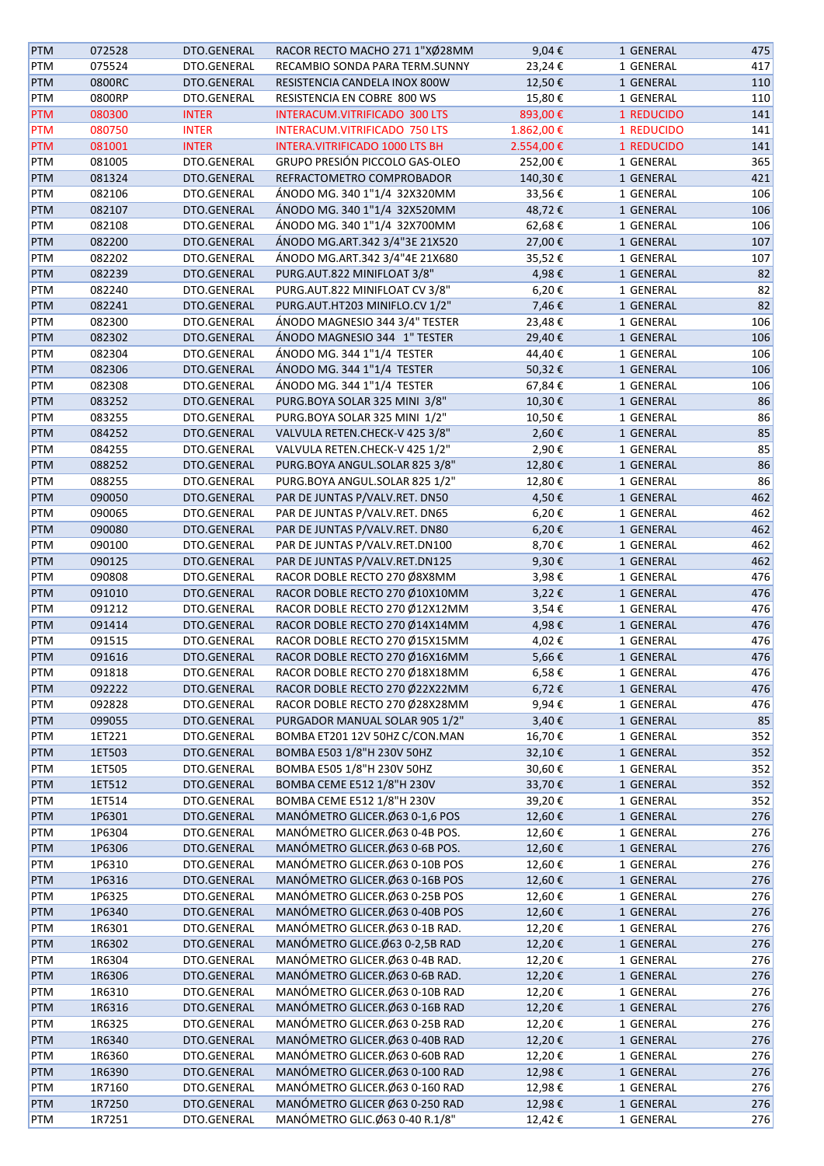| <b>PTM</b> | 072528 | DTO.GENERAL  | RACOR RECTO MACHO 271 1"XØ28MM  | 9,04€         | 1 GENERAL  | 475 |
|------------|--------|--------------|---------------------------------|---------------|------------|-----|
| <b>PTM</b> | 075524 | DTO.GENERAL  | RECAMBIO SONDA PARA TERM.SUNNY  | 23,24€        | 1 GENERAL  | 417 |
| <b>PTM</b> | 0800RC | DTO.GENERAL  | RESISTENCIA CANDELA INOX 800W   | 12,50€        | 1 GENERAL  | 110 |
| <b>PTM</b> | 0800RP | DTO.GENERAL  | RESISTENCIA EN COBRE 800 WS     | 15,80€        | 1 GENERAL  | 110 |
| <b>PTM</b> | 080300 | <b>INTER</b> | INTERACUM.VITRIFICADO 300 LTS   | 893,00€       | 1 REDUCIDO | 141 |
| <b>PTM</b> | 080750 | <b>INTER</b> | INTERACUM.VITRIFICADO 750 LTS   | 1.862,00€     | 1 REDUCIDO | 141 |
| <b>PTM</b> | 081001 | <b>INTER</b> | INTERA.VITRIFICADO 1000 LTS BH  | 2.554,00€     | 1 REDUCIDO | 141 |
| PTM        | 081005 | DTO.GENERAL  | GRUPO PRESIÓN PICCOLO GAS-OLEO  | 252,00€       | 1 GENERAL  | 365 |
|            |        |              |                                 |               |            |     |
| <b>PTM</b> | 081324 | DTO.GENERAL  | REFRACTOMETRO COMPROBADOR       | 140,30€       | 1 GENERAL  | 421 |
| <b>PTM</b> | 082106 | DTO.GENERAL  | ÁNODO MG. 340 1"1/4 32X320MM    | 33,56€        | 1 GENERAL  | 106 |
| PTM        | 082107 | DTO.GENERAL  | ÁNODO MG. 340 1"1/4 32X520MM    | 48,72€        | 1 GENERAL  | 106 |
| PTM        | 082108 | DTO.GENERAL  | ÁNODO MG. 340 1"1/4 32X700MM    | 62,68€        | 1 GENERAL  | 106 |
| <b>PTM</b> | 082200 | DTO.GENERAL  | ÁNODO MG.ART.342 3/4"3E 21X520  | 27,00€        | 1 GENERAL  | 107 |
| <b>PTM</b> | 082202 | DTO.GENERAL  | ÁNODO MG.ART.342 3/4"4E 21X680  | 35,52€        | 1 GENERAL  | 107 |
| <b>PTM</b> | 082239 | DTO.GENERAL  | PURG.AUT.822 MINIFLOAT 3/8"     | 4,98€         | 1 GENERAL  | 82  |
| PTM        | 082240 | DTO.GENERAL  | PURG.AUT.822 MINIFLOAT CV 3/8"  | 6,20€         | 1 GENERAL  | 82  |
| <b>PTM</b> | 082241 | DTO.GENERAL  | PURG.AUT.HT203 MINIFLO.CV 1/2"  | 7,46€         | 1 GENERAL  | 82  |
| <b>PTM</b> | 082300 | DTO.GENERAL  | ÁNODO MAGNESIO 344 3/4" TESTER  | 23,48€        | 1 GENERAL  | 106 |
| <b>PTM</b> | 082302 | DTO.GENERAL  | ÁNODO MAGNESIO 344 1" TESTER    | 29,40€        | 1 GENERAL  | 106 |
| <b>PTM</b> | 082304 | DTO.GENERAL  | ÁNODO MG. 344 1"1/4 TESTER      | 44,40€        | 1 GENERAL  | 106 |
| <b>PTM</b> | 082306 | DTO.GENERAL  | ÁNODO MG. 344 1"1/4 TESTER      | 50,32€        | 1 GENERAL  | 106 |
| <b>PTM</b> | 082308 | DTO.GENERAL  | ÁNODO MG. 344 1"1/4 TESTER      | 67,84€        | 1 GENERAL  | 106 |
| <b>PTM</b> | 083252 | DTO.GENERAL  | PURG.BOYA SOLAR 325 MINI 3/8"   | 10,30€        | 1 GENERAL  | 86  |
| PTM        | 083255 | DTO.GENERAL  | PURG.BOYA SOLAR 325 MINI 1/2"   | 10,50€        | 1 GENERAL  | 86  |
|            |        |              |                                 |               |            |     |
| <b>PTM</b> | 084252 | DTO.GENERAL  | VALVULA RETEN.CHECK-V 425 3/8"  | 2,60€         | 1 GENERAL  | 85  |
| PTM        | 084255 | DTO.GENERAL  | VALVULA RETEN.CHECK-V 425 1/2"  | 2,90€         | 1 GENERAL  | 85  |
| <b>PTM</b> | 088252 | DTO.GENERAL  | PURG.BOYA ANGUL.SOLAR 825 3/8"  | 12,80€        | 1 GENERAL  | 86  |
| <b>PTM</b> | 088255 | DTO.GENERAL  | PURG.BOYA ANGUL.SOLAR 825 1/2"  | 12,80€        | 1 GENERAL  | 86  |
| <b>PTM</b> | 090050 | DTO.GENERAL  | PAR DE JUNTAS P/VALV.RET. DN50  | 4,50€         | 1 GENERAL  | 462 |
| <b>PTM</b> | 090065 | DTO.GENERAL  | PAR DE JUNTAS P/VALV.RET. DN65  | 6,20€         | 1 GENERAL  | 462 |
| PTM        | 090080 | DTO.GENERAL  | PAR DE JUNTAS P/VALV.RET. DN80  | 6,20€         | 1 GENERAL  | 462 |
| <b>PTM</b> | 090100 | DTO.GENERAL  | PAR DE JUNTAS P/VALV.RET.DN100  | 8,70€         | 1 GENERAL  | 462 |
| <b>PTM</b> | 090125 | DTO.GENERAL  | PAR DE JUNTAS P/VALV.RET.DN125  | 9,30€         | 1 GENERAL  | 462 |
| PTM        | 090808 | DTO.GENERAL  | RACOR DOBLE RECTO 270 Ø8X8MM    | 3,98€         | 1 GENERAL  | 476 |
| <b>PTM</b> | 091010 | DTO.GENERAL  | RACOR DOBLE RECTO 270 Ø10X10MM  | $3,22 \notin$ | 1 GENERAL  | 476 |
| PTM        | 091212 | DTO.GENERAL  | RACOR DOBLE RECTO 270 Ø12X12MM  | 3,54€         | 1 GENERAL  | 476 |
| <b>PTM</b> | 091414 | DTO.GENERAL  | RACOR DOBLE RECTO 270 Ø14X14MM  | 4,98€         | 1 GENERAL  | 476 |
| PTM        | 091515 | DTO.GENERAL  | RACOR DOBLE RECTO 270 Ø15X15MM  | 4,02€         | 1 GENERAL  | 476 |
| <b>PTM</b> | 091616 | DTO.GENERAL  | RACOR DOBLE RECTO 270 Ø16X16MM  | 5,66€         | 1 GENERAL  | 476 |
| <b>PTM</b> | 091818 | DTO.GENERAL  | RACOR DOBLE RECTO 270 Ø18X18MM  |               |            |     |
|            |        |              |                                 | 6,58€         | 1 GENERAL  | 476 |
| <b>PTM</b> | 092222 | DTO.GENERAL  | RACOR DOBLE RECTO 270 Ø22X22MM  | 6,72€         | 1 GENERAL  | 476 |
| <b>PTM</b> | 092828 | DTO.GENERAL  | RACOR DOBLE RECTO 270 Ø28X28MM  | 9,94€         | 1 GENERAL  | 476 |
| <b>PTM</b> | 099055 | DTO.GENERAL  | PURGADOR MANUAL SOLAR 905 1/2"  | 3,40€         | 1 GENERAL  | 85  |
| PTM        | 1ET221 | DTO.GENERAL  | BOMBA ET201 12V 50HZ C/CON.MAN  | 16,70€        | 1 GENERAL  | 352 |
| <b>PTM</b> | 1ET503 | DTO.GENERAL  | BOMBA E503 1/8"H 230V 50HZ      | 32,10€        | 1 GENERAL  | 352 |
| PTM        | 1ET505 | DTO.GENERAL  | BOMBA E505 1/8"H 230V 50HZ      | 30,60€        | 1 GENERAL  | 352 |
| <b>PTM</b> | 1ET512 | DTO.GENERAL  | BOMBA CEME E512 1/8"H 230V      | 33,70€        | 1 GENERAL  | 352 |
| PTM        | 1ET514 | DTO.GENERAL  | BOMBA CEME E512 1/8"H 230V      | 39,20€        | 1 GENERAL  | 352 |
| <b>PTM</b> | 1P6301 | DTO.GENERAL  | MANÓMETRO GLICER. Ø63 0-1,6 POS | 12,60€        | 1 GENERAL  | 276 |
| PTM        | 1P6304 | DTO.GENERAL  | MANÓMETRO GLICER.Ø63 0-4B POS.  | 12,60€        | 1 GENERAL  | 276 |
| <b>PTM</b> | 1P6306 | DTO.GENERAL  | MANÓMETRO GLICER.Ø63 0-6B POS.  | 12,60€        | 1 GENERAL  | 276 |
| PTM        | 1P6310 | DTO.GENERAL  | MANÓMETRO GLICER. Ø63 0-10B POS | 12,60€        | 1 GENERAL  | 276 |
| <b>PTM</b> | 1P6316 | DTO.GENERAL  | MANÓMETRO GLICER. Ø63 0-16B POS | 12,60€        | 1 GENERAL  | 276 |
| PTM        | 1P6325 | DTO.GENERAL  | MANÓMETRO GLICER.Ø63 0-25B POS  | 12,60€        | 1 GENERAL  | 276 |
| <b>PTM</b> | 1P6340 | DTO.GENERAL  | MANÓMETRO GLICER.Ø63 0-40B POS  | 12,60€        | 1 GENERAL  | 276 |
| PTM        | 1R6301 | DTO.GENERAL  | MANÓMETRO GLICER.Ø63 0-1B RAD.  | 12,20€        | 1 GENERAL  | 276 |
|            |        |              | MANÓMETRO GLICE.Ø63 0-2,5B RAD  |               |            | 276 |
| <b>PTM</b> | 1R6302 | DTO.GENERAL  |                                 | 12,20€        | 1 GENERAL  |     |
| PTM        | 1R6304 | DTO.GENERAL  | MANÓMETRO GLICER.Ø63 0-4B RAD.  | 12,20€        | 1 GENERAL  | 276 |
| <b>PTM</b> | 1R6306 | DTO.GENERAL  | MANÓMETRO GLICER.Ø63 0-6B RAD.  | 12,20€        | 1 GENERAL  | 276 |
| PTM        | 1R6310 | DTO.GENERAL  | MANÓMETRO GLICER. Ø63 0-10B RAD | 12,20€        | 1 GENERAL  | 276 |
| <b>PTM</b> | 1R6316 | DTO.GENERAL  | MANÓMETRO GLICER. Ø63 0-16B RAD | 12,20€        | 1 GENERAL  | 276 |
| PTM        | 1R6325 | DTO.GENERAL  | MANÓMETRO GLICER.Ø63 0-25B RAD  | 12,20€        | 1 GENERAL  | 276 |
| PTM        | 1R6340 | DTO.GENERAL  | MANÓMETRO GLICER.Ø63 0-40B RAD  | 12,20€        | 1 GENERAL  | 276 |
| PTM        | 1R6360 | DTO.GENERAL  | MANÓMETRO GLICER. Ø63 0-60B RAD | 12,20€        | 1 GENERAL  | 276 |
| <b>PTM</b> | 1R6390 | DTO.GENERAL  | MANÓMETRO GLICER.Ø63 0-100 RAD  | 12,98€        | 1 GENERAL  | 276 |
| PTM        | 1R7160 | DTO.GENERAL  | MANÓMETRO GLICER. Ø63 0-160 RAD | 12,98€        | 1 GENERAL  | 276 |
| PTM        | 1R7250 | DTO.GENERAL  | MANÓMETRO GLICER Ø63 0-250 RAD  | 12,98€        | 1 GENERAL  | 276 |
| PTM        | 1R7251 | DTO.GENERAL  | MANÓMETRO GLIC.Ø63 0-40 R.1/8"  | 12,42€        | 1 GENERAL  | 276 |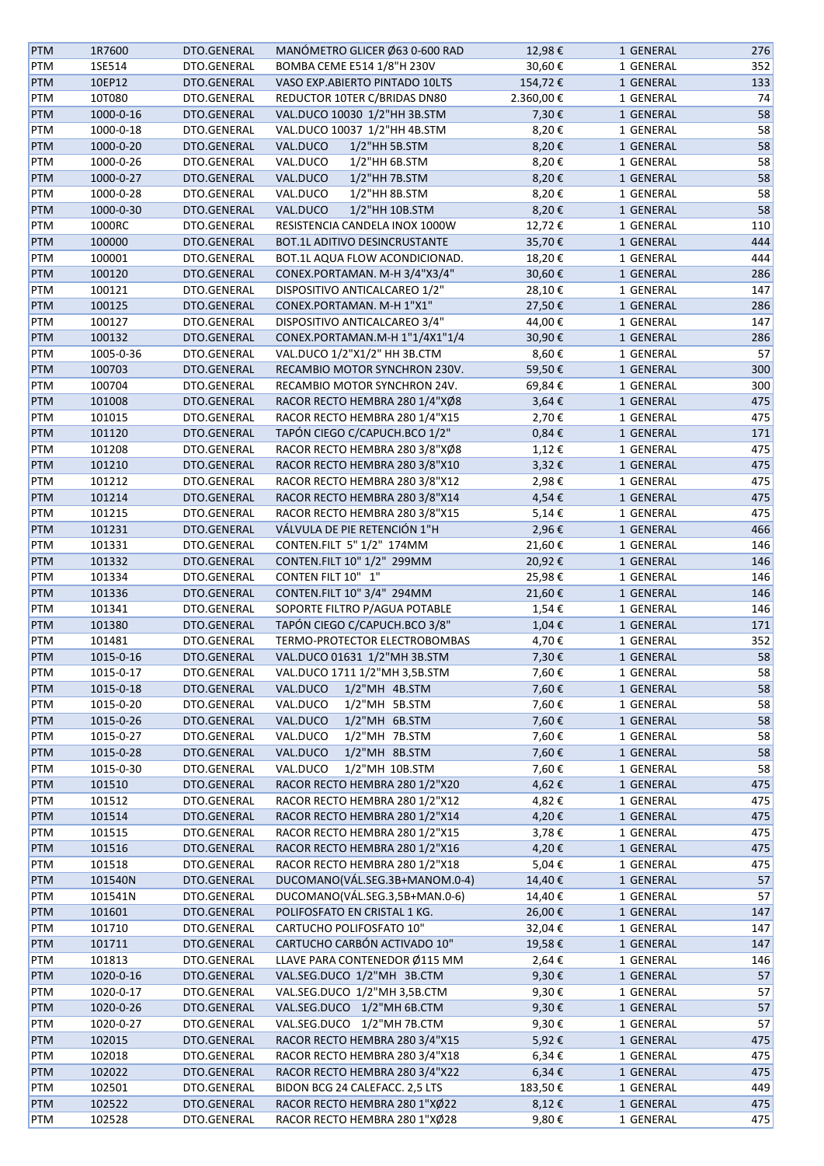| <b>PTM</b> | 1R7600    | DTO.GENERAL | MANÓMETRO GLICER Ø63 0-600 RAD  | 12,98€     | 1 GENERAL | 276 |
|------------|-----------|-------------|---------------------------------|------------|-----------|-----|
| PTM        | 1SE514    | DTO.GENERAL | BOMBA CEME E514 1/8"H 230V      | 30,60€     | 1 GENERAL | 352 |
| PTM        | 10EP12    | DTO.GENERAL | VASO EXP.ABIERTO PINTADO 10LTS  | 154,72€    | 1 GENERAL | 133 |
| PTM        | 10T080    | DTO.GENERAL | REDUCTOR 10TER C/BRIDAS DN80    | 2.360,00€  | 1 GENERAL | 74  |
| PTM        | 1000-0-16 | DTO.GENERAL | VAL.DUCO 10030 1/2"HH 3B.STM    | 7,30€      | 1 GENERAL | 58  |
| PTM        | 1000-0-18 | DTO.GENERAL | VAL.DUCO 10037 1/2"HH 4B.STM    | 8,20€      | 1 GENERAL | 58  |
| PTM        | 1000-0-20 | DTO.GENERAL | VAL.DUCO<br>1/2"HH 5B.STM       | 8,20€      | 1 GENERAL | 58  |
| PTM        | 1000-0-26 | DTO.GENERAL | VAL.DUCO<br>1/2"HH 6B.STM       | 8,20€      | 1 GENERAL | 58  |
| PTM        | 1000-0-27 | DTO.GENERAL | VAL.DUCO<br>1/2"HH 7B.STM       | 8,20€      | 1 GENERAL | 58  |
|            |           |             | 1/2"HH 8B.STM                   |            |           |     |
| PTM        | 1000-0-28 | DTO.GENERAL | VAL.DUCO                        | 8,20€      | 1 GENERAL | 58  |
| <b>PTM</b> | 1000-0-30 | DTO.GENERAL | VAL.DUCO<br>1/2"HH 10B.STM      | 8,20€      | 1 GENERAL | 58  |
| PTM        | 1000RC    | DTO.GENERAL | RESISTENCIA CANDELA INOX 1000W  | 12,72€     | 1 GENERAL | 110 |
| PTM        | 100000    | DTO.GENERAL | BOT.1L ADITIVO DESINCRUSTANTE   | 35,70€     | 1 GENERAL | 444 |
| PTM        | 100001    | DTO.GENERAL | BOT.1L AQUA FLOW ACONDICIONAD.  | 18,20€     | 1 GENERAL | 444 |
| PTM        | 100120    | DTO.GENERAL | CONEX.PORTAMAN. M-H 3/4"X3/4"   | 30,60€     | 1 GENERAL | 286 |
| PTM        | 100121    | DTO.GENERAL | DISPOSITIVO ANTICALCAREO 1/2"   | 28,10€     | 1 GENERAL | 147 |
| PTM        | 100125    | DTO.GENERAL | CONEX.PORTAMAN. M-H 1"X1"       | 27,50€     | 1 GENERAL | 286 |
| PTM        | 100127    | DTO.GENERAL | DISPOSITIVO ANTICALCAREO 3/4"   | 44,00€     | 1 GENERAL | 147 |
| PTM        | 100132    | DTO.GENERAL | CONEX.PORTAMAN.M-H 1"1/4X1"1/4  | 30,90€     | 1 GENERAL | 286 |
| PTM        | 1005-0-36 | DTO.GENERAL | VAL.DUCO 1/2"X1/2" HH 3B.CTM    | 8,60€      | 1 GENERAL | 57  |
| <b>PTM</b> | 100703    | DTO.GENERAL | RECAMBIO MOTOR SYNCHRON 230V.   | 59,50€     | 1 GENERAL | 300 |
| PTM        | 100704    | DTO.GENERAL | RECAMBIO MOTOR SYNCHRON 24V.    | 69,84€     | 1 GENERAL | 300 |
| <b>PTM</b> | 101008    | DTO.GENERAL | RACOR RECTO HEMBRA 280 1/4"XØ8  | 3,64€      | 1 GENERAL | 475 |
| PTM        | 101015    | DTO.GENERAL | RACOR RECTO HEMBRA 280 1/4"X15  | 2,70€      | 1 GENERAL | 475 |
|            |           |             |                                 |            |           |     |
| <b>PTM</b> | 101120    | DTO.GENERAL | TAPÓN CIEGO C/CAPUCH.BCO 1/2"   | $0,84 \in$ | 1 GENERAL | 171 |
| PTM        | 101208    | DTO.GENERAL | RACOR RECTO HEMBRA 280 3/8"XØ8  | 1,12€      | 1 GENERAL | 475 |
| <b>PTM</b> | 101210    | DTO.GENERAL | RACOR RECTO HEMBRA 280 3/8"X10  | 3,32€      | 1 GENERAL | 475 |
| PTM        | 101212    | DTO.GENERAL | RACOR RECTO HEMBRA 280 3/8"X12  | 2,98€      | 1 GENERAL | 475 |
| PTM        | 101214    | DTO.GENERAL | RACOR RECTO HEMBRA 280 3/8"X14  | 4,54€      | 1 GENERAL | 475 |
| PTM        | 101215    | DTO.GENERAL | RACOR RECTO HEMBRA 280 3/8"X15  | 5,14€      | 1 GENERAL | 475 |
| PTM        | 101231    | DTO.GENERAL | VÁLVULA DE PIE RETENCIÓN 1"H    | 2,96€      | 1 GENERAL | 466 |
| PTM        | 101331    | DTO.GENERAL | CONTEN.FILT 5" 1/2" 174MM       | 21,60€     | 1 GENERAL | 146 |
| <b>PTM</b> | 101332    | DTO.GENERAL | CONTEN.FILT 10" 1/2" 299MM      | 20,92€     | 1 GENERAL | 146 |
| PTM        | 101334    | DTO.GENERAL | CONTEN FILT 10" 1"              | 25,98€     | 1 GENERAL | 146 |
| PTM        | 101336    | DTO.GENERAL | CONTEN.FILT 10" 3/4" 294MM      | 21,60€     | 1 GENERAL | 146 |
| PTM        | 101341    | DTO.GENERAL | SOPORTE FILTRO P/AGUA POTABLE   | 1,54€      | 1 GENERAL | 146 |
| <b>PTM</b> | 101380    | DTO.GENERAL | TAPÓN CIEGO C/CAPUCH.BCO 3/8"   | 1,04€      | 1 GENERAL | 171 |
| PTM        | 101481    | DTO.GENERAL | TERMO-PROTECTOR ELECTROBOMBAS   | 4,70€      | 1 GENERAL | 352 |
| <b>PTM</b> | 1015-0-16 | DTO.GENERAL | VAL.DUCO 01631 1/2"MH 3B.STM    | 7,30€      | 1 GENERAL | 58  |
| PTM        | 1015-0-17 | DTO.GENERAL | VAL.DUCO 1711 1/2"MH 3,5B.STM   | 7,60€      | 1 GENERAL | 58  |
| <b>PTM</b> | 1015-0-18 | DTO.GENERAL | 1/2"MH 4B.STM<br>VAL.DUCO       | 7,60€      |           | 58  |
|            |           |             |                                 |            | 1 GENERAL |     |
| PTM        | 1015-0-20 | DTO.GENERAL | 1/2"MH 5B.STM<br>VAL.DUCO       | 7,60€      | 1 GENERAL | 58  |
| PTM        | 1015-0-26 | DTO.GENERAL | 1/2"MH 6B.STM<br>VAL.DUCO       | 7,60€      | 1 GENERAL | 58  |
| PTM        | 1015-0-27 | DTO.GENERAL | 1/2"MH 7B.STM<br>VAL.DUCO       | 7,60€      | 1 GENERAL | 58  |
| <b>PTM</b> | 1015-0-28 | DTO.GENERAL | 1/2"MH 8B.STM<br>VAL.DUCO       | 7,60€      | 1 GENERAL | 58  |
| PTM        | 1015-0-30 | DTO.GENERAL | 1/2"MH 10B.STM<br>VAL.DUCO      | 7,60€      | 1 GENERAL | 58  |
| PTM        | 101510    | DTO.GENERAL | RACOR RECTO HEMBRA 280 1/2"X20  | 4,62€      | 1 GENERAL | 475 |
| PTM        | 101512    | DTO.GENERAL | RACOR RECTO HEMBRA 280 1/2"X12  | 4,82€      | 1 GENERAL | 475 |
| <b>PTM</b> | 101514    | DTO.GENERAL | RACOR RECTO HEMBRA 280 1/2"X14  | 4,20€      | 1 GENERAL | 475 |
| PTM        | 101515    | DTO.GENERAL | RACOR RECTO HEMBRA 280 1/2"X15  | 3,78€      | 1 GENERAL | 475 |
| PTM        | 101516    | DTO.GENERAL | RACOR RECTO HEMBRA 280 1/2"X16  | 4,20€      | 1 GENERAL | 475 |
| PTM        | 101518    | DTO.GENERAL | RACOR RECTO HEMBRA 280 1/2"X18  | 5,04€      | 1 GENERAL | 475 |
| <b>PTM</b> | 101540N   | DTO.GENERAL | DUCOMANO(VÁL.SEG.3B+MANOM.0-4)  | 14,40€     | 1 GENERAL | 57  |
| PTM        | 101541N   | DTO.GENERAL | DUCOMANO(VÁL.SEG.3,5B+MAN.0-6)  | 14,40€     | 1 GENERAL | 57  |
| PTM        | 101601    | DTO.GENERAL | POLIFOSFATO EN CRISTAL 1 KG.    | 26,00€     | 1 GENERAL | 147 |
| PTM        | 101710    | DTO.GENERAL | <b>CARTUCHO POLIFOSFATO 10"</b> | 32,04€     | 1 GENERAL | 147 |
|            |           |             |                                 |            |           |     |
| <b>PTM</b> | 101711    | DTO.GENERAL | CARTUCHO CARBÓN ACTIVADO 10"    | 19,58€     | 1 GENERAL | 147 |
| PTM        | 101813    | DTO.GENERAL | LLAVE PARA CONTENEDOR Ø115 MM   | 2,64€      | 1 GENERAL | 146 |
| PTM        | 1020-0-16 | DTO.GENERAL | VAL.SEG.DUCO 1/2"MH 3B.CTM      | 9,30€      | 1 GENERAL | 57  |
| PTM        | 1020-0-17 | DTO.GENERAL | VAL.SEG.DUCO 1/2"MH 3,5B.CTM    | 9,30€      | 1 GENERAL | 57  |
| PTM        | 1020-0-26 | DTO.GENERAL | VAL.SEG.DUCO 1/2"MH 6B.CTM      | 9,30€      | 1 GENERAL | 57  |
| PTM        | 1020-0-27 | DTO.GENERAL | VAL.SEG.DUCO 1/2"MH 7B.CTM      | 9,30€      | 1 GENERAL | 57  |
| PTM        | 102015    | DTO.GENERAL | RACOR RECTO HEMBRA 280 3/4"X15  | 5,92€      | 1 GENERAL | 475 |
| PTM        | 102018    | DTO.GENERAL | RACOR RECTO HEMBRA 280 3/4"X18  | 6,34€      | 1 GENERAL | 475 |
| <b>PTM</b> | 102022    | DTO.GENERAL | RACOR RECTO HEMBRA 280 3/4"X22  | 6,34€      | 1 GENERAL | 475 |
| PTM        | 102501    | DTO.GENERAL | BIDON BCG 24 CALEFACC. 2,5 LTS  | 183,50€    | 1 GENERAL | 449 |
| <b>PTM</b> | 102522    | DTO.GENERAL | RACOR RECTO HEMBRA 280 1"XØ22   | 8,12€      | 1 GENERAL | 475 |
| PTM        | 102528    | DTO.GENERAL | RACOR RECTO HEMBRA 280 1"XØ28   | 9,80€      | 1 GENERAL | 475 |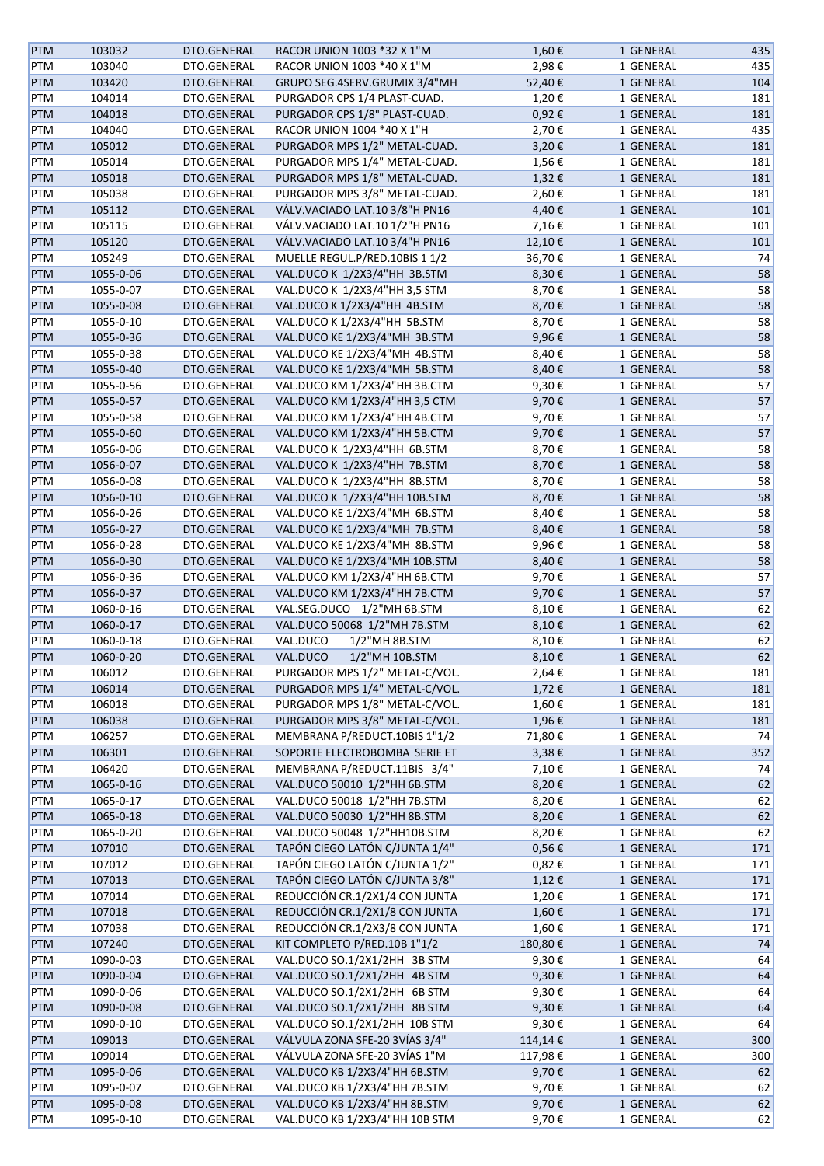| <b>PTM</b> | 103032    | DTO.GENERAL | RACOR UNION 1003 *32 X 1"M       | 1,60€      | 1 GENERAL | 435 |
|------------|-----------|-------------|----------------------------------|------------|-----------|-----|
| PTM        | 103040    | DTO.GENERAL | RACOR UNION 1003 *40 X 1"M       | 2,98€      | 1 GENERAL | 435 |
| <b>PTM</b> | 103420    | DTO.GENERAL | GRUPO SEG.4SERV.GRUMIX 3/4"MH    | 52,40€     | 1 GENERAL | 104 |
| PTM        | 104014    | DTO.GENERAL | PURGADOR CPS 1/4 PLAST-CUAD.     | 1,20€      | 1 GENERAL | 181 |
| <b>PTM</b> | 104018    | DTO.GENERAL | PURGADOR CPS 1/8" PLAST-CUAD.    | 0,92€      | 1 GENERAL | 181 |
| PTM        | 104040    | DTO.GENERAL | RACOR UNION 1004 *40 X 1"H       | 2,70€      | 1 GENERAL | 435 |
| PTM        | 105012    | DTO.GENERAL | PURGADOR MPS 1/2" METAL-CUAD.    | 3,20€      | 1 GENERAL | 181 |
| PTM        | 105014    | DTO.GENERAL | PURGADOR MPS 1/4" METAL-CUAD.    | 1,56€      | 1 GENERAL | 181 |
|            |           |             |                                  |            |           |     |
| <b>PTM</b> | 105018    | DTO.GENERAL | PURGADOR MPS 1/8" METAL-CUAD.    | 1,32€      | 1 GENERAL | 181 |
| PTM        | 105038    | DTO.GENERAL | PURGADOR MPS 3/8" METAL-CUAD.    | 2,60€      | 1 GENERAL | 181 |
| <b>PTM</b> | 105112    | DTO.GENERAL | VÁLV. VACIADO LAT. 10 3/8"H PN16 | 4,40€      | 1 GENERAL | 101 |
| PTM        | 105115    | DTO.GENERAL | VÁLV. VACIADO LAT. 10 1/2"H PN16 | 7,16€      | 1 GENERAL | 101 |
| PTM        | 105120    | DTO.GENERAL | VÁLV. VACIADO LAT. 10 3/4"H PN16 | 12,10€     | 1 GENERAL | 101 |
| PTM        | 105249    | DTO.GENERAL | MUELLE REGUL.P/RED.10BIS 1 1/2   | 36,70€     | 1 GENERAL | 74  |
| PTM        | 1055-0-06 | DTO.GENERAL | VAL.DUCO K 1/2X3/4"HH 3B.STM     | 8,30€      | 1 GENERAL | 58  |
| PTM        | 1055-0-07 | DTO.GENERAL | VAL.DUCO K 1/2X3/4"HH 3,5 STM    | 8,70€      | 1 GENERAL | 58  |
| PTM        | 1055-0-08 | DTO.GENERAL | VAL.DUCO K 1/2X3/4"HH 4B.STM     | 8,70€      | 1 GENERAL | 58  |
| PTM        | 1055-0-10 | DTO.GENERAL | VAL.DUCO K 1/2X3/4"HH 5B.STM     | 8,70€      | 1 GENERAL | 58  |
| PTM        | 1055-0-36 | DTO.GENERAL | VAL.DUCO KE 1/2X3/4"MH 3B.STM    | 9,96€      | 1 GENERAL | 58  |
| PTM        | 1055-0-38 | DTO.GENERAL | VAL.DUCO KE 1/2X3/4"MH 4B.STM    | 8,40€      | 1 GENERAL | 58  |
| <b>PTM</b> | 1055-0-40 | DTO.GENERAL | VAL.DUCO KE 1/2X3/4"MH 5B.STM    | 8,40€      | 1 GENERAL | 58  |
| PTM        | 1055-0-56 | DTO.GENERAL | VAL.DUCO KM 1/2X3/4"HH 3B.CTM    |            | 1 GENERAL | 57  |
|            |           |             |                                  | 9,30€      |           |     |
| PTM        | 1055-0-57 | DTO.GENERAL | VAL.DUCO KM 1/2X3/4"HH 3,5 CTM   | 9,70€      | 1 GENERAL | 57  |
| PTM        | 1055-0-58 | DTO.GENERAL | VAL.DUCO KM 1/2X3/4"HH 4B.CTM    | 9,70€      | 1 GENERAL | 57  |
| PTM        | 1055-0-60 | DTO.GENERAL | VAL.DUCO KM 1/2X3/4"HH 5B.CTM    | 9,70€      | 1 GENERAL | 57  |
| PTM        | 1056-0-06 | DTO.GENERAL | VAL.DUCO K 1/2X3/4"HH 6B.STM     | 8,70€      | 1 GENERAL | 58  |
| <b>PTM</b> | 1056-0-07 | DTO.GENERAL | VAL.DUCO K 1/2X3/4"HH 7B.STM     | 8,70€      | 1 GENERAL | 58  |
| PTM        | 1056-0-08 | DTO.GENERAL | VAL.DUCO K 1/2X3/4"HH 8B.STM     | 8,70€      | 1 GENERAL | 58  |
| PTM        | 1056-0-10 | DTO.GENERAL | VAL.DUCO K 1/2X3/4"HH 10B.STM    | 8,70€      | 1 GENERAL | 58  |
| PTM        | 1056-0-26 | DTO.GENERAL | VAL.DUCO KE 1/2X3/4"MH 6B.STM    | 8,40€      | 1 GENERAL | 58  |
| <b>PTM</b> | 1056-0-27 | DTO.GENERAL | VAL.DUCO KE 1/2X3/4"MH 7B.STM    | 8,40€      | 1 GENERAL | 58  |
| PTM        | 1056-0-28 | DTO.GENERAL | VAL.DUCO KE 1/2X3/4"MH 8B.STM    | 9,96€      | 1 GENERAL | 58  |
| PTM        | 1056-0-30 | DTO.GENERAL | VAL.DUCO KE 1/2X3/4"MH 10B.STM   | 8,40€      | 1 GENERAL | 58  |
| PTM        | 1056-0-36 | DTO.GENERAL | VAL.DUCO KM 1/2X3/4"HH 6B.CTM    | 9,70€      | 1 GENERAL | 57  |
| PTM        | 1056-0-37 | DTO.GENERAL | VAL.DUCO KM 1/2X3/4"HH 7B.CTM    | 9,70€      | 1 GENERAL | 57  |
|            |           | DTO.GENERAL | VAL.SEG.DUCO 1/2"MH 6B.STM       |            | 1 GENERAL | 62  |
| PTM        | 1060-0-16 |             |                                  | 8,10€      |           |     |
| <b>PTM</b> | 1060-0-17 | DTO.GENERAL | VAL.DUCO 50068 1/2"MH 7B.STM     | 8,10€      | 1 GENERAL | 62  |
| PTM        | 1060-0-18 | DTO.GENERAL | VAL.DUCO<br>$1/2$ "MH 8B.STM     | 8,10€      | 1 GENERAL | 62  |
| <b>PTM</b> | 1060-0-20 | DTO.GENERAL | 1/2"MH 10B.STM<br>VAL.DUCO       | 8,10€      | 1 GENERAL | 62  |
| PTM        | 106012    | DTO.GENERAL | PURGADOR MPS 1/2" METAL-C/VOL.   | 2,64€      | 1 GENERAL | 181 |
| <b>PTM</b> | 106014    | DTO.GENERAL | PURGADOR MPS 1/4" METAL-C/VOL.   | 1,72€      | 1 GENERAL | 181 |
| PTM        | 106018    | DTO.GENERAL | PURGADOR MPS 1/8" METAL-C/VOL.   | 1,60€      | 1 GENERAL | 181 |
| PTM        | 106038    | DTO.GENERAL | PURGADOR MPS 3/8" METAL-C/VOL.   | 1,96€      | 1 GENERAL | 181 |
| PTM        | 106257    | DTO.GENERAL | MEMBRANA P/REDUCT.10BIS 1"1/2    | 71,80€     | 1 GENERAL | 74  |
| PTM        | 106301    | DTO.GENERAL | SOPORTE ELECTROBOMBA SERIE ET    | 3,38€      | 1 GENERAL | 352 |
| PTM        | 106420    | DTO.GENERAL | MEMBRANA P/REDUCT.11BIS 3/4"     | 7,10€      | 1 GENERAL | 74  |
| PTM        | 1065-0-16 | DTO.GENERAL | VAL.DUCO 50010 1/2"HH 6B.STM     | 8,20€      | 1 GENERAL | 62  |
| PTM        | 1065-0-17 | DTO.GENERAL | VAL.DUCO 50018 1/2"HH 7B.STM     | 8,20€      | 1 GENERAL | 62  |
| <b>PTM</b> | 1065-0-18 | DTO.GENERAL | VAL.DUCO 50030 1/2"HH 8B.STM     | 8,20€      | 1 GENERAL | 62  |
|            |           |             |                                  |            |           |     |
| PTM        | 1065-0-20 | DTO.GENERAL | VAL.DUCO 50048 1/2"HH10B.STM     | 8,20€      | 1 GENERAL | 62  |
| PTM        | 107010    | DTO.GENERAL | TAPÓN CIEGO LATÓN C/JUNTA 1/4"   | $0,56 \in$ | 1 GENERAL | 171 |
| PTM        | 107012    | DTO.GENERAL | TAPÓN CIEGO LATÓN C/JUNTA 1/2"   | 0,82€      | 1 GENERAL | 171 |
| <b>PTM</b> | 107013    | DTO.GENERAL | TAPÓN CIEGO LATÓN C/JUNTA 3/8"   | 1,12€      | 1 GENERAL | 171 |
| PTM        | 107014    | DTO.GENERAL | REDUCCIÓN CR.1/2X1/4 CON JUNTA   | 1,20€      | 1 GENERAL | 171 |
| PTM        | 107018    | DTO.GENERAL | REDUCCIÓN CR.1/2X1/8 CON JUNTA   | 1,60€      | 1 GENERAL | 171 |
| PTM        | 107038    | DTO.GENERAL | REDUCCIÓN CR.1/2X3/8 CON JUNTA   | 1,60€      | 1 GENERAL | 171 |
| <b>PTM</b> | 107240    | DTO.GENERAL | KIT COMPLETO P/RED.10B 1"1/2     | 180,80€    | 1 GENERAL | 74  |
| PTM        | 1090-0-03 | DTO.GENERAL | VAL.DUCO SO.1/2X1/2HH 3B STM     | 9,30€      | 1 GENERAL | 64  |
| <b>PTM</b> | 1090-0-04 | DTO.GENERAL | VAL.DUCO SO.1/2X1/2HH 4B STM     | 9,30€      | 1 GENERAL | 64  |
| PTM        | 1090-0-06 | DTO.GENERAL | VAL.DUCO SO.1/2X1/2HH 6B STM     | 9,30€      | 1 GENERAL | 64  |
| <b>PTM</b> | 1090-0-08 | DTO.GENERAL | VAL.DUCO SO.1/2X1/2HH 8B STM     | 9,30€      | 1 GENERAL | 64  |
| PTM        | 1090-0-10 | DTO.GENERAL | VAL.DUCO SO.1/2X1/2HH 10B STM    | 9,30€      | 1 GENERAL | 64  |
|            |           |             | VÁLVULA ZONA SFE-20 3VÍAS 3/4"   |            |           |     |
| PTM        | 109013    | DTO.GENERAL |                                  | 114,14€    | 1 GENERAL | 300 |
| PTM        | 109014    | DTO.GENERAL | VÁLVULA ZONA SFE-20 3VÍAS 1"M    | 117,98€    | 1 GENERAL | 300 |
| <b>PTM</b> | 1095-0-06 | DTO.GENERAL | VAL.DUCO KB 1/2X3/4"HH 6B.STM    | 9,70€      | 1 GENERAL | 62  |
| PTM        | 1095-0-07 | DTO.GENERAL | VAL.DUCO KB 1/2X3/4"HH 7B.STM    | 9,70€      | 1 GENERAL | 62  |
| <b>PTM</b> | 1095-0-08 | DTO.GENERAL | VAL.DUCO KB 1/2X3/4"HH 8B.STM    | 9,70€      | 1 GENERAL | 62  |
| PTM        | 1095-0-10 | DTO.GENERAL | VAL.DUCO KB 1/2X3/4"HH 10B STM   | 9,70€      | 1 GENERAL | 62  |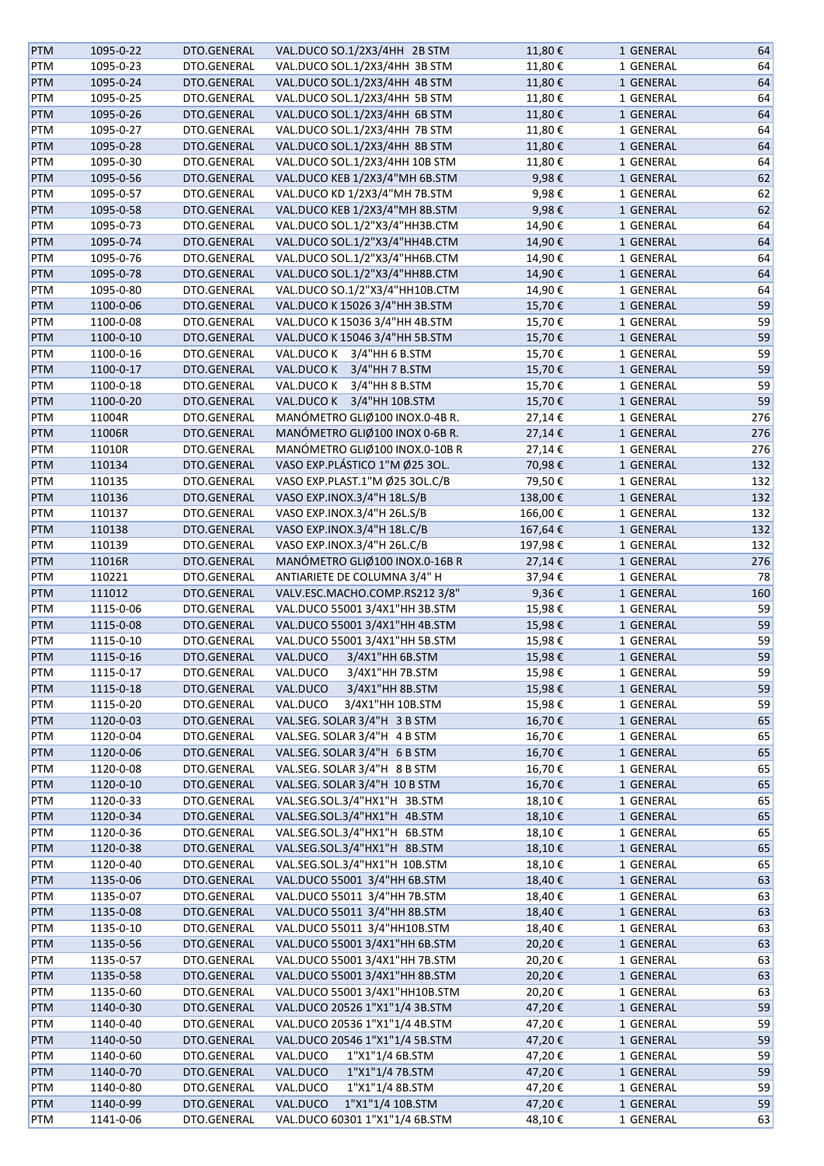| <b>PTM</b> | 1095-0-22 | DTO.GENERAL | VAL.DUCO SO.1/2X3/4HH 2B STM   | 11,80€  | 1 GENERAL | 64  |
|------------|-----------|-------------|--------------------------------|---------|-----------|-----|
| PTM        | 1095-0-23 | DTO.GENERAL | VAL.DUCO SOL.1/2X3/4HH 3B STM  | 11,80€  | 1 GENERAL | 64  |
| <b>PTM</b> | 1095-0-24 | DTO.GENERAL | VAL.DUCO SOL.1/2X3/4HH 4B STM  | 11,80€  | 1 GENERAL | 64  |
|            |           |             |                                |         |           |     |
| PTM        | 1095-0-25 | DTO.GENERAL | VAL.DUCO SOL.1/2X3/4HH 5B STM  | 11,80€  | 1 GENERAL | 64  |
| PTM        | 1095-0-26 | DTO.GENERAL | VAL.DUCO SOL.1/2X3/4HH 6B STM  | 11,80€  | 1 GENERAL | 64  |
| PTM        | 1095-0-27 | DTO.GENERAL | VAL.DUCO SOL.1/2X3/4HH 7B STM  | 11,80€  | 1 GENERAL | 64  |
| PTM        | 1095-0-28 | DTO.GENERAL | VAL.DUCO SOL.1/2X3/4HH 8B STM  | 11,80€  | 1 GENERAL | 64  |
| PTM        | 1095-0-30 | DTO.GENERAL | VAL.DUCO SOL.1/2X3/4HH 10B STM | 11,80€  | 1 GENERAL | 64  |
| PTM        | 1095-0-56 | DTO.GENERAL | VAL.DUCO KEB 1/2X3/4"MH 6B.STM | 9,98€   | 1 GENERAL | 62  |
| PTM        | 1095-0-57 | DTO.GENERAL | VAL.DUCO KD 1/2X3/4"MH 7B.STM  | 9,98€   | 1 GENERAL | 62  |
| <b>PTM</b> | 1095-0-58 | DTO.GENERAL | VAL.DUCO KEB 1/2X3/4"MH 8B.STM | 9,98€   | 1 GENERAL | 62  |
| PTM        | 1095-0-73 | DTO.GENERAL | VAL.DUCO SOL.1/2"X3/4"HH3B.CTM | 14,90€  | 1 GENERAL | 64  |
| PTM        | 1095-0-74 | DTO.GENERAL | VAL.DUCO SOL.1/2"X3/4"HH4B.CTM | 14,90€  | 1 GENERAL | 64  |
|            |           |             |                                |         |           |     |
| PTM        | 1095-0-76 | DTO.GENERAL | VAL.DUCO SOL.1/2"X3/4"HH6B.CTM | 14,90€  | 1 GENERAL | 64  |
| PTM        | 1095-0-78 | DTO.GENERAL | VAL.DUCO SOL.1/2"X3/4"HH8B.CTM | 14,90€  | 1 GENERAL | 64  |
| PTM        | 1095-0-80 | DTO.GENERAL | VAL.DUCO SO.1/2"X3/4"HH10B.CTM | 14,90€  | 1 GENERAL | 64  |
| PTM        | 1100-0-06 | DTO.GENERAL | VAL.DUCO K 15026 3/4"HH 3B.STM | 15,70€  | 1 GENERAL | 59  |
| PTM        | 1100-0-08 | DTO.GENERAL | VAL.DUCO K 15036 3/4"HH 4B.STM | 15,70€  | 1 GENERAL | 59  |
| PTM        | 1100-0-10 | DTO.GENERAL | VAL.DUCO K 15046 3/4"HH 5B.STM | 15,70€  | 1 GENERAL | 59  |
| PTM        | 1100-0-16 | DTO.GENERAL | VAL.DUCO K 3/4"HH 6 B.STM      | 15,70€  | 1 GENERAL | 59  |
| <b>PTM</b> | 1100-0-17 | DTO.GENERAL | VAL.DUCO K 3/4"HH 7 B.STM      | 15,70€  | 1 GENERAL | 59  |
| PTM        | 1100-0-18 | DTO.GENERAL | VAL.DUCO K 3/4"HH 8 B.STM      | 15,70€  | 1 GENERAL | 59  |
|            |           |             |                                |         |           |     |
| PTM        | 1100-0-20 | DTO.GENERAL | VAL.DUCO K 3/4"HH 10B.STM      | 15,70€  | 1 GENERAL | 59  |
| PTM        | 11004R    | DTO.GENERAL | MANÓMETRO GLIØ100 INOX.0-4B R. | 27,14€  | 1 GENERAL | 276 |
| PTM        | 11006R    | DTO.GENERAL | MANÓMETRO GLIØ100 INOX 0-6B R. | 27,14€  | 1 GENERAL | 276 |
| PTM        | 11010R    | DTO.GENERAL | MANÓMETRO GLIØ100 INOX.0-10BR  | 27,14€  | 1 GENERAL | 276 |
| <b>PTM</b> | 110134    | DTO.GENERAL | VASO EXP.PLÁSTICO 1"M Ø25 3OL. | 70,98€  | 1 GENERAL | 132 |
| PTM        | 110135    | DTO.GENERAL | VASO EXP.PLAST.1"M Ø25 3OL.C/B | 79,50€  | 1 GENERAL | 132 |
| PTM        | 110136    | DTO.GENERAL | VASO EXP.INOX.3/4"H 18L.S/B    | 138,00€ | 1 GENERAL | 132 |
| PTM        | 110137    | DTO.GENERAL | VASO EXP.INOX.3/4"H 26L.S/B    | 166,00€ | 1 GENERAL | 132 |
| <b>PTM</b> | 110138    | DTO.GENERAL | VASO EXP.INOX.3/4"H 18L.C/B    | 167,64€ | 1 GENERAL | 132 |
|            |           |             |                                |         |           |     |
| PTM        | 110139    | DTO.GENERAL | VASO EXP.INOX.3/4"H 26L.C/B    | 197,98€ | 1 GENERAL | 132 |
| PTM        | 11016R    | DTO.GENERAL | MANÓMETRO GLIØ100 INOX.0-16B R | 27,14€  | 1 GENERAL | 276 |
| PTM        | 110221    | DTO.GENERAL | ANTIARIETE DE COLUMNA 3/4" H   | 37,94€  | 1 GENERAL | 78  |
| PTM        | 111012    | DTO.GENERAL | VALV.ESC.MACHO.COMP.RS212 3/8" | 9,36€   | 1 GENERAL | 160 |
| PTM        | 1115-0-06 | DTO.GENERAL | VAL.DUCO 55001 3/4X1"HH 3B.STM | 15,98€  | 1 GENERAL | 59  |
| <b>PTM</b> | 1115-0-08 | DTO.GENERAL | VAL.DUCO 55001 3/4X1"HH 4B.STM | 15,98€  | 1 GENERAL | 59  |
| PTM        | 1115-0-10 | DTO.GENERAL | VAL.DUCO 55001 3/4X1"HH 5B.STM | 15,98€  | 1 GENERAL | 59  |
| <b>PTM</b> | 1115-0-16 | DTO.GENERAL | 3/4X1"HH 6B.STM<br>VAL.DUCO    | 15,98€  | 1 GENERAL | 59  |
| PTM        | 1115-0-17 | DTO.GENERAL | VAL.DUCO<br>3/4X1"HH 7B.STM    | 15,98€  | 1 GENERAL | 59  |
| <b>PTM</b> | 1115-0-18 | DTO.GENERAL | 3/4X1"HH 8B.STM<br>VAL.DUCO    | 15,98€  | 1 GENERAL | 59  |
|            |           |             | 3/4X1"HH 10B.STM               |         |           | 59  |
| PTM        | 1115-0-20 | DTO.GENERAL | VAL.DUCO                       | 15,98€  | 1 GENERAL |     |
| PTM        | 1120-0-03 | DTO.GENERAL | VAL.SEG. SOLAR 3/4"H 3 B STM   | 16,70€  | 1 GENERAL | 65  |
| PTM        | 1120-0-04 | DTO.GENERAL | VAL.SEG. SOLAR 3/4"H 4 B STM   | 16,70€  | 1 GENERAL | 65  |
| <b>PTM</b> | 1120-0-06 | DTO.GENERAL | VAL.SEG. SOLAR 3/4"H 6 B STM   | 16,70€  | 1 GENERAL | 65  |
| PTM        | 1120-0-08 | DTO.GENERAL | VAL.SEG. SOLAR 3/4"H 8 B STM   | 16,70€  | 1 GENERAL | 65  |
| PTM        | 1120-0-10 | DTO.GENERAL | VAL.SEG. SOLAR 3/4"H 10 B STM  | 16,70€  | 1 GENERAL | 65  |
| PTM        | 1120-0-33 | DTO.GENERAL | VAL.SEG.SOL.3/4"HX1"H 3B.STM   | 18,10€  | 1 GENERAL | 65  |
| <b>PTM</b> | 1120-0-34 | DTO.GENERAL | VAL.SEG.SOL.3/4"HX1"H 4B.STM   | 18,10€  | 1 GENERAL | 65  |
| PTM        | 1120-0-36 | DTO.GENERAL | VAL.SEG.SOL.3/4"HX1"H 6B.STM   | 18,10€  | 1 GENERAL | 65  |
| PTM        | 1120-0-38 | DTO.GENERAL | VAL.SEG.SOL.3/4"HX1"H 8B.STM   | 18,10€  | 1 GENERAL | 65  |
|            |           |             |                                |         |           |     |
| PTM        | 1120-0-40 | DTO.GENERAL | VAL.SEG.SOL.3/4"HX1"H 10B.STM  | 18,10€  | 1 GENERAL | 65  |
| <b>PTM</b> | 1135-0-06 | DTO.GENERAL | VAL.DUCO 55001 3/4"HH 6B.STM   | 18,40€  | 1 GENERAL | 63  |
| PTM        | 1135-0-07 | DTO.GENERAL | VAL.DUCO 55011 3/4"HH 7B.STM   | 18,40€  | 1 GENERAL | 63  |
| PTM        | 1135-0-08 | DTO.GENERAL | VAL.DUCO 55011 3/4"HH 8B.STM   | 18,40€  | 1 GENERAL | 63  |
| PTM        | 1135-0-10 | DTO.GENERAL | VAL.DUCO 55011 3/4"HH10B.STM   | 18,40€  | 1 GENERAL | 63  |
| <b>PTM</b> | 1135-0-56 | DTO.GENERAL | VAL.DUCO 55001 3/4X1"HH 6B.STM | 20,20€  | 1 GENERAL | 63  |
| PTM        | 1135-0-57 | DTO.GENERAL | VAL.DUCO 55001 3/4X1"HH 7B.STM | 20,20€  | 1 GENERAL | 63  |
| <b>PTM</b> | 1135-0-58 | DTO.GENERAL | VAL.DUCO 55001 3/4X1"HH 8B.STM | 20,20€  | 1 GENERAL | 63  |
| PTM        | 1135-0-60 | DTO.GENERAL | VAL.DUCO 55001 3/4X1"HH10B.STM | 20,20€  | 1 GENERAL | 63  |
| <b>PTM</b> |           | DTO.GENERAL | VAL.DUCO 20526 1"X1"1/4 3B.STM |         |           |     |
|            | 1140-0-30 |             |                                | 47,20€  | 1 GENERAL | 59  |
| PTM        | 1140-0-40 | DTO.GENERAL | VAL.DUCO 20536 1"X1"1/4 4B.STM | 47,20€  | 1 GENERAL | 59  |
| PTM        | 1140-0-50 | DTO.GENERAL | VAL.DUCO 20546 1"X1"1/4 5B.STM | 47,20€  | 1 GENERAL | 59  |
| PTM        | 1140-0-60 | DTO.GENERAL | 1"X1"1/4 6B.STM<br>VAL.DUCO    | 47,20€  | 1 GENERAL | 59  |
| <b>PTM</b> | 1140-0-70 | DTO.GENERAL | VAL.DUCO<br>1"X1"1/4 7B.STM    | 47,20€  | 1 GENERAL | 59  |
| PTM        | 1140-0-80 | DTO.GENERAL | 1"X1"1/4 8B.STM<br>VAL.DUCO    | 47,20€  | 1 GENERAL | 59  |
| <b>PTM</b> | 1140-0-99 | DTO.GENERAL | 1"X1"1/4 10B.STM<br>VAL.DUCO   | 47,20€  | 1 GENERAL | 59  |
| PTM        | 1141-0-06 | DTO.GENERAL | VAL.DUCO 60301 1"X1"1/4 6B.STM | 48,10€  | 1 GENERAL | 63  |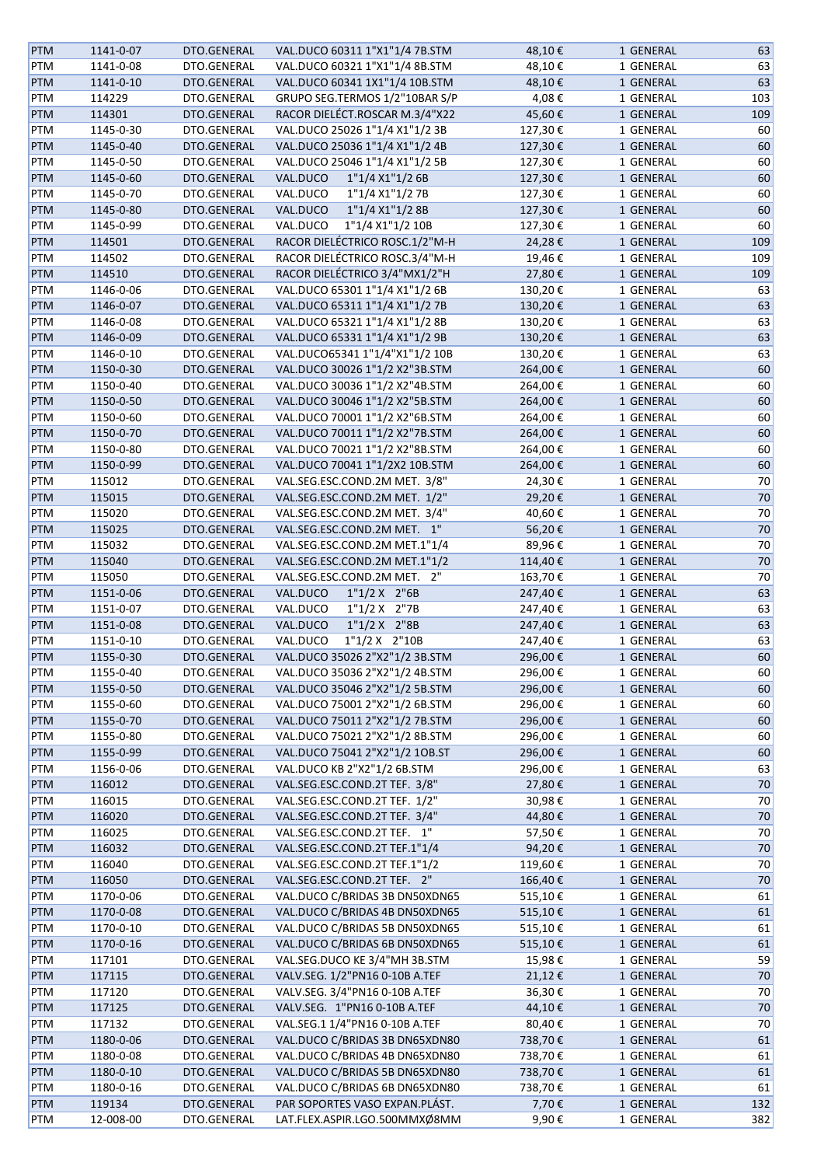| <b>PTM</b> | 1141-0-07 | DTO.GENERAL | VAL.DUCO 60311 1"X1"1/4 7B.STM | 48,10€  | 1 GENERAL | 63     |
|------------|-----------|-------------|--------------------------------|---------|-----------|--------|
| PTM        | 1141-0-08 | DTO.GENERAL | VAL.DUCO 60321 1"X1"1/4 8B.STM | 48,10€  | 1 GENERAL | 63     |
| <b>PTM</b> | 1141-0-10 | DTO.GENERAL | VAL.DUCO 60341 1X1"1/4 10B.STM | 48,10€  | 1 GENERAL | 63     |
| PTM        | 114229    | DTO.GENERAL | GRUPO SEG.TERMOS 1/2"10BAR S/P | 4,08€   |           | 103    |
|            |           |             |                                |         | 1 GENERAL |        |
| <b>PTM</b> | 114301    | DTO.GENERAL | RACOR DIELÉCT.ROSCAR M.3/4"X22 | 45,60€  | 1 GENERAL | 109    |
| <b>PTM</b> | 1145-0-30 | DTO.GENERAL | VAL.DUCO 25026 1"1/4 X1"1/2 3B | 127,30€ | 1 GENERAL | 60     |
| <b>PTM</b> | 1145-0-40 | DTO.GENERAL | VAL.DUCO 25036 1"1/4 X1"1/2 4B | 127,30€ | 1 GENERAL | 60     |
| <b>PTM</b> | 1145-0-50 | DTO.GENERAL | VAL.DUCO 25046 1"1/4 X1"1/2 5B | 127,30€ | 1 GENERAL | 60     |
| <b>PTM</b> | 1145-0-60 | DTO.GENERAL | 1"1/4 X1"1/2 6B<br>VAL.DUCO    | 127,30€ | 1 GENERAL | 60     |
| <b>PTM</b> | 1145-0-70 | DTO.GENERAL | 1"1/4 X1"1/2 7B<br>VAL.DUCO    | 127,30€ | 1 GENERAL | 60     |
| <b>PTM</b> | 1145-0-80 | DTO.GENERAL | 1"1/4 X1"1/2 8B<br>VAL.DUCO    | 127,30€ | 1 GENERAL | 60     |
| PTM        | 1145-0-99 | DTO.GENERAL | 1"1/4 X1"1/2 10B<br>VAL.DUCO   | 127,30€ | 1 GENERAL | 60     |
|            |           |             |                                |         |           |        |
| PTM        | 114501    | DTO.GENERAL | RACOR DIELÉCTRICO ROSC.1/2"M-H | 24,28€  | 1 GENERAL | 109    |
| PTM        | 114502    | DTO.GENERAL | RACOR DIELÉCTRICO ROSC.3/4"M-H | 19,46€  | 1 GENERAL | 109    |
| <b>PTM</b> | 114510    | DTO.GENERAL | RACOR DIELÉCTRICO 3/4"MX1/2"H  | 27,80€  | 1 GENERAL | 109    |
| <b>PTM</b> | 1146-0-06 | DTO.GENERAL | VAL.DUCO 65301 1"1/4 X1"1/2 6B | 130,20€ | 1 GENERAL | 63     |
| <b>PTM</b> | 1146-0-07 | DTO.GENERAL | VAL.DUCO 65311 1"1/4 X1"1/2 7B | 130,20€ | 1 GENERAL | 63     |
| PTM        | 1146-0-08 | DTO.GENERAL | VAL.DUCO 65321 1"1/4 X1"1/2 8B | 130,20€ | 1 GENERAL | 63     |
| <b>PTM</b> | 1146-0-09 | DTO.GENERAL | VAL.DUCO 65331 1"1/4 X1"1/2 9B | 130,20€ | 1 GENERAL | 63     |
| <b>PTM</b> | 1146-0-10 | DTO.GENERAL | VAL.DUCO65341 1"1/4"X1"1/2 10B | 130,20€ | 1 GENERAL | 63     |
| PTM        | 1150-0-30 | DTO.GENERAL | VAL.DUCO 30026 1"1/2 X2"3B.STM | 264,00€ | 1 GENERAL | 60     |
|            |           |             |                                |         |           |        |
| PTM        | 1150-0-40 | DTO.GENERAL | VAL.DUCO 30036 1"1/2 X2"4B.STM | 264,00€ | 1 GENERAL | 60     |
| <b>PTM</b> | 1150-0-50 | DTO.GENERAL | VAL.DUCO 30046 1"1/2 X2"5B.STM | 264,00€ | 1 GENERAL | 60     |
| PTM        | 1150-0-60 | DTO.GENERAL | VAL.DUCO 70001 1"1/2 X2"6B.STM | 264,00€ | 1 GENERAL | 60     |
| <b>PTM</b> | 1150-0-70 | DTO.GENERAL | VAL.DUCO 70011 1"1/2 X2"7B.STM | 264,00€ | 1 GENERAL | 60     |
| PTM        | 1150-0-80 | DTO.GENERAL | VAL.DUCO 70021 1"1/2 X2"8B.STM | 264,00€ | 1 GENERAL | 60     |
| <b>PTM</b> | 1150-0-99 | DTO.GENERAL | VAL.DUCO 70041 1"1/2X2 10B.STM | 264,00€ | 1 GENERAL | 60     |
| <b>PTM</b> | 115012    | DTO.GENERAL | VAL.SEG.ESC.COND.2M MET. 3/8"  | 24,30€  | 1 GENERAL | 70     |
| <b>PTM</b> | 115015    | DTO.GENERAL | VAL.SEG.ESC.COND.2M MET. 1/2"  | 29,20€  | 1 GENERAL | 70     |
| PTM        | 115020    | DTO.GENERAL | VAL.SEG.ESC.COND.2M MET. 3/4"  | 40,60€  | 1 GENERAL | 70     |
| <b>PTM</b> | 115025    |             | VAL.SEG.ESC.COND.2M MET. 1"    | 56,20€  |           | $70\,$ |
|            |           | DTO.GENERAL |                                |         | 1 GENERAL |        |
| <b>PTM</b> | 115032    | DTO.GENERAL | VAL.SEG.ESC.COND.2M MET.1"1/4  | 89,96€  | 1 GENERAL | 70     |
| <b>PTM</b> | 115040    | DTO.GENERAL | VAL.SEG.ESC.COND.2M MET.1"1/2  | 114,40€ | 1 GENERAL | 70     |
| <b>PTM</b> | 115050    | DTO.GENERAL | VAL.SEG.ESC.COND.2M MET. 2"    | 163,70€ | 1 GENERAL | 70     |
| <b>PTM</b> | 1151-0-06 | DTO.GENERAL | 1"1/2 X 2"6B<br>VAL.DUCO       | 247,40€ | 1 GENERAL | 63     |
| <b>PTM</b> | 1151-0-07 | DTO.GENERAL | 1"1/2 X 2"7B<br>VAL.DUCO       | 247,40€ | 1 GENERAL | 63     |
| PTM        | 1151-0-08 | DTO.GENERAL | 1"1/2 X 2"8B<br>VAL.DUCO       | 247,40€ | 1 GENERAL | 63     |
| PTM        | 1151-0-10 | DTO.GENERAL | 1"1/2 X 2"10B<br>VAL.DUCO      | 247,40€ | 1 GENERAL | 63     |
| <b>PTM</b> | 1155-0-30 | DTO.GENERAL | VAL.DUCO 35026 2"X2"1/2 3B.STM | 296,00€ | 1 GENERAL | 60     |
| <b>PTM</b> | 1155-0-40 | DTO.GENERAL | VAL.DUCO 35036 2"X2"1/2 4B.STM | 296,00€ | 1 GENERAL | 60     |
|            |           |             |                                |         |           |        |
| <b>PTM</b> | 1155-0-50 | DTO.GENERAL | VAL.DUCO 35046 2"X2"1/2 5B.STM | 296,00€ | 1 GENERAL | 60     |
| PTM        | 1155-0-60 | DTO.GENERAL | VAL.DUCO 75001 2"X2"1/2 6B.STM | 296,00€ | 1 GENERAL | 60     |
| <b>PTM</b> | 1155-0-70 | DTO.GENERAL | VAL.DUCO 75011 2"X2"1/2 7B.STM | 296,00€ | 1 GENERAL | 60     |
| PTM        | 1155-0-80 | DTO.GENERAL | VAL.DUCO 75021 2"X2"1/2 8B.STM | 296,00€ | 1 GENERAL | 60     |
| <b>PTM</b> | 1155-0-99 | DTO.GENERAL | VAL.DUCO 75041 2"X2"1/2 1OB.ST | 296,00€ | 1 GENERAL | 60     |
| PTM        | 1156-0-06 | DTO.GENERAL | VAL.DUCO KB 2"X2"1/2 6B.STM    | 296,00€ | 1 GENERAL | 63     |
| <b>PTM</b> | 116012    | DTO.GENERAL | VAL.SEG.ESC.COND.2T TEF. 3/8"  | 27,80€  | 1 GENERAL | 70     |
| PTM        | 116015    | DTO.GENERAL | VAL.SEG.ESC.COND.2T TEF. 1/2"  | 30,98€  | 1 GENERAL | 70     |
| <b>PTM</b> | 116020    | DTO.GENERAL | VAL.SEG.ESC.COND.2T TEF. 3/4"  | 44,80€  | 1 GENERAL | 70     |
| PTM        | 116025    | DTO.GENERAL | VAL.SEG.ESC.COND.2T TEF. 1"    | 57,50€  | 1 GENERAL | 70     |
|            |           |             |                                |         |           |        |
| PTM        | 116032    | DTO.GENERAL | VAL.SEG.ESC.COND.2T TEF.1"1/4  | 94,20€  | 1 GENERAL | 70     |
| PTM        | 116040    | DTO.GENERAL | VAL.SEG.ESC.COND.2T TEF.1"1/2  | 119,60€ | 1 GENERAL | 70     |
| <b>PTM</b> | 116050    | DTO.GENERAL | VAL.SEG.ESC.COND.2T TEF. 2"    | 166,40€ | 1 GENERAL | 70     |
| PTM        | 1170-0-06 | DTO.GENERAL | VAL.DUCO C/BRIDAS 3B DN50XDN65 | 515,10€ | 1 GENERAL | 61     |
| <b>PTM</b> | 1170-0-08 | DTO.GENERAL | VAL.DUCO C/BRIDAS 4B DN50XDN65 | 515,10€ | 1 GENERAL | 61     |
| PTM        | 1170-0-10 | DTO.GENERAL | VAL.DUCO C/BRIDAS 5B DN50XDN65 | 515,10€ | 1 GENERAL | 61     |
| <b>PTM</b> | 1170-0-16 | DTO.GENERAL | VAL.DUCO C/BRIDAS 6B DN50XDN65 | 515,10€ | 1 GENERAL | 61     |
| PTM        | 117101    | DTO.GENERAL | VAL.SEG.DUCO KE 3/4"MH 3B.STM  | 15,98€  | 1 GENERAL | 59     |
| <b>PTM</b> | 117115    | DTO.GENERAL | VALV.SEG. 1/2"PN16 0-10B A.TEF | 21,12€  | 1 GENERAL | 70     |
|            |           |             |                                |         |           |        |
| PTM        | 117120    | DTO.GENERAL | VALV.SEG. 3/4"PN16 0-10B A.TEF | 36,30€  | 1 GENERAL | 70     |
| <b>PTM</b> | 117125    | DTO.GENERAL | VALV.SEG. 1"PN16 0-10B A.TEF   | 44,10€  | 1 GENERAL | 70     |
| PTM        | 117132    | DTO.GENERAL | VAL.SEG.1 1/4"PN16 0-10B A.TEF | 80,40€  | 1 GENERAL | 70     |
| PTM        | 1180-0-06 | DTO.GENERAL | VAL.DUCO C/BRIDAS 3B DN65XDN80 | 738,70€ | 1 GENERAL | 61     |
| PTM        | 1180-0-08 | DTO.GENERAL | VAL.DUCO C/BRIDAS 4B DN65XDN80 | 738,70€ | 1 GENERAL | 61     |
| PTM        | 1180-0-10 | DTO.GENERAL | VAL.DUCO C/BRIDAS 5B DN65XDN80 | 738,70€ | 1 GENERAL | 61     |
| PTM        | 1180-0-16 | DTO.GENERAL | VAL.DUCO C/BRIDAS 6B DN65XDN80 | 738,70€ | 1 GENERAL | 61     |
| <b>PTM</b> | 119134    | DTO.GENERAL | PAR SOPORTES VASO EXPAN.PLÁST. | 7,70€   | 1 GENERAL | 132    |
| PTM        | 12-008-00 | DTO.GENERAL | LAT.FLEX.ASPIR.LGO.500MMXØ8MM  | 9,90€   | 1 GENERAL | 382    |
|            |           |             |                                |         |           |        |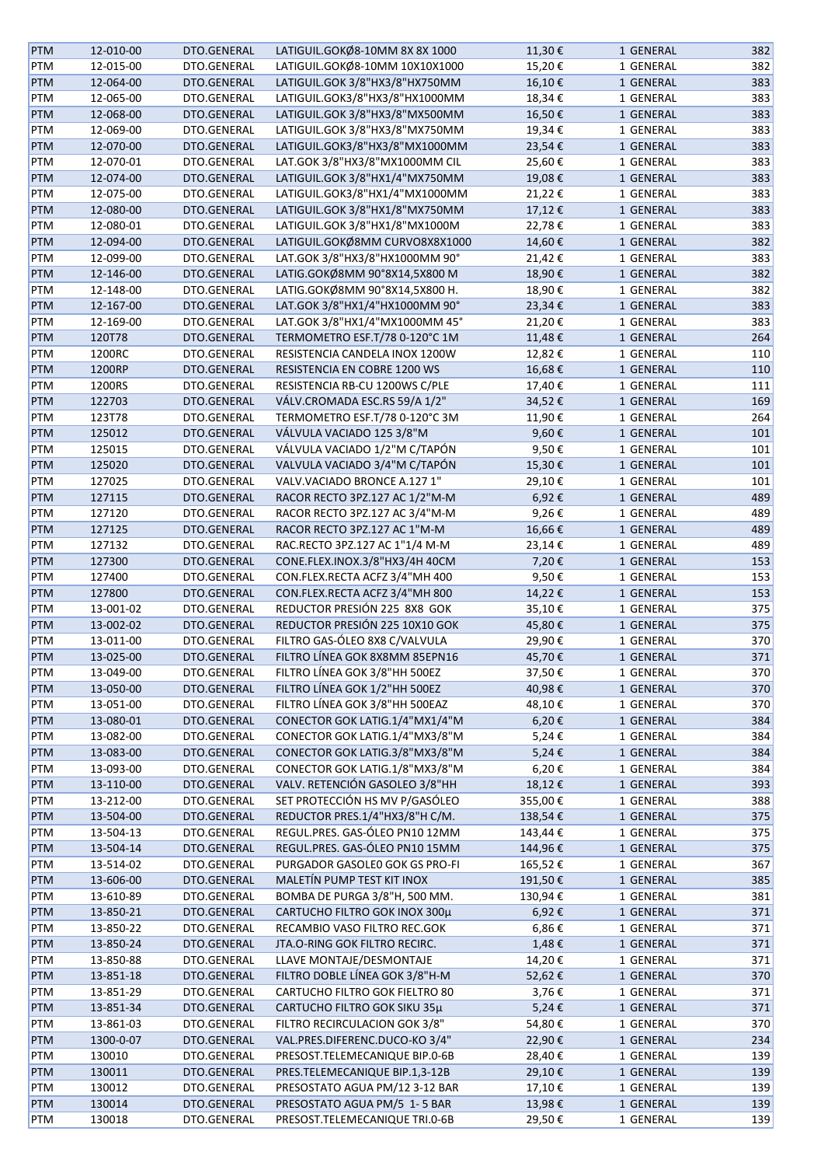| <b>PTM</b>        | 12-010-00 | DTO.GENERAL | LATIGUIL.GOKØ8-10MM 8X 8X 1000 | 11,30€     | 1 GENERAL | 382 |
|-------------------|-----------|-------------|--------------------------------|------------|-----------|-----|
| PTM               | 12-015-00 | DTO.GENERAL | LATIGUIL.GOKØ8-10MM 10X10X1000 | 15,20€     | 1 GENERAL | 382 |
| <b>PTM</b>        | 12-064-00 | DTO.GENERAL | LATIGUIL.GOK 3/8"HX3/8"HX750MM | 16,10€     | 1 GENERAL | 383 |
| PTM               | 12-065-00 | DTO.GENERAL | LATIGUIL.GOK3/8"HX3/8"HX1000MM | 18,34€     | 1 GENERAL | 383 |
| <b>PTM</b>        | 12-068-00 | DTO.GENERAL | LATIGUIL.GOK 3/8"HX3/8"MX500MM | 16,50€     | 1 GENERAL | 383 |
| PTM               | 12-069-00 | DTO.GENERAL | LATIGUIL.GOK 3/8"HX3/8"MX750MM | 19,34€     | 1 GENERAL | 383 |
| <b>PTM</b>        | 12-070-00 | DTO.GENERAL | LATIGUIL.GOK3/8"HX3/8"MX1000MM | 23,54€     | 1 GENERAL | 383 |
| PTM               | 12-070-01 | DTO.GENERAL | LAT.GOK 3/8"HX3/8"MX1000MM CIL | 25,60€     | 1 GENERAL | 383 |
| <b>PTM</b>        | 12-074-00 | DTO.GENERAL | LATIGUIL.GOK 3/8"HX1/4"MX750MM | 19,08€     | 1 GENERAL | 383 |
| PTM               | 12-075-00 | DTO.GENERAL | LATIGUIL.GOK3/8"HX1/4"MX1000MM | 21,22€     | 1 GENERAL | 383 |
| <b>PTM</b>        | 12-080-00 | DTO.GENERAL | LATIGUIL.GOK 3/8"HX1/8"MX750MM | 17,12€     | 1 GENERAL | 383 |
| PTM               | 12-080-01 | DTO.GENERAL | LATIGUIL.GOK 3/8"HX1/8"MX1000M | 22,78€     | 1 GENERAL | 383 |
| <b>PTM</b>        | 12-094-00 | DTO.GENERAL | LATIGUIL.GOKØ8MM CURVO8X8X1000 | 14,60€     | 1 GENERAL | 382 |
| PTM               | 12-099-00 | DTO.GENERAL | LAT.GOK 3/8"HX3/8"HX1000MM 90° | 21,42€     | 1 GENERAL | 383 |
| <b>PTM</b>        | 12-146-00 | DTO.GENERAL | LATIG.GOKØ8MM 90°8X14,5X800 M  | 18,90€     | 1 GENERAL | 382 |
| PTM               | 12-148-00 | DTO.GENERAL | LATIG.GOKØ8MM 90°8X14,5X800 H. | 18,90€     | 1 GENERAL | 382 |
| <b>PTM</b>        | 12-167-00 | DTO.GENERAL | LAT.GOK 3/8"HX1/4"HX1000MM 90° | 23,34€     | 1 GENERAL | 383 |
| <b>PTM</b>        | 12-169-00 | DTO.GENERAL | LAT.GOK 3/8"HX1/4"MX1000MM 45° | 21,20€     | 1 GENERAL | 383 |
| <b>PTM</b>        | 120T78    | DTO.GENERAL | TERMOMETRO ESF.T/78 0-120°C 1M | 11,48€     | 1 GENERAL | 264 |
| PTM               | 1200RC    | DTO.GENERAL | RESISTENCIA CANDELA INOX 1200W | 12,82€     | 1 GENERAL | 110 |
| <b>PTM</b>        | 1200RP    | DTO.GENERAL | RESISTENCIA EN COBRE 1200 WS   | 16,68€     | 1 GENERAL | 110 |
| PTM               | 1200RS    | DTO.GENERAL | RESISTENCIA RB-CU 1200WS C/PLE | 17,40€     | 1 GENERAL | 111 |
| <b>PTM</b>        | 122703    | DTO.GENERAL | VÁLV.CROMADA ESC.RS 59/A 1/2"  | 34,52€     | 1 GENERAL | 169 |
| PTM               | 123T78    | DTO.GENERAL | TERMOMETRO ESF.T/78 0-120°C 3M | 11,90€     | 1 GENERAL | 264 |
| <b>PTM</b>        | 125012    | DTO.GENERAL | VÁLVULA VACIADO 125 3/8"M      | 9,60€      | 1 GENERAL | 101 |
| PTM               | 125015    | DTO.GENERAL | VÁLVULA VACIADO 1/2"M C/TAPÓN  | 9,50€      | 1 GENERAL | 101 |
| <b>PTM</b>        | 125020    | DTO.GENERAL | VALVULA VACIADO 3/4"M C/TAPÓN  | 15,30€     | 1 GENERAL | 101 |
| PTM               | 127025    | DTO.GENERAL | VALV.VACIADO BRONCE A.1271"    | 29,10€     | 1 GENERAL | 101 |
| <b>PTM</b>        | 127115    | DTO.GENERAL | RACOR RECTO 3PZ.127 AC 1/2"M-M | 6,92€      | 1 GENERAL | 489 |
| PTM               | 127120    | DTO.GENERAL | RACOR RECTO 3PZ.127 AC 3/4"M-M | 9,26€      | 1 GENERAL | 489 |
| <b>PTM</b>        | 127125    | DTO.GENERAL | RACOR RECTO 3PZ.127 AC 1"M-M   | 16,66€     | 1 GENERAL | 489 |
| <b>PTM</b>        | 127132    | DTO.GENERAL | RAC.RECTO 3PZ.127 AC 1"1/4 M-M | 23,14€     | 1 GENERAL | 489 |
|                   | 127300    | DTO.GENERAL | CONE.FLEX.INOX.3/8"HX3/4H 40CM | 7,20€      | 1 GENERAL | 153 |
| <b>PTM</b><br>PTM | 127400    | DTO.GENERAL | CON.FLEX.RECTA ACFZ 3/4"MH 400 | 9,50€      | 1 GENERAL | 153 |
|                   | 127800    | DTO.GENERAL | CON.FLEX.RECTA ACFZ 3/4"MH 800 | 14,22€     |           | 153 |
| <b>PTM</b>        |           |             | REDUCTOR PRESIÓN 225 8X8 GOK   |            | 1 GENERAL |     |
| PTM               | 13-001-02 | DTO.GENERAL |                                | 35,10€     | 1 GENERAL | 375 |
| PTM               | 13-002-02 | DTO.GENERAL | REDUCTOR PRESIÓN 225 10X10 GOK | 45,80€     | 1 GENERAL | 375 |
| PTM               | 13-011-00 | DTO.GENERAL | FILTRO GAS-ÓLEO 8X8 C/VALVULA  | 29,90€     | 1 GENERAL | 370 |
| <b>PTM</b>        | 13-025-00 | DTO.GENERAL | FILTRO LÍNEA GOK 8X8MM 85EPN16 | 45,70€     | 1 GENERAL | 371 |
| <b>PTM</b>        | 13-049-00 | DTO.GENERAL | FILTRO LÍNEA GOK 3/8"HH 500EZ  | 37,50€     | 1 GENERAL | 370 |
| <b>PTM</b>        | 13-050-00 | DTO.GENERAL | FILTRO LÍNEA GOK 1/2"HH 500EZ  | 40,98€     | 1 GENERAL | 370 |
| <b>PTM</b>        | 13-051-00 | DTO.GENERAL | FILTRO LÍNEA GOK 3/8"HH 500EAZ | 48,10€     | 1 GENERAL | 370 |
| <b>PTM</b>        | 13-080-01 | DTO.GENERAL | CONECTOR GOK LATIG.1/4"MX1/4"M | 6,20€      | 1 GENERAL | 384 |
| <b>PTM</b>        | 13-082-00 | DTO.GENERAL | CONECTOR GOK LATIG.1/4"MX3/8"M | 5,24€      | 1 GENERAL | 384 |
| <b>PTM</b>        | 13-083-00 | DTO.GENERAL | CONECTOR GOK LATIG.3/8"MX3/8"M | 5,24€      | 1 GENERAL | 384 |
| PTM               | 13-093-00 | DTO.GENERAL | CONECTOR GOK LATIG.1/8"MX3/8"M | 6,20€      | 1 GENERAL | 384 |
| <b>PTM</b>        | 13-110-00 | DTO.GENERAL | VALV. RETENCIÓN GASOLEO 3/8"HH | 18,12€     | 1 GENERAL | 393 |
| <b>PTM</b>        | 13-212-00 | DTO.GENERAL | SET PROTECCIÓN HS MV P/GASÓLEO | 355,00€    | 1 GENERAL | 388 |
| <b>PTM</b>        | 13-504-00 | DTO.GENERAL | REDUCTOR PRES.1/4"HX3/8"H C/M. | 138,54€    | 1 GENERAL | 375 |
| PTM               | 13-504-13 | DTO.GENERAL | REGUL.PRES. GAS-ÓLEO PN10 12MM | 143,44€    | 1 GENERAL | 375 |
| PTM               | 13-504-14 | DTO.GENERAL | REGUL.PRES. GAS-ÓLEO PN10 15MM | 144,96€    | 1 GENERAL | 375 |
| PTM               | 13-514-02 | DTO.GENERAL | PURGADOR GASOLEO GOK GS PRO-FI | 165,52€    | 1 GENERAL | 367 |
| <b>PTM</b>        | 13-606-00 | DTO.GENERAL | MALETÍN PUMP TEST KIT INOX     | 191,50€    | 1 GENERAL | 385 |
| <b>PTM</b>        | 13-610-89 | DTO.GENERAL | BOMBA DE PURGA 3/8"H, 500 MM.  | 130,94€    | 1 GENERAL | 381 |
| <b>PTM</b>        | 13-850-21 | DTO.GENERAL | CARTUCHO FILTRO GOK INOX 300µ  | $6,92 \in$ | 1 GENERAL | 371 |
| <b>PTM</b>        | 13-850-22 | DTO.GENERAL | RECAMBIO VASO FILTRO REC.GOK   | 6,86€      | 1 GENERAL | 371 |
| <b>PTM</b>        | 13-850-24 | DTO.GENERAL | JTA.O-RING GOK FILTRO RECIRC.  | 1,48€      | 1 GENERAL | 371 |
| PTM               | 13-850-88 | DTO.GENERAL | LLAVE MONTAJE/DESMONTAJE       | 14,20€     | 1 GENERAL | 371 |
| <b>PTM</b>        | 13-851-18 | DTO.GENERAL | FILTRO DOBLE LÍNEA GOK 3/8"H-M | 52,62€     | 1 GENERAL | 370 |
| PTM               | 13-851-29 | DTO.GENERAL | CARTUCHO FILTRO GOK FIELTRO 80 | 3,76€      | 1 GENERAL | 371 |
| <b>PTM</b>        | 13-851-34 | DTO.GENERAL | CARTUCHO FILTRO GOK SIKU 35µ   | 5,24€      | 1 GENERAL | 371 |
| PTM               | 13-861-03 | DTO.GENERAL | FILTRO RECIRCULACION GOK 3/8"  | 54,80€     | 1 GENERAL | 370 |
| PTM               | 1300-0-07 | DTO.GENERAL | VAL.PRES.DIFERENC.DUCO-KO 3/4" | 22,90€     | 1 GENERAL | 234 |
| PTM               | 130010    | DTO.GENERAL | PRESOST.TELEMECANIQUE BIP.0-6B | 28,40€     | 1 GENERAL | 139 |
| <b>PTM</b>        | 130011    | DTO.GENERAL | PRES.TELEMECANIQUE BIP.1,3-12B | 29,10€     | 1 GENERAL | 139 |
| PTM               | 130012    | DTO.GENERAL | PRESOSTATO AGUA PM/12 3-12 BAR | 17,10€     | 1 GENERAL | 139 |
| <b>PTM</b>        | 130014    | DTO.GENERAL | PRESOSTATO AGUA PM/5 1-5 BAR   | 13,98€     | 1 GENERAL | 139 |
| PTM               | 130018    | DTO.GENERAL | PRESOST.TELEMECANIQUE TRI.0-6B | 29,50€     | 1 GENERAL | 139 |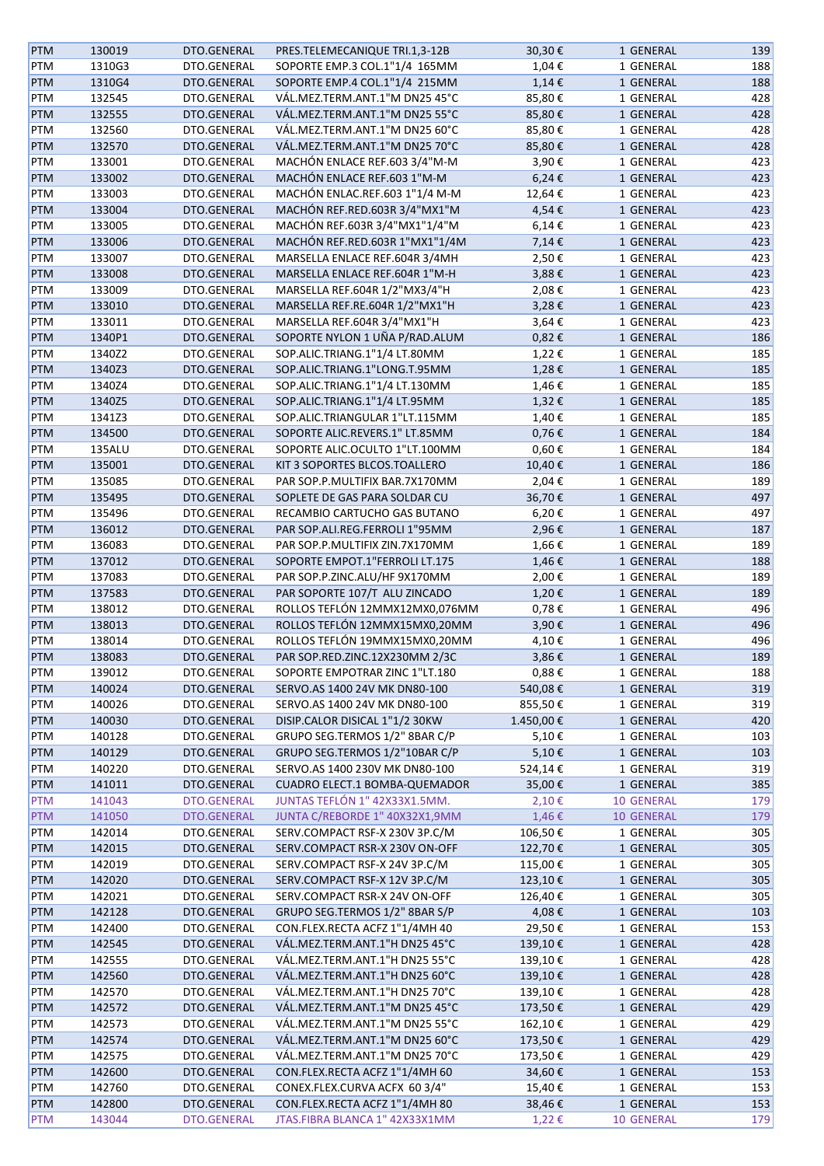| <b>PTM</b> | 130019 | DTO.GENERAL | PRES.TELEMECANIQUE TRI.1,3-12B | 30,30€     | 1 GENERAL         | 139 |
|------------|--------|-------------|--------------------------------|------------|-------------------|-----|
| PTM        | 1310G3 | DTO.GENERAL | SOPORTE EMP.3 COL.1"1/4 165MM  | 1,04€      | 1 GENERAL         | 188 |
| PTM        | 1310G4 | DTO.GENERAL | SOPORTE EMP.4 COL.1"1/4 215MM  | $1,14 \in$ | 1 GENERAL         | 188 |
| PTM        | 132545 | DTO.GENERAL | VÁL.MEZ.TERM.ANT.1"M DN25 45°C | 85,80€     | 1 GENERAL         | 428 |
| PTM        | 132555 | DTO.GENERAL | VÁL.MEZ.TERM.ANT.1"M DN25 55°C | 85,80€     | 1 GENERAL         | 428 |
| PTM        | 132560 | DTO.GENERAL | VÁL.MEZ.TERM.ANT.1"M DN25 60°C | 85,80€     | 1 GENERAL         | 428 |
| PTM        | 132570 | DTO.GENERAL | VÁL.MEZ.TERM.ANT.1"M DN25 70°C | 85,80€     | 1 GENERAL         | 428 |
| PTM        | 133001 | DTO.GENERAL | MACHÓN ENLACE REF.603 3/4"M-M  | 3,90€      | 1 GENERAL         | 423 |
| PTM        | 133002 | DTO.GENERAL | MACHÓN ENLACE REF.603 1"M-M    | 6,24€      | 1 GENERAL         | 423 |
|            | 133003 | DTO.GENERAL | MACHÓN ENLAC.REF.603 1"1/4 M-M | 12,64€     |                   | 423 |
| PTM        |        | DTO.GENERAL | MACHÓN REF.RED.603R 3/4"MX1"M  |            | 1 GENERAL         |     |
| <b>PTM</b> | 133004 |             |                                | 4,54€      | 1 GENERAL         | 423 |
| PTM        | 133005 | DTO.GENERAL | MACHÓN REF.603R 3/4"MX1"1/4"M  | $6,14 \in$ | 1 GENERAL         | 423 |
| PTM        | 133006 | DTO.GENERAL | MACHÓN REF.RED.603R 1"MX1"1/4M | 7,14€      | 1 GENERAL         | 423 |
| PTM        | 133007 | DTO.GENERAL | MARSELLA ENLACE REF.604R 3/4MH | 2,50€      | 1 GENERAL         | 423 |
| PTM        | 133008 | DTO.GENERAL | MARSELLA ENLACE REF.604R 1"M-H | 3,88€      | 1 GENERAL         | 423 |
| PTM        | 133009 | DTO.GENERAL | MARSELLA REF.604R 1/2"MX3/4"H  | 2,08€      | 1 GENERAL         | 423 |
| PTM        | 133010 | DTO.GENERAL | MARSELLA REF.RE.604R 1/2"MX1"H | 3,28€      | 1 GENERAL         | 423 |
| PTM        | 133011 | DTO.GENERAL | MARSELLA REF.604R 3/4"MX1"H    | 3,64€      | 1 GENERAL         | 423 |
| PTM        | 1340P1 | DTO.GENERAL | SOPORTE NYLON 1 UÑA P/RAD.ALUM | 0,82€      | 1 GENERAL         | 186 |
| PTM        | 1340Z2 | DTO.GENERAL | SOP.ALIC.TRIANG.1"1/4 LT.80MM  | 1,22€      | 1 GENERAL         | 185 |
| <b>PTM</b> | 1340Z3 | DTO.GENERAL | SOP.ALIC.TRIANG.1"LONG.T.95MM  | 1,28€      | 1 GENERAL         | 185 |
| PTM        | 1340Z4 | DTO.GENERAL | SOP.ALIC.TRIANG.1"1/4 LT.130MM | 1,46€      | 1 GENERAL         | 185 |
| <b>PTM</b> | 1340Z5 | DTO.GENERAL | SOP.ALIC.TRIANG.1"1/4 LT.95MM  | 1,32€      | 1 GENERAL         | 185 |
| PTM        | 1341Z3 | DTO.GENERAL | SOP.ALIC.TRIANGULAR 1"LT.115MM | 1,40€      | 1 GENERAL         | 185 |
| <b>PTM</b> | 134500 | DTO.GENERAL | SOPORTE ALIC.REVERS.1" LT.85MM | $0,76 \in$ | 1 GENERAL         | 184 |
| PTM        | 135ALU | DTO.GENERAL | SOPORTE ALIC.OCULTO 1"LT.100MM | $0,60 \in$ | 1 GENERAL         | 184 |
| <b>PTM</b> | 135001 | DTO.GENERAL | KIT 3 SOPORTES BLCOS.TOALLERO  | 10,40€     | 1 GENERAL         | 186 |
| PTM        | 135085 | DTO.GENERAL | PAR SOP.P.MULTIFIX BAR.7X170MM | 2,04€      | 1 GENERAL         | 189 |
| <b>PTM</b> | 135495 | DTO.GENERAL | SOPLETE DE GAS PARA SOLDAR CU  | 36,70€     | 1 GENERAL         | 497 |
| PTM        | 135496 | DTO.GENERAL | RECAMBIO CARTUCHO GAS BUTANO   | 6,20€      | 1 GENERAL         | 497 |
| PTM        | 136012 | DTO.GENERAL | PAR SOP.ALI.REG.FERROLI 1"95MM | 2,96€      | 1 GENERAL         | 187 |
| PTM        | 136083 | DTO.GENERAL | PAR SOP.P.MULTIFIX ZIN.7X170MM | 1,66€      | 1 GENERAL         | 189 |
| PTM        | 137012 | DTO.GENERAL | SOPORTE EMPOT.1"FERROLI LT.175 | 1,46€      | 1 GENERAL         | 188 |
|            | 137083 | DTO.GENERAL | PAR SOP.P.ZINC.ALU/HF 9X170MM  |            | 1 GENERAL         | 189 |
| PTM        |        |             |                                | 2,00€      |                   |     |
| PTM        | 137583 | DTO.GENERAL | PAR SOPORTE 107/T ALU ZINCADO  | 1,20€      | 1 GENERAL         | 189 |
| PTM        | 138012 | DTO.GENERAL | ROLLOS TEFLÓN 12MMX12MX0,076MM | 0,78€      | 1 GENERAL         | 496 |
| <b>PTM</b> | 138013 | DTO.GENERAL | ROLLOS TEFLÓN 12MMX15MX0,20MM  | 3,90€      | 1 GENERAL         | 496 |
| PTM        | 138014 | DTO.GENERAL | ROLLOS TEFLÓN 19MMX15MX0,20MM  | 4,10€      | 1 GENERAL         | 496 |
| <b>PTM</b> | 138083 | DTO.GENERAL | PAR SOP.RED.ZINC.12X230MM 2/3C | 3,86€      | 1 GENERAL         | 189 |
| PTM        | 139012 | DTO.GENERAL | SOPORTE EMPOTRAR ZINC 1"LT.180 | 0,88€      | 1 GENERAL         | 188 |
| <b>PTM</b> | 140024 | DTO.GENERAL | SERVO.AS 1400 24V MK DN80-100  | 540,08€    | 1 GENERAL         | 319 |
| PTM        | 140026 | DTO.GENERAL | SERVO.AS 1400 24V MK DN80-100  | 855,50€    | 1 GENERAL         | 319 |
| PTM        | 140030 | DTO.GENERAL | DISIP.CALOR DISICAL 1"1/2 30KW | 1.450,00€  | 1 GENERAL         | 420 |
| PTM        | 140128 | DTO.GENERAL | GRUPO SEG.TERMOS 1/2" 8BAR C/P | 5,10€      | 1 GENERAL         | 103 |
| PTM        | 140129 | DTO.GENERAL | GRUPO SEG.TERMOS 1/2"10BAR C/P | 5,10€      | 1 GENERAL         | 103 |
| PTM        | 140220 | DTO.GENERAL | SERVO.AS 1400 230V MK DN80-100 | 524,14€    | 1 GENERAL         | 319 |
| PTM        | 141011 | DTO.GENERAL | CUADRO ELECT.1 BOMBA-QUEMADOR  | 35,00€     | 1 GENERAL         | 385 |
| <b>PTM</b> | 141043 | DTO.GENERAL | JUNTAS TEFLÓN 1" 42X33X1.5MM.  | 2,10€      | <b>10 GENERAL</b> | 179 |
| <b>PTM</b> | 141050 | DTO.GENERAL | JUNTA C/REBORDE 1" 40X32X1,9MM | 1,46€      | 10 GENERAL        | 179 |
| PTM        | 142014 | DTO.GENERAL | SERV.COMPACT RSF-X 230V 3P.C/M | 106,50€    | 1 GENERAL         | 305 |
| PTM        | 142015 | DTO.GENERAL | SERV.COMPACT RSR-X 230V ON-OFF | 122,70€    | 1 GENERAL         | 305 |
| PTM        | 142019 | DTO.GENERAL | SERV.COMPACT RSF-X 24V 3P.C/M  | 115,00€    | 1 GENERAL         | 305 |
| <b>PTM</b> | 142020 | DTO.GENERAL | SERV.COMPACT RSF-X 12V 3P.C/M  | 123,10€    | 1 GENERAL         | 305 |
| PTM        | 142021 | DTO.GENERAL | SERV.COMPACT RSR-X 24V ON-OFF  | 126,40€    | 1 GENERAL         | 305 |
| PTM        | 142128 | DTO.GENERAL | GRUPO SEG.TERMOS 1/2" 8BAR S/P | 4,08€      | 1 GENERAL         | 103 |
| PTM        | 142400 | DTO.GENERAL | CON.FLEX.RECTA ACFZ 1"1/4MH 40 | 29,50€     | 1 GENERAL         | 153 |
| <b>PTM</b> | 142545 | DTO.GENERAL | VÁL.MEZ.TERM.ANT.1"H DN25 45°C | 139,10€    | 1 GENERAL         | 428 |
| PTM        | 142555 | DTO.GENERAL | VÁL.MEZ.TERM.ANT.1"H DN25 55°C | 139,10€    | 1 GENERAL         | 428 |
|            |        |             | VÁL.MEZ.TERM.ANT.1"H DN25 60°C |            |                   | 428 |
| PTM        | 142560 | DTO.GENERAL |                                | 139,10€    | 1 GENERAL         |     |
| PTM        | 142570 | DTO.GENERAL | VÁL.MEZ.TERM.ANT.1"H DN25 70°C | 139,10€    | 1 GENERAL         | 428 |
| PTM        | 142572 | DTO.GENERAL | VÁL.MEZ.TERM.ANT.1"M DN25 45°C | 173,50€    | 1 GENERAL         | 429 |
| PTM        | 142573 | DTO.GENERAL | VÁL.MEZ.TERM.ANT.1"M DN25 55°C | 162,10€    | 1 GENERAL         | 429 |
| PTM        | 142574 | DTO.GENERAL | VÁL.MEZ.TERM.ANT.1"M DN25 60°C | 173,50€    | 1 GENERAL         | 429 |
| PTM        | 142575 | DTO.GENERAL | VÁL.MEZ.TERM.ANT.1"M DN25 70°C | 173,50€    | 1 GENERAL         | 429 |
| <b>PTM</b> | 142600 | DTO.GENERAL | CON.FLEX.RECTA ACFZ 1"1/4MH 60 | 34,60€     | 1 GENERAL         | 153 |
| PTM        | 142760 | DTO.GENERAL | CONEX.FLEX.CURVA ACFX 60 3/4"  | 15,40€     | 1 GENERAL         | 153 |
| <b>PTM</b> | 142800 | DTO.GENERAL | CON.FLEX.RECTA ACFZ 1"1/4MH 80 | 38,46€     | 1 GENERAL         | 153 |
| <b>PTM</b> | 143044 | DTO.GENERAL | JTAS.FIBRA BLANCA 1" 42X33X1MM | 1,22€      | <b>10 GENERAL</b> | 179 |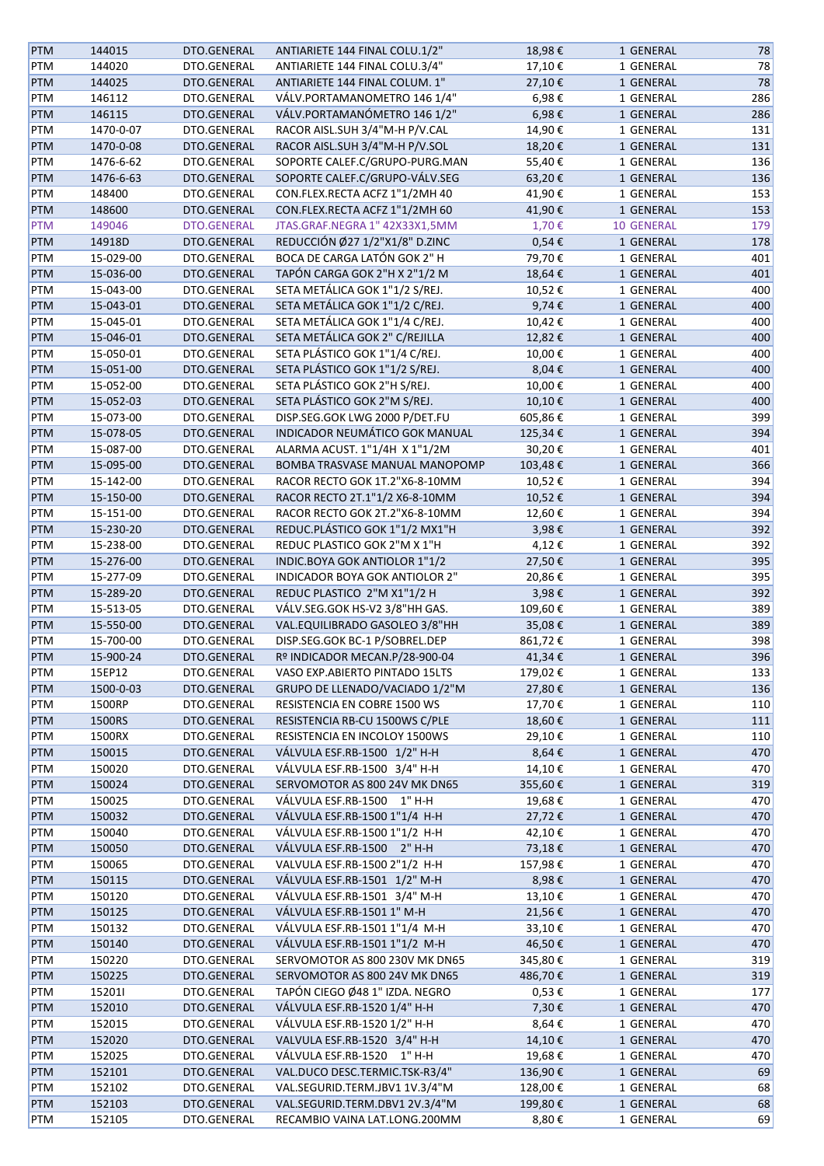| <b>PTM</b> | 144015    | DTO.GENERAL | ANTIARIETE 144 FINAL COLU.1/2" | 18,98€     | 1 GENERAL         | 78  |
|------------|-----------|-------------|--------------------------------|------------|-------------------|-----|
| <b>PTM</b> | 144020    | DTO.GENERAL | ANTIARIETE 144 FINAL COLU.3/4" | 17,10€     | 1 GENERAL         | 78  |
| <b>PTM</b> | 144025    | DTO.GENERAL | ANTIARIETE 144 FINAL COLUM. 1" | 27,10€     | 1 GENERAL         | 78  |
| PTM        | 146112    | DTO.GENERAL | VÁLV.PORTAMANOMETRO 146 1/4"   | 6,98€      | 1 GENERAL         | 286 |
| <b>PTM</b> | 146115    | DTO.GENERAL | VÁLV.PORTAMANÓMETRO 146 1/2"   | 6,98€      | 1 GENERAL         | 286 |
| <b>PTM</b> | 1470-0-07 | DTO.GENERAL | RACOR AISL.SUH 3/4"M-H P/V.CAL | 14,90€     | 1 GENERAL         | 131 |
| <b>PTM</b> | 1470-0-08 | DTO.GENERAL | RACOR AISL.SUH 3/4"M-H P/V.SOL | 18,20€     | 1 GENERAL         | 131 |
| <b>PTM</b> | 1476-6-62 | DTO.GENERAL | SOPORTE CALEF.C/GRUPO-PURG.MAN | 55,40€     | 1 GENERAL         | 136 |
| <b>PTM</b> | 1476-6-63 | DTO.GENERAL | SOPORTE CALEF.C/GRUPO-VÁLV.SEG | 63,20€     | 1 GENERAL         | 136 |
|            | 148400    | DTO.GENERAL | CON.FLEX.RECTA ACFZ 1"1/2MH 40 | 41,90€     | 1 GENERAL         | 153 |
| PTM        | 148600    | DTO.GENERAL | CON.FLEX.RECTA ACFZ 1"1/2MH 60 | 41,90€     |                   | 153 |
| <b>PTM</b> |           |             |                                |            | 1 GENERAL         |     |
| <b>PTM</b> | 149046    | DTO.GENERAL | JTAS.GRAF.NEGRA 1" 42X33X1,5MM | 1,70€      | <b>10 GENERAL</b> | 179 |
| <b>PTM</b> | 14918D    | DTO.GENERAL | REDUCCIÓN Ø27 1/2"X1/8" D.ZINC | $0,54 \in$ | 1 GENERAL         | 178 |
| PTM        | 15-029-00 | DTO.GENERAL | BOCA DE CARGA LATÓN GOK 2" H   | 79,70€     | 1 GENERAL         | 401 |
| <b>PTM</b> | 15-036-00 | DTO.GENERAL | TAPÓN CARGA GOK 2"H X 2"1/2 M  | 18,64€     | 1 GENERAL         | 401 |
| PTM        | 15-043-00 | DTO.GENERAL | SETA METÁLICA GOK 1"1/2 S/REJ. | 10,52€     | 1 GENERAL         | 400 |
| <b>PTM</b> | 15-043-01 | DTO.GENERAL | SETA METÁLICA GOK 1"1/2 C/REJ. | 9,74€      | 1 GENERAL         | 400 |
| <b>PTM</b> | 15-045-01 | DTO.GENERAL | SETA METÁLICA GOK 1"1/4 C/REJ. | 10,42€     | 1 GENERAL         | 400 |
| <b>PTM</b> | 15-046-01 | DTO.GENERAL | SETA METÁLICA GOK 2" C/REJILLA | 12,82€     | 1 GENERAL         | 400 |
| PTM        | 15-050-01 | DTO.GENERAL | SETA PLÁSTICO GOK 1"1/4 C/REJ. | 10,00€     | 1 GENERAL         | 400 |
| <b>PTM</b> | 15-051-00 | DTO.GENERAL | SETA PLÁSTICO GOK 1"1/2 S/REJ. | 8,04€      | 1 GENERAL         | 400 |
| <b>PTM</b> | 15-052-00 | DTO.GENERAL | SETA PLÁSTICO GOK 2"H S/REJ.   | 10,00€     | 1 GENERAL         | 400 |
| PTM        | 15-052-03 | DTO.GENERAL | SETA PLÁSTICO GOK 2"M S/REJ.   | 10,10€     | 1 GENERAL         | 400 |
| PTM        | 15-073-00 | DTO.GENERAL | DISP.SEG.GOK LWG 2000 P/DET.FU | 605,86€    | 1 GENERAL         | 399 |
| <b>PTM</b> | 15-078-05 | DTO.GENERAL | INDICADOR NEUMÁTICO GOK MANUAL | 125,34€    | 1 GENERAL         | 394 |
| PTM        | 15-087-00 | DTO.GENERAL | ALARMA ACUST. 1"1/4H X 1"1/2M  | 30,20€     | 1 GENERAL         | 401 |
| <b>PTM</b> | 15-095-00 | DTO.GENERAL | BOMBA TRASVASE MANUAL MANOPOMP | 103,48€    | 1 GENERAL         | 366 |
| PTM        | 15-142-00 | DTO.GENERAL | RACOR RECTO GOK 1T.2"X6-8-10MM | 10,52€     | 1 GENERAL         | 394 |
| <b>PTM</b> | 15-150-00 | DTO.GENERAL | RACOR RECTO 2T.1"1/2 X6-8-10MM | 10,52€     | 1 GENERAL         | 394 |
|            |           |             |                                |            |                   | 394 |
| PTM        | 15-151-00 | DTO.GENERAL | RACOR RECTO GOK 2T.2"X6-8-10MM | 12,60€     | 1 GENERAL         |     |
| <b>PTM</b> | 15-230-20 | DTO.GENERAL | REDUC.PLÁSTICO GOK 1"1/2 MX1"H | 3,98€      | 1 GENERAL         | 392 |
| PTM        | 15-238-00 | DTO.GENERAL | REDUC PLASTICO GOK 2"M X 1"H   | 4,12€      | 1 GENERAL         | 392 |
| <b>PTM</b> | 15-276-00 | DTO.GENERAL | INDIC.BOYA GOK ANTIOLOR 1"1/2  | 27,50€     | 1 GENERAL         | 395 |
| PTM        | 15-277-09 | DTO.GENERAL | INDICADOR BOYA GOK ANTIOLOR 2" | 20,86€     | 1 GENERAL         | 395 |
| <b>PTM</b> | 15-289-20 | DTO.GENERAL | REDUC PLASTICO 2"M X1"1/2 H    | 3,98€      | 1 GENERAL         | 392 |
| PTM        | 15-513-05 | DTO.GENERAL | VÁLV.SEG.GOK HS-V2 3/8"HH GAS. | 109,60€    | 1 GENERAL         | 389 |
| PTM        | 15-550-00 | DTO.GENERAL | VAL.EQUILIBRADO GASOLEO 3/8"HH | 35,08€     | 1 GENERAL         | 389 |
| PTM        | 15-700-00 | DTO.GENERAL | DISP.SEG.GOK BC-1 P/SOBREL.DEP | 861,72€    | 1 GENERAL         | 398 |
| <b>PTM</b> | 15-900-24 | DTO.GENERAL | Rº INDICADOR MECAN.P/28-900-04 | 41,34€     | 1 GENERAL         | 396 |
| PTM        | 15EP12    | DTO.GENERAL | VASO EXP.ABIERTO PINTADO 15LTS | 179,02€    | 1 GENERAL         | 133 |
| <b>PTM</b> | 1500-0-03 | DTO.GENERAL | GRUPO DE LLENADO/VACIADO 1/2"M | 27,80€     | 1 GENERAL         | 136 |
| PTM        | 1500RP    | DTO.GENERAL | RESISTENCIA EN COBRE 1500 WS   | 17,70€     | 1 GENERAL         | 110 |
| <b>PTM</b> | 1500RS    | DTO.GENERAL | RESISTENCIA RB-CU 1500WS C/PLE | 18,60€     | 1 GENERAL         | 111 |
| <b>PTM</b> | 1500RX    | DTO.GENERAL | RESISTENCIA EN INCOLOY 1500WS  | 29,10€     | 1 GENERAL         | 110 |
| <b>PTM</b> | 150015    | DTO.GENERAL | VÁLVULA ESF.RB-1500 1/2" H-H   | 8,64€      | 1 GENERAL         | 470 |
| <b>PTM</b> | 150020    | DTO.GENERAL | VÁLVULA ESF.RB-1500 3/4" H-H   | 14,10€     | 1 GENERAL         | 470 |
| <b>PTM</b> | 150024    | DTO.GENERAL | SERVOMOTOR AS 800 24V MK DN65  | 355,60€    | 1 GENERAL         | 319 |
| PTM        | 150025    | DTO.GENERAL | VÁLVULA ESF.RB-1500 1" H-H     | 19,68€     | 1 GENERAL         | 470 |
| <b>PTM</b> | 150032    | DTO.GENERAL | VÁLVULA ESF.RB-1500 1"1/4 H-H  | 27,72€     | 1 GENERAL         | 470 |
| PTM        | 150040    | DTO.GENERAL | VÁLVULA ESF.RB-1500 1"1/2 H-H  | 42,10€     | 1 GENERAL         | 470 |
| PTM        | 150050    | DTO.GENERAL | VÁLVULA ESF.RB-1500 2" H-H     | 73,18€     | 1 GENERAL         | 470 |
| PTM        | 150065    | DTO.GENERAL | VALVULA ESF.RB-1500 2"1/2 H-H  | 157,98€    | 1 GENERAL         | 470 |
| <b>PTM</b> | 150115    | DTO.GENERAL | VÁLVULA ESF.RB-1501 1/2" M-H   | 8,98€      | 1 GENERAL         | 470 |
| <b>PTM</b> | 150120    | DTO.GENERAL | VÁLVULA ESF.RB-1501 3/4" M-H   | 13,10€     | 1 GENERAL         | 470 |
|            |           |             | VÁLVULA ESF.RB-1501 1" M-H     |            |                   | 470 |
| <b>PTM</b> | 150125    | DTO.GENERAL |                                | 21,56€     | 1 GENERAL         |     |
| <b>PTM</b> | 150132    | DTO.GENERAL | VÁLVULA ESF.RB-1501 1"1/4 M-H  | 33,10€     | 1 GENERAL         | 470 |
| <b>PTM</b> | 150140    | DTO.GENERAL | VÁLVULA ESF.RB-1501 1"1/2 M-H  | 46,50€     | 1 GENERAL         | 470 |
| <b>PTM</b> | 150220    | DTO.GENERAL | SERVOMOTOR AS 800 230V MK DN65 | 345,80€    | 1 GENERAL         | 319 |
| <b>PTM</b> | 150225    | DTO.GENERAL | SERVOMOTOR AS 800 24V MK DN65  | 486,70€    | 1 GENERAL         | 319 |
| <b>PTM</b> | 152011    | DTO.GENERAL | TAPÓN CIEGO Ø48 1" IZDA. NEGRO | 0,53€      | 1 GENERAL         | 177 |
| <b>PTM</b> | 152010    | DTO.GENERAL | VÁLVULA ESF.RB-1520 1/4" H-H   | 7,30€      | 1 GENERAL         | 470 |
| PTM        | 152015    | DTO.GENERAL | VÁLVULA ESF.RB-1520 1/2" H-H   | 8,64€      | 1 GENERAL         | 470 |
| PTM        | 152020    | DTO.GENERAL | VALVULA ESF.RB-1520 3/4" H-H   | 14,10€     | 1 GENERAL         | 470 |
| PTM        | 152025    | DTO.GENERAL | VÁLVULA ESF.RB-1520 1" H-H     | 19,68€     | 1 GENERAL         | 470 |
| <b>PTM</b> | 152101    | DTO.GENERAL | VAL.DUCO DESC.TERMIC.TSK-R3/4" | 136,90€    | 1 GENERAL         | 69  |
| PTM        | 152102    | DTO.GENERAL | VAL.SEGURID.TERM.JBV1 1V.3/4"M | 128,00€    | 1 GENERAL         | 68  |
| <b>PTM</b> | 152103    | DTO.GENERAL | VAL.SEGURID.TERM.DBV1 2V.3/4"M | 199,80€    | 1 GENERAL         | 68  |
| PTM        | 152105    | DTO.GENERAL | RECAMBIO VAINA LAT.LONG.200MM  | 8,80€      | 1 GENERAL         | 69  |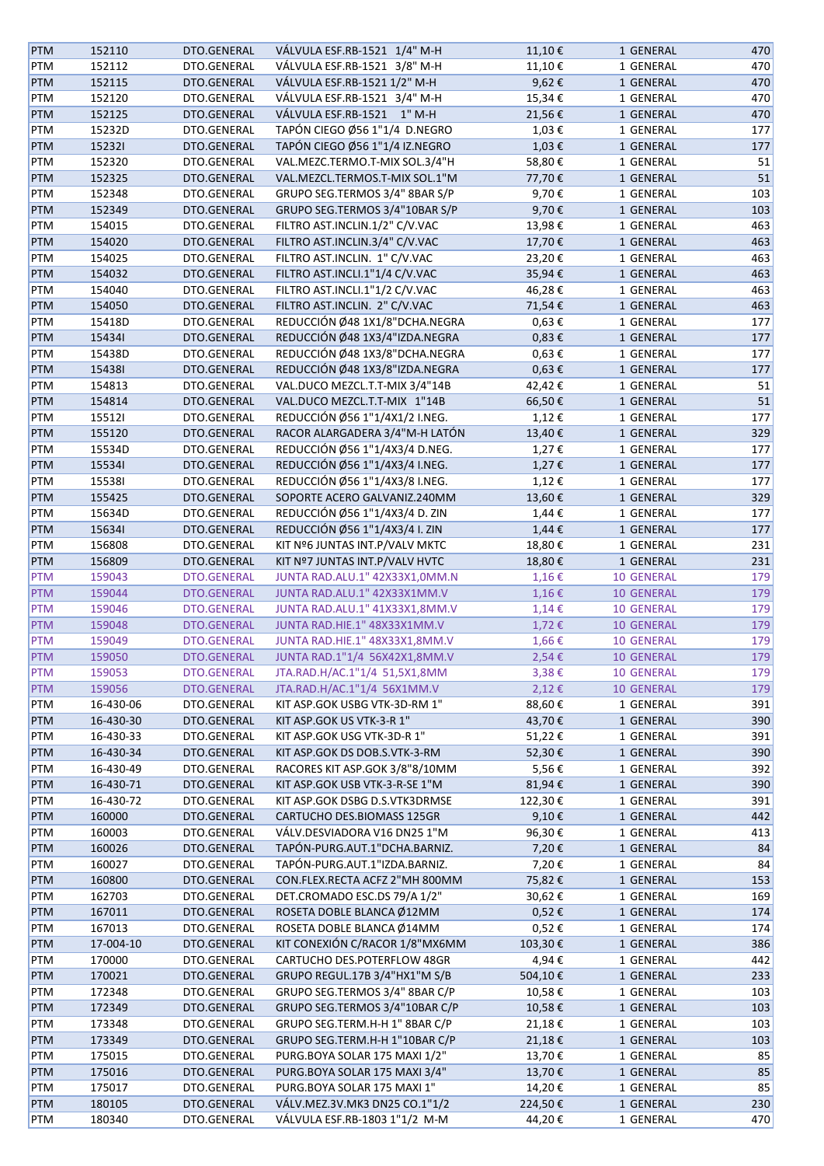| <b>PTM</b> | 152110    | DTO.GENERAL        | VÁLVULA ESF.RB-1521 1/4" M-H                                   | 11,10€        | 1 GENERAL         | 470 |
|------------|-----------|--------------------|----------------------------------------------------------------|---------------|-------------------|-----|
| <b>PTM</b> | 152112    | DTO.GENERAL        | VÁLVULA ESF.RB-1521 3/8" M-H                                   | 11,10€        | 1 GENERAL         | 470 |
| <b>PTM</b> | 152115    | DTO.GENERAL        | VÁLVULA ESF.RB-1521 1/2" M-H                                   | 9,62€         | 1 GENERAL         | 470 |
| <b>PTM</b> | 152120    | DTO.GENERAL        | VÁLVULA ESF.RB-1521 3/4" M-H                                   | 15,34€        | 1 GENERAL         | 470 |
| <b>PTM</b> | 152125    | DTO.GENERAL        | VÁLVULA ESF.RB-1521 1" M-H                                     | 21,56€        | 1 GENERAL         | 470 |
| <b>PTM</b> | 15232D    | DTO.GENERAL        | TAPÓN CIEGO Ø56 1"1/4 D.NEGRO                                  | 1,03€         | 1 GENERAL         | 177 |
| <b>PTM</b> | 152321    | DTO.GENERAL        | TAPÓN CIEGO Ø56 1"1/4 IZ.NEGRO                                 | 1,03€         | 1 GENERAL         | 177 |
| <b>PTM</b> | 152320    | DTO.GENERAL        | VAL.MEZC.TERMO.T-MIX SOL.3/4"H                                 | 58,80€        | 1 GENERAL         | 51  |
|            |           |                    |                                                                |               |                   |     |
| <b>PTM</b> | 152325    | DTO.GENERAL        | VAL.MEZCL.TERMOS.T-MIX SOL.1"M                                 | 77,70€        | 1 GENERAL         | 51  |
| PTM        | 152348    | DTO.GENERAL        | GRUPO SEG.TERMOS 3/4" 8BAR S/P                                 | 9,70€         | 1 GENERAL         | 103 |
| PTM        | 152349    | DTO.GENERAL        | GRUPO SEG.TERMOS 3/4"10BAR S/P                                 | 9,70€         | 1 GENERAL         | 103 |
| PTM        | 154015    | DTO.GENERAL        | FILTRO AST.INCLIN.1/2" C/V.VAC                                 | 13,98€        | 1 GENERAL         | 463 |
| PTM        | 154020    | DTO.GENERAL        | FILTRO AST.INCLIN.3/4" C/V.VAC                                 | 17,70€        | 1 GENERAL         | 463 |
| PTM        | 154025    | DTO.GENERAL        | FILTRO AST.INCLIN. 1" C/V.VAC                                  | 23,20€        | 1 GENERAL         | 463 |
| <b>PTM</b> | 154032    | DTO.GENERAL        | FILTRO AST.INCLI.1"1/4 C/V.VAC                                 | 35,94€        | 1 GENERAL         | 463 |
| PTM        | 154040    | DTO.GENERAL        | FILTRO AST.INCLI.1"1/2 C/V.VAC                                 | 46,28€        | 1 GENERAL         | 463 |
| <b>PTM</b> | 154050    | DTO.GENERAL        | FILTRO AST.INCLIN. 2" C/V.VAC                                  | 71,54€        | 1 GENERAL         | 463 |
| <b>PTM</b> | 15418D    | DTO.GENERAL        | REDUCCIÓN Ø48 1X1/8"DCHA.NEGRA                                 | $0,63 \in$    | 1 GENERAL         | 177 |
| <b>PTM</b> | 154341    | DTO.GENERAL        | REDUCCIÓN Ø48 1X3/4"IZDA.NEGRA                                 | $0,83 \in$    | 1 GENERAL         | 177 |
| PTM        | 15438D    | DTO.GENERAL        | REDUCCIÓN Ø48 1X3/8"DCHA.NEGRA                                 | $0,63 \in$    | 1 GENERAL         | 177 |
| <b>PTM</b> | 154381    | DTO.GENERAL        | REDUCCIÓN Ø48 1X3/8"IZDA.NEGRA                                 | $0,63 \notin$ | 1 GENERAL         | 177 |
| <b>PTM</b> | 154813    | DTO.GENERAL        | VAL.DUCO MEZCL.T.T-MIX 3/4"14B                                 | 42,42€        | 1 GENERAL         | 51  |
| <b>PTM</b> | 154814    | DTO.GENERAL        | VAL.DUCO MEZCL.T.T-MIX 1"14B                                   | 66,50€        | 1 GENERAL         | 51  |
| PTM        | 155121    | DTO.GENERAL        | REDUCCIÓN Ø56 1"1/4X1/2 I.NEG.                                 | 1,12€         | 1 GENERAL         | 177 |
|            | 155120    | DTO.GENERAL        | RACOR ALARGADERA 3/4"M-H LATÓN                                 | 13,40€        |                   | 329 |
| PTM        |           |                    |                                                                |               | 1 GENERAL         |     |
| PTM        | 15534D    | DTO.GENERAL        | REDUCCIÓN Ø56 1"1/4X3/4 D.NEG.                                 | 1,27€         | 1 GENERAL         | 177 |
| <b>PTM</b> | 155341    | DTO.GENERAL        | REDUCCIÓN Ø56 1"1/4X3/4 I.NEG.                                 | 1,27€         | 1 GENERAL         | 177 |
| <b>PTM</b> | 155381    | DTO.GENERAL        | REDUCCIÓN Ø56 1"1/4X3/8 I.NEG.                                 | 1,12€         | 1 GENERAL         | 177 |
| <b>PTM</b> | 155425    | DTO.GENERAL        | SOPORTE ACERO GALVANIZ.240MM                                   | 13,60€        | 1 GENERAL         | 329 |
| <b>PTM</b> | 15634D    | DTO.GENERAL        | REDUCCIÓN Ø56 1"1/4X3/4 D. ZIN                                 | 1,44€         | 1 GENERAL         | 177 |
| <b>PTM</b> | 156341    | DTO.GENERAL        | REDUCCIÓN Ø56 1"1/4X3/4 I. ZIN                                 | $1,44 \in$    | 1 GENERAL         | 177 |
| <b>PTM</b> | 156808    | DTO.GENERAL        | KIT Nº6 JUNTAS INT.P/VALV MKTC                                 | 18,80€        | 1 GENERAL         | 231 |
| <b>PTM</b> | 156809    | DTO.GENERAL        | KIT Nº7 JUNTAS INT.P/VALV HVTC                                 | 18,80€        | 1 GENERAL         | 231 |
| <b>PTM</b> | 159043    | DTO.GENERAL        | JUNTA RAD.ALU.1" 42X33X1,0MM.N                                 | $1,16 \in$    | <b>10 GENERAL</b> | 179 |
| <b>PTM</b> | 159044    | DTO.GENERAL        | JUNTA RAD.ALU.1" 42X33X1MM.V                                   | 1,16€         | <b>10 GENERAL</b> | 179 |
| <b>PTM</b> | 159046    | DTO.GENERAL        | JUNTA RAD.ALU.1" 41X33X1,8MM.V                                 | 1,14€         | <b>10 GENERAL</b> | 179 |
| <b>PTM</b> | 159048    | DTO.GENERAL        | JUNTA RAD.HIE.1" 48X33X1MM.V                                   | 1,72€         | 10 GENERAL        | 179 |
| <b>PTM</b> | 159049    | DTO.GENERAL        | JUNTA RAD.HIE.1" 48X33X1,8MM.V                                 | 1,66€         | 10 GENERAL        | 179 |
| <b>PTM</b> | 159050    | <b>DTO.GENERAL</b> | JUNTA RAD.1"1/4 56X42X1,8MM.V                                  | $2,54 \in$    | <b>10 GENERAL</b> | 179 |
| <b>PTM</b> | 159053    | DTO.GENERAL        | JTA.RAD.H/AC.1"1/4 51,5X1,8MM                                  | 3,38€         | <b>10 GENERAL</b> | 179 |
| <b>PTM</b> | 159056    | DTO.GENERAL        | JTA.RAD.H/AC.1"1/4 56X1MM.V                                    | 2,12€         | <b>10 GENERAL</b> | 179 |
| PTM        | 16-430-06 | DTO.GENERAL        | KIT ASP.GOK USBG VTK-3D-RM 1"                                  | 88,60€        | 1 GENERAL         | 391 |
| <b>PTM</b> |           | DTO.GENERAL        | KIT ASP.GOK US VTK-3-R 1"                                      |               |                   | 390 |
|            | 16-430-30 |                    |                                                                | 43,70€        | 1 GENERAL         |     |
| <b>PTM</b> | 16-430-33 | DTO.GENERAL        | KIT ASP.GOK USG VTK-3D-R 1"                                    | 51,22€        | 1 GENERAL         | 391 |
| <b>PTM</b> | 16-430-34 | DTO.GENERAL        | KIT ASP.GOK DS DOB.S.VTK-3-RM                                  | 52,30€        | 1 GENERAL         | 390 |
| <b>PTM</b> | 16-430-49 | DTO.GENERAL        | RACORES KIT ASP.GOK 3/8"8/10MM                                 | 5,56€         | 1 GENERAL         | 392 |
| <b>PTM</b> | 16-430-71 | DTO.GENERAL        | KIT ASP.GOK USB VTK-3-R-SE 1"M                                 | 81,94€        | 1 GENERAL         | 390 |
| PTM        | 16-430-72 | DTO.GENERAL        | KIT ASP.GOK DSBG D.S.VTK3DRMSE                                 | 122,30€       | 1 GENERAL         | 391 |
| <b>PTM</b> | 160000    | DTO.GENERAL        | CARTUCHO DES.BIOMASS 125GR                                     | 9,10€         | 1 GENERAL         | 442 |
| PTM        | 160003    | DTO.GENERAL        | VÁLV.DESVIADORA V16 DN25 1"M                                   | 96,30€        | 1 GENERAL         | 413 |
| PTM        | 160026    | DTO.GENERAL        | TAPÓN-PURG.AUT.1"DCHA.BARNIZ.                                  | 7,20€         | 1 GENERAL         | 84  |
| PTM        | 160027    | DTO.GENERAL        | TAPÓN-PURG.AUT.1"IZDA.BARNIZ.                                  | 7,20€         | 1 GENERAL         | 84  |
| <b>PTM</b> | 160800    | DTO.GENERAL        | CON.FLEX.RECTA ACFZ 2"MH 800MM                                 | 75,82€        | 1 GENERAL         | 153 |
| PTM        | 162703    | DTO.GENERAL        | DET.CROMADO ESC.DS 79/A 1/2"                                   | 30,62€        | 1 GENERAL         | 169 |
| <b>PTM</b> | 167011    | DTO.GENERAL        | ROSETA DOBLE BLANCA Ø12MM                                      | 0,52€         | 1 GENERAL         | 174 |
| PTM        | 167013    | DTO.GENERAL        | ROSETA DOBLE BLANCA Ø14MM                                      | 0,52€         | 1 GENERAL         | 174 |
| <b>PTM</b> | 17-004-10 | DTO.GENERAL        | KIT CONEXIÓN C/RACOR 1/8"MX6MM                                 | 103,30€       | 1 GENERAL         | 386 |
| PTM        | 170000    | DTO.GENERAL        | CARTUCHO DES.POTERFLOW 48GR                                    | 4,94€         | 1 GENERAL         | 442 |
| <b>PTM</b> | 170021    | DTO.GENERAL        | GRUPO REGUL.17B 3/4"HX1"M S/B                                  | 504,10€       | 1 GENERAL         | 233 |
| PTM        | 172348    | DTO.GENERAL        | GRUPO SEG.TERMOS 3/4" 8BAR C/P                                 | 10,58€        | 1 GENERAL         | 103 |
|            |           |                    |                                                                |               |                   |     |
| <b>PTM</b> | 172349    | DTO.GENERAL        | GRUPO SEG.TERMOS 3/4"10BAR C/P                                 | 10,58€        | 1 GENERAL         | 103 |
| PTM        | 173348    | DTO.GENERAL        | GRUPO SEG.TERM.H-H 1" 8BAR C/P                                 | 21,18€        | 1 GENERAL         | 103 |
| PTM        | 173349    | DTO.GENERAL        | GRUPO SEG.TERM.H-H 1"10BAR C/P                                 | 21,18€        | 1 GENERAL         | 103 |
| PTM        | 175015    | DTO.GENERAL        | PURG.BOYA SOLAR 175 MAXI 1/2"                                  | 13,70€        | 1 GENERAL         | 85  |
| <b>PTM</b> | 175016    | DTO.GENERAL        | PURG.BOYA SOLAR 175 MAXI 3/4"                                  | 13,70€        | 1 GENERAL         | 85  |
| PTM        |           | DTO.GENERAL        | PURG.BOYA SOLAR 175 MAXI 1"                                    | 14,20€        | 1 GENERAL         | 85  |
|            | 175017    |                    |                                                                |               |                   |     |
| <b>PTM</b> | 180105    | DTO.GENERAL        | VÁLV.MEZ.3V.MK3 DN25 CO.1"1/2<br>VÁLVULA ESF.RB-1803 1"1/2 M-M | 224,50€       | 1 GENERAL         | 230 |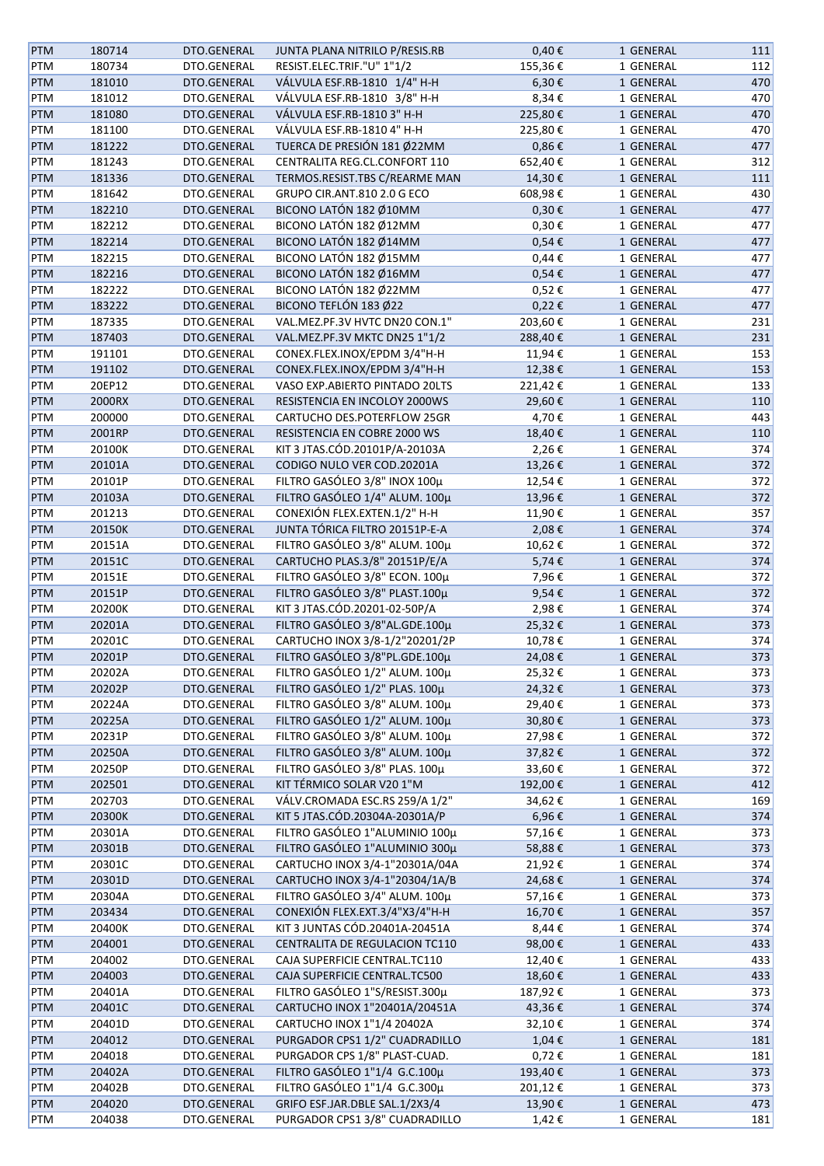| PTM        | 180714 | DTO.GENERAL | JUNTA PLANA NITRILO P/RESIS.RB | $0,40 \in$    | 1 GENERAL | 111 |
|------------|--------|-------------|--------------------------------|---------------|-----------|-----|
| PTM        | 180734 | DTO.GENERAL | RESIST.ELEC.TRIF."U" 1"1/2     | 155,36€       | 1 GENERAL | 112 |
| <b>PTM</b> | 181010 | DTO.GENERAL | VÁLVULA ESF.RB-1810 1/4" H-H   | 6,30€         | 1 GENERAL | 470 |
| PTM        | 181012 | DTO.GENERAL | VÁLVULA ESF.RB-1810 3/8" H-H   | 8,34€         | 1 GENERAL | 470 |
| <b>PTM</b> | 181080 | DTO.GENERAL | VÁLVULA ESF.RB-1810 3" H-H     | 225,80€       | 1 GENERAL | 470 |
| PTM        | 181100 | DTO.GENERAL | VÁLVULA ESF.RB-1810 4" H-H     | 225,80€       | 1 GENERAL | 470 |
| PTM        | 181222 | DTO.GENERAL | TUERCA DE PRESIÓN 181 Ø22MM    | $0,86 \in$    | 1 GENERAL | 477 |
| PTM        | 181243 | DTO.GENERAL | CENTRALITA REG.CL.CONFORT 110  | 652,40€       | 1 GENERAL | 312 |
|            |        |             |                                |               |           |     |
| PTM        | 181336 | DTO.GENERAL | TERMOS.RESIST.TBS C/REARME MAN | 14,30€        | 1 GENERAL | 111 |
| PTM        | 181642 | DTO.GENERAL | GRUPO CIR.ANT.810 2.0 G ECO    | 608,98€       | 1 GENERAL | 430 |
| <b>PTM</b> | 182210 | DTO.GENERAL | BICONO LATÓN 182 Ø10MM         | $0,30 \in$    | 1 GENERAL | 477 |
| PTM        | 182212 | DTO.GENERAL | BICONO LATÓN 182 Ø12MM         | $0,30 \in$    | 1 GENERAL | 477 |
| PTM        | 182214 | DTO.GENERAL | BICONO LATÓN 182 Ø14MM         | $0,54 \in$    | 1 GENERAL | 477 |
| PTM        | 182215 | DTO.GENERAL | BICONO LATÓN 182 Ø15MM         | $0,44 \in$    | 1 GENERAL | 477 |
| <b>PTM</b> | 182216 | DTO.GENERAL | BICONO LATÓN 182 Ø16MM         | $0,54 \in$    | 1 GENERAL | 477 |
| <b>PTM</b> | 182222 | DTO.GENERAL | BICONO LATÓN 182 Ø22MM         | 0,52€         | 1 GENERAL | 477 |
| <b>PTM</b> | 183222 | DTO.GENERAL | BICONO TEFLÓN 183 Ø22          | $0,22 \notin$ | 1 GENERAL | 477 |
| <b>PTM</b> | 187335 | DTO.GENERAL | VAL.MEZ.PF.3V HVTC DN20 CON.1" | 203,60€       | 1 GENERAL | 231 |
| <b>PTM</b> | 187403 | DTO.GENERAL | VAL.MEZ.PF.3V MKTC DN25 1"1/2  | 288,40€       | 1 GENERAL | 231 |
| PTM        | 191101 | DTO.GENERAL | CONEX.FLEX.INOX/EPDM 3/4"H-H   | 11,94€        | 1 GENERAL | 153 |
| <b>PTM</b> | 191102 | DTO.GENERAL | CONEX.FLEX.INOX/EPDM 3/4"H-H   | 12,38€        | 1 GENERAL | 153 |
| PTM        | 20EP12 | DTO.GENERAL | VASO EXP.ABIERTO PINTADO 20LTS | 221,42€       | 1 GENERAL | 133 |
| <b>PTM</b> | 2000RX | DTO.GENERAL | RESISTENCIA EN INCOLOY 2000WS  | 29,60€        | 1 GENERAL | 110 |
| PTM        | 200000 | DTO.GENERAL | CARTUCHO DES.POTERFLOW 25GR    | 4,70€         | 1 GENERAL | 443 |
|            |        |             |                                |               |           |     |
| <b>PTM</b> | 2001RP | DTO.GENERAL | RESISTENCIA EN COBRE 2000 WS   | 18,40€        | 1 GENERAL | 110 |
| PTM        | 20100K | DTO.GENERAL | KIT 3 JTAS.CÓD.20101P/A-20103A | 2,26€         | 1 GENERAL | 374 |
| <b>PTM</b> | 20101A | DTO.GENERAL | CODIGO NULO VER COD.20201A     | 13,26€        | 1 GENERAL | 372 |
| <b>PTM</b> | 20101P | DTO.GENERAL | FILTRO GASÓLEO 3/8" INOX 100µ  | 12,54€        | 1 GENERAL | 372 |
| <b>PTM</b> | 20103A | DTO.GENERAL | FILTRO GASÓLEO 1/4" ALUM. 100µ | 13,96€        | 1 GENERAL | 372 |
| PTM        | 201213 | DTO.GENERAL | CONEXIÓN FLEX.EXTEN.1/2" H-H   | 11,90€        | 1 GENERAL | 357 |
| <b>PTM</b> | 20150K | DTO.GENERAL | JUNTA TÓRICA FILTRO 20151P-E-A | 2,08€         | 1 GENERAL | 374 |
| <b>PTM</b> | 20151A | DTO.GENERAL | FILTRO GASÓLEO 3/8" ALUM. 100µ | 10,62€        | 1 GENERAL | 372 |
| PTM        | 20151C | DTO.GENERAL | CARTUCHO PLAS.3/8" 20151P/E/A  | 5,74€         | 1 GENERAL | 374 |
| PTM        | 20151E | DTO.GENERAL | FILTRO GASÓLEO 3/8" ECON. 100µ | 7,96€         | 1 GENERAL | 372 |
| <b>PTM</b> | 20151P | DTO.GENERAL | FILTRO GASÓLEO 3/8" PLAST.100µ | 9,54€         | 1 GENERAL | 372 |
| PTM        | 20200K | DTO.GENERAL | KIT 3 JTAS.CÓD.20201-02-50P/A  | 2,98€         | 1 GENERAL | 374 |
| <b>PTM</b> | 20201A | DTO.GENERAL | FILTRO GASÓLEO 3/8"AL.GDE.100µ | 25,32€        | 1 GENERAL | 373 |
| PTM        | 20201C | DTO.GENERAL | CARTUCHO INOX 3/8-1/2"20201/2P | 10,78€        | 1 GENERAL | 374 |
| <b>PTM</b> | 20201P | DTO.GENERAL | FILTRO GASÓLEO 3/8"PL.GDE.100µ | 24,08€        | 1 GENERAL | 373 |
| <b>PTM</b> | 20202A | DTO.GENERAL | FILTRO GASÓLEO 1/2" ALUM. 100µ | 25,32€        | 1 GENERAL | 373 |
| <b>PTM</b> | 20202P | DTO.GENERAL | FILTRO GASÓLEO 1/2" PLAS. 100µ | 24,32€        | 1 GENERAL | 373 |
|            |        |             |                                |               |           |     |
| <b>PTM</b> | 20224A | DTO.GENERAL | FILTRO GASÓLEO 3/8" ALUM. 100µ | 29,40€        | 1 GENERAL | 373 |
| <b>PTM</b> | 20225A | DTO.GENERAL | FILTRO GASÓLEO 1/2" ALUM. 100µ | 30,80€        | 1 GENERAL | 373 |
| <b>PTM</b> | 20231P | DTO.GENERAL | FILTRO GASÓLEO 3/8" ALUM. 100µ | 27,98€        | 1 GENERAL | 372 |
| <b>PTM</b> | 20250A | DTO.GENERAL | FILTRO GASÓLEO 3/8" ALUM. 100µ | 37,82€        | 1 GENERAL | 372 |
| PTM        | 20250P | DTO.GENERAL | FILTRO GASÓLEO 3/8" PLAS. 100µ | 33,60€        | 1 GENERAL | 372 |
| <b>PTM</b> | 202501 | DTO.GENERAL | KIT TÉRMICO SOLAR V20 1"M      | 192,00€       | 1 GENERAL | 412 |
| <b>PTM</b> | 202703 | DTO.GENERAL | VÁLV.CROMADA ESC.RS 259/A 1/2" | 34,62€        | 1 GENERAL | 169 |
| <b>PTM</b> | 20300K | DTO.GENERAL | KIT 5 JTAS.CÓD.20304A-20301A/P | 6,96€         | 1 GENERAL | 374 |
| PTM        | 20301A | DTO.GENERAL | FILTRO GASÓLEO 1"ALUMINIO 100µ | 57,16€        | 1 GENERAL | 373 |
| PTM        | 20301B | DTO.GENERAL | FILTRO GASÓLEO 1"ALUMINIO 300µ | 58,88€        | 1 GENERAL | 373 |
| PTM        | 20301C | DTO.GENERAL | CARTUCHO INOX 3/4-1"20301A/04A | 21,92€        | 1 GENERAL | 374 |
| <b>PTM</b> | 20301D | DTO.GENERAL | CARTUCHO INOX 3/4-1"20304/1A/B | 24,68€        | 1 GENERAL | 374 |
| <b>PTM</b> | 20304A | DTO.GENERAL | FILTRO GASÓLEO 3/4" ALUM. 100µ | 57,16€        | 1 GENERAL | 373 |
| <b>PTM</b> | 203434 | DTO.GENERAL | CONEXIÓN FLEX.EXT.3/4"X3/4"H-H | 16,70€        | 1 GENERAL | 357 |
| <b>PTM</b> | 20400K | DTO.GENERAL | KIT 3 JUNTAS CÓD.20401A-20451A | 8,44€         | 1 GENERAL | 374 |
| <b>PTM</b> | 204001 | DTO.GENERAL | CENTRALITA DE REGULACION TC110 | 98,00€        | 1 GENERAL | 433 |
| PTM        | 204002 | DTO.GENERAL | CAJA SUPERFICIE CENTRAL.TC110  | 12,40€        | 1 GENERAL | 433 |
|            |        |             |                                |               |           |     |
| <b>PTM</b> | 204003 | DTO.GENERAL | CAJA SUPERFICIE CENTRAL.TC500  | 18,60€        | 1 GENERAL | 433 |
| PTM        | 20401A | DTO.GENERAL | FILTRO GASÓLEO 1"S/RESIST.300µ | 187,92€       | 1 GENERAL | 373 |
| <b>PTM</b> | 20401C | DTO.GENERAL | CARTUCHO INOX 1"20401A/20451A  | 43,36€        | 1 GENERAL | 374 |
| <b>PTM</b> | 20401D | DTO.GENERAL | CARTUCHO INOX 1"1/4 20402A     | 32,10€        | 1 GENERAL | 374 |
| PTM        | 204012 | DTO.GENERAL | PURGADOR CPS1 1/2" CUADRADILLO | 1,04€         | 1 GENERAL | 181 |
| PTM        | 204018 | DTO.GENERAL | PURGADOR CPS 1/8" PLAST-CUAD.  | 0,72€         | 1 GENERAL | 181 |
| <b>PTM</b> | 20402A | DTO.GENERAL | FILTRO GASÓLEO 1"1/4 G.C.100µ  | 193,40€       | 1 GENERAL | 373 |
| PTM        | 20402B | DTO.GENERAL | FILTRO GASÓLEO 1"1/4 G.C.300µ  | 201,12€       | 1 GENERAL | 373 |
| <b>PTM</b> | 204020 | DTO.GENERAL | GRIFO ESF.JAR.DBLE SAL.1/2X3/4 | 13,90€        | 1 GENERAL | 473 |
| PTM        | 204038 | DTO.GENERAL | PURGADOR CPS1 3/8" CUADRADILLO | 1,42€         | 1 GENERAL | 181 |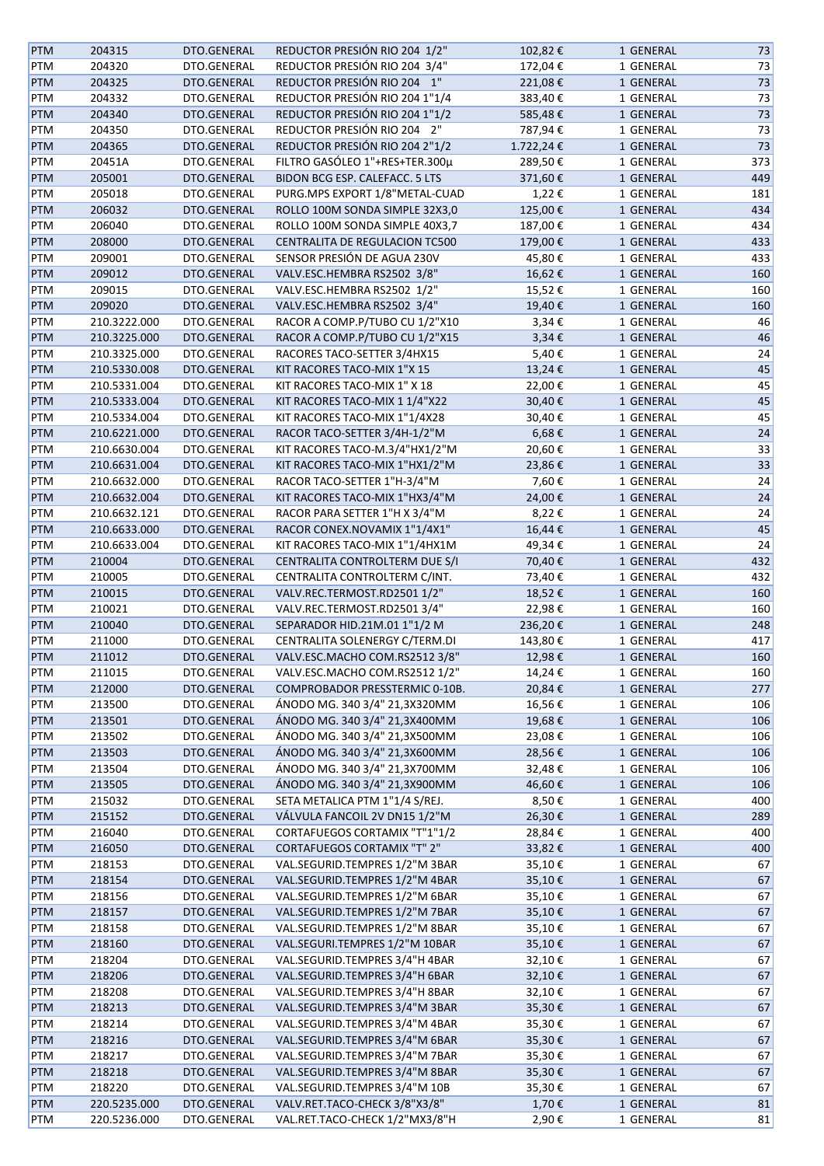| <b>PTM</b> | 204315       | DTO.GENERAL | REDUCTOR PRESIÓN RIO 204 1/2"      | 102,82€    | 1 GENERAL | 73  |
|------------|--------------|-------------|------------------------------------|------------|-----------|-----|
| PTM        | 204320       | DTO.GENERAL | REDUCTOR PRESIÓN RIO 204 3/4"      | 172,04€    | 1 GENERAL | 73  |
| PTM        | 204325       | DTO.GENERAL | REDUCTOR PRESIÓN RIO 204 1"        | 221,08€    | 1 GENERAL | 73  |
| PTM        | 204332       | DTO.GENERAL | REDUCTOR PRESIÓN RIO 204 1"1/4     | 383,40€    | 1 GENERAL | 73  |
| PTM        | 204340       | DTO.GENERAL | REDUCTOR PRESIÓN RIO 204 1"1/2     | 585,48€    | 1 GENERAL | 73  |
| PTM        | 204350       | DTO.GENERAL | REDUCTOR PRESIÓN RIO 204 2"        | 787,94€    | 1 GENERAL |     |
|            |              |             |                                    |            |           | 73  |
| PTM        | 204365       | DTO.GENERAL | REDUCTOR PRESIÓN RIO 204 2"1/2     | 1.722,24€  | 1 GENERAL | 73  |
| PTM        | 20451A       | DTO.GENERAL | FILTRO GASÓLEO 1"+RES+TER.300µ     | 289,50€    | 1 GENERAL | 373 |
| PTM        | 205001       | DTO.GENERAL | BIDON BCG ESP. CALEFACC. 5 LTS     | 371,60€    | 1 GENERAL | 449 |
| PTM        | 205018       | DTO.GENERAL | PURG.MPS EXPORT 1/8"METAL-CUAD     | 1,22€      | 1 GENERAL | 181 |
| <b>PTM</b> | 206032       | DTO.GENERAL | ROLLO 100M SONDA SIMPLE 32X3,0     | 125,00€    | 1 GENERAL | 434 |
| PTM        | 206040       | DTO.GENERAL | ROLLO 100M SONDA SIMPLE 40X3,7     | 187,00€    | 1 GENERAL | 434 |
| PTM        | 208000       | DTO.GENERAL | CENTRALITA DE REGULACION TC500     | 179,00€    | 1 GENERAL | 433 |
| PTM        | 209001       | DTO.GENERAL | SENSOR PRESIÓN DE AGUA 230V        | 45,80€     | 1 GENERAL | 433 |
| PTM        | 209012       | DTO.GENERAL | VALV.ESC.HEMBRA RS2502 3/8"        | 16,62€     | 1 GENERAL | 160 |
| PTM        | 209015       | DTO.GENERAL | VALV.ESC.HEMBRA RS2502 1/2"        | 15,52€     | 1 GENERAL | 160 |
| PTM        | 209020       | DTO.GENERAL | VALV.ESC.HEMBRA RS2502 3/4"        | 19,40€     | 1 GENERAL | 160 |
| PTM        | 210.3222.000 | DTO.GENERAL | RACOR A COMP.P/TUBO CU 1/2"X10     | 3,34€      | 1 GENERAL | 46  |
| PTM        | 210.3225.000 | DTO.GENERAL | RACOR A COMP.P/TUBO CU 1/2"X15     | $3,34 \in$ | 1 GENERAL | 46  |
| PTM        | 210.3325.000 | DTO.GENERAL | RACORES TACO-SETTER 3/4HX15        | 5,40€      | 1 GENERAL | 24  |
| <b>PTM</b> | 210.5330.008 | DTO.GENERAL | KIT RACORES TACO-MIX 1"X 15        | 13,24€     | 1 GENERAL | 45  |
|            | 210.5331.004 | DTO.GENERAL | KIT RACORES TACO-MIX 1" X 18       | 22,00€     | 1 GENERAL | 45  |
| PTM        |              |             |                                    |            |           |     |
| <b>PTM</b> | 210.5333.004 | DTO.GENERAL | KIT RACORES TACO-MIX 1 1/4"X22     | 30,40€     | 1 GENERAL | 45  |
| PTM        | 210.5334.004 | DTO.GENERAL | KIT RACORES TACO-MIX 1"1/4X28      | 30,40€     | 1 GENERAL | 45  |
| PTM        | 210.6221.000 | DTO.GENERAL | RACOR TACO-SETTER 3/4H-1/2"M       | $6,68 \in$ | 1 GENERAL | 24  |
| PTM        | 210.6630.004 | DTO.GENERAL | KIT RACORES TACO-M.3/4"HX1/2"M     | 20,60€     | 1 GENERAL | 33  |
| <b>PTM</b> | 210.6631.004 | DTO.GENERAL | KIT RACORES TACO-MIX 1"HX1/2"M     | 23,86€     | 1 GENERAL | 33  |
| PTM        | 210.6632.000 | DTO.GENERAL | RACOR TACO-SETTER 1"H-3/4"M        | 7,60€      | 1 GENERAL | 24  |
| <b>PTM</b> | 210.6632.004 | DTO.GENERAL | KIT RACORES TACO-MIX 1"HX3/4"M     | 24,00€     | 1 GENERAL | 24  |
| PTM        | 210.6632.121 | DTO.GENERAL | RACOR PARA SETTER 1"H X 3/4"M      | 8,22€      | 1 GENERAL | 24  |
| <b>PTM</b> | 210.6633.000 | DTO.GENERAL | RACOR CONEX.NOVAMIX 1"1/4X1"       | 16,44€     | 1 GENERAL | 45  |
| PTM        | 210.6633.004 | DTO.GENERAL | KIT RACORES TACO-MIX 1"1/4HX1M     | 49,34€     | 1 GENERAL | 24  |
| PTM        | 210004       | DTO.GENERAL | CENTRALITA CONTROLTERM DUE S/I     | 70,40€     | 1 GENERAL | 432 |
| PTM        | 210005       | DTO.GENERAL | CENTRALITA CONTROLTERM C/INT.      | 73,40€     | 1 GENERAL | 432 |
| PTM        | 210015       | DTO.GENERAL | VALV.REC.TERMOST.RD2501 1/2"       | 18,52€     | 1 GENERAL | 160 |
| PTM        | 210021       | DTO.GENERAL | VALV.REC.TERMOST.RD2501 3/4"       | 22,98€     | 1 GENERAL | 160 |
|            | 210040       | DTO.GENERAL | SEPARADOR HID.21M.01 1"1/2 M       |            |           | 248 |
| <b>PTM</b> |              |             | CENTRALITA SOLENERGY C/TERM.DI     | 236,20€    | 1 GENERAL |     |
| PTM        | 211000       | DTO.GENERAL |                                    | 143,80€    | 1 GENERAL | 417 |
| <b>PTM</b> | 211012       | DTO.GENERAL | VALV.ESC.MACHO COM.RS2512 3/8"     | 12,98€     | 1 GENERAL | 160 |
| PTM        | 211015       | DTO.GENERAL | VALV.ESC.MACHO COM.RS2512 1/2"     | 14,24€     | 1 GENERAL | 160 |
| <b>PTM</b> | 212000       | DTO.GENERAL | COMPROBADOR PRESSTERMIC 0-10B.     | 20,84€     | 1 GENERAL | 277 |
| PTM        | 213500       | DTO.GENERAL | ÁNODO MG. 340 3/4" 21,3X320MM      | 16,56€     | 1 GENERAL | 106 |
| PTM        | 213501       | DTO.GENERAL | ÁNODO MG. 340 3/4" 21,3X400MM      | 19,68€     | 1 GENERAL | 106 |
| PTM        | 213502       | DTO.GENERAL | ÁNODO MG. 340 3/4" 21,3X500MM      | 23,08€     | 1 GENERAL | 106 |
| <b>PTM</b> | 213503       | DTO.GENERAL | ÁNODO MG. 340 3/4" 21,3X600MM      | 28,56€     | 1 GENERAL | 106 |
| PTM        | 213504       | DTO.GENERAL | ÁNODO MG. 340 3/4" 21,3X700MM      | 32,48€     | 1 GENERAL | 106 |
| <b>PTM</b> | 213505       | DTO.GENERAL | ÁNODO MG. 340 3/4" 21,3X900MM      | 46,60€     | 1 GENERAL | 106 |
| PTM        | 215032       | DTO.GENERAL | SETA METALICA PTM 1"1/4 S/REJ.     | 8,50€      | 1 GENERAL | 400 |
| <b>PTM</b> | 215152       | DTO.GENERAL | VÁLVULA FANCOIL 2V DN15 1/2"M      | 26,30€     | 1 GENERAL | 289 |
| PTM        | 216040       | DTO.GENERAL | CORTAFUEGOS CORTAMIX "T"1"1/2      | 28,84€     | 1 GENERAL | 400 |
| PTM        | 216050       | DTO.GENERAL | <b>CORTAFUEGOS CORTAMIX "T" 2"</b> | 33,82€     | 1 GENERAL | 400 |
|            |              | DTO.GENERAL | VAL.SEGURID.TEMPRES 1/2"M 3BAR     |            |           | 67  |
| PTM        | 218153       |             |                                    | 35,10€     | 1 GENERAL |     |
| <b>PTM</b> | 218154       | DTO.GENERAL | VAL.SEGURID.TEMPRES 1/2"M 4BAR     | 35,10€     | 1 GENERAL | 67  |
| PTM        | 218156       | DTO.GENERAL | VAL.SEGURID.TEMPRES 1/2"M 6BAR     | 35,10€     | 1 GENERAL | 67  |
| PTM        | 218157       | DTO.GENERAL | VAL.SEGURID.TEMPRES 1/2"M 7BAR     | 35,10€     | 1 GENERAL | 67  |
| PTM        | 218158       | DTO.GENERAL | VAL.SEGURID.TEMPRES 1/2"M 8BAR     | 35,10€     | 1 GENERAL | 67  |
| <b>PTM</b> | 218160       | DTO.GENERAL | VAL.SEGURI.TEMPRES 1/2"M 10BAR     | 35,10€     | 1 GENERAL | 67  |
| PTM        | 218204       | DTO.GENERAL | VAL.SEGURID.TEMPRES 3/4"H 4BAR     | 32,10€     | 1 GENERAL | 67  |
| <b>PTM</b> | 218206       | DTO.GENERAL | VAL.SEGURID.TEMPRES 3/4"H 6BAR     | 32,10€     | 1 GENERAL | 67  |
| PTM        | 218208       | DTO.GENERAL | VAL.SEGURID.TEMPRES 3/4"H 8BAR     | 32,10€     | 1 GENERAL | 67  |
| <b>PTM</b> | 218213       | DTO.GENERAL | VAL.SEGURID.TEMPRES 3/4"M 3BAR     | 35,30€     | 1 GENERAL | 67  |
| PTM        | 218214       | DTO.GENERAL | VAL.SEGURID.TEMPRES 3/4"M 4BAR     | 35,30€     | 1 GENERAL | 67  |
| PTM        | 218216       | DTO.GENERAL | VAL.SEGURID.TEMPRES 3/4"M 6BAR     | 35,30€     | 1 GENERAL | 67  |
| PTM        | 218217       | DTO.GENERAL | VAL.SEGURID.TEMPRES 3/4"M 7BAR     | 35,30€     | 1 GENERAL | 67  |
| <b>PTM</b> | 218218       | DTO.GENERAL | VAL.SEGURID.TEMPRES 3/4"M 8BAR     | 35,30€     | 1 GENERAL | 67  |
| PTM        | 218220       | DTO.GENERAL | VAL.SEGURID.TEMPRES 3/4"M 10B      | 35,30€     | 1 GENERAL | 67  |
| <b>PTM</b> | 220.5235.000 | DTO.GENERAL | VALV.RET.TACO-CHECK 3/8"X3/8"      | 1,70€      | 1 GENERAL | 81  |
| PTM        | 220.5236.000 | DTO.GENERAL | VAL.RET.TACO-CHECK 1/2"MX3/8"H     | 2,90€      | 1 GENERAL | 81  |
|            |              |             |                                    |            |           |     |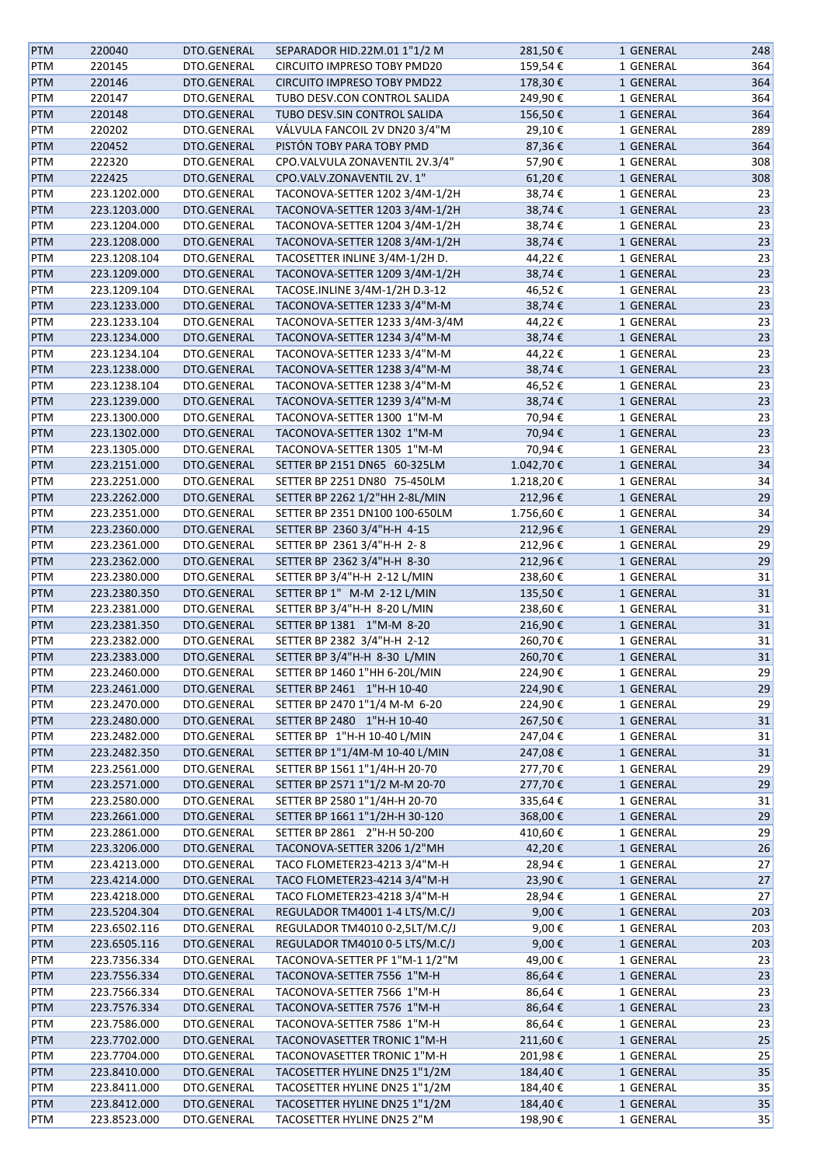| <b>PTM</b> | 220040       | DTO.GENERAL | SEPARADOR HID.22M.01 1"1/2 M       | 281,50€   | 1 GENERAL | 248 |
|------------|--------------|-------------|------------------------------------|-----------|-----------|-----|
| PTM        | 220145       | DTO.GENERAL | CIRCUITO IMPRESO TOBY PMD20        | 159,54€   | 1 GENERAL | 364 |
| PTM        | 220146       | DTO.GENERAL | <b>CIRCUITO IMPRESO TOBY PMD22</b> | 178,30€   | 1 GENERAL | 364 |
| PTM        | 220147       | DTO.GENERAL | TUBO DESV.CON CONTROL SALIDA       | 249,90€   | 1 GENERAL | 364 |
| <b>PTM</b> | 220148       | DTO.GENERAL | TUBO DESV.SIN CONTROL SALIDA       | 156,50€   | 1 GENERAL | 364 |
| PTM        | 220202       | DTO.GENERAL | VÁLVULA FANCOIL 2V DN20 3/4"M      | 29,10€    | 1 GENERAL | 289 |
|            |              |             |                                    |           |           |     |
| <b>PTM</b> | 220452       | DTO.GENERAL | PISTÓN TOBY PARA TOBY PMD          | 87,36€    | 1 GENERAL | 364 |
| PTM        | 222320       | DTO.GENERAL | CPO.VALVULA ZONAVENTIL 2V.3/4"     | 57,90€    | 1 GENERAL | 308 |
| <b>PTM</b> | 222425       | DTO.GENERAL | CPO.VALV.ZONAVENTIL 2V. 1"         | 61,20€    | 1 GENERAL | 308 |
| PTM        | 223.1202.000 | DTO.GENERAL | TACONOVA-SETTER 1202 3/4M-1/2H     | 38,74€    | 1 GENERAL | 23  |
| <b>PTM</b> | 223.1203.000 | DTO.GENERAL | TACONOVA-SETTER 1203 3/4M-1/2H     | 38,74€    | 1 GENERAL | 23  |
| PTM        | 223.1204.000 | DTO.GENERAL | TACONOVA-SETTER 1204 3/4M-1/2H     | 38,74€    | 1 GENERAL | 23  |
| <b>PTM</b> | 223.1208.000 | DTO.GENERAL | TACONOVA-SETTER 1208 3/4M-1/2H     | 38,74€    | 1 GENERAL | 23  |
| PTM        | 223.1208.104 | DTO.GENERAL | TACOSETTER INLINE 3/4M-1/2H D.     | 44,22€    | 1 GENERAL | 23  |
| PTM        | 223.1209.000 | DTO.GENERAL | TACONOVA-SETTER 1209 3/4M-1/2H     | 38,74€    | 1 GENERAL | 23  |
| PTM        | 223.1209.104 | DTO.GENERAL | TACOSE.INLINE 3/4M-1/2H D.3-12     | 46,52€    | 1 GENERAL | 23  |
| PTM        | 223.1233.000 | DTO.GENERAL | TACONOVA-SETTER 1233 3/4"M-M       | 38,74€    | 1 GENERAL | 23  |
| PTM        | 223.1233.104 | DTO.GENERAL | TACONOVA-SETTER 1233 3/4M-3/4M     | 44,22€    | 1 GENERAL |     |
|            |              |             |                                    |           |           | 23  |
| <b>PTM</b> | 223.1234.000 | DTO.GENERAL | TACONOVA-SETTER 1234 3/4"M-M       | 38,74€    | 1 GENERAL | 23  |
| PTM        | 223.1234.104 | DTO.GENERAL | TACONOVA-SETTER 1233 3/4"M-M       | 44,22€    | 1 GENERAL | 23  |
| <b>PTM</b> | 223.1238.000 | DTO.GENERAL | TACONOVA-SETTER 1238 3/4"M-M       | 38,74€    | 1 GENERAL | 23  |
| PTM        | 223.1238.104 | DTO.GENERAL | TACONOVA-SETTER 1238 3/4"M-M       | 46,52€    | 1 GENERAL | 23  |
| <b>PTM</b> | 223.1239.000 | DTO.GENERAL | TACONOVA-SETTER 1239 3/4"M-M       | 38,74€    | 1 GENERAL | 23  |
| PTM        | 223.1300.000 | DTO.GENERAL | TACONOVA-SETTER 1300 1"M-M         | 70,94€    | 1 GENERAL | 23  |
| PTM        | 223.1302.000 | DTO.GENERAL | TACONOVA-SETTER 1302 1"M-M         | 70,94€    | 1 GENERAL | 23  |
| PTM        | 223.1305.000 | DTO.GENERAL | TACONOVA-SETTER 1305 1"M-M         | 70,94€    | 1 GENERAL | 23  |
| PTM        | 223.2151.000 | DTO.GENERAL | SETTER BP 2151 DN65 60-325LM       | 1.042,70€ | 1 GENERAL | 34  |
| PTM        | 223.2251.000 | DTO.GENERAL | SETTER BP 2251 DN80 75-450LM       | 1.218,20€ | 1 GENERAL | 34  |
| <b>PTM</b> | 223.2262.000 | DTO.GENERAL | SETTER BP 2262 1/2"HH 2-8L/MIN     | 212,96€   | 1 GENERAL | 29  |
| PTM        | 223.2351.000 | DTO.GENERAL | SETTER BP 2351 DN100 100-650LM     | 1.756,60€ | 1 GENERAL | 34  |
|            | 223.2360.000 | DTO.GENERAL |                                    |           | 1 GENERAL | 29  |
| PTM        |              |             | SETTER BP 2360 3/4"H-H 4-15        | 212,96€   |           |     |
| PTM        | 223.2361.000 | DTO.GENERAL | SETTER BP 2361 3/4"H-H 2-8         | 212,96€   | 1 GENERAL | 29  |
| <b>PTM</b> | 223.2362.000 | DTO.GENERAL | SETTER BP 2362 3/4"H-H 8-30        | 212,96€   | 1 GENERAL | 29  |
| PTM        | 223.2380.000 | DTO.GENERAL | SETTER BP 3/4"H-H 2-12 L/MIN       | 238,60€   | 1 GENERAL | 31  |
| <b>PTM</b> | 223.2380.350 | DTO.GENERAL | SETTER BP 1" M-M 2-12 L/MIN        | 135,50€   | 1 GENERAL | 31  |
| PTM        | 223.2381.000 | DTO.GENERAL | SETTER BP 3/4"H-H 8-20 L/MIN       | 238,60€   | 1 GENERAL | 31  |
| <b>PTM</b> | 223.2381.350 | DTO.GENERAL | SETTER BP 1381 1"M-M 8-20          | 216,90€   | 1 GENERAL | 31  |
| PTM        | 223.2382.000 | DTO.GENERAL | SETTER BP 2382 3/4"H-H 2-12        | 260,70€   | 1 GENERAL | 31  |
| <b>PTM</b> | 223.2383.000 | DTO.GENERAL | SETTER BP 3/4"H-H 8-30 L/MIN       | 260,70€   | 1 GENERAL | 31  |
| PTM        | 223.2460.000 | DTO.GENERAL | SETTER BP 1460 1"HH 6-20L/MIN      | 224,90€   | 1 GENERAL | 29  |
| <b>PTM</b> | 223.2461.000 | DTO.GENERAL | SETTER BP 2461 1"H-H 10-40         | 224,90€   | 1 GENERAL | 29  |
| PTM        | 223.2470.000 | DTO.GENERAL | SETTER BP 2470 1"1/4 M-M 6-20      | 224,90€   | 1 GENERAL | 29  |
| <b>PTM</b> | 223.2480.000 | DTO.GENERAL | SETTER BP 2480 1"H-H 10-40         | 267,50€   | 1 GENERAL | 31  |
| PTM        | 223.2482.000 | DTO.GENERAL | SETTER BP 1"H-H 10-40 L/MIN        | 247,04€   | 1 GENERAL | 31  |
| <b>PTM</b> | 223.2482.350 | DTO.GENERAL | SETTER BP 1"1/4M-M 10-40 L/MIN     | 247,08€   | 1 GENERAL | 31  |
| PTM        | 223.2561.000 | DTO.GENERAL | SETTER BP 1561 1"1/4H-H 20-70      | 277,70€   | 1 GENERAL | 29  |
|            |              |             |                                    |           |           |     |
| <b>PTM</b> | 223.2571.000 | DTO.GENERAL | SETTER BP 2571 1"1/2 M-M 20-70     | 277,70€   | 1 GENERAL | 29  |
| PTM        | 223.2580.000 | DTO.GENERAL | SETTER BP 2580 1"1/4H-H 20-70      | 335,64€   | 1 GENERAL | 31  |
| <b>PTM</b> | 223.2661.000 | DTO.GENERAL | SETTER BP 1661 1"1/2H-H 30-120     | 368,00€   | 1 GENERAL | 29  |
| PTM        | 223.2861.000 | DTO.GENERAL | SETTER BP 2861 2"H-H 50-200        | 410,60€   | 1 GENERAL | 29  |
| <b>PTM</b> | 223.3206.000 | DTO.GENERAL | TACONOVA-SETTER 3206 1/2"MH        | 42,20€    | 1 GENERAL | 26  |
| PTM        | 223.4213.000 | DTO.GENERAL | TACO FLOMETER23-4213 3/4"M-H       | 28,94€    | 1 GENERAL | 27  |
| <b>PTM</b> | 223.4214.000 | DTO.GENERAL | TACO FLOMETER23-4214 3/4"M-H       | 23,90€    | 1 GENERAL | 27  |
| PTM        | 223.4218.000 | DTO.GENERAL | TACO FLOMETER23-4218 3/4"M-H       | 28,94€    | 1 GENERAL | 27  |
| <b>PTM</b> | 223.5204.304 | DTO.GENERAL | REGULADOR TM4001 1-4 LTS/M.C/J     | 9,00€     | 1 GENERAL | 203 |
| PTM        | 223.6502.116 | DTO.GENERAL | REGULADOR TM4010 0-2,5LT/M.C/J     | 9,00€     | 1 GENERAL | 203 |
| PTM        | 223.6505.116 | DTO.GENERAL | REGULADOR TM4010 0-5 LTS/M.C/J     | 9,00€     | 1 GENERAL | 203 |
| PTM        | 223.7356.334 | DTO.GENERAL | TACONOVA-SETTER PF 1"M-1 1/2"M     | 49,00€    | 1 GENERAL | 23  |
| <b>PTM</b> | 223.7556.334 | DTO.GENERAL | TACONOVA-SETTER 7556 1"M-H         | 86,64€    | 1 GENERAL | 23  |
| PTM        | 223.7566.334 | DTO.GENERAL | TACONOVA-SETTER 7566 1"M-H         | 86,64€    | 1 GENERAL | 23  |
|            |              |             |                                    |           |           |     |
| <b>PTM</b> | 223.7576.334 | DTO.GENERAL | TACONOVA-SETTER 7576 1"M-H         | 86,64€    | 1 GENERAL | 23  |
| PTM        | 223.7586.000 | DTO.GENERAL | TACONOVA-SETTER 7586 1"M-H         | 86,64€    | 1 GENERAL | 23  |
| <b>PTM</b> | 223.7702.000 | DTO.GENERAL | TACONOVASETTER TRONIC 1"M-H        | 211,60€   | 1 GENERAL | 25  |
| PTM        | 223.7704.000 | DTO.GENERAL | TACONOVASETTER TRONIC 1"M-H        | 201,98€   | 1 GENERAL | 25  |
| <b>PTM</b> | 223.8410.000 | DTO.GENERAL | TACOSETTER HYLINE DN25 1"1/2M      | 184,40€   | 1 GENERAL | 35  |
| PTM        | 223.8411.000 | DTO.GENERAL | TACOSETTER HYLINE DN25 1"1/2M      | 184,40€   | 1 GENERAL | 35  |
| <b>PTM</b> | 223.8412.000 | DTO.GENERAL | TACOSETTER HYLINE DN25 1"1/2M      | 184,40€   | 1 GENERAL | 35  |
| PTM        | 223.8523.000 | DTO.GENERAL | TACOSETTER HYLINE DN25 2"M         | 198,90€   | 1 GENERAL | 35  |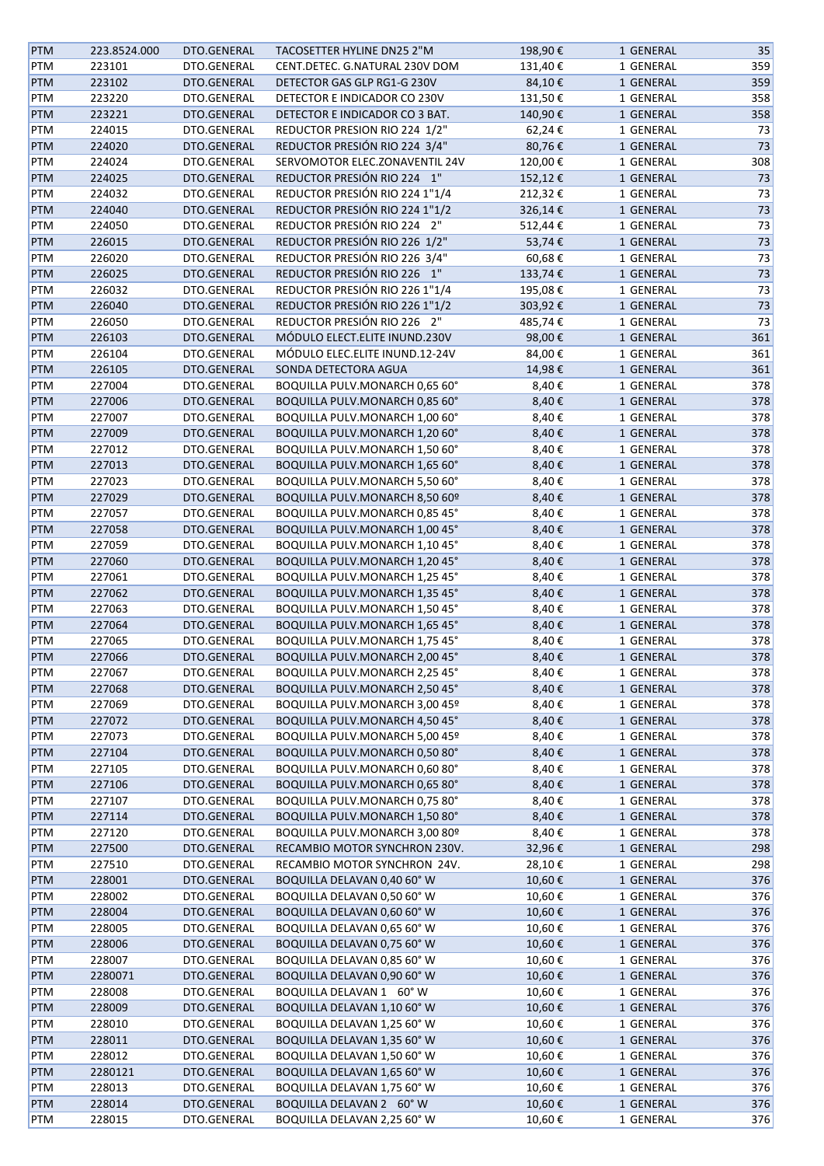| <b>PTM</b> | 223.8524.000 | DTO.GENERAL | TACOSETTER HYLINE DN25 2"M     | 198,90€ | 1 GENERAL | 35     |
|------------|--------------|-------------|--------------------------------|---------|-----------|--------|
| PTM        | 223101       | DTO.GENERAL | CENT.DETEC. G.NATURAL 230V DOM | 131,40€ | 1 GENERAL | 359    |
| <b>PTM</b> | 223102       | DTO.GENERAL | DETECTOR GAS GLP RG1-G 230V    | 84,10€  | 1 GENERAL | 359    |
| PTM        | 223220       | DTO.GENERAL | DETECTOR E INDICADOR CO 230V   | 131,50€ | 1 GENERAL | 358    |
| <b>PTM</b> | 223221       | DTO.GENERAL | DETECTOR E INDICADOR CO 3 BAT. | 140,90€ | 1 GENERAL | 358    |
| PTM        | 224015       | DTO.GENERAL | REDUCTOR PRESION RIO 224 1/2"  | 62,24€  | 1 GENERAL | 73     |
| <b>PTM</b> | 224020       | DTO.GENERAL | REDUCTOR PRESIÓN RIO 224 3/4"  | 80,76€  | 1 GENERAL | 73     |
| PTM        | 224024       | DTO.GENERAL | SERVOMOTOR ELEC.ZONAVENTIL 24V | 120,00€ | 1 GENERAL | 308    |
| <b>PTM</b> | 224025       | DTO.GENERAL | REDUCTOR PRESIÓN RIO 224 1"    | 152,12€ | 1 GENERAL | 73     |
| PTM        | 224032       | DTO.GENERAL | REDUCTOR PRESIÓN RIO 224 1"1/4 | 212,32€ | 1 GENERAL | 73     |
| PTM        | 224040       | DTO.GENERAL | REDUCTOR PRESIÓN RIO 224 1"1/2 | 326,14€ | 1 GENERAL | 73     |
|            |              |             |                                |         |           | 73     |
| PTM        | 224050       | DTO.GENERAL | REDUCTOR PRESIÓN RIO 224 2"    | 512,44€ | 1 GENERAL |        |
| <b>PTM</b> | 226015       | DTO.GENERAL | REDUCTOR PRESIÓN RIO 226 1/2"  | 53,74€  | 1 GENERAL | 73     |
| PTM        | 226020       | DTO.GENERAL | REDUCTOR PRESIÓN RIO 226 3/4"  | 60,68€  | 1 GENERAL | 73     |
| <b>PTM</b> | 226025       | DTO.GENERAL | REDUCTOR PRESIÓN RIO 226 1"    | 133,74€ | 1 GENERAL | $73\,$ |
| PTM        | 226032       | DTO.GENERAL | REDUCTOR PRESIÓN RIO 226 1"1/4 | 195,08€ | 1 GENERAL | 73     |
| <b>PTM</b> | 226040       | DTO.GENERAL | REDUCTOR PRESIÓN RIO 226 1"1/2 | 303,92€ | 1 GENERAL | $73\,$ |
| PTM        | 226050       | DTO.GENERAL | REDUCTOR PRESIÓN RIO 226 2"    | 485,74€ | 1 GENERAL | 73     |
| <b>PTM</b> | 226103       | DTO.GENERAL | MÓDULO ELECT.ELITE INUND.230V  | 98,00€  | 1 GENERAL | 361    |
| PTM        | 226104       | DTO.GENERAL | MÓDULO ELEC.ELITE INUND.12-24V | 84,00€  | 1 GENERAL | 361    |
| <b>PTM</b> | 226105       | DTO.GENERAL | SONDA DETECTORA AGUA           | 14,98€  | 1 GENERAL | 361    |
| PTM        | 227004       | DTO.GENERAL | BOQUILLA PULV.MONARCH 0,65 60° | 8,40€   | 1 GENERAL | 378    |
| <b>PTM</b> | 227006       | DTO.GENERAL | BOQUILLA PULV.MONARCH 0,85 60° | 8,40€   | 1 GENERAL | 378    |
| PTM        | 227007       | DTO.GENERAL | BOQUILLA PULV.MONARCH 1,00 60° | 8,40€   | 1 GENERAL | 378    |
| PTM        | 227009       | DTO.GENERAL | BOQUILLA PULV.MONARCH 1,20 60° | 8,40€   | 1 GENERAL | 378    |
| PTM        | 227012       | DTO.GENERAL | BOQUILLA PULV.MONARCH 1,50 60° | 8,40€   | 1 GENERAL | 378    |
| <b>PTM</b> | 227013       | DTO.GENERAL | BOQUILLA PULV.MONARCH 1,65 60° | 8,40€   | 1 GENERAL | 378    |
| PTM        | 227023       | DTO.GENERAL | BOQUILLA PULV.MONARCH 5,50 60° | 8,40€   | 1 GENERAL | 378    |
| <b>PTM</b> | 227029       | DTO.GENERAL | BOQUILLA PULV.MONARCH 8,50 60º | 8,40€   | 1 GENERAL | 378    |
| PTM        | 227057       | DTO.GENERAL | BOQUILLA PULV.MONARCH 0,85 45° | 8,40€   | 1 GENERAL | 378    |
| <b>PTM</b> | 227058       | DTO.GENERAL | BOQUILLA PULV.MONARCH 1,00 45° | 8,40€   | 1 GENERAL | 378    |
|            |              |             |                                |         |           | 378    |
| PTM        | 227059       | DTO.GENERAL | BOQUILLA PULV.MONARCH 1,10 45° | 8,40€   | 1 GENERAL |        |
| <b>PTM</b> | 227060       | DTO.GENERAL | BOQUILLA PULV.MONARCH 1,20 45° | 8,40€   | 1 GENERAL | 378    |
| PTM        | 227061       | DTO.GENERAL | BOQUILLA PULV.MONARCH 1,25 45° | 8,40€   | 1 GENERAL | 378    |
| <b>PTM</b> | 227062       | DTO.GENERAL | BOQUILLA PULV.MONARCH 1,35 45° | 8,40€   | 1 GENERAL | 378    |
| PTM        | 227063       | DTO.GENERAL | BOQUILLA PULV.MONARCH 1,50 45° | 8,40€   | 1 GENERAL | 378    |
| <b>PTM</b> | 227064       | DTO.GENERAL | BOQUILLA PULV.MONARCH 1,65 45° | 8,40€   | 1 GENERAL | 378    |
| PTM        | 227065       | DTO.GENERAL | BOQUILLA PULV.MONARCH 1,75 45° | 8,40€   | 1 GENERAL | 378    |
| <b>PTM</b> | 227066       | DTO.GENERAL | BOQUILLA PULV.MONARCH 2,00 45° | 8,40€   | 1 GENERAL | 378    |
| PTM        | 227067       | DTO.GENERAL | BOQUILLA PULV.MONARCH 2,25 45° | 8,40€   | 1 GENERAL | 378    |
| <b>PTM</b> | 227068       | DTO.GENERAL | BOQUILLA PULV.MONARCH 2,50 45° | 8,40€   | 1 GENERAL | 378    |
| PTM        | 227069       | DTO.GENERAL | BOQUILLA PULV.MONARCH 3,00 45º | 8,40€   | 1 GENERAL | 378    |
| <b>PTM</b> | 227072       | DTO.GENERAL | BOQUILLA PULV.MONARCH 4,50 45° | 8,40€   | 1 GENERAL | 378    |
| PTM        | 227073       | DTO.GENERAL | BOQUILLA PULV.MONARCH 5,00 45º | 8,40€   | 1 GENERAL | 378    |
| <b>PTM</b> | 227104       | DTO.GENERAL | BOQUILLA PULV.MONARCH 0,50 80° | 8,40€   | 1 GENERAL | 378    |
| PTM        | 227105       | DTO.GENERAL | BOQUILLA PULV.MONARCH 0,60 80° | 8,40€   | 1 GENERAL | 378    |
| <b>PTM</b> | 227106       | DTO.GENERAL | BOQUILLA PULV.MONARCH 0,65 80° | 8,40€   | 1 GENERAL | 378    |
| PTM        | 227107       | DTO.GENERAL | BOQUILLA PULV.MONARCH 0,75 80° | 8,40€   | 1 GENERAL | 378    |
| PTM        | 227114       | DTO.GENERAL | BOQUILLA PULV.MONARCH 1,50 80° | 8,40€   | 1 GENERAL | 378    |
| PTM        | 227120       | DTO.GENERAL | BOQUILLA PULV.MONARCH 3,00 80º | 8,40€   | 1 GENERAL | 378    |
| <b>PTM</b> | 227500       | DTO.GENERAL | RECAMBIO MOTOR SYNCHRON 230V.  | 32,96€  | 1 GENERAL | 298    |
| PTM        | 227510       | DTO.GENERAL | RECAMBIO MOTOR SYNCHRON 24V.   | 28,10€  | 1 GENERAL | 298    |
| <b>PTM</b> | 228001       | DTO.GENERAL | BOQUILLA DELAVAN 0,40 60° W    | 10,60€  | 1 GENERAL | 376    |
| PTM        | 228002       | DTO.GENERAL | BOQUILLA DELAVAN 0,50 60°W     | 10,60€  | 1 GENERAL | 376    |
| <b>PTM</b> | 228004       | DTO.GENERAL | BOQUILLA DELAVAN 0,60 60° W    | 10,60€  | 1 GENERAL | 376    |
| PTM        | 228005       | DTO.GENERAL | BOQUILLA DELAVAN 0,65 60° W    | 10,60€  | 1 GENERAL | 376    |
|            |              |             |                                |         |           |        |
| <b>PTM</b> | 228006       | DTO.GENERAL | BOQUILLA DELAVAN 0,75 60° W    | 10,60€  | 1 GENERAL | 376    |
| PTM        | 228007       | DTO.GENERAL | BOQUILLA DELAVAN 0,85 60° W    | 10,60€  | 1 GENERAL | 376    |
| <b>PTM</b> | 2280071      | DTO.GENERAL | BOQUILLA DELAVAN 0,90 60°W     | 10,60€  | 1 GENERAL | 376    |
| PTM        | 228008       | DTO.GENERAL | BOQUILLA DELAVAN 1 60° W       | 10,60€  | 1 GENERAL | 376    |
| <b>PTM</b> | 228009       | DTO.GENERAL | BOQUILLA DELAVAN 1,10 60°W     | 10,60€  | 1 GENERAL | 376    |
| PTM        | 228010       | DTO.GENERAL | BOQUILLA DELAVAN 1,25 60° W    | 10,60€  | 1 GENERAL | 376    |
| PTM        | 228011       | DTO.GENERAL | BOQUILLA DELAVAN 1,35 60° W    | 10,60€  | 1 GENERAL | 376    |
| PTM        | 228012       | DTO.GENERAL | BOQUILLA DELAVAN 1,50 60° W    | 10,60€  | 1 GENERAL | 376    |
| <b>PTM</b> | 2280121      | DTO.GENERAL | BOQUILLA DELAVAN 1,65 60° W    | 10,60€  | 1 GENERAL | 376    |
| PTM        | 228013       | DTO.GENERAL | BOQUILLA DELAVAN 1,75 60° W    | 10,60€  | 1 GENERAL | 376    |
| PTM        | 228014       | DTO.GENERAL | BOQUILLA DELAVAN 2 60° W       | 10,60€  | 1 GENERAL | 376    |
| PTM        | 228015       | DTO.GENERAL | BOQUILLA DELAVAN 2,25 60° W    | 10,60€  | 1 GENERAL | 376    |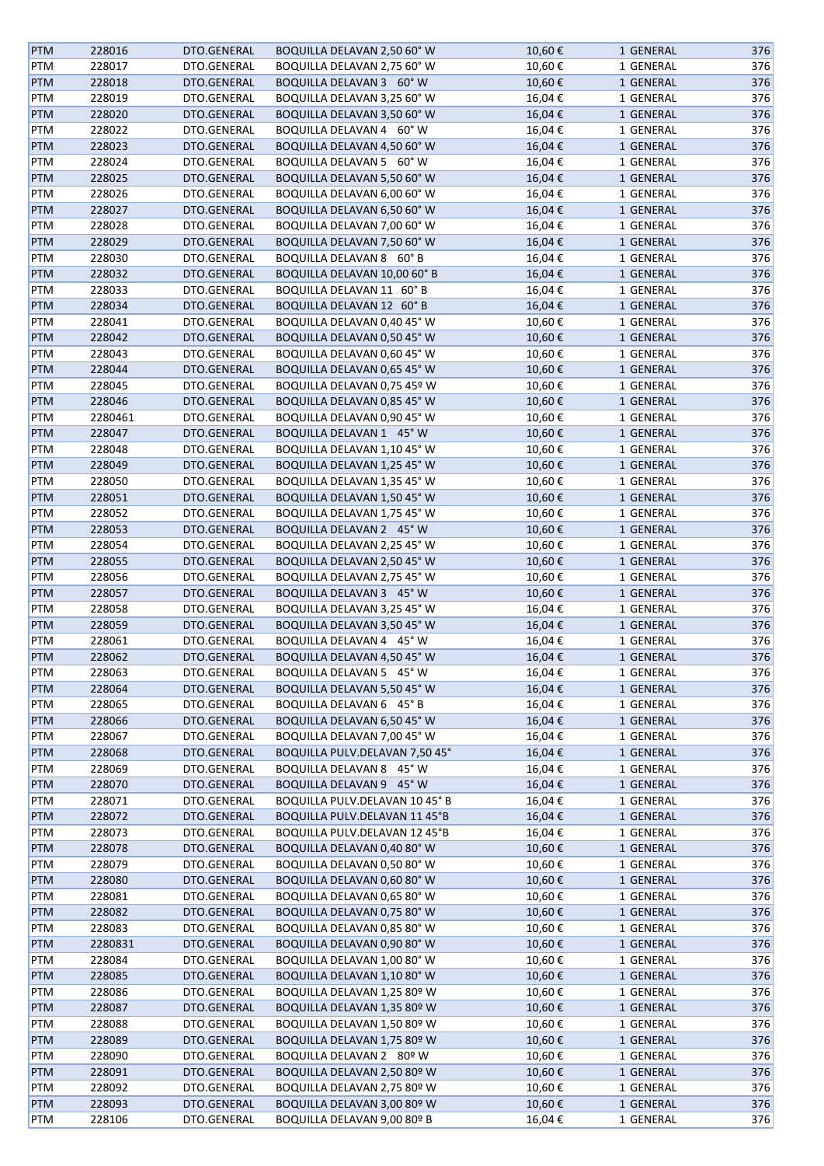| <b>PTM</b> | 228016  | DTO.GENERAL | BOQUILLA DELAVAN 2,50 60° W          | 10,60€ | 1 GENERAL | 376 |
|------------|---------|-------------|--------------------------------------|--------|-----------|-----|
| PTM        | 228017  | DTO.GENERAL | BOQUILLA DELAVAN 2,75 60° W          | 10,60€ | 1 GENERAL | 376 |
| <b>PTM</b> | 228018  | DTO.GENERAL | BOQUILLA DELAVAN 3 60° W             | 10,60€ | 1 GENERAL | 376 |
| PTM        | 228019  | DTO.GENERAL | BOQUILLA DELAVAN 3,25 60° W          | 16,04€ | 1 GENERAL | 376 |
| <b>PTM</b> | 228020  | DTO.GENERAL | BOQUILLA DELAVAN 3,50 60°W           | 16,04€ | 1 GENERAL | 376 |
| PTM        | 228022  | DTO.GENERAL | BOQUILLA DELAVAN 4 60° W             | 16,04€ | 1 GENERAL | 376 |
| <b>PTM</b> | 228023  | DTO.GENERAL | BOQUILLA DELAVAN 4,50 60°W           | 16,04€ | 1 GENERAL | 376 |
| PTM        | 228024  | DTO.GENERAL | BOQUILLA DELAVAN 5 60° W             | 16,04€ | 1 GENERAL | 376 |
|            |         |             |                                      |        |           |     |
| <b>PTM</b> | 228025  | DTO.GENERAL | BOQUILLA DELAVAN 5,50 60°W           | 16,04€ | 1 GENERAL | 376 |
| PTM        | 228026  | DTO.GENERAL | BOQUILLA DELAVAN 6,00 60°W           | 16,04€ | 1 GENERAL | 376 |
| <b>PTM</b> | 228027  | DTO.GENERAL | BOQUILLA DELAVAN 6,50 60°W           | 16,04€ | 1 GENERAL | 376 |
| PTM        | 228028  | DTO.GENERAL | BOQUILLA DELAVAN 7,00 60° W          | 16,04€ | 1 GENERAL | 376 |
| PTM        | 228029  | DTO.GENERAL | BOQUILLA DELAVAN 7,50 60° W          | 16,04€ | 1 GENERAL | 376 |
| PTM        | 228030  | DTO.GENERAL | BOQUILLA DELAVAN 8 60°B              | 16,04€ | 1 GENERAL | 376 |
| <b>PTM</b> | 228032  | DTO.GENERAL | BOQUILLA DELAVAN 10,00 60° B         | 16,04€ | 1 GENERAL | 376 |
| PTM        | 228033  | DTO.GENERAL | BOQUILLA DELAVAN 11 60°B             | 16,04€ | 1 GENERAL | 376 |
| <b>PTM</b> | 228034  | DTO.GENERAL | BOQUILLA DELAVAN 12 60°B             | 16,04€ | 1 GENERAL | 376 |
| PTM        | 228041  | DTO.GENERAL | BOQUILLA DELAVAN 0,40 45° W          | 10,60€ | 1 GENERAL | 376 |
| <b>PTM</b> | 228042  | DTO.GENERAL | BOQUILLA DELAVAN 0,50 45° W          | 10,60€ | 1 GENERAL | 376 |
| PTM        | 228043  | DTO.GENERAL | BOQUILLA DELAVAN 0,60 45° W          | 10,60€ | 1 GENERAL | 376 |
| <b>PTM</b> | 228044  | DTO.GENERAL | BOQUILLA DELAVAN 0,65 45° W          | 10,60€ | 1 GENERAL | 376 |
| PTM        | 228045  | DTO.GENERAL | BOQUILLA DELAVAN 0,75 45º W          | 10,60€ | 1 GENERAL | 376 |
| <b>PTM</b> | 228046  | DTO.GENERAL | BOQUILLA DELAVAN 0,85 45° W          | 10,60€ | 1 GENERAL | 376 |
| PTM        | 2280461 | DTO.GENERAL | BOQUILLA DELAVAN 0,90 45° W          | 10,60€ | 1 GENERAL | 376 |
|            |         | DTO.GENERAL | BOQUILLA DELAVAN 1 45° W             |        |           |     |
| <b>PTM</b> | 228047  |             |                                      | 10,60€ | 1 GENERAL | 376 |
| PTM        | 228048  | DTO.GENERAL | BOQUILLA DELAVAN 1,10 45° W          | 10,60€ | 1 GENERAL | 376 |
| <b>PTM</b> | 228049  | DTO.GENERAL | BOQUILLA DELAVAN 1,25 45° W          | 10,60€ | 1 GENERAL | 376 |
| PTM        | 228050  | DTO.GENERAL | BOQUILLA DELAVAN 1,35 45° W          | 10,60€ | 1 GENERAL | 376 |
| <b>PTM</b> | 228051  | DTO.GENERAL | BOQUILLA DELAVAN 1,50 45° W          | 10,60€ | 1 GENERAL | 376 |
| PTM        | 228052  | DTO.GENERAL | BOQUILLA DELAVAN 1,75 45° W          | 10,60€ | 1 GENERAL | 376 |
| <b>PTM</b> | 228053  | DTO.GENERAL | BOQUILLA DELAVAN 2 45° W             | 10,60€ | 1 GENERAL | 376 |
| PTM        | 228054  | DTO.GENERAL | BOQUILLA DELAVAN 2,25 45° W          | 10,60€ | 1 GENERAL | 376 |
| <b>PTM</b> | 228055  | DTO.GENERAL | BOQUILLA DELAVAN 2,50 45° W          | 10,60€ | 1 GENERAL | 376 |
| PTM        | 228056  | DTO.GENERAL | BOQUILLA DELAVAN 2,75 45° W          | 10,60€ | 1 GENERAL | 376 |
| <b>PTM</b> | 228057  | DTO.GENERAL | BOQUILLA DELAVAN 3 45° W             | 10,60€ | 1 GENERAL | 376 |
| PTM        | 228058  | DTO.GENERAL | BOQUILLA DELAVAN 3,25 45° W          | 16,04€ | 1 GENERAL | 376 |
| <b>PTM</b> | 228059  | DTO.GENERAL | BOQUILLA DELAVAN 3,50 45° W          | 16,04€ | 1 GENERAL | 376 |
| PTM        | 228061  | DTO.GENERAL | BOQUILLA DELAVAN 4 45° W             | 16,04€ | 1 GENERAL | 376 |
| <b>PTM</b> | 228062  | DTO.GENERAL | BOQUILLA DELAVAN 4,50 45° W          | 16,04€ | 1 GENERAL | 376 |
| PTM        | 228063  | DTO.GENERAL | BOQUILLA DELAVAN 5 45° W             | 16,04€ | 1 GENERAL | 376 |
| <b>PTM</b> | 228064  | DTO.GENERAL | BOQUILLA DELAVAN 5,50 45° W          | 16,04€ | 1 GENERAL | 376 |
| PTM        | 228065  | DTO.GENERAL | BOQUILLA DELAVAN 6 45°B              | 16,04€ | 1 GENERAL | 376 |
|            | 228066  |             |                                      |        |           |     |
| <b>PTM</b> |         | DTO.GENERAL | BOQUILLA DELAVAN 6,50 45° W          | 16,04€ | 1 GENERAL | 376 |
| PTM        | 228067  | DTO.GENERAL | BOQUILLA DELAVAN 7,00 45° W          | 16,04€ | 1 GENERAL | 376 |
| <b>PTM</b> | 228068  | DTO.GENERAL | BOQUILLA PULV.DELAVAN 7,50 45°       | 16,04€ | 1 GENERAL | 376 |
| PTM        | 228069  | DTO.GENERAL | BOQUILLA DELAVAN 8 45° W             | 16,04€ | 1 GENERAL | 376 |
| <b>PTM</b> | 228070  | DTO.GENERAL | BOQUILLA DELAVAN 9 45° W             | 16,04€ | 1 GENERAL | 376 |
| PTM        | 228071  | DTO.GENERAL | BOQUILLA PULV.DELAVAN 10 45° B       | 16,04€ | 1 GENERAL | 376 |
| <b>PTM</b> | 228072  | DTO.GENERAL | <b>BOQUILLA PULV.DELAVAN 11 45°B</b> | 16,04€ | 1 GENERAL | 376 |
| PTM        | 228073  | DTO.GENERAL | BOQUILLA PULV.DELAVAN 12 45°B        | 16,04€ | 1 GENERAL | 376 |
| PTM        | 228078  | DTO.GENERAL | BOQUILLA DELAVAN 0,40 80° W          | 10,60€ | 1 GENERAL | 376 |
| PTM        | 228079  | DTO.GENERAL | BOQUILLA DELAVAN 0,50 80°W           | 10,60€ | 1 GENERAL | 376 |
| <b>PTM</b> | 228080  | DTO.GENERAL | BOQUILLA DELAVAN 0,60 80° W          | 10,60€ | 1 GENERAL | 376 |
| PTM        | 228081  | DTO.GENERAL | BOQUILLA DELAVAN 0,65 80° W          | 10,60€ | 1 GENERAL | 376 |
| <b>PTM</b> | 228082  | DTO.GENERAL | BOQUILLA DELAVAN 0,75 80° W          | 10,60€ | 1 GENERAL | 376 |
| PTM        | 228083  | DTO.GENERAL | BOQUILLA DELAVAN 0,85 80° W          | 10,60€ | 1 GENERAL | 376 |
| <b>PTM</b> | 2280831 | DTO.GENERAL | BOQUILLA DELAVAN 0,90 80° W          | 10,60€ | 1 GENERAL | 376 |
| PTM        | 228084  | DTO.GENERAL | BOQUILLA DELAVAN 1,00 80° W          | 10,60€ | 1 GENERAL | 376 |
| <b>PTM</b> | 228085  | DTO.GENERAL | BOQUILLA DELAVAN 1,10 80° W          | 10,60€ | 1 GENERAL | 376 |
|            |         |             |                                      |        |           |     |
| PTM        | 228086  | DTO.GENERAL | BOQUILLA DELAVAN 1,25 80º W          | 10,60€ | 1 GENERAL | 376 |
| <b>PTM</b> | 228087  | DTO.GENERAL | BOQUILLA DELAVAN 1,35 80º W          | 10,60€ | 1 GENERAL | 376 |
| PTM        | 228088  | DTO.GENERAL | BOQUILLA DELAVAN 1,50 80º W          | 10,60€ | 1 GENERAL | 376 |
| PTM        | 228089  | DTO.GENERAL | BOQUILLA DELAVAN 1,75 80º W          | 10,60€ | 1 GENERAL | 376 |
| PTM        | 228090  | DTO.GENERAL | BOQUILLA DELAVAN 2 80º W             | 10,60€ | 1 GENERAL | 376 |
| PTM        | 228091  | DTO.GENERAL | BOQUILLA DELAVAN 2,50 80º W          | 10,60€ | 1 GENERAL | 376 |
| PTM        | 228092  | DTO.GENERAL | BOQUILLA DELAVAN 2,75 80º W          | 10,60€ | 1 GENERAL | 376 |
| <b>PTM</b> | 228093  | DTO.GENERAL | BOQUILLA DELAVAN 3,00 80º W          | 10,60€ | 1 GENERAL | 376 |
| PTM        | 228106  | DTO.GENERAL | BOQUILLA DELAVAN 9,00 80º B          | 16,04€ | 1 GENERAL | 376 |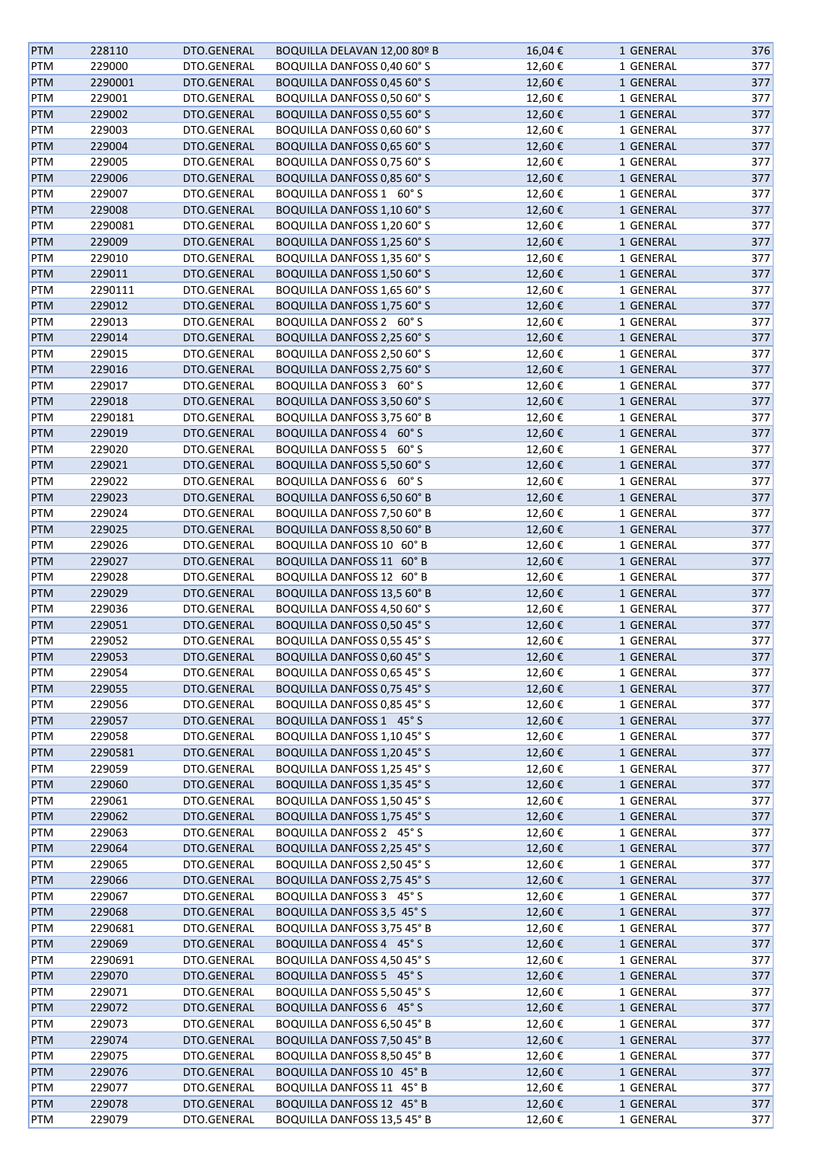| <b>PTM</b> | 228110  | DTO.GENERAL | BOQUILLA DELAVAN 12,00 80º B       | 16,04€ | 1 GENERAL | 376 |
|------------|---------|-------------|------------------------------------|--------|-----------|-----|
| <b>PTM</b> | 229000  | DTO.GENERAL | BOQUILLA DANFOSS 0,40 60° S        | 12,60€ | 1 GENERAL | 377 |
| <b>PTM</b> | 2290001 | DTO.GENERAL | <b>BOQUILLA DANFOSS 0,45 60° S</b> | 12,60€ | 1 GENERAL | 377 |
| <b>PTM</b> | 229001  | DTO.GENERAL | BOQUILLA DANFOSS 0,50 60° S        | 12,60€ | 1 GENERAL | 377 |
| <b>PTM</b> | 229002  | DTO.GENERAL | <b>BOQUILLA DANFOSS 0,55 60° S</b> | 12,60€ | 1 GENERAL | 377 |
| PTM        | 229003  | DTO.GENERAL | BOQUILLA DANFOSS 0,60 60° S        | 12,60€ | 1 GENERAL | 377 |
|            |         | DTO.GENERAL | <b>BOQUILLA DANFOSS 0,65 60° S</b> |        |           |     |
| <b>PTM</b> | 229004  |             |                                    | 12,60€ | 1 GENERAL | 377 |
| <b>PTM</b> | 229005  | DTO.GENERAL | BOQUILLA DANFOSS 0,75 60° S        | 12,60€ | 1 GENERAL | 377 |
| <b>PTM</b> | 229006  | DTO.GENERAL | <b>BOQUILLA DANFOSS 0,85 60° S</b> | 12,60€ | 1 GENERAL | 377 |
| <b>PTM</b> | 229007  | DTO.GENERAL | BOQUILLA DANFOSS 1 60° S           | 12,60€ | 1 GENERAL | 377 |
| PTM        | 229008  | DTO.GENERAL | BOQUILLA DANFOSS 1,10 60° S        | 12,60€ | 1 GENERAL | 377 |
| PTM        | 2290081 | DTO.GENERAL | BOQUILLA DANFOSS 1,20 60° S        | 12,60€ | 1 GENERAL | 377 |
| <b>PTM</b> | 229009  | DTO.GENERAL | <b>BOQUILLA DANFOSS 1,25 60° S</b> | 12,60€ | 1 GENERAL | 377 |
| <b>PTM</b> | 229010  | DTO.GENERAL | BOQUILLA DANFOSS 1,35 60° S        | 12,60€ | 1 GENERAL | 377 |
| <b>PTM</b> | 229011  | DTO.GENERAL | <b>BOQUILLA DANFOSS 1,50 60° S</b> | 12,60€ | 1 GENERAL | 377 |
| <b>PTM</b> | 2290111 | DTO.GENERAL | <b>BOQUILLA DANFOSS 1,65 60° S</b> | 12,60€ | 1 GENERAL | 377 |
| <b>PTM</b> | 229012  | DTO.GENERAL | <b>BOQUILLA DANFOSS 1,75 60° S</b> | 12,60€ | 1 GENERAL | 377 |
| <b>PTM</b> | 229013  | DTO.GENERAL | BOQUILLA DANFOSS 2 60° S           | 12,60€ | 1 GENERAL | 377 |
| <b>PTM</b> | 229014  | DTO.GENERAL | <b>BOQUILLA DANFOSS 2,25 60° S</b> | 12,60€ | 1 GENERAL | 377 |
| PTM        | 229015  | DTO.GENERAL | BOQUILLA DANFOSS 2,50 60° S        | 12,60€ | 1 GENERAL | 377 |
| <b>PTM</b> | 229016  | DTO.GENERAL | <b>BOQUILLA DANFOSS 2,75 60° S</b> | 12,60€ | 1 GENERAL | 377 |
| <b>PTM</b> | 229017  | DTO.GENERAL | BOQUILLA DANFOSS 3 60° S           | 12,60€ | 1 GENERAL | 377 |
| PTM        | 229018  | DTO.GENERAL | <b>BOQUILLA DANFOSS 3,50 60° S</b> | 12,60€ | 1 GENERAL | 377 |
| PTM        | 2290181 | DTO.GENERAL | <b>BOQUILLA DANFOSS 3,75 60° B</b> | 12,60€ | 1 GENERAL | 377 |
| PTM        | 229019  | DTO.GENERAL | <b>BOQUILLA DANFOSS 4 60° S</b>    | 12,60€ | 1 GENERAL | 377 |
|            |         |             |                                    |        |           |     |
| PTM        | 229020  | DTO.GENERAL | BOQUILLA DANFOSS 5 60° S           | 12,60€ | 1 GENERAL | 377 |
| <b>PTM</b> | 229021  | DTO.GENERAL | <b>BOQUILLA DANFOSS 5,50 60° S</b> | 12,60€ | 1 GENERAL | 377 |
| PTM        | 229022  | DTO.GENERAL | BOQUILLA DANFOSS 6 60° S           | 12,60€ | 1 GENERAL | 377 |
| <b>PTM</b> | 229023  | DTO.GENERAL | <b>BOQUILLA DANFOSS 6,50 60° B</b> | 12,60€ | 1 GENERAL | 377 |
| <b>PTM</b> | 229024  | DTO.GENERAL | BOQUILLA DANFOSS 7,50 60° B        | 12,60€ | 1 GENERAL | 377 |
| PTM        | 229025  | DTO.GENERAL | BOQUILLA DANFOSS 8,50 60° B        | 12,60€ | 1 GENERAL | 377 |
| PTM        | 229026  | DTO.GENERAL | BOQUILLA DANFOSS 10 60°B           | 12,60€ | 1 GENERAL | 377 |
| <b>PTM</b> | 229027  | DTO.GENERAL | BOQUILLA DANFOSS 11 60° B          | 12,60€ | 1 GENERAL | 377 |
| PTM        | 229028  | DTO.GENERAL | BOQUILLA DANFOSS 12 60°B           | 12,60€ | 1 GENERAL | 377 |
| <b>PTM</b> | 229029  | DTO.GENERAL | <b>BOQUILLA DANFOSS 13,5 60° B</b> | 12,60€ | 1 GENERAL | 377 |
| PTM        | 229036  | DTO.GENERAL | BOQUILLA DANFOSS 4,50 60° S        | 12,60€ | 1 GENERAL | 377 |
| PTM        | 229051  | DTO.GENERAL | <b>BOQUILLA DANFOSS 0,50 45° S</b> | 12,60€ | 1 GENERAL | 377 |
| PTM        | 229052  | DTO.GENERAL | <b>BOQUILLA DANFOSS 0,55 45° S</b> | 12,60€ | 1 GENERAL | 377 |
| <b>PTM</b> | 229053  | DTO.GENERAL | <b>BOQUILLA DANFOSS 0,60 45° S</b> | 12,60€ | 1 GENERAL | 377 |
| PTM        | 229054  | DTO.GENERAL | <b>BOQUILLA DANFOSS 0,65 45° S</b> | 12,60€ | 1 GENERAL | 377 |
| <b>PTM</b> | 229055  | DTO.GENERAL | <b>BOQUILLA DANFOSS 0,75 45° S</b> | 12,60€ | 1 GENERAL | 377 |
| <b>PTM</b> | 229056  | DTO.GENERAL | <b>BOQUILLA DANFOSS 0,85 45° S</b> | 12,60€ | 1 GENERAL | 377 |
| <b>PTM</b> | 229057  | DTO.GENERAL | <b>BOQUILLA DANFOSS 1 45° S</b>    | 12,60€ | 1 GENERAL | 377 |
| PTM        | 229058  | DTO.GENERAL | <b>BOQUILLA DANFOSS 1,10 45° S</b> | 12,60€ | 1 GENERAL | 377 |
| <b>PTM</b> | 2290581 | DTO.GENERAL | <b>BOQUILLA DANFOSS 1,20 45° S</b> | 12,60€ | 1 GENERAL | 377 |
| <b>PTM</b> | 229059  | DTO.GENERAL | BOQUILLA DANFOSS 1,25 45° S        | 12,60€ | 1 GENERAL | 377 |
|            | 229060  |             |                                    |        |           | 377 |
| <b>PTM</b> |         | DTO.GENERAL | BOQUILLA DANFOSS 1,35 45° S        | 12,60€ | 1 GENERAL |     |
| <b>PTM</b> | 229061  | DTO.GENERAL | BOQUILLA DANFOSS 1,50 45° S        | 12,60€ | 1 GENERAL | 377 |
| PTM        | 229062  | DTO.GENERAL | <b>BOQUILLA DANFOSS 1,75 45° S</b> | 12,60€ | 1 GENERAL | 377 |
| PTM        | 229063  | DTO.GENERAL | BOQUILLA DANFOSS 2 45° S           | 12,60€ | 1 GENERAL | 377 |
| PTM        | 229064  | DTO.GENERAL | BOQUILLA DANFOSS 2,25 45° S        | 12,60€ | 1 GENERAL | 377 |
| <b>PTM</b> | 229065  | DTO.GENERAL | <b>BOQUILLA DANFOSS 2,50 45° S</b> | 12,60€ | 1 GENERAL | 377 |
| <b>PTM</b> | 229066  | DTO.GENERAL | <b>BOQUILLA DANFOSS 2,75 45° S</b> | 12,60€ | 1 GENERAL | 377 |
| PTM        | 229067  | DTO.GENERAL | BOQUILLA DANFOSS 3 45° S           | 12,60€ | 1 GENERAL | 377 |
| <b>PTM</b> | 229068  | DTO.GENERAL | <b>BOQUILLA DANFOSS 3,5 45° S</b>  | 12,60€ | 1 GENERAL | 377 |
| <b>PTM</b> | 2290681 | DTO.GENERAL | BOQUILLA DANFOSS 3,75 45° B        | 12,60€ | 1 GENERAL | 377 |
| <b>PTM</b> | 229069  | DTO.GENERAL | <b>BOQUILLA DANFOSS 4 45° S</b>    | 12,60€ | 1 GENERAL | 377 |
| <b>PTM</b> | 2290691 | DTO.GENERAL | BOQUILLA DANFOSS 4,50 45° S        | 12,60€ | 1 GENERAL | 377 |
| <b>PTM</b> | 229070  | DTO.GENERAL | BOQUILLA DANFOSS 5 45° S           | 12,60€ | 1 GENERAL | 377 |
| <b>PTM</b> | 229071  | DTO.GENERAL | BOQUILLA DANFOSS 5,50 45° S        | 12,60€ | 1 GENERAL | 377 |
| <b>PTM</b> | 229072  | DTO.GENERAL | <b>BOQUILLA DANFOSS 6 45° S</b>    | 12,60€ | 1 GENERAL | 377 |
| PTM        | 229073  | DTO.GENERAL | <b>BOQUILLA DANFOSS 6,50 45° B</b> | 12,60€ | 1 GENERAL | 377 |
| PTM        | 229074  | DTO.GENERAL | <b>BOQUILLA DANFOSS 7,50 45° B</b> | 12,60€ | 1 GENERAL | 377 |
| PTM        | 229075  | DTO.GENERAL | <b>BOQUILLA DANFOSS 8,50 45° B</b> | 12,60€ | 1 GENERAL | 377 |
| <b>PTM</b> | 229076  | DTO.GENERAL | BOQUILLA DANFOSS 10 45°B           | 12,60€ | 1 GENERAL | 377 |
| PTM        | 229077  | DTO.GENERAL | BOQUILLA DANFOSS 11 45°B           | 12,60€ | 1 GENERAL | 377 |
| PTM        | 229078  | DTO.GENERAL | <b>BOQUILLA DANFOSS 12 45° B</b>   | 12,60€ | 1 GENERAL | 377 |
| <b>PTM</b> | 229079  | DTO.GENERAL | <b>BOQUILLA DANFOSS 13,5 45° B</b> | 12,60€ | 1 GENERAL | 377 |
|            |         |             |                                    |        |           |     |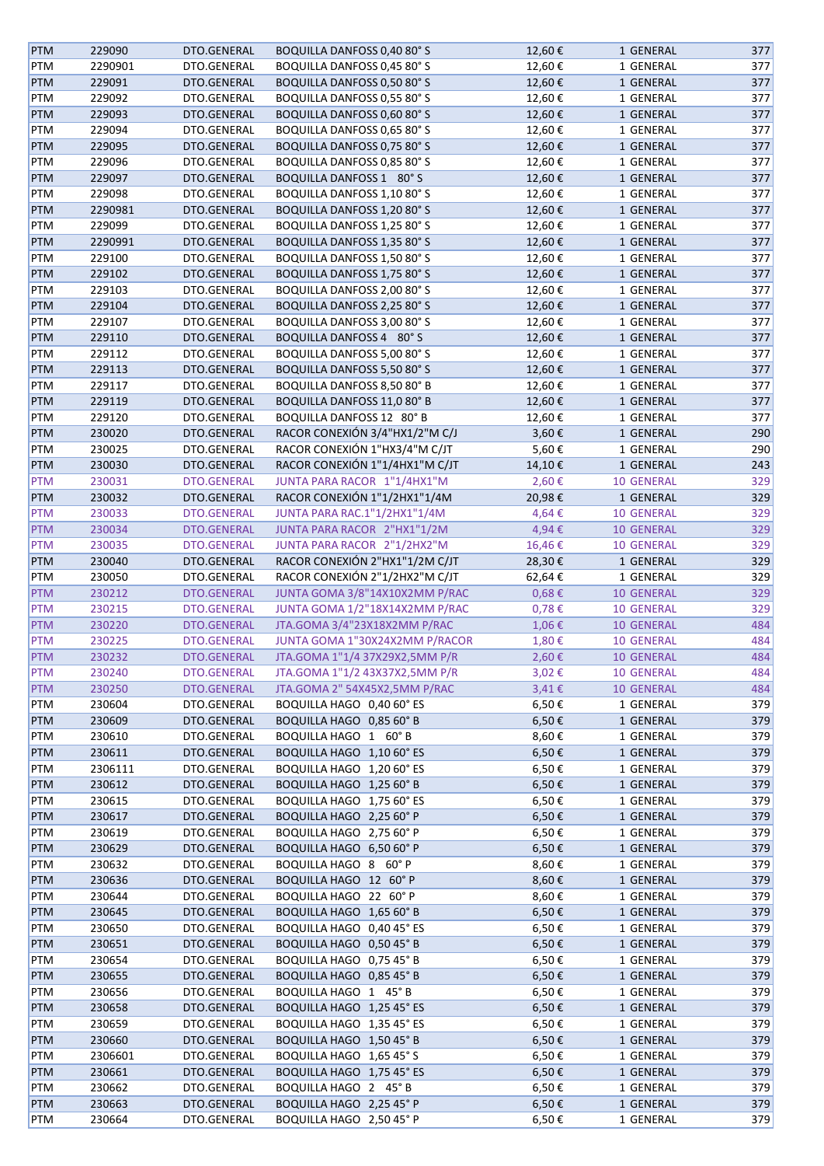| <b>PTM</b> | 229090  | DTO.GENERAL                | <b>BOQUILLA DANFOSS 0,40 80° S</b> | 12,60€     | 1 GENERAL         | 377 |
|------------|---------|----------------------------|------------------------------------|------------|-------------------|-----|
| PTM        | 2290901 | DTO.GENERAL                | BOQUILLA DANFOSS 0,45 80° S        | 12,60€     | 1 GENERAL         | 377 |
| <b>PTM</b> | 229091  | DTO.GENERAL                | BOQUILLA DANFOSS 0,50 80° S        | 12,60€     | 1 GENERAL         | 377 |
| PTM        | 229092  | DTO.GENERAL                | <b>BOQUILLA DANFOSS 0,55 80° S</b> | 12,60€     | 1 GENERAL         | 377 |
| PTM        | 229093  | DTO.GENERAL                | <b>BOQUILLA DANFOSS 0,60 80° S</b> | 12,60€     | 1 GENERAL         | 377 |
| PTM        | 229094  | DTO.GENERAL                | BOQUILLA DANFOSS 0,65 80° S        | 12,60€     | 1 GENERAL         | 377 |
| <b>PTM</b> | 229095  | DTO.GENERAL                | <b>BOQUILLA DANFOSS 0,75 80° S</b> | 12,60€     | 1 GENERAL         | 377 |
| PTM        | 229096  | DTO.GENERAL                | BOQUILLA DANFOSS 0,85 80° S        | 12,60€     | 1 GENERAL         | 377 |
|            |         |                            |                                    |            |                   |     |
| <b>PTM</b> | 229097  | DTO.GENERAL                | BOQUILLA DANFOSS 1 80° S           | 12,60€     | 1 GENERAL         | 377 |
| PTM        | 229098  | DTO.GENERAL                | <b>BOQUILLA DANFOSS 1,10 80° S</b> | 12,60€     | 1 GENERAL         | 377 |
| <b>PTM</b> | 2290981 | DTO.GENERAL                | BOQUILLA DANFOSS 1,20 80° S        | 12,60€     | 1 GENERAL         | 377 |
| PTM        | 229099  | DTO.GENERAL                | <b>BOQUILLA DANFOSS 1,25 80° S</b> | 12,60€     | 1 GENERAL         | 377 |
| <b>PTM</b> | 2290991 | DTO.GENERAL                | <b>BOQUILLA DANFOSS 1,35 80° S</b> | 12,60€     | 1 GENERAL         | 377 |
| PTM        | 229100  | DTO.GENERAL                | BOQUILLA DANFOSS 1,50 80° S        | 12,60€     | 1 GENERAL         | 377 |
| <b>PTM</b> | 229102  | DTO.GENERAL                | <b>BOQUILLA DANFOSS 1,75 80° S</b> | 12,60€     | 1 GENERAL         | 377 |
| PTM        | 229103  | DTO.GENERAL                | BOQUILLA DANFOSS 2,00 80° S        | 12,60€     | 1 GENERAL         | 377 |
| <b>PTM</b> | 229104  | DTO.GENERAL                | BOQUILLA DANFOSS 2,25 80° S        | 12,60€     | 1 GENERAL         | 377 |
| PTM        | 229107  | DTO.GENERAL                | BOQUILLA DANFOSS 3,00 80° S        | 12,60€     | 1 GENERAL         | 377 |
| <b>PTM</b> | 229110  | DTO.GENERAL                | BOQUILLA DANFOSS 4 80° S           | 12,60€     | 1 GENERAL         | 377 |
| PTM        | 229112  | DTO.GENERAL                | BOQUILLA DANFOSS 5,00 80° S        | 12,60€     | 1 GENERAL         | 377 |
| <b>PTM</b> | 229113  | DTO.GENERAL                | <b>BOQUILLA DANFOSS 5,50 80° S</b> | 12,60€     | 1 GENERAL         | 377 |
| PTM        | 229117  | DTO.GENERAL                | BOQUILLA DANFOSS 8,50 80° B        | 12,60€     | 1 GENERAL         | 377 |
| <b>PTM</b> | 229119  | DTO.GENERAL                | <b>BOQUILLA DANFOSS 11,0 80° B</b> | 12,60€     | 1 GENERAL         | 377 |
| PTM        | 229120  | DTO.GENERAL                | BOQUILLA DANFOSS 12 80°B           | 12,60€     | 1 GENERAL         | 377 |
|            | 230020  | DTO.GENERAL                | RACOR CONEXIÓN 3/4"HX1/2"M C/J     | 3,60€      |                   | 290 |
| <b>PTM</b> |         |                            |                                    |            | 1 GENERAL         |     |
| PTM        | 230025  | DTO.GENERAL                | RACOR CONEXIÓN 1"HX3/4"M C/JT      | 5,60€      | 1 GENERAL         | 290 |
| <b>PTM</b> | 230030  | DTO.GENERAL                | RACOR CONEXIÓN 1"1/4HX1"M C/JT     | 14,10€     | 1 GENERAL         | 243 |
| <b>PTM</b> | 230031  | <b>DTO.GENERAL</b>         | JUNTA PARA RACOR 1"1/4HX1"M        | 2,60€      | <b>10 GENERAL</b> | 329 |
| <b>PTM</b> | 230032  | DTO.GENERAL                | RACOR CONEXIÓN 1"1/2HX1"1/4M       | 20,98€     | 1 GENERAL         | 329 |
| <b>PTM</b> | 230033  | <b>DTO.GENERAL</b>         | JUNTA PARA RAC.1"1/2HX1"1/4M       | 4,64€      | <b>10 GENERAL</b> | 329 |
| <b>PTM</b> | 230034  | DTO.GENERAL                | JUNTA PARA RACOR 2"HX1"1/2M        | 4,94€      | <b>10 GENERAL</b> | 329 |
| <b>PTM</b> | 230035  | <b>DTO.GENERAL</b>         | JUNTA PARA RACOR 2"1/2HX2"M        | 16,46€     | <b>10 GENERAL</b> | 329 |
| <b>PTM</b> | 230040  | DTO.GENERAL                | RACOR CONEXIÓN 2"HX1"1/2M C/JT     | 28,30€     | 1 GENERAL         | 329 |
| PTM        | 230050  | DTO.GENERAL                | RACOR CONEXIÓN 2"1/2HX2"M C/JT     | 62,64€     | 1 GENERAL         | 329 |
| <b>PTM</b> | 230212  | DTO.GENERAL                | JUNTA GOMA 3/8"14X10X2MM P/RAC     | $0,68 \in$ | <b>10 GENERAL</b> | 329 |
| <b>PTM</b> | 230215  | DTO.GENERAL                | JUNTA GOMA 1/2"18X14X2MM P/RAC     | $0,78 \in$ | <b>10 GENERAL</b> | 329 |
| <b>PTM</b> | 230220  | DTO.GENERAL                | JTA.GOMA 3/4"23X18X2MM P/RAC       | 1,06€      | 10 GENERAL        | 484 |
| <b>PTM</b> | 230225  | <b>DTO.GENERAL</b>         | JUNTA GOMA 1"30X24X2MM P/RACOR     | 1,80€      | <b>10 GENERAL</b> | 484 |
| <b>PTM</b> | 230232  | <b>DTO.GENERAL</b>         | JTA.GOMA 1"1/4 37X29X2,5MM P/R     | 2,60€      | <b>10 GENERAL</b> | 484 |
| <b>PTM</b> | 230240  | <b>DTO.GENERAL</b>         | JTA.GOMA 1"1/2 43X37X2,5MM P/R     | 3,02€      | <b>10 GENERAL</b> | 484 |
| <b>PTM</b> | 230250  | DTO.GENERAL                | JTA.GOMA 2" 54X45X2,5MM P/RAC      | 3,41€      | <b>10 GENERAL</b> | 484 |
| PTM        | 230604  | DTO.GENERAL                | BOQUILLA HAGO 0,40 60° ES          | 6,50€      | 1 GENERAL         | 379 |
|            |         |                            | BOQUILLA HAGO 0,85 60° B           |            |                   | 379 |
| PTM        | 230609  | DTO.GENERAL<br>DTO.GENERAL |                                    | 6,50€      | 1 GENERAL         |     |
| PTM        | 230610  |                            | BOQUILLA HAGO 1 60° B              | 8,60€      | 1 GENERAL         | 379 |
| <b>PTM</b> | 230611  | DTO.GENERAL                | BOQUILLA HAGO 1,10 60° ES          | 6,50€      | 1 GENERAL         | 379 |
| PTM        | 2306111 | DTO.GENERAL                | BOQUILLA HAGO 1,20 60° ES          | 6,50€      | 1 GENERAL         | 379 |
| PTM        | 230612  | DTO.GENERAL                | BOQUILLA HAGO 1,25 60° B           | 6,50€      | 1 GENERAL         | 379 |
| PTM        | 230615  | DTO.GENERAL                | BOQUILLA HAGO 1,75 60° ES          | 6,50€      | 1 GENERAL         | 379 |
| <b>PTM</b> | 230617  | DTO.GENERAL                | BOQUILLA HAGO 2,25 60° P           | $6,50 \in$ | 1 GENERAL         | 379 |
| PTM        | 230619  | DTO.GENERAL                | BOQUILLA HAGO 2,75 60° P           | 6,50€      | 1 GENERAL         | 379 |
| PTM        | 230629  | DTO.GENERAL                | BOQUILLA HAGO 6,50 60° P           | 6,50€      | 1 GENERAL         | 379 |
| PTM        | 230632  | DTO.GENERAL                | BOQUILLA HAGO 8 60° P              | 8,60€      | 1 GENERAL         | 379 |
| <b>PTM</b> | 230636  | DTO.GENERAL                | BOQUILLA HAGO 12 60° P             | 8,60€      | 1 GENERAL         | 379 |
| PTM        | 230644  | DTO.GENERAL                | BOQUILLA HAGO 22 60° P             | 8,60€      | 1 GENERAL         | 379 |
| PTM        | 230645  | DTO.GENERAL                | BOQUILLA HAGO 1,65 60° B           | 6,50€      | 1 GENERAL         | 379 |
| PTM        | 230650  | DTO.GENERAL                | BOQUILLA HAGO 0,40 45° ES          | 6,50€      | 1 GENERAL         | 379 |
| <b>PTM</b> | 230651  | DTO.GENERAL                | BOQUILLA HAGO 0,50 45° B           | 6,50€      | 1 GENERAL         | 379 |
| PTM        | 230654  | DTO.GENERAL                | BOQUILLA HAGO 0,75 45° B           | 6,50€      | 1 GENERAL         | 379 |
| <b>PTM</b> | 230655  | DTO.GENERAL                | BOQUILLA HAGO 0,85 45° B           | 6,50€      | 1 GENERAL         | 379 |
|            |         |                            |                                    |            |                   |     |
| PTM        | 230656  | DTO.GENERAL                | BOQUILLA HAGO 1 45° B              | 6,50€      | 1 GENERAL         | 379 |
| <b>PTM</b> | 230658  | DTO.GENERAL                | BOQUILLA HAGO 1,25 45° ES          | $6,50 \in$ | 1 GENERAL         | 379 |
| PTM        | 230659  | DTO.GENERAL                | BOQUILLA HAGO 1,35 45° ES          | 6,50€      | 1 GENERAL         | 379 |
| PTM        | 230660  | DTO.GENERAL                | BOQUILLA HAGO 1,50 45° B           | 6,50€      | 1 GENERAL         | 379 |
| PTM        | 2306601 | DTO.GENERAL                | BOQUILLA HAGO 1,65 45° S           | 6,50€      | 1 GENERAL         | 379 |
| <b>PTM</b> | 230661  | DTO.GENERAL                | BOQUILLA HAGO 1,75 45° ES          | 6,50€      | 1 GENERAL         | 379 |
| PTM        | 230662  | DTO.GENERAL                | BOQUILLA HAGO 2 45° B              | 6,50€      | 1 GENERAL         | 379 |
| <b>PTM</b> | 230663  | DTO.GENERAL                | BOQUILLA HAGO 2,25 45° P           | 6,50€      | 1 GENERAL         | 379 |
| PTM        | 230664  | DTO.GENERAL                | BOQUILLA HAGO 2,50 45° P           | 6,50€      | 1 GENERAL         | 379 |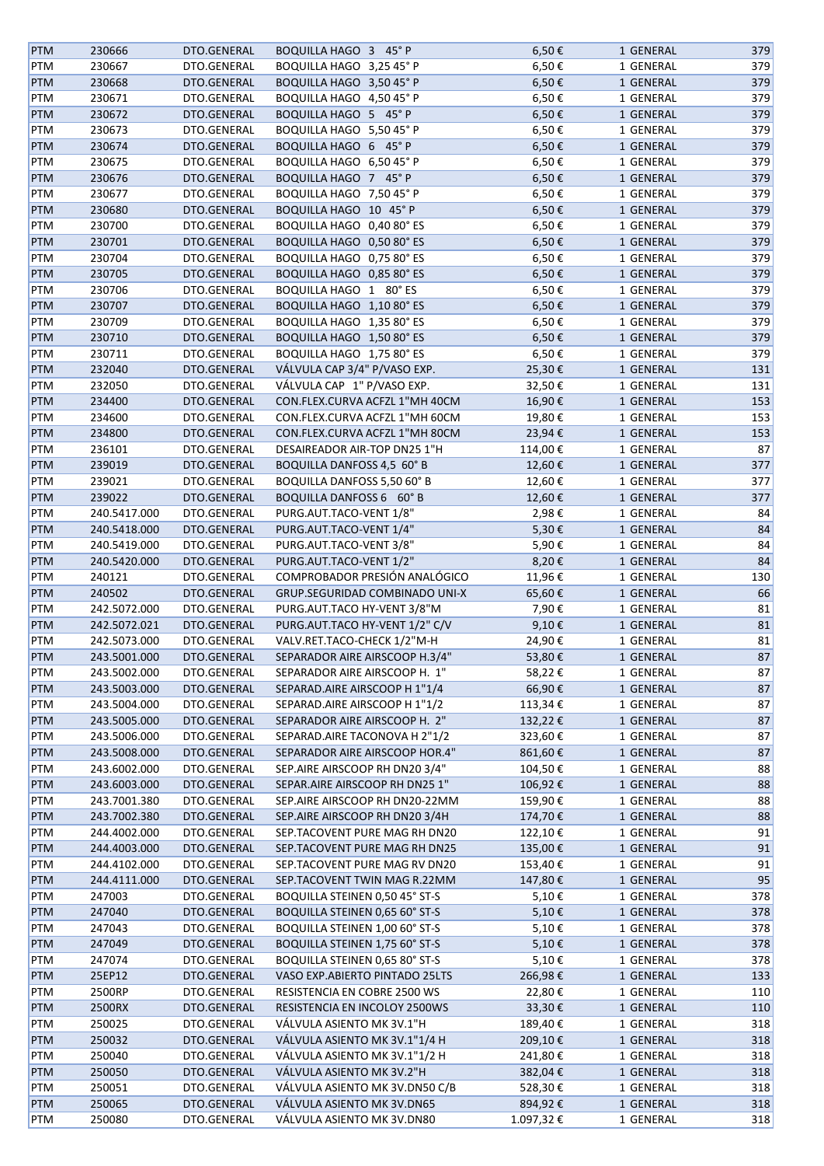| <b>PTM</b> | 230666       | DTO.GENERAL | BOQUILLA HAGO 3 45° P                 | 6,50€      | 1 GENERAL | 379 |
|------------|--------------|-------------|---------------------------------------|------------|-----------|-----|
| PTM        | 230667       | DTO.GENERAL | BOQUILLA HAGO 3,25 45° P              | 6,50€      | 1 GENERAL | 379 |
| <b>PTM</b> | 230668       | DTO.GENERAL | BOQUILLA HAGO 3,50 45° P              | 6,50€      | 1 GENERAL | 379 |
| PTM        | 230671       | DTO.GENERAL | BOQUILLA HAGO 4,50 45° P              | 6,50€      | 1 GENERAL | 379 |
| <b>PTM</b> | 230672       | DTO.GENERAL | BOQUILLA HAGO 5 45° P                 | 6,50€      | 1 GENERAL | 379 |
| <b>PTM</b> | 230673       | DTO.GENERAL | BOQUILLA HAGO 5,50 45° P              | 6,50€      | 1 GENERAL | 379 |
| <b>PTM</b> | 230674       | DTO.GENERAL | BOQUILLA HAGO 6 45° P                 | 6,50€      | 1 GENERAL | 379 |
| <b>PTM</b> | 230675       | DTO.GENERAL | BOQUILLA HAGO 6,50 45° P              | 6,50€      | 1 GENERAL | 379 |
| <b>PTM</b> | 230676       | DTO.GENERAL | BOQUILLA HAGO 7 45° P                 | $6,50 \in$ | 1 GENERAL | 379 |
|            |              |             |                                       |            |           |     |
| PTM        | 230677       | DTO.GENERAL | BOQUILLA HAGO 7,50 45° P              | 6,50€      | 1 GENERAL | 379 |
| PTM        | 230680       | DTO.GENERAL | BOQUILLA HAGO 10 45° P                | 6,50€      | 1 GENERAL | 379 |
| PTM        | 230700       | DTO.GENERAL | BOQUILLA HAGO 0,40 80° ES             | 6,50€      | 1 GENERAL | 379 |
| PTM        | 230701       | DTO.GENERAL | BOQUILLA HAGO 0,50 80° ES             | 6,50€      | 1 GENERAL | 379 |
| PTM        | 230704       | DTO.GENERAL | BOQUILLA HAGO 0,75 80° ES             | 6,50€      | 1 GENERAL | 379 |
| <b>PTM</b> | 230705       | DTO.GENERAL | BOQUILLA HAGO 0,85 80° ES             | 6,50€      | 1 GENERAL | 379 |
| PTM        | 230706       | DTO.GENERAL | BOQUILLA HAGO 1 80° ES                | 6,50€      | 1 GENERAL | 379 |
| <b>PTM</b> | 230707       | DTO.GENERAL | BOQUILLA HAGO 1,10 80° ES             | 6,50€      | 1 GENERAL | 379 |
| <b>PTM</b> | 230709       | DTO.GENERAL | BOQUILLA HAGO 1,35 80° ES             | 6,50€      | 1 GENERAL | 379 |
| PTM        | 230710       | DTO.GENERAL | BOQUILLA HAGO 1,50 80° ES             | 6,50€      | 1 GENERAL | 379 |
| <b>PTM</b> | 230711       | DTO.GENERAL | BOQUILLA HAGO 1,75 80° ES             | 6,50€      | 1 GENERAL | 379 |
| <b>PTM</b> | 232040       | DTO.GENERAL | VÁLVULA CAP 3/4" P/VASO EXP.          | 25,30€     | 1 GENERAL | 131 |
| <b>PTM</b> | 232050       | DTO.GENERAL | VÁLVULA CAP 1" P/VASO EXP.            | 32,50€     | 1 GENERAL | 131 |
| <b>PTM</b> | 234400       | DTO.GENERAL | CON.FLEX.CURVA ACFZL 1"MH 40CM        | 16,90€     | 1 GENERAL | 153 |
|            | 234600       |             | CON.FLEX.CURVA ACFZL 1"MH 60CM        |            | 1 GENERAL | 153 |
| PTM        |              | DTO.GENERAL |                                       | 19,80€     |           |     |
| PTM        | 234800       | DTO.GENERAL | CON.FLEX.CURVA ACFZL 1"MH 80CM        | 23,94€     | 1 GENERAL | 153 |
| PTM        | 236101       | DTO.GENERAL | DESAIREADOR AIR-TOP DN25 1"H          | 114,00€    | 1 GENERAL | 87  |
| <b>PTM</b> | 239019       | DTO.GENERAL | BOQUILLA DANFOSS 4,5 60° B            | 12,60€     | 1 GENERAL | 377 |
| <b>PTM</b> | 239021       | DTO.GENERAL | <b>BOQUILLA DANFOSS 5,50 60° B</b>    | 12,60€     | 1 GENERAL | 377 |
| <b>PTM</b> | 239022       | DTO.GENERAL | <b>BOQUILLA DANFOSS 6 60° B</b>       | 12,60€     | 1 GENERAL | 377 |
| <b>PTM</b> | 240.5417.000 | DTO.GENERAL | PURG.AUT.TACO-VENT 1/8"               | 2,98€      | 1 GENERAL | 84  |
| <b>PTM</b> | 240.5418.000 | DTO.GENERAL | PURG.AUT.TACO-VENT 1/4"               | 5,30€      | 1 GENERAL | 84  |
| <b>PTM</b> | 240.5419.000 | DTO.GENERAL | PURG.AUT.TACO-VENT 3/8"               | 5,90€      | 1 GENERAL | 84  |
| <b>PTM</b> | 240.5420.000 | DTO.GENERAL | PURG.AUT.TACO-VENT 1/2"               | 8,20€      | 1 GENERAL | 84  |
| <b>PTM</b> | 240121       | DTO.GENERAL | COMPROBADOR PRESIÓN ANALÓGICO         | 11,96€     | 1 GENERAL | 130 |
| PTM        | 240502       | DTO.GENERAL | GRUP.SEGURIDAD COMBINADO UNI-X        | 65,60€     | 1 GENERAL | 66  |
| <b>PTM</b> | 242.5072.000 | DTO.GENERAL | PURG.AUT.TACO HY-VENT 3/8"M           | 7,90€      | 1 GENERAL | 81  |
| PTM        | 242.5072.021 | DTO.GENERAL | PURG.AUT.TACO HY-VENT 1/2" C/V        | 9,10€      | 1 GENERAL | 81  |
| <b>PTM</b> | 242.5073.000 | DTO.GENERAL | VALV.RET.TACO-CHECK 1/2"M-H           | 24,90€     | 1 GENERAL | 81  |
| <b>PTM</b> | 243.5001.000 | DTO.GENERAL | SEPARADOR AIRE AIRSCOOP H.3/4"        | 53,80€     | 1 GENERAL | 87  |
|            |              |             |                                       |            |           |     |
| <b>PTM</b> | 243.5002.000 | DTO.GENERAL | SEPARADOR AIRE AIRSCOOP H. 1"         | 58,22€     | 1 GENERAL | 87  |
| <b>PTM</b> | 243.5003.000 | DTO.GENERAL | SEPARAD.AIRE AIRSCOOP H 1"1/4         | 66,90€     | 1 GENERAL | 87  |
| PTM        | 243.5004.000 | DTO.GENERAL | SEPARAD.AIRE AIRSCOOP H 1"1/2         | 113,34€    | 1 GENERAL | 87  |
| <b>PTM</b> | 243.5005.000 | DTO.GENERAL | SEPARADOR AIRE AIRSCOOP H. 2"         | 132,22€    | 1 GENERAL | 87  |
| <b>PTM</b> | 243.5006.000 | DTO.GENERAL | SEPARAD.AIRE TACONOVA H 2"1/2         | 323,60€    | 1 GENERAL | 87  |
| <b>PTM</b> | 243.5008.000 | DTO.GENERAL | SEPARADOR AIRE AIRSCOOP HOR.4"        | 861,60€    | 1 GENERAL | 87  |
| <b>PTM</b> | 243.6002.000 | DTO.GENERAL | SEP.AIRE AIRSCOOP RH DN20 3/4"        | 104,50€    | 1 GENERAL | 88  |
| <b>PTM</b> | 243.6003.000 | DTO.GENERAL | SEPAR.AIRE AIRSCOOP RH DN25 1"        | 106,92€    | 1 GENERAL | 88  |
| <b>PTM</b> | 243.7001.380 | DTO.GENERAL | SEP.AIRE AIRSCOOP RH DN20-22MM        | 159,90€    | 1 GENERAL | 88  |
| <b>PTM</b> | 243.7002.380 | DTO.GENERAL | SEP.AIRE AIRSCOOP RH DN20 3/4H        | 174,70€    | 1 GENERAL | 88  |
| <b>PTM</b> | 244.4002.000 | DTO.GENERAL | SEP.TACOVENT PURE MAG RH DN20         | 122,10€    | 1 GENERAL | 91  |
| <b>PTM</b> | 244.4003.000 | DTO.GENERAL | SEP.TACOVENT PURE MAG RH DN25         | 135,00€    | 1 GENERAL | 91  |
| PTM        | 244.4102.000 | DTO.GENERAL | SEP.TACOVENT PURE MAG RV DN20         | 153,40€    | 1 GENERAL | 91  |
| <b>PTM</b> | 244.4111.000 | DTO.GENERAL | SEP.TACOVENT TWIN MAG R.22MM          | 147,80€    | 1 GENERAL | 95  |
| <b>PTM</b> | 247003       | DTO.GENERAL | <b>BOQUILLA STEINEN 0,50 45° ST-S</b> | 5,10€      | 1 GENERAL | 378 |
| <b>PTM</b> | 247040       | DTO.GENERAL | <b>BOQUILLA STEINEN 0,65 60° ST-S</b> | 5,10€      | 1 GENERAL | 378 |
|            |              |             |                                       |            |           |     |
| <b>PTM</b> | 247043       | DTO.GENERAL | <b>BOQUILLA STEINEN 1,00 60° ST-S</b> | 5,10€      | 1 GENERAL | 378 |
| <b>PTM</b> | 247049       | DTO.GENERAL | <b>BOQUILLA STEINEN 1,75 60° ST-S</b> | 5,10€      | 1 GENERAL | 378 |
| <b>PTM</b> | 247074       | DTO.GENERAL | BOQUILLA STEINEN 0,65 80° ST-S        | 5,10€      | 1 GENERAL | 378 |
| <b>PTM</b> | 25EP12       | DTO.GENERAL | VASO EXP.ABIERTO PINTADO 25LTS        | 266,98€    | 1 GENERAL | 133 |
| <b>PTM</b> | 2500RP       | DTO.GENERAL | RESISTENCIA EN COBRE 2500 WS          | 22,80€     | 1 GENERAL | 110 |
| <b>PTM</b> | 2500RX       | DTO.GENERAL | RESISTENCIA EN INCOLOY 2500WS         | 33,30€     | 1 GENERAL | 110 |
| PTM        | 250025       | DTO.GENERAL | VÁLVULA ASIENTO MK 3V.1"H             | 189,40€    | 1 GENERAL | 318 |
| PTM        | 250032       | DTO.GENERAL | VÁLVULA ASIENTO MK 3V.1"1/4 H         | 209,10€    | 1 GENERAL | 318 |
| PTM        | 250040       | DTO.GENERAL | VÁLVULA ASIENTO MK 3V.1"1/2 H         | 241,80€    | 1 GENERAL | 318 |
| <b>PTM</b> | 250050       | DTO.GENERAL | VÁLVULA ASIENTO MK 3V.2"H             | 382,04€    | 1 GENERAL | 318 |
| PTM        | 250051       | DTO.GENERAL | VÁLVULA ASIENTO MK 3V.DN50 C/B        | 528,30€    | 1 GENERAL | 318 |
| <b>PTM</b> | 250065       | DTO.GENERAL | VÁLVULA ASIENTO MK 3V.DN65            | 894,92€    | 1 GENERAL | 318 |
| PTM        | 250080       | DTO.GENERAL | VÁLVULA ASIENTO MK 3V.DN80            | 1.097,32€  | 1 GENERAL | 318 |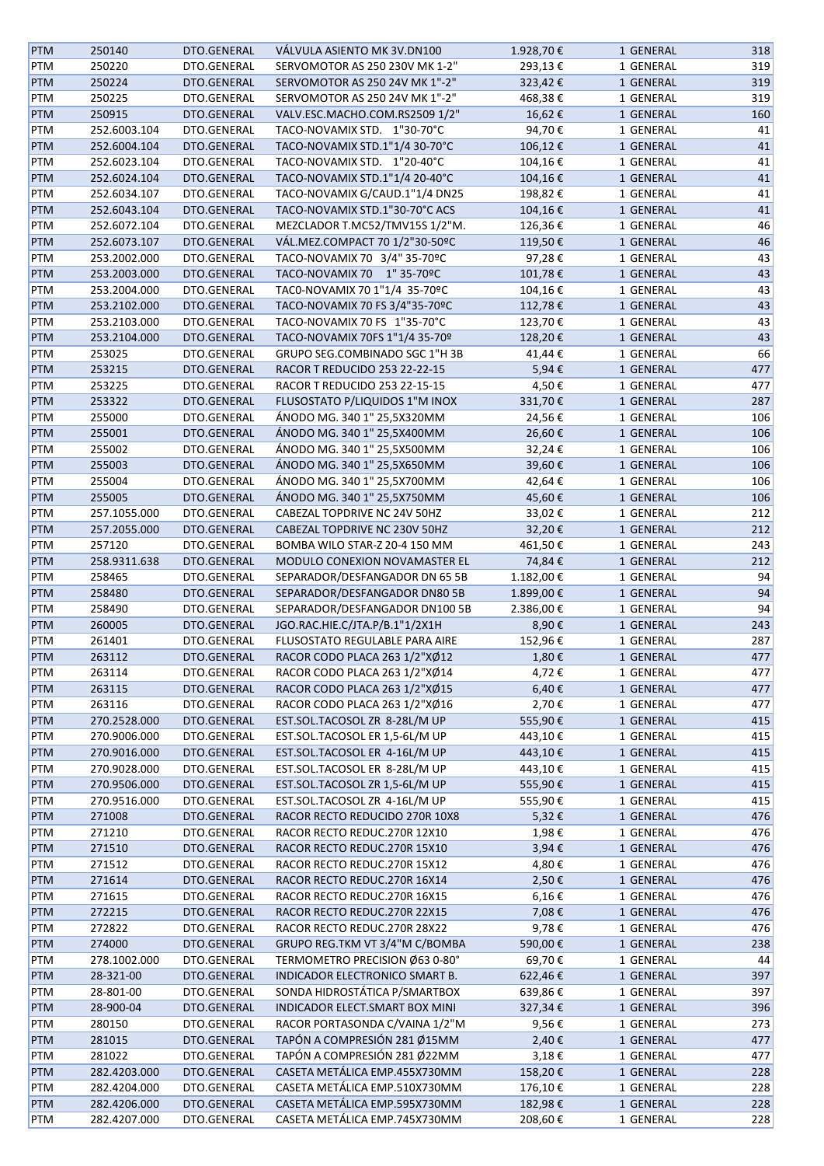| <b>PTM</b> | 250140       | DTO.GENERAL | VÁLVULA ASIENTO MK 3V.DN100    | 1.928,70€  | 1 GENERAL | 318 |
|------------|--------------|-------------|--------------------------------|------------|-----------|-----|
| PTM        | 250220       | DTO.GENERAL | SERVOMOTOR AS 250 230V MK 1-2" | 293,13€    | 1 GENERAL | 319 |
| <b>PTM</b> | 250224       | DTO.GENERAL | SERVOMOTOR AS 250 24V MK 1"-2" | 323,42€    | 1 GENERAL | 319 |
| PTM        | 250225       | DTO.GENERAL | SERVOMOTOR AS 250 24V MK 1"-2" | 468,38€    | 1 GENERAL | 319 |
| <b>PTM</b> | 250915       | DTO.GENERAL | VALV.ESC.MACHO.COM.RS2509 1/2" | 16,62€     | 1 GENERAL | 160 |
| PTM        | 252.6003.104 | DTO.GENERAL | TACO-NOVAMIX STD. 1"30-70°C    | 94,70€     | 1 GENERAL | 41  |
| <b>PTM</b> | 252.6004.104 | DTO.GENERAL | TACO-NOVAMIX STD.1"1/4 30-70°C | 106,12€    | 1 GENERAL | 41  |
| PTM        | 252.6023.104 | DTO.GENERAL | TACO-NOVAMIX STD. 1"20-40°C    | 104,16€    | 1 GENERAL | 41  |
| <b>PTM</b> | 252.6024.104 | DTO.GENERAL | TACO-NOVAMIX STD.1"1/4 20-40°C | 104,16€    | 1 GENERAL | 41  |
| PTM        | 252.6034.107 | DTO.GENERAL | TACO-NOVAMIX G/CAUD.1"1/4 DN25 | 198,82€    | 1 GENERAL | 41  |
| <b>PTM</b> | 252.6043.104 | DTO.GENERAL | TACO-NOVAMIX STD.1"30-70°C ACS | 104,16€    | 1 GENERAL | 41  |
| PTM        | 252.6072.104 | DTO.GENERAL | MEZCLADOR T.MC52/TMV15S 1/2"M. | 126,36€    | 1 GENERAL | 46  |
| <b>PTM</b> | 252.6073.107 | DTO.GENERAL | VÁL.MEZ.COMPACT 70 1/2"30-50ºC | 119,50€    | 1 GENERAL | 46  |
| PTM        | 253.2002.000 | DTO.GENERAL | TACO-NOVAMIX 70 3/4" 35-70°C   | 97,28€     | 1 GENERAL | 43  |
| <b>PTM</b> | 253.2003.000 | DTO.GENERAL | TACO-NOVAMIX 70 1" 35-70°C     | 101,78€    | 1 GENERAL | 43  |
| PTM        | 253.2004.000 | DTO.GENERAL | TAC0-NOVAMIX 70 1"1/4 35-70°C  | 104,16€    | 1 GENERAL | 43  |
| PTM        | 253.2102.000 | DTO.GENERAL | TACO-NOVAMIX 70 FS 3/4"35-70°C | 112,78€    | 1 GENERAL | 43  |
| PTM        | 253.2103.000 | DTO.GENERAL | TACO-NOVAMIX 70 FS 1"35-70°C   | 123,70€    | 1 GENERAL | 43  |
| <b>PTM</b> | 253.2104.000 | DTO.GENERAL | TACO-NOVAMIX 70FS 1"1/4 35-70º | 128,20€    | 1 GENERAL | 43  |
| PTM        | 253025       | DTO.GENERAL | GRUPO SEG.COMBINADO SGC 1"H 3B |            | 1 GENERAL | 66  |
|            |              |             | RACOR T REDUCIDO 253 22-22-15  | 41,44€     | 1 GENERAL |     |
| <b>PTM</b> | 253215       | DTO.GENERAL |                                | 5,94€      |           | 477 |
| PTM        | 253225       | DTO.GENERAL | RACOR T REDUCIDO 253 22-15-15  | 4,50€      | 1 GENERAL | 477 |
| <b>PTM</b> | 253322       | DTO.GENERAL | FLUSOSTATO P/LIQUIDOS 1"M INOX | 331,70€    | 1 GENERAL | 287 |
| PTM        | 255000       | DTO.GENERAL | ÁNODO MG. 340 1" 25,5X320MM    | 24,56€     | 1 GENERAL | 106 |
| <b>PTM</b> | 255001       | DTO.GENERAL | ÁNODO MG. 340 1" 25,5X400MM    | 26,60€     | 1 GENERAL | 106 |
| PTM        | 255002       | DTO.GENERAL | ÁNODO MG. 340 1" 25,5X500MM    | 32,24€     | 1 GENERAL | 106 |
| <b>PTM</b> | 255003       | DTO.GENERAL | ÁNODO MG. 340 1" 25,5X650MM    | 39,60€     | 1 GENERAL | 106 |
| PTM        | 255004       | DTO.GENERAL | ÁNODO MG. 340 1" 25,5X700MM    | 42,64€     | 1 GENERAL | 106 |
| PTM        | 255005       | DTO.GENERAL | ÁNODO MG. 340 1" 25,5X750MM    | 45,60€     | 1 GENERAL | 106 |
| PTM        | 257.1055.000 | DTO.GENERAL | CABEZAL TOPDRIVE NC 24V 50HZ   | 33,02€     | 1 GENERAL | 212 |
| <b>PTM</b> | 257.2055.000 | DTO.GENERAL | CABEZAL TOPDRIVE NC 230V 50HZ  | 32,20€     | 1 GENERAL | 212 |
| PTM        | 257120       | DTO.GENERAL | BOMBA WILO STAR-Z 20-4 150 MM  | 461,50€    | 1 GENERAL | 243 |
| <b>PTM</b> | 258.9311.638 | DTO.GENERAL | MODULO CONEXION NOVAMASTER EL  | 74,84€     | 1 GENERAL | 212 |
| PTM        | 258465       | DTO.GENERAL | SEPARADOR/DESFANGADOR DN 65 5B | 1.182,00 € | 1 GENERAL | 94  |
| <b>PTM</b> | 258480       | DTO.GENERAL | SEPARADOR/DESFANGADOR DN80 5B  | 1.899,00€  | 1 GENERAL | 94  |
| PTM        | 258490       | DTO.GENERAL | SEPARADOR/DESFANGADOR DN100 5B | 2.386,00€  | 1 GENERAL | 94  |
| <b>PTM</b> | 260005       | DTO.GENERAL | JGO.RAC.HIE.C/JTA.P/B.1"1/2X1H | 8,90€      | 1 GENERAL | 243 |
| PTM        | 261401       | DTO.GENERAL | FLUSOSTATO REGULABLE PARA AIRE | 152,96€    | 1 GENERAL | 287 |
| <b>PTM</b> | 263112       | DTO.GENERAL | RACOR CODO PLACA 263 1/2"XØ12  | 1,80€      | 1 GENERAL | 477 |
| PTM        | 263114       | DTO.GENERAL | RACOR CODO PLACA 263 1/2"XØ14  | 4,72€      | 1 GENERAL | 477 |
| <b>PTM</b> | 263115       | DTO.GENERAL | RACOR CODO PLACA 263 1/2"XØ15  | 6,40€      | 1 GENERAL | 477 |
| PTM        | 263116       | DTO.GENERAL | RACOR CODO PLACA 263 1/2"XØ16  | 2,70€      | 1 GENERAL | 477 |
| <b>PTM</b> | 270.2528.000 | DTO.GENERAL | EST.SOL.TACOSOL ZR 8-28L/M UP  | 555,90€    | 1 GENERAL | 415 |
| PTM        | 270.9006.000 | DTO.GENERAL | EST.SOL.TACOSOL ER 1,5-6L/M UP | 443,10€    | 1 GENERAL | 415 |
| <b>PTM</b> | 270.9016.000 | DTO.GENERAL | EST.SOL.TACOSOL ER 4-16L/M UP  | 443,10€    | 1 GENERAL | 415 |
| PTM        | 270.9028.000 | DTO.GENERAL | EST.SOL.TACOSOL ER 8-28L/M UP  | 443,10€    | 1 GENERAL | 415 |
| <b>PTM</b> | 270.9506.000 | DTO.GENERAL | EST.SOL.TACOSOL ZR 1,5-6L/M UP | 555,90€    | 1 GENERAL | 415 |
| PTM        | 270.9516.000 | DTO.GENERAL | EST.SOL.TACOSOL ZR 4-16L/M UP  | 555,90€    | 1 GENERAL | 415 |
| <b>PTM</b> | 271008       | DTO.GENERAL | RACOR RECTO REDUCIDO 270R 10X8 | 5,32€      | 1 GENERAL | 476 |
| PTM        | 271210       | DTO.GENERAL | RACOR RECTO REDUC.270R 12X10   | 1,98€      | 1 GENERAL | 476 |
| <b>PTM</b> | 271510       | DTO.GENERAL | RACOR RECTO REDUC.270R 15X10   | 3,94€      | 1 GENERAL | 476 |
| PTM        | 271512       | DTO.GENERAL | RACOR RECTO REDUC.270R 15X12   | 4,80€      | 1 GENERAL | 476 |
| <b>PTM</b> | 271614       | DTO.GENERAL | RACOR RECTO REDUC.270R 16X14   | 2,50€      | 1 GENERAL | 476 |
| PTM        | 271615       | DTO.GENERAL | RACOR RECTO REDUC.270R 16X15   | 6,16€      | 1 GENERAL | 476 |
| PTM        | 272215       | DTO.GENERAL | RACOR RECTO REDUC.270R 22X15   | 7,08€      | 1 GENERAL | 476 |
| PTM        | 272822       | DTO.GENERAL | RACOR RECTO REDUC.270R 28X22   | 9,78€      | 1 GENERAL | 476 |
| PTM        | 274000       | DTO.GENERAL | GRUPO REG.TKM VT 3/4"M C/BOMBA | 590,00€    | 1 GENERAL | 238 |
| PTM        | 278.1002.000 | DTO.GENERAL | TERMOMETRO PRECISION Ø63 0-80° | 69,70€     | 1 GENERAL | 44  |
| <b>PTM</b> | 28-321-00    | DTO.GENERAL | INDICADOR ELECTRONICO SMART B. | 622,46€    | 1 GENERAL | 397 |
| PTM        | 28-801-00    | DTO.GENERAL | SONDA HIDROSTÁTICA P/SMARTBOX  | 639,86€    | 1 GENERAL | 397 |
| PTM        | 28-900-04    | DTO.GENERAL | INDICADOR ELECT.SMART BOX MINI | 327,34€    | 1 GENERAL | 396 |
| PTM        | 280150       | DTO.GENERAL | RACOR PORTASONDA C/VAINA 1/2"M | 9,56€      | 1 GENERAL | 273 |
| PTM        | 281015       | DTO.GENERAL | TAPÓN A COMPRESIÓN 281 Ø15MM   | 2,40€      | 1 GENERAL | 477 |
| PTM        | 281022       | DTO.GENERAL | TAPÓN A COMPRESIÓN 281 Ø22MM   | 3,18€      | 1 GENERAL | 477 |
| PTM        | 282.4203.000 | DTO.GENERAL | CASETA METÁLICA EMP.455X730MM  | 158,20€    | 1 GENERAL | 228 |
| PTM        | 282.4204.000 | DTO.GENERAL | CASETA METÁLICA EMP.510X730MM  | 176,10€    | 1 GENERAL | 228 |
| <b>PTM</b> | 282.4206.000 | DTO.GENERAL | CASETA METÁLICA EMP.595X730MM  | 182,98€    | 1 GENERAL | 228 |
| PTM        | 282.4207.000 | DTO.GENERAL | CASETA METÁLICA EMP.745X730MM  | 208,60€    | 1 GENERAL | 228 |
|            |              |             |                                |            |           |     |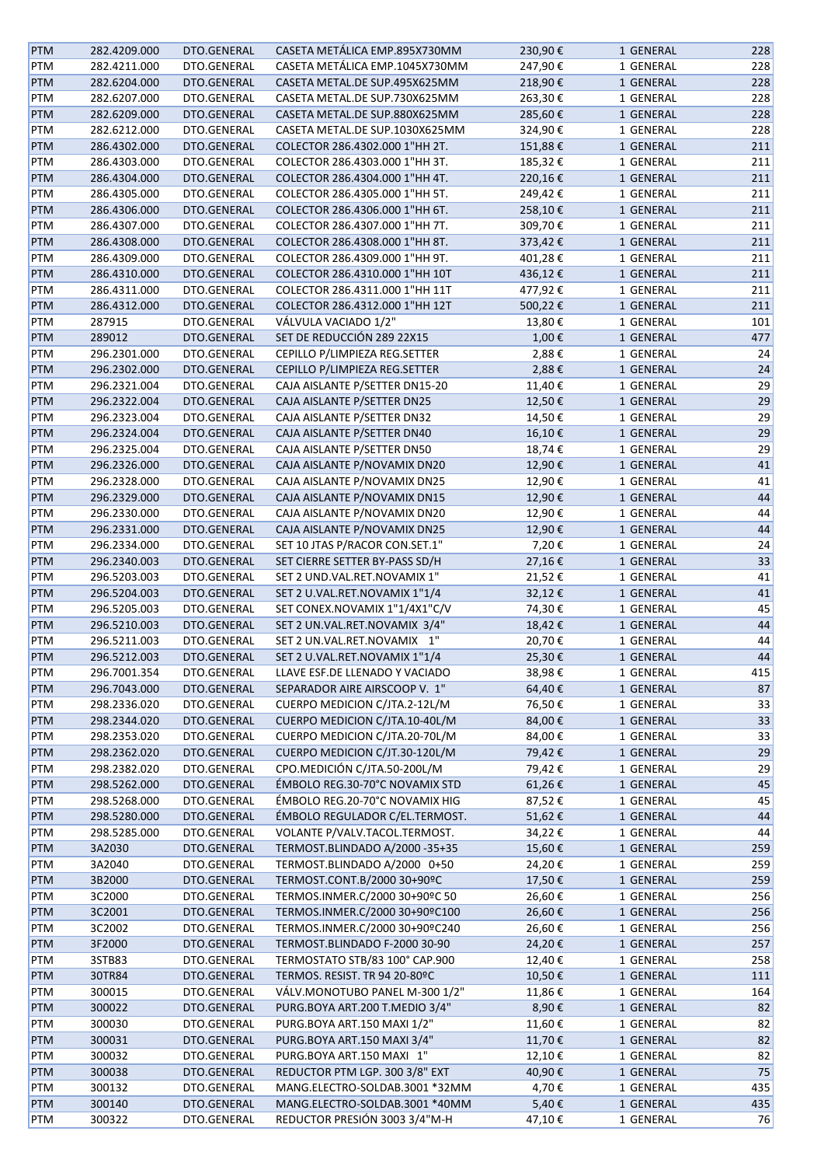| <b>PTM</b> | 282.4209.000 | DTO.GENERAL | CASETA METÁLICA EMP.895X730MM  | 230,90€ | 1 GENERAL | 228 |
|------------|--------------|-------------|--------------------------------|---------|-----------|-----|
| PTM        | 282.4211.000 | DTO.GENERAL | CASETA METÁLICA EMP.1045X730MM | 247,90€ | 1 GENERAL | 228 |
| <b>PTM</b> | 282.6204.000 | DTO.GENERAL | CASETA METAL.DE SUP.495X625MM  | 218,90€ | 1 GENERAL | 228 |
| PTM        | 282.6207.000 | DTO.GENERAL | CASETA METAL.DE SUP.730X625MM  | 263,30€ | 1 GENERAL | 228 |
| PTM        | 282.6209.000 | DTO.GENERAL | CASETA METAL.DE SUP.880X625MM  | 285,60€ | 1 GENERAL | 228 |
| PTM        | 282.6212.000 | DTO.GENERAL | CASETA METAL.DE SUP.1030X625MM | 324,90€ | 1 GENERAL | 228 |
| PTM        | 286.4302.000 | DTO.GENERAL | COLECTOR 286.4302.000 1"HH 2T. | 151,88€ | 1 GENERAL | 211 |
| PTM        | 286.4303.000 | DTO.GENERAL | COLECTOR 286.4303.000 1"HH 3T. | 185,32€ | 1 GENERAL | 211 |
| <b>PTM</b> | 286.4304.000 | DTO.GENERAL | COLECTOR 286.4304.000 1"HH 4T. | 220,16€ | 1 GENERAL | 211 |
| PTM        | 286.4305.000 | DTO.GENERAL | COLECTOR 286.4305.000 1"HH 5T. | 249,42€ | 1 GENERAL | 211 |
| <b>PTM</b> | 286.4306.000 | DTO.GENERAL | COLECTOR 286.4306.000 1"HH 6T. | 258,10€ | 1 GENERAL | 211 |
| PTM        | 286.4307.000 | DTO.GENERAL | COLECTOR 286.4307.000 1"HH 7T. | 309,70€ | 1 GENERAL | 211 |
| <b>PTM</b> | 286.4308.000 | DTO.GENERAL | COLECTOR 286.4308.000 1"HH 8T. | 373,42€ | 1 GENERAL | 211 |
| PTM        | 286.4309.000 | DTO.GENERAL | COLECTOR 286.4309.000 1"HH 9T. | 401,28€ | 1 GENERAL | 211 |
| <b>PTM</b> | 286.4310.000 | DTO.GENERAL | COLECTOR 286.4310.000 1"HH 10T | 436,12€ | 1 GENERAL | 211 |
| PTM        | 286.4311.000 | DTO.GENERAL | COLECTOR 286.4311.000 1"HH 11T | 477,92€ | 1 GENERAL | 211 |
| PTM        | 286.4312.000 | DTO.GENERAL | COLECTOR 286.4312.000 1"HH 12T | 500,22€ | 1 GENERAL | 211 |
| PTM        | 287915       | DTO.GENERAL | VÁLVULA VACIADO 1/2"           | 13,80€  | 1 GENERAL | 101 |
| <b>PTM</b> | 289012       | DTO.GENERAL | SET DE REDUCCIÓN 289 22X15     | 1,00€   | 1 GENERAL | 477 |
| PTM        | 296.2301.000 | DTO.GENERAL | CEPILLO P/LIMPIEZA REG.SETTER  | 2,88€   | 1 GENERAL | 24  |
| <b>PTM</b> | 296.2302.000 | DTO.GENERAL | CEPILLO P/LIMPIEZA REG.SETTER  | 2,88€   | 1 GENERAL | 24  |
| PTM        | 296.2321.004 | DTO.GENERAL | CAJA AISLANTE P/SETTER DN15-20 | 11,40€  | 1 GENERAL | 29  |
| <b>PTM</b> | 296.2322.004 | DTO.GENERAL | CAJA AISLANTE P/SETTER DN25    | 12,50€  | 1 GENERAL | 29  |
| PTM        | 296.2323.004 | DTO.GENERAL | CAJA AISLANTE P/SETTER DN32    | 14,50€  | 1 GENERAL | 29  |
| <b>PTM</b> | 296.2324.004 | DTO.GENERAL | CAJA AISLANTE P/SETTER DN40    | 16,10€  | 1 GENERAL | 29  |
| PTM        | 296.2325.004 | DTO.GENERAL | CAJA AISLANTE P/SETTER DN50    | 18,74€  | 1 GENERAL | 29  |
| <b>PTM</b> | 296.2326.000 | DTO.GENERAL | CAJA AISLANTE P/NOVAMIX DN20   | 12,90€  | 1 GENERAL | 41  |
| PTM        | 296.2328.000 | DTO.GENERAL | CAJA AISLANTE P/NOVAMIX DN25   | 12,90€  | 1 GENERAL | 41  |
| <b>PTM</b> | 296.2329.000 | DTO.GENERAL | CAJA AISLANTE P/NOVAMIX DN15   | 12,90€  | 1 GENERAL | 44  |
| PTM        | 296.2330.000 | DTO.GENERAL | CAJA AISLANTE P/NOVAMIX DN20   | 12,90€  | 1 GENERAL | 44  |
| <b>PTM</b> | 296.2331.000 | DTO.GENERAL | CAJA AISLANTE P/NOVAMIX DN25   | 12,90€  | 1 GENERAL | 44  |
| PTM        | 296.2334.000 | DTO.GENERAL | SET 10 JTAS P/RACOR CON.SET.1" | 7,20€   | 1 GENERAL | 24  |
| <b>PTM</b> | 296.2340.003 | DTO.GENERAL | SET CIERRE SETTER BY-PASS SD/H | 27,16€  | 1 GENERAL | 33  |
| PTM        | 296.5203.003 | DTO.GENERAL | SET 2 UND.VAL.RET.NOVAMIX 1"   | 21,52€  | 1 GENERAL | 41  |
| <b>PTM</b> | 296.5204.003 | DTO.GENERAL | SET 2 U.VAL.RET.NOVAMIX 1"1/4  | 32,12€  | 1 GENERAL | 41  |
| PTM        | 296.5205.003 | DTO.GENERAL | SET CONEX.NOVAMIX 1"1/4X1"C/V  | 74,30€  | 1 GENERAL | 45  |
| <b>PTM</b> | 296.5210.003 | DTO.GENERAL | SET 2 UN.VAL.RET.NOVAMIX 3/4"  | 18,42€  | 1 GENERAL | 44  |
| PTM        | 296.5211.003 | DTO.GENERAL | SET 2 UN.VAL.RET.NOVAMIX 1"    | 20,70€  | 1 GENERAL | 44  |
| <b>PTM</b> | 296.5212.003 | DTO.GENERAL | SET 2 U.VAL.RET.NOVAMIX 1"1/4  | 25,30€  | 1 GENERAL | 44  |
| PTM        | 296.7001.354 | DTO.GENERAL | LLAVE ESF.DE LLENADO Y VACIADO | 38,98€  | 1 GENERAL | 415 |
| <b>PTM</b> | 296.7043.000 | DTO.GENERAL | SEPARADOR AIRE AIRSCOOP V. 1"  | 64,40€  | 1 GENERAL | 87  |
| PTM        | 298.2336.020 | DTO.GENERAL | CUERPO MEDICION C/JTA.2-12L/M  | 76,50€  | 1 GENERAL | 33  |
| <b>PTM</b> | 298.2344.020 | DTO.GENERAL | CUERPO MEDICION C/JTA.10-40L/M | 84,00€  | 1 GENERAL | 33  |
| PTM        | 298.2353.020 | DTO.GENERAL | CUERPO MEDICION C/JTA.20-70L/M | 84,00€  | 1 GENERAL | 33  |
| <b>PTM</b> | 298.2362.020 | DTO.GENERAL | CUERPO MEDICION C/JT.30-120L/M | 79,42€  | 1 GENERAL | 29  |
| PTM        | 298.2382.020 | DTO.GENERAL | CPO.MEDICIÓN C/JTA.50-200L/M   | 79,42€  | 1 GENERAL | 29  |
| <b>PTM</b> | 298.5262.000 | DTO.GENERAL | ÉMBOLO REG.30-70°C NOVAMIX STD | 61,26€  | 1 GENERAL | 45  |
| PTM        | 298.5268.000 | DTO.GENERAL | ÉMBOLO REG.20-70°C NOVAMIX HIG | 87,52€  | 1 GENERAL | 45  |
| <b>PTM</b> | 298.5280.000 | DTO.GENERAL | ÉMBOLO REGULADOR C/EL.TERMOST. | 51,62€  | 1 GENERAL | 44  |
| PTM        | 298.5285.000 | DTO.GENERAL | VOLANTE P/VALV.TACOL.TERMOST.  | 34,22€  | 1 GENERAL | 44  |
| <b>PTM</b> | 3A2030       | DTO.GENERAL | TERMOST.BLINDADO A/2000 -35+35 | 15,60€  | 1 GENERAL | 259 |
| PTM        | 3A2040       | DTO.GENERAL | TERMOST.BLINDADO A/2000 0+50   | 24,20€  | 1 GENERAL | 259 |
| <b>PTM</b> | 3B2000       | DTO.GENERAL | TERMOST.CONT.B/2000 30+90°C    | 17,50€  | 1 GENERAL | 259 |
| PTM        | 3C2000       | DTO.GENERAL | TERMOS.INMER.C/2000 30+90°C 50 | 26,60€  | 1 GENERAL | 256 |
| PTM        | 3C2001       | DTO.GENERAL | TERMOS.INMER.C/2000 30+90°C100 | 26,60€  | 1 GENERAL | 256 |
| PTM        | 3C2002       | DTO.GENERAL | TERMOS.INMER.C/2000 30+90°C240 | 26,60€  | 1 GENERAL | 256 |
| <b>PTM</b> | 3F2000       | DTO.GENERAL | TERMOST.BLINDADO F-2000 30-90  | 24,20€  | 1 GENERAL | 257 |
| PTM        | 3STB83       | DTO.GENERAL | TERMOSTATO STB/83 100° CAP.900 | 12,40€  | 1 GENERAL | 258 |
| <b>PTM</b> | 30TR84       | DTO.GENERAL | TERMOS. RESIST. TR 94 20-80ºC  | 10,50€  | 1 GENERAL | 111 |
| PTM        | 300015       | DTO.GENERAL | VÁLV.MONOTUBO PANEL M-300 1/2" | 11,86€  | 1 GENERAL | 164 |
| <b>PTM</b> | 300022       | DTO.GENERAL | PURG.BOYA ART.200 T.MEDIO 3/4" | 8,90€   | 1 GENERAL | 82  |
| PTM        | 300030       | DTO.GENERAL | PURG.BOYA ART.150 MAXI 1/2"    | 11,60€  | 1 GENERAL | 82  |
| <b>PTM</b> | 300031       | DTO.GENERAL | PURG.BOYA ART.150 MAXI 3/4"    | 11,70€  | 1 GENERAL | 82  |
| PTM        | 300032       | DTO.GENERAL | PURG.BOYA ART.150 MAXI 1"      | 12,10€  | 1 GENERAL | 82  |
| <b>PTM</b> | 300038       | DTO.GENERAL | REDUCTOR PTM LGP. 300 3/8" EXT | 40,90€  | 1 GENERAL | 75  |
| PTM        | 300132       | DTO.GENERAL | MANG.ELECTRO-SOLDAB.3001 *32MM | 4,70€   | 1 GENERAL | 435 |
| <b>PTM</b> | 300140       | DTO.GENERAL | MANG.ELECTRO-SOLDAB.3001 *40MM | 5,40€   | 1 GENERAL | 435 |
| PTM        | 300322       | DTO.GENERAL | REDUCTOR PRESIÓN 3003 3/4"M-H  | 47,10€  | 1 GENERAL | 76  |
|            |              |             |                                |         |           |     |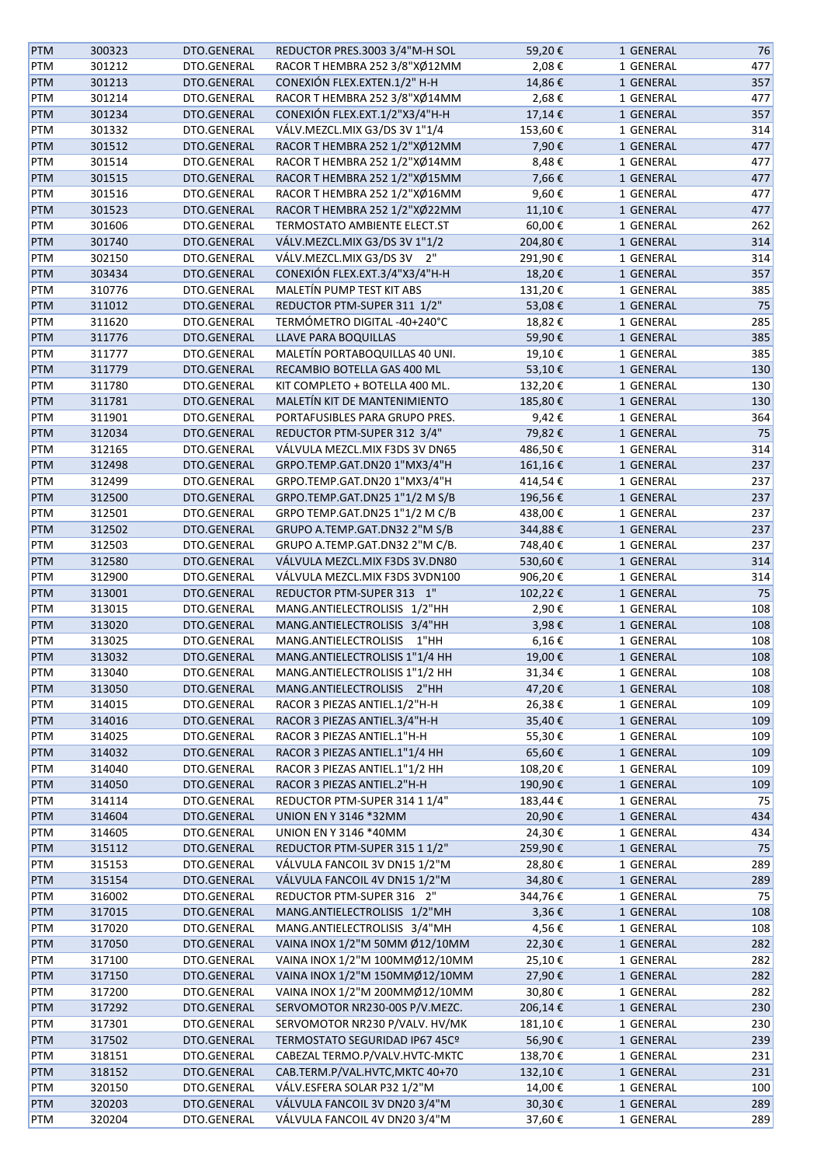| <b>PTM</b> | 300323 | DTO.GENERAL | REDUCTOR PRES.3003 3/4"M-H SOL  | 59,20€     | 1 GENERAL              | 76  |
|------------|--------|-------------|---------------------------------|------------|------------------------|-----|
| PTM        | 301212 | DTO.GENERAL | RACOR T HEMBRA 252 3/8"XØ12MM   | 2,08€      | 1 GENERAL              | 477 |
| PTM        | 301213 | DTO.GENERAL | CONEXIÓN FLEX.EXTEN.1/2" H-H    | 14,86€     | 1 GENERAL              | 357 |
| PTM        | 301214 | DTO.GENERAL | RACOR T HEMBRA 252 3/8"XØ14MM   | 2,68€      | 1 GENERAL              | 477 |
| <b>PTM</b> | 301234 | DTO.GENERAL | CONEXIÓN FLEX.EXT.1/2"X3/4"H-H  | 17,14€     | 1 GENERAL              | 357 |
| PTM        | 301332 | DTO.GENERAL | VÁLV.MEZCL.MIX G3/DS 3V 1"1/4   | 153,60€    | 1 GENERAL              | 314 |
| <b>PTM</b> | 301512 | DTO.GENERAL | RACOR T HEMBRA 252 1/2"XØ12MM   | 7,90€      | 1 GENERAL              | 477 |
| PTM        | 301514 | DTO.GENERAL | RACOR T HEMBRA 252 1/2"XØ14MM   | 8,48€      | 1 GENERAL              | 477 |
| PTM        | 301515 | DTO.GENERAL | RACOR T HEMBRA 252 1/2"XØ15MM   | 7,66€      | 1 GENERAL              | 477 |
| PTM        | 301516 | DTO.GENERAL | RACOR T HEMBRA 252 1/2"XØ16MM   | 9,60€      | 1 GENERAL              | 477 |
| PTM        | 301523 | DTO.GENERAL | RACOR T HEMBRA 252 1/2"XØ22MM   | 11,10€     | 1 GENERAL              | 477 |
| PTM        | 301606 | DTO.GENERAL | TERMOSTATO AMBIENTE ELECT.ST    | 60,00€     | 1 GENERAL              | 262 |
| PTM        | 301740 | DTO.GENERAL | VÁLV.MEZCL.MIX G3/DS 3V 1"1/2   | 204,80€    | 1 GENERAL              | 314 |
| PTM        | 302150 | DTO.GENERAL | VÁLV.MEZCL.MIX G3/DS 3V 2"      | 291,90€    | 1 GENERAL              | 314 |
| PTM        | 303434 | DTO.GENERAL | CONEXIÓN FLEX.EXT.3/4"X3/4"H-H  | 18,20€     | 1 GENERAL              | 357 |
| PTM        | 310776 | DTO.GENERAL | MALETÍN PUMP TEST KIT ABS       | 131,20€    | 1 GENERAL              | 385 |
| PTM        | 311012 | DTO.GENERAL | REDUCTOR PTM-SUPER 311 1/2"     | 53,08€     | 1 GENERAL              | 75  |
| PTM        | 311620 | DTO.GENERAL | TERMÓMETRO DIGITAL -40+240°C    | 18,82€     | 1 GENERAL              | 285 |
| <b>PTM</b> | 311776 | DTO.GENERAL | LLAVE PARA BOQUILLAS            | 59,90€     |                        | 385 |
|            |        |             |                                 |            | 1 GENERAL<br>1 GENERAL |     |
| PTM        | 311777 | DTO.GENERAL | MALETÍN PORTABOQUILLAS 40 UNI.  | 19,10€     |                        | 385 |
| <b>PTM</b> | 311779 | DTO.GENERAL | RECAMBIO BOTELLA GAS 400 ML     | 53,10€     | 1 GENERAL              | 130 |
| PTM        | 311780 | DTO.GENERAL | KIT COMPLETO + BOTELLA 400 ML.  | 132,20€    | 1 GENERAL              | 130 |
| <b>PTM</b> | 311781 | DTO.GENERAL | MALETÍN KIT DE MANTENIMIENTO    | 185,80€    | 1 GENERAL              | 130 |
| PTM        | 311901 | DTO.GENERAL | PORTAFUSIBLES PARA GRUPO PRES.  | 9,42€      | 1 GENERAL              | 364 |
| PTM        | 312034 | DTO.GENERAL | REDUCTOR PTM-SUPER 312 3/4"     | 79,82€     | 1 GENERAL              | 75  |
| PTM        | 312165 | DTO.GENERAL | VÁLVULA MEZCL.MIX F3DS 3V DN65  | 486,50€    | 1 GENERAL              | 314 |
| PTM        | 312498 | DTO.GENERAL | GRPO.TEMP.GAT.DN20 1"MX3/4"H    | 161,16€    | 1 GENERAL              | 237 |
| PTM        | 312499 | DTO.GENERAL | GRPO.TEMP.GAT.DN20 1"MX3/4"H    | 414,54€    | 1 GENERAL              | 237 |
| PTM        | 312500 | DTO.GENERAL | GRPO.TEMP.GAT.DN25 1"1/2 M S/B  | 196,56€    | 1 GENERAL              | 237 |
| PTM        | 312501 | DTO.GENERAL | GRPO TEMP.GAT.DN25 1"1/2 M C/B  | 438,00€    | 1 GENERAL              | 237 |
| PTM        | 312502 | DTO.GENERAL | GRUPO A.TEMP.GAT.DN32 2"M S/B   | 344,88€    | 1 GENERAL              | 237 |
| PTM        | 312503 | DTO.GENERAL | GRUPO A.TEMP.GAT.DN32 2"M C/B.  | 748,40€    | 1 GENERAL              | 237 |
| PTM        | 312580 | DTO.GENERAL | VÁLVULA MEZCL.MIX F3DS 3V.DN80  | 530,60€    | 1 GENERAL              | 314 |
| PTM        | 312900 | DTO.GENERAL | VÁLVULA MEZCL.MIX F3DS 3VDN100  | 906,20€    | 1 GENERAL              | 314 |
| <b>PTM</b> | 313001 | DTO.GENERAL | REDUCTOR PTM-SUPER 313 1"       | 102,22€    | 1 GENERAL              | 75  |
| PTM        | 313015 | DTO.GENERAL | MANG.ANTIELECTROLISIS 1/2"HH    | 2,90€      | 1 GENERAL              | 108 |
| <b>PTM</b> | 313020 | DTO.GENERAL | MANG.ANTIELECTROLISIS 3/4"HH    | 3,98€      | 1 GENERAL              | 108 |
| PTM        | 313025 | DTO.GENERAL | MANG.ANTIELECTROLISIS<br>1"HH   | $6,16 \in$ | 1 GENERAL              | 108 |
| <b>PTM</b> | 313032 | DTO.GENERAL | MANG.ANTIELECTROLISIS 1"1/4 HH  | 19,00€     | 1 GENERAL              | 108 |
| PTM        | 313040 | DTO.GENERAL | MANG.ANTIELECTROLISIS 1"1/2 HH  | 31,34€     | 1 GENERAL              | 108 |
| <b>PTM</b> | 313050 | DTO.GENERAL | MANG.ANTIELECTROLISIS<br>2"HH   | 47,20€     | 1 GENERAL              | 108 |
| PTM        | 314015 | DTO.GENERAL | RACOR 3 PIEZAS ANTIEL.1/2"H-H   | 26,38€     | 1 GENERAL              | 109 |
| <b>PTM</b> | 314016 | DTO.GENERAL | RACOR 3 PIEZAS ANTIEL.3/4"H-H   | 35,40€     | 1 GENERAL              | 109 |
| PTM        | 314025 | DTO.GENERAL | RACOR 3 PIEZAS ANTIEL.1"H-H     | 55,30€     | 1 GENERAL              | 109 |
| <b>PTM</b> | 314032 | DTO.GENERAL | RACOR 3 PIEZAS ANTIEL.1"1/4 HH  | 65,60€     | 1 GENERAL              | 109 |
| PTM        | 314040 | DTO.GENERAL | RACOR 3 PIEZAS ANTIEL.1"1/2 HH  | 108,20€    | 1 GENERAL              | 109 |
| <b>PTM</b> | 314050 | DTO.GENERAL | RACOR 3 PIEZAS ANTIEL.2"H-H     | 190,90€    | 1 GENERAL              | 109 |
| PTM        | 314114 | DTO.GENERAL | REDUCTOR PTM-SUPER 314 1 1/4"   | 183,44€    | 1 GENERAL              | 75  |
| PTM        | 314604 | DTO.GENERAL | <b>UNION EN Y 3146 *32MM</b>    | 20,90€     | 1 GENERAL              | 434 |
| PTM        | 314605 | DTO.GENERAL | UNION EN Y 3146 *40MM           | 24,30€     | 1 GENERAL              | 434 |
| PTM        | 315112 | DTO.GENERAL | REDUCTOR PTM-SUPER 315 1 1/2"   | 259,90€    | 1 GENERAL              | 75  |
| PTM        | 315153 | DTO.GENERAL | VÁLVULA FANCOIL 3V DN15 1/2"M   | 28,80€     | 1 GENERAL              | 289 |
| <b>PTM</b> | 315154 | DTO.GENERAL | VÁLVULA FANCOIL 4V DN15 1/2"M   | 34,80€     | 1 GENERAL              | 289 |
| PTM        | 316002 | DTO.GENERAL | REDUCTOR PTM-SUPER 316 2"       | 344,76€    | 1 GENERAL              | 75  |
| PTM        | 317015 | DTO.GENERAL | MANG.ANTIELECTROLISIS 1/2"MH    | $3,36 \in$ | 1 GENERAL              | 108 |
| PTM        | 317020 | DTO.GENERAL | MANG.ANTIELECTROLISIS 3/4"MH    | 4,56€      | 1 GENERAL              | 108 |
| PTM        | 317050 | DTO.GENERAL | VAINA INOX 1/2"M 50MM Ø12/10MM  | 22,30€     | 1 GENERAL              | 282 |
| PTM        | 317100 | DTO.GENERAL | VAINA INOX 1/2"M 100MMØ12/10MM  | 25,10€     | 1 GENERAL              | 282 |
| <b>PTM</b> | 317150 | DTO.GENERAL | VAINA INOX 1/2"M 150MMØ12/10MM  | 27,90€     | 1 GENERAL              | 282 |
| PTM        | 317200 | DTO.GENERAL | VAINA INOX 1/2"M 200MMØ12/10MM  | 30,80€     | 1 GENERAL              | 282 |
| PTM        | 317292 | DTO.GENERAL | SERVOMOTOR NR230-00S P/V.MEZC.  | 206,14€    | 1 GENERAL              | 230 |
| PTM        | 317301 | DTO.GENERAL | SERVOMOTOR NR230 P/VALV. HV/MK  | 181,10€    | 1 GENERAL              | 230 |
| PTM        | 317502 | DTO.GENERAL | TERMOSTATO SEGURIDAD IP67 45Cº  | 56,90€     | 1 GENERAL              | 239 |
| PTM        | 318151 | DTO.GENERAL | CABEZAL TERMO.P/VALV.HVTC-MKTC  | 138,70€    | 1 GENERAL              | 231 |
| PTM        | 318152 | DTO.GENERAL | CAB.TERM.P/VAL.HVTC, MKTC 40+70 | 132,10€    | 1 GENERAL              | 231 |
| PTM        | 320150 | DTO.GENERAL | VÁLV.ESFERA SOLAR P32 1/2"M     | 14,00 €    | 1 GENERAL              | 100 |
| <b>PTM</b> | 320203 | DTO.GENERAL | VÁLVULA FANCOIL 3V DN20 3/4"M   | 30,30€     | 1 GENERAL              | 289 |
| PTM        | 320204 | DTO.GENERAL | VÁLVULA FANCOIL 4V DN20 3/4"M   | 37,60€     | 1 GENERAL              | 289 |
|            |        |             |                                 |            |                        |     |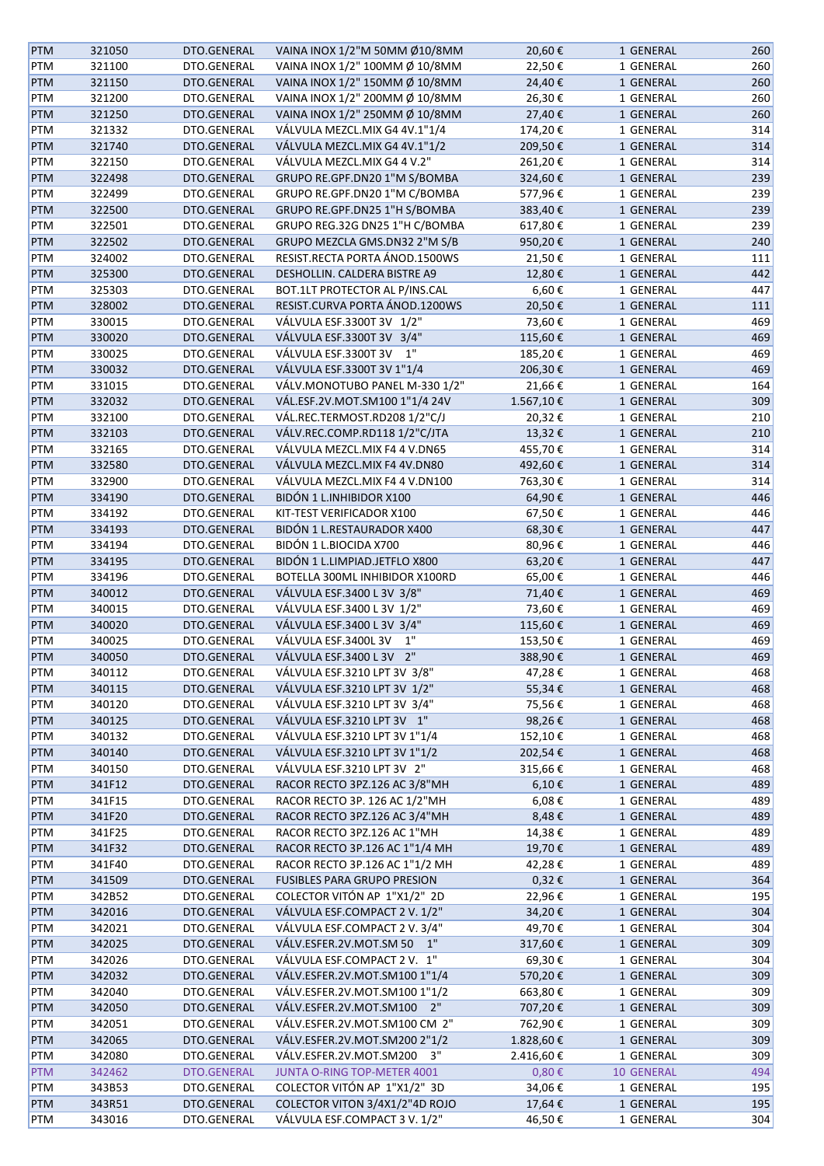| <b>PTM</b> | 321050 | DTO.GENERAL | VAINA INOX 1/2"M 50MM Ø10/8MM      | 20,60€     | 1 GENERAL  | 260 |
|------------|--------|-------------|------------------------------------|------------|------------|-----|
| PTM        | 321100 | DTO.GENERAL | VAINA INOX 1/2" 100MM Ø 10/8MM     | 22,50€     | 1 GENERAL  | 260 |
| PTM        | 321150 | DTO.GENERAL | VAINA INOX 1/2" 150MM Ø 10/8MM     | 24,40€     | 1 GENERAL  | 260 |
| PTM        | 321200 | DTO.GENERAL | VAINA INOX 1/2" 200MM Ø 10/8MM     | 26,30€     | 1 GENERAL  | 260 |
| PTM        | 321250 | DTO.GENERAL | VAINA INOX 1/2" 250MM Ø 10/8MM     | 27,40€     | 1 GENERAL  | 260 |
|            |        |             | VÁLVULA MEZCL.MIX G4 4V.1"1/4      |            | 1 GENERAL  |     |
| PTM        | 321332 | DTO.GENERAL |                                    | 174,20€    |            | 314 |
| <b>PTM</b> | 321740 | DTO.GENERAL | VÁLVULA MEZCL.MIX G4 4V.1"1/2      | 209,50€    | 1 GENERAL  | 314 |
| PTM        | 322150 | DTO.GENERAL | VÁLVULA MEZCL.MIX G4 4 V.2"        | 261,20€    | 1 GENERAL  | 314 |
| PTM        | 322498 | DTO.GENERAL | GRUPO RE.GPF.DN20 1"M S/BOMBA      | 324,60€    | 1 GENERAL  | 239 |
| PTM        | 322499 | DTO.GENERAL | GRUPO RE.GPF.DN20 1"M C/BOMBA      | 577,96€    | 1 GENERAL  | 239 |
| PTM        | 322500 | DTO.GENERAL | GRUPO RE.GPF.DN25 1"H S/BOMBA      | 383,40€    | 1 GENERAL  | 239 |
| PTM        | 322501 | DTO.GENERAL | GRUPO REG.32G DN25 1"H C/BOMBA     | 617,80€    | 1 GENERAL  | 239 |
| <b>PTM</b> | 322502 | DTO.GENERAL | GRUPO MEZCLA GMS.DN32 2"M S/B      | 950,20€    | 1 GENERAL  | 240 |
| PTM        | 324002 | DTO.GENERAL | RESIST.RECTA PORTA ÁNOD.1500WS     | 21,50€     | 1 GENERAL  | 111 |
| <b>PTM</b> | 325300 | DTO.GENERAL | DESHOLLIN. CALDERA BISTRE A9       | 12,80€     | 1 GENERAL  | 442 |
| PTM        | 325303 | DTO.GENERAL | BOT.1LT PROTECTOR AL P/INS.CAL     | 6,60€      | 1 GENERAL  | 447 |
| <b>PTM</b> | 328002 | DTO.GENERAL | RESIST.CURVA PORTA ÁNOD.1200WS     | 20,50€     | 1 GENERAL  | 111 |
| PTM        | 330015 | DTO.GENERAL | VÁLVULA ESF.3300T 3V 1/2"          | 73,60€     | 1 GENERAL  | 469 |
| <b>PTM</b> | 330020 | DTO.GENERAL | VÁLVULA ESF.3300T 3V 3/4"          | 115,60€    | 1 GENERAL  | 469 |
| PTM        | 330025 | DTO.GENERAL | VÁLVULA ESF.3300T 3V 1"            | 185,20€    | 1 GENERAL  | 469 |
| PTM        | 330032 | DTO.GENERAL | VÁLVULA ESF.3300T 3V 1"1/4         | 206,30€    | 1 GENERAL  | 469 |
|            |        |             | VÁLV.MONOTUBO PANEL M-330 1/2"     |            | 1 GENERAL  |     |
| PTM        | 331015 | DTO.GENERAL |                                    | 21,66€     |            | 164 |
| PTM        | 332032 | DTO.GENERAL | VÁL.ESF.2V.MOT.SM100 1"1/4 24V     | 1.567,10€  | 1 GENERAL  | 309 |
| PTM        | 332100 | DTO.GENERAL | VÁL.REC.TERMOST.RD208 1/2"C/J      | 20,32€     | 1 GENERAL  | 210 |
| PTM        | 332103 | DTO.GENERAL | VÁLV.REC.COMP.RD118 1/2"C/JTA      | 13,32€     | 1 GENERAL  | 210 |
| PTM        | 332165 | DTO.GENERAL | VÁLVULA MEZCL.MIX F4 4 V.DN65      | 455,70€    | 1 GENERAL  | 314 |
| <b>PTM</b> | 332580 | DTO.GENERAL | VÁLVULA MEZCL.MIX F4 4V.DN80       | 492,60€    | 1 GENERAL  | 314 |
| PTM        | 332900 | DTO.GENERAL | VÁLVULA MEZCL.MIX F4 4 V.DN100     | 763,30€    | 1 GENERAL  | 314 |
| <b>PTM</b> | 334190 | DTO.GENERAL | BIDÓN 1 L.INHIBIDOR X100           | 64,90€     | 1 GENERAL  | 446 |
| PTM        | 334192 | DTO.GENERAL | KIT-TEST VERIFICADOR X100          | 67,50€     | 1 GENERAL  | 446 |
| PTM        | 334193 | DTO.GENERAL | BIDÓN 1 L.RESTAURADOR X400         | 68,30€     | 1 GENERAL  | 447 |
| PTM        | 334194 | DTO.GENERAL | BIDÓN 1 L.BIOCIDA X700             | 80,96€     | 1 GENERAL  | 446 |
| PTM        | 334195 | DTO.GENERAL | BIDÓN 1 L.LIMPIAD.JETFLO X800      | 63,20€     | 1 GENERAL  | 447 |
| PTM        | 334196 | DTO.GENERAL | BOTELLA 300ML INHIBIDOR X100RD     | 65,00€     | 1 GENERAL  | 446 |
| <b>PTM</b> | 340012 | DTO.GENERAL | VÁLVULA ESF.3400 L 3V 3/8"         | 71,40€     | 1 GENERAL  | 469 |
| PTM        | 340015 | DTO.GENERAL | VÁLVULA ESF.3400 L 3V 1/2"         | 73,60€     | 1 GENERAL  | 469 |
|            | 340020 | DTO.GENERAL | VÁLVULA ESF.3400 L 3V 3/4"         | 115,60€    | 1 GENERAL  | 469 |
| PTM        |        |             | 1"                                 |            |            |     |
| PTM        | 340025 | DTO.GENERAL | VÁLVULA ESF.3400L 3V               | 153,50€    | 1 GENERAL  | 469 |
| <b>PTM</b> | 340050 | DTO.GENERAL | VÁLVULA ESF.3400 L 3V 2"           | 388,90€    | 1 GENERAL  | 469 |
| PTM        | 340112 | DTO.GENERAL | VÁLVULA ESF.3210 LPT 3V 3/8"       | 47,28€     | 1 GENERAL  | 468 |
| <b>PTM</b> | 340115 | DTO.GENERAL | VÁLVULA ESF.3210 LPT 3V 1/2"       | 55,34€     | 1 GENERAL  | 468 |
| PTM        | 340120 | DTO.GENERAL | VÁLVULA ESF.3210 LPT 3V 3/4"       | 75,56€     | 1 GENERAL  | 468 |
| <b>PTM</b> | 340125 | DTO.GENERAL | VÁLVULA ESF.3210 LPT 3V 1"         | 98,26€     | 1 GENERAL  | 468 |
| PTM        | 340132 | DTO.GENERAL | VÁLVULA ESF.3210 LPT 3V 1"1/4      | 152,10€    | 1 GENERAL  | 468 |
| <b>PTM</b> | 340140 | DTO.GENERAL | VÁLVULA ESF.3210 LPT 3V 1"1/2      | 202,54€    | 1 GENERAL  | 468 |
| PTM        | 340150 | DTO.GENERAL | VÁLVULA ESF.3210 LPT 3V 2"         | 315,66€    | 1 GENERAL  | 468 |
| <b>PTM</b> | 341F12 | DTO.GENERAL | RACOR RECTO 3PZ.126 AC 3/8"MH      | 6,10€      | 1 GENERAL  | 489 |
| PTM        | 341F15 | DTO.GENERAL | RACOR RECTO 3P. 126 AC 1/2"MH      | 6,08€      | 1 GENERAL  | 489 |
| <b>PTM</b> | 341F20 | DTO.GENERAL | RACOR RECTO 3PZ.126 AC 3/4"MH      | 8,48€      | 1 GENERAL  | 489 |
| PTM        | 341F25 | DTO.GENERAL | RACOR RECTO 3PZ.126 AC 1"MH        | 14,38€     | 1 GENERAL  | 489 |
| <b>PTM</b> | 341F32 | DTO.GENERAL | RACOR RECTO 3P.126 AC 1"1/4 MH     | 19,70€     | 1 GENERAL  | 489 |
| PTM        | 341F40 | DTO.GENERAL | RACOR RECTO 3P.126 AC 1"1/2 MH     | 42,28€     | 1 GENERAL  | 489 |
| <b>PTM</b> | 341509 | DTO.GENERAL | <b>FUSIBLES PARA GRUPO PRESION</b> | $0,32 \in$ | 1 GENERAL  | 364 |
| PTM        | 342B52 | DTO.GENERAL | COLECTOR VITÓN AP 1"X1/2" 2D       | 22,96€     | 1 GENERAL  | 195 |
|            |        |             |                                    |            |            |     |
| <b>PTM</b> | 342016 | DTO.GENERAL | VÁLVULA ESF.COMPACT 2 V. 1/2"      | 34,20€     | 1 GENERAL  | 304 |
| PTM        | 342021 | DTO.GENERAL | VÁLVULA ESF.COMPACT 2 V. 3/4"      | 49,70€     | 1 GENERAL  | 304 |
| <b>PTM</b> | 342025 | DTO.GENERAL | VÁLV.ESFER.2V.MOT.SM 50 1"         | 317,60€    | 1 GENERAL  | 309 |
| PTM        | 342026 | DTO.GENERAL | VÁLVULA ESF.COMPACT 2 V. 1"        | 69,30€     | 1 GENERAL  | 304 |
| <b>PTM</b> | 342032 | DTO.GENERAL | VÁLV.ESFER.2V.MOT.SM100 1"1/4      | 570,20€    | 1 GENERAL  | 309 |
| PTM        | 342040 | DTO.GENERAL | VÁLV.ESFER.2V.MOT.SM100 1"1/2      | 663,80€    | 1 GENERAL  | 309 |
| <b>PTM</b> | 342050 | DTO.GENERAL | VÁLV.ESFER.2V.MOT.SM100 2"         | 707,20€    | 1 GENERAL  | 309 |
| PTM        | 342051 | DTO.GENERAL | VÁLV.ESFER.2V.MOT.SM100 CM 2"      | 762,90€    | 1 GENERAL  | 309 |
| <b>PTM</b> | 342065 | DTO.GENERAL | VÁLV.ESFER.2V.MOT.SM200 2"1/2      | 1.828,60€  | 1 GENERAL  | 309 |
| PTM        | 342080 | DTO.GENERAL | VÁLV.ESFER.2V.MOT.SM200<br>- 3"    | 2.416,60€  | 1 GENERAL  | 309 |
| <b>PTM</b> | 342462 | DTO.GENERAL | JUNTA O-RING TOP-METER 4001        | $0,80 \in$ | 10 GENERAL | 494 |
| PTM        | 343B53 | DTO.GENERAL | COLECTOR VITÓN AP 1"X1/2" 3D       | 34,06€     | 1 GENERAL  | 195 |
| <b>PTM</b> | 343R51 | DTO.GENERAL | COLECTOR VITON 3/4X1/2"4D ROJO     | 17,64€     | 1 GENERAL  | 195 |
| PTM        | 343016 | DTO.GENERAL | VÁLVULA ESF.COMPACT 3 V. 1/2"      | 46,50€     | 1 GENERAL  | 304 |
|            |        |             |                                    |            |            |     |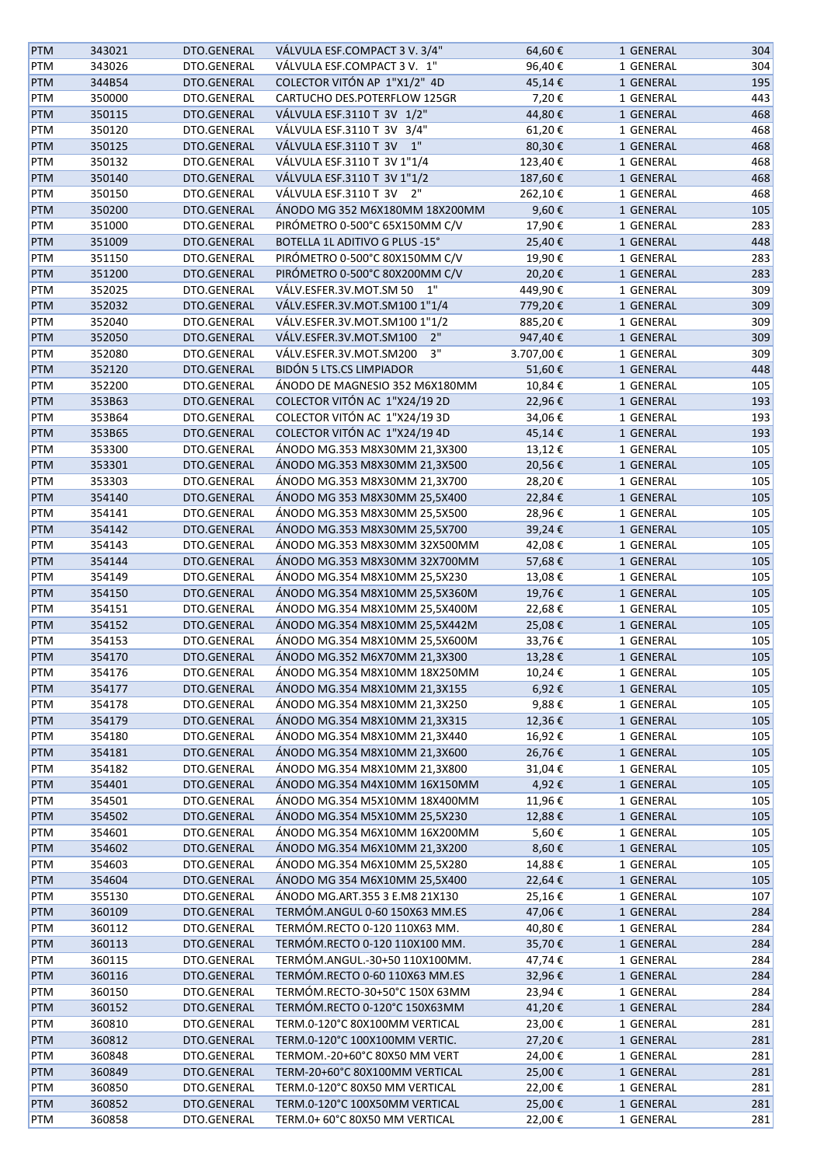| <b>PTM</b> | 343021 | DTO.GENERAL | VÁLVULA ESF.COMPACT 3 V. 3/4"                                  | 64,60€    | 1 GENERAL | 304 |
|------------|--------|-------------|----------------------------------------------------------------|-----------|-----------|-----|
| PTM        | 343026 | DTO.GENERAL | VÁLVULA ESF.COMPACT 3 V. 1"                                    | 96,40€    | 1 GENERAL | 304 |
| <b>PTM</b> | 344B54 | DTO.GENERAL | COLECTOR VITÓN AP 1"X1/2" 4D                                   | 45,14€    | 1 GENERAL | 195 |
| PTM        | 350000 | DTO.GENERAL | CARTUCHO DES.POTERFLOW 125GR                                   | 7,20€     | 1 GENERAL | 443 |
| <b>PTM</b> | 350115 | DTO.GENERAL | VÁLVULA ESF.3110 T 3V 1/2"                                     | 44,80€    | 1 GENERAL | 468 |
| PTM        | 350120 | DTO.GENERAL | VÁLVULA ESF.3110 T 3V 3/4"                                     | 61,20€    | 1 GENERAL | 468 |
|            |        |             | VÁLVULA ESF.3110 T 3V 1"                                       |           |           |     |
| <b>PTM</b> | 350125 | DTO.GENERAL |                                                                | 80,30€    | 1 GENERAL | 468 |
| PTM        | 350132 | DTO.GENERAL | VÁLVULA ESF.3110 T 3V 1"1/4                                    | 123,40€   | 1 GENERAL | 468 |
| <b>PTM</b> | 350140 | DTO.GENERAL | VÁLVULA ESF.3110 T 3V 1"1/2                                    | 187,60€   | 1 GENERAL | 468 |
| PTM        | 350150 | DTO.GENERAL | VÁLVULA ESF.3110 T 3V 2"                                       | 262,10€   | 1 GENERAL | 468 |
| <b>PTM</b> | 350200 | DTO.GENERAL | ÁNODO MG 352 M6X180MM 18X200MM                                 | 9,60€     | 1 GENERAL | 105 |
| PTM        | 351000 | DTO.GENERAL | PIRÓMETRO 0-500°C 65X150MM C/V                                 | 17,90€    | 1 GENERAL | 283 |
| <b>PTM</b> | 351009 | DTO.GENERAL | BOTELLA 1L ADITIVO G PLUS -15°                                 | 25,40€    | 1 GENERAL | 448 |
| PTM        | 351150 | DTO.GENERAL | PIRÓMETRO 0-500°C 80X150MM C/V                                 | 19,90€    | 1 GENERAL | 283 |
| <b>PTM</b> | 351200 | DTO.GENERAL | PIRÓMETRO 0-500°C 80X200MM C/V                                 | 20,20€    | 1 GENERAL | 283 |
| PTM        | 352025 | DTO.GENERAL | VÁLV.ESFER.3V.MOT.SM 50<br>1"                                  | 449,90€   | 1 GENERAL | 309 |
| PTM        | 352032 | DTO.GENERAL | VÁLV.ESFER.3V.MOT.SM100 1"1/4                                  | 779,20€   | 1 GENERAL | 309 |
| PTM        | 352040 | DTO.GENERAL | VÁLV.ESFER.3V.MOT.SM100 1"1/2                                  | 885,20€   | 1 GENERAL | 309 |
| <b>PTM</b> | 352050 | DTO.GENERAL | 2"<br>VÁLV.ESFER.3V.MOT.SM100                                  | 947,40€   | 1 GENERAL | 309 |
| PTM        | 352080 | DTO.GENERAL | 3"<br>VÁLV.ESFER.3V.MOT.SM200                                  | 3.707,00€ | 1 GENERAL | 309 |
|            | 352120 | DTO.GENERAL | <b>BIDÓN 5 LTS.CS LIMPIADOR</b>                                |           |           |     |
| <b>PTM</b> |        |             |                                                                | 51,60€    | 1 GENERAL | 448 |
| PTM        | 352200 | DTO.GENERAL | ÁNODO DE MAGNESIO 352 M6X180MM                                 | 10,84€    | 1 GENERAL | 105 |
| <b>PTM</b> | 353B63 | DTO.GENERAL | COLECTOR VITÓN AC 1"X24/19 2D                                  | 22,96€    | 1 GENERAL | 193 |
| PTM        | 353B64 | DTO.GENERAL | COLECTOR VITÓN AC 1"X24/19 3D                                  | 34,06€    | 1 GENERAL | 193 |
| <b>PTM</b> | 353B65 | DTO.GENERAL | COLECTOR VITÓN AC 1"X24/19 4D                                  | 45,14€    | 1 GENERAL | 193 |
| PTM        | 353300 | DTO.GENERAL | ÁNODO MG.353 M8X30MM 21,3X300                                  | 13,12€    | 1 GENERAL | 105 |
| <b>PTM</b> | 353301 | DTO.GENERAL | ÁNODO MG.353 M8X30MM 21,3X500                                  | 20,56€    | 1 GENERAL | 105 |
| PTM        | 353303 | DTO.GENERAL | ÁNODO MG.353 M8X30MM 21,3X700                                  | 28,20€    | 1 GENERAL | 105 |
| PTM        | 354140 | DTO.GENERAL | ÁNODO MG 353 M8X30MM 25,5X400                                  | 22,84€    | 1 GENERAL | 105 |
| PTM        | 354141 | DTO.GENERAL | ÁNODO MG.353 M8X30MM 25,5X500                                  | 28,96€    | 1 GENERAL | 105 |
| <b>PTM</b> | 354142 | DTO.GENERAL | ÁNODO MG.353 M8X30MM 25,5X700                                  | 39,24€    | 1 GENERAL | 105 |
| PTM        | 354143 | DTO.GENERAL | ÁNODO MG.353 M8X30MM 32X500MM                                  | 42,08€    | 1 GENERAL | 105 |
| <b>PTM</b> | 354144 | DTO.GENERAL | ÁNODO MG.353 M8X30MM 32X700MM                                  | 57,68€    | 1 GENERAL | 105 |
| PTM        | 354149 | DTO.GENERAL | ÁNODO MG.354 M8X10MM 25,5X230                                  | 13,08€    | 1 GENERAL | 105 |
|            |        |             |                                                                |           |           |     |
| <b>PTM</b> | 354150 | DTO.GENERAL | ÁNODO MG.354 M8X10MM 25,5X360M                                 | 19,76€    | 1 GENERAL | 105 |
| PTM        | 354151 | DTO.GENERAL | ÁNODO MG.354 M8X10MM 25,5X400M                                 | 22,68€    | 1 GENERAL | 105 |
| <b>PTM</b> | 354152 | DTO.GENERAL | ÁNODO MG.354 M8X10MM 25,5X442M                                 | 25,08€    | 1 GENERAL | 105 |
| PTM        | 354153 | DTO.GENERAL | ÁNODO MG.354 M8X10MM 25,5X600M                                 | 33,76€    | 1 GENERAL | 105 |
| <b>PTM</b> | 354170 | DTO.GENERAL | ÁNODO MG.352 M6X70MM 21,3X300                                  | 13,28€    | 1 GENERAL | 105 |
| PTM        | 354176 | DTO.GENERAL | ÁNODO MG.354 M8X10MM 18X250MM                                  | 10,24€    | 1 GENERAL | 105 |
| <b>PTM</b> | 354177 | DTO.GENERAL | ÁNODO MG.354 M8X10MM 21,3X155                                  | 6,92€     | 1 GENERAL | 105 |
| PTM        | 354178 | DTO.GENERAL | ÁNODO MG.354 M8X10MM 21,3X250                                  | 9,88€     | 1 GENERAL | 105 |
| <b>PTM</b> | 354179 | DTO.GENERAL | ÁNODO MG.354 M8X10MM 21,3X315                                  | 12,36€    | 1 GENERAL | 105 |
| PTM        | 354180 | DTO.GENERAL | ÁNODO MG.354 M8X10MM 21,3X440                                  | 16,92€    | 1 GENERAL | 105 |
| <b>PTM</b> | 354181 | DTO.GENERAL | ÁNODO MG.354 M8X10MM 21,3X600                                  | 26,76€    | 1 GENERAL | 105 |
| PTM        | 354182 | DTO.GENERAL | ÁNODO MG.354 M8X10MM 21,3X800                                  | 31,04€    | 1 GENERAL | 105 |
| <b>PTM</b> | 354401 | DTO.GENERAL | ANODO MG.354 M4X10MM 16X150MM                                  | 4,92€     | 1 GENERAL | 105 |
| PTM        | 354501 | DTO.GENERAL | ANODO MG.354 M5X10MM 18X400MM                                  | 11,96€    | 1 GENERAL | 105 |
|            |        |             |                                                                |           |           |     |
| PTM        | 354502 | DTO.GENERAL | ÁNODO MG.354 M5X10MM 25,5X230<br>ÁNODO MG.354 M6X10MM 16X200MM | 12,88€    | 1 GENERAL | 105 |
| PTM        | 354601 | DTO.GENERAL |                                                                | 5,60€     | 1 GENERAL | 105 |
| <b>PTM</b> | 354602 | DTO.GENERAL | ÁNODO MG.354 M6X10MM 21,3X200                                  | 8,60€     | 1 GENERAL | 105 |
| PTM        | 354603 | DTO.GENERAL | ÁNODO MG.354 M6X10MM 25,5X280                                  | 14,88€    | 1 GENERAL | 105 |
| <b>PTM</b> | 354604 | DTO.GENERAL | ÁNODO MG 354 M6X10MM 25,5X400                                  | 22,64€    | 1 GENERAL | 105 |
| PTM        | 355130 | DTO.GENERAL | ÁNODO MG.ART.355 3 E.M8 21X130                                 | 25,16€    | 1 GENERAL | 107 |
| <b>PTM</b> | 360109 | DTO.GENERAL | TERMÓM.ANGUL 0-60 150X63 MM.ES                                 | 47,06€    | 1 GENERAL | 284 |
| PTM        | 360112 | DTO.GENERAL | TERMÓM.RECTO 0-120 110X63 MM.                                  | 40,80€    | 1 GENERAL | 284 |
| <b>PTM</b> | 360113 | DTO.GENERAL | TERMÓM.RECTO 0-120 110X100 MM.                                 | 35,70€    | 1 GENERAL | 284 |
| PTM        | 360115 | DTO.GENERAL | TERMÓM.ANGUL.-30+50 110X100MM.                                 | 47,74€    | 1 GENERAL | 284 |
| <b>PTM</b> | 360116 | DTO.GENERAL | TERMÓM.RECTO 0-60 110X63 MM.ES                                 | 32,96€    | 1 GENERAL | 284 |
| PTM        | 360150 | DTO.GENERAL | TERMOM.RECTO-30+50°C 150X 63MM                                 | 23,94€    | 1 GENERAL | 284 |
| <b>PTM</b> | 360152 | DTO.GENERAL | TERMÓM.RECTO 0-120°C 150X63MM                                  | 41,20€    | 1 GENERAL | 284 |
| PTM        | 360810 | DTO.GENERAL | TERM.0-120°C 80X100MM VERTICAL                                 | 23,00€    | 1 GENERAL | 281 |
|            |        |             |                                                                |           |           |     |
| <b>PTM</b> | 360812 | DTO.GENERAL | TERM.0-120°C 100X100MM VERTIC.                                 | 27,20€    | 1 GENERAL | 281 |
| PTM        | 360848 | DTO.GENERAL | TERMOM.-20+60°C 80X50 MM VERT                                  | 24,00€    | 1 GENERAL | 281 |
| <b>PTM</b> | 360849 | DTO.GENERAL | TERM-20+60°C 80X100MM VERTICAL                                 | 25,00€    | 1 GENERAL | 281 |
| PTM        | 360850 | DTO.GENERAL | TERM.0-120°C 80X50 MM VERTICAL                                 | 22,00€    | 1 GENERAL | 281 |
| <b>PTM</b> | 360852 | DTO.GENERAL | TERM.0-120°C 100X50MM VERTICAL                                 | 25,00€    | 1 GENERAL | 281 |
| PTM        | 360858 | DTO.GENERAL | TERM.0+60°C 80X50 MM VERTICAL                                  | 22,00€    | 1 GENERAL | 281 |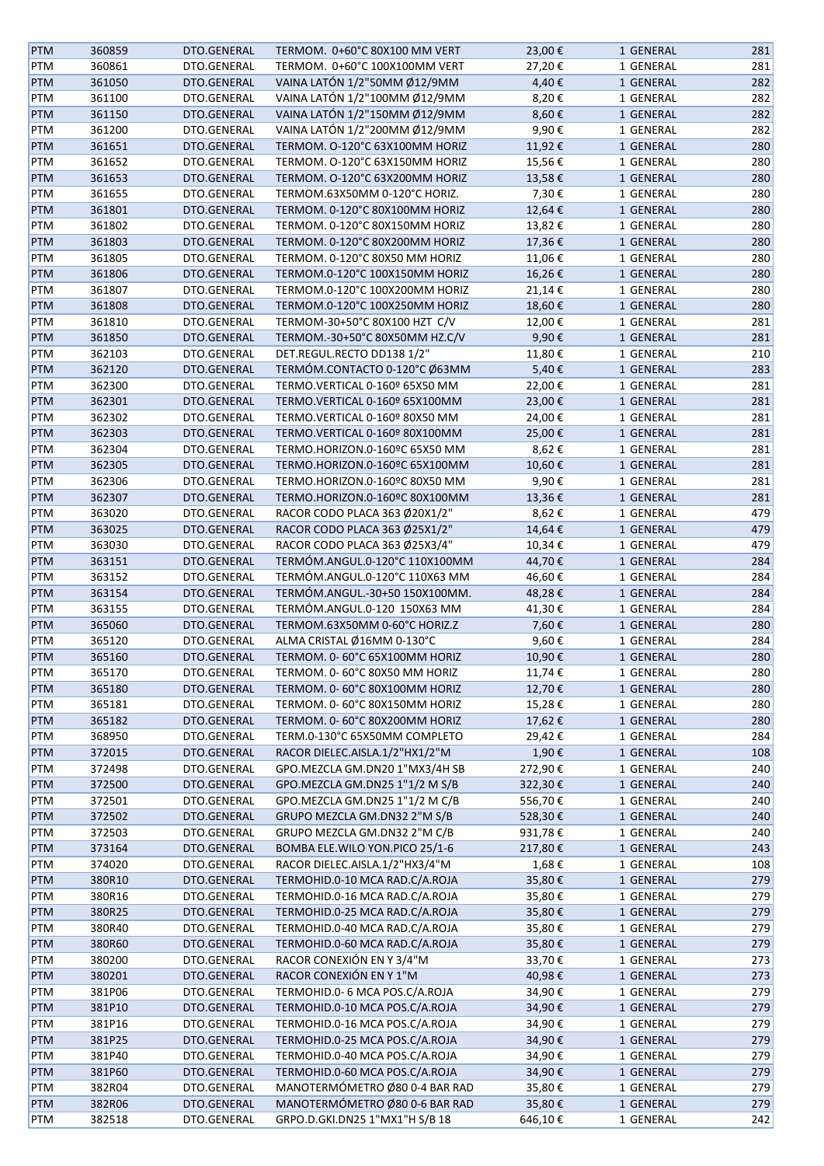| <b>PTM</b> | 360859 | DTO.GENERAL | TERMOM. 0+60°C 80X100 MM VERT    | 23,00€  | 1 GENERAL | 281 |
|------------|--------|-------------|----------------------------------|---------|-----------|-----|
| <b>PTM</b> | 360861 | DTO.GENERAL | TERMOM. 0+60°C 100X100MM VERT    | 27,20€  | 1 GENERAL | 281 |
| <b>PTM</b> | 361050 | DTO.GENERAL | VAINA LATÓN 1/2"50MM Ø12/9MM     | 4,40€   | 1 GENERAL | 282 |
| <b>PTM</b> | 361100 | DTO.GENERAL | VAINA LATÓN 1/2"100MM Ø12/9MM    | 8,20€   | 1 GENERAL | 282 |
| <b>PTM</b> | 361150 | DTO.GENERAL | VAINA LATÓN 1/2"150MM Ø12/9MM    | 8,60€   | 1 GENERAL | 282 |
| <b>PTM</b> | 361200 | DTO.GENERAL | VAINA LATÓN 1/2"200MM Ø12/9MM    | 9,90€   | 1 GENERAL | 282 |
| <b>PTM</b> | 361651 | DTO.GENERAL | TERMOM. O-120°C 63X100MM HORIZ   | 11,92€  | 1 GENERAL | 280 |
| <b>PTM</b> | 361652 | DTO.GENERAL | TERMOM. O-120°C 63X150MM HORIZ   | 15,56€  | 1 GENERAL | 280 |
| <b>PTM</b> | 361653 | DTO.GENERAL | TERMOM. O-120°C 63X200MM HORIZ   | 13,58€  | 1 GENERAL | 280 |
|            |        |             |                                  |         |           |     |
| PTM        | 361655 | DTO.GENERAL | TERMOM.63X50MM 0-120°C HORIZ.    | 7,30€   | 1 GENERAL | 280 |
| <b>PTM</b> | 361801 | DTO.GENERAL | TERMOM. 0-120°C 80X100MM HORIZ   | 12,64€  | 1 GENERAL | 280 |
| PTM        | 361802 | DTO.GENERAL | TERMOM. 0-120°C 80X150MM HORIZ   | 13,82€  | 1 GENERAL | 280 |
| <b>PTM</b> | 361803 | DTO.GENERAL | TERMOM. 0-120°C 80X200MM HORIZ   | 17,36€  | 1 GENERAL | 280 |
| PTM        | 361805 | DTO.GENERAL | TERMOM. 0-120°C 80X50 MM HORIZ   | 11,06€  | 1 GENERAL | 280 |
| <b>PTM</b> | 361806 | DTO.GENERAL | TERMOM.0-120°C 100X150MM HORIZ   | 16,26€  | 1 GENERAL | 280 |
| <b>PTM</b> | 361807 | DTO.GENERAL | TERMOM.0-120°C 100X200MM HORIZ   | 21,14€  | 1 GENERAL | 280 |
| <b>PTM</b> | 361808 | DTO.GENERAL | TERMOM.0-120°C 100X250MM HORIZ   | 18,60€  | 1 GENERAL | 280 |
| <b>PTM</b> | 361810 | DTO.GENERAL | TERMOM-30+50°C 80X100 HZT C/V    | 12,00€  | 1 GENERAL | 281 |
| <b>PTM</b> | 361850 | DTO.GENERAL | TERMOM.-30+50°C 80X50MM HZ.C/V   | 9,90€   | 1 GENERAL | 281 |
| <b>PTM</b> | 362103 | DTO.GENERAL | DET.REGUL.RECTO DD138 1/2"       | 11,80€  | 1 GENERAL | 210 |
| <b>PTM</b> | 362120 | DTO.GENERAL | TERMÓM.CONTACTO 0-120°C Ø63MM    | 5,40€   | 1 GENERAL | 283 |
| <b>PTM</b> | 362300 | DTO.GENERAL | TERMO.VERTICAL 0-160º 65X50 MM   | 22,00€  | 1 GENERAL | 281 |
| <b>PTM</b> | 362301 | DTO.GENERAL | TERMO.VERTICAL 0-160º 65X100MM   | 23,00€  | 1 GENERAL | 281 |
|            | 362302 | DTO.GENERAL |                                  | 24,00€  | 1 GENERAL | 281 |
| PTM        |        |             | TERMO.VERTICAL 0-160º 80X50 MM   |         |           |     |
| <b>PTM</b> | 362303 | DTO.GENERAL | TERMO.VERTICAL 0-160º 80X100MM   | 25,00€  | 1 GENERAL | 281 |
| <b>PTM</b> | 362304 | DTO.GENERAL | TERMO.HORIZON.0-160ºC 65X50 MM   | 8,62€   | 1 GENERAL | 281 |
| <b>PTM</b> | 362305 | DTO.GENERAL | TERMO.HORIZON.0-160ºC 65X100MM   | 10,60€  | 1 GENERAL | 281 |
| <b>PTM</b> | 362306 | DTO.GENERAL | TERMO.HORIZON.0-160ºC 80X50 MM   | 9,90€   | 1 GENERAL | 281 |
| <b>PTM</b> | 362307 | DTO.GENERAL | TERMO.HORIZON.0-160ºC 80X100MM   | 13,36€  | 1 GENERAL | 281 |
| <b>PTM</b> | 363020 | DTO.GENERAL | RACOR CODO PLACA 363 Ø20X1/2"    | 8,62€   | 1 GENERAL | 479 |
| <b>PTM</b> | 363025 | DTO.GENERAL | RACOR CODO PLACA 363 Ø25X1/2"    | 14,64€  | 1 GENERAL | 479 |
| <b>PTM</b> | 363030 | DTO.GENERAL | RACOR CODO PLACA 363 Ø25X3/4"    | 10,34€  | 1 GENERAL | 479 |
| <b>PTM</b> | 363151 | DTO.GENERAL | TERMÓM.ANGUL.0-120°C 110X100MM   | 44,70€  | 1 GENERAL | 284 |
| <b>PTM</b> | 363152 | DTO.GENERAL | TERMÓM.ANGUL.0-120°C 110X63 MM   | 46,60€  | 1 GENERAL | 284 |
| <b>PTM</b> | 363154 | DTO.GENERAL | TERMÓM.ANGUL.-30+50 150X100MM.   | 48,28€  | 1 GENERAL | 284 |
| <b>PTM</b> | 363155 | DTO.GENERAL | TERMÓM.ANGUL.0-120 150X63 MM     | 41,30€  | 1 GENERAL | 284 |
| <b>PTM</b> | 365060 | DTO.GENERAL | TERMOM.63X50MM 0-60°C HORIZ.Z    | 7,60€   | 1 GENERAL | 280 |
| PTM        | 365120 | DTO.GENERAL | ALMA CRISTAL Ø16MM 0-130°C       | 9,60€   | 1 GENERAL | 284 |
| <b>PTM</b> | 365160 | DTO.GENERAL | TERMOM. 0- 60°C 65X100MM HORIZ   | 10,90€  | 1 GENERAL | 280 |
| PTM        | 365170 | DTO.GENERAL | TERMOM. 0- 60°C 80X50 MM HORIZ   | 11,74€  | 1 GENERAL | 280 |
|            |        |             |                                  |         |           |     |
| <b>PTM</b> | 365180 | DTO.GENERAL | TERMOM. 0- 60°C 80X100MM HORIZ   | 12,70€  | 1 GENERAL | 280 |
| PTM        | 365181 | DTO.GENERAL | TERMOM. 0-60°C 80X150MM HORIZ    | 15,28€  | 1 GENERAL | 280 |
| <b>PTM</b> | 365182 | DTO.GENERAL | TERMOM. 0- 60°C 80X200MM HORIZ   | 17,62€  | 1 GENERAL | 280 |
| PTM        | 368950 | DTO.GENERAL | TERM.0-130°C 65X50MM COMPLETO    | 29,42€  | 1 GENERAL | 284 |
| <b>PTM</b> | 372015 | DTO.GENERAL | RACOR DIELEC.AISLA.1/2"HX1/2"M   | 1,90€   | 1 GENERAL | 108 |
| PTM        | 372498 | DTO.GENERAL | GPO.MEZCLA GM.DN20 1"MX3/4H SB   | 272,90€ | 1 GENERAL | 240 |
| <b>PTM</b> | 372500 | DTO.GENERAL | GPO.MEZCLA GM.DN25 1"1/2 M S/B   | 322,30€ | 1 GENERAL | 240 |
| PTM        | 372501 | DTO.GENERAL | GPO.MEZCLA GM.DN25 1"1/2 M C/B   | 556,70€ | 1 GENERAL | 240 |
| <b>PTM</b> | 372502 | DTO.GENERAL | GRUPO MEZCLA GM.DN32 2"M S/B     | 528,30€ | 1 GENERAL | 240 |
| PTM        | 372503 | DTO.GENERAL | GRUPO MEZCLA GM.DN32 2"M C/B     | 931,78€ | 1 GENERAL | 240 |
| PTM        | 373164 | DTO.GENERAL | BOMBA ELE. WILO YON. PICO 25/1-6 | 217,80€ | 1 GENERAL | 243 |
| PTM        | 374020 | DTO.GENERAL | RACOR DIELEC.AISLA.1/2"HX3/4"M   | 1,68€   | 1 GENERAL | 108 |
| <b>PTM</b> | 380R10 | DTO.GENERAL | TERMOHID.0-10 MCA RAD.C/A.ROJA   | 35,80€  | 1 GENERAL | 279 |
| PTM        | 380R16 | DTO.GENERAL | TERMOHID.0-16 MCA RAD.C/A.ROJA   | 35,80€  | 1 GENERAL | 279 |
| <b>PTM</b> | 380R25 | DTO.GENERAL | TERMOHID.0-25 MCA RAD.C/A.ROJA   | 35,80€  | 1 GENERAL | 279 |
| PTM        | 380R40 | DTO.GENERAL | TERMOHID.0-40 MCA RAD.C/A.ROJA   |         |           | 279 |
|            |        |             |                                  | 35,80€  | 1 GENERAL |     |
| <b>PTM</b> | 380R60 | DTO.GENERAL | TERMOHID.0-60 MCA RAD.C/A.ROJA   | 35,80€  | 1 GENERAL | 279 |
| PTM        | 380200 | DTO.GENERAL | RACOR CONEXIÓN EN Y 3/4"M        | 33,70€  | 1 GENERAL | 273 |
| <b>PTM</b> | 380201 | DTO.GENERAL | RACOR CONEXIÓN EN Y 1"M          | 40,98€  | 1 GENERAL | 273 |
| PTM        | 381P06 | DTO.GENERAL | TERMOHID.0-6 MCA POS.C/A.ROJA    | 34,90€  | 1 GENERAL | 279 |
| <b>PTM</b> | 381P10 | DTO.GENERAL | TERMOHID.0-10 MCA POS.C/A.ROJA   | 34,90€  | 1 GENERAL | 279 |
| PTM        | 381P16 | DTO.GENERAL | TERMOHID.0-16 MCA POS.C/A.ROJA   | 34,90€  | 1 GENERAL | 279 |
| PTM        | 381P25 | DTO.GENERAL | TERMOHID.0-25 MCA POS.C/A.ROJA   | 34,90€  | 1 GENERAL | 279 |
| PTM        | 381P40 | DTO.GENERAL | TERMOHID.0-40 MCA POS.C/A.ROJA   | 34,90€  | 1 GENERAL | 279 |
| <b>PTM</b> | 381P60 | DTO.GENERAL | TERMOHID.0-60 MCA POS.C/A.ROJA   | 34,90€  | 1 GENERAL | 279 |
| PTM        | 382R04 | DTO.GENERAL | MANOTERMÓMETRO Ø80 0-4 BAR RAD   | 35,80€  | 1 GENERAL | 279 |
| <b>PTM</b> | 382R06 | DTO.GENERAL | MANOTERMÓMETRO Ø80 0-6 BAR RAD   | 35,80€  | 1 GENERAL | 279 |
| PTM        | 382518 | DTO.GENERAL | GRPO.D.GKI.DN25 1"MX1"H S/B 18   | 646,10€ | 1 GENERAL | 242 |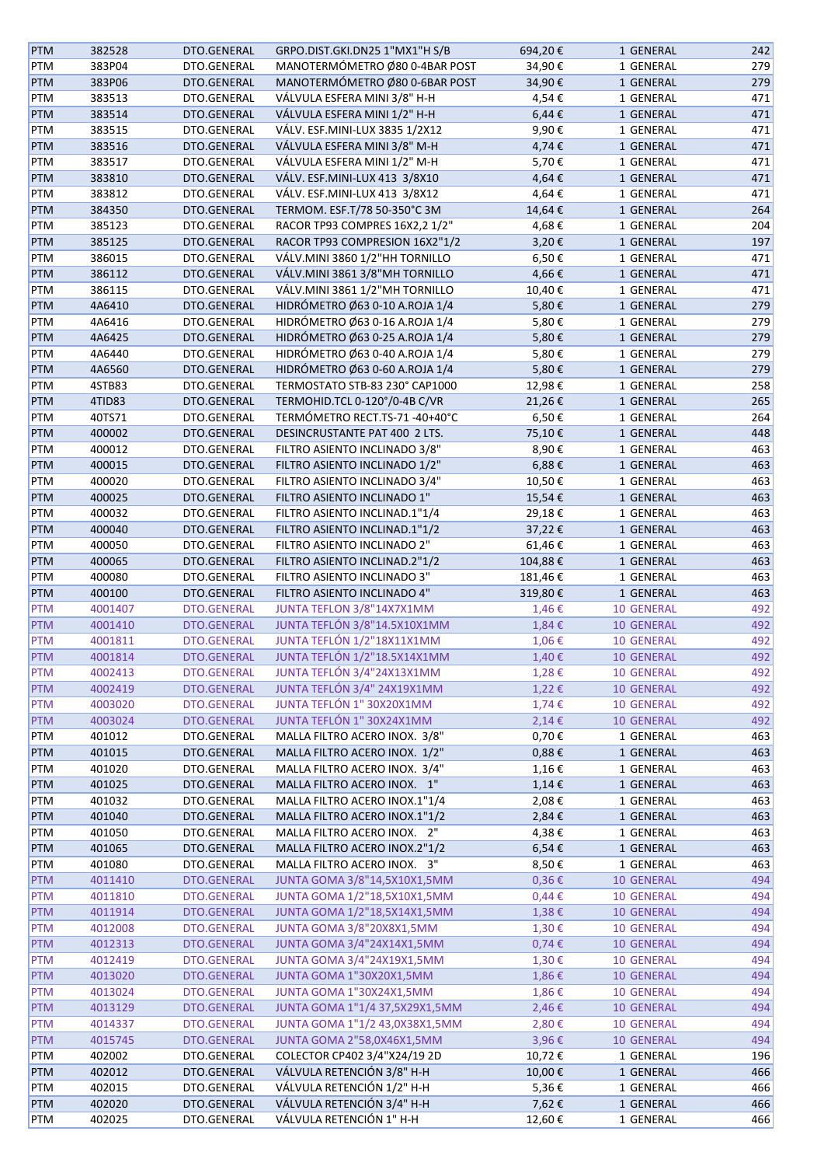| <b>PTM</b>               | 382528  | DTO.GENERAL        | GRPO.DIST.GKI.DN25 1"MX1"H S/B                          | 694,20€             | 1 GENERAL                       | 242 |
|--------------------------|---------|--------------------|---------------------------------------------------------|---------------------|---------------------------------|-----|
| PTM                      | 383P04  | DTO.GENERAL        | MANOTERMÓMETRO Ø80 0-4BAR POST                          | 34,90€              | 1 GENERAL                       | 279 |
| PTM                      | 383P06  | DTO.GENERAL        | MANOTERMÓMETRO Ø80 0-6BAR POST                          | 34,90€              | 1 GENERAL                       | 279 |
| PTM                      | 383513  | DTO.GENERAL        | VÁLVULA ESFERA MINI 3/8" H-H                            | 4,54€               | 1 GENERAL                       | 471 |
| PTM                      | 383514  | DTO.GENERAL        | VÁLVULA ESFERA MINI 1/2" H-H                            | 6,44€               | 1 GENERAL                       | 471 |
| PTM                      | 383515  | DTO.GENERAL        | VÁLV. ESF.MINI-LUX 3835 1/2X12                          | 9,90€               | 1 GENERAL                       | 471 |
| PTM                      | 383516  | DTO.GENERAL        | VÁLVULA ESFERA MINI 3/8" M-H                            | 4,74€               | 1 GENERAL                       | 471 |
| PTM                      | 383517  | DTO.GENERAL        | VÁLVULA ESFERA MINI 1/2" M-H                            | 5,70€               | 1 GENERAL                       | 471 |
| PTM                      | 383810  | DTO.GENERAL        | VÁLV. ESF.MINI-LUX 413 3/8X10                           | 4,64€               | 1 GENERAL                       | 471 |
| PTM                      | 383812  | DTO.GENERAL        | VÁLV. ESF.MINI-LUX 413 3/8X12                           | 4,64€               | 1 GENERAL                       | 471 |
| <b>PTM</b>               | 384350  | DTO.GENERAL        | TERMOM. ESF.T/78 50-350°C 3M                            | 14,64€              | 1 GENERAL                       | 264 |
| PTM                      | 385123  | DTO.GENERAL        | RACOR TP93 COMPRES 16X2,2 1/2"                          | 4,68€               | 1 GENERAL                       | 204 |
| PTM                      | 385125  | DTO.GENERAL        | RACOR TP93 COMPRESION 16X2"1/2                          | 3,20€               | 1 GENERAL                       | 197 |
| PTM                      | 386015  | DTO.GENERAL        | VÁLV.MINI 3860 1/2"HH TORNILLO                          | 6,50€               | 1 GENERAL                       | 471 |
| PTM                      | 386112  | DTO.GENERAL        | VÁLV.MINI 3861 3/8"MH TORNILLO                          | 4,66€               | 1 GENERAL                       | 471 |
| PTM                      | 386115  | DTO.GENERAL        | VÁLV.MINI 3861 1/2"MH TORNILLO                          | 10,40€              | 1 GENERAL                       | 471 |
| PTM                      | 4A6410  | DTO.GENERAL        | HIDRÓMETRO Ø63 0-10 A.ROJA 1/4                          | 5,80€               | 1 GENERAL                       | 279 |
| PTM                      | 4A6416  | DTO.GENERAL        | HIDRÓMETRO Ø63 0-16 A.ROJA 1/4                          | 5,80€               | 1 GENERAL                       | 279 |
| PTM                      | 4A6425  | DTO.GENERAL        | HIDRÓMETRO Ø63 0-25 A.ROJA 1/4                          | 5,80€               | 1 GENERAL                       | 279 |
| PTM                      | 4A6440  | DTO.GENERAL        | HIDRÓMETRO Ø63 0-40 A.ROJA 1/4                          | 5,80€               | 1 GENERAL                       | 279 |
| <b>PTM</b>               | 4A6560  | DTO.GENERAL        | HIDRÓMETRO Ø63 0-60 A.ROJA 1/4                          | 5,80€               | 1 GENERAL                       | 279 |
| PTM                      | 4STB83  | DTO.GENERAL        | TERMOSTATO STB-83 230° CAP1000                          | 12,98€              | 1 GENERAL                       | 258 |
| PTM                      | 4TID83  | DTO.GENERAL        | TERMOHID.TCL 0-120°/0-4B C/VR                           | 21,26€              | 1 GENERAL                       | 265 |
| PTM                      | 40TS71  | DTO.GENERAL        | TERMÓMETRO RECT.TS-71-40+40°C                           | 6,50€               | 1 GENERAL                       | 264 |
| PTM                      | 400002  | DTO.GENERAL        | DESINCRUSTANTE PAT 400 2 LTS.                           | 75,10€              | 1 GENERAL                       | 448 |
| PTM                      | 400012  | DTO.GENERAL        | FILTRO ASIENTO INCLINADO 3/8"                           | 8,90€               | 1 GENERAL                       | 463 |
| PTM                      | 400015  | DTO.GENERAL        | FILTRO ASIENTO INCLINADO 1/2"                           | 6,88€               | 1 GENERAL                       | 463 |
| PTM                      | 400020  | DTO.GENERAL        | FILTRO ASIENTO INCLINADO 3/4"                           | 10,50€              | 1 GENERAL                       | 463 |
| PTM                      | 400025  | DTO.GENERAL        | FILTRO ASIENTO INCLINADO 1"                             | 15,54€              | 1 GENERAL                       | 463 |
| PTM                      | 400032  | DTO.GENERAL        | FILTRO ASIENTO INCLINAD.1"1/4                           | 29,18€              | 1 GENERAL                       | 463 |
| PTM                      | 400040  | DTO.GENERAL        | FILTRO ASIENTO INCLINAD.1"1/2                           | 37,22€              | 1 GENERAL                       | 463 |
| PTM                      | 400050  | DTO.GENERAL        | FILTRO ASIENTO INCLINADO 2"                             | 61,46€              | 1 GENERAL                       | 463 |
| PTM                      | 400065  | DTO.GENERAL        | FILTRO ASIENTO INCLINAD.2"1/2                           | 104,88€             | 1 GENERAL                       | 463 |
| PTM                      | 400080  | DTO.GENERAL        | FILTRO ASIENTO INCLINADO 3"                             | 181,46€             | 1 GENERAL                       | 463 |
|                          |         |                    |                                                         |                     |                                 |     |
| <b>PTM</b>               | 400100  | DTO.GENERAL        | FILTRO ASIENTO INCLINADO 4"                             | 319,80€             | 1 GENERAL                       | 463 |
| <b>PTM</b>               | 4001407 | <b>DTO.GENERAL</b> | JUNTA TEFLON 3/8"14X7X1MM                               | 1,46€               | <b>10 GENERAL</b>               | 492 |
| PTM                      | 4001410 | DTO.GENERAL        | JUNTA TEFLÓN 3/8"14.5X10X1MM                            | 1,84€               | 10 GENERAL                      | 492 |
| <b>PTM</b>               | 4001811 | DTO.GENERAL        | JUNTA TEFLÓN 1/2"18X11X1MM                              | 1,06€               | <b>10 GENERAL</b>               | 492 |
| <b>PTM</b>               | 4001814 | <b>DTO.GENERAL</b> | JUNTA TEFLÓN 1/2"18.5X14X1MM                            | 1,40€               | 10 GENERAL                      | 492 |
| <b>PTM</b>               | 4002413 | <b>DTO.GENERAL</b> | JUNTA TEFLÓN 3/4"24X13X1MM                              | 1,28€               | <b>10 GENERAL</b>               | 492 |
| <b>PTM</b>               | 4002419 | DTO.GENERAL        | JUNTA TEFLÓN 3/4" 24X19X1MM                             | 1,22€               | <b>10 GENERAL</b>               | 492 |
| <b>PTM</b>               | 4003020 | <b>DTO.GENERAL</b> | JUNTA TEFLÓN 1" 30X20X1MM                               | 1,74€               | 10 GENERAL                      | 492 |
| <b>PTM</b>               | 4003024 | DTO.GENERAL        | JUNTA TEFLÓN 1" 30X24X1MM                               | 2,14€               | 10 GENERAL                      | 492 |
| PTM                      | 401012  | DTO.GENERAL        | MALLA FILTRO ACERO INOX. 3/8"                           | $0,70 \in$          | 1 GENERAL                       | 463 |
| <b>PTM</b>               | 401015  | DTO.GENERAL        | MALLA FILTRO ACERO INOX. 1/2"                           | $0,88 \in$          |                                 | 463 |
| PTM                      | 401020  | DTO.GENERAL        | MALLA FILTRO ACERO INOX. 3/4"                           | 1,16€               | 1 GENERAL<br>1 GENERAL          | 463 |
| PTM                      | 401025  | DTO.GENERAL        | MALLA FILTRO ACERO INOX. 1"                             | $1,14$ €            | 1 GENERAL                       | 463 |
| PTM                      | 401032  | DTO.GENERAL        | MALLA FILTRO ACERO INOX.1"1/4                           | 2,08€               | 1 GENERAL                       | 463 |
| <b>PTM</b>               | 401040  | DTO.GENERAL        | MALLA FILTRO ACERO INOX.1"1/2                           | 2,84€               | 1 GENERAL                       | 463 |
| PTM                      | 401050  | DTO.GENERAL        | MALLA FILTRO ACERO INOX. 2"                             | 4,38€               | 1 GENERAL                       | 463 |
| <b>PTM</b>               | 401065  | DTO.GENERAL        | MALLA FILTRO ACERO INOX.2"1/2                           | $6,54 \in$          | 1 GENERAL                       | 463 |
|                          | 401080  | DTO.GENERAL        | MALLA FILTRO ACERO INOX. 3"                             |                     |                                 | 463 |
| PTM<br><b>PTM</b>        | 4011410 | DTO.GENERAL        | JUNTA GOMA 3/8"14,5X10X1,5MM                            | 8,50€<br>$0,36 \in$ | 1 GENERAL<br><b>10 GENERAL</b>  | 494 |
| <b>PTM</b>               | 4011810 | DTO.GENERAL        | JUNTA GOMA 1/2"18,5X10X1,5MM                            | $0,44 \in$          | <b>10 GENERAL</b>               | 494 |
| <b>PTM</b>               | 4011914 | DTO.GENERAL        | JUNTA GOMA 1/2"18,5X14X1,5MM                            | 1,38€               | 10 GENERAL                      | 494 |
| <b>PTM</b>               | 4012008 | <b>DTO.GENERAL</b> |                                                         |                     |                                 | 494 |
| <b>PTM</b>               | 4012313 | DTO.GENERAL        | JUNTA GOMA 3/8"20X8X1,5MM<br>JUNTA GOMA 3/4"24X14X1,5MM | 1,30€<br>$0,74 \in$ | <b>10 GENERAL</b><br>10 GENERAL | 494 |
| <b>PTM</b>               | 4012419 | DTO.GENERAL        | JUNTA GOMA 3/4"24X19X1,5MM                              | $1,30 \in$          | 10 GENERAL                      | 494 |
| <b>PTM</b>               | 4013020 | DTO.GENERAL        | JUNTA GOMA 1"30X20X1,5MM                                | 1,86€               | 10 GENERAL                      | 494 |
| <b>PTM</b>               | 4013024 | <b>DTO.GENERAL</b> | JUNTA GOMA 1"30X24X1,5MM                                |                     | <b>10 GENERAL</b>               | 494 |
|                          | 4013129 | DTO.GENERAL        | JUNTA GOMA 1"1/4 37,5X29X1,5MM                          | 1,86€<br>2,46€      |                                 | 494 |
| <b>PTM</b><br><b>PTM</b> | 4014337 | DTO.GENERAL        | JUNTA GOMA 1"1/2 43,0X38X1,5MM                          | 2,80€               | 10 GENERAL<br>10 GENERAL        | 494 |
| <b>PTM</b>               | 4015745 | DTO.GENERAL        | JUNTA GOMA 2"58,0X46X1,5MM                              | 3,96€               | 10 GENERAL                      | 494 |
| PTM                      | 402002  | DTO.GENERAL        | COLECTOR CP402 3/4"X24/19 2D                            | 10,72€              | 1 GENERAL                       | 196 |
| <b>PTM</b>               | 402012  | DTO.GENERAL        | VÁLVULA RETENCIÓN 3/8" H-H                              | 10,00€              | 1 GENERAL                       | 466 |
| PTM                      | 402015  | DTO.GENERAL        | VÁLVULA RETENCIÓN 1/2" H-H                              | 5,36€               | 1 GENERAL                       | 466 |
| <b>PTM</b>               | 402020  | DTO.GENERAL        | VÁLVULA RETENCIÓN 3/4" H-H                              | 7,62€               | 1 GENERAL                       | 466 |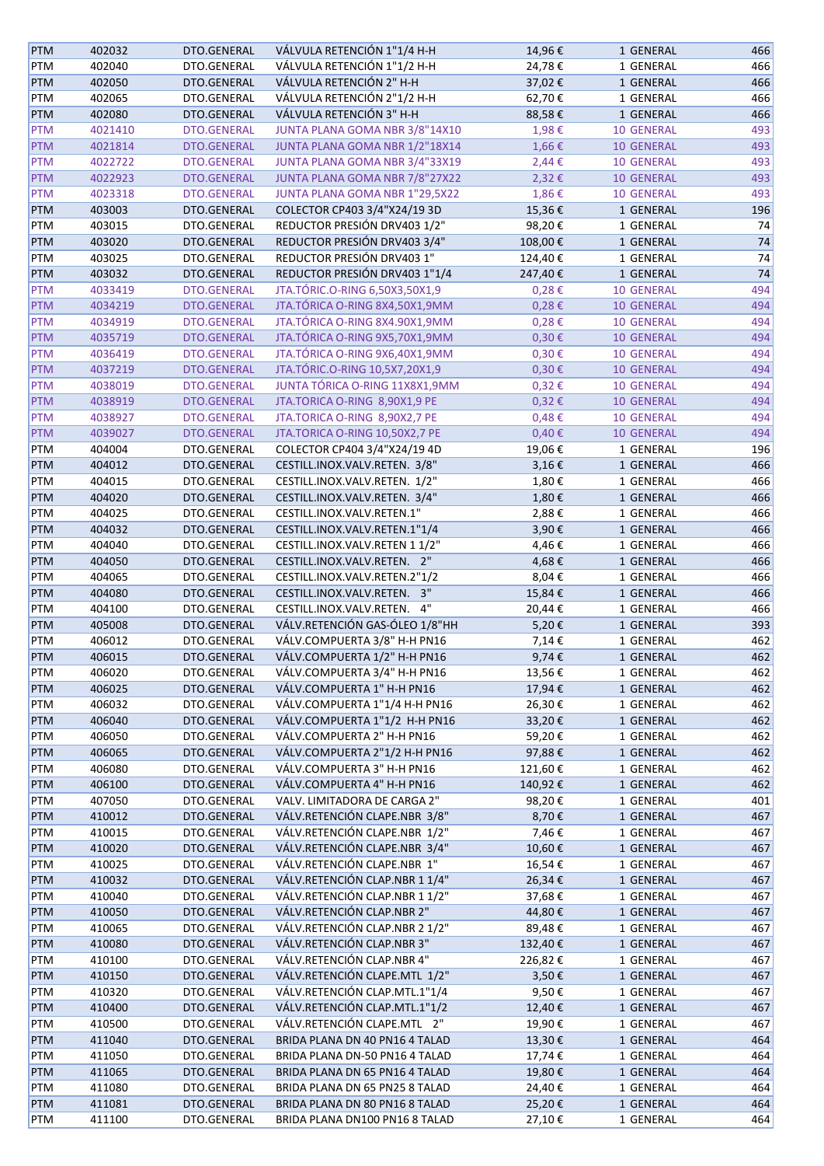| <b>PTM</b> | 402032  | DTO.GENERAL        | VÁLVULA RETENCIÓN 1"1/4 H-H    | 14,96€     | 1 GENERAL         | 466 |
|------------|---------|--------------------|--------------------------------|------------|-------------------|-----|
| PTM        | 402040  | DTO.GENERAL        | VÁLVULA RETENCIÓN 1"1/2 H-H    | 24,78€     | 1 GENERAL         | 466 |
| PTM        | 402050  | DTO.GENERAL        | VÁLVULA RETENCIÓN 2" H-H       | 37,02€     | 1 GENERAL         | 466 |
| PTM        | 402065  | DTO.GENERAL        | VÁLVULA RETENCIÓN 2"1/2 H-H    | 62,70€     | 1 GENERAL         | 466 |
| PTM        | 402080  | DTO.GENERAL        | VÁLVULA RETENCIÓN 3" H-H       | 88,58€     | 1 GENERAL         | 466 |
| PTM        | 4021410 | <b>DTO.GENERAL</b> | JUNTA PLANA GOMA NBR 3/8"14X10 | 1,98€      | <b>10 GENERAL</b> | 493 |
| <b>PTM</b> | 4021814 | DTO.GENERAL        | JUNTA PLANA GOMA NBR 1/2"18X14 | 1,66€      | <b>10 GENERAL</b> | 493 |
| PTM        | 4022722 | <b>DTO.GENERAL</b> | JUNTA PLANA GOMA NBR 3/4"33X19 | 2,44€      | <b>10 GENERAL</b> | 493 |
| <b>PTM</b> | 4022923 | <b>DTO.GENERAL</b> | JUNTA PLANA GOMA NBR 7/8"27X22 | 2,32€      | <b>10 GENERAL</b> | 493 |
| <b>PTM</b> | 4023318 | DTO.GENERAL        | JUNTA PLANA GOMA NBR 1"29,5X22 | 1,86€      | <b>10 GENERAL</b> | 493 |
| <b>PTM</b> | 403003  | DTO.GENERAL        | COLECTOR CP403 3/4"X24/19 3D   | 15,36€     | 1 GENERAL         | 196 |
| PTM        | 403015  | DTO.GENERAL        | REDUCTOR PRESIÓN DRV403 1/2"   | 98,20€     | 1 GENERAL         | 74  |
| PTM        | 403020  | DTO.GENERAL        | REDUCTOR PRESIÓN DRV403 3/4"   | 108,00€    | 1 GENERAL         | 74  |
| PTM        | 403025  | DTO.GENERAL        | REDUCTOR PRESIÓN DRV403 1"     | 124,40€    | 1 GENERAL         | 74  |
| PTM        | 403032  | DTO.GENERAL        | REDUCTOR PRESIÓN DRV403 1"1/4  | 247,40€    | 1 GENERAL         | 74  |
| <b>PTM</b> | 4033419 | <b>DTO.GENERAL</b> | JTA.TÓRIC.O-RING 6,50X3,50X1,9 | 0,28€      | <b>10 GENERAL</b> | 494 |
| <b>PTM</b> | 4034219 | <b>DTO.GENERAL</b> | JTA.TÓRICA O-RING 8X4,50X1,9MM | $0,28 \in$ | 10 GENERAL        | 494 |
| <b>PTM</b> | 4034919 | <b>DTO.GENERAL</b> | JTA.TÓRICA O-RING 8X4.90X1,9MM | 0,28€      | <b>10 GENERAL</b> | 494 |
| <b>PTM</b> | 4035719 | DTO.GENERAL        | JTA.TÓRICA O-RING 9X5,70X1,9MM |            | <b>10 GENERAL</b> | 494 |
|            |         |                    | JTA.TÓRICA O-RING 9X6,40X1,9MM | $0,30 \in$ |                   | 494 |
| PTM        | 4036419 | <b>DTO.GENERAL</b> |                                | $0,30 \in$ | <b>10 GENERAL</b> |     |
| <b>PTM</b> | 4037219 | <b>DTO.GENERAL</b> | JTA.TÓRIC.O-RING 10,5X7,20X1,9 | $0,30 \in$ | 10 GENERAL        | 494 |
| <b>PTM</b> | 4038019 | DTO.GENERAL        | JUNTA TÓRICA O-RING 11X8X1,9MM | $0,32 \in$ | <b>10 GENERAL</b> | 494 |
| <b>PTM</b> | 4038919 | <b>DTO.GENERAL</b> | JTA.TORICA O-RING 8,90X1,9 PE  | $0,32 \in$ | 10 GENERAL        | 494 |
| PTM        | 4038927 | <b>DTO.GENERAL</b> | JTA.TORICA O-RING 8,90X2,7 PE  | $0,48 \in$ | <b>10 GENERAL</b> | 494 |
| <b>PTM</b> | 4039027 | <b>DTO.GENERAL</b> | JTA.TORICA O-RING 10,50X2,7 PE | 0,40€      | 10 GENERAL        | 494 |
| PTM        | 404004  | DTO.GENERAL        | COLECTOR CP404 3/4"X24/19 4D   | 19,06€     | 1 GENERAL         | 196 |
| PTM        | 404012  | DTO.GENERAL        | CESTILL.INOX.VALV.RETEN. 3/8"  | $3,16 \in$ | 1 GENERAL         | 466 |
| PTM        | 404015  | DTO.GENERAL        | CESTILL.INOX.VALV.RETEN. 1/2"  | 1,80€      | 1 GENERAL         | 466 |
| PTM        | 404020  | DTO.GENERAL        | CESTILL.INOX.VALV.RETEN. 3/4"  | 1,80€      | 1 GENERAL         | 466 |
| PTM        | 404025  | DTO.GENERAL        | CESTILL.INOX.VALV.RETEN.1"     | 2,88€      | 1 GENERAL         | 466 |
| PTM        | 404032  | DTO.GENERAL        | CESTILL.INOX.VALV.RETEN.1"1/4  | 3,90€      | 1 GENERAL         | 466 |
| PTM        | 404040  | DTO.GENERAL        | CESTILL.INOX.VALV.RETEN 1 1/2" | 4,46€      | 1 GENERAL         | 466 |
| PTM        | 404050  | DTO.GENERAL        | CESTILL.INOX.VALV.RETEN. 2"    | 4,68€      | 1 GENERAL         | 466 |
| PTM        | 404065  | DTO.GENERAL        | CESTILL.INOX.VALV.RETEN.2"1/2  | 8,04€      | 1 GENERAL         | 466 |
| PTM        | 404080  | DTO.GENERAL        | CESTILL.INOX.VALV.RETEN. 3"    | 15,84€     | 1 GENERAL         | 466 |
| PTM        | 404100  | DTO.GENERAL        | CESTILL.INOX.VALV.RETEN. 4"    | 20,44€     | 1 GENERAL         | 466 |
| <b>PTM</b> | 405008  | DTO.GENERAL        | VÁLV.RETENCIÓN GAS-ÓLEO 1/8"HH | 5,20€      | 1 GENERAL         | 393 |
| PTM        | 406012  | DTO.GENERAL        | VÁLV.COMPUERTA 3/8" H-H PN16   | 7,14€      | 1 GENERAL         | 462 |
| <b>PTM</b> | 406015  | DTO.GENERAL        | VÁLV.COMPUERTA 1/2" H-H PN16   | 9,74€      | 1 GENERAL         | 462 |
| PTM        | 406020  | DTO.GENERAL        | VÁLV.COMPUERTA 3/4" H-H PN16   | 13,56€     | 1 GENERAL         | 462 |
| <b>PTM</b> | 406025  | DTO.GENERAL        | VÁLV.COMPUERTA 1" H-H PN16     | 17,94€     | 1 GENERAL         | 462 |
| PTM        | 406032  | DTO.GENERAL        | VÁLV.COMPUERTA 1"1/4 H-H PN16  | 26,30€     | 1 GENERAL         | 462 |
| <b>PTM</b> | 406040  | DTO.GENERAL        | VÁLV.COMPUERTA 1"1/2 H-H PN16  | 33,20€     | 1 GENERAL         | 462 |
| PTM        | 406050  | DTO.GENERAL        | VÁLV.COMPUERTA 2" H-H PN16     | 59,20€     | 1 GENERAL         | 462 |
| <b>PTM</b> | 406065  | DTO.GENERAL        | VÁLV.COMPUERTA 2"1/2 H-H PN16  | 97,88€     | 1 GENERAL         | 462 |
| PTM        | 406080  | DTO.GENERAL        | VÁLV.COMPUERTA 3" H-H PN16     | 121,60€    | 1 GENERAL         | 462 |
| <b>PTM</b> | 406100  | DTO.GENERAL        | VÁLV.COMPUERTA 4" H-H PN16     | 140,92€    | 1 GENERAL         | 462 |
| PTM        | 407050  | DTO.GENERAL        | VALV. LIMITADORA DE CARGA 2"   | 98,20€     | 1 GENERAL         | 401 |
| PTM        | 410012  | DTO.GENERAL        | VÁLV.RETENCIÓN CLAPE.NBR 3/8"  | 8,70€      | 1 GENERAL         | 467 |
| PTM        | 410015  | DTO.GENERAL        | VÁLV.RETENCIÓN CLAPE.NBR 1/2"  | 7,46€      | 1 GENERAL         | 467 |
| PTM        | 410020  | DTO.GENERAL        | VÁLV.RETENCIÓN CLAPE.NBR 3/4"  | 10,60€     | 1 GENERAL         | 467 |
| PTM        | 410025  | DTO.GENERAL        | VÁLV.RETENCIÓN CLAPE.NBR 1"    | 16,54€     | 1 GENERAL         | 467 |
| <b>PTM</b> | 410032  | DTO.GENERAL        | VÁLV.RETENCIÓN CLAP.NBR 1 1/4" | 26,34€     | 1 GENERAL         | 467 |
| PTM        | 410040  | DTO.GENERAL        | VÁLV.RETENCIÓN CLAP.NBR 1 1/2" | 37,68€     | 1 GENERAL         | 467 |
| PTM        | 410050  | DTO.GENERAL        | VÁLV.RETENCIÓN CLAP.NBR 2"     | 44,80€     | 1 GENERAL         | 467 |
| PTM        | 410065  | DTO.GENERAL        | VÁLV.RETENCIÓN CLAP.NBR 2 1/2" | 89,48€     | 1 GENERAL         | 467 |
| PTM        | 410080  | DTO.GENERAL        | VÁLV.RETENCIÓN CLAP.NBR 3"     | 132,40€    | 1 GENERAL         | 467 |
| PTM        | 410100  | DTO.GENERAL        | VÁLV.RETENCIÓN CLAP.NBR 4"     | 226,82€    | 1 GENERAL         | 467 |
| <b>PTM</b> | 410150  | DTO.GENERAL        | VÁLV.RETENCIÓN CLAPE.MTL 1/2"  | 3,50€      | 1 GENERAL         | 467 |
| PTM        | 410320  | DTO.GENERAL        | VÁLV.RETENCIÓN CLAP.MTL.1"1/4  | 9,50€      | 1 GENERAL         | 467 |
| <b>PTM</b> | 410400  | DTO.GENERAL        | VÁLV.RETENCIÓN CLAP.MTL.1"1/2  | 12,40€     | 1 GENERAL         | 467 |
| PTM        | 410500  | DTO.GENERAL        | VÁLV.RETENCIÓN CLAPE.MTL 2"    | 19,90€     | 1 GENERAL         | 467 |
| PTM        | 411040  | DTO.GENERAL        | BRIDA PLANA DN 40 PN16 4 TALAD | 13,30€     | 1 GENERAL         | 464 |
| PTM        | 411050  | DTO.GENERAL        | BRIDA PLANA DN-50 PN16 4 TALAD | 17,74€     | 1 GENERAL         | 464 |
| PTM        | 411065  | DTO.GENERAL        | BRIDA PLANA DN 65 PN16 4 TALAD | 19,80€     | 1 GENERAL         | 464 |
| PTM        | 411080  | DTO.GENERAL        | BRIDA PLANA DN 65 PN25 8 TALAD | 24,40€     | 1 GENERAL         | 464 |
| <b>PTM</b> | 411081  | DTO.GENERAL        | BRIDA PLANA DN 80 PN16 8 TALAD | 25,20€     | 1 GENERAL         | 464 |
| PTM        | 411100  | DTO.GENERAL        | BRIDA PLANA DN100 PN16 8 TALAD | 27,10€     | 1 GENERAL         | 464 |
|            |         |                    |                                |            |                   |     |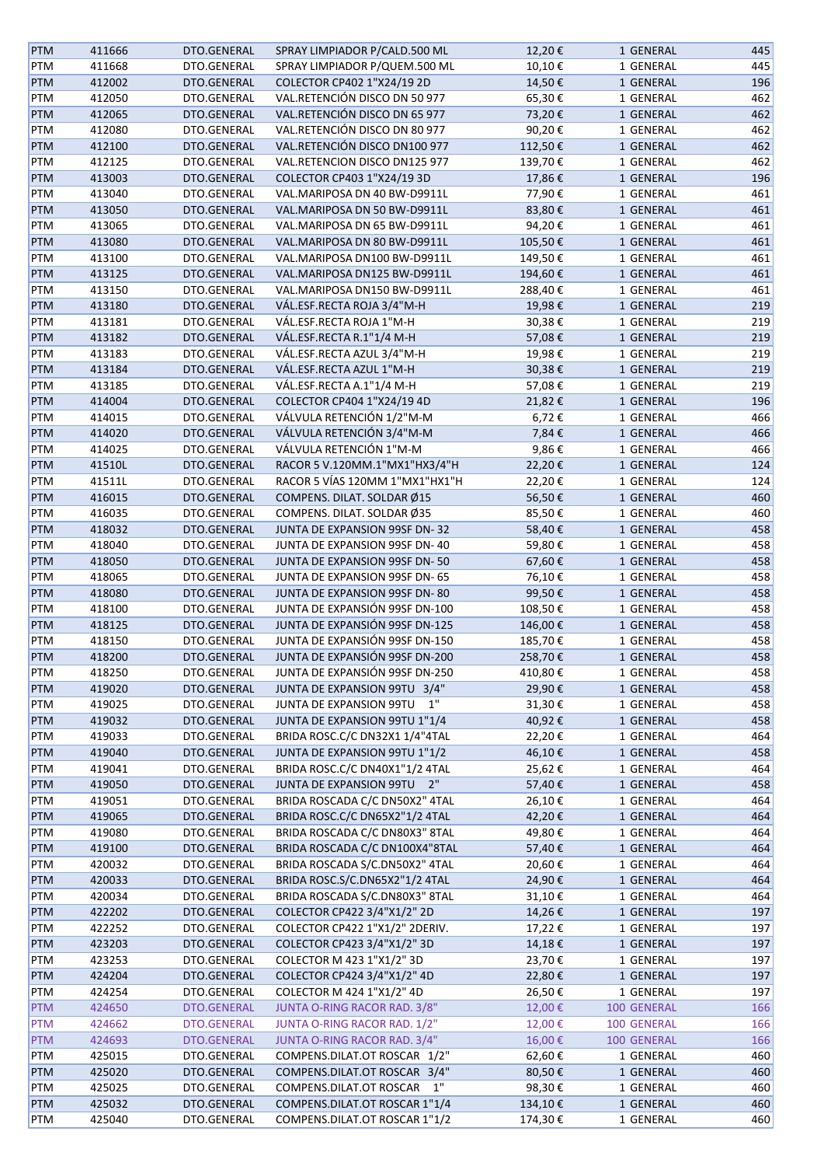| <b>PTM</b> | 411666 | DTO.GENERAL | SPRAY LIMPIADOR P/CALD.500 ML  | 12,20€  | 1 GENERAL   | 445 |
|------------|--------|-------------|--------------------------------|---------|-------------|-----|
| PTM        | 411668 | DTO.GENERAL | SPRAY LIMPIADOR P/QUEM.500 ML  | 10,10€  | 1 GENERAL   | 445 |
| PTM        | 412002 | DTO.GENERAL | COLECTOR CP402 1"X24/19 2D     | 14,50€  | 1 GENERAL   | 196 |
| PTM        | 412050 | DTO.GENERAL | VAL.RETENCIÓN DISCO DN 50 977  | 65,30€  | 1 GENERAL   | 462 |
| PTM        | 412065 | DTO.GENERAL | VAL.RETENCIÓN DISCO DN 65 977  | 73,20€  | 1 GENERAL   | 462 |
| PTM        | 412080 | DTO.GENERAL | VAL.RETENCIÓN DISCO DN 80 977  | 90,20€  | 1 GENERAL   | 462 |
| <b>PTM</b> | 412100 | DTO.GENERAL | VAL.RETENCIÓN DISCO DN100 977  | 112,50€ | 1 GENERAL   | 462 |
| PTM        | 412125 | DTO.GENERAL | VAL.RETENCION DISCO DN125 977  | 139,70€ | 1 GENERAL   | 462 |
| PTM        | 413003 | DTO.GENERAL | COLECTOR CP403 1"X24/19 3D     | 17,86€  | 1 GENERAL   | 196 |
| PTM        | 413040 | DTO.GENERAL | VAL.MARIPOSA DN 40 BW-D9911L   | 77,90€  | 1 GENERAL   | 461 |
| PTM        | 413050 | DTO.GENERAL | VAL.MARIPOSA DN 50 BW-D9911L   | 83,80€  | 1 GENERAL   | 461 |
| PTM        | 413065 | DTO.GENERAL | VAL.MARIPOSA DN 65 BW-D9911L   | 94,20€  | 1 GENERAL   | 461 |
| PTM        | 413080 | DTO.GENERAL | VAL.MARIPOSA DN 80 BW-D9911L   | 105,50€ | 1 GENERAL   | 461 |
|            |        |             |                                |         |             |     |
| PTM        | 413100 | DTO.GENERAL | VAL.MARIPOSA DN100 BW-D9911L   | 149,50€ | 1 GENERAL   | 461 |
| PTM        | 413125 | DTO.GENERAL | VAL.MARIPOSA DN125 BW-D9911L   | 194,60€ | 1 GENERAL   | 461 |
| PTM        | 413150 | DTO.GENERAL | VAL.MARIPOSA DN150 BW-D9911L   | 288,40€ | 1 GENERAL   | 461 |
| <b>PTM</b> | 413180 | DTO.GENERAL | VÁL.ESF.RECTA ROJA 3/4"M-H     | 19,98€  | 1 GENERAL   | 219 |
| PTM        | 413181 | DTO.GENERAL | VÁL.ESF.RECTA ROJA 1"M-H       | 30,38€  | 1 GENERAL   | 219 |
| PTM        | 413182 | DTO.GENERAL | VÁL.ESF.RECTA R.1"1/4 M-H      | 57,08€  | 1 GENERAL   | 219 |
| PTM        | 413183 | DTO.GENERAL | VÁL.ESF.RECTA AZUL 3/4"M-H     | 19,98€  | 1 GENERAL   | 219 |
| <b>PTM</b> | 413184 | DTO.GENERAL | VÁL.ESF.RECTA AZUL 1"M-H       | 30,38€  | 1 GENERAL   | 219 |
| PTM        | 413185 | DTO.GENERAL | VÁL.ESF.RECTA A.1"1/4 M-H      | 57,08€  | 1 GENERAL   | 219 |
| PTM        | 414004 | DTO.GENERAL | COLECTOR CP404 1"X24/19 4D     | 21,82€  | 1 GENERAL   | 196 |
| <b>PTM</b> | 414015 | DTO.GENERAL | VÁLVULA RETENCIÓN 1/2"M-M      | 6,72€   | 1 GENERAL   | 466 |
| PTM        | 414020 | DTO.GENERAL | VÁLVULA RETENCIÓN 3/4"M-M      | 7,84€   | 1 GENERAL   | 466 |
| PTM        | 414025 | DTO.GENERAL | VÁLVULA RETENCIÓN 1"M-M        | 9,86€   | 1 GENERAL   | 466 |
| PTM        | 41510L | DTO.GENERAL | RACOR 5 V.120MM.1"MX1"HX3/4"H  | 22,20€  | 1 GENERAL   | 124 |
| PTM        | 41511L | DTO.GENERAL | RACOR 5 VÍAS 120MM 1"MX1"HX1"H | 22,20€  | 1 GENERAL   | 124 |
| PTM        | 416015 | DTO.GENERAL | COMPENS. DILAT. SOLDAR Ø15     | 56,50€  | 1 GENERAL   | 460 |
| PTM        | 416035 | DTO.GENERAL | COMPENS. DILAT. SOLDAR Ø35     | 85,50€  | 1 GENERAL   | 460 |
| PTM        | 418032 | DTO.GENERAL | JUNTA DE EXPANSION 99SF DN-32  | 58,40€  | 1 GENERAL   | 458 |
| PTM        | 418040 | DTO.GENERAL | JUNTA DE EXPANSION 99SF DN-40  | 59,80€  | 1 GENERAL   | 458 |
| PTM        | 418050 | DTO.GENERAL | JUNTA DE EXPANSION 99SF DN-50  | 67,60€  | 1 GENERAL   | 458 |
| PTM        | 418065 | DTO.GENERAL | JUNTA DE EXPANSION 99SF DN-65  | 76,10€  | 1 GENERAL   | 458 |
| PTM        | 418080 | DTO.GENERAL | JUNTA DE EXPANSION 99SF DN-80  | 99,50€  | 1 GENERAL   | 458 |
| PTM        | 418100 | DTO.GENERAL | JUNTA DE EXPANSIÓN 99SF DN-100 | 108,50€ | 1 GENERAL   | 458 |
| PTM        | 418125 | DTO.GENERAL | JUNTA DE EXPANSIÓN 99SF DN-125 | 146,00€ | 1 GENERAL   | 458 |
| PTM        | 418150 | DTO.GENERAL | JUNTA DE EXPANSIÓN 99SF DN-150 | 185,70€ | 1 GENERAL   | 458 |
| PTM        | 418200 | DTO.GENERAL | JUNTA DE EXPANSIÓN 99SF DN-200 | 258,70€ | 1 GENERAL   | 458 |
| PTM        | 418250 | DTO.GENERAL | JUNTA DE EXPANSIÓN 99SF DN-250 | 410,80€ | 1 GENERAL   | 458 |
| <b>PTM</b> | 419020 | DTO.GENERAL | JUNTA DE EXPANSION 99TU 3/4"   | 29,90€  | 1 GENERAL   | 458 |
| PTM        | 419025 | DTO.GENERAL | JUNTA DE EXPANSION 99TU<br>1"  | 31,30€  | 1 GENERAL   | 458 |
| <b>PTM</b> | 419032 | DTO.GENERAL | JUNTA DE EXPANSION 99TU 1"1/4  | 40,92€  | 1 GENERAL   | 458 |
| PTM        | 419033 | DTO.GENERAL | BRIDA ROSC.C/C DN32X1 1/4"4TAL | 22,20€  |             | 464 |
|            |        |             |                                |         | 1 GENERAL   |     |
| <b>PTM</b> | 419040 | DTO.GENERAL | JUNTA DE EXPANSION 99TU 1"1/2  | 46,10€  | 1 GENERAL   | 458 |
| PTM        | 419041 | DTO.GENERAL | BRIDA ROSC.C/C DN40X1"1/2 4TAL | 25,62€  | 1 GENERAL   | 464 |
| <b>PTM</b> | 419050 | DTO.GENERAL | JUNTA DE EXPANSION 99TU 2"     | 57,40€  | 1 GENERAL   | 458 |
| PTM        | 419051 | DTO.GENERAL | BRIDA ROSCADA C/C DN50X2" 4TAL | 26,10€  | 1 GENERAL   | 464 |
| <b>PTM</b> | 419065 | DTO.GENERAL | BRIDA ROSC.C/C DN65X2"1/2 4TAL | 42,20€  | 1 GENERAL   | 464 |
| PTM        | 419080 | DTO.GENERAL | BRIDA ROSCADA C/C DN80X3" 8TAL | 49,80€  | 1 GENERAL   | 464 |
| <b>PTM</b> | 419100 | DTO.GENERAL | BRIDA ROSCADA C/C DN100X4"8TAL | 57,40€  | 1 GENERAL   | 464 |
| PTM        | 420032 | DTO.GENERAL | BRIDA ROSCADA S/C.DN50X2" 4TAL | 20,60€  | 1 GENERAL   | 464 |
| <b>PTM</b> | 420033 | DTO.GENERAL | BRIDA ROSC.S/C.DN65X2"1/2 4TAL | 24,90€  | 1 GENERAL   | 464 |
| PTM        | 420034 | DTO.GENERAL | BRIDA ROSCADA S/C.DN80X3" 8TAL | 31,10€  | 1 GENERAL   | 464 |
| <b>PTM</b> | 422202 | DTO.GENERAL | COLECTOR CP422 3/4"X1/2" 2D    | 14,26€  | 1 GENERAL   | 197 |
| PTM        | 422252 | DTO.GENERAL | COLECTOR CP422 1"X1/2" 2DERIV. | 17,22€  | 1 GENERAL   | 197 |
| <b>PTM</b> | 423203 | DTO.GENERAL | COLECTOR CP423 3/4"X1/2" 3D    | 14,18€  | 1 GENERAL   | 197 |
| PTM        | 423253 | DTO.GENERAL | COLECTOR M 423 1"X1/2" 3D      | 23,70€  | 1 GENERAL   | 197 |
| <b>PTM</b> | 424204 | DTO.GENERAL | COLECTOR CP424 3/4"X1/2" 4D    | 22,80€  | 1 GENERAL   | 197 |
| PTM        | 424254 | DTO.GENERAL | COLECTOR M 424 1"X1/2" 4D      | 26,50€  | 1 GENERAL   | 197 |
| <b>PTM</b> | 424650 | DTO.GENERAL | JUNTA O-RING RACOR RAD. 3/8"   | 12,00€  | 100 GENERAL | 166 |
| PTM        | 424662 | DTO.GENERAL | JUNTA O-RING RACOR RAD. 1/2"   | 12,00€  | 100 GENERAL | 166 |
| <b>PTM</b> | 424693 | DTO.GENERAL | JUNTA O-RING RACOR RAD. 3/4"   | 16,00€  | 100 GENERAL | 166 |
| PTM        | 425015 | DTO.GENERAL | COMPENS.DILAT.OT ROSCAR 1/2"   | 62,60€  | 1 GENERAL   | 460 |
| <b>PTM</b> | 425020 | DTO.GENERAL | COMPENS.DILAT.OT ROSCAR 3/4"   | 80,50€  | 1 GENERAL   | 460 |
| PTM        | 425025 | DTO.GENERAL | COMPENS.DILAT.OT ROSCAR<br>1"  | 98,30€  | 1 GENERAL   | 460 |
| <b>PTM</b> | 425032 | DTO.GENERAL | COMPENS.DILAT.OT ROSCAR 1"1/4  | 134,10€ | 1 GENERAL   | 460 |
| PTM        | 425040 | DTO.GENERAL | COMPENS.DILAT.OT ROSCAR 1"1/2  | 174,30€ | 1 GENERAL   | 460 |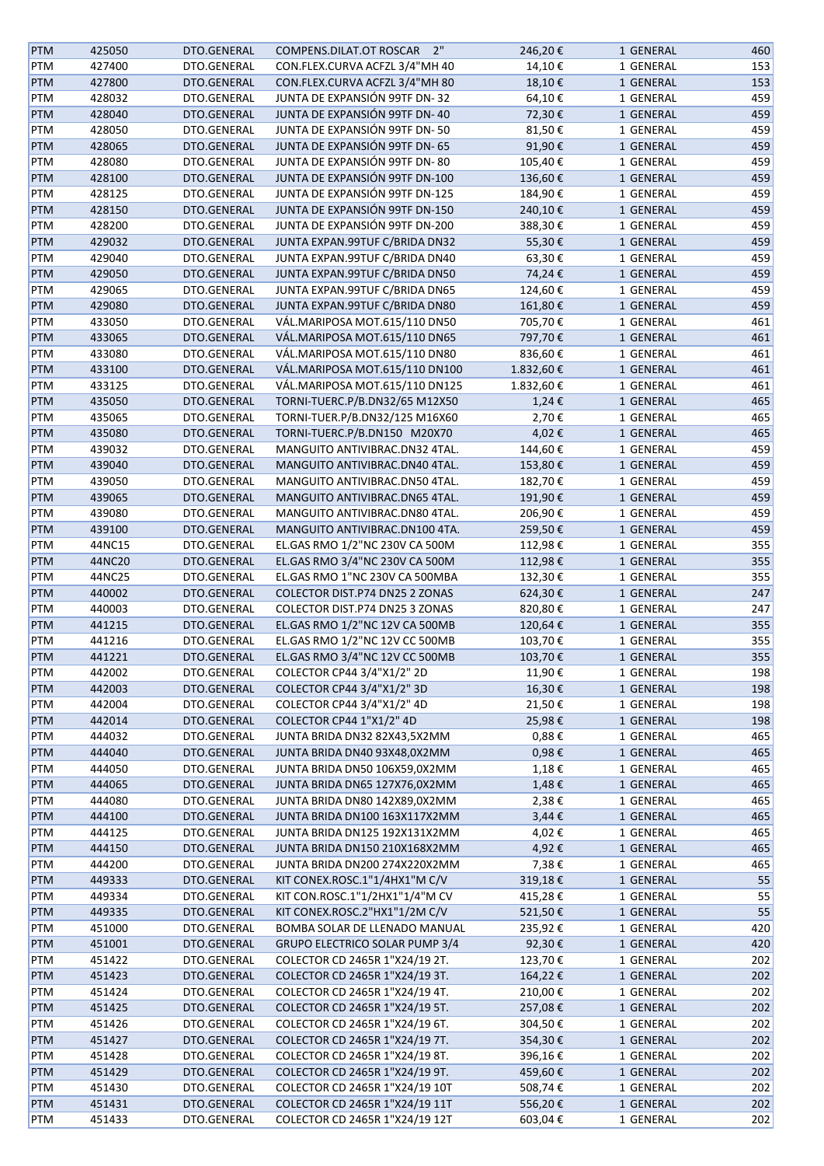| <b>PTM</b> | 425050 | DTO.GENERAL | COMPENS.DILAT.OT ROSCAR 2"     | 246,20€    | 1 GENERAL              | 460 |
|------------|--------|-------------|--------------------------------|------------|------------------------|-----|
| PTM        | 427400 | DTO.GENERAL | CON.FLEX.CURVA ACFZL 3/4"MH 40 | 14,10€     | 1 GENERAL              | 153 |
| PTM        | 427800 | DTO.GENERAL | CON.FLEX.CURVA ACFZL 3/4"MH 80 | 18,10€     | 1 GENERAL              | 153 |
| PTM        | 428032 | DTO.GENERAL | JUNTA DE EXPANSIÓN 99TF DN-32  | 64,10€     | 1 GENERAL              | 459 |
| <b>PTM</b> | 428040 | DTO.GENERAL | JUNTA DE EXPANSIÓN 99TF DN-40  | 72,30€     | 1 GENERAL              | 459 |
| PTM        | 428050 | DTO.GENERAL | JUNTA DE EXPANSIÓN 99TF DN-50  | 81,50€     | 1 GENERAL              | 459 |
|            |        |             |                                |            |                        |     |
| <b>PTM</b> | 428065 | DTO.GENERAL | JUNTA DE EXPANSIÓN 99TF DN-65  | 91,90€     | 1 GENERAL              | 459 |
| PTM        | 428080 | DTO.GENERAL | JUNTA DE EXPANSIÓN 99TF DN-80  | 105,40€    | 1 GENERAL              | 459 |
| <b>PTM</b> | 428100 | DTO.GENERAL | JUNTA DE EXPANSIÓN 99TF DN-100 | 136,60€    | 1 GENERAL              | 459 |
| <b>PTM</b> | 428125 | DTO.GENERAL | JUNTA DE EXPANSIÓN 99TF DN-125 | 184,90€    | 1 GENERAL              | 459 |
| PTM        | 428150 | DTO.GENERAL | JUNTA DE EXPANSIÓN 99TF DN-150 | 240,10€    | 1 GENERAL              | 459 |
| PTM        | 428200 | DTO.GENERAL | JUNTA DE EXPANSIÓN 99TF DN-200 | 388,30€    | 1 GENERAL              | 459 |
| PTM        | 429032 | DTO.GENERAL | JUNTA EXPAN.99TUF C/BRIDA DN32 | 55,30€     | 1 GENERAL              | 459 |
| PTM        | 429040 | DTO.GENERAL | JUNTA EXPAN.99TUF C/BRIDA DN40 | 63,30€     | 1 GENERAL              | 459 |
| PTM        | 429050 | DTO.GENERAL | JUNTA EXPAN.99TUF C/BRIDA DN50 | 74,24€     | 1 GENERAL              | 459 |
| PTM        | 429065 | DTO.GENERAL | JUNTA EXPAN.99TUF C/BRIDA DN65 | 124,60€    | 1 GENERAL              | 459 |
| PTM        | 429080 | DTO.GENERAL | JUNTA EXPAN.99TUF C/BRIDA DN80 | 161,80€    | 1 GENERAL              | 459 |
| PTM        | 433050 | DTO.GENERAL | VÁL.MARIPOSA MOT.615/110 DN50  | 705,70€    | 1 GENERAL              | 461 |
| <b>PTM</b> | 433065 | DTO.GENERAL | VÁL.MARIPOSA MOT.615/110 DN65  | 797,70€    | 1 GENERAL              | 461 |
| PTM        | 433080 | DTO.GENERAL | VÁL.MARIPOSA MOT.615/110 DN80  | 836,60€    | 1 GENERAL              | 461 |
| <b>PTM</b> | 433100 | DTO.GENERAL | VÁL.MARIPOSA MOT.615/110 DN100 | 1.832,60€  | 1 GENERAL              | 461 |
| PTM        | 433125 | DTO.GENERAL | VÁL.MARIPOSA MOT.615/110 DN125 | 1.832,60€  | 1 GENERAL              | 461 |
| <b>PTM</b> | 435050 | DTO.GENERAL | TORNI-TUERC.P/B.DN32/65 M12X50 | 1,24€      | 1 GENERAL              | 465 |
| PTM        | 435065 | DTO.GENERAL | TORNI-TUER.P/B.DN32/125 M16X60 | 2,70€      | 1 GENERAL              | 465 |
|            |        |             |                                |            |                        |     |
| PTM        | 435080 | DTO.GENERAL | TORNI-TUERC.P/B.DN150 M20X70   | 4,02€      | 1 GENERAL              | 465 |
| PTM        | 439032 | DTO.GENERAL | MANGUITO ANTIVIBRAC.DN32 4TAL. | 144,60€    | 1 GENERAL              | 459 |
| PTM        | 439040 | DTO.GENERAL | MANGUITO ANTIVIBRAC.DN40 4TAL. | 153,80€    | 1 GENERAL              | 459 |
| PTM        | 439050 | DTO.GENERAL | MANGUITO ANTIVIBRAC.DN50 4TAL. | 182,70€    | 1 GENERAL              | 459 |
| PTM        | 439065 | DTO.GENERAL | MANGUITO ANTIVIBRAC.DN65 4TAL. | 191,90€    | 1 GENERAL              | 459 |
| PTM        | 439080 | DTO.GENERAL | MANGUITO ANTIVIBRAC.DN80 4TAL. | 206,90€    | 1 GENERAL              | 459 |
| PTM        | 439100 | DTO.GENERAL | MANGUITO ANTIVIBRAC.DN100 4TA. | 259,50€    | 1 GENERAL              | 459 |
| PTM        | 44NC15 | DTO.GENERAL | EL.GAS RMO 1/2"NC 230V CA 500M | 112,98€    | 1 GENERAL              | 355 |
| PTM        | 44NC20 | DTO.GENERAL | EL.GAS RMO 3/4"NC 230V CA 500M | 112,98€    | 1 GENERAL              | 355 |
| PTM        | 44NC25 | DTO.GENERAL | EL.GAS RMO 1"NC 230V CA 500MBA | 132,30€    | 1 GENERAL              | 355 |
| <b>PTM</b> | 440002 | DTO.GENERAL | COLECTOR DIST.P74 DN25 2 ZONAS | 624,30€    | 1 GENERAL              | 247 |
| PTM        | 440003 | DTO.GENERAL | COLECTOR DIST.P74 DN25 3 ZONAS | 820,80€    | 1 GENERAL              | 247 |
| PTM        | 441215 | DTO.GENERAL | EL.GAS RMO 1/2"NC 12V CA 500MB | 120,64€    | 1 GENERAL              | 355 |
| PTM        | 441216 | DTO.GENERAL | EL.GAS RMO 1/2"NC 12V CC 500MB | 103,70€    | 1 GENERAL              | 355 |
| <b>PTM</b> | 441221 | DTO.GENERAL | EL.GAS RMO 3/4"NC 12V CC 500MB | 103,70€    | 1 GENERAL              | 355 |
| PTM        | 442002 | DTO.GENERAL | COLECTOR CP44 3/4"X1/2" 2D     | 11,90€     | 1 GENERAL              | 198 |
| <b>PTM</b> | 442003 | DTO.GENERAL | COLECTOR CP44 3/4"X1/2" 3D     | 16,30€     | 1 GENERAL              | 198 |
| PTM        | 442004 | DTO.GENERAL | COLECTOR CP44 3/4"X1/2" 4D     | 21,50€     | 1 GENERAL              | 198 |
| <b>PTM</b> | 442014 | DTO.GENERAL | COLECTOR CP44 1"X1/2" 4D       | 25,98€     | 1 GENERAL              | 198 |
|            | 444032 | DTO.GENERAL | JUNTA BRIDA DN32 82X43,5X2MM   | $0,88 \in$ |                        | 465 |
| PTM        |        | DTO.GENERAL |                                |            | 1 GENERAL<br>1 GENERAL |     |
| PTM        | 444040 |             | JUNTA BRIDA DN40 93X48,0X2MM   | 0,98€      |                        | 465 |
| PTM        | 444050 | DTO.GENERAL | JUNTA BRIDA DN50 106X59,0X2MM  | 1,18€      | 1 GENERAL              | 465 |
| <b>PTM</b> | 444065 | DTO.GENERAL | JUNTA BRIDA DN65 127X76,0X2MM  | 1,48€      | 1 GENERAL              | 465 |
| PTM        | 444080 | DTO.GENERAL | JUNTA BRIDA DN80 142X89,0X2MM  | 2,38€      | 1 GENERAL              | 465 |
| PTM        | 444100 | DTO.GENERAL | JUNTA BRIDA DN100 163X117X2MM  | 3,44€      | 1 GENERAL              | 465 |
| PTM        | 444125 | DTO.GENERAL | JUNTA BRIDA DN125 192X131X2MM  | 4,02€      | 1 GENERAL              | 465 |
| <b>PTM</b> | 444150 | DTO.GENERAL | JUNTA BRIDA DN150 210X168X2MM  | 4,92€      | 1 GENERAL              | 465 |
| PTM        | 444200 | DTO.GENERAL | JUNTA BRIDA DN200 274X220X2MM  | 7,38€      | 1 GENERAL              | 465 |
| <b>PTM</b> | 449333 | DTO.GENERAL | KIT CONEX.ROSC.1"1/4HX1"M C/V  | 319,18€    | 1 GENERAL              | 55  |
| PTM        | 449334 | DTO.GENERAL | KIT CON.ROSC.1"1/2HX1"1/4"M CV | 415,28€    | 1 GENERAL              | 55  |
| <b>PTM</b> | 449335 | DTO.GENERAL | KIT CONEX.ROSC.2"HX1"1/2M C/V  | 521,50€    | 1 GENERAL              | 55  |
| PTM        | 451000 | DTO.GENERAL | BOMBA SOLAR DE LLENADO MANUAL  | 235,92€    | 1 GENERAL              | 420 |
| <b>PTM</b> | 451001 | DTO.GENERAL | GRUPO ELECTRICO SOLAR PUMP 3/4 | 92,30€     | 1 GENERAL              | 420 |
| PTM        | 451422 | DTO.GENERAL | COLECTOR CD 2465R 1"X24/19 2T. | 123,70€    | 1 GENERAL              | 202 |
| <b>PTM</b> | 451423 | DTO.GENERAL | COLECTOR CD 2465R 1"X24/19 3T. | 164,22€    | 1 GENERAL              | 202 |
| PTM        | 451424 | DTO.GENERAL | COLECTOR CD 2465R 1"X24/19 4T. | 210,00€    | 1 GENERAL              | 202 |
| <b>PTM</b> | 451425 | DTO.GENERAL | COLECTOR CD 2465R 1"X24/19 5T. | 257,08€    | 1 GENERAL              | 202 |
| PTM        | 451426 | DTO.GENERAL | COLECTOR CD 2465R 1"X24/19 6T. | 304,50€    | 1 GENERAL              | 202 |
| PTM        | 451427 | DTO.GENERAL | COLECTOR CD 2465R 1"X24/19 7T. | 354,30€    | 1 GENERAL              | 202 |
| PTM        | 451428 | DTO.GENERAL | COLECTOR CD 2465R 1"X24/19 8T. | 396,16€    | 1 GENERAL              | 202 |
| PTM        | 451429 | DTO.GENERAL | COLECTOR CD 2465R 1"X24/19 9T. | 459,60€    | 1 GENERAL              | 202 |
| PTM        | 451430 | DTO.GENERAL | COLECTOR CD 2465R 1"X24/19 10T | 508,74€    | 1 GENERAL              | 202 |
|            |        |             |                                |            |                        |     |
| <b>PTM</b> | 451431 | DTO.GENERAL | COLECTOR CD 2465R 1"X24/19 11T | 556,20€    | 1 GENERAL              | 202 |
| PTM        | 451433 | DTO.GENERAL | COLECTOR CD 2465R 1"X24/19 12T | 603,04€    | 1 GENERAL              | 202 |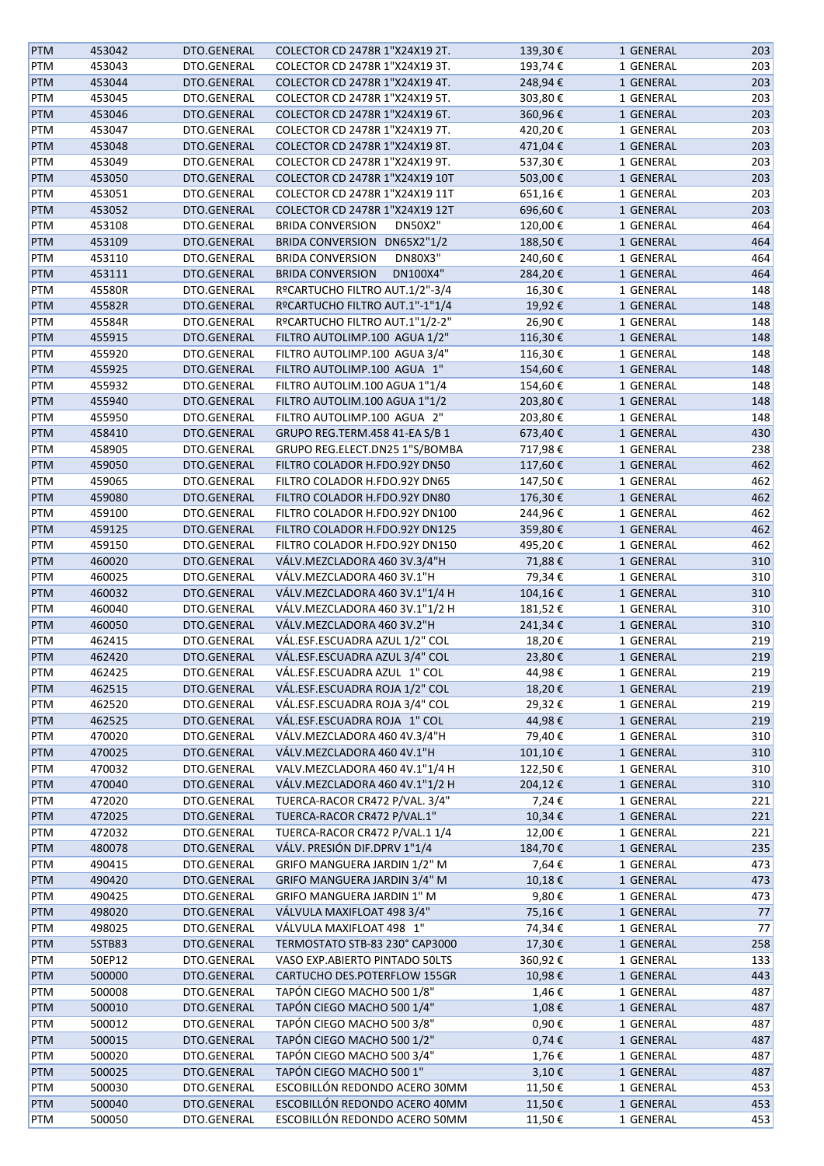| <b>PTM</b> | 453042           | DTO.GENERAL | COLECTOR CD 2478R 1"X24X19 2T.            | 139,30€    | 1 GENERAL | 203 |
|------------|------------------|-------------|-------------------------------------------|------------|-----------|-----|
| <b>PTM</b> | 453043           | DTO.GENERAL | COLECTOR CD 2478R 1"X24X19 3T.            | 193,74€    | 1 GENERAL | 203 |
| <b>PTM</b> | 453044           | DTO.GENERAL | COLECTOR CD 2478R 1"X24X19 4T.            | 248,94€    | 1 GENERAL | 203 |
| <b>PTM</b> | 453045           | DTO.GENERAL | COLECTOR CD 2478R 1"X24X19 5T.            | 303,80€    | 1 GENERAL | 203 |
| <b>PTM</b> | 453046           | DTO.GENERAL | COLECTOR CD 2478R 1"X24X19 6T.            | 360,96€    | 1 GENERAL | 203 |
| <b>PTM</b> | 453047           | DTO.GENERAL | COLECTOR CD 2478R 1"X24X19 7T.            | 420,20€    | 1 GENERAL | 203 |
| <b>PTM</b> | 453048           | DTO.GENERAL | COLECTOR CD 2478R 1"X24X19 8T.            | 471,04€    | 1 GENERAL | 203 |
| <b>PTM</b> | 453049           | DTO.GENERAL | COLECTOR CD 2478R 1"X24X19 9T.            | 537,30€    | 1 GENERAL | 203 |
| <b>PTM</b> | 453050           | DTO.GENERAL | COLECTOR CD 2478R 1"X24X19 10T            | 503,00€    | 1 GENERAL | 203 |
|            |                  | DTO.GENERAL | COLECTOR CD 2478R 1"X24X19 11T            | 651,16€    |           | 203 |
| PTM        | 453051<br>453052 | DTO.GENERAL | COLECTOR CD 2478R 1"X24X19 12T            |            | 1 GENERAL | 203 |
| <b>PTM</b> |                  |             |                                           | 696,60€    | 1 GENERAL |     |
| PTM        | 453108           | DTO.GENERAL | <b>BRIDA CONVERSION</b><br><b>DN50X2"</b> | 120,00€    | 1 GENERAL | 464 |
| <b>PTM</b> | 453109           | DTO.GENERAL | BRIDA CONVERSION DN65X2"1/2               | 188,50€    | 1 GENERAL | 464 |
| PTM        | 453110           | DTO.GENERAL | <b>BRIDA CONVERSION</b><br><b>DN80X3"</b> | 240,60€    | 1 GENERAL | 464 |
| <b>PTM</b> | 453111           | DTO.GENERAL | <b>BRIDA CONVERSION</b><br>DN100X4"       | 284,20€    | 1 GENERAL | 464 |
| PTM        | 45580R           | DTO.GENERAL | RºCARTUCHO FILTRO AUT.1/2"-3/4            | 16,30€     | 1 GENERAL | 148 |
| <b>PTM</b> | 45582R           | DTO.GENERAL | RºCARTUCHO FILTRO AUT.1"-1"1/4            | 19,92€     | 1 GENERAL | 148 |
| <b>PTM</b> | 45584R           | DTO.GENERAL | RºCARTUCHO FILTRO AUT.1"1/2-2"            | 26,90€     | 1 GENERAL | 148 |
| <b>PTM</b> | 455915           | DTO.GENERAL | FILTRO AUTOLIMP.100 AGUA 1/2"             | 116,30€    | 1 GENERAL | 148 |
| <b>PTM</b> | 455920           | DTO.GENERAL | FILTRO AUTOLIMP.100 AGUA 3/4"             | 116,30€    | 1 GENERAL | 148 |
| <b>PTM</b> | 455925           | DTO.GENERAL | FILTRO AUTOLIMP.100 AGUA 1"               | 154,60€    | 1 GENERAL | 148 |
| <b>PTM</b> | 455932           | DTO.GENERAL | FILTRO AUTOLIM.100 AGUA 1"1/4             | 154,60€    | 1 GENERAL | 148 |
| <b>PTM</b> | 455940           | DTO.GENERAL | FILTRO AUTOLIM.100 AGUA 1"1/2             | 203,80€    | 1 GENERAL | 148 |
| PTM        | 455950           | DTO.GENERAL | FILTRO AUTOLIMP.100 AGUA 2"               | 203,80€    | 1 GENERAL | 148 |
| <b>PTM</b> | 458410           | DTO.GENERAL | GRUPO REG.TERM.458 41-EA S/B 1            | 673,40€    | 1 GENERAL | 430 |
| <b>PTM</b> | 458905           | DTO.GENERAL | GRUPO REG.ELECT.DN25 1"S/BOMBA            | 717,98€    | 1 GENERAL | 238 |
| <b>PTM</b> | 459050           | DTO.GENERAL | FILTRO COLADOR H.FDO.92Y DN50             | 117,60€    | 1 GENERAL | 462 |
| <b>PTM</b> | 459065           | DTO.GENERAL | FILTRO COLADOR H.FDO.92Y DN65             | 147,50€    | 1 GENERAL | 462 |
| <b>PTM</b> | 459080           | DTO.GENERAL | FILTRO COLADOR H.FDO.92Y DN80             | 176,30€    | 1 GENERAL | 462 |
| <b>PTM</b> | 459100           | DTO.GENERAL | FILTRO COLADOR H.FDO.92Y DN100            | 244,96€    | 1 GENERAL | 462 |
| <b>PTM</b> | 459125           | DTO.GENERAL | FILTRO COLADOR H.FDO.92Y DN125            | 359,80€    | 1 GENERAL | 462 |
| <b>PTM</b> | 459150           | DTO.GENERAL | FILTRO COLADOR H.FDO.92Y DN150            | 495,20€    | 1 GENERAL | 462 |
| <b>PTM</b> | 460020           | DTO.GENERAL | VÁLV.MEZCLADORA 460 3V.3/4"H              | 71,88€     | 1 GENERAL | 310 |
|            |                  |             |                                           |            |           |     |
| <b>PTM</b> | 460025           | DTO.GENERAL | VÁLV.MEZCLADORA 460 3V.1"H                | 79,34€     | 1 GENERAL | 310 |
| <b>PTM</b> | 460032           | DTO.GENERAL | VÁLV.MEZCLADORA 460 3V.1"1/4 H            | 104,16€    | 1 GENERAL | 310 |
| <b>PTM</b> | 460040           | DTO.GENERAL | VÁLV.MEZCLADORA 460 3V.1"1/2 H            | 181,52€    | 1 GENERAL | 310 |
| <b>PTM</b> | 460050           | DTO.GENERAL | VÁLV.MEZCLADORA 460 3V.2"H                | 241,34€    | 1 GENERAL | 310 |
| <b>PTM</b> | 462415           | DTO.GENERAL | VÁL.ESF.ESCUADRA AZUL 1/2" COL            | 18,20€     | 1 GENERAL | 219 |
| <b>PTM</b> | 462420           | DTO.GENERAL | VÁL.ESF.ESCUADRA AZUL 3/4" COL            | 23,80€     | 1 GENERAL | 219 |
| PTM        | 462425           | DTO.GENERAL | VÁL.ESF.ESCUADRA AZUL 1" COL              | 44,98€     | 1 GENERAL | 219 |
| <b>PTM</b> | 462515           | DTO.GENERAL | VÁL.ESF.ESCUADRA ROJA 1/2" COL            | 18,20€     | 1 GENERAL | 219 |
| <b>PTM</b> | 462520           | DTO.GENERAL | VÁL.ESF.ESCUADRA ROJA 3/4" COL            | 29,32€     | 1 GENERAL | 219 |
| <b>PTM</b> | 462525           | DTO.GENERAL | VÁL.ESF.ESCUADRA ROJA 1" COL              | 44,98€     | 1 GENERAL | 219 |
| <b>PTM</b> | 470020           | DTO.GENERAL | VÁLV.MEZCLADORA 460 4V.3/4"H              | 79,40€     | 1 GENERAL | 310 |
| <b>PTM</b> | 470025           | DTO.GENERAL | VÁLV.MEZCLADORA 460 4V.1"H                | 101,10€    | 1 GENERAL | 310 |
| <b>PTM</b> | 470032           | DTO.GENERAL | VALV.MEZCLADORA 460 4V.1"1/4 H            | 122,50€    | 1 GENERAL | 310 |
| <b>PTM</b> | 470040           | DTO.GENERAL | VÁLV.MEZCLADORA 460 4V.1"1/2 H            | 204,12€    | 1 GENERAL | 310 |
| PTM        | 472020           | DTO.GENERAL | TUERCA-RACOR CR472 P/VAL. 3/4"            | 7,24€      | 1 GENERAL | 221 |
| <b>PTM</b> | 472025           | DTO.GENERAL | TUERCA-RACOR CR472 P/VAL.1"               | 10,34€     | 1 GENERAL | 221 |
| PTM        | 472032           | DTO.GENERAL | TUERCA-RACOR CR472 P/VAL.1 1/4            | 12,00€     | 1 GENERAL | 221 |
| PTM        | 480078           | DTO.GENERAL | VÁLV. PRESIÓN DIF.DPRV 1"1/4              | 184,70€    | 1 GENERAL | 235 |
| PTM        | 490415           | DTO.GENERAL | GRIFO MANGUERA JARDIN 1/2" M              | 7,64€      | 1 GENERAL | 473 |
| <b>PTM</b> | 490420           | DTO.GENERAL | GRIFO MANGUERA JARDIN 3/4" M              | 10,18€     | 1 GENERAL | 473 |
| <b>PTM</b> | 490425           | DTO.GENERAL | <b>GRIFO MANGUERA JARDIN 1" M</b>         | 9,80€      | 1 GENERAL | 473 |
| <b>PTM</b> | 498020           | DTO.GENERAL | VÁLVULA MAXIFLOAT 498 3/4"                | 75,16€     | 1 GENERAL | 77  |
| <b>PTM</b> | 498025           | DTO.GENERAL | VÁLVULA MAXIFLOAT 498 1"                  | 74,34€     | 1 GENERAL | 77  |
|            |                  |             |                                           |            |           |     |
| <b>PTM</b> | 5STB83           | DTO.GENERAL | TERMOSTATO STB-83 230° CAP3000            | 17,30€     | 1 GENERAL | 258 |
| <b>PTM</b> | 50EP12           | DTO.GENERAL | VASO EXP.ABIERTO PINTADO 50LTS            | 360,92€    | 1 GENERAL | 133 |
| <b>PTM</b> | 500000           | DTO.GENERAL | CARTUCHO DES.POTERFLOW 155GR              | 10,98€     | 1 GENERAL | 443 |
| <b>PTM</b> | 500008           | DTO.GENERAL | TAPÓN CIEGO MACHO 500 1/8"                | 1,46€      | 1 GENERAL | 487 |
| <b>PTM</b> | 500010           | DTO.GENERAL | TAPÓN CIEGO MACHO 500 1/4"                | 1,08€      | 1 GENERAL | 487 |
| PTM        | 500012           | DTO.GENERAL | TAPÓN CIEGO MACHO 500 3/8"                | 0,90€      | 1 GENERAL | 487 |
| PTM        | 500015           | DTO.GENERAL | TAPÓN CIEGO MACHO 500 1/2"                | $0,74 \in$ | 1 GENERAL | 487 |
| PTM        | 500020           | DTO.GENERAL | TAPÓN CIEGO MACHO 500 3/4"                | 1,76€      | 1 GENERAL | 487 |
| <b>PTM</b> | 500025           | DTO.GENERAL | TAPÓN CIEGO MACHO 500 1"                  | 3,10€      | 1 GENERAL | 487 |
| <b>PTM</b> | 500030           | DTO.GENERAL | ESCOBILLÓN REDONDO ACERO 30MM             | 11,50€     | 1 GENERAL | 453 |
| <b>PTM</b> | 500040           | DTO.GENERAL | ESCOBILLÓN REDONDO ACERO 40MM             | 11,50€     | 1 GENERAL | 453 |
| PTM        | 500050           | DTO.GENERAL | ESCOBILLÓN REDONDO ACERO 50MM             | 11,50€     | 1 GENERAL | 453 |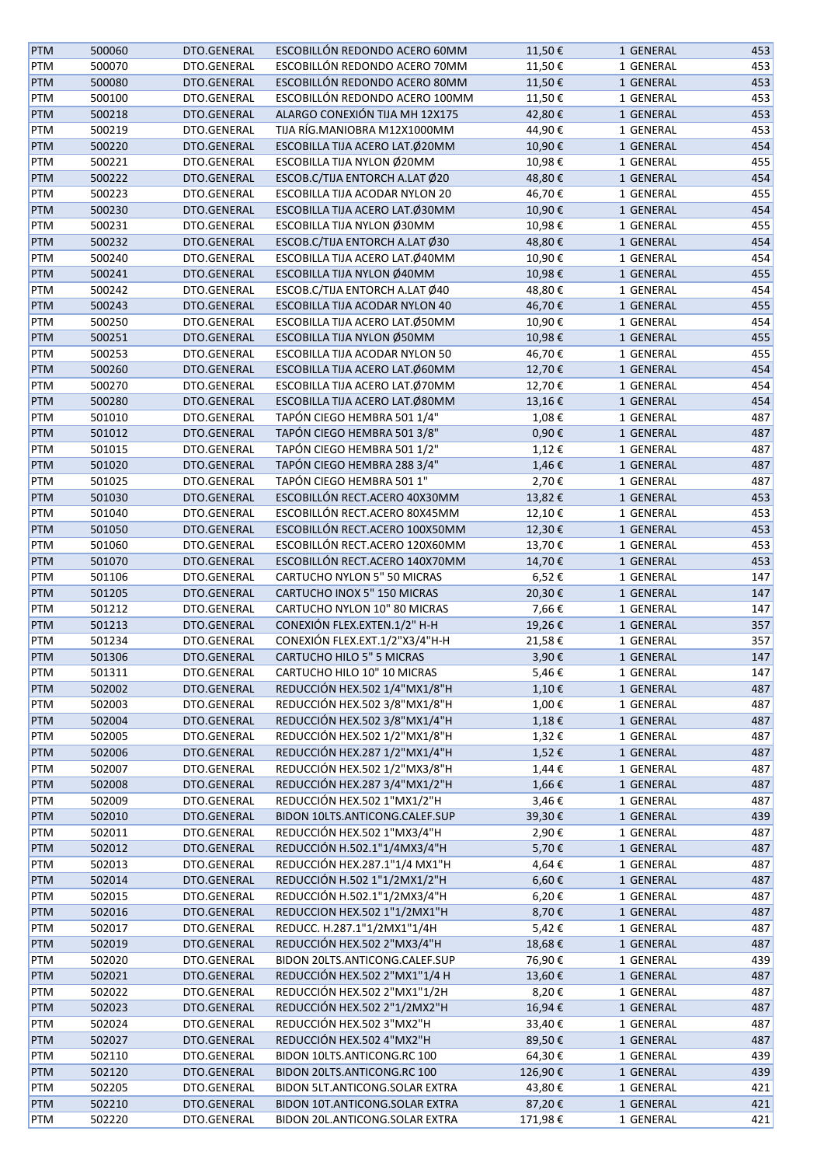| <b>PTM</b> | 500060 | DTO.GENERAL | ESCOBILLÓN REDONDO ACERO 60MM      | 11,50€  | 1 GENERAL | 453 |
|------------|--------|-------------|------------------------------------|---------|-----------|-----|
| PTM        | 500070 | DTO.GENERAL | ESCOBILLÓN REDONDO ACERO 70MM      | 11,50€  | 1 GENERAL | 453 |
| PTM        | 500080 | DTO.GENERAL | ESCOBILLÓN REDONDO ACERO 80MM      | 11,50€  | 1 GENERAL | 453 |
| PTM        | 500100 | DTO.GENERAL | ESCOBILLÓN REDONDO ACERO 100MM     | 11,50€  | 1 GENERAL | 453 |
| PTM        | 500218 | DTO.GENERAL | ALARGO CONEXIÓN TIJA MH 12X175     | 42,80€  | 1 GENERAL | 453 |
| PTM        | 500219 | DTO.GENERAL | TIJA RÍG.MANIOBRA M12X1000MM       | 44,90€  | 1 GENERAL | 453 |
| PTM        | 500220 | DTO.GENERAL | ESCOBILLA TIJA ACERO LAT.Ø20MM     | 10,90€  | 1 GENERAL | 454 |
| PTM        | 500221 | DTO.GENERAL | ESCOBILLA TIJA NYLON Ø20MM         | 10,98€  | 1 GENERAL | 455 |
| PTM        | 500222 | DTO.GENERAL | ESCOB.C/TIJA ENTORCH A.LAT Ø20     | 48,80€  | 1 GENERAL | 454 |
|            | 500223 | DTO.GENERAL | ESCOBILLA TIJA ACODAR NYLON 20     | 46,70€  |           | 455 |
| PTM        |        |             |                                    |         | 1 GENERAL | 454 |
| <b>PTM</b> | 500230 | DTO.GENERAL | ESCOBILLA TIJA ACERO LAT.Ø30MM     | 10,90€  | 1 GENERAL |     |
| PTM        | 500231 | DTO.GENERAL | ESCOBILLA TIJA NYLON Ø30MM         | 10,98€  | 1 GENERAL | 455 |
| PTM        | 500232 | DTO.GENERAL | ESCOB.C/TIJA ENTORCH A.LAT Ø30     | 48,80€  | 1 GENERAL | 454 |
| PTM        | 500240 | DTO.GENERAL | ESCOBILLA TIJA ACERO LAT.Ø40MM     | 10,90€  | 1 GENERAL | 454 |
| PTM        | 500241 | DTO.GENERAL | ESCOBILLA TIJA NYLON Ø40MM         | 10,98€  | 1 GENERAL | 455 |
| PTM        | 500242 | DTO.GENERAL | ESCOB.C/TIJA ENTORCH A.LAT Ø40     | 48,80€  | 1 GENERAL | 454 |
| PTM        | 500243 | DTO.GENERAL | ESCOBILLA TIJA ACODAR NYLON 40     | 46,70€  | 1 GENERAL | 455 |
| PTM        | 500250 | DTO.GENERAL | ESCOBILLA TIJA ACERO LAT.Ø50MM     | 10,90€  | 1 GENERAL | 454 |
| PTM        | 500251 | DTO.GENERAL | ESCOBILLA TIJA NYLON Ø50MM         | 10,98€  | 1 GENERAL | 455 |
| PTM        | 500253 | DTO.GENERAL | ESCOBILLA TIJA ACODAR NYLON 50     | 46,70€  | 1 GENERAL | 455 |
| PTM        | 500260 | DTO.GENERAL | ESCOBILLA TIJA ACERO LAT.Ø60MM     | 12,70€  | 1 GENERAL | 454 |
| PTM        | 500270 | DTO.GENERAL | ESCOBILLA TIJA ACERO LAT.Ø70MM     | 12,70€  | 1 GENERAL | 454 |
| PTM        | 500280 | DTO.GENERAL | ESCOBILLA TIJA ACERO LAT.Ø80MM     | 13,16€  | 1 GENERAL | 454 |
| PTM        | 501010 | DTO.GENERAL | TAPÓN CIEGO HEMBRA 501 1/4"        | 1,08€   | 1 GENERAL | 487 |
| PTM        | 501012 | DTO.GENERAL | TAPÓN CIEGO HEMBRA 501 3/8"        | 0,90€   | 1 GENERAL | 487 |
| PTM        | 501015 | DTO.GENERAL | TAPÓN CIEGO HEMBRA 501 1/2"        | 1,12€   | 1 GENERAL | 487 |
| PTM        | 501020 | DTO.GENERAL | TAPÓN CIEGO HEMBRA 288 3/4"        | 1,46€   | 1 GENERAL | 487 |
| PTM        | 501025 | DTO.GENERAL | TAPÓN CIEGO HEMBRA 501 1"          | 2,70€   | 1 GENERAL | 487 |
| PTM        | 501030 | DTO.GENERAL | ESCOBILLÓN RECT.ACERO 40X30MM      | 13,82€  | 1 GENERAL | 453 |
| PTM        | 501040 | DTO.GENERAL | ESCOBILLÓN RECT.ACERO 80X45MM      | 12,10€  | 1 GENERAL | 453 |
| PTM        | 501050 | DTO.GENERAL | ESCOBILLÓN RECT.ACERO 100X50MM     | 12,30€  | 1 GENERAL | 453 |
| PTM        | 501060 | DTO.GENERAL | ESCOBILLÓN RECT.ACERO 120X60MM     | 13,70€  | 1 GENERAL | 453 |
| PTM        | 501070 | DTO.GENERAL | ESCOBILLÓN RECT.ACERO 140X70MM     | 14,70€  | 1 GENERAL | 453 |
|            |        |             |                                    |         |           |     |
| PTM        | 501106 | DTO.GENERAL | <b>CARTUCHO NYLON 5" 50 MICRAS</b> | 6,52€   | 1 GENERAL | 147 |
| PTM        | 501205 | DTO.GENERAL | CARTUCHO INOX 5" 150 MICRAS        | 20,30€  | 1 GENERAL | 147 |
| PTM        | 501212 | DTO.GENERAL | CARTUCHO NYLON 10" 80 MICRAS       | 7,66€   | 1 GENERAL | 147 |
| <b>PTM</b> | 501213 | DTO.GENERAL | CONEXIÓN FLEX.EXTEN.1/2" H-H       | 19,26€  | 1 GENERAL | 357 |
| PTM        | 501234 | DTO.GENERAL | CONEXIÓN FLEX.EXT.1/2"X3/4"H-H     | 21,58€  | 1 GENERAL | 357 |
| <b>PTM</b> | 501306 | DTO.GENERAL | CARTUCHO HILO 5" 5 MICRAS          | 3,90€   | 1 GENERAL | 147 |
| PTM        | 501311 | DTO.GENERAL | CARTUCHO HILO 10" 10 MICRAS        | 5,46€   | 1 GENERAL | 147 |
| <b>PTM</b> | 502002 | DTO.GENERAL | REDUCCIÓN HEX.502 1/4"MX1/8"H      | 1,10€   | 1 GENERAL | 487 |
| PTM        | 502003 | DTO.GENERAL | REDUCCIÓN HEX.502 3/8"MX1/8"H      | 1,00€   | 1 GENERAL | 487 |
| PTM        | 502004 | DTO.GENERAL | REDUCCIÓN HEX.502 3/8"MX1/4"H      | 1,18€   | 1 GENERAL | 487 |
| PTM        | 502005 | DTO.GENERAL | REDUCCIÓN HEX.502 1/2"MX1/8"H      | 1,32€   | 1 GENERAL | 487 |
| PTM        | 502006 | DTO.GENERAL | REDUCCIÓN HEX.287 1/2"MX1/4"H      | 1,52€   | 1 GENERAL | 487 |
| PTM        | 502007 | DTO.GENERAL | REDUCCIÓN HEX.502 1/2"MX3/8"H      | 1,44€   | 1 GENERAL | 487 |
| PTM        | 502008 | DTO.GENERAL | REDUCCIÓN HEX.287 3/4"MX1/2"H      | 1,66€   | 1 GENERAL | 487 |
| PTM        | 502009 | DTO.GENERAL | REDUCCIÓN HEX.502 1"MX1/2"H        | 3,46€   | 1 GENERAL | 487 |
| <b>PTM</b> | 502010 | DTO.GENERAL | BIDON 10LTS.ANTICONG.CALEF.SUP     | 39,30€  | 1 GENERAL | 439 |
| PTM        | 502011 | DTO.GENERAL | REDUCCIÓN HEX.502 1"MX3/4"H        | 2,90€   | 1 GENERAL | 487 |
| PTM        | 502012 | DTO.GENERAL | REDUCCIÓN H.502.1"1/4MX3/4"H       | 5,70€   | 1 GENERAL | 487 |
| PTM        | 502013 | DTO.GENERAL | REDUCCIÓN HEX.287.1"1/4 MX1"H      | 4,64€   | 1 GENERAL | 487 |
| <b>PTM</b> | 502014 | DTO.GENERAL | REDUCCIÓN H.502 1"1/2MX1/2"H       | 6,60€   | 1 GENERAL | 487 |
| PTM        | 502015 | DTO.GENERAL | REDUCCIÓN H.502.1"1/2MX3/4"H       | 6,20€   | 1 GENERAL | 487 |
| PTM        | 502016 | DTO.GENERAL | REDUCCION HEX.502 1"1/2MX1"H       | 8,70€   | 1 GENERAL | 487 |
| PTM        | 502017 | DTO.GENERAL | REDUCC. H.287.1"1/2MX1"1/4H        | 5,42€   | 1 GENERAL | 487 |
|            |        |             |                                    |         |           |     |
| <b>PTM</b> | 502019 | DTO.GENERAL | REDUCCIÓN HEX.502 2"MX3/4"H        | 18,68€  | 1 GENERAL | 487 |
| PTM        | 502020 | DTO.GENERAL | BIDON 20LTS.ANTICONG.CALEF.SUP     | 76,90€  | 1 GENERAL | 439 |
| PTM        | 502021 | DTO.GENERAL | REDUCCIÓN HEX.502 2"MX1"1/4 H      | 13,60€  | 1 GENERAL | 487 |
| PTM        | 502022 | DTO.GENERAL | REDUCCIÓN HEX.502 2"MX1"1/2H       | 8,20€   | 1 GENERAL | 487 |
| PTM        | 502023 | DTO.GENERAL | REDUCCIÓN HEX.502 2"1/2MX2"H       | 16,94€  | 1 GENERAL | 487 |
| PTM        | 502024 | DTO.GENERAL | REDUCCIÓN HEX.502 3"MX2"H          | 33,40€  | 1 GENERAL | 487 |
| <b>PTM</b> | 502027 | DTO.GENERAL | REDUCCIÓN HEX.502 4"MX2"H          | 89,50€  | 1 GENERAL | 487 |
| PTM        | 502110 | DTO.GENERAL | BIDON 10LTS.ANTICONG.RC 100        | 64,30€  | 1 GENERAL | 439 |
| <b>PTM</b> | 502120 | DTO.GENERAL | BIDON 20LTS.ANTICONG.RC 100        | 126,90€ | 1 GENERAL | 439 |
| PTM        | 502205 | DTO.GENERAL | BIDON 5LT.ANTICONG.SOLAR EXTRA     | 43,80€  | 1 GENERAL | 421 |
| <b>PTM</b> | 502210 | DTO.GENERAL | BIDON 10T.ANTICONG.SOLAR EXTRA     | 87,20€  | 1 GENERAL | 421 |
| PTM        | 502220 | DTO.GENERAL | BIDON 20L.ANTICONG.SOLAR EXTRA     | 171,98€ | 1 GENERAL | 421 |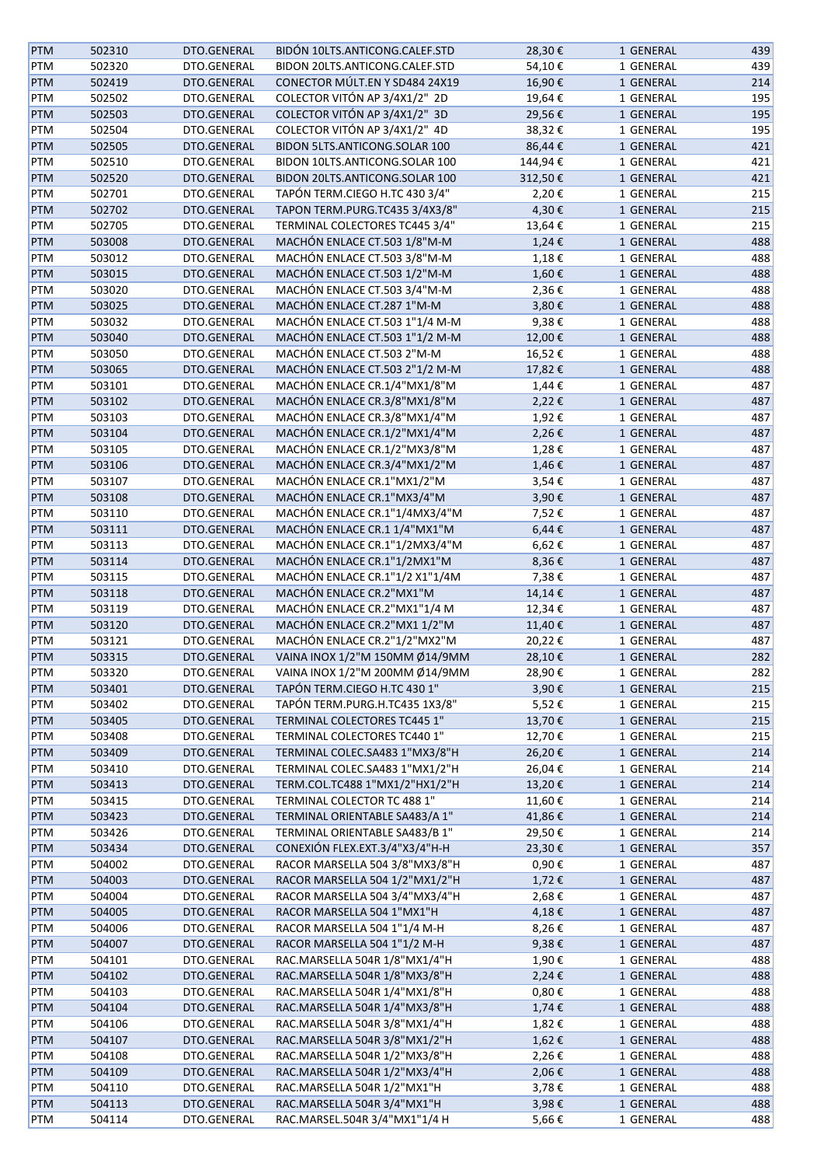| <b>PTM</b> | 502310 | DTO.GENERAL | BIDÓN 10LTS.ANTICONG.CALEF.STD | 28,30€     | 1 GENERAL | 439 |
|------------|--------|-------------|--------------------------------|------------|-----------|-----|
| PTM        | 502320 | DTO.GENERAL | BIDON 20LTS.ANTICONG.CALEF.STD | 54,10€     | 1 GENERAL | 439 |
| <b>PTM</b> | 502419 | DTO.GENERAL | CONECTOR MÚLT.EN Y SD484 24X19 | 16,90€     | 1 GENERAL | 214 |
| PTM        | 502502 | DTO.GENERAL | COLECTOR VITÓN AP 3/4X1/2" 2D  | 19,64€     | 1 GENERAL | 195 |
| <b>PTM</b> | 502503 | DTO.GENERAL | COLECTOR VITÓN AP 3/4X1/2" 3D  | 29,56€     | 1 GENERAL | 195 |
| PTM        | 502504 | DTO.GENERAL | COLECTOR VITÓN AP 3/4X1/2" 4D  | 38,32€     | 1 GENERAL | 195 |
|            |        |             |                                |            |           |     |
| PTM        | 502505 | DTO.GENERAL | BIDON 5LTS.ANTICONG.SOLAR 100  | 86,44€     | 1 GENERAL | 421 |
| PTM        | 502510 | DTO.GENERAL | BIDON 10LTS.ANTICONG.SOLAR 100 | 144,94€    | 1 GENERAL | 421 |
| PTM        | 502520 | DTO.GENERAL | BIDON 20LTS.ANTICONG.SOLAR 100 | 312,50€    | 1 GENERAL | 421 |
| PTM        | 502701 | DTO.GENERAL | TAPÓN TERM.CIEGO H.TC 430 3/4" | 2,20€      | 1 GENERAL | 215 |
| <b>PTM</b> | 502702 | DTO.GENERAL | TAPON TERM.PURG.TC435 3/4X3/8" | 4,30€      | 1 GENERAL | 215 |
| PTM        | 502705 | DTO.GENERAL | TERMINAL COLECTORES TC445 3/4" | 13,64€     | 1 GENERAL | 215 |
| <b>PTM</b> | 503008 | DTO.GENERAL | MACHÓN ENLACE CT.503 1/8"M-M   | 1,24€      | 1 GENERAL | 488 |
| PTM        | 503012 | DTO.GENERAL | MACHÓN ENLACE CT.503 3/8"M-M   | 1,18€      | 1 GENERAL | 488 |
| <b>PTM</b> | 503015 | DTO.GENERAL | MACHÓN ENLACE CT.503 1/2"M-M   | 1,60€      | 1 GENERAL | 488 |
| PTM        | 503020 | DTO.GENERAL | MACHÓN ENLACE CT.503 3/4"M-M   | 2,36€      | 1 GENERAL | 488 |
| PTM        | 503025 | DTO.GENERAL | MACHÓN ENLACE CT.287 1"M-M     | 3,80€      | 1 GENERAL | 488 |
| PTM        | 503032 | DTO.GENERAL | MACHÓN ENLACE CT.503 1"1/4 M-M | 9,38€      | 1 GENERAL | 488 |
| PTM        | 503040 | DTO.GENERAL | MACHÓN ENLACE CT.503 1"1/2 M-M | 12,00€     | 1 GENERAL | 488 |
| PTM        | 503050 | DTO.GENERAL | MACHÓN ENLACE CT.503 2"M-M     | 16,52€     | 1 GENERAL | 488 |
|            |        |             | MACHÓN ENLACE CT.503 2"1/2 M-M |            |           |     |
| <b>PTM</b> | 503065 | DTO.GENERAL |                                | 17,82€     | 1 GENERAL | 488 |
| PTM        | 503101 | DTO.GENERAL | MACHÓN ENLACE CR.1/4"MX1/8"M   | 1,44€      | 1 GENERAL | 487 |
| <b>PTM</b> | 503102 | DTO.GENERAL | MACHÓN ENLACE CR.3/8"MX1/8"M   | 2,22€      | 1 GENERAL | 487 |
| PTM        | 503103 | DTO.GENERAL | MACHÓN ENLACE CR.3/8"MX1/4"M   | 1,92€      | 1 GENERAL | 487 |
| <b>PTM</b> | 503104 | DTO.GENERAL | MACHÓN ENLACE CR.1/2"MX1/4"M   | 2,26€      | 1 GENERAL | 487 |
| PTM        | 503105 | DTO.GENERAL | MACHÓN ENLACE CR.1/2"MX3/8"M   | 1,28€      | 1 GENERAL | 487 |
| <b>PTM</b> | 503106 | DTO.GENERAL | MACHÓN ENLACE CR.3/4"MX1/2"M   | 1,46€      | 1 GENERAL | 487 |
| PTM        | 503107 | DTO.GENERAL | MACHÓN ENLACE CR.1"MX1/2"M     | 3,54€      | 1 GENERAL | 487 |
| PTM        | 503108 | DTO.GENERAL | MACHÓN ENLACE CR.1"MX3/4"M     | 3,90€      | 1 GENERAL | 487 |
| PTM        | 503110 | DTO.GENERAL | MACHÓN ENLACE CR.1"1/4MX3/4"M  | 7,52€      | 1 GENERAL | 487 |
| <b>PTM</b> | 503111 | DTO.GENERAL | MACHÓN ENLACE CR.1 1/4"MX1"M   | 6,44€      | 1 GENERAL | 487 |
| PTM        | 503113 | DTO.GENERAL | MACHÓN ENLACE CR.1"1/2MX3/4"M  | 6,62€      | 1 GENERAL | 487 |
| PTM        | 503114 | DTO.GENERAL | MACHÓN ENLACE CR.1"1/2MX1"M    | 8,36€      | 1 GENERAL | 487 |
| PTM        | 503115 | DTO.GENERAL | MACHÓN ENLACE CR.1"1/2 X1"1/4M | 7,38€      | 1 GENERAL | 487 |
|            | 503118 |             | MACHÓN ENLACE CR.2"MX1"M       |            |           |     |
| <b>PTM</b> |        | DTO.GENERAL |                                | 14,14€     | 1 GENERAL | 487 |
| PTM        | 503119 | DTO.GENERAL | MACHÓN ENLACE CR.2"MX1"1/4 M   | 12,34€     | 1 GENERAL | 487 |
| <b>PTM</b> | 503120 | DTO.GENERAL | MACHÓN ENLACE CR.2"MX1 1/2"M   | 11,40€     | 1 GENERAL | 487 |
| PTM        | 503121 | DTO.GENERAL | MACHÓN ENLACE CR.2"1/2"MX2"M   | 20,22€     | 1 GENERAL | 487 |
| <b>PTM</b> | 503315 | DTO.GENERAL | VAINA INOX 1/2"M 150MM Ø14/9MM | 28,10€     | 1 GENERAL | 282 |
| PTM        | 503320 | DTO.GENERAL | VAINA INOX 1/2"M 200MM Ø14/9MM | 28,90€     | 1 GENERAL | 282 |
| <b>PTM</b> | 503401 | DTO.GENERAL | TAPÓN TERM.CIEGO H.TC 430 1"   | 3,90€      | 1 GENERAL | 215 |
| PTM        | 503402 | DTO.GENERAL | TAPÓN TERM.PURG.H.TC435 1X3/8" | 5,52€      | 1 GENERAL | 215 |
| <b>PTM</b> | 503405 | DTO.GENERAL | TERMINAL COLECTORES TC445 1"   | 13,70€     | 1 GENERAL | 215 |
| PTM        | 503408 | DTO.GENERAL | TERMINAL COLECTORES TC440 1"   | 12,70€     | 1 GENERAL | 215 |
| PTM        | 503409 | DTO.GENERAL | TERMINAL COLEC.SA483 1"MX3/8"H | 26,20€     | 1 GENERAL | 214 |
| PTM        | 503410 | DTO.GENERAL | TERMINAL COLEC.SA483 1"MX1/2"H | 26,04€     | 1 GENERAL | 214 |
| <b>PTM</b> | 503413 | DTO.GENERAL | TERM.COL.TC488 1"MX1/2"HX1/2"H | 13,20€     | 1 GENERAL | 214 |
| PTM        | 503415 | DTO.GENERAL | TERMINAL COLECTOR TC 488 1"    | 11,60€     | 1 GENERAL | 214 |
|            |        |             |                                |            |           |     |
| <b>PTM</b> | 503423 | DTO.GENERAL | TERMINAL ORIENTABLE SA483/A 1" | 41,86€     | 1 GENERAL | 214 |
| PTM        | 503426 | DTO.GENERAL | TERMINAL ORIENTABLE SA483/B 1" | 29,50€     | 1 GENERAL | 214 |
| <b>PTM</b> | 503434 | DTO.GENERAL | CONEXIÓN FLEX.EXT.3/4"X3/4"H-H | 23,30€     | 1 GENERAL | 357 |
| PTM        | 504002 | DTO.GENERAL | RACOR MARSELLA 504 3/8"MX3/8"H | 0,90€      | 1 GENERAL | 487 |
| <b>PTM</b> | 504003 | DTO.GENERAL | RACOR MARSELLA 504 1/2"MX1/2"H | 1,72€      | 1 GENERAL | 487 |
| PTM        | 504004 | DTO.GENERAL | RACOR MARSELLA 504 3/4"MX3/4"H | 2,68€      | 1 GENERAL | 487 |
| <b>PTM</b> | 504005 | DTO.GENERAL | RACOR MARSELLA 504 1"MX1"H     | 4,18€      | 1 GENERAL | 487 |
| PTM        | 504006 | DTO.GENERAL | RACOR MARSELLA 504 1"1/4 M-H   | 8,26€      | 1 GENERAL | 487 |
| <b>PTM</b> | 504007 | DTO.GENERAL | RACOR MARSELLA 504 1"1/2 M-H   | 9,38€      | 1 GENERAL | 487 |
| PTM        | 504101 | DTO.GENERAL | RAC.MARSELLA 504R 1/8"MX1/4"H  | 1,90€      | 1 GENERAL | 488 |
| <b>PTM</b> | 504102 | DTO.GENERAL | RAC.MARSELLA 504R 1/8"MX3/8"H  | 2,24€      | 1 GENERAL | 488 |
| PTM        | 504103 | DTO.GENERAL | RAC.MARSELLA 504R 1/4"MX1/8"H  | $0,80 \in$ | 1 GENERAL | 488 |
| <b>PTM</b> | 504104 | DTO.GENERAL | RAC.MARSELLA 504R 1/4"MX3/8"H  | 1,74€      | 1 GENERAL | 488 |
| PTM        | 504106 | DTO.GENERAL | RAC.MARSELLA 504R 3/8"MX1/4"H  | 1,82€      | 1 GENERAL | 488 |
|            |        |             |                                |            |           |     |
| <b>PTM</b> | 504107 | DTO.GENERAL | RAC.MARSELLA 504R 3/8"MX1/2"H  | 1,62€      | 1 GENERAL | 488 |
| PTM        | 504108 | DTO.GENERAL | RAC.MARSELLA 504R 1/2"MX3/8"H  | 2,26€      | 1 GENERAL | 488 |
| <b>PTM</b> | 504109 | DTO.GENERAL | RAC.MARSELLA 504R 1/2"MX3/4"H  | 2,06€      | 1 GENERAL | 488 |
| PTM        | 504110 | DTO.GENERAL | RAC.MARSELLA 504R 1/2"MX1"H    | 3,78€      | 1 GENERAL | 488 |
| <b>PTM</b> | 504113 | DTO.GENERAL | RAC.MARSELLA 504R 3/4"MX1"H    | 3,98€      | 1 GENERAL | 488 |
| PTM        | 504114 | DTO.GENERAL | RAC.MARSEL.504R 3/4"MX1"1/4 H  | 5,66€      | 1 GENERAL | 488 |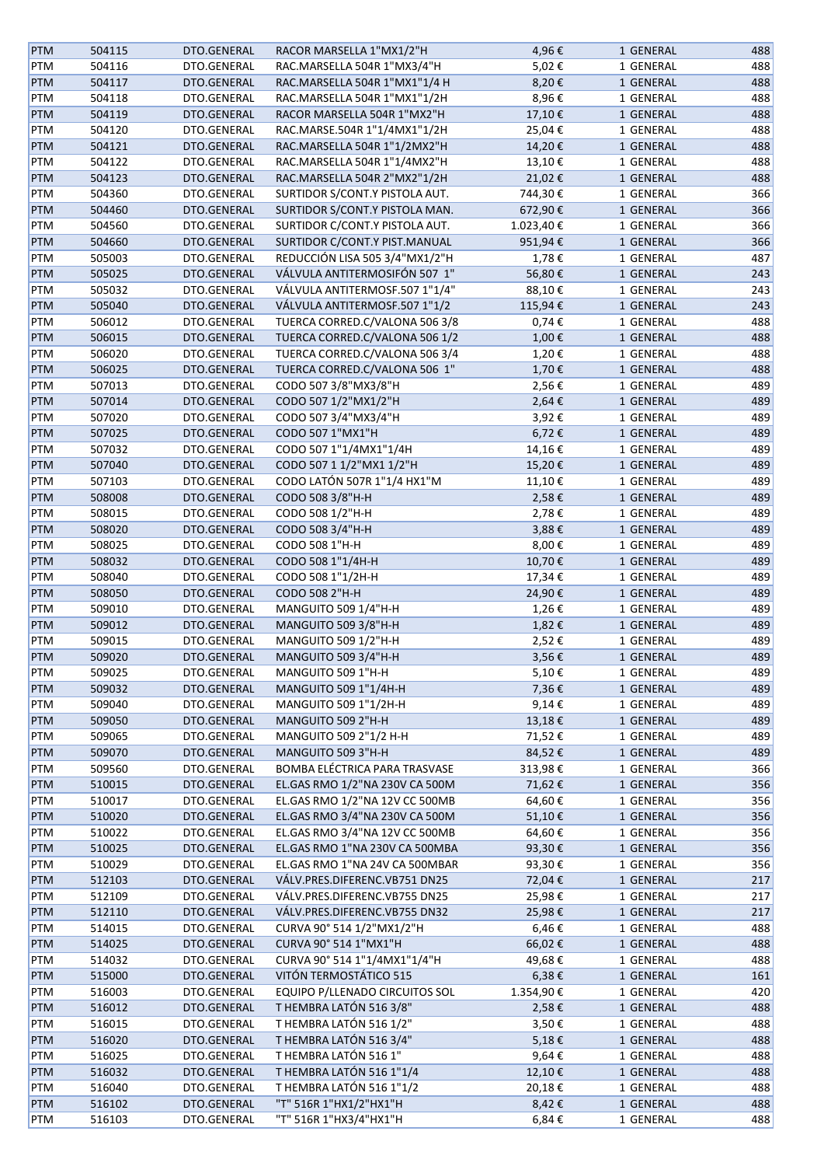| <b>PTM</b> | 504115 | DTO.GENERAL | RACOR MARSELLA 1"MX1/2"H       | 4,96€      | 1 GENERAL | 488 |
|------------|--------|-------------|--------------------------------|------------|-----------|-----|
| PTM        | 504116 | DTO.GENERAL | RAC.MARSELLA 504R 1"MX3/4"H    | 5,02€      | 1 GENERAL | 488 |
| <b>PTM</b> | 504117 | DTO.GENERAL | RAC.MARSELLA 504R 1"MX1"1/4 H  | 8,20€      | 1 GENERAL | 488 |
| PTM        | 504118 | DTO.GENERAL | RAC.MARSELLA 504R 1"MX1"1/2H   | 8,96€      | 1 GENERAL | 488 |
| PTM        | 504119 | DTO.GENERAL | RACOR MARSELLA 504R 1"MX2"H    | 17,10€     | 1 GENERAL | 488 |
| PTM        | 504120 | DTO.GENERAL | RAC.MARSE.504R 1"1/4MX1"1/2H   | 25,04€     | 1 GENERAL | 488 |
| <b>PTM</b> | 504121 | DTO.GENERAL | RAC.MARSELLA 504R 1"1/2MX2"H   | 14,20€     | 1 GENERAL | 488 |
| PTM        | 504122 | DTO.GENERAL | RAC.MARSELLA 504R 1"1/4MX2"H   | 13,10€     | 1 GENERAL | 488 |
| <b>PTM</b> | 504123 | DTO.GENERAL | RAC.MARSELLA 504R 2"MX2"1/2H   | 21,02€     | 1 GENERAL | 488 |
|            |        |             |                                |            |           |     |
| PTM        | 504360 | DTO.GENERAL | SURTIDOR S/CONT.Y PISTOLA AUT. | 744,30€    | 1 GENERAL | 366 |
| <b>PTM</b> | 504460 | DTO.GENERAL | SURTIDOR S/CONT.Y PISTOLA MAN. | 672,90€    | 1 GENERAL | 366 |
| PTM        | 504560 | DTO.GENERAL | SURTIDOR C/CONT.Y PISTOLA AUT. | 1.023,40€  | 1 GENERAL | 366 |
| <b>PTM</b> | 504660 | DTO.GENERAL | SURTIDOR C/CONT.Y PIST.MANUAL  | 951,94€    | 1 GENERAL | 366 |
| PTM        | 505003 | DTO.GENERAL | REDUCCIÓN LISA 505 3/4"MX1/2"H | 1,78€      | 1 GENERAL | 487 |
| <b>PTM</b> | 505025 | DTO.GENERAL | VÁLVULA ANTITERMOSIFÓN 507 1"  | 56,80€     | 1 GENERAL | 243 |
| PTM        | 505032 | DTO.GENERAL | VÁLVULA ANTITERMOSF.507 1"1/4" | 88,10€     | 1 GENERAL | 243 |
| PTM        | 505040 | DTO.GENERAL | VÁLVULA ANTITERMOSF.507 1"1/2  | 115,94€    | 1 GENERAL | 243 |
| PTM        | 506012 | DTO.GENERAL | TUERCA CORRED.C/VALONA 506 3/8 | $0,74 \in$ | 1 GENERAL | 488 |
| <b>PTM</b> | 506015 | DTO.GENERAL | TUERCA CORRED.C/VALONA 506 1/2 | 1,00€      | 1 GENERAL | 488 |
| PTM        | 506020 | DTO.GENERAL | TUERCA CORRED.C/VALONA 506 3/4 | 1,20€      | 1 GENERAL | 488 |
| <b>PTM</b> | 506025 | DTO.GENERAL | TUERCA CORRED.C/VALONA 506 1"  | 1,70€      | 1 GENERAL | 488 |
| PTM        | 507013 | DTO.GENERAL | CODO 507 3/8"MX3/8"H           | 2,56€      | 1 GENERAL | 489 |
| PTM        | 507014 | DTO.GENERAL | CODO 507 1/2"MX1/2"H           | 2,64€      | 1 GENERAL | 489 |
| PTM        | 507020 | DTO.GENERAL | CODO 507 3/4"MX3/4"H           | 3,92€      | 1 GENERAL | 489 |
|            |        |             |                                |            |           |     |
| <b>PTM</b> | 507025 | DTO.GENERAL | CODO 507 1"MX1"H               | 6,72€      | 1 GENERAL | 489 |
| PTM        | 507032 | DTO.GENERAL | CODO 507 1"1/4MX1"1/4H         | 14,16€     | 1 GENERAL | 489 |
| PTM        | 507040 | DTO.GENERAL | CODO 507 1 1/2"MX1 1/2"H       | 15,20€     | 1 GENERAL | 489 |
| PTM        | 507103 | DTO.GENERAL | CODO LATÓN 507R 1"1/4 HX1"M    | 11,10€     | 1 GENERAL | 489 |
| <b>PTM</b> | 508008 | DTO.GENERAL | CODO 508 3/8"H-H               | 2,58€      | 1 GENERAL | 489 |
| PTM        | 508015 | DTO.GENERAL | CODO 508 1/2"H-H               | 2,78€      | 1 GENERAL | 489 |
| <b>PTM</b> | 508020 | DTO.GENERAL | CODO 508 3/4"H-H               | 3,88€      | 1 GENERAL | 489 |
| PTM        | 508025 | DTO.GENERAL | CODO 508 1"H-H                 | 8,00€      | 1 GENERAL | 489 |
| PTM        | 508032 | DTO.GENERAL | CODO 508 1"1/4H-H              | 10,70€     | 1 GENERAL | 489 |
| PTM        | 508040 | DTO.GENERAL | CODO 508 1"1/2H-H              | 17,34€     | 1 GENERAL | 489 |
| PTM        | 508050 | DTO.GENERAL | CODO 508 2"H-H                 | 24,90€     | 1 GENERAL | 489 |
| PTM        | 509010 | DTO.GENERAL | MANGUITO 509 1/4"H-H           | 1,26€      | 1 GENERAL | 489 |
| <b>PTM</b> | 509012 | DTO.GENERAL | MANGUITO 509 3/8"H-H           | 1,82€      | 1 GENERAL | 489 |
| PTM        | 509015 | DTO.GENERAL | MANGUITO 509 1/2"H-H           | 2,52€      | 1 GENERAL | 489 |
| <b>PTM</b> | 509020 | DTO.GENERAL | MANGUITO 509 3/4"H-H           | 3,56€      | 1 GENERAL | 489 |
|            |        |             |                                |            |           |     |
| PTM        | 509025 | DTO.GENERAL | MANGUITO 509 1"H-H             | 5,10€      | 1 GENERAL | 489 |
| <b>PTM</b> | 509032 | DTO.GENERAL | MANGUITO 509 1"1/4H-H          | 7,36€      | 1 GENERAL | 489 |
| PTM        | 509040 | DTO.GENERAL | MANGUITO 509 1"1/2H-H          | 9,14€      | 1 GENERAL | 489 |
| <b>PTM</b> | 509050 | DTO.GENERAL | MANGUITO 509 2"H-H             | 13,18€     | 1 GENERAL | 489 |
| PTM        | 509065 | DTO.GENERAL | MANGUITO 509 2"1/2 H-H         | 71,52€     | 1 GENERAL | 489 |
| PTM        | 509070 | DTO.GENERAL | MANGUITO 509 3"H-H             | 84,52€     | 1 GENERAL | 489 |
| PTM        | 509560 | DTO.GENERAL | BOMBA ELÉCTRICA PARA TRASVASE  | 313,98€    | 1 GENERAL | 366 |
| <b>PTM</b> | 510015 | DTO.GENERAL | EL.GAS RMO 1/2"NA 230V CA 500M | 71,62€     | 1 GENERAL | 356 |
| PTM        | 510017 | DTO.GENERAL | EL.GAS RMO 1/2"NA 12V CC 500MB | 64,60€     | 1 GENERAL | 356 |
| <b>PTM</b> | 510020 | DTO.GENERAL | EL.GAS RMO 3/4"NA 230V CA 500M | 51,10€     | 1 GENERAL | 356 |
| PTM        | 510022 | DTO.GENERAL | EL.GAS RMO 3/4"NA 12V CC 500MB | 64,60€     | 1 GENERAL | 356 |
| <b>PTM</b> | 510025 | DTO.GENERAL | EL.GAS RMO 1"NA 230V CA 500MBA | 93,30€     | 1 GENERAL | 356 |
| PTM        | 510029 | DTO.GENERAL | EL.GAS RMO 1"NA 24V CA 500MBAR | 93,30€     | 1 GENERAL | 356 |
| <b>PTM</b> | 512103 | DTO.GENERAL | VÁLV.PRES.DIFERENC.VB751 DN25  | 72,04€     | 1 GENERAL | 217 |
| PTM        | 512109 | DTO.GENERAL | VÁLV.PRES.DIFERENC.VB755 DN25  | 25,98€     | 1 GENERAL | 217 |
|            |        |             |                                |            |           |     |
| <b>PTM</b> | 512110 | DTO.GENERAL | VÁLV.PRES.DIFERENC.VB755 DN32  | 25,98€     | 1 GENERAL | 217 |
| PTM        | 514015 | DTO.GENERAL | CURVA 90° 514 1/2"MX1/2"H      | 6,46€      | 1 GENERAL | 488 |
| <b>PTM</b> | 514025 | DTO.GENERAL | CURVA 90° 514 1"MX1"H          | 66,02€     | 1 GENERAL | 488 |
| PTM        | 514032 | DTO.GENERAL | CURVA 90° 514 1"1/4MX1"1/4"H   | 49,68€     | 1 GENERAL | 488 |
| <b>PTM</b> | 515000 | DTO.GENERAL | VITÓN TERMOSTÁTICO 515         | $6,38 \in$ | 1 GENERAL | 161 |
| PTM        | 516003 | DTO.GENERAL | EQUIPO P/LLENADO CIRCUITOS SOL | 1.354,90€  | 1 GENERAL | 420 |
| <b>PTM</b> | 516012 | DTO.GENERAL | T HEMBRA LATÓN 5163/8"         | 2,58€      | 1 GENERAL | 488 |
| PTM        | 516015 | DTO.GENERAL | T HEMBRA LATÓN 516 1/2"        | 3,50€      | 1 GENERAL | 488 |
| <b>PTM</b> | 516020 | DTO.GENERAL | T HEMBRA LATÓN 516 3/4"        | 5,18€      | 1 GENERAL | 488 |
| PTM        | 516025 | DTO.GENERAL | T HEMBRA LATÓN 5161"           | 9,64€      | 1 GENERAL | 488 |
| <b>PTM</b> | 516032 | DTO.GENERAL | T HEMBRA LATÓN 516 1"1/4       | 12,10€     | 1 GENERAL | 488 |
| PTM        | 516040 | DTO.GENERAL | T HEMBRA LATÓN 516 1"1/2       | 20,18€     | 1 GENERAL | 488 |
| <b>PTM</b> | 516102 | DTO.GENERAL | "T" 516R 1"HX1/2"HX1"H         | 8,42€      | 1 GENERAL | 488 |
| PTM        | 516103 | DTO.GENERAL | "T" 516R 1"HX3/4"HX1"H         | 6,84€      | 1 GENERAL | 488 |
|            |        |             |                                |            |           |     |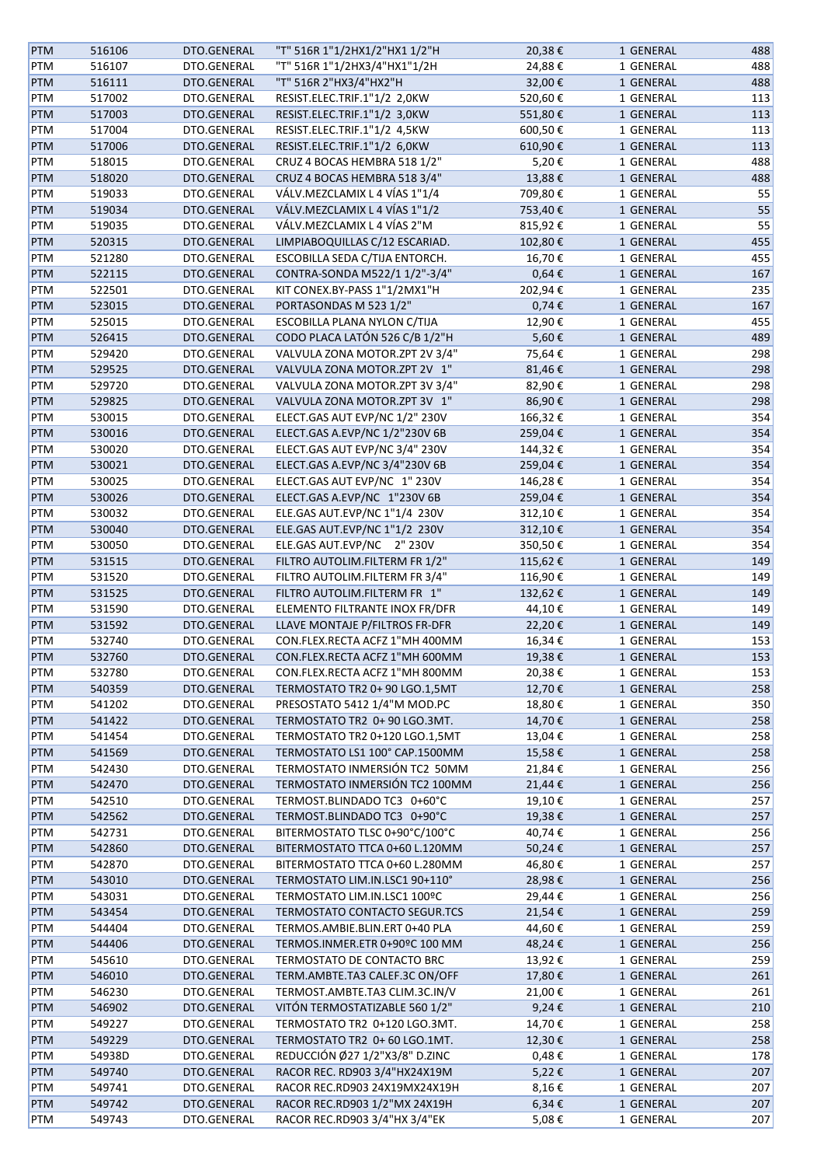| <b>PTM</b> | 516106 | DTO.GENERAL | "T" 516R 1"1/2HX1/2"HX1 1/2"H  | 20,38€     | 1 GENERAL | 488 |
|------------|--------|-------------|--------------------------------|------------|-----------|-----|
| PTM        | 516107 | DTO.GENERAL | "T" 516R 1"1/2HX3/4"HX1"1/2H   | 24,88€     | 1 GENERAL | 488 |
| PTM        | 516111 | DTO.GENERAL | "T" 516R 2"HX3/4"HX2"H         | 32,00€     | 1 GENERAL | 488 |
| PTM        | 517002 | DTO.GENERAL | RESIST.ELEC.TRIF.1"1/2 2,0KW   | 520,60€    | 1 GENERAL | 113 |
| <b>PTM</b> | 517003 | DTO.GENERAL | RESIST.ELEC.TRIF.1"1/2 3,0KW   | 551,80€    | 1 GENERAL | 113 |
| PTM        | 517004 | DTO.GENERAL | RESIST.ELEC.TRIF.1"1/2 4,5KW   | 600,50€    | 1 GENERAL | 113 |
|            |        |             |                                |            |           |     |
| <b>PTM</b> | 517006 | DTO.GENERAL | RESIST.ELEC.TRIF.1"1/2 6,0KW   | 610,90€    | 1 GENERAL | 113 |
| PTM        | 518015 | DTO.GENERAL | CRUZ 4 BOCAS HEMBRA 518 1/2"   | 5,20€      | 1 GENERAL | 488 |
| PTM        | 518020 | DTO.GENERAL | CRUZ 4 BOCAS HEMBRA 518 3/4"   | 13,88€     | 1 GENERAL | 488 |
| PTM        | 519033 | DTO.GENERAL | VÁLV.MEZCLAMIX L 4 VÍAS 1"1/4  | 709,80€    | 1 GENERAL | 55  |
| PTM        | 519034 | DTO.GENERAL | VÁLV.MEZCLAMIX L 4 VÍAS 1"1/2  | 753,40€    | 1 GENERAL | 55  |
| PTM        | 519035 | DTO.GENERAL | VÁLV.MEZCLAMIX L 4 VÍAS 2"M    | 815,92€    | 1 GENERAL | 55  |
| PTM        | 520315 | DTO.GENERAL | LIMPIABOQUILLAS C/12 ESCARIAD. | 102,80€    | 1 GENERAL | 455 |
| PTM        | 521280 | DTO.GENERAL | ESCOBILLA SEDA C/TIJA ENTORCH. | 16,70€     | 1 GENERAL | 455 |
| PTM        | 522115 | DTO.GENERAL | CONTRA-SONDA M522/1 1/2"-3/4"  | $0,64 \in$ | 1 GENERAL | 167 |
| PTM        | 522501 | DTO.GENERAL | KIT CONEX.BY-PASS 1"1/2MX1"H   | 202,94€    | 1 GENERAL | 235 |
| <b>PTM</b> | 523015 | DTO.GENERAL | PORTASONDAS M 523 1/2"         | $0,74 \in$ | 1 GENERAL | 167 |
| PTM        | 525015 | DTO.GENERAL | ESCOBILLA PLANA NYLON C/TIJA   | 12,90€     | 1 GENERAL | 455 |
| <b>PTM</b> | 526415 | DTO.GENERAL | CODO PLACA LATÓN 526 C/B 1/2"H | 5,60€      | 1 GENERAL | 489 |
| PTM        | 529420 | DTO.GENERAL | VALVULA ZONA MOTOR.ZPT 2V 3/4" | 75,64€     | 1 GENERAL | 298 |
| <b>PTM</b> | 529525 | DTO.GENERAL | VALVULA ZONA MOTOR.ZPT 2V 1"   | 81,46€     | 1 GENERAL | 298 |
|            | 529720 | DTO.GENERAL | VALVULA ZONA MOTOR.ZPT 3V 3/4" | 82,90€     | 1 GENERAL | 298 |
| PTM        |        |             |                                |            |           |     |
| <b>PTM</b> | 529825 | DTO.GENERAL | VALVULA ZONA MOTOR.ZPT 3V 1"   | 86,90€     | 1 GENERAL | 298 |
| PTM        | 530015 | DTO.GENERAL | ELECT.GAS AUT EVP/NC 1/2" 230V | 166,32€    | 1 GENERAL | 354 |
| PTM        | 530016 | DTO.GENERAL | ELECT.GAS A.EVP/NC 1/2"230V 6B | 259,04€    | 1 GENERAL | 354 |
| PTM        | 530020 | DTO.GENERAL | ELECT.GAS AUT EVP/NC 3/4" 230V | 144,32€    | 1 GENERAL | 354 |
| PTM        | 530021 | DTO.GENERAL | ELECT.GAS A.EVP/NC 3/4"230V 6B | 259,04€    | 1 GENERAL | 354 |
| PTM        | 530025 | DTO.GENERAL | ELECT.GAS AUT EVP/NC 1" 230V   | 146,28€    | 1 GENERAL | 354 |
| <b>PTM</b> | 530026 | DTO.GENERAL | ELECT.GAS A.EVP/NC 1"230V 6B   | 259,04€    | 1 GENERAL | 354 |
| PTM        | 530032 | DTO.GENERAL | ELE.GAS AUT.EVP/NC 1"1/4 230V  | 312,10€    | 1 GENERAL | 354 |
| PTM        | 530040 | DTO.GENERAL | ELE.GAS AUT.EVP/NC 1"1/2 230V  | 312,10€    | 1 GENERAL | 354 |
| PTM        | 530050 | DTO.GENERAL | ELE.GAS AUT.EVP/NC 2" 230V     | 350,50€    | 1 GENERAL | 354 |
| <b>PTM</b> | 531515 | DTO.GENERAL | FILTRO AUTOLIM.FILTERM FR 1/2" | 115,62€    | 1 GENERAL | 149 |
| PTM        | 531520 | DTO.GENERAL | FILTRO AUTOLIM.FILTERM FR 3/4" | 116,90€    | 1 GENERAL | 149 |
| <b>PTM</b> | 531525 | DTO.GENERAL | FILTRO AUTOLIM.FILTERM FR 1"   | 132,62€    | 1 GENERAL | 149 |
| PTM        | 531590 | DTO.GENERAL | ELEMENTO FILTRANTE INOX FR/DFR | 44,10€     | 1 GENERAL | 149 |
| <b>PTM</b> | 531592 | DTO.GENERAL | LLAVE MONTAJE P/FILTROS FR-DFR | 22,20€     | 1 GENERAL | 149 |
|            |        |             | CON.FLEX.RECTA ACFZ 1"MH 400MM |            |           |     |
| PTM        | 532740 | DTO.GENERAL |                                | 16,34€     | 1 GENERAL | 153 |
| <b>PTM</b> | 532760 | DTO.GENERAL | CON.FLEX.RECTA ACFZ 1"MH 600MM | 19,38€     | 1 GENERAL | 153 |
| PTM        | 532780 | DTO.GENERAL | CON.FLEX.RECTA ACFZ 1"MH 800MM | 20,38€     | 1 GENERAL | 153 |
| <b>PTM</b> | 540359 | DTO.GENERAL | TERMOSTATO TR2 0+90 LGO.1,5MT  | 12,70€     | 1 GENERAL | 258 |
| PTM        | 541202 | DTO.GENERAL | PRESOSTATO 5412 1/4"M MOD.PC   | 18,80€     | 1 GENERAL | 350 |
| <b>PTM</b> | 541422 | DTO.GENERAL | TERMOSTATO TR2 0+90 LGO.3MT.   | 14,70€     | 1 GENERAL | 258 |
| PTM        | 541454 | DTO.GENERAL | TERMOSTATO TR2 0+120 LGO.1,5MT | 13,04€     | 1 GENERAL | 258 |
| PTM        | 541569 | DTO.GENERAL | TERMOSTATO LS1 100° CAP.1500MM | 15,58€     | 1 GENERAL | 258 |
| PTM        | 542430 | DTO.GENERAL | TERMOSTATO INMERSIÓN TC2 50MM  | 21,84€     | 1 GENERAL | 256 |
| <b>PTM</b> | 542470 | DTO.GENERAL | TERMOSTATO INMERSIÓN TC2 100MM | 21,44 €    | 1 GENERAL | 256 |
| PTM        | 542510 | DTO.GENERAL | TERMOST.BLINDADO TC3 0+60°C    | 19,10€     | 1 GENERAL | 257 |
| PTM        | 542562 | DTO.GENERAL | TERMOST.BLINDADO TC3 0+90°C    | 19,38€     | 1 GENERAL | 257 |
| PTM        | 542731 | DTO.GENERAL | BITERMOSTATO TLSC 0+90°C/100°C | 40,74 €    | 1 GENERAL | 256 |
| PTM        | 542860 | DTO.GENERAL | BITERMOSTATO TTCA 0+60 L.120MM | 50,24€     | 1 GENERAL | 257 |
| PTM        | 542870 | DTO.GENERAL | BITERMOSTATO TTCA 0+60 L.280MM | 46,80€     | 1 GENERAL | 257 |
| <b>PTM</b> | 543010 | DTO.GENERAL | TERMOSTATO LIM.IN.LSC1 90+110° | 28,98€     | 1 GENERAL | 256 |
|            |        |             |                                |            |           |     |
| PTM        | 543031 | DTO.GENERAL | TERMOSTATO LIM.IN.LSC1 100ºC   | 29,44€     | 1 GENERAL | 256 |
| <b>PTM</b> | 543454 | DTO.GENERAL | TERMOSTATO CONTACTO SEGUR.TCS  | 21,54€     | 1 GENERAL | 259 |
| PTM        | 544404 | DTO.GENERAL | TERMOS.AMBIE.BLIN.ERT 0+40 PLA | 44,60€     | 1 GENERAL | 259 |
| <b>PTM</b> | 544406 | DTO.GENERAL | TERMOS.INMER.ETR 0+90°C 100 MM | 48,24€     | 1 GENERAL | 256 |
| PTM        | 545610 | DTO.GENERAL | TERMOSTATO DE CONTACTO BRC     | 13,92€     | 1 GENERAL | 259 |
| <b>PTM</b> | 546010 | DTO.GENERAL | TERM.AMBTE.TA3 CALEF.3C ON/OFF | 17,80€     | 1 GENERAL | 261 |
| PTM        | 546230 | DTO.GENERAL | TERMOST.AMBTE.TA3 CLIM.3C.IN/V | 21,00€     | 1 GENERAL | 261 |
| <b>PTM</b> | 546902 | DTO.GENERAL | VITÓN TERMOSTATIZABLE 560 1/2" | 9,24€      | 1 GENERAL | 210 |
| PTM        | 549227 | DTO.GENERAL | TERMOSTATO TR2 0+120 LGO.3MT.  | 14,70€     | 1 GENERAL | 258 |
| PTM        | 549229 | DTO.GENERAL | TERMOSTATO TR2 0+60 LGO.1MT.   | 12,30€     | 1 GENERAL | 258 |
| PTM        | 54938D | DTO.GENERAL | REDUCCIÓN Ø27 1/2"X3/8" D.ZINC | $0,48 \in$ | 1 GENERAL | 178 |
| PTM        | 549740 | DTO.GENERAL | RACOR REC. RD903 3/4"HX24X19M  | 5,22€      | 1 GENERAL | 207 |
| PTM        | 549741 | DTO.GENERAL | RACOR REC.RD903 24X19MX24X19H  | 8,16€      | 1 GENERAL | 207 |
| <b>PTM</b> | 549742 | DTO.GENERAL | RACOR REC.RD903 1/2"MX 24X19H  | 6,34€      | 1 GENERAL | 207 |
| PTM        | 549743 | DTO.GENERAL | RACOR REC.RD903 3/4"HX 3/4"EK  | 5,08€      | 1 GENERAL | 207 |
|            |        |             |                                |            |           |     |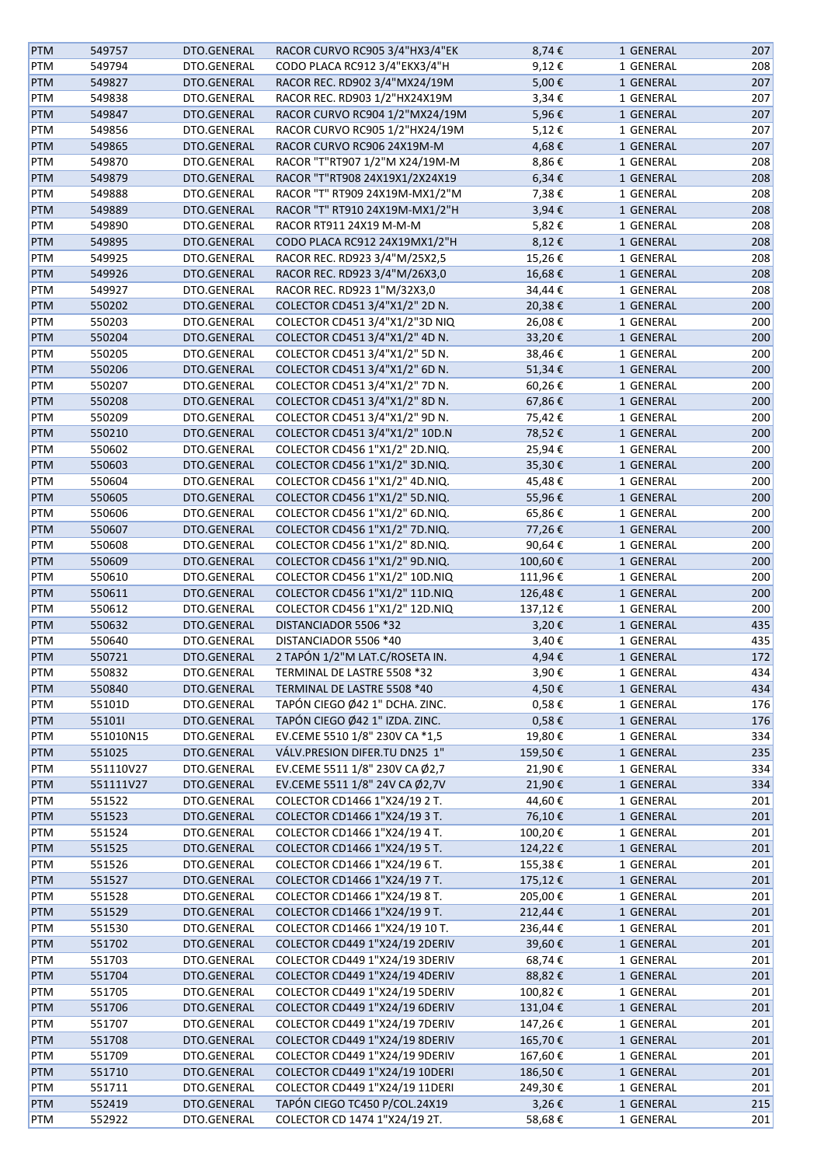| <b>PTM</b> | 549757    | DTO.GENERAL | RACOR CURVO RC905 3/4"HX3/4"EK | 8,74€      | 1 GENERAL | 207 |
|------------|-----------|-------------|--------------------------------|------------|-----------|-----|
| PTM        | 549794    | DTO.GENERAL | CODO PLACA RC912 3/4"EKX3/4"H  | 9,12€      | 1 GENERAL | 208 |
| PTM        | 549827    | DTO.GENERAL | RACOR REC. RD902 3/4"MX24/19M  | 5,00€      | 1 GENERAL | 207 |
| PTM        | 549838    | DTO.GENERAL | RACOR REC. RD903 1/2"HX24X19M  | 3,34€      | 1 GENERAL | 207 |
| <b>PTM</b> | 549847    | DTO.GENERAL | RACOR CURVO RC904 1/2"MX24/19M | 5,96€      | 1 GENERAL | 207 |
| PTM        | 549856    | DTO.GENERAL | RACOR CURVO RC905 1/2"HX24/19M | 5,12€      | 1 GENERAL | 207 |
|            |           |             |                                |            |           |     |
| <b>PTM</b> | 549865    | DTO.GENERAL | RACOR CURVO RC906 24X19M-M     | 4,68€      | 1 GENERAL | 207 |
| PTM        | 549870    | DTO.GENERAL | RACOR "T"RT907 1/2"M X24/19M-M | 8,86€      | 1 GENERAL | 208 |
| <b>PTM</b> | 549879    | DTO.GENERAL | RACOR "T"RT908 24X19X1/2X24X19 | 6,34€      | 1 GENERAL | 208 |
| PTM        | 549888    | DTO.GENERAL | RACOR "T" RT909 24X19M-MX1/2"M | 7,38€      | 1 GENERAL | 208 |
| PTM        | 549889    | DTO.GENERAL | RACOR "T" RT910 24X19M-MX1/2"H | 3,94€      | 1 GENERAL | 208 |
| PTM        | 549890    | DTO.GENERAL | RACOR RT911 24X19 M-M-M        | 5,82€      | 1 GENERAL | 208 |
| PTM        | 549895    | DTO.GENERAL | CODO PLACA RC912 24X19MX1/2"H  | 8,12€      | 1 GENERAL | 208 |
| PTM        | 549925    | DTO.GENERAL | RACOR REC. RD923 3/4"M/25X2,5  | 15,26€     | 1 GENERAL | 208 |
| PTM        | 549926    | DTO.GENERAL | RACOR REC. RD923 3/4"M/26X3,0  | 16,68€     | 1 GENERAL | 208 |
| PTM        | 549927    | DTO.GENERAL | RACOR REC. RD923 1"M/32X3,0    | 34,44€     | 1 GENERAL | 208 |
| PTM        | 550202    | DTO.GENERAL | COLECTOR CD451 3/4"X1/2" 2D N. | 20,38€     | 1 GENERAL | 200 |
| PTM        | 550203    | DTO.GENERAL | COLECTOR CD451 3/4"X1/2"3D NIQ | 26,08€     | 1 GENERAL | 200 |
| <b>PTM</b> | 550204    | DTO.GENERAL | COLECTOR CD451 3/4"X1/2" 4D N. | 33,20€     | 1 GENERAL | 200 |
| PTM        | 550205    | DTO.GENERAL | COLECTOR CD451 3/4"X1/2" 5D N. | 38,46€     | 1 GENERAL | 200 |
| <b>PTM</b> | 550206    | DTO.GENERAL | COLECTOR CD451 3/4"X1/2" 6D N. | 51,34€     | 1 GENERAL | 200 |
|            |           |             |                                |            |           |     |
| PTM        | 550207    | DTO.GENERAL | COLECTOR CD451 3/4"X1/2" 7D N. | 60,26€     | 1 GENERAL | 200 |
| <b>PTM</b> | 550208    | DTO.GENERAL | COLECTOR CD451 3/4"X1/2" 8D N. | 67,86€     | 1 GENERAL | 200 |
| PTM        | 550209    | DTO.GENERAL | COLECTOR CD451 3/4"X1/2" 9D N. | 75,42€     | 1 GENERAL | 200 |
| PTM        | 550210    | DTO.GENERAL | COLECTOR CD451 3/4"X1/2" 10D.N | 78,52€     | 1 GENERAL | 200 |
| PTM        | 550602    | DTO.GENERAL | COLECTOR CD456 1"X1/2" 2D.NIQ. | 25,94€     | 1 GENERAL | 200 |
| PTM        | 550603    | DTO.GENERAL | COLECTOR CD456 1"X1/2" 3D.NIQ. | 35,30€     | 1 GENERAL | 200 |
| PTM        | 550604    | DTO.GENERAL | COLECTOR CD456 1"X1/2" 4D.NIQ. | 45,48€     | 1 GENERAL | 200 |
| PTM        | 550605    | DTO.GENERAL | COLECTOR CD456 1"X1/2" 5D.NIQ. | 55,96€     | 1 GENERAL | 200 |
| PTM        | 550606    | DTO.GENERAL | COLECTOR CD456 1"X1/2" 6D.NIQ. | 65,86€     | 1 GENERAL | 200 |
| PTM        | 550607    | DTO.GENERAL | COLECTOR CD456 1"X1/2" 7D.NIQ. | 77,26€     | 1 GENERAL | 200 |
| PTM        | 550608    | DTO.GENERAL | COLECTOR CD456 1"X1/2" 8D.NIQ. | 90,64€     | 1 GENERAL | 200 |
| PTM        | 550609    | DTO.GENERAL | COLECTOR CD456 1"X1/2" 9D.NIQ. | 100,60€    | 1 GENERAL | 200 |
| PTM        | 550610    | DTO.GENERAL | COLECTOR CD456 1"X1/2" 10D.NIQ | 111,96€    | 1 GENERAL | 200 |
|            | 550611    | DTO.GENERAL | COLECTOR CD456 1"X1/2" 11D.NIQ | 126,48€    |           | 200 |
| <b>PTM</b> |           |             |                                |            | 1 GENERAL |     |
| PTM        | 550612    | DTO.GENERAL | COLECTOR CD456 1"X1/2" 12D.NIQ | 137,12€    | 1 GENERAL | 200 |
| <b>PTM</b> | 550632    | DTO.GENERAL | DISTANCIADOR 5506 *32          | 3,20€      | 1 GENERAL | 435 |
| PTM        | 550640    | DTO.GENERAL | DISTANCIADOR 5506 *40          | 3,40€      | 1 GENERAL | 435 |
| <b>PTM</b> | 550721    | DTO.GENERAL | 2 TAPÓN 1/2"M LAT.C/ROSETA IN. | 4,94€      | 1 GENERAL | 172 |
| PTM        | 550832    | DTO.GENERAL | TERMINAL DE LASTRE 5508 *32    | 3,90€      | 1 GENERAL | 434 |
| <b>PTM</b> | 550840    | DTO.GENERAL | TERMINAL DE LASTRE 5508 *40    | 4,50€      | 1 GENERAL | 434 |
| PTM        | 55101D    | DTO.GENERAL | TAPÓN CIEGO Ø42 1" DCHA. ZINC. | $0,58 \in$ | 1 GENERAL | 176 |
| <b>PTM</b> | 551011    | DTO.GENERAL | TAPÓN CIEGO Ø42 1" IZDA. ZINC. | $0,58 \in$ | 1 GENERAL | 176 |
| PTM        | 551010N15 | DTO.GENERAL | EV.CEME 5510 1/8" 230V CA *1,5 | 19,80€     | 1 GENERAL | 334 |
| PTM        | 551025    | DTO.GENERAL | VÁLV.PRESION DIFER.TU DN25 1"  | 159,50€    | 1 GENERAL | 235 |
| PTM        | 551110V27 | DTO.GENERAL | EV.CEME 5511 1/8" 230V CA Ø2,7 | 21,90€     | 1 GENERAL | 334 |
| <b>PTM</b> | 551111V27 | DTO.GENERAL | EV.CEME 5511 1/8" 24V CA Ø2,7V | 21,90€     | 1 GENERAL | 334 |
| PTM        | 551522    | DTO.GENERAL | COLECTOR CD1466 1"X24/19 2 T.  | 44,60€     | 1 GENERAL | 201 |
| PTM        | 551523    | DTO.GENERAL | COLECTOR CD1466 1"X24/19 3 T.  | 76,10€     | 1 GENERAL | 201 |
| PTM        | 551524    | DTO.GENERAL | COLECTOR CD1466 1"X24/19 4 T.  | 100,20€    | 1 GENERAL | 201 |
|            |           |             |                                |            |           | 201 |
| PTM        | 551525    | DTO.GENERAL | COLECTOR CD1466 1"X24/19 5 T.  | 124,22€    | 1 GENERAL |     |
| PTM        | 551526    | DTO.GENERAL | COLECTOR CD1466 1"X24/19 6 T.  | 155,38€    | 1 GENERAL | 201 |
| <b>PTM</b> | 551527    | DTO.GENERAL | COLECTOR CD1466 1"X24/19 7 T.  | 175,12€    | 1 GENERAL | 201 |
| PTM        | 551528    | DTO.GENERAL | COLECTOR CD1466 1"X24/19 8 T.  | 205,00€    | 1 GENERAL | 201 |
| PTM        | 551529    | DTO.GENERAL | COLECTOR CD1466 1"X24/19 9 T.  | 212,44€    | 1 GENERAL | 201 |
| PTM        | 551530    | DTO.GENERAL | COLECTOR CD1466 1"X24/19 10 T. | 236,44€    | 1 GENERAL | 201 |
| PTM        | 551702    | DTO.GENERAL | COLECTOR CD449 1"X24/19 2DERIV | 39,60€     | 1 GENERAL | 201 |
| PTM        | 551703    | DTO.GENERAL | COLECTOR CD449 1"X24/19 3DERIV | 68,74€     | 1 GENERAL | 201 |
| <b>PTM</b> | 551704    | DTO.GENERAL | COLECTOR CD449 1"X24/19 4DERIV | 88,82€     | 1 GENERAL | 201 |
| PTM        | 551705    | DTO.GENERAL | COLECTOR CD449 1"X24/19 5DERIV | 100,82€    | 1 GENERAL | 201 |
| <b>PTM</b> | 551706    | DTO.GENERAL | COLECTOR CD449 1"X24/19 6DERIV | 131,04€    | 1 GENERAL | 201 |
| PTM        | 551707    | DTO.GENERAL | COLECTOR CD449 1"X24/19 7DERIV | 147,26€    | 1 GENERAL | 201 |
| <b>PTM</b> | 551708    | DTO.GENERAL | COLECTOR CD449 1"X24/19 8DERIV | 165,70€    | 1 GENERAL | 201 |
|            |           |             |                                |            |           |     |
| PTM        | 551709    | DTO.GENERAL | COLECTOR CD449 1"X24/19 9DERIV | 167,60€    | 1 GENERAL | 201 |
| <b>PTM</b> | 551710    | DTO.GENERAL | COLECTOR CD449 1"X24/19 10DERI | 186,50€    | 1 GENERAL | 201 |
| PTM        | 551711    | DTO.GENERAL | COLECTOR CD449 1"X24/19 11DERI | 249,30€    | 1 GENERAL | 201 |
| <b>PTM</b> | 552419    | DTO.GENERAL | TAPÓN CIEGO TC450 P/COL.24X19  | 3,26€      | 1 GENERAL | 215 |
| PTM        | 552922    | DTO.GENERAL | COLECTOR CD 1474 1"X24/19 2T.  | 58,68€     | 1 GENERAL | 201 |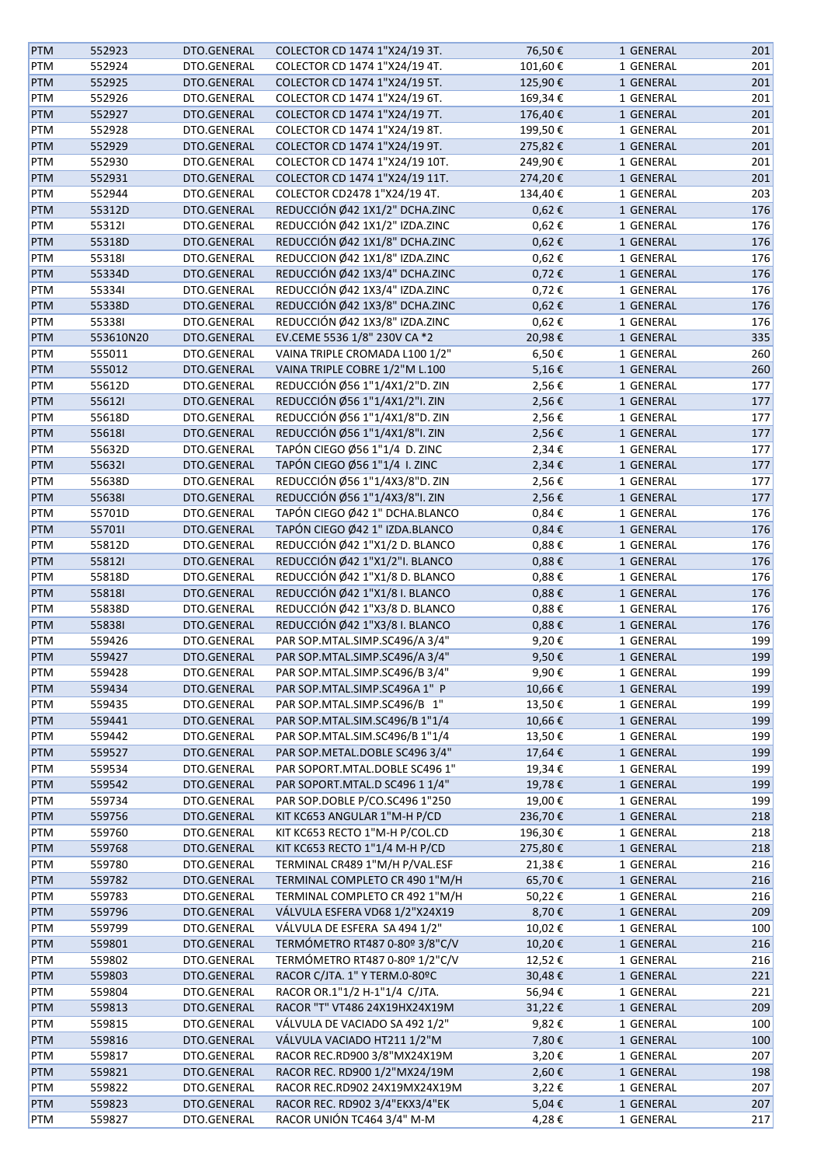| <b>PTM</b> | 552923    | DTO.GENERAL | COLECTOR CD 1474 1"X24/19 3T.  | 76,50€     | 1 GENERAL | 201 |
|------------|-----------|-------------|--------------------------------|------------|-----------|-----|
| <b>PTM</b> | 552924    | DTO.GENERAL | COLECTOR CD 1474 1"X24/19 4T.  | 101,60€    | 1 GENERAL | 201 |
| <b>PTM</b> | 552925    | DTO.GENERAL | COLECTOR CD 1474 1"X24/19 5T.  | 125,90€    | 1 GENERAL | 201 |
| <b>PTM</b> | 552926    | DTO.GENERAL | COLECTOR CD 1474 1"X24/19 6T.  | 169,34€    | 1 GENERAL | 201 |
| <b>PTM</b> | 552927    | DTO.GENERAL | COLECTOR CD 1474 1"X24/19 7T.  | 176,40€    | 1 GENERAL | 201 |
| PTM        | 552928    | DTO.GENERAL | COLECTOR CD 1474 1"X24/19 8T.  | 199,50€    | 1 GENERAL | 201 |
|            |           | DTO.GENERAL |                                |            |           |     |
| <b>PTM</b> | 552929    |             | COLECTOR CD 1474 1"X24/19 9T.  | 275,82€    | 1 GENERAL | 201 |
| PTM        | 552930    | DTO.GENERAL | COLECTOR CD 1474 1"X24/19 10T. | 249,90€    | 1 GENERAL | 201 |
| <b>PTM</b> | 552931    | DTO.GENERAL | COLECTOR CD 1474 1"X24/19 11T. | 274,20€    | 1 GENERAL | 201 |
| <b>PTM</b> | 552944    | DTO.GENERAL | COLECTOR CD2478 1"X24/19 4T.   | 134,40€    | 1 GENERAL | 203 |
| PTM        | 55312D    | DTO.GENERAL | REDUCCIÓN Ø42 1X1/2" DCHA.ZINC | 0,62€      | 1 GENERAL | 176 |
| PTM        | 553121    | DTO.GENERAL | REDUCCIÓN Ø42 1X1/2" IZDA.ZINC | $0,62 \in$ | 1 GENERAL | 176 |
| <b>PTM</b> | 55318D    | DTO.GENERAL | REDUCCIÓN Ø42 1X1/8" DCHA.ZINC | $0,62 \in$ | 1 GENERAL | 176 |
| <b>PTM</b> | 553181    | DTO.GENERAL | REDUCCION Ø42 1X1/8" IZDA.ZINC | 0,62€      | 1 GENERAL | 176 |
| <b>PTM</b> | 55334D    | DTO.GENERAL | REDUCCIÓN Ø42 1X3/4" DCHA.ZINC | $0,72 \in$ | 1 GENERAL | 176 |
| PTM        | 553341    | DTO.GENERAL | REDUCCIÓN Ø42 1X3/4" IZDA.ZINC | 0,72€      | 1 GENERAL | 176 |
| <b>PTM</b> | 55338D    | DTO.GENERAL | REDUCCIÓN Ø42 1X3/8" DCHA.ZINC | $0,62 \in$ | 1 GENERAL | 176 |
| <b>PTM</b> | 553381    | DTO.GENERAL | REDUCCIÓN Ø42 1X3/8" IZDA.ZINC | 0,62€      | 1 GENERAL | 176 |
| <b>PTM</b> | 553610N20 | DTO.GENERAL | EV.CEME 5536 1/8" 230V CA *2   | 20,98€     | 1 GENERAL | 335 |
| PTM        | 555011    | DTO.GENERAL | VAINA TRIPLE CROMADA L100 1/2" | 6,50€      | 1 GENERAL | 260 |
| <b>PTM</b> | 555012    | DTO.GENERAL | VAINA TRIPLE COBRE 1/2"M L.100 | 5,16€      | 1 GENERAL | 260 |
|            |           |             | REDUCCIÓN Ø56 1"1/4X1/2"D. ZIN |            |           |     |
| <b>PTM</b> | 55612D    | DTO.GENERAL |                                | 2,56€      | 1 GENERAL | 177 |
| PTM        | 556121    | DTO.GENERAL | REDUCCIÓN Ø56 1"1/4X1/2"I. ZIN | 2,56€      | 1 GENERAL | 177 |
| PTM        | 55618D    | DTO.GENERAL | REDUCCIÓN Ø56 1"1/4X1/8"D. ZIN | 2,56€      | 1 GENERAL | 177 |
| PTM        | 556181    | DTO.GENERAL | REDUCCIÓN Ø56 1"1/4X1/8"I. ZIN | 2,56€      | 1 GENERAL | 177 |
| PTM        | 55632D    | DTO.GENERAL | TAPÓN CIEGO Ø56 1"1/4 D. ZINC  | 2,34€      | 1 GENERAL | 177 |
| <b>PTM</b> | 556321    | DTO.GENERAL | TAPÓN CIEGO Ø56 1"1/4 I. ZINC  | 2,34€      | 1 GENERAL | 177 |
| PTM        | 55638D    | DTO.GENERAL | REDUCCIÓN Ø56 1"1/4X3/8"D. ZIN | 2,56€      | 1 GENERAL | 177 |
| <b>PTM</b> | 556381    | DTO.GENERAL | REDUCCIÓN Ø56 1"1/4X3/8"I. ZIN | 2,56€      | 1 GENERAL | 177 |
| <b>PTM</b> | 55701D    | DTO.GENERAL | TAPÓN CIEGO Ø42 1" DCHA.BLANCO | 0,84€      | 1 GENERAL | 176 |
| PTM        | 557011    | DTO.GENERAL | TAPÓN CIEGO Ø42 1" IZDA.BLANCO | 0,84€      | 1 GENERAL | 176 |
| PTM        | 55812D    | DTO.GENERAL | REDUCCIÓN Ø42 1"X1/2 D. BLANCO | 0,88€      | 1 GENERAL | 176 |
| <b>PTM</b> | 558121    | DTO.GENERAL | REDUCCIÓN Ø42 1"X1/2"I. BLANCO | 0,88€      | 1 GENERAL | 176 |
| PTM        | 55818D    | DTO.GENERAL | REDUCCIÓN Ø42 1"X1/8 D. BLANCO | $0,88 \in$ | 1 GENERAL | 176 |
| <b>PTM</b> | 558181    | DTO.GENERAL | REDUCCIÓN Ø42 1"X1/8 I. BLANCO | $0,88 \in$ | 1 GENERAL | 176 |
|            | 55838D    | DTO.GENERAL | REDUCCIÓN Ø42 1"X3/8 D. BLANCO | 0,88€      | 1 GENERAL |     |
| PTM        |           |             | REDUCCIÓN Ø42 1"X3/8 I. BLANCO |            |           | 176 |
| PTM        | 558381    | DTO.GENERAL |                                | $0,88 \in$ | 1 GENERAL | 176 |
| PTM        | 559426    | DTO.GENERAL | PAR SOP.MTAL.SIMP.SC496/A 3/4" | 9,20€      | 1 GENERAL | 199 |
| <b>PTM</b> | 559427    | DTO.GENERAL | PAR SOP.MTAL.SIMP.SC496/A 3/4" | 9,50€      | 1 GENERAL | 199 |
| <b>PTM</b> | 559428    | DTO.GENERAL | PAR SOP.MTAL.SIMP.SC496/B 3/4" | 9,90€      | 1 GENERAL | 199 |
| <b>PTM</b> | 559434    | DTO.GENERAL | PAR SOP.MTAL.SIMP.SC496A 1" P  | 10,66€     | 1 GENERAL | 199 |
| <b>PTM</b> | 559435    | DTO.GENERAL | PAR SOP.MTAL.SIMP.SC496/B 1"   | 13,50€     | 1 GENERAL | 199 |
| <b>PTM</b> | 559441    | DTO.GENERAL | PAR SOP.MTAL.SIM.SC496/B 1"1/4 | 10,66€     | 1 GENERAL | 199 |
| PTM        | 559442    | DTO.GENERAL | PAR SOP.MTAL.SIM.SC496/B 1"1/4 | 13,50€     | 1 GENERAL | 199 |
| <b>PTM</b> | 559527    | DTO.GENERAL | PAR SOP.METAL.DOBLE SC496 3/4" | 17,64€     | 1 GENERAL | 199 |
| <b>PTM</b> | 559534    | DTO.GENERAL | PAR SOPORT.MTAL.DOBLE SC496 1" | 19,34€     | 1 GENERAL | 199 |
| <b>PTM</b> | 559542    | DTO.GENERAL | PAR SOPORT.MTAL.D SC496 1 1/4" | 19,78€     | 1 GENERAL | 199 |
| <b>PTM</b> | 559734    | DTO.GENERAL | PAR SOP.DOBLE P/CO.SC496 1"250 | 19,00€     | 1 GENERAL | 199 |
| <b>PTM</b> | 559756    | DTO.GENERAL | KIT KC653 ANGULAR 1"M-H P/CD   | 236,70€    | 1 GENERAL | 218 |
| <b>PTM</b> | 559760    | DTO.GENERAL | KIT KC653 RECTO 1"M-H P/COL.CD | 196,30€    | 1 GENERAL | 218 |
| <b>PTM</b> | 559768    | DTO.GENERAL | KIT KC653 RECTO 1"1/4 M-H P/CD | 275,80€    | 1 GENERAL | 218 |
| <b>PTM</b> | 559780    | DTO.GENERAL | TERMINAL CR489 1"M/H P/VAL.ESF | 21,38€     | 1 GENERAL | 216 |
| <b>PTM</b> |           | DTO.GENERAL | TERMINAL COMPLETO CR 490 1"M/H |            | 1 GENERAL | 216 |
|            | 559782    |             |                                | 65,70€     |           |     |
| PTM        | 559783    | DTO.GENERAL | TERMINAL COMPLETO CR 492 1"M/H | 50,22€     | 1 GENERAL | 216 |
| <b>PTM</b> | 559796    | DTO.GENERAL | VÁLVULA ESFERA VD68 1/2"X24X19 | 8,70€      | 1 GENERAL | 209 |
| <b>PTM</b> | 559799    | DTO.GENERAL | VÁLVULA DE ESFERA SA 494 1/2"  | 10,02€     | 1 GENERAL | 100 |
| <b>PTM</b> | 559801    | DTO.GENERAL | TERMÓMETRO RT487 0-80º 3/8"C/V | 10,20€     | 1 GENERAL | 216 |
| <b>PTM</b> | 559802    | DTO.GENERAL | TERMÓMETRO RT487 0-80º 1/2"C/V | 12,52€     | 1 GENERAL | 216 |
| <b>PTM</b> | 559803    | DTO.GENERAL | RACOR C/JTA. 1" Y TERM.0-80ºC  | 30,48€     | 1 GENERAL | 221 |
| <b>PTM</b> | 559804    | DTO.GENERAL | RACOR OR.1"1/2 H-1"1/4 C/JTA.  | 56,94€     | 1 GENERAL | 221 |
| <b>PTM</b> | 559813    | DTO.GENERAL | RACOR "T" VT486 24X19HX24X19M  | 31,22€     | 1 GENERAL | 209 |
| PTM        | 559815    | DTO.GENERAL | VÁLVULA DE VACIADO SA 492 1/2" | 9,82€      | 1 GENERAL | 100 |
| PTM        | 559816    | DTO.GENERAL | VÁLVULA VACIADO HT211 1/2"M    | 7,80€      | 1 GENERAL | 100 |
| <b>PTM</b> | 559817    | DTO.GENERAL | RACOR REC.RD900 3/8"MX24X19M   | 3,20€      | 1 GENERAL | 207 |
| <b>PTM</b> | 559821    | DTO.GENERAL | RACOR REC. RD900 1/2"MX24/19M  | 2,60€      | 1 GENERAL | 198 |
| <b>PTM</b> | 559822    | DTO.GENERAL | RACOR REC.RD902 24X19MX24X19M  | 3,22€      | 1 GENERAL | 207 |
| <b>PTM</b> | 559823    | DTO.GENERAL | RACOR REC. RD902 3/4"EKX3/4"EK | 5,04€      | 1 GENERAL | 207 |
| PTM        | 559827    | DTO.GENERAL | RACOR UNIÓN TC464 3/4" M-M     | 4,28€      | 1 GENERAL | 217 |
|            |           |             |                                |            |           |     |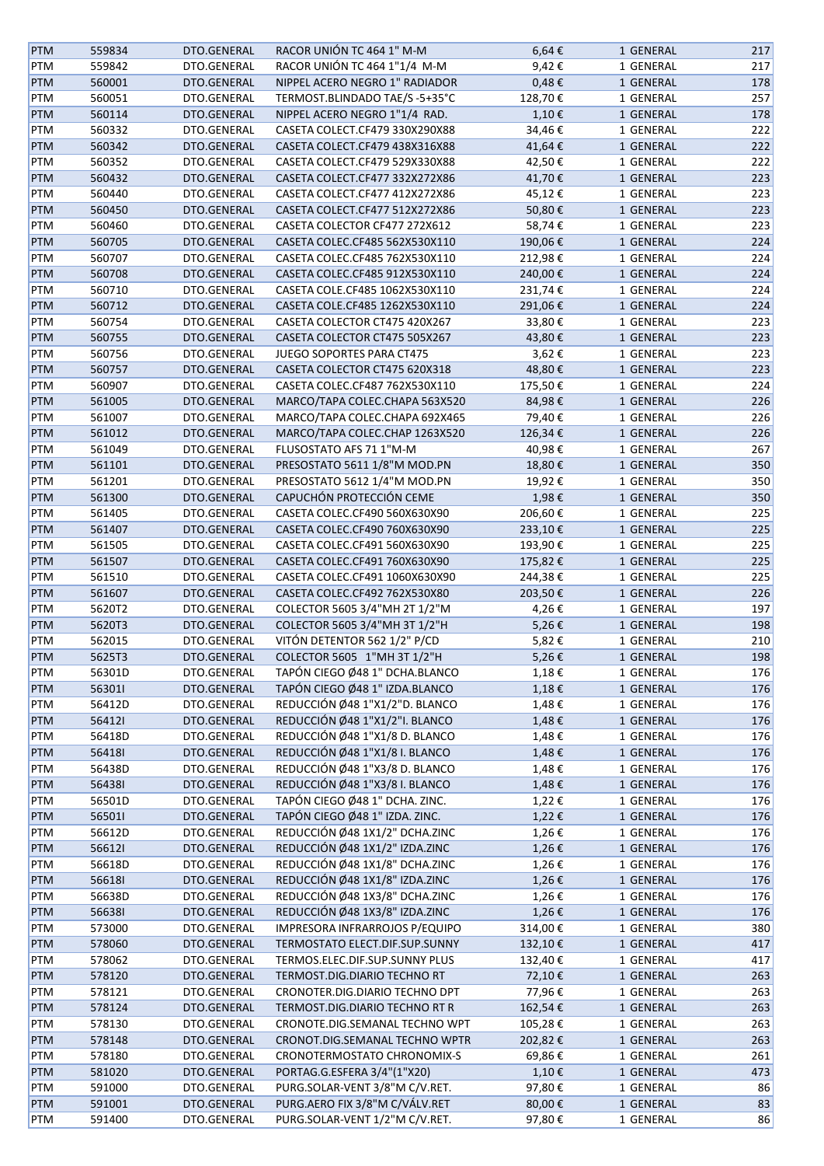| <b>PTM</b> | 559834 | DTO.GENERAL | RACOR UNIÓN TC 464 1" M-M      | $6,64 \in$ | 1 GENERAL | 217 |
|------------|--------|-------------|--------------------------------|------------|-----------|-----|
| PTM        | 559842 | DTO.GENERAL | RACOR UNIÓN TC 464 1"1/4 M-M   | 9,42€      | 1 GENERAL | 217 |
| PTM        | 560001 | DTO.GENERAL | NIPPEL ACERO NEGRO 1" RADIADOR | $0,48 \in$ | 1 GENERAL | 178 |
| PTM        | 560051 | DTO.GENERAL | TERMOST.BLINDADO TAE/S -5+35°C | 128,70€    | 1 GENERAL | 257 |
| PTM        | 560114 | DTO.GENERAL | NIPPEL ACERO NEGRO 1"1/4 RAD.  | 1,10€      | 1 GENERAL | 178 |
| PTM        | 560332 | DTO.GENERAL | CASETA COLECT.CF479 330X290X88 | 34,46€     | 1 GENERAL | 222 |
| PTM        | 560342 | DTO.GENERAL | CASETA COLECT.CF479 438X316X88 | 41,64€     | 1 GENERAL | 222 |
| PTM        | 560352 | DTO.GENERAL | CASETA COLECT.CF479 529X330X88 | 42,50€     | 1 GENERAL | 222 |
| PTM        | 560432 | DTO.GENERAL | CASETA COLECT.CF477 332X272X86 | 41,70€     | 1 GENERAL | 223 |
|            |        |             |                                |            |           |     |
| PTM        | 560440 | DTO.GENERAL | CASETA COLECT.CF477 412X272X86 | 45,12€     | 1 GENERAL | 223 |
| <b>PTM</b> | 560450 | DTO.GENERAL | CASETA COLECT.CF477 512X272X86 | 50,80€     | 1 GENERAL | 223 |
| PTM        | 560460 | DTO.GENERAL | CASETA COLECTOR CF477 272X612  | 58,74€     | 1 GENERAL | 223 |
| PTM        | 560705 | DTO.GENERAL | CASETA COLEC.CF485 562X530X110 | 190,06€    | 1 GENERAL | 224 |
| PTM        | 560707 | DTO.GENERAL | CASETA COLEC.CF485 762X530X110 | 212,98€    | 1 GENERAL | 224 |
| PTM        | 560708 | DTO.GENERAL | CASETA COLEC.CF485 912X530X110 | 240,00€    | 1 GENERAL | 224 |
| PTM        | 560710 | DTO.GENERAL | CASETA COLE.CF485 1062X530X110 | 231,74€    | 1 GENERAL | 224 |
| PTM        | 560712 | DTO.GENERAL | CASETA COLE.CF485 1262X530X110 | 291,06€    | 1 GENERAL | 224 |
| PTM        | 560754 | DTO.GENERAL | CASETA COLECTOR CT475 420X267  | 33,80€     | 1 GENERAL | 223 |
| PTM        | 560755 | DTO.GENERAL | CASETA COLECTOR CT475 505X267  | 43,80€     | 1 GENERAL | 223 |
| PTM        | 560756 | DTO.GENERAL | JUEGO SOPORTES PARA CT475      | 3,62€      | 1 GENERAL | 223 |
| <b>PTM</b> | 560757 | DTO.GENERAL | CASETA COLECTOR CT475 620X318  | 48,80€     | 1 GENERAL | 223 |
| PTM        | 560907 | DTO.GENERAL | CASETA COLEC.CF487 762X530X110 | 175,50€    | 1 GENERAL | 224 |
| <b>PTM</b> | 561005 | DTO.GENERAL | MARCO/TAPA COLEC.CHAPA 563X520 | 84,98€     | 1 GENERAL | 226 |
|            | 561007 |             | MARCO/TAPA COLEC.CHAPA 692X465 |            | 1 GENERAL |     |
| PTM        |        | DTO.GENERAL |                                | 79,40€     |           | 226 |
| <b>PTM</b> | 561012 | DTO.GENERAL | MARCO/TAPA COLEC.CHAP 1263X520 | 126,34€    | 1 GENERAL | 226 |
| PTM        | 561049 | DTO.GENERAL | FLUSOSTATO AFS 71 1"M-M        | 40,98€     | 1 GENERAL | 267 |
| PTM        | 561101 | DTO.GENERAL | PRESOSTATO 5611 1/8"M MOD.PN   | 18,80€     | 1 GENERAL | 350 |
| PTM        | 561201 | DTO.GENERAL | PRESOSTATO 5612 1/4"M MOD.PN   | 19,92€     | 1 GENERAL | 350 |
| <b>PTM</b> | 561300 | DTO.GENERAL | CAPUCHÓN PROTECCIÓN CEME       | 1,98€      | 1 GENERAL | 350 |
| PTM        | 561405 | DTO.GENERAL | CASETA COLEC.CF490 560X630X90  | 206,60€    | 1 GENERAL | 225 |
| PTM        | 561407 | DTO.GENERAL | CASETA COLEC.CF490 760X630X90  | 233,10€    | 1 GENERAL | 225 |
| PTM        | 561505 | DTO.GENERAL | CASETA COLEC.CF491 560X630X90  | 193,90€    | 1 GENERAL | 225 |
| PTM        | 561507 | DTO.GENERAL | CASETA COLEC.CF491 760X630X90  | 175,82€    | 1 GENERAL | 225 |
| PTM        | 561510 | DTO.GENERAL | CASETA COLEC.CF491 1060X630X90 | 244,38€    | 1 GENERAL | 225 |
| <b>PTM</b> | 561607 | DTO.GENERAL | CASETA COLEC.CF492 762X530X80  | 203,50€    | 1 GENERAL | 226 |
| <b>PTM</b> | 5620T2 | DTO.GENERAL | COLECTOR 5605 3/4"MH 2T 1/2"M  | 4,26€      | 1 GENERAL | 197 |
| <b>PTM</b> | 5620T3 | DTO.GENERAL | COLECTOR 5605 3/4"MH 3T 1/2"H  | 5,26€      | 1 GENERAL | 198 |
| PTM        | 562015 | DTO.GENERAL | VITÓN DETENTOR 562 1/2" P/CD   | 5,82€      | 1 GENERAL | 210 |
| <b>PTM</b> | 5625T3 | DTO.GENERAL | COLECTOR 5605 1"MH 3T 1/2"H    | 5,26€      | 1 GENERAL | 198 |
| PTM        | 56301D | DTO.GENERAL | TAPÓN CIEGO Ø48 1" DCHA.BLANCO |            | 1 GENERAL | 176 |
|            |        |             |                                | 1,18€      |           |     |
| <b>PTM</b> | 563011 | DTO.GENERAL | TAPÓN CIEGO Ø48 1" IZDA.BLANCO | 1,18€      | 1 GENERAL | 176 |
| PTM        | 56412D | DTO.GENERAL | REDUCCIÓN Ø48 1"X1/2"D. BLANCO | 1,48€      | 1 GENERAL | 176 |
| <b>PTM</b> | 564121 | DTO.GENERAL | REDUCCIÓN Ø48 1"X1/2"I. BLANCO | 1,48€      | 1 GENERAL | 176 |
| PTM        | 56418D | DTO.GENERAL | REDUCCIÓN Ø48 1"X1/8 D. BLANCO | 1,48€      | 1 GENERAL | 176 |
| PTM        | 564181 | DTO.GENERAL | REDUCCIÓN Ø48 1"X1/8 I. BLANCO | 1,48€      | 1 GENERAL | 176 |
| PTM        | 56438D | DTO.GENERAL | REDUCCIÓN Ø48 1"X3/8 D. BLANCO | 1,48€      | 1 GENERAL | 176 |
| <b>PTM</b> | 564381 | DTO.GENERAL | REDUCCIÓN Ø48 1"X3/8 I. BLANCO | 1,48€      | 1 GENERAL | 176 |
| PTM        | 56501D | DTO.GENERAL | TAPÓN CIEGO Ø48 1" DCHA. ZINC. | 1,22€      | 1 GENERAL | 176 |
| <b>PTM</b> | 565011 | DTO.GENERAL | TAPÓN CIEGO Ø48 1" IZDA. ZINC. | 1,22€      | 1 GENERAL | 176 |
| PTM        | 56612D | DTO.GENERAL | REDUCCIÓN Ø48 1X1/2" DCHA.ZINC | 1,26€      | 1 GENERAL | 176 |
| <b>PTM</b> | 566121 | DTO.GENERAL | REDUCCIÓN Ø48 1X1/2" IZDA.ZINC | 1,26€      | 1 GENERAL | 176 |
| PTM        | 56618D | DTO.GENERAL | REDUCCIÓN Ø48 1X1/8" DCHA.ZINC | 1,26€      | 1 GENERAL | 176 |
| <b>PTM</b> | 566181 | DTO.GENERAL | REDUCCIÓN Ø48 1X1/8" IZDA.ZINC | 1,26€      | 1 GENERAL | 176 |
| PTM        | 56638D | DTO.GENERAL | REDUCCIÓN Ø48 1X3/8" DCHA.ZINC | 1,26€      | 1 GENERAL | 176 |
| <b>PTM</b> | 566381 | DTO.GENERAL | REDUCCIÓN Ø48 1X3/8" IZDA.ZINC | 1,26€      | 1 GENERAL | 176 |
| PTM        | 573000 | DTO.GENERAL | IMPRESORA INFRARROJOS P/EQUIPO |            |           | 380 |
|            |        |             |                                | 314,00€    | 1 GENERAL |     |
| <b>PTM</b> | 578060 | DTO.GENERAL | TERMOSTATO ELECT.DIF.SUP.SUNNY | 132,10€    | 1 GENERAL | 417 |
| PTM        | 578062 | DTO.GENERAL | TERMOS.ELEC.DIF.SUP.SUNNY PLUS | 132,40€    | 1 GENERAL | 417 |
| PTM        | 578120 | DTO.GENERAL | TERMOST.DIG.DIARIO TECHNO RT   | 72,10€     | 1 GENERAL | 263 |
| PTM        | 578121 | DTO.GENERAL | CRONOTER.DIG.DIARIO TECHNO DPT | 77,96€     | 1 GENERAL | 263 |
| <b>PTM</b> | 578124 | DTO.GENERAL | TERMOST.DIG.DIARIO TECHNO RT R | 162,54€    | 1 GENERAL | 263 |
| PTM        | 578130 | DTO.GENERAL | CRONOTE.DIG.SEMANAL TECHNO WPT | 105,28€    | 1 GENERAL | 263 |
| <b>PTM</b> | 578148 | DTO.GENERAL | CRONOT.DIG.SEMANAL TECHNO WPTR | 202,82€    | 1 GENERAL | 263 |
| PTM        | 578180 | DTO.GENERAL | CRONOTERMOSTATO CHRONOMIX-S    | 69,86€     | 1 GENERAL | 261 |
| <b>PTM</b> | 581020 | DTO.GENERAL | PORTAG.G.ESFERA 3/4"(1"X20)    | 1,10€      | 1 GENERAL | 473 |
| PTM        | 591000 | DTO.GENERAL | PURG.SOLAR-VENT 3/8"M C/V.RET. | 97,80€     | 1 GENERAL | 86  |
| <b>PTM</b> | 591001 | DTO.GENERAL | PURG.AERO FIX 3/8"M C/VÁLV.RET | 80,00€     | 1 GENERAL | 83  |
| PTM        | 591400 | DTO.GENERAL | PURG.SOLAR-VENT 1/2"M C/V.RET. | 97,80€     | 1 GENERAL | 86  |
|            |        |             |                                |            |           |     |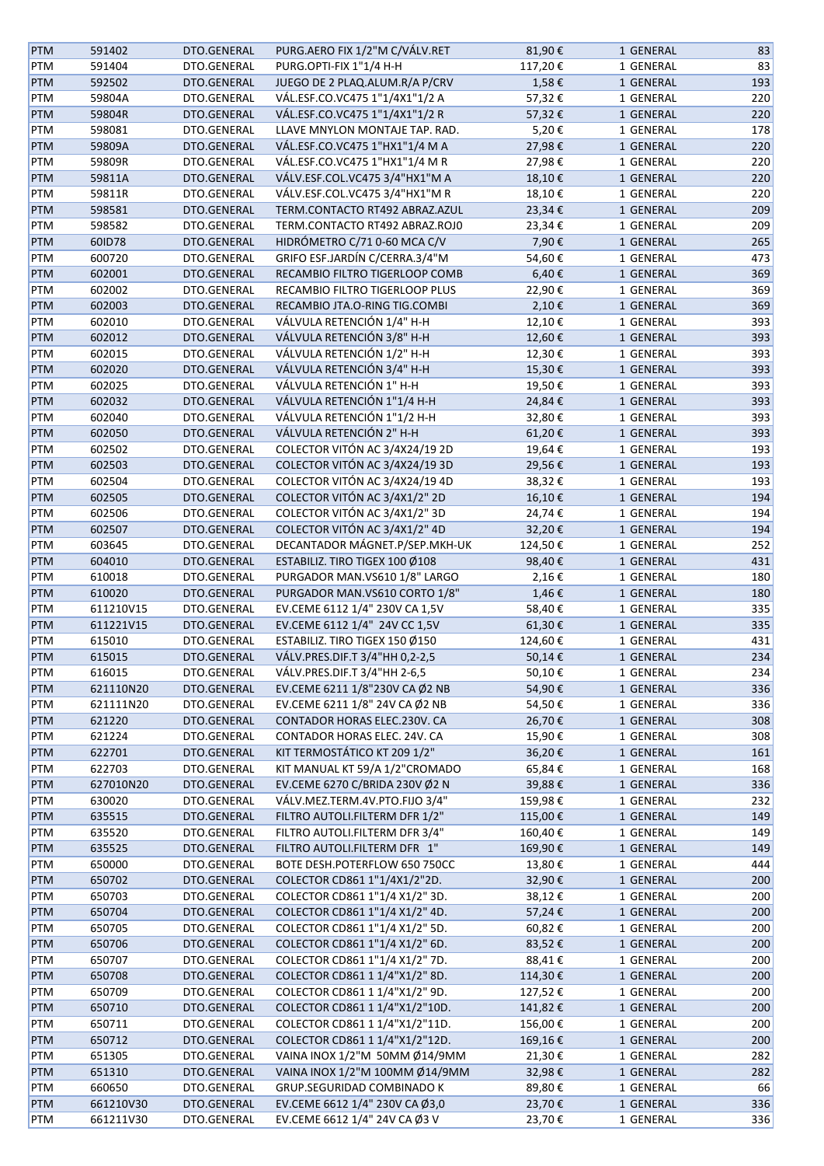| <b>PTM</b> | 591402    | DTO.GENERAL | PURG.AERO FIX 1/2"M C/VÁLV.RET | 81,90€  | 1 GENERAL | 83  |
|------------|-----------|-------------|--------------------------------|---------|-----------|-----|
| PTM        | 591404    | DTO.GENERAL | PURG.OPTI-FIX 1"1/4 H-H        | 117,20€ | 1 GENERAL | 83  |
| PTM        | 592502    | DTO.GENERAL | JUEGO DE 2 PLAQ.ALUM.R/A P/CRV | 1,58€   | 1 GENERAL | 193 |
| PTM        | 59804A    | DTO.GENERAL | VÁL.ESF.CO.VC475 1"1/4X1"1/2 A | 57,32€  | 1 GENERAL | 220 |
| PTM        | 59804R    | DTO.GENERAL | VÁL.ESF.CO.VC475 1"1/4X1"1/2 R | 57,32€  | 1 GENERAL | 220 |
| PTM        | 598081    | DTO.GENERAL | LLAVE MNYLON MONTAJE TAP. RAD. | 5,20€   | 1 GENERAL | 178 |
| PTM        | 59809A    | DTO.GENERAL | VÁL.ESF.CO.VC475 1"HX1"1/4 M A | 27,98€  | 1 GENERAL | 220 |
| PTM        | 59809R    | DTO.GENERAL | VÁL.ESF.CO.VC475 1"HX1"1/4 M R | 27,98€  | 1 GENERAL | 220 |
|            |           |             |                                |         |           |     |
| PTM        | 59811A    | DTO.GENERAL | VÁLV.ESF.COL.VC475 3/4"HX1"M A | 18,10€  | 1 GENERAL | 220 |
| PTM        | 59811R    | DTO.GENERAL | VÁLV.ESF.COL.VC475 3/4"HX1"M R | 18,10€  | 1 GENERAL | 220 |
| <b>PTM</b> | 598581    | DTO.GENERAL | TERM.CONTACTO RT492 ABRAZ.AZUL | 23,34€  | 1 GENERAL | 209 |
| PTM        | 598582    | DTO.GENERAL | TERM.CONTACTO RT492 ABRAZ.ROJ0 | 23,34€  | 1 GENERAL | 209 |
| PTM        | 60ID78    | DTO.GENERAL | HIDRÓMETRO C/71 0-60 MCA C/V   | 7,90€   | 1 GENERAL | 265 |
| PTM        | 600720    | DTO.GENERAL | GRIFO ESF.JARDÍN C/CERRA.3/4"M | 54,60€  | 1 GENERAL | 473 |
| PTM        | 602001    | DTO.GENERAL | RECAMBIO FILTRO TIGERLOOP COMB | 6,40€   | 1 GENERAL | 369 |
| PTM        | 602002    | DTO.GENERAL | RECAMBIO FILTRO TIGERLOOP PLUS | 22,90€  | 1 GENERAL | 369 |
| PTM        | 602003    | DTO.GENERAL | RECAMBIO JTA.O-RING TIG.COMBI  | 2,10€   | 1 GENERAL | 369 |
| PTM        | 602010    | DTO.GENERAL | VÁLVULA RETENCIÓN 1/4" H-H     | 12,10€  | 1 GENERAL | 393 |
| PTM        | 602012    | DTO.GENERAL | VÁLVULA RETENCIÓN 3/8" H-H     | 12,60€  | 1 GENERAL | 393 |
| PTM        | 602015    | DTO.GENERAL | VÁLVULA RETENCIÓN 1/2" H-H     | 12,30€  | 1 GENERAL | 393 |
|            | 602020    | DTO.GENERAL | VÁLVULA RETENCIÓN 3/4" H-H     | 15,30€  | 1 GENERAL | 393 |
| PTM        |           |             |                                |         |           |     |
| PTM        | 602025    | DTO.GENERAL | VÁLVULA RETENCIÓN 1" H-H       | 19,50€  | 1 GENERAL | 393 |
| <b>PTM</b> | 602032    | DTO.GENERAL | VÁLVULA RETENCIÓN 1"1/4 H-H    | 24,84€  | 1 GENERAL | 393 |
| PTM        | 602040    | DTO.GENERAL | VÁLVULA RETENCIÓN 1"1/2 H-H    | 32,80€  | 1 GENERAL | 393 |
| PTM        | 602050    | DTO.GENERAL | VÁLVULA RETENCIÓN 2" H-H       | 61,20€  | 1 GENERAL | 393 |
| PTM        | 602502    | DTO.GENERAL | COLECTOR VITÓN AC 3/4X24/19 2D | 19,64€  | 1 GENERAL | 193 |
| PTM        | 602503    | DTO.GENERAL | COLECTOR VITÓN AC 3/4X24/19 3D | 29,56€  | 1 GENERAL | 193 |
| PTM        | 602504    | DTO.GENERAL | COLECTOR VITÓN AC 3/4X24/19 4D | 38,32€  | 1 GENERAL | 193 |
| PTM        | 602505    | DTO.GENERAL | COLECTOR VITÓN AC 3/4X1/2" 2D  | 16,10€  | 1 GENERAL | 194 |
| PTM        | 602506    | DTO.GENERAL | COLECTOR VITÓN AC 3/4X1/2" 3D  | 24,74€  | 1 GENERAL | 194 |
| PTM        | 602507    | DTO.GENERAL | COLECTOR VITÓN AC 3/4X1/2" 4D  | 32,20€  | 1 GENERAL | 194 |
| PTM        | 603645    | DTO.GENERAL | DECANTADOR MÁGNET.P/SEP.MKH-UK | 124,50€ | 1 GENERAL | 252 |
| PTM        | 604010    | DTO.GENERAL | ESTABILIZ. TIRO TIGEX 100 Ø108 | 98,40€  | 1 GENERAL | 431 |
| PTM        | 610018    | DTO.GENERAL | PURGADOR MAN.VS610 1/8" LARGO  | 2,16€   | 1 GENERAL | 180 |
|            |           |             |                                |         |           |     |
| PTM        | 610020    | DTO.GENERAL | PURGADOR MAN.VS610 CORTO 1/8"  | 1,46€   | 1 GENERAL | 180 |
| PTM        | 611210V15 | DTO.GENERAL | EV.CEME 6112 1/4" 230V CA 1,5V | 58,40€  | 1 GENERAL | 335 |
| <b>PTM</b> | 611221V15 | DTO.GENERAL | EV.CEME 6112 1/4" 24V CC 1,5V  | 61,30€  | 1 GENERAL | 335 |
| PTM        | 615010    | DTO.GENERAL | ESTABILIZ. TIRO TIGEX 150 Ø150 | 124,60€ | 1 GENERAL | 431 |
| <b>PTM</b> | 615015    | DTO.GENERAL | VÁLV.PRES.DIF.T 3/4"HH 0,2-2,5 | 50,14€  | 1 GENERAL | 234 |
| PTM        | 616015    | DTO.GENERAL | VÁLV.PRES.DIF.T 3/4"HH 2-6,5   | 50,10€  | 1 GENERAL | 234 |
| <b>PTM</b> | 621110N20 | DTO.GENERAL | EV.CEME 6211 1/8"230V CA Ø2 NB | 54,90€  | 1 GENERAL | 336 |
| PTM        | 621111N20 | DTO.GENERAL | EV.CEME 6211 1/8" 24V CA Ø2 NB | 54,50€  | 1 GENERAL | 336 |
| PTM        | 621220    | DTO.GENERAL | CONTADOR HORAS ELEC.230V. CA   | 26,70€  | 1 GENERAL | 308 |
| PTM        | 621224    | DTO.GENERAL | CONTADOR HORAS ELEC. 24V. CA   | 15,90€  | 1 GENERAL | 308 |
| PTM        | 622701    | DTO.GENERAL | KIT TERMOSTÁTICO KT 209 1/2"   | 36,20€  | 1 GENERAL | 161 |
| PTM        | 622703    | DTO.GENERAL | KIT MANUAL KT 59/A 1/2"CROMADO | 65,84€  | 1 GENERAL | 168 |
| PTM        | 627010N20 | DTO.GENERAL | EV.CEME 6270 C/BRIDA 230V Ø2 N | 39,88€  | 1 GENERAL | 336 |
|            |           |             |                                |         |           |     |
| PTM        | 630020    | DTO.GENERAL | VÁLV.MEZ.TERM.4V.PTO.FIJO 3/4" | 159,98€ | 1 GENERAL | 232 |
| <b>PTM</b> | 635515    | DTO.GENERAL | FILTRO AUTOLI.FILTERM DFR 1/2" | 115,00€ | 1 GENERAL | 149 |
| PTM        | 635520    | DTO.GENERAL | FILTRO AUTOLI.FILTERM DFR 3/4" | 160,40€ | 1 GENERAL | 149 |
| PTM        | 635525    | DTO.GENERAL | FILTRO AUTOLI.FILTERM DFR 1"   | 169,90€ | 1 GENERAL | 149 |
| PTM        | 650000    | DTO.GENERAL | BOTE DESH.POTERFLOW 650 750CC  | 13,80€  | 1 GENERAL | 444 |
| <b>PTM</b> | 650702    | DTO.GENERAL | COLECTOR CD861 1"1/4X1/2"2D.   | 32,90€  | 1 GENERAL | 200 |
| PTM        | 650703    | DTO.GENERAL | COLECTOR CD861 1"1/4 X1/2" 3D. | 38,12€  | 1 GENERAL | 200 |
| PTM        | 650704    | DTO.GENERAL | COLECTOR CD861 1"1/4 X1/2" 4D. | 57,24€  | 1 GENERAL | 200 |
| PTM        | 650705    | DTO.GENERAL | COLECTOR CD861 1"1/4 X1/2" 5D. | 60,82€  | 1 GENERAL | 200 |
| <b>PTM</b> | 650706    | DTO.GENERAL | COLECTOR CD861 1"1/4 X1/2" 6D. | 83,52€  | 1 GENERAL | 200 |
| PTM        | 650707    | DTO.GENERAL | COLECTOR CD861 1"1/4 X1/2" 7D. | 88,41€  | 1 GENERAL | 200 |
| PTM        | 650708    | DTO.GENERAL | COLECTOR CD861 1 1/4"X1/2" 8D. | 114,30€ | 1 GENERAL | 200 |
| PTM        |           | DTO.GENERAL | COLECTOR CD861 1 1/4"X1/2" 9D. |         |           | 200 |
|            | 650709    |             |                                | 127,52€ | 1 GENERAL |     |
| PTM        | 650710    | DTO.GENERAL | COLECTOR CD861 1 1/4"X1/2"10D. | 141,82€ | 1 GENERAL | 200 |
| PTM        | 650711    | DTO.GENERAL | COLECTOR CD861 1 1/4"X1/2"11D. | 156,00€ | 1 GENERAL | 200 |
| <b>PTM</b> | 650712    | DTO.GENERAL | COLECTOR CD861 1 1/4"X1/2"12D. | 169,16€ | 1 GENERAL | 200 |
| PTM        | 651305    | DTO.GENERAL | VAINA INOX 1/2"M 50MM Ø14/9MM  | 21,30€  | 1 GENERAL | 282 |
| <b>PTM</b> | 651310    | DTO.GENERAL | VAINA INOX 1/2"M 100MM Ø14/9MM | 32,98€  | 1 GENERAL | 282 |
| PTM        | 660650    | DTO.GENERAL | GRUP.SEGURIDAD COMBINADO K     | 89,80€  | 1 GENERAL | 66  |
| <b>PTM</b> | 661210V30 | DTO.GENERAL | EV.CEME 6612 1/4" 230V CA Ø3,0 | 23,70€  | 1 GENERAL | 336 |
| PTM        | 661211V30 | DTO.GENERAL | EV.CEME 6612 1/4" 24V CA Ø3 V  | 23,70€  | 1 GENERAL | 336 |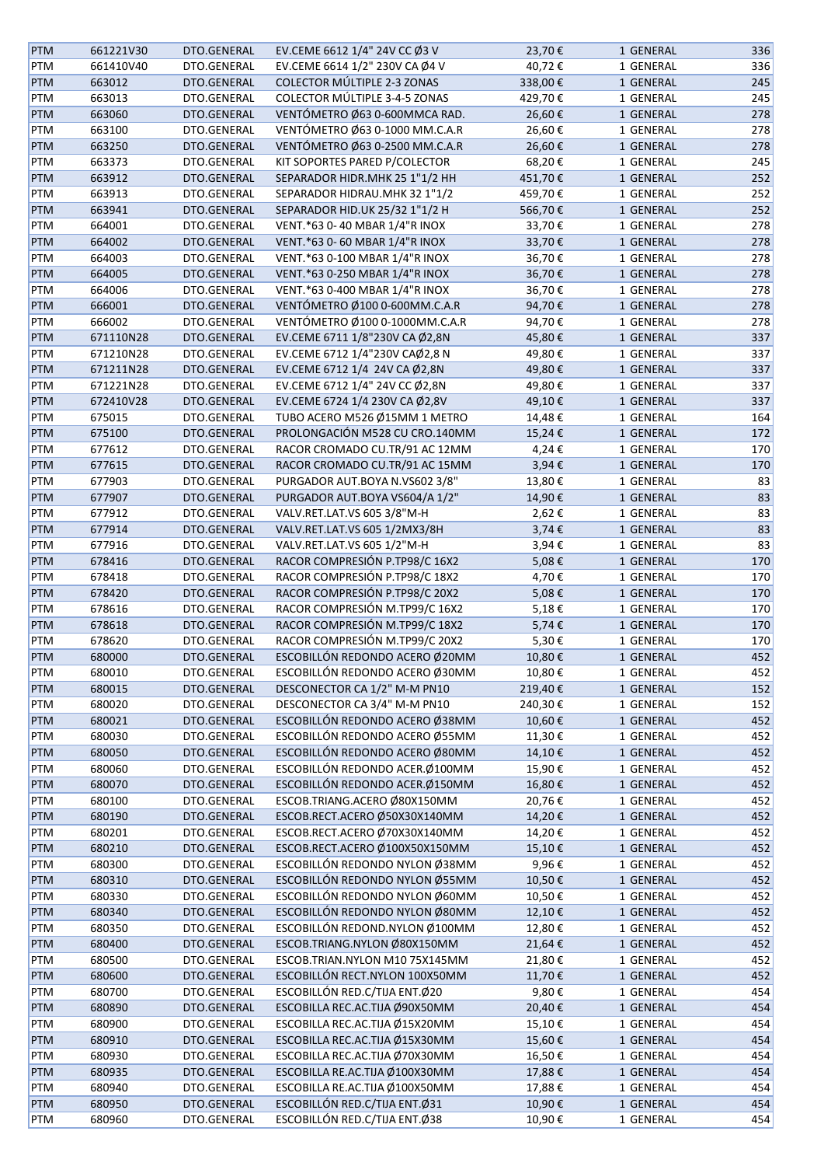| <b>PTM</b> | 661221V30 | DTO.GENERAL | EV.CEME 6612 1/4" 24V CC Ø3 V      | 23,70€  | 1 GENERAL | 336 |
|------------|-----------|-------------|------------------------------------|---------|-----------|-----|
| <b>PTM</b> | 661410V40 | DTO.GENERAL | EV.CEME 6614 1/2" 230V CA Ø4 V     | 40,72€  | 1 GENERAL | 336 |
| <b>PTM</b> | 663012    | DTO.GENERAL | <b>COLECTOR MÚLTIPLE 2-3 ZONAS</b> | 338,00€ | 1 GENERAL | 245 |
| <b>PTM</b> | 663013    | DTO.GENERAL | COLECTOR MÚLTIPLE 3-4-5 ZONAS      | 429,70€ | 1 GENERAL | 245 |
| <b>PTM</b> | 663060    | DTO.GENERAL | VENTÓMETRO Ø63 0-600MMCA RAD.      | 26,60€  | 1 GENERAL | 278 |
| PTM        | 663100    | DTO.GENERAL | VENTÓMETRO Ø63 0-1000 MM.C.A.R     | 26,60€  | 1 GENERAL | 278 |
|            |           | DTO.GENERAL |                                    |         |           |     |
| <b>PTM</b> | 663250    |             | VENTÓMETRO Ø63 0-2500 MM.C.A.R     | 26,60€  | 1 GENERAL | 278 |
| PTM        | 663373    | DTO.GENERAL | KIT SOPORTES PARED P/COLECTOR      | 68,20€  | 1 GENERAL | 245 |
| <b>PTM</b> | 663912    | DTO.GENERAL | SEPARADOR HIDR.MHK 25 1"1/2 HH     | 451,70€ | 1 GENERAL | 252 |
| PTM        | 663913    | DTO.GENERAL | SEPARADOR HIDRAU.MHK 32 1"1/2      | 459,70€ | 1 GENERAL | 252 |
| PTM        | 663941    | DTO.GENERAL | SEPARADOR HID.UK 25/32 1"1/2 H     | 566,70€ | 1 GENERAL | 252 |
| PTM        | 664001    | DTO.GENERAL | VENT.*63 0-40 MBAR 1/4"R INOX      | 33,70€  | 1 GENERAL | 278 |
| <b>PTM</b> | 664002    | DTO.GENERAL | VENT.*63 0-60 MBAR 1/4"R INOX      | 33,70€  | 1 GENERAL | 278 |
| <b>PTM</b> | 664003    | DTO.GENERAL | VENT.*63 0-100 MBAR 1/4"R INOX     | 36,70€  | 1 GENERAL | 278 |
| <b>PTM</b> | 664005    | DTO.GENERAL | VENT.*63 0-250 MBAR 1/4"R INOX     | 36,70€  | 1 GENERAL | 278 |
| PTM        | 664006    | DTO.GENERAL | VENT.*63 0-400 MBAR 1/4"R INOX     | 36,70€  | 1 GENERAL | 278 |
| <b>PTM</b> | 666001    | DTO.GENERAL | VENTÓMETRO Ø100 0-600MM.C.A.R      | 94,70€  | 1 GENERAL | 278 |
| <b>PTM</b> | 666002    | DTO.GENERAL | VENTÓMETRO Ø100 0-1000MM.C.A.R     | 94,70€  | 1 GENERAL | 278 |
| <b>PTM</b> | 671110N28 | DTO.GENERAL | EV.CEME 6711 1/8"230V CA Ø2,8N     | 45,80€  | 1 GENERAL | 337 |
| <b>PTM</b> | 671210N28 | DTO.GENERAL | EV.CEME 6712 1/4"230V CAØ2,8 N     | 49,80€  | 1 GENERAL | 337 |
| <b>PTM</b> | 671211N28 | DTO.GENERAL | EV.CEME 6712 1/4 24V CA Ø2,8N      | 49,80€  | 1 GENERAL | 337 |
|            | 671221N28 | DTO.GENERAL | EV.CEME 6712 1/4" 24V CC Ø2,8N     | 49,80€  | 1 GENERAL | 337 |
| PTM        |           |             |                                    |         |           |     |
| PTM        | 672410V28 | DTO.GENERAL | EV.CEME 6724 1/4 230V CA Ø2,8V     | 49,10€  | 1 GENERAL | 337 |
| PTM        | 675015    | DTO.GENERAL | TUBO ACERO M526 Ø15MM 1 METRO      | 14,48€  | 1 GENERAL | 164 |
| <b>PTM</b> | 675100    | DTO.GENERAL | PROLONGACIÓN M528 CU CRO.140MM     | 15,24€  | 1 GENERAL | 172 |
| PTM        | 677612    | DTO.GENERAL | RACOR CROMADO CU.TR/91 AC 12MM     | 4,24€   | 1 GENERAL | 170 |
| <b>PTM</b> | 677615    | DTO.GENERAL | RACOR CROMADO CU.TR/91 AC 15MM     | 3,94€   | 1 GENERAL | 170 |
| PTM        | 677903    | DTO.GENERAL | PURGADOR AUT.BOYA N.VS602 3/8"     | 13,80€  | 1 GENERAL | 83  |
| <b>PTM</b> | 677907    | DTO.GENERAL | PURGADOR AUT.BOYA VS604/A 1/2"     | 14,90€  | 1 GENERAL | 83  |
| <b>PTM</b> | 677912    | DTO.GENERAL | VALV.RET.LAT.VS 605 3/8"M-H        | 2,62€   | 1 GENERAL | 83  |
| <b>PTM</b> | 677914    | DTO.GENERAL | VALV.RET.LAT.VS 605 1/2MX3/8H      | 3,74€   | 1 GENERAL | 83  |
| PTM        | 677916    | DTO.GENERAL | VALV.RET.LAT.VS 605 1/2"M-H        | 3,94€   | 1 GENERAL | 83  |
| <b>PTM</b> | 678416    | DTO.GENERAL | RACOR COMPRESIÓN P.TP98/C 16X2     | 5,08€   | 1 GENERAL | 170 |
| PTM        | 678418    | DTO.GENERAL | RACOR COMPRESIÓN P.TP98/C 18X2     | 4,70€   | 1 GENERAL | 170 |
| <b>PTM</b> | 678420    | DTO.GENERAL | RACOR COMPRESIÓN P.TP98/C 20X2     | 5,08€   | 1 GENERAL | 170 |
| PTM        | 678616    | DTO.GENERAL | RACOR COMPRESIÓN M.TP99/C 16X2     | 5,18€   | 1 GENERAL | 170 |
| <b>PTM</b> | 678618    | DTO.GENERAL | RACOR COMPRESIÓN M.TP99/C 18X2     | 5,74€   | 1 GENERAL | 170 |
|            | 678620    |             | RACOR COMPRESIÓN M.TP99/C 20X2     |         |           | 170 |
| PTM        |           | DTO.GENERAL |                                    | 5,30€   | 1 GENERAL |     |
| <b>PTM</b> | 680000    | DTO.GENERAL | ESCOBILLÓN REDONDO ACERO Ø20MM     | 10,80€  | 1 GENERAL | 452 |
| <b>PTM</b> | 680010    | DTO.GENERAL | ESCOBILLÓN REDONDO ACERO Ø30MM     | 10,80€  | 1 GENERAL | 452 |
| <b>PTM</b> | 680015    | DTO.GENERAL | DESCONECTOR CA 1/2" M-M PN10       | 219,40€ | 1 GENERAL | 152 |
| <b>PTM</b> | 680020    | DTO.GENERAL | DESCONECTOR CA 3/4" M-M PN10       | 240,30€ | 1 GENERAL | 152 |
| <b>PTM</b> | 680021    | DTO.GENERAL | ESCOBILLÓN REDONDO ACERO Ø38MM     | 10,60€  | 1 GENERAL | 452 |
| PTM        | 680030    | DTO.GENERAL | ESCOBILLÓN REDONDO ACERO Ø55MM     | 11,30€  | 1 GENERAL | 452 |
| PTM        | 680050    | DTO.GENERAL | ESCOBILLÓN REDONDO ACERO Ø80MM     | 14,10€  | 1 GENERAL | 452 |
| PTM        | 680060    | DTO.GENERAL | ESCOBILLÓN REDONDO ACER.Ø100MM     | 15,90€  | 1 GENERAL | 452 |
| <b>PTM</b> | 680070    | DTO.GENERAL | ESCOBILLÓN REDONDO ACER.Ø150MM     | 16,80€  | 1 GENERAL | 452 |
| PTM        | 680100    | DTO.GENERAL | ESCOB.TRIANG.ACERO Ø80X150MM       | 20,76€  | 1 GENERAL | 452 |
| <b>PTM</b> | 680190    | DTO.GENERAL | ESCOB.RECT.ACERO Ø50X30X140MM      | 14,20€  | 1 GENERAL | 452 |
| PTM        | 680201    | DTO.GENERAL | ESCOB.RECT.ACERO Ø70X30X140MM      | 14,20€  | 1 GENERAL | 452 |
| <b>PTM</b> | 680210    | DTO.GENERAL | ESCOB.RECT.ACERO Ø100X50X150MM     | 15,10€  | 1 GENERAL | 452 |
| PTM        | 680300    | DTO.GENERAL | ESCOBILLÓN REDONDO NYLON Ø38MM     | 9,96€   | 1 GENERAL | 452 |
| <b>PTM</b> | 680310    | DTO.GENERAL | ESCOBILLÓN REDONDO NYLON Ø55MM     | 10,50€  | 1 GENERAL | 452 |
| PTM        | 680330    | DTO.GENERAL | ESCOBILLÓN REDONDO NYLON Ø60MM     | 10,50€  | 1 GENERAL | 452 |
|            |           |             |                                    |         |           |     |
| <b>PTM</b> | 680340    | DTO.GENERAL | ESCOBILLÓN REDONDO NYLON Ø80MM     | 12,10€  | 1 GENERAL | 452 |
| PTM        | 680350    | DTO.GENERAL | ESCOBILLÓN REDOND.NYLON Ø100MM     | 12,80€  | 1 GENERAL | 452 |
| <b>PTM</b> | 680400    | DTO.GENERAL | ESCOB.TRIANG.NYLON Ø80X150MM       | 21,64€  | 1 GENERAL | 452 |
| PTM        | 680500    | DTO.GENERAL | ESCOB.TRIAN.NYLON M10 75X145MM     | 21,80€  | 1 GENERAL | 452 |
| <b>PTM</b> | 680600    | DTO.GENERAL | ESCOBILLÓN RECT.NYLON 100X50MM     | 11,70€  | 1 GENERAL | 452 |
| PTM        | 680700    | DTO.GENERAL | ESCOBILLÓN RED.C/TIJA ENT.Ø20      | 9,80€   | 1 GENERAL | 454 |
| <b>PTM</b> | 680890    | DTO.GENERAL | ESCOBILLA REC.AC.TIJA Ø90X50MM     | 20,40€  | 1 GENERAL | 454 |
| PTM        | 680900    | DTO.GENERAL | ESCOBILLA REC.AC.TIJA Ø15X20MM     | 15,10€  | 1 GENERAL | 454 |
| PTM        | 680910    | DTO.GENERAL | ESCOBILLA REC.AC.TIJA Ø15X30MM     | 15,60€  | 1 GENERAL | 454 |
| PTM        | 680930    | DTO.GENERAL | ESCOBILLA REC.AC.TIJA Ø70X30MM     | 16,50€  | 1 GENERAL | 454 |
| <b>PTM</b> | 680935    | DTO.GENERAL | ESCOBILLA RE.AC.TIJA Ø100X30MM     | 17,88€  | 1 GENERAL | 454 |
| PTM        | 680940    | DTO.GENERAL | ESCOBILLA RE.AC.TIJA Ø100X50MM     | 17,88€  | 1 GENERAL | 454 |
| PTM        | 680950    | DTO.GENERAL | ESCOBILLÓN RED.C/TIJA ENT.Ø31      | 10,90€  | 1 GENERAL | 454 |
| PTM        | 680960    | DTO.GENERAL | ESCOBILLÓN RED.C/TIJA ENT.Ø38      | 10,90€  | 1 GENERAL | 454 |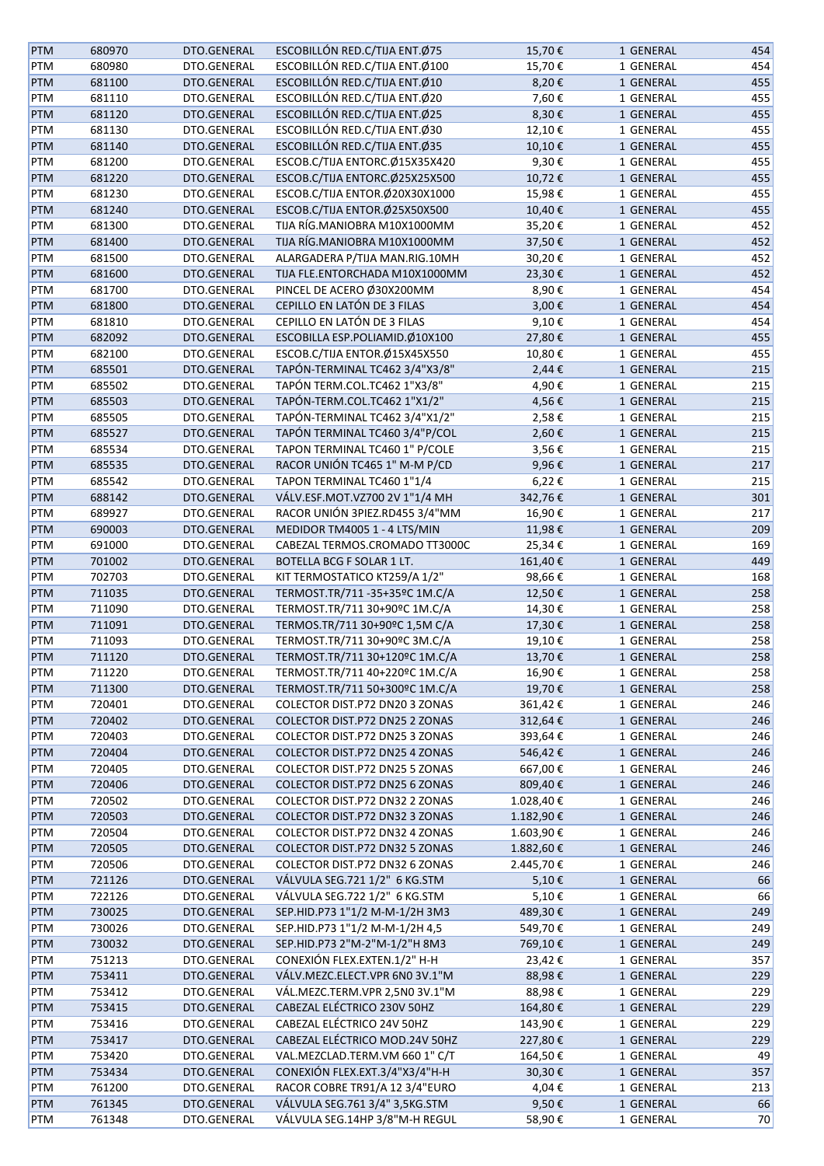| <b>PTM</b> | 680970 | DTO.GENERAL | ESCOBILLÓN RED.C/TIJA ENT.Ø75  | 15,70€    | 1 GENERAL | 454 |
|------------|--------|-------------|--------------------------------|-----------|-----------|-----|
| PTM        | 680980 | DTO.GENERAL | ESCOBILLÓN RED.C/TIJA ENT.Ø100 | 15,70€    | 1 GENERAL | 454 |
| PTM        | 681100 | DTO.GENERAL | ESCOBILLÓN RED.C/TIJA ENT.Ø10  | 8,20€     | 1 GENERAL | 455 |
| PTM        | 681110 | DTO.GENERAL | ESCOBILLÓN RED.C/TIJA ENT.Ø20  | 7,60€     | 1 GENERAL | 455 |
| PTM        | 681120 | DTO.GENERAL | ESCOBILLÓN RED.C/TIJA ENT.Ø25  | 8,30€     | 1 GENERAL | 455 |
| PTM        | 681130 | DTO.GENERAL | ESCOBILLÓN RED.C/TIJA ENT.Ø30  | 12,10€    | 1 GENERAL | 455 |
| PTM        | 681140 | DTO.GENERAL | ESCOBILLÓN RED.C/TIJA ENT.Ø35  | 10,10€    | 1 GENERAL | 455 |
| PTM        | 681200 | DTO.GENERAL | ESCOB.C/TIJA ENTORC.Ø15X35X420 | 9,30€     | 1 GENERAL | 455 |
| PTM        | 681220 | DTO.GENERAL | ESCOB.C/TIJA ENTORC.Ø25X25X500 | 10,72€    | 1 GENERAL | 455 |
|            | 681230 | DTO.GENERAL | ESCOB.C/TIJA ENTOR.Ø20X30X1000 | 15,98€    | 1 GENERAL | 455 |
| PTM        |        | DTO.GENERAL | ESCOB.C/TIJA ENTOR.Ø25X50X500  | 10,40€    |           | 455 |
| <b>PTM</b> | 681240 |             |                                |           | 1 GENERAL |     |
| PTM        | 681300 | DTO.GENERAL | TIJA RÍG.MANIOBRA M10X1000MM   | 35,20€    | 1 GENERAL | 452 |
| PTM        | 681400 | DTO.GENERAL | TIJA RÍG.MANIOBRA M10X1000MM   | 37,50€    | 1 GENERAL | 452 |
| PTM        | 681500 | DTO.GENERAL | ALARGADERA P/TIJA MAN.RIG.10MH | 30,20€    | 1 GENERAL | 452 |
| PTM        | 681600 | DTO.GENERAL | TIJA FLE.ENTORCHADA M10X1000MM | 23,30€    | 1 GENERAL | 452 |
| PTM        | 681700 | DTO.GENERAL | PINCEL DE ACERO Ø30X200MM      | 8,90€     | 1 GENERAL | 454 |
| PTM        | 681800 | DTO.GENERAL | CEPILLO EN LATÓN DE 3 FILAS    | 3,00€     | 1 GENERAL | 454 |
| PTM        | 681810 | DTO.GENERAL | CEPILLO EN LATÓN DE 3 FILAS    | 9,10€     | 1 GENERAL | 454 |
| PTM        | 682092 | DTO.GENERAL | ESCOBILLA ESP.POLIAMID.Ø10X100 | 27,80€    | 1 GENERAL | 455 |
| PTM        | 682100 | DTO.GENERAL | ESCOB.C/TIJA ENTOR.Ø15X45X550  | 10,80€    | 1 GENERAL | 455 |
| PTM        | 685501 | DTO.GENERAL | TAPÓN-TERMINAL TC462 3/4"X3/8" | 2,44€     | 1 GENERAL | 215 |
| PTM        | 685502 | DTO.GENERAL | TAPÓN TERM.COL.TC462 1"X3/8"   | 4,90€     | 1 GENERAL | 215 |
| PTM        | 685503 | DTO.GENERAL | TAPÓN-TERM.COL.TC462 1"X1/2"   | 4,56€     | 1 GENERAL | 215 |
| PTM        | 685505 | DTO.GENERAL | TAPÓN-TERMINAL TC462 3/4"X1/2" | 2,58€     | 1 GENERAL | 215 |
| PTM        | 685527 | DTO.GENERAL | TAPÓN TERMINAL TC460 3/4"P/COL | 2,60€     | 1 GENERAL | 215 |
| PTM        | 685534 | DTO.GENERAL | TAPON TERMINAL TC460 1" P/COLE | 3,56€     | 1 GENERAL | 215 |
| PTM        | 685535 | DTO.GENERAL | RACOR UNIÓN TC465 1" M-M P/CD  | 9,96€     | 1 GENERAL | 217 |
| PTM        | 685542 | DTO.GENERAL | TAPON TERMINAL TC460 1"1/4     | 6,22€     | 1 GENERAL | 215 |
| PTM        | 688142 | DTO.GENERAL | VÁLV.ESF.MOT.VZ700 2V 1"1/4 MH | 342,76€   | 1 GENERAL | 301 |
| PTM        | 689927 | DTO.GENERAL | RACOR UNIÓN 3PIEZ.RD455 3/4"MM | 16,90€    | 1 GENERAL | 217 |
| PTM        | 690003 | DTO.GENERAL | MEDIDOR TM4005 1 - 4 LTS/MIN   | 11,98€    | 1 GENERAL | 209 |
| PTM        | 691000 | DTO.GENERAL | CABEZAL TERMOS.CROMADO TT3000C | 25,34€    | 1 GENERAL | 169 |
| PTM        | 701002 | DTO.GENERAL | BOTELLA BCG F SOLAR 1 LT.      | 161,40€   | 1 GENERAL | 449 |
|            | 702703 | DTO.GENERAL |                                | 98,66€    | 1 GENERAL | 168 |
| PTM        |        |             | KIT TERMOSTATICO KT259/A 1/2"  |           |           |     |
| PTM        | 711035 | DTO.GENERAL | TERMOST.TR/711-35+35ºC 1M.C/A  | 12,50€    | 1 GENERAL | 258 |
| PTM        | 711090 | DTO.GENERAL | TERMOST.TR/711 30+90°C 1M.C/A  | 14,30€    | 1 GENERAL | 258 |
| <b>PTM</b> | 711091 | DTO.GENERAL | TERMOS.TR/711 30+90°C 1,5M C/A | 17,30€    | 1 GENERAL | 258 |
| PTM        | 711093 | DTO.GENERAL | TERMOST.TR/711 30+90°C 3M.C/A  | 19,10€    | 1 GENERAL | 258 |
| <b>PTM</b> | 711120 | DTO.GENERAL | TERMOST.TR/711 30+120°C 1M.C/A | 13,70€    | 1 GENERAL | 258 |
| PTM        | 711220 | DTO.GENERAL | TERMOST.TR/711 40+220°C 1M.C/A | 16,90€    | 1 GENERAL | 258 |
| <b>PTM</b> | 711300 | DTO.GENERAL | TERMOST.TR/711 50+300°C 1M.C/A | 19,70€    | 1 GENERAL | 258 |
| PTM        | 720401 | DTO.GENERAL | COLECTOR DIST.P72 DN20 3 ZONAS | 361,42€   | 1 GENERAL | 246 |
| PTM        | 720402 | DTO.GENERAL | COLECTOR DIST.P72 DN25 2 ZONAS | 312,64€   | 1 GENERAL | 246 |
| PTM        | 720403 | DTO.GENERAL | COLECTOR DIST.P72 DN25 3 ZONAS | 393,64€   | 1 GENERAL | 246 |
| PTM        | 720404 | DTO.GENERAL | COLECTOR DIST.P72 DN25 4 ZONAS | 546,42€   | 1 GENERAL | 246 |
| PTM        | 720405 | DTO.GENERAL | COLECTOR DIST.P72 DN25 5 ZONAS | 667,00€   | 1 GENERAL | 246 |
| PTM        | 720406 | DTO.GENERAL | COLECTOR DIST.P72 DN25 6 ZONAS | 809,40€   | 1 GENERAL | 246 |
| PTM        | 720502 | DTO.GENERAL | COLECTOR DIST.P72 DN32 2 ZONAS | 1.028,40€ | 1 GENERAL | 246 |
| <b>PTM</b> | 720503 | DTO.GENERAL | COLECTOR DIST.P72 DN32 3 ZONAS | 1.182,90€ | 1 GENERAL | 246 |
| PTM        | 720504 | DTO.GENERAL | COLECTOR DIST.P72 DN32 4 ZONAS | 1.603,90€ | 1 GENERAL | 246 |
| PTM        | 720505 | DTO.GENERAL | COLECTOR DIST.P72 DN32 5 ZONAS | 1.882,60€ | 1 GENERAL | 246 |
| PTM        | 720506 | DTO.GENERAL | COLECTOR DIST.P72 DN32 6 ZONAS | 2.445,70€ | 1 GENERAL | 246 |
| <b>PTM</b> | 721126 | DTO.GENERAL | VÁLVULA SEG.721 1/2" 6 KG.STM  | 5,10€     | 1 GENERAL | 66  |
| PTM        | 722126 | DTO.GENERAL | VÁLVULA SEG.722 1/2" 6 KG.STM  | 5,10€     | 1 GENERAL | 66  |
| PTM        | 730025 | DTO.GENERAL | SEP.HID.P73 1"1/2 M-M-1/2H 3M3 | 489,30€   | 1 GENERAL | 249 |
| PTM        | 730026 | DTO.GENERAL | SEP.HID.P73 1"1/2 M-M-1/2H 4,5 | 549,70€   | 1 GENERAL | 249 |
|            |        |             |                                |           |           |     |
| <b>PTM</b> | 730032 | DTO.GENERAL | SEP.HID.P73 2"M-2"M-1/2"H 8M3  | 769,10€   | 1 GENERAL | 249 |
| PTM        | 751213 | DTO.GENERAL | CONEXIÓN FLEX.EXTEN.1/2" H-H   | 23,42€    | 1 GENERAL | 357 |
| PTM        | 753411 | DTO.GENERAL | VÁLV.MEZC.ELECT.VPR 6N0 3V.1"M | 88,98€    | 1 GENERAL | 229 |
| PTM        | 753412 | DTO.GENERAL | VÁL.MEZC.TERM.VPR 2,5N0 3V.1"M | 88,98€    | 1 GENERAL | 229 |
| PTM        | 753415 | DTO.GENERAL | CABEZAL ELÉCTRICO 230V 50HZ    | 164,80€   | 1 GENERAL | 229 |
| PTM        | 753416 | DTO.GENERAL | CABEZAL ELÉCTRICO 24V 50HZ     | 143,90€   | 1 GENERAL | 229 |
| <b>PTM</b> | 753417 | DTO.GENERAL | CABEZAL ELÉCTRICO MOD.24V 50HZ | 227,80€   | 1 GENERAL | 229 |
| PTM        | 753420 | DTO.GENERAL | VAL.MEZCLAD.TERM.VM 660 1" C/T | 164,50€   | 1 GENERAL | 49  |
| <b>PTM</b> | 753434 | DTO.GENERAL | CONEXIÓN FLEX.EXT.3/4"X3/4"H-H | 30,30€    | 1 GENERAL | 357 |
| PTM        | 761200 | DTO.GENERAL | RACOR COBRE TR91/A 12 3/4"EURO | 4,04€     | 1 GENERAL | 213 |
| <b>PTM</b> | 761345 | DTO.GENERAL | VÁLVULA SEG.761 3/4" 3,5KG.STM | 9,50€     | 1 GENERAL | 66  |
| PTM        | 761348 | DTO.GENERAL | VÁLVULA SEG.14HP 3/8"M-H REGUL | 58,90€    | 1 GENERAL | 70  |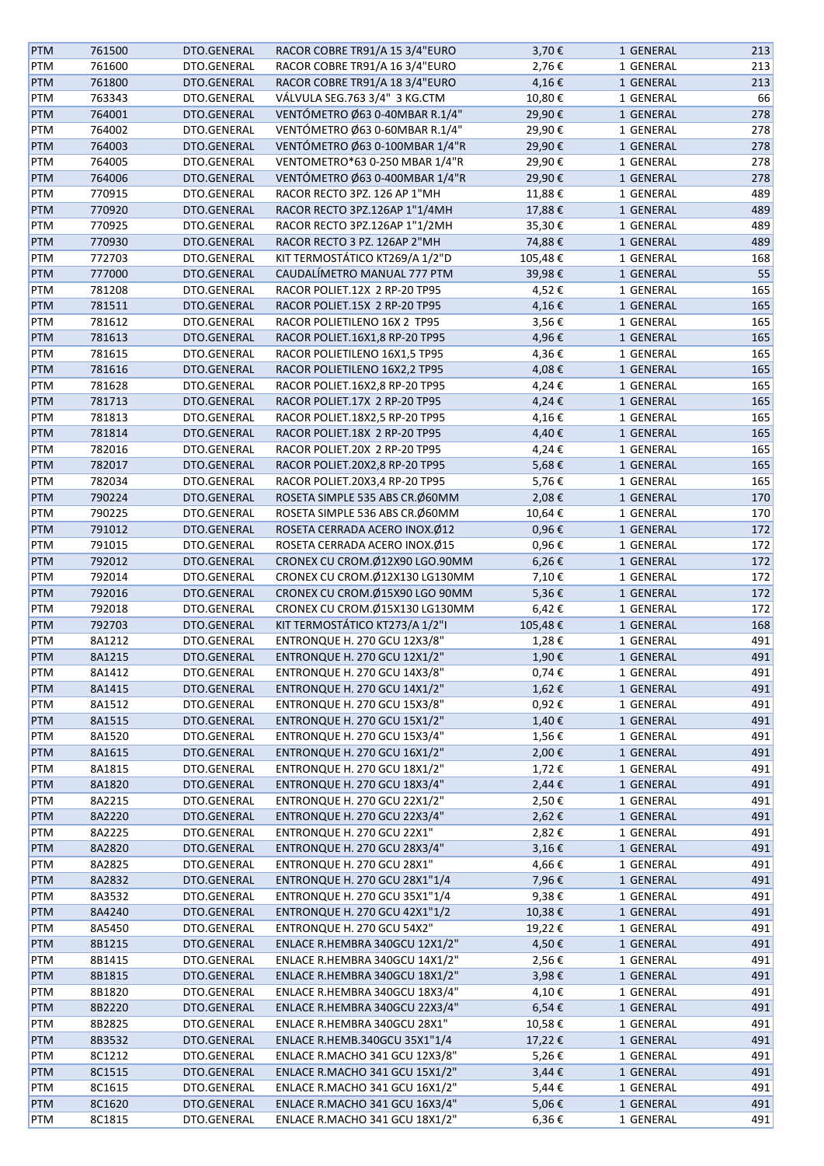| <b>PTM</b> | 761500 | DTO.GENERAL | RACOR COBRE TR91/A 15 3/4"EURO       | 3,70€         | 1 GENERAL | 213 |
|------------|--------|-------------|--------------------------------------|---------------|-----------|-----|
| PTM        | 761600 | DTO.GENERAL | RACOR COBRE TR91/A 16 3/4"EURO       | 2,76€         | 1 GENERAL | 213 |
| PTM        | 761800 | DTO.GENERAL | RACOR COBRE TR91/A 18 3/4"EURO       | 4,16€         | 1 GENERAL | 213 |
| PTM        | 763343 | DTO.GENERAL | VÁLVULA SEG.763 3/4" 3 KG.CTM        | 10,80€        | 1 GENERAL | 66  |
| <b>PTM</b> | 764001 | DTO.GENERAL | VENTÓMETRO Ø63 0-40MBAR R.1/4"       | 29,90€        | 1 GENERAL | 278 |
| PTM        | 764002 | DTO.GENERAL | VENTÓMETRO Ø63 0-60MBAR R.1/4"       | 29,90€        | 1 GENERAL | 278 |
|            |        |             |                                      |               |           |     |
| PTM        | 764003 | DTO.GENERAL | VENTÓMETRO Ø63 0-100MBAR 1/4"R       | 29,90€        | 1 GENERAL | 278 |
| PTM        | 764005 | DTO.GENERAL | VENTOMETRO*63 0-250 MBAR 1/4"R       | 29,90€        | 1 GENERAL | 278 |
| PTM        | 764006 | DTO.GENERAL | VENTÓMETRO Ø63 0-400MBAR 1/4"R       | 29,90€        | 1 GENERAL | 278 |
| PTM        | 770915 | DTO.GENERAL | RACOR RECTO 3PZ. 126 AP 1"MH         | 11,88€        | 1 GENERAL | 489 |
| PTM        | 770920 | DTO.GENERAL | RACOR RECTO 3PZ.126AP 1"1/4MH        | 17,88€        | 1 GENERAL | 489 |
| PTM        | 770925 | DTO.GENERAL | RACOR RECTO 3PZ.126AP 1"1/2MH        | 35,30€        | 1 GENERAL | 489 |
| <b>PTM</b> | 770930 | DTO.GENERAL | RACOR RECTO 3 PZ. 126AP 2"MH         | 74,88€        | 1 GENERAL | 489 |
| PTM        | 772703 | DTO.GENERAL | KIT TERMOSTÁTICO KT269/A 1/2"D       | 105,48€       | 1 GENERAL | 168 |
| PTM        | 777000 | DTO.GENERAL | CAUDALÍMETRO MANUAL 777 PTM          | 39,98€        | 1 GENERAL | 55  |
| PTM        | 781208 | DTO.GENERAL | RACOR POLIET.12X 2 RP-20 TP95        | 4,52€         | 1 GENERAL | 165 |
| <b>PTM</b> | 781511 | DTO.GENERAL | RACOR POLIET.15X 2 RP-20 TP95        | 4,16€         | 1 GENERAL | 165 |
| PTM        | 781612 | DTO.GENERAL | RACOR POLIETILENO 16X 2 TP95         | 3,56€         | 1 GENERAL | 165 |
| <b>PTM</b> | 781613 | DTO.GENERAL | RACOR POLIET.16X1,8 RP-20 TP95       | 4,96€         | 1 GENERAL | 165 |
| PTM        | 781615 | DTO.GENERAL | RACOR POLIETILENO 16X1,5 TP95        | 4,36€         | 1 GENERAL | 165 |
| <b>PTM</b> | 781616 | DTO.GENERAL | RACOR POLIETILENO 16X2,2 TP95        | 4,08€         | 1 GENERAL | 165 |
|            | 781628 | DTO.GENERAL | RACOR POLIET.16X2,8 RP-20 TP95       | 4,24€         | 1 GENERAL |     |
| PTM        |        |             | RACOR POLIET.17X 2 RP-20 TP95        |               |           | 165 |
| <b>PTM</b> | 781713 | DTO.GENERAL |                                      | 4,24€         | 1 GENERAL | 165 |
| PTM        | 781813 | DTO.GENERAL | RACOR POLIET.18X2,5 RP-20 TP95       | 4,16€         | 1 GENERAL | 165 |
| PTM        | 781814 | DTO.GENERAL | RACOR POLIET.18X 2 RP-20 TP95        | 4,40€         | 1 GENERAL | 165 |
| PTM        | 782016 | DTO.GENERAL | RACOR POLIET.20X 2 RP-20 TP95        | 4,24€         | 1 GENERAL | 165 |
| PTM        | 782017 | DTO.GENERAL | RACOR POLIET.20X2,8 RP-20 TP95       | 5,68€         | 1 GENERAL | 165 |
| PTM        | 782034 | DTO.GENERAL | RACOR POLIET.20X3,4 RP-20 TP95       | 5,76€         | 1 GENERAL | 165 |
| <b>PTM</b> | 790224 | DTO.GENERAL | ROSETA SIMPLE 535 ABS CR. Ø60MM      | 2,08€         | 1 GENERAL | 170 |
| PTM        | 790225 | DTO.GENERAL | ROSETA SIMPLE 536 ABS CR. Ø60MM      | 10,64€        | 1 GENERAL | 170 |
| PTM        | 791012 | DTO.GENERAL | ROSETA CERRADA ACERO INOX.Ø12        | 0,96€         | 1 GENERAL | 172 |
| PTM        | 791015 | DTO.GENERAL | ROSETA CERRADA ACERO INOX.Ø15        | 0,96€         | 1 GENERAL | 172 |
| PTM        | 792012 | DTO.GENERAL | CRONEX CU CROM.Ø12X90 LGO.90MM       | 6,26€         | 1 GENERAL | 172 |
| PTM        | 792014 | DTO.GENERAL | CRONEX CU CROM.Ø12X130 LG130MM       | 7,10€         | 1 GENERAL | 172 |
| <b>PTM</b> | 792016 | DTO.GENERAL | CRONEX CU CROM.Ø15X90 LGO 90MM       | 5,36€         | 1 GENERAL | 172 |
| PTM        | 792018 | DTO.GENERAL | CRONEX CU CROM.Ø15X130 LG130MM       | 6,42€         | 1 GENERAL | 172 |
| <b>PTM</b> | 792703 | DTO.GENERAL | KIT TERMOSTÁTICO KT273/A 1/2"I       | 105,48€       | 1 GENERAL | 168 |
|            |        |             |                                      |               |           |     |
| PTM        | 8A1212 | DTO.GENERAL | ENTRONQUE H. 270 GCU 12X3/8"         | 1,28€         | 1 GENERAL | 491 |
| <b>PTM</b> | 8A1215 | DTO.GENERAL | <b>ENTRONQUE H. 270 GCU 12X1/2"</b>  | 1,90€         | 1 GENERAL | 491 |
| PTM        | 8A1412 | DTO.GENERAL | <b>ENTRONQUE H. 270 GCU 14X3/8"</b>  | $0,74 \in$    | 1 GENERAL | 491 |
| <b>PTM</b> | 8A1415 | DTO.GENERAL | <b>ENTRONQUE H. 270 GCU 14X1/2"</b>  | 1,62€         | 1 GENERAL | 491 |
| PTM        | 8A1512 | DTO.GENERAL | ENTRONQUE H. 270 GCU 15X3/8"         | 0,92€         | 1 GENERAL | 491 |
| <b>PTM</b> | 8A1515 | DTO.GENERAL | ENTRONQUE H. 270 GCU 15X1/2"         | 1,40€         | 1 GENERAL | 491 |
| PTM        | 8A1520 | DTO.GENERAL | <b>ENTRONQUE H. 270 GCU 15X3/4"</b>  | 1,56€         | 1 GENERAL | 491 |
| PTM        | 8A1615 | DTO.GENERAL | <b>ENTRONQUE H. 270 GCU 16X1/2"</b>  | 2,00€         | 1 GENERAL | 491 |
| PTM        | 8A1815 | DTO.GENERAL | <b>ENTRONQUE H. 270 GCU 18X1/2"</b>  | 1,72€         | 1 GENERAL | 491 |
| <b>PTM</b> | 8A1820 | DTO.GENERAL | <b>ENTRONQUE H. 270 GCU 18X3/4"</b>  | 2,44€         | 1 GENERAL | 491 |
| PTM        | 8A2215 | DTO.GENERAL | <b>ENTRONQUE H. 270 GCU 22X1/2"</b>  | 2,50€         | 1 GENERAL | 491 |
| PTM        | 8A2220 | DTO.GENERAL | ENTRONQUE H. 270 GCU 22X3/4"         | 2,62€         | 1 GENERAL | 491 |
| PTM        | 8A2225 | DTO.GENERAL | ENTRONQUE H. 270 GCU 22X1"           | 2,82€         | 1 GENERAL | 491 |
| PTM        | 8A2820 | DTO.GENERAL | <b>ENTRONQUE H. 270 GCU 28X3/4"</b>  | 3,16€         | 1 GENERAL | 491 |
| PTM        | 8A2825 | DTO.GENERAL | ENTRONQUE H. 270 GCU 28X1"           | 4,66€         | 1 GENERAL | 491 |
| <b>PTM</b> | 8A2832 | DTO.GENERAL | ENTRONQUE H. 270 GCU 28X1"1/4        | 7,96€         | 1 GENERAL | 491 |
|            |        |             |                                      |               |           | 491 |
| PTM        | 8A3532 | DTO.GENERAL | ENTRONQUE H. 270 GCU 35X1"1/4        | 9,38€         | 1 GENERAL |     |
| <b>PTM</b> | 8A4240 | DTO.GENERAL | <b>ENTRONQUE H. 270 GCU 42X1"1/2</b> | 10,38€        | 1 GENERAL | 491 |
| PTM        | 8A5450 | DTO.GENERAL | ENTRONQUE H. 270 GCU 54X2"           | 19,22€        | 1 GENERAL | 491 |
| PTM        | 8B1215 | DTO.GENERAL | ENLACE R.HEMBRA 340GCU 12X1/2"       | 4,50€         | 1 GENERAL | 491 |
| PTM        | 8B1415 | DTO.GENERAL | ENLACE R.HEMBRA 340GCU 14X1/2"       | 2,56€         | 1 GENERAL | 491 |
| <b>PTM</b> | 8B1815 | DTO.GENERAL | ENLACE R.HEMBRA 340GCU 18X1/2"       | 3,98€         | 1 GENERAL | 491 |
| PTM        | 8B1820 | DTO.GENERAL | ENLACE R.HEMBRA 340GCU 18X3/4"       | 4,10€         | 1 GENERAL | 491 |
| <b>PTM</b> | 8B2220 | DTO.GENERAL | ENLACE R.HEMBRA 340GCU 22X3/4"       | 6,54€         | 1 GENERAL | 491 |
| PTM        | 8B2825 | DTO.GENERAL | ENLACE R.HEMBRA 340GCU 28X1"         | 10,58€        | 1 GENERAL | 491 |
| PTM        | 8B3532 | DTO.GENERAL | ENLACE R.HEMB.340GCU 35X1"1/4        | 17,22€        | 1 GENERAL | 491 |
| PTM        | 8C1212 | DTO.GENERAL | ENLACE R.MACHO 341 GCU 12X3/8"       | 5,26€         | 1 GENERAL | 491 |
| PTM        | 8C1515 | DTO.GENERAL | ENLACE R.MACHO 341 GCU 15X1/2"       | $3,44 \notin$ | 1 GENERAL | 491 |
| PTM        | 8C1615 | DTO.GENERAL | ENLACE R.MACHO 341 GCU 16X1/2"       | 5,44€         | 1 GENERAL | 491 |
| <b>PTM</b> | 8C1620 | DTO.GENERAL | ENLACE R.MACHO 341 GCU 16X3/4"       | 5,06€         | 1 GENERAL | 491 |
| PTM        | 8C1815 | DTO.GENERAL | ENLACE R.MACHO 341 GCU 18X1/2"       | 6,36€         | 1 GENERAL | 491 |
|            |        |             |                                      |               |           |     |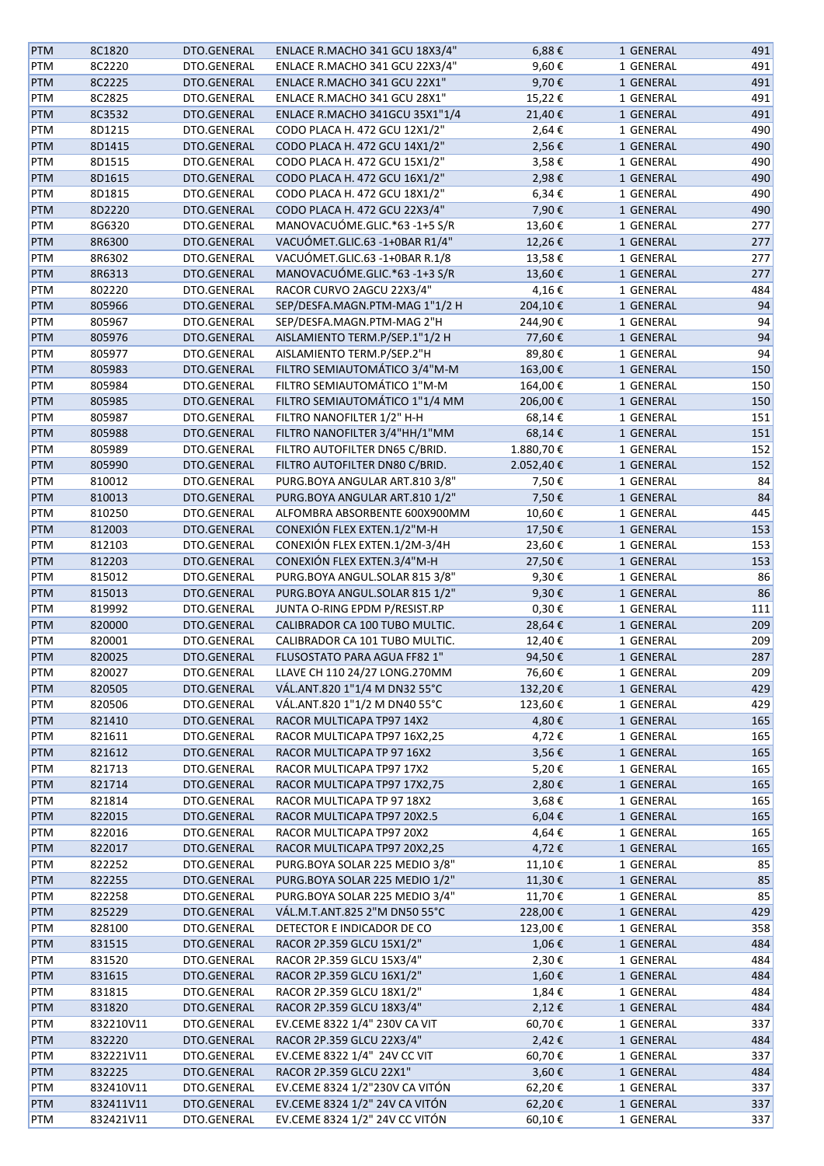| <b>PTM</b> | 8C1820    | DTO.GENERAL | ENLACE R.MACHO 341 GCU 18X3/4" | 6,88€      | 1 GENERAL | 491 |
|------------|-----------|-------------|--------------------------------|------------|-----------|-----|
| PTM        | 8C2220    | DTO.GENERAL | ENLACE R.MACHO 341 GCU 22X3/4" | 9,60€      | 1 GENERAL | 491 |
| PTM        | 8C2225    | DTO.GENERAL | ENLACE R.MACHO 341 GCU 22X1"   | 9,70€      | 1 GENERAL | 491 |
| PTM        | 8C2825    | DTO.GENERAL | ENLACE R.MACHO 341 GCU 28X1"   | 15,22€     | 1 GENERAL | 491 |
| PTM        | 8C3532    | DTO.GENERAL | ENLACE R.MACHO 341GCU 35X1"1/4 | 21,40€     | 1 GENERAL | 491 |
| PTM        | 8D1215    | DTO.GENERAL | CODO PLACA H. 472 GCU 12X1/2"  | 2,64€      | 1 GENERAL | 490 |
| PTM        | 8D1415    | DTO.GENERAL | CODO PLACA H. 472 GCU 14X1/2"  | 2,56€      | 1 GENERAL | 490 |
| PTM        | 8D1515    | DTO.GENERAL | CODO PLACA H. 472 GCU 15X1/2"  | 3,58€      | 1 GENERAL | 490 |
| PTM        | 8D1615    | DTO.GENERAL | CODO PLACA H. 472 GCU 16X1/2"  | 2,98€      | 1 GENERAL | 490 |
|            | 8D1815    | DTO.GENERAL | CODO PLACA H. 472 GCU 18X1/2"  | 6,34€      | 1 GENERAL | 490 |
| PTM        |           |             |                                |            |           |     |
| PTM        | 8D2220    | DTO.GENERAL | CODO PLACA H. 472 GCU 22X3/4"  | 7,90€      | 1 GENERAL | 490 |
| PTM        | 8G6320    | DTO.GENERAL | MANOVACUÓME.GLIC.*63 -1+5 S/R  | 13,60€     | 1 GENERAL | 277 |
| PTM        | 8R6300    | DTO.GENERAL | VACUÓMET.GLIC.63 -1+0BAR R1/4" | 12,26€     | 1 GENERAL | 277 |
| PTM        | 8R6302    | DTO.GENERAL | VACUÓMET.GLIC.63 -1+0BAR R.1/8 | 13,58€     | 1 GENERAL | 277 |
| PTM        | 8R6313    | DTO.GENERAL | MANOVACUÓME.GLIC.*63 -1+3 S/R  | 13,60€     | 1 GENERAL | 277 |
| PTM        | 802220    | DTO.GENERAL | RACOR CURVO 2AGCU 22X3/4"      | 4,16€      | 1 GENERAL | 484 |
| <b>PTM</b> | 805966    | DTO.GENERAL | SEP/DESFA.MAGN.PTM-MAG 1"1/2 H | 204,10€    | 1 GENERAL | 94  |
| PTM        | 805967    | DTO.GENERAL | SEP/DESFA.MAGN.PTM-MAG 2"H     | 244,90€    | 1 GENERAL | 94  |
| PTM        | 805976    | DTO.GENERAL | AISLAMIENTO TERM.P/SEP.1"1/2 H | 77,60€     | 1 GENERAL | 94  |
| PTM        | 805977    | DTO.GENERAL | AISLAMIENTO TERM.P/SEP.2"H     | 89,80€     | 1 GENERAL | 94  |
| <b>PTM</b> | 805983    | DTO.GENERAL | FILTRO SEMIAUTOMÁTICO 3/4"M-M  | 163,00€    | 1 GENERAL | 150 |
| PTM        | 805984    | DTO.GENERAL | FILTRO SEMIAUTOMÁTICO 1"M-M    | 164,00€    | 1 GENERAL | 150 |
| PTM        | 805985    | DTO.GENERAL | FILTRO SEMIAUTOMÁTICO 1"1/4 MM | 206,00€    | 1 GENERAL | 150 |
| PTM        | 805987    | DTO.GENERAL | FILTRO NANOFILTER 1/2" H-H     | 68,14€     | 1 GENERAL | 151 |
| PTM        | 805988    | DTO.GENERAL | FILTRO NANOFILTER 3/4"HH/1"MM  | 68,14€     | 1 GENERAL | 151 |
| PTM        | 805989    | DTO.GENERAL | FILTRO AUTOFILTER DN65 C/BRID. | 1.880,70€  | 1 GENERAL | 152 |
| PTM        | 805990    | DTO.GENERAL | FILTRO AUTOFILTER DN80 C/BRID. | 2.052,40€  | 1 GENERAL | 152 |
|            |           |             |                                |            |           |     |
| PTM        | 810012    | DTO.GENERAL | PURG.BOYA ANGULAR ART.810 3/8" | 7,50€      | 1 GENERAL | 84  |
| PTM        | 810013    | DTO.GENERAL | PURG.BOYA ANGULAR ART.810 1/2" | 7,50€      | 1 GENERAL | 84  |
| PTM        | 810250    | DTO.GENERAL | ALFOMBRA ABSORBENTE 600X900MM  | 10,60€     | 1 GENERAL | 445 |
| PTM        | 812003    | DTO.GENERAL | CONEXIÓN FLEX EXTEN.1/2"M-H    | 17,50€     | 1 GENERAL | 153 |
| PTM        | 812103    | DTO.GENERAL | CONEXIÓN FLEX EXTEN.1/2M-3/4H  | 23,60€     | 1 GENERAL | 153 |
| PTM        | 812203    | DTO.GENERAL | CONEXIÓN FLEX EXTEN.3/4"M-H    | 27,50€     | 1 GENERAL | 153 |
| PTM        | 815012    | DTO.GENERAL | PURG.BOYA ANGUL.SOLAR 815 3/8" | 9,30€      | 1 GENERAL | 86  |
| <b>PTM</b> | 815013    | DTO.GENERAL | PURG.BOYA ANGUL.SOLAR 815 1/2" | 9,30€      | 1 GENERAL | 86  |
| PTM        | 819992    | DTO.GENERAL | JUNTA O-RING EPDM P/RESIST.RP  | $0,30 \in$ | 1 GENERAL | 111 |
| PTM        | 820000    | DTO.GENERAL | CALIBRADOR CA 100 TUBO MULTIC. | 28,64€     | 1 GENERAL | 209 |
| PTM        | 820001    | DTO.GENERAL | CALIBRADOR CA 101 TUBO MULTIC. | 12,40€     | 1 GENERAL | 209 |
| <b>PTM</b> | 820025    | DTO.GENERAL | FLUSOSTATO PARA AGUA FF82 1"   | 94,50€     | 1 GENERAL | 287 |
| PTM        | 820027    | DTO.GENERAL | LLAVE CH 110 24/27 LONG.270MM  | 76,60€     | 1 GENERAL | 209 |
| <b>PTM</b> | 820505    | DTO.GENERAL | VÁL.ANT.820 1"1/4 M DN32 55°C  | 132,20€    | 1 GENERAL | 429 |
| PTM        | 820506    | DTO.GENERAL | VÁL.ANT.820 1"1/2 M DN40 55°C  | 123,60€    | 1 GENERAL | 429 |
| PTM        | 821410    | DTO.GENERAL | RACOR MULTICAPA TP97 14X2      | 4,80€      | 1 GENERAL | 165 |
| PTM        | 821611    | DTO.GENERAL | RACOR MULTICAPA TP97 16X2,25   | 4,72€      | 1 GENERAL | 165 |
| <b>PTM</b> | 821612    | DTO.GENERAL | RACOR MULTICAPA TP 97 16X2     | 3,56€      | 1 GENERAL | 165 |
| PTM        | 821713    | DTO.GENERAL | RACOR MULTICAPA TP97 17X2      | 5,20€      | 1 GENERAL | 165 |
| <b>PTM</b> | 821714    | DTO.GENERAL | RACOR MULTICAPA TP97 17X2,75   | 2,80€      | 1 GENERAL | 165 |
|            |           | DTO.GENERAL | RACOR MULTICAPA TP 97 18X2     |            |           | 165 |
| PTM        | 821814    |             |                                | 3,68€      | 1 GENERAL |     |
| <b>PTM</b> | 822015    | DTO.GENERAL | RACOR MULTICAPA TP97 20X2.5    | 6,04€      | 1 GENERAL | 165 |
| PTM        | 822016    | DTO.GENERAL | RACOR MULTICAPA TP97 20X2      | 4,64€      | 1 GENERAL | 165 |
| <b>PTM</b> | 822017    | DTO.GENERAL | RACOR MULTICAPA TP97 20X2,25   | 4,72€      | 1 GENERAL | 165 |
| PTM        | 822252    | DTO.GENERAL | PURG.BOYA SOLAR 225 MEDIO 3/8" | 11,10€     | 1 GENERAL | 85  |
| PTM        | 822255    | DTO.GENERAL | PURG.BOYA SOLAR 225 MEDIO 1/2" | 11,30€     | 1 GENERAL | 85  |
| PTM        | 822258    | DTO.GENERAL | PURG.BOYA SOLAR 225 MEDIO 3/4" | 11,70€     | 1 GENERAL | 85  |
| <b>PTM</b> | 825229    | DTO.GENERAL | VÁL.M.T.ANT.825 2"M DN50 55°C  | 228,00€    | 1 GENERAL | 429 |
| PTM        | 828100    | DTO.GENERAL | DETECTOR E INDICADOR DE CO     | 123,00€    | 1 GENERAL | 358 |
| <b>PTM</b> | 831515    | DTO.GENERAL | RACOR 2P.359 GLCU 15X1/2"      | 1,06€      | 1 GENERAL | 484 |
| PTM        | 831520    | DTO.GENERAL | RACOR 2P.359 GLCU 15X3/4"      | 2,30€      | 1 GENERAL | 484 |
| <b>PTM</b> | 831615    | DTO.GENERAL | RACOR 2P.359 GLCU 16X1/2"      | 1,60€      | 1 GENERAL | 484 |
| PTM        | 831815    | DTO.GENERAL | RACOR 2P.359 GLCU 18X1/2"      | 1,84€      | 1 GENERAL | 484 |
| <b>PTM</b> | 831820    | DTO.GENERAL | RACOR 2P.359 GLCU 18X3/4"      | 2,12€      | 1 GENERAL | 484 |
| PTM        | 832210V11 | DTO.GENERAL | EV.CEME 8322 1/4" 230V CA VIT  | 60,70€     | 1 GENERAL | 337 |
| <b>PTM</b> | 832220    | DTO.GENERAL | RACOR 2P.359 GLCU 22X3/4"      | 2,42€      | 1 GENERAL | 484 |
| PTM        | 832221V11 | DTO.GENERAL | EV.CEME 8322 1/4" 24V CC VIT   | 60,70€     | 1 GENERAL | 337 |
| <b>PTM</b> | 832225    | DTO.GENERAL | RACOR 2P.359 GLCU 22X1"        | 3,60€      | 1 GENERAL | 484 |
| PTM        | 832410V11 | DTO.GENERAL | EV.CEME 8324 1/2"230V CA VITÓN | 62,20€     | 1 GENERAL | 337 |
|            |           | DTO.GENERAL | EV.CEME 8324 1/2" 24V CA VITÓN |            |           |     |
| <b>PTM</b> | 832411V11 |             |                                | 62,20€     | 1 GENERAL | 337 |
| PTM        | 832421V11 | DTO.GENERAL | EV.CEME 8324 1/2" 24V CC VITÓN | 60,10€     | 1 GENERAL | 337 |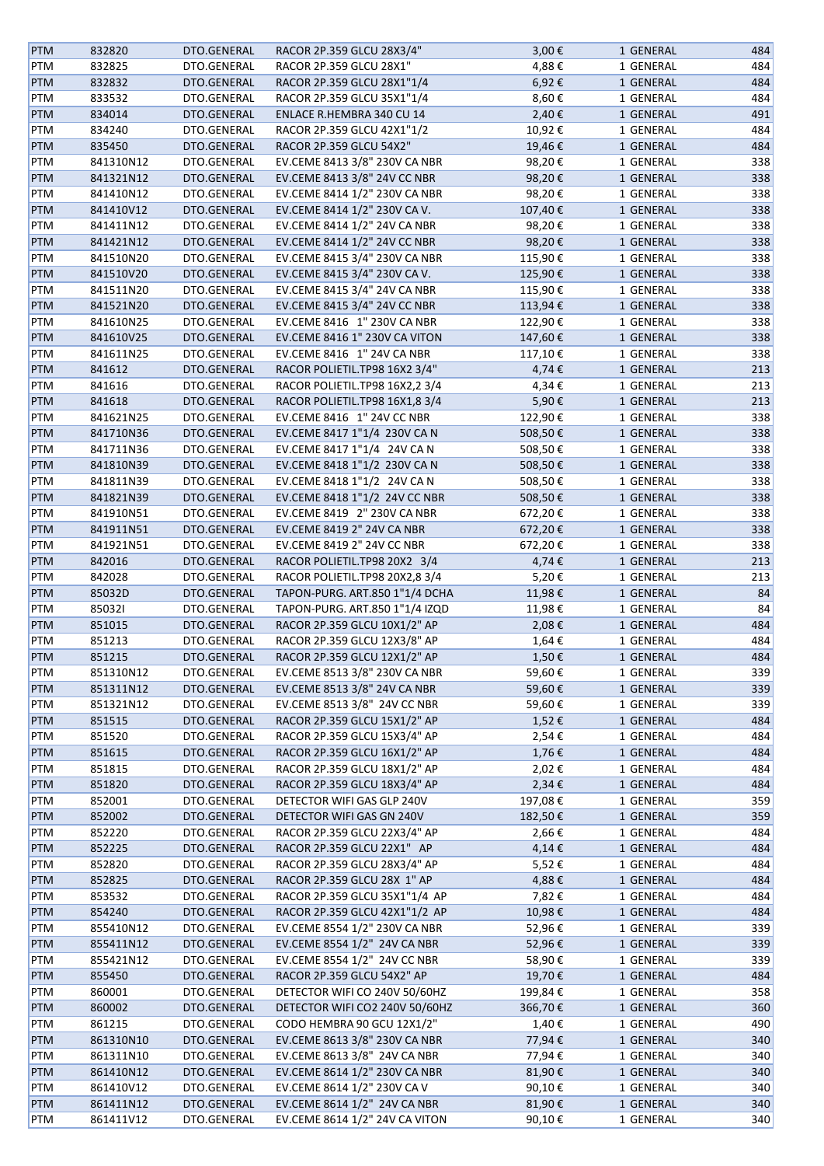| <b>PTM</b> | 832820    | DTO.GENERAL | RACOR 2P.359 GLCU 28X3/4"      | 3,00€   | 1 GENERAL | 484 |
|------------|-----------|-------------|--------------------------------|---------|-----------|-----|
| PTM        | 832825    | DTO.GENERAL | RACOR 2P.359 GLCU 28X1"        | 4,88€   | 1 GENERAL | 484 |
| <b>PTM</b> | 832832    | DTO.GENERAL | RACOR 2P.359 GLCU 28X1"1/4     | 6,92€   | 1 GENERAL | 484 |
| PTM        | 833532    | DTO.GENERAL | RACOR 2P.359 GLCU 35X1"1/4     | 8,60€   | 1 GENERAL | 484 |
| <b>PTM</b> | 834014    | DTO.GENERAL | ENLACE R.HEMBRA 340 CU 14      | 2,40€   | 1 GENERAL | 491 |
| <b>PTM</b> | 834240    | DTO.GENERAL | RACOR 2P.359 GLCU 42X1"1/2     | 10,92€  | 1 GENERAL | 484 |
| <b>PTM</b> | 835450    | DTO.GENERAL | RACOR 2P.359 GLCU 54X2"        | 19,46€  | 1 GENERAL | 484 |
| <b>PTM</b> | 841310N12 | DTO.GENERAL | EV.CEME 8413 3/8" 230V CA NBR  | 98,20€  | 1 GENERAL | 338 |
| <b>PTM</b> | 841321N12 | DTO.GENERAL | EV.CEME 8413 3/8" 24V CC NBR   | 98,20€  | 1 GENERAL | 338 |
|            |           |             |                                |         |           |     |
| <b>PTM</b> | 841410N12 | DTO.GENERAL | EV.CEME 8414 1/2" 230V CA NBR  | 98,20€  | 1 GENERAL | 338 |
| <b>PTM</b> | 841410V12 | DTO.GENERAL | EV.CEME 8414 1/2" 230V CA V.   | 107,40€ | 1 GENERAL | 338 |
| PTM        | 841411N12 | DTO.GENERAL | EV.CEME 8414 1/2" 24V CA NBR   | 98,20€  | 1 GENERAL | 338 |
| PTM        | 841421N12 | DTO.GENERAL | EV.CEME 8414 1/2" 24V CC NBR   | 98,20€  | 1 GENERAL | 338 |
| PTM        | 841510N20 | DTO.GENERAL | EV.CEME 8415 3/4" 230V CA NBR  | 115,90€ | 1 GENERAL | 338 |
| <b>PTM</b> | 841510V20 | DTO.GENERAL | EV.CEME 8415 3/4" 230V CA V.   | 125,90€ | 1 GENERAL | 338 |
| <b>PTM</b> | 841511N20 | DTO.GENERAL | EV.CEME 8415 3/4" 24V CA NBR   | 115,90€ | 1 GENERAL | 338 |
| <b>PTM</b> | 841521N20 | DTO.GENERAL | EV.CEME 8415 3/4" 24V CC NBR   | 113,94€ | 1 GENERAL | 338 |
| <b>PTM</b> | 841610N25 | DTO.GENERAL | EV.CEME 8416 1" 230V CA NBR    | 122,90€ | 1 GENERAL | 338 |
| <b>PTM</b> | 841610V25 | DTO.GENERAL | EV.CEME 8416 1" 230V CA VITON  | 147,60€ | 1 GENERAL | 338 |
| <b>PTM</b> | 841611N25 | DTO.GENERAL | EV.CEME 8416 1" 24V CA NBR     | 117,10€ | 1 GENERAL | 338 |
| <b>PTM</b> | 841612    | DTO.GENERAL | RACOR POLIETIL.TP98 16X2 3/4"  | 4,74€   | 1 GENERAL | 213 |
| PTM        | 841616    | DTO.GENERAL | RACOR POLIETIL.TP98 16X2,2 3/4 | 4,34€   | 1 GENERAL | 213 |
| <b>PTM</b> | 841618    | DTO.GENERAL | RACOR POLIETIL.TP98 16X1,8 3/4 | 5,90€   | 1 GENERAL | 213 |
|            |           |             | EV.CEME 8416 1" 24V CC NBR     |         |           |     |
| PTM        | 841621N25 | DTO.GENERAL |                                | 122,90€ | 1 GENERAL | 338 |
| PTM        | 841710N36 | DTO.GENERAL | EV.CEME 8417 1"1/4 230V CA N   | 508,50€ | 1 GENERAL | 338 |
| PTM        | 841711N36 | DTO.GENERAL | EV.CEME 8417 1"1/4 24V CA N    | 508,50€ | 1 GENERAL | 338 |
| PTM        | 841810N39 | DTO.GENERAL | EV.CEME 8418 1"1/2 230V CA N   | 508,50€ | 1 GENERAL | 338 |
| <b>PTM</b> | 841811N39 | DTO.GENERAL | EV.CEME 8418 1"1/2 24V CA N    | 508,50€ | 1 GENERAL | 338 |
| <b>PTM</b> | 841821N39 | DTO.GENERAL | EV.CEME 8418 1"1/2 24V CC NBR  | 508,50€ | 1 GENERAL | 338 |
| PTM        | 841910N51 | DTO.GENERAL | EV.CEME 8419 2" 230V CA NBR    | 672,20€ | 1 GENERAL | 338 |
| <b>PTM</b> | 841911N51 | DTO.GENERAL | EV.CEME 8419 2" 24V CA NBR     | 672,20€ | 1 GENERAL | 338 |
| <b>PTM</b> | 841921N51 | DTO.GENERAL | EV.CEME 8419 2" 24V CC NBR     | 672,20€ | 1 GENERAL | 338 |
| <b>PTM</b> | 842016    | DTO.GENERAL | RACOR POLIETIL.TP98 20X2 3/4   | 4,74€   | 1 GENERAL | 213 |
| <b>PTM</b> | 842028    | DTO.GENERAL | RACOR POLIETIL.TP98 20X2,8 3/4 | 5,20€   | 1 GENERAL | 213 |
| <b>PTM</b> | 85032D    | DTO.GENERAL | TAPON-PURG. ART.850 1"1/4 DCHA | 11,98€  | 1 GENERAL | 84  |
| PTM        | 850321    | DTO.GENERAL | TAPON-PURG. ART.850 1"1/4 IZQD | 11,98€  | 1 GENERAL | 84  |
| PTM        | 851015    | DTO.GENERAL | RACOR 2P.359 GLCU 10X1/2" AP   | 2,08€   | 1 GENERAL | 484 |
| PTM        | 851213    | DTO.GENERAL | RACOR 2P.359 GLCU 12X3/8" AP   | 1,64€   | 1 GENERAL | 484 |
| <b>PTM</b> | 851215    | DTO.GENERAL | RACOR 2P.359 GLCU 12X1/2" AP   | 1,50€   | 1 GENERAL | 484 |
|            |           |             |                                |         |           |     |
| PTM        | 851310N12 | DTO.GENERAL | EV.CEME 8513 3/8" 230V CA NBR  | 59,60€  | 1 GENERAL | 339 |
| <b>PTM</b> | 851311N12 | DTO.GENERAL | EV.CEME 8513 3/8" 24V CA NBR   | 59,60€  | 1 GENERAL | 339 |
| PTM        | 851321N12 | DTO.GENERAL | EV.CEME 8513 3/8" 24V CC NBR   | 59,60€  | 1 GENERAL | 339 |
| PTM        | 851515    | DTO.GENERAL | RACOR 2P.359 GLCU 15X1/2" AP   | 1,52€   | 1 GENERAL | 484 |
| PTM        | 851520    | DTO.GENERAL | RACOR 2P.359 GLCU 15X3/4" AP   | 2,54€   | 1 GENERAL | 484 |
| <b>PTM</b> | 851615    | DTO.GENERAL | RACOR 2P.359 GLCU 16X1/2" AP   | 1,76€   | 1 GENERAL | 484 |
| PTM        | 851815    | DTO.GENERAL | RACOR 2P.359 GLCU 18X1/2" AP   | 2,02€   | 1 GENERAL | 484 |
| <b>PTM</b> | 851820    | DTO.GENERAL | RACOR 2P.359 GLCU 18X3/4" AP   | 2,34€   | 1 GENERAL | 484 |
| <b>PTM</b> | 852001    | DTO.GENERAL | DETECTOR WIFI GAS GLP 240V     | 197,08€ | 1 GENERAL | 359 |
| PTM        | 852002    | DTO.GENERAL | DETECTOR WIFI GAS GN 240V      | 182,50€ | 1 GENERAL | 359 |
| PTM        | 852220    | DTO.GENERAL | RACOR 2P.359 GLCU 22X3/4" AP   | 2,66€   | 1 GENERAL | 484 |
| PTM        | 852225    | DTO.GENERAL | RACOR 2P.359 GLCU 22X1" AP     | 4,14€   | 1 GENERAL | 484 |
| PTM        | 852820    | DTO.GENERAL | RACOR 2P.359 GLCU 28X3/4" AP   | 5,52€   | 1 GENERAL | 484 |
| PTM        | 852825    | DTO.GENERAL | RACOR 2P.359 GLCU 28X 1" AP    | 4,88€   | 1 GENERAL | 484 |
| PTM        | 853532    | DTO.GENERAL | RACOR 2P.359 GLCU 35X1"1/4 AP  | 7,82€   | 1 GENERAL | 484 |
|            |           |             |                                |         |           |     |
| PTM        | 854240    | DTO.GENERAL | RACOR 2P.359 GLCU 42X1"1/2 AP  | 10,98€  | 1 GENERAL | 484 |
| PTM        | 855410N12 | DTO.GENERAL | EV.CEME 8554 1/2" 230V CA NBR  | 52,96€  | 1 GENERAL | 339 |
| <b>PTM</b> | 855411N12 | DTO.GENERAL | EV.CEME 8554 1/2" 24V CA NBR   | 52,96€  | 1 GENERAL | 339 |
| PTM        | 855421N12 | DTO.GENERAL | EV.CEME 8554 1/2" 24V CC NBR   | 58,90€  | 1 GENERAL | 339 |
| <b>PTM</b> | 855450    | DTO.GENERAL | RACOR 2P.359 GLCU 54X2" AP     | 19,70€  | 1 GENERAL | 484 |
| PTM        | 860001    | DTO.GENERAL | DETECTOR WIFI CO 240V 50/60HZ  | 199,84€ | 1 GENERAL | 358 |
| <b>PTM</b> | 860002    | DTO.GENERAL | DETECTOR WIFI CO2 240V 50/60HZ | 366,70€ | 1 GENERAL | 360 |
| PTM        | 861215    | DTO.GENERAL | CODO HEMBRA 90 GCU 12X1/2"     | 1,40€   | 1 GENERAL | 490 |
| PTM        | 861310N10 | DTO.GENERAL | EV.CEME 8613 3/8" 230V CA NBR  | 77,94€  | 1 GENERAL | 340 |
| PTM        | 861311N10 | DTO.GENERAL | EV.CEME 8613 3/8" 24V CA NBR   | 77,94€  | 1 GENERAL | 340 |
| PTM        | 861410N12 | DTO.GENERAL | EV.CEME 8614 1/2" 230V CA NBR  | 81,90€  | 1 GENERAL | 340 |
| PTM        | 861410V12 | DTO.GENERAL | EV.CEME 8614 1/2" 230V CA V    | 90,10€  | 1 GENERAL | 340 |
| <b>PTM</b> | 861411N12 | DTO.GENERAL | EV.CEME 8614 1/2" 24V CA NBR   | 81,90€  | 1 GENERAL | 340 |
| PTM        | 861411V12 | DTO.GENERAL | EV.CEME 8614 1/2" 24V CA VITON | 90,10€  | 1 GENERAL | 340 |
|            |           |             |                                |         |           |     |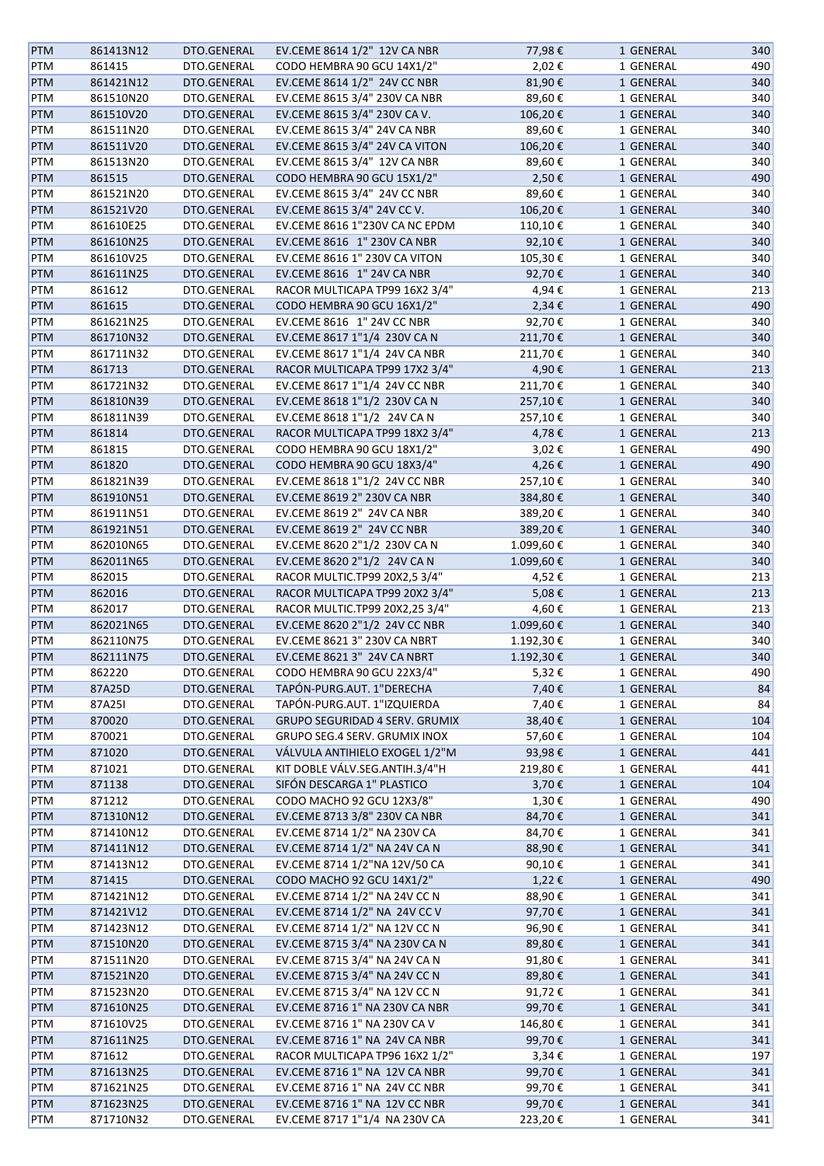| <b>PTM</b> | 861413N12 | DTO.GENERAL | EV.CEME 8614 1/2" 12V CA NBR          | 77,98€    | 1 GENERAL | 340 |
|------------|-----------|-------------|---------------------------------------|-----------|-----------|-----|
| PTM        | 861415    | DTO.GENERAL | CODO HEMBRA 90 GCU 14X1/2"            | 2,02€     | 1 GENERAL | 490 |
| <b>PTM</b> | 861421N12 | DTO.GENERAL | EV.CEME 8614 1/2" 24V CC NBR          | 81,90€    | 1 GENERAL | 340 |
| PTM        | 861510N20 | DTO.GENERAL | EV.CEME 8615 3/4" 230V CA NBR         | 89,60€    | 1 GENERAL | 340 |
| <b>PTM</b> | 861510V20 | DTO.GENERAL | EV.CEME 8615 3/4" 230V CA V.          | 106,20€   | 1 GENERAL | 340 |
| PTM        | 861511N20 | DTO.GENERAL | EV.CEME 8615 3/4" 24V CA NBR          | 89,60€    | 1 GENERAL | 340 |
|            | 861511V20 |             | EV.CEME 8615 3/4" 24V CA VITON        |           |           |     |
| <b>PTM</b> |           | DTO.GENERAL |                                       | 106,20€   | 1 GENERAL | 340 |
| PTM        | 861513N20 | DTO.GENERAL | EV.CEME 8615 3/4" 12V CA NBR          | 89,60€    | 1 GENERAL | 340 |
| <b>PTM</b> | 861515    | DTO.GENERAL | CODO HEMBRA 90 GCU 15X1/2"            | 2,50€     | 1 GENERAL | 490 |
| PTM        | 861521N20 | DTO.GENERAL | EV.CEME 8615 3/4" 24V CC NBR          | 89,60€    | 1 GENERAL | 340 |
| <b>PTM</b> | 861521V20 | DTO.GENERAL | EV.CEME 8615 3/4" 24V CC V.           | 106,20€   | 1 GENERAL | 340 |
| PTM        | 861610E25 | DTO.GENERAL | EV.CEME 8616 1"230V CA NC EPDM        | 110,10€   | 1 GENERAL | 340 |
| <b>PTM</b> | 861610N25 | DTO.GENERAL | EV.CEME 8616 1" 230V CA NBR           | 92,10€    | 1 GENERAL | 340 |
| PTM        | 861610V25 | DTO.GENERAL | EV.CEME 8616 1" 230V CA VITON         | 105,30€   | 1 GENERAL | 340 |
| <b>PTM</b> | 861611N25 | DTO.GENERAL | EV.CEME 8616 1" 24V CA NBR            | 92,70€    | 1 GENERAL | 340 |
| PTM        | 861612    | DTO.GENERAL | RACOR MULTICAPA TP99 16X2 3/4"        | 4,94€     | 1 GENERAL | 213 |
| <b>PTM</b> | 861615    | DTO.GENERAL | CODO HEMBRA 90 GCU 16X1/2"            | 2,34€     | 1 GENERAL | 490 |
| PTM        | 861621N25 | DTO.GENERAL | EV.CEME 8616 1" 24V CC NBR            | 92,70€    | 1 GENERAL | 340 |
| <b>PTM</b> | 861710N32 | DTO.GENERAL | EV.CEME 8617 1"1/4 230V CAN           | 211,70€   | 1 GENERAL | 340 |
| PTM        | 861711N32 | DTO.GENERAL | EV.CEME 8617 1"1/4 24V CA NBR         | 211,70€   | 1 GENERAL | 340 |
| PTM        | 861713    | DTO.GENERAL | RACOR MULTICAPA TP99 17X2 3/4"        | 4,90€     | 1 GENERAL | 213 |
| PTM        | 861721N32 | DTO.GENERAL | EV.CEME 8617 1"1/4 24V CC NBR         | 211,70€   | 1 GENERAL | 340 |
| <b>PTM</b> | 861810N39 | DTO.GENERAL | EV.CEME 8618 1"1/2 230V CA N          | 257,10€   | 1 GENERAL | 340 |
| PTM        | 861811N39 | DTO.GENERAL | EV.CEME 8618 1"1/2 24V CA N           | 257,10€   | 1 GENERAL | 340 |
|            |           |             | RACOR MULTICAPA TP99 18X2 3/4"        | 4,78€     |           | 213 |
| PTM        | 861814    | DTO.GENERAL |                                       |           | 1 GENERAL |     |
| PTM        | 861815    | DTO.GENERAL | CODO HEMBRA 90 GCU 18X1/2"            | 3,02€     | 1 GENERAL | 490 |
| PTM        | 861820    | DTO.GENERAL | CODO HEMBRA 90 GCU 18X3/4"            | 4,26€     | 1 GENERAL | 490 |
| PTM        | 861821N39 | DTO.GENERAL | EV.CEME 8618 1"1/2 24V CC NBR         | 257,10€   | 1 GENERAL | 340 |
| PTM        | 861910N51 | DTO.GENERAL | EV.CEME 8619 2" 230V CA NBR           | 384,80€   | 1 GENERAL | 340 |
| PTM        | 861911N51 | DTO.GENERAL | EV.CEME 8619 2" 24V CA NBR            | 389,20€   | 1 GENERAL | 340 |
| PTM        | 861921N51 | DTO.GENERAL | EV.CEME 8619 2" 24V CC NBR            | 389,20€   | 1 GENERAL | 340 |
| PTM        | 862010N65 | DTO.GENERAL | EV.CEME 8620 2"1/2 230V CA N          | 1.099,60€ | 1 GENERAL | 340 |
| PTM        | 862011N65 | DTO.GENERAL | EV.CEME 8620 2"1/2 24V CA N           | 1.099,60€ | 1 GENERAL | 340 |
| PTM        | 862015    | DTO.GENERAL | RACOR MULTIC.TP99 20X2,5 3/4"         | 4,52€     | 1 GENERAL | 213 |
| <b>PTM</b> | 862016    | DTO.GENERAL | RACOR MULTICAPA TP99 20X2 3/4"        | 5,08€     | 1 GENERAL | 213 |
| PTM        | 862017    | DTO.GENERAL | RACOR MULTIC.TP99 20X2,25 3/4"        | 4,60€     | 1 GENERAL | 213 |
| <b>PTM</b> | 862021N65 | DTO.GENERAL | EV.CEME 8620 2"1/2 24V CC NBR         | 1.099,60€ | 1 GENERAL | 340 |
| PTM        | 862110N75 | DTO.GENERAL | EV.CEME 8621 3" 230V CA NBRT          | 1.192,30€ | 1 GENERAL | 340 |
| <b>PTM</b> | 862111N75 | DTO.GENERAL | EV.CEME 8621 3" 24V CA NBRT           | 1.192,30€ | 1 GENERAL | 340 |
| PTM        | 862220    | DTO.GENERAL | CODO HEMBRA 90 GCU 22X3/4"            | 5,32€     | 1 GENERAL | 490 |
| <b>PTM</b> | 87A25D    | DTO.GENERAL | TAPÓN-PURG.AUT. 1"DERECHA             | 7,40€     | 1 GENERAL | 84  |
| PTM        | 87A25I    | DTO.GENERAL | TAPÓN-PURG.AUT. 1"IZQUIERDA           | 7,40€     | 1 GENERAL | 84  |
| <b>PTM</b> | 870020    | DTO.GENERAL | <b>GRUPO SEGURIDAD 4 SERV. GRUMIX</b> | 38,40€    | 1 GENERAL | 104 |
| PTM        | 870021    | DTO.GENERAL | GRUPO SEG.4 SERV. GRUMIX INOX         | 57,60€    | 1 GENERAL | 104 |
| <b>PTM</b> | 871020    | DTO.GENERAL | VÁLVULA ANTIHIELO EXOGEL 1/2"M        | 93,98€    | 1 GENERAL | 441 |
| PTM        | 871021    | DTO.GENERAL | KIT DOBLE VÁLV.SEG.ANTIH.3/4"H        | 219,80€   | 1 GENERAL | 441 |
|            |           | DTO.GENERAL | SIFÓN DESCARGA 1" PLASTICO            |           |           | 104 |
| <b>PTM</b> | 871138    |             |                                       | 3,70€     | 1 GENERAL |     |
| PTM        | 871212    | DTO.GENERAL | CODO MACHO 92 GCU 12X3/8"             | 1,30€     | 1 GENERAL | 490 |
| PTM        | 871310N12 | DTO.GENERAL | EV.CEME 8713 3/8" 230V CA NBR         | 84,70€    | 1 GENERAL | 341 |
| PTM        | 871410N12 | DTO.GENERAL | EV.CEME 8714 1/2" NA 230V CA          | 84,70€    | 1 GENERAL | 341 |
| <b>PTM</b> | 871411N12 | DTO.GENERAL | EV.CEME 8714 1/2" NA 24V CA N         | 88,90€    | 1 GENERAL | 341 |
| PTM        | 871413N12 | DTO.GENERAL | EV.CEME 8714 1/2"NA 12V/50 CA         | 90,10€    | 1 GENERAL | 341 |
| <b>PTM</b> | 871415    | DTO.GENERAL | CODO MACHO 92 GCU 14X1/2"             | 1,22€     | 1 GENERAL | 490 |
| PTM        | 871421N12 | DTO.GENERAL | EV.CEME 8714 1/2" NA 24V CC N         | 88,90€    | 1 GENERAL | 341 |
| PTM        | 871421V12 | DTO.GENERAL | EV.CEME 8714 1/2" NA 24V CC V         | 97,70€    | 1 GENERAL | 341 |
| PTM        | 871423N12 | DTO.GENERAL | EV.CEME 8714 1/2" NA 12V CC N         | 96,90€    | 1 GENERAL | 341 |
| PTM        | 871510N20 | DTO.GENERAL | EV.CEME 8715 3/4" NA 230V CA N        | 89,80€    | 1 GENERAL | 341 |
| PTM        | 871511N20 | DTO.GENERAL | EV.CEME 8715 3/4" NA 24V CA N         | 91,80€    | 1 GENERAL | 341 |
| <b>PTM</b> | 871521N20 | DTO.GENERAL | EV.CEME 8715 3/4" NA 24V CC N         | 89,80€    | 1 GENERAL | 341 |
| PTM        | 871523N20 | DTO.GENERAL | EV.CEME 8715 3/4" NA 12V CC N         | 91,72€    | 1 GENERAL | 341 |
| PTM        | 871610N25 | DTO.GENERAL | EV.CEME 8716 1" NA 230V CA NBR        | 99,70€    | 1 GENERAL | 341 |
| PTM        | 871610V25 | DTO.GENERAL | EV.CEME 8716 1" NA 230V CA V          | 146,80€   | 1 GENERAL | 341 |
| PTM        | 871611N25 | DTO.GENERAL | EV.CEME 8716 1" NA 24V CA NBR         | 99,70€    | 1 GENERAL | 341 |
| PTM        | 871612    | DTO.GENERAL | RACOR MULTICAPA TP96 16X2 1/2"        | 3,34€     | 1 GENERAL | 197 |
| PTM        | 871613N25 | DTO.GENERAL | EV.CEME 8716 1" NA 12V CA NBR         | 99,70€    | 1 GENERAL | 341 |
| PTM        | 871621N25 | DTO.GENERAL | EV.CEME 8716 1" NA 24V CC NBR         | 99,70€    | 1 GENERAL | 341 |
| PTM        | 871623N25 | DTO.GENERAL | EV.CEME 8716 1" NA 12V CC NBR         | 99,70€    | 1 GENERAL | 341 |
|            |           |             | EV.CEME 8717 1"1/4 NA 230V CA         |           |           |     |
| PTM        | 871710N32 | DTO.GENERAL |                                       | 223,20€   | 1 GENERAL | 341 |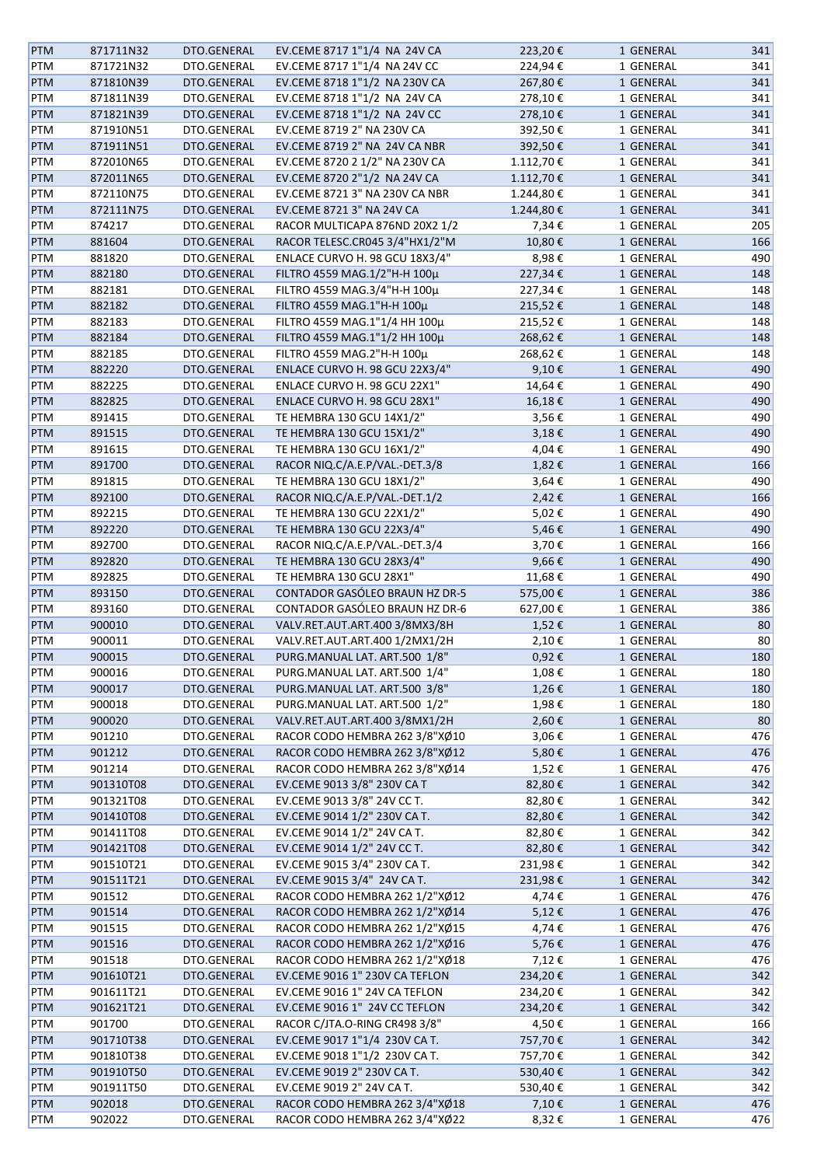| <b>PTM</b> | 871711N32 | DTO.GENERAL | EV.CEME 8717 1"1/4 NA 24V CA   | 223,20€   | 1 GENERAL | 341 |
|------------|-----------|-------------|--------------------------------|-----------|-----------|-----|
| <b>PTM</b> | 871721N32 | DTO.GENERAL | EV.CEME 8717 1"1/4 NA 24V CC   | 224,94€   | 1 GENERAL | 341 |
| <b>PTM</b> | 871810N39 | DTO.GENERAL | EV.CEME 8718 1"1/2 NA 230V CA  | 267,80€   | 1 GENERAL | 341 |
| <b>PTM</b> | 871811N39 | DTO.GENERAL | EV.CEME 8718 1"1/2 NA 24V CA   | 278,10€   | 1 GENERAL | 341 |
|            |           |             |                                |           |           |     |
| <b>PTM</b> | 871821N39 | DTO.GENERAL | EV.CEME 8718 1"1/2 NA 24V CC   | 278,10€   | 1 GENERAL | 341 |
| PTM        | 871910N51 | DTO.GENERAL | EV.CEME 8719 2" NA 230V CA     | 392,50€   | 1 GENERAL | 341 |
| <b>PTM</b> | 871911N51 | DTO.GENERAL | EV.CEME 8719 2" NA 24V CA NBR  | 392,50€   | 1 GENERAL | 341 |
| PTM        | 872010N65 | DTO.GENERAL | EV.CEME 8720 2 1/2" NA 230V CA | 1.112,70€ | 1 GENERAL | 341 |
| <b>PTM</b> | 872011N65 | DTO.GENERAL | EV.CEME 8720 2"1/2 NA 24V CA   | 1.112,70€ | 1 GENERAL | 341 |
| PTM        | 872110N75 | DTO.GENERAL | EV.CEME 8721 3" NA 230V CA NBR | 1.244,80€ | 1 GENERAL | 341 |
| PTM        | 872111N75 | DTO.GENERAL | EV.CEME 8721 3" NA 24V CA      | 1.244,80€ | 1 GENERAL | 341 |
| PTM        | 874217    | DTO.GENERAL | RACOR MULTICAPA 876ND 20X2 1/2 | 7,34€     | 1 GENERAL | 205 |
| <b>PTM</b> | 881604    | DTO.GENERAL | RACOR TELESC.CR045 3/4"HX1/2"M | 10,80€    | 1 GENERAL | 166 |
|            |           |             |                                |           |           |     |
| <b>PTM</b> | 881820    | DTO.GENERAL | ENLACE CURVO H. 98 GCU 18X3/4" | 8,98€     | 1 GENERAL | 490 |
| <b>PTM</b> | 882180    | DTO.GENERAL | FILTRO 4559 MAG.1/2"Η-Η 100μ   | 227,34€   | 1 GENERAL | 148 |
| PTM        | 882181    | DTO.GENERAL | FILTRO 4559 MAG.3/4"Η-Η 100μ   | 227,34€   | 1 GENERAL | 148 |
| <b>PTM</b> | 882182    | DTO.GENERAL | FILTRO 4559 MAG.1"Η-Η 100μ     | 215,52€   | 1 GENERAL | 148 |
| <b>PTM</b> | 882183    | DTO.GENERAL | FILTRO 4559 MAG.1"1/4 HH 100μ  | 215,52€   | 1 GENERAL | 148 |
| <b>PTM</b> | 882184    | DTO.GENERAL | FILTRO 4559 MAG.1"1/2 HH 100μ  | 268,62€   | 1 GENERAL | 148 |
| <b>PTM</b> | 882185    | DTO.GENERAL | FILTRO 4559 MAG.2"H-H 100µ     | 268,62€   | 1 GENERAL | 148 |
| <b>PTM</b> | 882220    | DTO.GENERAL | ENLACE CURVO H. 98 GCU 22X3/4" | 9,10€     | 1 GENERAL | 490 |
|            |           |             |                                |           | 1 GENERAL |     |
| PTM        | 882225    | DTO.GENERAL | ENLACE CURVO H. 98 GCU 22X1"   | 14,64€    |           | 490 |
| PTM        | 882825    | DTO.GENERAL | ENLACE CURVO H. 98 GCU 28X1"   | 16,18€    | 1 GENERAL | 490 |
| PTM        | 891415    | DTO.GENERAL | TE HEMBRA 130 GCU 14X1/2"      | 3,56€     | 1 GENERAL | 490 |
| PTM        | 891515    | DTO.GENERAL | TE HEMBRA 130 GCU 15X1/2"      | 3,18€     | 1 GENERAL | 490 |
| PTM        | 891615    | DTO.GENERAL | TE HEMBRA 130 GCU 16X1/2"      | 4,04€     | 1 GENERAL | 490 |
| <b>PTM</b> | 891700    | DTO.GENERAL | RACOR NIQ.C/A.E.P/VAL.-DET.3/8 | 1,82€     | 1 GENERAL | 166 |
| PTM        | 891815    | DTO.GENERAL | TE HEMBRA 130 GCU 18X1/2"      | 3,64€     | 1 GENERAL | 490 |
| <b>PTM</b> | 892100    | DTO.GENERAL | RACOR NIQ.C/A.E.P/VAL.-DET.1/2 | 2,42€     | 1 GENERAL | 166 |
| <b>PTM</b> | 892215    | DTO.GENERAL | TE HEMBRA 130 GCU 22X1/2"      | 5,02€     | 1 GENERAL | 490 |
|            |           |             |                                |           |           |     |
| PTM        | 892220    | DTO.GENERAL | TE HEMBRA 130 GCU 22X3/4"      | 5,46€     | 1 GENERAL | 490 |
| PTM        | 892700    | DTO.GENERAL | RACOR NIQ.C/A.E.P/VAL.-DET.3/4 | 3,70€     | 1 GENERAL | 166 |
| <b>PTM</b> | 892820    | DTO.GENERAL | TE HEMBRA 130 GCU 28X3/4"      | 9,66€     | 1 GENERAL | 490 |
| PTM        | 892825    | DTO.GENERAL | TE HEMBRA 130 GCU 28X1"        | 11,68€    | 1 GENERAL | 490 |
| <b>PTM</b> | 893150    | DTO.GENERAL | CONTADOR GASÓLEO BRAUN HZ DR-5 | 575,00€   | 1 GENERAL | 386 |
| PTM        | 893160    | DTO.GENERAL | CONTADOR GASÓLEO BRAUN HZ DR-6 | 627,00€   | 1 GENERAL | 386 |
| <b>PTM</b> | 900010    | DTO.GENERAL | VALV.RET.AUT.ART.400 3/8MX3/8H | 1,52€     | 1 GENERAL | 80  |
| PTM        | 900011    | DTO.GENERAL | VALV.RET.AUT.ART.400 1/2MX1/2H | 2,10€     | 1 GENERAL | 80  |
| <b>PTM</b> | 900015    | DTO.GENERAL | PURG.MANUAL LAT. ART.500 1/8"  | 0,92€     | 1 GENERAL | 180 |
|            |           |             |                                |           |           |     |
| <b>PTM</b> | 900016    | DTO.GENERAL | PURG.MANUAL LAT. ART.500 1/4"  | 1,08€     | 1 GENERAL | 180 |
| <b>PTM</b> | 900017    | DTO.GENERAL | PURG.MANUAL LAT. ART.500 3/8"  | 1,26€     | 1 GENERAL | 180 |
| <b>PTM</b> | 900018    | DTO.GENERAL | PURG.MANUAL LAT. ART.500 1/2"  | 1,98€     | 1 GENERAL | 180 |
| <b>PTM</b> | 900020    | DTO.GENERAL | VALV.RET.AUT.ART.400 3/8MX1/2H | 2,60€     | 1 GENERAL | 80  |
| <b>PTM</b> | 901210    | DTO.GENERAL | RACOR CODO HEMBRA 262 3/8"XØ10 | 3,06€     | 1 GENERAL | 476 |
| <b>PTM</b> | 901212    | DTO.GENERAL | RACOR CODO HEMBRA 262 3/8"XØ12 | 5,80€     | 1 GENERAL | 476 |
| <b>PTM</b> | 901214    | DTO.GENERAL | RACOR CODO HEMBRA 262 3/8"XØ14 | 1,52€     | 1 GENERAL | 476 |
| <b>PTM</b> | 901310T08 | DTO.GENERAL | EV.CEME 9013 3/8" 230V CA T    | 82,80€    | 1 GENERAL | 342 |
| PTM        | 901321T08 | DTO.GENERAL | EV.CEME 9013 3/8" 24V CC T.    | 82,80€    | 1 GENERAL | 342 |
|            | 901410T08 | DTO.GENERAL |                                |           |           | 342 |
| PTM        |           |             | EV.CEME 9014 1/2" 230V CA T.   | 82,80€    | 1 GENERAL |     |
| PTM        | 901411T08 | DTO.GENERAL | EV.CEME 9014 1/2" 24V CA T.    | 82,80€    | 1 GENERAL | 342 |
| <b>PTM</b> | 901421T08 | DTO.GENERAL | EV.CEME 9014 1/2" 24V CC T.    | 82,80€    | 1 GENERAL | 342 |
| <b>PTM</b> | 901510T21 | DTO.GENERAL | EV.CEME 9015 3/4" 230V CA T.   | 231,98€   | 1 GENERAL | 342 |
| <b>PTM</b> | 901511T21 | DTO.GENERAL | EV.CEME 9015 3/4" 24V CA T.    | 231,98€   | 1 GENERAL | 342 |
| <b>PTM</b> | 901512    | DTO.GENERAL | RACOR CODO HEMBRA 262 1/2"XØ12 | 4,74€     | 1 GENERAL | 476 |
| <b>PTM</b> | 901514    | DTO.GENERAL | RACOR CODO HEMBRA 262 1/2"XØ14 | 5,12€     | 1 GENERAL | 476 |
| <b>PTM</b> | 901515    | DTO.GENERAL | RACOR CODO HEMBRA 262 1/2"XØ15 | 4,74€     | 1 GENERAL | 476 |
| <b>PTM</b> | 901516    | DTO.GENERAL | RACOR CODO HEMBRA 262 1/2"XØ16 | 5,76€     | 1 GENERAL | 476 |
| <b>PTM</b> | 901518    | DTO.GENERAL | RACOR CODO HEMBRA 262 1/2"XØ18 | 7,12€     | 1 GENERAL | 476 |
|            |           |             |                                |           |           |     |
| <b>PTM</b> | 901610T21 | DTO.GENERAL | EV.CEME 9016 1" 230V CA TEFLON | 234,20€   | 1 GENERAL | 342 |
| <b>PTM</b> | 901611T21 | DTO.GENERAL | EV.CEME 9016 1" 24V CA TEFLON  | 234,20€   | 1 GENERAL | 342 |
| <b>PTM</b> | 901621T21 | DTO.GENERAL | EV.CEME 9016 1" 24V CC TEFLON  | 234,20€   | 1 GENERAL | 342 |
| PTM        | 901700    | DTO.GENERAL | RACOR C/JTA.O-RING CR498 3/8"  | 4,50€     | 1 GENERAL | 166 |
| PTM        | 901710T38 | DTO.GENERAL | EV.CEME 9017 1"1/4 230V CA T.  | 757,70€   | 1 GENERAL | 342 |
| <b>PTM</b> | 901810T38 | DTO.GENERAL | EV.CEME 9018 1"1/2 230V CA T.  | 757,70€   | 1 GENERAL | 342 |
| <b>PTM</b> | 901910T50 | DTO.GENERAL | EV.CEME 9019 2" 230V CA T.     | 530,40€   | 1 GENERAL | 342 |
| <b>PTM</b> | 901911T50 | DTO.GENERAL | EV.CEME 9019 2" 24V CA T.      | 530,40€   | 1 GENERAL | 342 |
| <b>PTM</b> | 902018    | DTO.GENERAL | RACOR CODO HEMBRA 262 3/4"XØ18 | 7,10€     | 1 GENERAL | 476 |
| PTM        | 902022    | DTO.GENERAL | RACOR CODO HEMBRA 262 3/4"XØ22 | 8,32€     | 1 GENERAL | 476 |
|            |           |             |                                |           |           |     |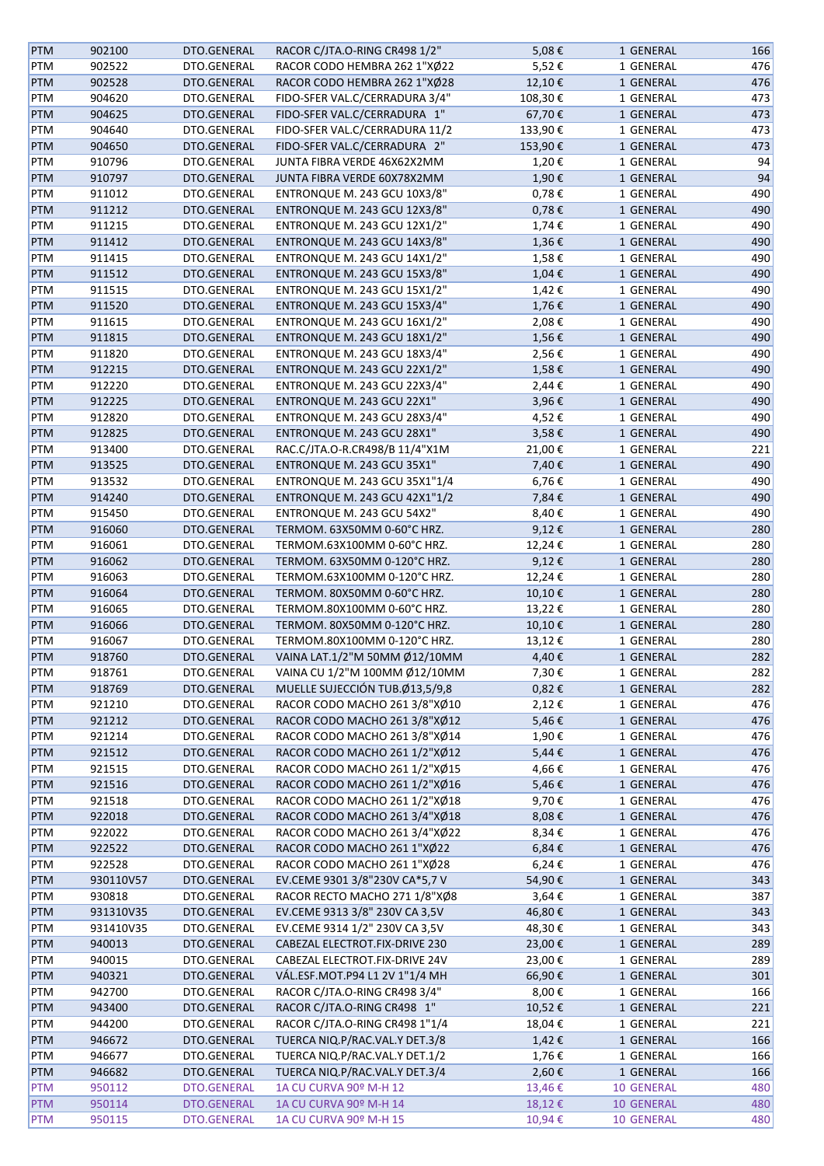| <b>PTM</b> | 902100    | DTO.GENERAL | RACOR C/JTA.O-RING CR498 1/2"       | 5,08€      | 1 GENERAL         | 166 |
|------------|-----------|-------------|-------------------------------------|------------|-------------------|-----|
| PTM        | 902522    | DTO.GENERAL | RACOR CODO HEMBRA 262 1"XØ22        | 5,52€      | 1 GENERAL         | 476 |
| <b>PTM</b> | 902528    | DTO.GENERAL | RACOR CODO HEMBRA 262 1"XØ28        | 12,10€     | 1 GENERAL         | 476 |
| PTM        | 904620    | DTO.GENERAL | FIDO-SFER VAL.C/CERRADURA 3/4"      | 108,30€    | 1 GENERAL         | 473 |
| <b>PTM</b> | 904625    | DTO.GENERAL | FIDO-SFER VAL.C/CERRADURA 1"        | 67,70€     | 1 GENERAL         | 473 |
| PTM        | 904640    | DTO.GENERAL | FIDO-SFER VAL.C/CERRADURA 11/2      | 133,90€    | 1 GENERAL         | 473 |
| <b>PTM</b> | 904650    | DTO.GENERAL | FIDO-SFER VAL.C/CERRADURA 2"        | 153,90€    | 1 GENERAL         | 473 |
| PTM        | 910796    | DTO.GENERAL | JUNTA FIBRA VERDE 46X62X2MM         | 1,20€      | 1 GENERAL         | 94  |
| <b>PTM</b> | 910797    | DTO.GENERAL | JUNTA FIBRA VERDE 60X78X2MM         | 1,90€      | 1 GENERAL         | 94  |
| PTM        | 911012    | DTO.GENERAL | <b>ENTRONQUE M. 243 GCU 10X3/8"</b> | $0,78 \in$ | 1 GENERAL         | 490 |
|            |           |             | ENTRONQUE M. 243 GCU 12X3/8"        |            |                   | 490 |
| <b>PTM</b> | 911212    | DTO.GENERAL |                                     | 0,78€      | 1 GENERAL         |     |
| PTM        | 911215    | DTO.GENERAL | <b>ENTRONQUE M. 243 GCU 12X1/2"</b> | 1,74€      | 1 GENERAL         | 490 |
| <b>PTM</b> | 911412    | DTO.GENERAL | ENTRONQUE M. 243 GCU 14X3/8"        | 1,36€      | 1 GENERAL         | 490 |
| PTM        | 911415    | DTO.GENERAL | ENTRONQUE M. 243 GCU 14X1/2"        | 1,58€      | 1 GENERAL         | 490 |
| <b>PTM</b> | 911512    | DTO.GENERAL | ENTRONQUE M. 243 GCU 15X3/8"        | 1,04€      | 1 GENERAL         | 490 |
| PTM        | 911515    | DTO.GENERAL | ENTRONQUE M. 243 GCU 15X1/2"        | 1,42€      | 1 GENERAL         | 490 |
| <b>PTM</b> | 911520    | DTO.GENERAL | ENTRONQUE M. 243 GCU 15X3/4"        | 1,76€      | 1 GENERAL         | 490 |
| PTM        | 911615    | DTO.GENERAL | <b>ENTRONQUE M. 243 GCU 16X1/2"</b> | 2,08€      | 1 GENERAL         | 490 |
| <b>PTM</b> | 911815    | DTO.GENERAL | ENTRONQUE M. 243 GCU 18X1/2"        | 1,56€      | 1 GENERAL         | 490 |
| PTM        | 911820    | DTO.GENERAL | ENTRONQUE M. 243 GCU 18X3/4"        | 2,56€      | 1 GENERAL         | 490 |
| <b>PTM</b> | 912215    | DTO.GENERAL | <b>ENTRONQUE M. 243 GCU 22X1/2"</b> | 1,58€      | 1 GENERAL         | 490 |
| PTM        | 912220    | DTO.GENERAL | <b>ENTRONQUE M. 243 GCU 22X3/4"</b> | 2,44€      | 1 GENERAL         | 490 |
| <b>PTM</b> | 912225    | DTO.GENERAL | ENTRONQUE M. 243 GCU 22X1"          | 3,96€      | 1 GENERAL         | 490 |
| PTM        | 912820    | DTO.GENERAL | ENTRONQUE M. 243 GCU 28X3/4"        | 4,52€      | 1 GENERAL         | 490 |
| <b>PTM</b> | 912825    | DTO.GENERAL | ENTRONQUE M. 243 GCU 28X1"          | 3,58€      | 1 GENERAL         | 490 |
| PTM        | 913400    | DTO.GENERAL | RAC.C/JTA.O-R.CR498/B 11/4"X1M      | 21,00€     | 1 GENERAL         | 221 |
| <b>PTM</b> | 913525    | DTO.GENERAL | ENTRONQUE M. 243 GCU 35X1"          | 7,40€      | 1 GENERAL         | 490 |
| PTM        | 913532    | DTO.GENERAL | ENTRONQUE M. 243 GCU 35X1"1/4       | 6,76€      | 1 GENERAL         | 490 |
| <b>PTM</b> | 914240    | DTO.GENERAL | ENTRONQUE M. 243 GCU 42X1"1/2       | 7,84€      | 1 GENERAL         | 490 |
| PTM        | 915450    | DTO.GENERAL | ENTRONQUE M. 243 GCU 54X2"          | 8,40€      | 1 GENERAL         | 490 |
|            |           |             |                                     |            |                   |     |
| <b>PTM</b> | 916060    | DTO.GENERAL | TERMOM. 63X50MM 0-60°C HRZ.         | 9,12€      | 1 GENERAL         | 280 |
| PTM        | 916061    | DTO.GENERAL | TERMOM.63X100MM 0-60°C HRZ.         | 12,24€     | 1 GENERAL         | 280 |
| <b>PTM</b> | 916062    | DTO.GENERAL | TERMOM. 63X50MM 0-120°C HRZ.        | 9,12€      | 1 GENERAL         | 280 |
| PTM        | 916063    | DTO.GENERAL | TERMOM.63X100MM 0-120°C HRZ.        | 12,24 €    | 1 GENERAL         | 280 |
| <b>PTM</b> | 916064    | DTO.GENERAL | TERMOM. 80X50MM 0-60°C HRZ.         | 10,10€     | 1 GENERAL         | 280 |
| PTM        | 916065    | DTO.GENERAL | TERMOM.80X100MM 0-60°C HRZ.         | 13,22€     | 1 GENERAL         | 280 |
| <b>PTM</b> | 916066    | DTO.GENERAL | TERMOM. 80X50MM 0-120°C HRZ.        | 10,10€     | 1 GENERAL         | 280 |
| PTM        | 916067    | DTO.GENERAL | TERMOM.80X100MM 0-120°C HRZ.        | 13,12€     | 1 GENERAL         | 280 |
| <b>PTM</b> | 918760    | DTO.GENERAL | VAINA LAT.1/2"M 50MM Ø12/10MM       | 4,40€      | 1 GENERAL         | 282 |
| PTM        | 918761    | DTO.GENERAL | VAINA CU 1/2"M 100MM Ø12/10MM       | 7,30€      | 1 GENERAL         | 282 |
| <b>PTM</b> | 918769    | DTO.GENERAL | MUELLE SUJECCIÓN TUB.Ø13,5/9,8      | $0,82 \in$ | 1 GENERAL         | 282 |
| PTM        | 921210    | DTO.GENERAL | RACOR CODO MACHO 261 3/8"XØ10       | 2,12€      | 1 GENERAL         | 476 |
| <b>PTM</b> | 921212    | DTO.GENERAL | RACOR CODO MACHO 261 3/8"XØ12       | 5,46€      | 1 GENERAL         | 476 |
| PTM        | 921214    | DTO.GENERAL | RACOR CODO MACHO 261 3/8"XØ14       | 1,90€      | 1 GENERAL         | 476 |
| <b>PTM</b> | 921512    | DTO.GENERAL | RACOR CODO MACHO 261 1/2"XØ12       | $5,44 \in$ | 1 GENERAL         | 476 |
| PTM        | 921515    | DTO.GENERAL | RACOR CODO MACHO 261 1/2"XØ15       | 4,66 €     | 1 GENERAL         | 476 |
| <b>PTM</b> | 921516    | DTO.GENERAL | RACOR CODO MACHO 261 1/2"XØ16       | 5,46€      | 1 GENERAL         | 476 |
| PTM        | 921518    | DTO.GENERAL | RACOR CODO MACHO 261 1/2"XØ18       | 9,70€      | 1 GENERAL         | 476 |
| PTM        | 922018    | DTO.GENERAL | RACOR CODO MACHO 261 3/4"XØ18       | 8,08€      | 1 GENERAL         | 476 |
| PTM        | 922022    | DTO.GENERAL | RACOR CODO MACHO 261 3/4"XØ22       | 8,34€      | 1 GENERAL         | 476 |
| <b>PTM</b> | 922522    | DTO.GENERAL | RACOR CODO MACHO 261 1"XØ22         | $6,84 \in$ | 1 GENERAL         | 476 |
| PTM        | 922528    | DTO.GENERAL | RACOR CODO MACHO 261 1"XØ28         | 6,24€      | 1 GENERAL         | 476 |
|            |           |             |                                     |            |                   |     |
| <b>PTM</b> | 930110V57 | DTO.GENERAL | EV.CEME 9301 3/8"230V CA*5,7 V      | 54,90€     | 1 GENERAL         | 343 |
| PTM        | 930818    | DTO.GENERAL | RACOR RECTO MACHO 271 1/8"XØ8       | 3,64€      | 1 GENERAL         | 387 |
| <b>PTM</b> | 931310V35 | DTO.GENERAL | EV.CEME 9313 3/8" 230V CA 3,5V      | 46,80€     | 1 GENERAL         | 343 |
| PTM        | 931410V35 | DTO.GENERAL | EV.CEME 9314 1/2" 230V CA 3,5V      | 48,30€     | 1 GENERAL         | 343 |
| <b>PTM</b> | 940013    | DTO.GENERAL | CABEZAL ELECTROT.FIX-DRIVE 230      | 23,00€     | 1 GENERAL         | 289 |
| PTM        | 940015    | DTO.GENERAL | CABEZAL ELECTROT.FIX-DRIVE 24V      | 23,00€     | 1 GENERAL         | 289 |
| <b>PTM</b> | 940321    | DTO.GENERAL | VÁL.ESF.MOT.P94 L1 2V 1"1/4 MH      | 66,90€     | 1 GENERAL         | 301 |
| PTM        | 942700    | DTO.GENERAL | RACOR C/JTA.O-RING CR498 3/4"       | 8,00€      | 1 GENERAL         | 166 |
| <b>PTM</b> | 943400    | DTO.GENERAL | RACOR C/JTA.O-RING CR498 1"         | 10,52€     | 1 GENERAL         | 221 |
| PTM        | 944200    | DTO.GENERAL | RACOR C/JTA.O-RING CR498 1"1/4      | 18,04€     | 1 GENERAL         | 221 |
| PTM        | 946672    | DTO.GENERAL | TUERCA NIQ.P/RAC.VAL.Y DET.3/8      | 1,42€      | 1 GENERAL         | 166 |
| PTM        | 946677    | DTO.GENERAL | TUERCA NIQ.P/RAC.VAL.Y DET.1/2      | 1,76€      | 1 GENERAL         | 166 |
| <b>PTM</b> | 946682    | DTO.GENERAL | TUERCA NIQ.P/RAC.VAL.Y DET.3/4      | 2,60€      | 1 GENERAL         | 166 |
| <b>PTM</b> | 950112    | DTO.GENERAL | 1A CU CURVA 90º M-H 12              | 13,46€     | <b>10 GENERAL</b> | 480 |
| <b>PTM</b> | 950114    | DTO.GENERAL | 1A CU CURVA 90º M-H 14              | 18,12€     | 10 GENERAL        | 480 |
| <b>PTM</b> | 950115    | DTO.GENERAL | 1A CU CURVA 90º M-H 15              | 10,94€     | <b>10 GENERAL</b> | 480 |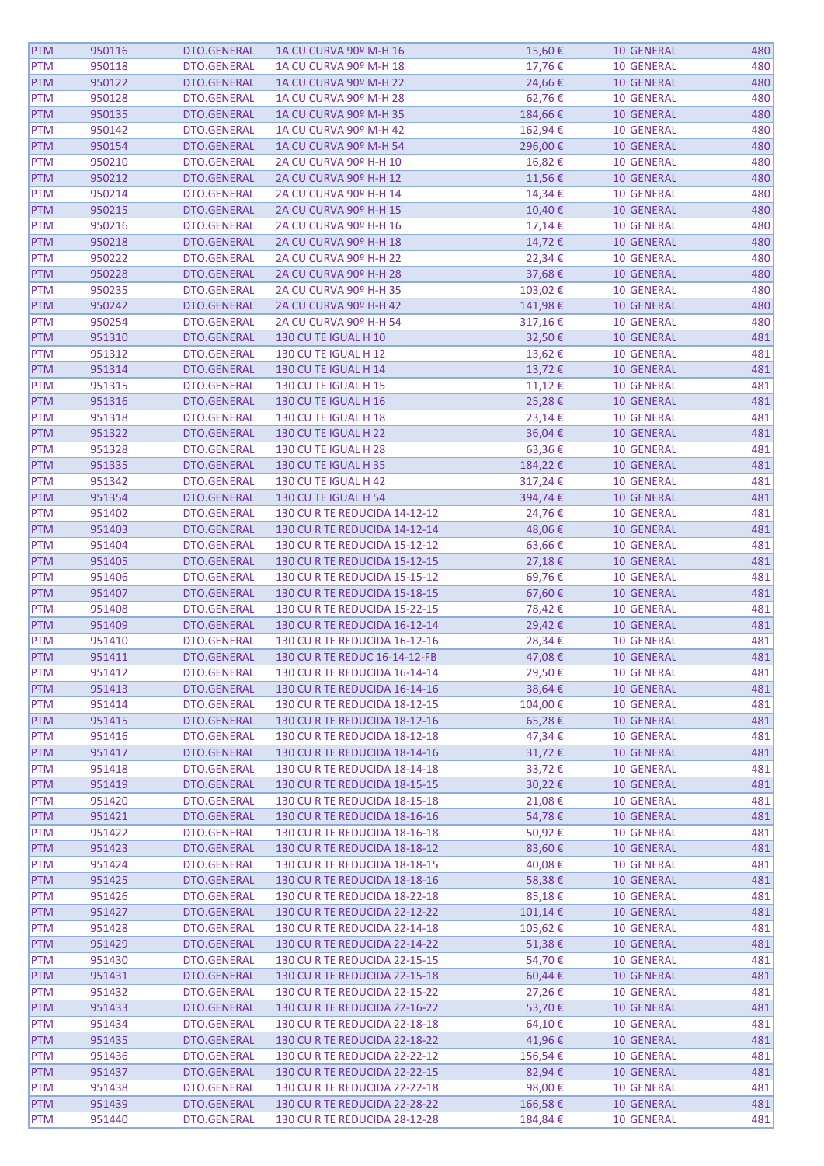| <b>PTM</b> | 950116 | DTO.GENERAL        | 1A CU CURVA 90º M-H 16        | 15,60€      | <b>10 GENERAL</b> | 480 |
|------------|--------|--------------------|-------------------------------|-------------|-------------------|-----|
| <b>PTM</b> | 950118 | DTO.GENERAL        | 1A CU CURVA 90º M-H 18        | 17,76€      | <b>10 GENERAL</b> | 480 |
| <b>PTM</b> | 950122 | DTO.GENERAL        | 1A CU CURVA 90º M-H 22        | 24,66€      | <b>10 GENERAL</b> | 480 |
| <b>PTM</b> | 950128 | DTO.GENERAL        | 1A CU CURVA 90º M-H 28        | 62,76€      | <b>10 GENERAL</b> | 480 |
|            | 950135 |                    | 1A CU CURVA 90º M-H 35        |             |                   | 480 |
| <b>PTM</b> |        | DTO.GENERAL        |                               | 184,66€     | <b>10 GENERAL</b> |     |
| <b>PTM</b> | 950142 | DTO.GENERAL        | 1A CU CURVA 90º M-H 42        | 162,94€     | <b>10 GENERAL</b> | 480 |
| <b>PTM</b> | 950154 | DTO.GENERAL        | 1A CU CURVA 90º M-H 54        | 296,00€     | <b>10 GENERAL</b> | 480 |
| <b>PTM</b> | 950210 | DTO.GENERAL        | 2A CU CURVA 90º H-H 10        | 16,82€      | <b>10 GENERAL</b> | 480 |
| <b>PTM</b> | 950212 | DTO.GENERAL        | 2A CU CURVA 90º H-H 12        | 11,56€      | <b>10 GENERAL</b> | 480 |
| <b>PTM</b> | 950214 | DTO.GENERAL        | 2A CU CURVA 90º H-H 14        | 14,34€      | <b>10 GENERAL</b> | 480 |
| <b>PTM</b> | 950215 | DTO.GENERAL        | 2A CU CURVA 90º H-H 15        | 10,40€      | <b>10 GENERAL</b> | 480 |
| <b>PTM</b> | 950216 | DTO.GENERAL        | 2A CU CURVA 90º H-H 16        | 17,14 €     | 10 GENERAL        | 480 |
| <b>PTM</b> | 950218 | DTO.GENERAL        | 2A CU CURVA 90º H-H 18        | 14,72€      | <b>10 GENERAL</b> | 480 |
| <b>PTM</b> | 950222 | DTO.GENERAL        | 2A CU CURVA 90º H-H 22        | 22,34€      | <b>10 GENERAL</b> | 480 |
| <b>PTM</b> | 950228 | DTO.GENERAL        | 2A CU CURVA 90º H-H 28        | 37,68€      | <b>10 GENERAL</b> | 480 |
| <b>PTM</b> | 950235 | DTO.GENERAL        | 2A CU CURVA 90º H-H 35        | 103,02€     | <b>10 GENERAL</b> | 480 |
| <b>PTM</b> | 950242 | DTO.GENERAL        | 2A CU CURVA 90º H-H 42        | 141,98€     | <b>10 GENERAL</b> | 480 |
| <b>PTM</b> | 950254 | DTO.GENERAL        | 2A CU CURVA 90º H-H 54        | 317,16€     | <b>10 GENERAL</b> | 480 |
| <b>PTM</b> | 951310 | DTO.GENERAL        | 130 CU TE IGUAL H 10          | 32,50€      | <b>10 GENERAL</b> | 481 |
| <b>PTM</b> | 951312 | DTO.GENERAL        | 130 CU TE IGUAL H 12          | 13,62€      | <b>10 GENERAL</b> | 481 |
| <b>PTM</b> | 951314 | DTO.GENERAL        | 130 CU TE IGUAL H 14          | 13,72€      | <b>10 GENERAL</b> | 481 |
| <b>PTM</b> | 951315 | DTO.GENERAL        | 130 CU TE IGUAL H 15          | 11,12€      | <b>10 GENERAL</b> | 481 |
| <b>PTM</b> | 951316 | DTO.GENERAL        | 130 CU TE IGUAL H 16          | 25,28€      | <b>10 GENERAL</b> | 481 |
|            |        |                    |                               |             | <b>10 GENERAL</b> |     |
| <b>PTM</b> | 951318 | DTO.GENERAL        | 130 CU TE IGUAL H 18          | 23,14€      |                   | 481 |
| <b>PTM</b> | 951322 | DTO.GENERAL        | 130 CU TE IGUAL H 22          | 36,04€      | <b>10 GENERAL</b> | 481 |
| <b>PTM</b> | 951328 | DTO.GENERAL        | 130 CU TE IGUAL H 28          | 63,36€      | <b>10 GENERAL</b> | 481 |
| <b>PTM</b> | 951335 | DTO.GENERAL        | 130 CU TE IGUAL H 35          | 184,22€     | <b>10 GENERAL</b> | 481 |
| <b>PTM</b> | 951342 | DTO.GENERAL        | 130 CU TE IGUAL H 42          | 317,24€     | <b>10 GENERAL</b> | 481 |
| <b>PTM</b> | 951354 | DTO.GENERAL        | 130 CU TE IGUAL H 54          | 394,74€     | <b>10 GENERAL</b> | 481 |
| <b>PTM</b> | 951402 | DTO.GENERAL        | 130 CU R TE REDUCIDA 14-12-12 | 24,76€      | <b>10 GENERAL</b> | 481 |
| <b>PTM</b> | 951403 | DTO.GENERAL        | 130 CU R TE REDUCIDA 14-12-14 | 48,06€      | <b>10 GENERAL</b> | 481 |
| <b>PTM</b> | 951404 | DTO.GENERAL        | 130 CU R TE REDUCIDA 15-12-12 | 63,66€      | <b>10 GENERAL</b> | 481 |
| <b>PTM</b> | 951405 | DTO.GENERAL        | 130 CU R TE REDUCIDA 15-12-15 | 27,18€      | <b>10 GENERAL</b> | 481 |
| <b>PTM</b> | 951406 | DTO.GENERAL        | 130 CU R TE REDUCIDA 15-15-12 | 69,76€      | <b>10 GENERAL</b> | 481 |
| <b>PTM</b> | 951407 | DTO.GENERAL        | 130 CU R TE REDUCIDA 15-18-15 | 67,60€      | <b>10 GENERAL</b> | 481 |
| <b>PTM</b> | 951408 | DTO.GENERAL        | 130 CU R TE REDUCIDA 15-22-15 | 78,42€      | <b>10 GENERAL</b> | 481 |
| <b>PTM</b> | 951409 | DTO.GENERAL        | 130 CU R TE REDUCIDA 16-12-14 | 29,42€      | <b>10 GENERAL</b> | 481 |
| <b>PTM</b> | 951410 | DTO.GENERAL        | 130 CU R TE REDUCIDA 16-12-16 | 28,34€      | <b>10 GENERAL</b> | 481 |
| <b>PTM</b> | 951411 | <b>DTO.GENERAL</b> | 130 CU R TE REDUC 16-14-12-FB | 47,08€      | <b>10 GENERAL</b> | 481 |
| <b>PTM</b> | 951412 | DTO.GENERAL        | 130 CU R TE REDUCIDA 16-14-14 | 29,50€      | <b>10 GENERAL</b> | 481 |
| <b>PTM</b> | 951413 | DTO.GENERAL        | 130 CU R TE REDUCIDA 16-14-16 | 38,64€      | <b>10 GENERAL</b> | 481 |
| <b>PTM</b> | 951414 | DTO.GENERAL        | 130 CU R TE REDUCIDA 18-12-15 | 104,00€     | <b>10 GENERAL</b> | 481 |
| <b>PTM</b> | 951415 | DTO.GENERAL        | 130 CU R TE REDUCIDA 18-12-16 | 65,28€      | <b>10 GENERAL</b> | 481 |
| <b>PTM</b> | 951416 | DTO.GENERAL        | 130 CU R TE REDUCIDA 18-12-18 | 47,34 €     | <b>10 GENERAL</b> | 481 |
| <b>PTM</b> | 951417 | DTO.GENERAL        | 130 CU R TE REDUCIDA 18-14-16 | 31,72€      | 10 GENERAL        | 481 |
| <b>PTM</b> | 951418 | DTO.GENERAL        | 130 CU R TE REDUCIDA 18-14-18 | 33,72€      | <b>10 GENERAL</b> | 481 |
| <b>PTM</b> |        |                    |                               |             |                   | 481 |
|            | 951419 | DTO.GENERAL        | 130 CU R TE REDUCIDA 18-15-15 | 30,22€      | 10 GENERAL        |     |
| <b>PTM</b> | 951420 | DTO.GENERAL        | 130 CU R TE REDUCIDA 18-15-18 | 21,08€      | <b>10 GENERAL</b> | 481 |
| <b>PTM</b> | 951421 | DTO.GENERAL        | 130 CU R TE REDUCIDA 18-16-16 | 54,78€      | <b>10 GENERAL</b> | 481 |
| <b>PTM</b> | 951422 | DTO.GENERAL        | 130 CU R TE REDUCIDA 18-16-18 | 50,92€      | <b>10 GENERAL</b> | 481 |
| <b>PTM</b> | 951423 | DTO.GENERAL        | 130 CU R TE REDUCIDA 18-18-12 | 83,60€      | <b>10 GENERAL</b> | 481 |
| <b>PTM</b> | 951424 | DTO.GENERAL        | 130 CU R TE REDUCIDA 18-18-15 | 40,08€      | <b>10 GENERAL</b> | 481 |
| <b>PTM</b> | 951425 | DTO.GENERAL        | 130 CU R TE REDUCIDA 18-18-16 | 58,38€      | 10 GENERAL        | 481 |
| <b>PTM</b> | 951426 | DTO.GENERAL        | 130 CU R TE REDUCIDA 18-22-18 | 85,18€      | <b>10 GENERAL</b> | 481 |
| <b>PTM</b> | 951427 | DTO.GENERAL        | 130 CU R TE REDUCIDA 22-12-22 | 101,14€     | <b>10 GENERAL</b> | 481 |
| <b>PTM</b> | 951428 | DTO.GENERAL        | 130 CU R TE REDUCIDA 22-14-18 | 105,62€     | <b>10 GENERAL</b> | 481 |
| <b>PTM</b> | 951429 | DTO.GENERAL        | 130 CU R TE REDUCIDA 22-14-22 | 51,38€      | 10 GENERAL        | 481 |
| <b>PTM</b> | 951430 | DTO.GENERAL        | 130 CU R TE REDUCIDA 22-15-15 | 54,70€      | 10 GENERAL        | 481 |
| <b>PTM</b> | 951431 | DTO.GENERAL        | 130 CU R TE REDUCIDA 22-15-18 | $60,44 \in$ | 10 GENERAL        | 481 |
| <b>PTM</b> | 951432 | DTO.GENERAL        | 130 CU R TE REDUCIDA 22-15-22 | 27,26€      | <b>10 GENERAL</b> | 481 |
| <b>PTM</b> | 951433 | DTO.GENERAL        | 130 CU R TE REDUCIDA 22-16-22 | 53,70€      | 10 GENERAL        | 481 |
| <b>PTM</b> | 951434 | DTO.GENERAL        | 130 CU R TE REDUCIDA 22-18-18 | 64,10€      | <b>10 GENERAL</b> | 481 |
| <b>PTM</b> | 951435 | DTO.GENERAL        | 130 CU R TE REDUCIDA 22-18-22 | 41,96€      | <b>10 GENERAL</b> | 481 |
| <b>PTM</b> | 951436 | DTO.GENERAL        | 130 CU R TE REDUCIDA 22-22-12 | 156,54€     | <b>10 GENERAL</b> | 481 |
| <b>PTM</b> | 951437 | DTO.GENERAL        | 130 CU R TE REDUCIDA 22-22-15 | 82,94€      | <b>10 GENERAL</b> | 481 |
| <b>PTM</b> | 951438 | DTO.GENERAL        | 130 CU R TE REDUCIDA 22-22-18 | 98,00€      | 10 GENERAL        | 481 |
| <b>PTM</b> | 951439 | DTO.GENERAL        | 130 CU R TE REDUCIDA 22-28-22 | 166,58€     | 10 GENERAL        | 481 |
| <b>PTM</b> | 951440 | DTO.GENERAL        | 130 CU R TE REDUCIDA 28-12-28 | 184,84€     | 10 GENERAL        | 481 |
|            |        |                    |                               |             |                   |     |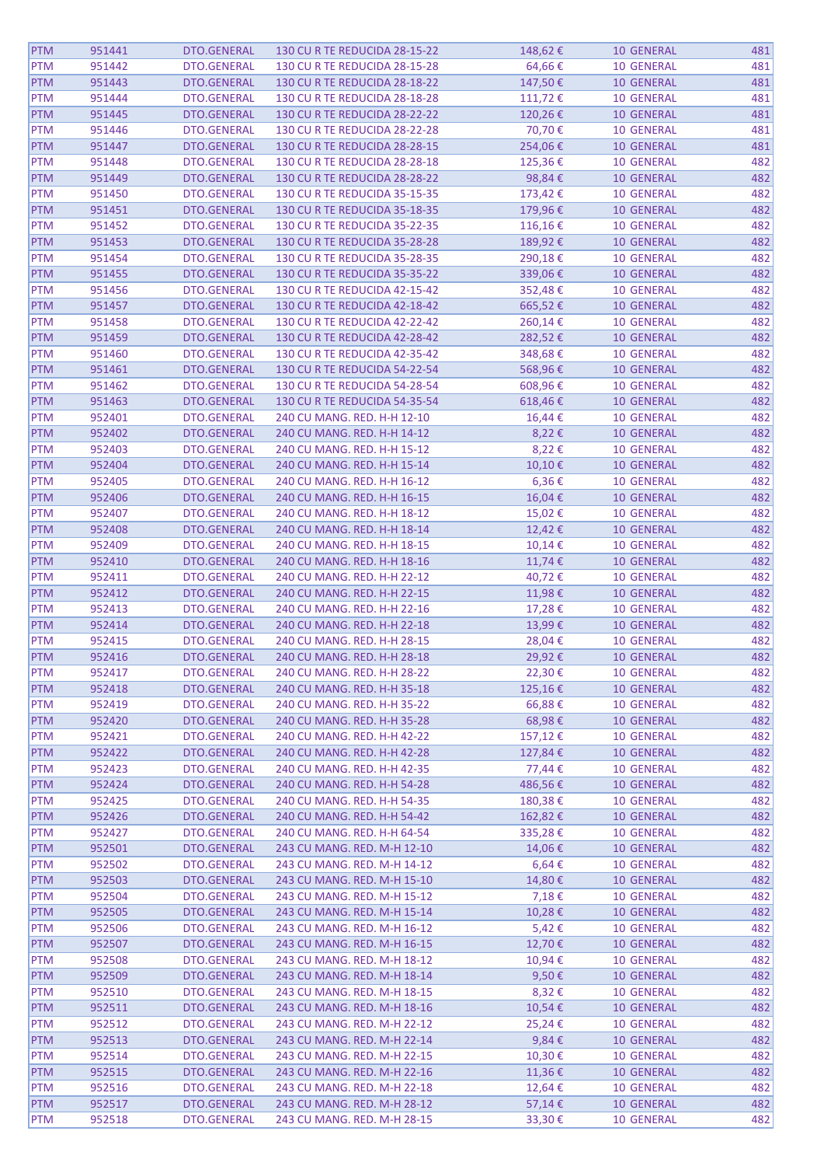| <b>PTM</b> | 951441 | DTO.GENERAL        | 130 CU R TE REDUCIDA 28-15-22 | 148,62€         | <b>10 GENERAL</b> | 481 |
|------------|--------|--------------------|-------------------------------|-----------------|-------------------|-----|
| <b>PTM</b> | 951442 | DTO.GENERAL        | 130 CU R TE REDUCIDA 28-15-28 | 64,66€          | <b>10 GENERAL</b> | 481 |
| <b>PTM</b> | 951443 | DTO.GENERAL        | 130 CU R TE REDUCIDA 28-18-22 | 147,50€         | <b>10 GENERAL</b> | 481 |
| <b>PTM</b> | 951444 | DTO.GENERAL        | 130 CU R TE REDUCIDA 28-18-28 | 111,72€         | <b>10 GENERAL</b> | 481 |
| <b>PTM</b> | 951445 | DTO.GENERAL        | 130 CU R TE REDUCIDA 28-22-22 | 120,26€         | 10 GENERAL        | 481 |
| <b>PTM</b> | 951446 | DTO.GENERAL        | 130 CU R TE REDUCIDA 28-22-28 | 70,70€          | <b>10 GENERAL</b> | 481 |
| <b>PTM</b> | 951447 | DTO.GENERAL        | 130 CU R TE REDUCIDA 28-28-15 | 254,06€         | <b>10 GENERAL</b> | 481 |
| <b>PTM</b> | 951448 | DTO.GENERAL        | 130 CU R TE REDUCIDA 28-28-18 | 125,36€         | <b>10 GENERAL</b> | 482 |
|            |        |                    |                               |                 |                   |     |
| <b>PTM</b> | 951449 | DTO.GENERAL        | 130 CU R TE REDUCIDA 28-28-22 | 98,84€          | <b>10 GENERAL</b> | 482 |
| <b>PTM</b> | 951450 | <b>DTO.GENERAL</b> | 130 CU R TE REDUCIDA 35-15-35 | 173,42€         | <b>10 GENERAL</b> | 482 |
| <b>PTM</b> | 951451 | DTO.GENERAL        | 130 CU R TE REDUCIDA 35-18-35 | 179,96€         | <b>10 GENERAL</b> | 482 |
| <b>PTM</b> | 951452 | DTO.GENERAL        | 130 CU R TE REDUCIDA 35-22-35 | 116,16€         | <b>10 GENERAL</b> | 482 |
| <b>PTM</b> | 951453 | DTO.GENERAL        | 130 CU R TE REDUCIDA 35-28-28 | 189,92€         | 10 GENERAL        | 482 |
| <b>PTM</b> | 951454 | DTO.GENERAL        | 130 CU R TE REDUCIDA 35-28-35 | 290,18€         | <b>10 GENERAL</b> | 482 |
| <b>PTM</b> | 951455 | DTO.GENERAL        | 130 CU R TE REDUCIDA 35-35-22 | 339,06€         | <b>10 GENERAL</b> | 482 |
| <b>PTM</b> | 951456 | DTO.GENERAL        | 130 CU R TE REDUCIDA 42-15-42 | 352,48€         | <b>10 GENERAL</b> | 482 |
| <b>PTM</b> | 951457 | DTO.GENERAL        | 130 CU R TE REDUCIDA 42-18-42 | 665,52€         | <b>10 GENERAL</b> | 482 |
| <b>PTM</b> | 951458 | DTO.GENERAL        | 130 CU R TE REDUCIDA 42-22-42 | 260,14€         | <b>10 GENERAL</b> | 482 |
| <b>PTM</b> | 951459 | DTO.GENERAL        | 130 CU R TE REDUCIDA 42-28-42 | 282,52€         | <b>10 GENERAL</b> | 482 |
| <b>PTM</b> | 951460 | DTO.GENERAL        | 130 CU R TE REDUCIDA 42-35-42 | 348,68€         | <b>10 GENERAL</b> | 482 |
| <b>PTM</b> | 951461 | DTO.GENERAL        | 130 CU R TE REDUCIDA 54-22-54 | 568,96€         | 10 GENERAL        | 482 |
| <b>PTM</b> | 951462 | DTO.GENERAL        | 130 CU R TE REDUCIDA 54-28-54 | 608,96€         | <b>10 GENERAL</b> | 482 |
| <b>PTM</b> | 951463 | DTO.GENERAL        | 130 CU R TE REDUCIDA 54-35-54 | 618,46€         | <b>10 GENERAL</b> | 482 |
| <b>PTM</b> | 952401 | DTO.GENERAL        | 240 CU MANG. RED. H-H 12-10   | 16,44 €         | <b>10 GENERAL</b> | 482 |
| <b>PTM</b> | 952402 | DTO.GENERAL        | 240 CU MANG. RED. H-H 14-12   | 8,22€           | 10 GENERAL        | 482 |
|            |        |                    |                               |                 |                   |     |
| <b>PTM</b> | 952403 | DTO.GENERAL        | 240 CU MANG. RED. H-H 15-12   | 8,22€           | <b>10 GENERAL</b> | 482 |
| <b>PTM</b> | 952404 | DTO.GENERAL        | 240 CU MANG. RED. H-H 15-14   | 10,10€          | <b>10 GENERAL</b> | 482 |
| <b>PTM</b> | 952405 | DTO.GENERAL        | 240 CU MANG. RED. H-H 16-12   | 6,36€           | <b>10 GENERAL</b> | 482 |
| <b>PTM</b> | 952406 | DTO.GENERAL        | 240 CU MANG. RED. H-H 16-15   | 16,04€          | <b>10 GENERAL</b> | 482 |
| <b>PTM</b> | 952407 | DTO.GENERAL        | 240 CU MANG. RED. H-H 18-12   | 15,02€          | <b>10 GENERAL</b> | 482 |
| <b>PTM</b> | 952408 | DTO.GENERAL        | 240 CU MANG. RED. H-H 18-14   | 12,42€          | <b>10 GENERAL</b> | 482 |
| <b>PTM</b> | 952409 | DTO.GENERAL        | 240 CU MANG. RED. H-H 18-15   | 10,14€          | <b>10 GENERAL</b> | 482 |
| <b>PTM</b> | 952410 | DTO.GENERAL        | 240 CU MANG. RED. H-H 18-16   | 11,74€          | <b>10 GENERAL</b> | 482 |
| <b>PTM</b> | 952411 | DTO.GENERAL        | 240 CU MANG. RED. H-H 22-12   | 40,72€          | <b>10 GENERAL</b> | 482 |
| <b>PTM</b> | 952412 | DTO.GENERAL        | 240 CU MANG. RED. H-H 22-15   | 11,98€          | <b>10 GENERAL</b> | 482 |
| <b>PTM</b> | 952413 | DTO.GENERAL        | 240 CU MANG. RED. H-H 22-16   | 17,28€          | <b>10 GENERAL</b> | 482 |
| <b>PTM</b> | 952414 | DTO.GENERAL        | 240 CU MANG. RED. H-H 22-18   | 13,99€          | <b>10 GENERAL</b> | 482 |
| <b>PTM</b> | 952415 | DTO.GENERAL        | 240 CU MANG. RED. H-H 28-15   | 28,04€          | <b>10 GENERAL</b> | 482 |
| <b>PTM</b> | 952416 | DTO.GENERAL        | 240 CU MANG. RED. H-H 28-18   | 29,92€          | <b>10 GENERAL</b> | 482 |
| <b>PTM</b> | 952417 | DTO.GENERAL        | 240 CU MANG. RED. H-H 28-22   | 22,30€          | <b>10 GENERAL</b> | 482 |
| <b>PTM</b> | 952418 | DTO.GENERAL        | 240 CU MANG. RED. H-H 35-18   | 125,16€         | <b>10 GENERAL</b> | 482 |
| <b>PTM</b> | 952419 | DTO.GENERAL        | 240 CU MANG. RED. H-H 35-22   | 66,88€          | <b>10 GENERAL</b> | 482 |
| <b>PTM</b> | 952420 | DTO.GENERAL        | 240 CU MANG. RED. H-H 35-28   | 68,98€          | <b>10 GENERAL</b> | 482 |
| <b>PTM</b> | 952421 | DTO.GENERAL        | 240 CU MANG. RED. H-H 42-22   | 157,12€         | <b>10 GENERAL</b> | 482 |
| <b>PTM</b> | 952422 | DTO.GENERAL        | 240 CU MANG. RED. H-H 42-28   | 127,84€         | <b>10 GENERAL</b> | 482 |
| <b>PTM</b> | 952423 | <b>DTO.GENERAL</b> | 240 CU MANG. RED. H-H 42-35   | 77,44 €         | <b>10 GENERAL</b> | 482 |
|            |        |                    |                               |                 |                   |     |
| <b>PTM</b> | 952424 | DTO.GENERAL        | 240 CU MANG. RED. H-H 54-28   | 486,56€         | 10 GENERAL        | 482 |
| <b>PTM</b> | 952425 | <b>DTO.GENERAL</b> | 240 CU MANG. RED. H-H 54-35   | 180,38€         | <b>10 GENERAL</b> | 482 |
| <b>PTM</b> | 952426 | DTO.GENERAL        | 240 CU MANG. RED. H-H 54-42   | 162,82€         | <b>10 GENERAL</b> | 482 |
| <b>PTM</b> | 952427 | DTO.GENERAL        | 240 CU MANG. RED. H-H 64-54   | 335,28€         | <b>10 GENERAL</b> | 482 |
| <b>PTM</b> | 952501 | DTO.GENERAL        | 243 CU MANG. RED. M-H 12-10   | 14,06€          | <b>10 GENERAL</b> | 482 |
| <b>PTM</b> | 952502 | DTO.GENERAL        | 243 CU MANG. RED. M-H 14-12   | 6,64€           | <b>10 GENERAL</b> | 482 |
| <b>PTM</b> | 952503 | DTO.GENERAL        | 243 CU MANG. RED. M-H 15-10   | 14,80€          | <b>10 GENERAL</b> | 482 |
| <b>PTM</b> | 952504 | DTO.GENERAL        | 243 CU MANG. RED. M-H 15-12   | 7,18€           | <b>10 GENERAL</b> | 482 |
| <b>PTM</b> | 952505 | DTO.GENERAL        | 243 CU MANG. RED. M-H 15-14   | 10,28€          | <b>10 GENERAL</b> | 482 |
| <b>PTM</b> | 952506 | DTO.GENERAL        | 243 CU MANG. RED. M-H 16-12   | $5,42 \notin$   | <b>10 GENERAL</b> | 482 |
| <b>PTM</b> | 952507 | DTO.GENERAL        | 243 CU MANG. RED. M-H 16-15   | 12,70€          | 10 GENERAL        | 482 |
| <b>PTM</b> | 952508 | DTO.GENERAL        | 243 CU MANG. RED. M-H 18-12   | 10,94€          | <b>10 GENERAL</b> | 482 |
| <b>PTM</b> | 952509 | DTO.GENERAL        | 243 CU MANG. RED. M-H 18-14   | 9,50€           | <b>10 GENERAL</b> | 482 |
| <b>PTM</b> | 952510 | DTO.GENERAL        | 243 CU MANG. RED. M-H 18-15   | 8,32€           | <b>10 GENERAL</b> | 482 |
| <b>PTM</b> | 952511 | DTO.GENERAL        | 243 CU MANG. RED. M-H 18-16   | 10,54€          | <b>10 GENERAL</b> | 482 |
| <b>PTM</b> | 952512 | DTO.GENERAL        | 243 CU MANG. RED. M-H 22-12   | 25,24€          | <b>10 GENERAL</b> | 482 |
| <b>PTM</b> | 952513 | DTO.GENERAL        | 243 CU MANG. RED. M-H 22-14   | 9,84 $\epsilon$ | 10 GENERAL        | 482 |
| <b>PTM</b> | 952514 | DTO.GENERAL        | 243 CU MANG. RED. M-H 22-15   | 10,30€          | <b>10 GENERAL</b> | 482 |
| <b>PTM</b> | 952515 | DTO.GENERAL        | 243 CU MANG. RED. M-H 22-16   | 11,36€          | <b>10 GENERAL</b> | 482 |
|            |        |                    |                               |                 |                   |     |
| <b>PTM</b> | 952516 | DTO.GENERAL        | 243 CU MANG. RED. M-H 22-18   | 12,64€          | <b>10 GENERAL</b> | 482 |
| <b>PTM</b> | 952517 | DTO.GENERAL        | 243 CU MANG. RED. M-H 28-12   | 57,14€          | <b>10 GENERAL</b> | 482 |
| PTM        | 952518 | DTO.GENERAL        | 243 CU MANG. RED. M-H 28-15   | 33,30€          | <b>10 GENERAL</b> | 482 |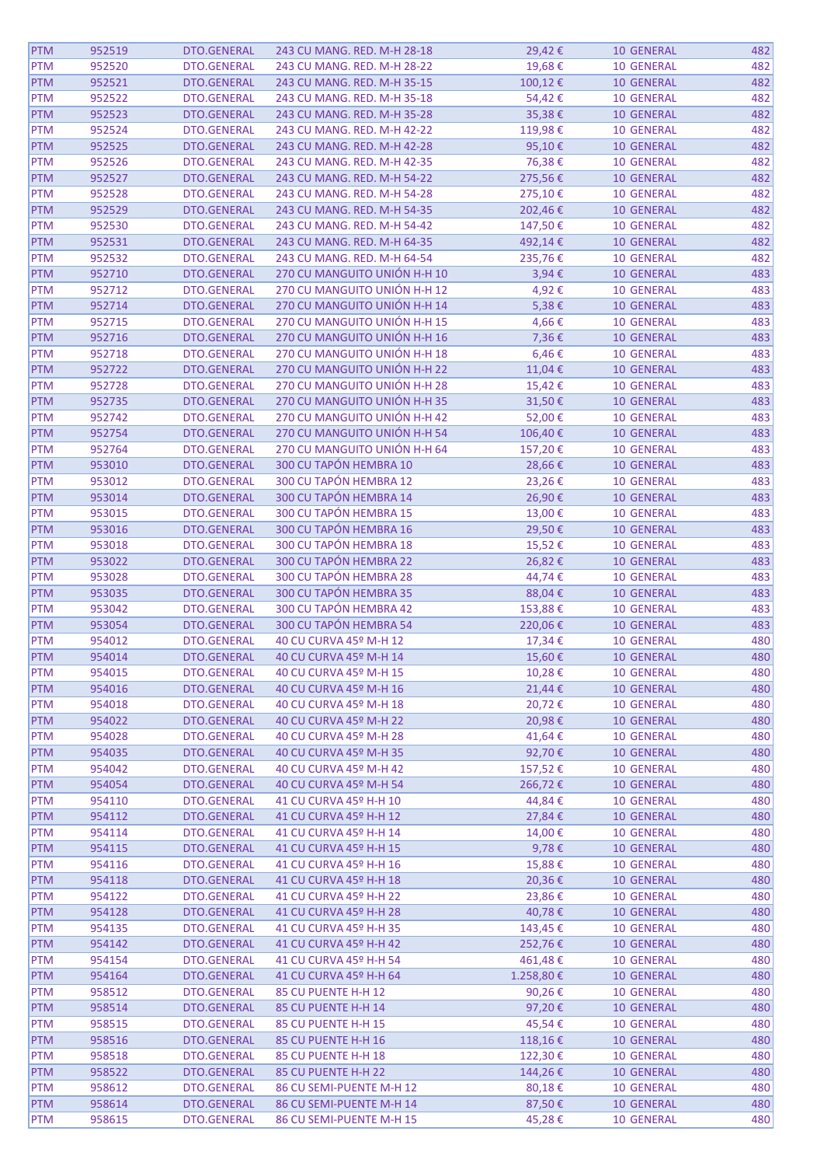| <b>PTM</b> | 952519 | DTO.GENERAL        | 243 CU MANG. RED. M-H 28-18  | 29,42€    | <b>10 GENERAL</b> | 482 |
|------------|--------|--------------------|------------------------------|-----------|-------------------|-----|
| <b>PTM</b> | 952520 | <b>DTO.GENERAL</b> | 243 CU MANG. RED. M-H 28-22  | 19,68€    | <b>10 GENERAL</b> | 482 |
| PTM        | 952521 | <b>DTO.GENERAL</b> | 243 CU MANG. RED. M-H 35-15  | 100,12€   | <b>10 GENERAL</b> | 482 |
| <b>PTM</b> | 952522 | DTO.GENERAL        | 243 CU MANG. RED. M-H 35-18  | 54,42€    | <b>10 GENERAL</b> | 482 |
| <b>PTM</b> | 952523 | DTO.GENERAL        | 243 CU MANG. RED. M-H 35-28  | 35,38€    | <b>10 GENERAL</b> | 482 |
| <b>PTM</b> | 952524 | <b>DTO.GENERAL</b> | 243 CU MANG. RED. M-H 42-22  | 119,98€   | <b>10 GENERAL</b> | 482 |
| <b>PTM</b> | 952525 | DTO.GENERAL        | 243 CU MANG. RED. M-H 42-28  | 95,10€    | <b>10 GENERAL</b> | 482 |
| <b>PTM</b> | 952526 | <b>DTO.GENERAL</b> | 243 CU MANG. RED. M-H 42-35  | 76,38€    | <b>10 GENERAL</b> | 482 |
|            |        |                    |                              |           |                   |     |
| PTM        | 952527 | <b>DTO.GENERAL</b> | 243 CU MANG. RED. M-H 54-22  | 275,56€   | <b>10 GENERAL</b> | 482 |
| <b>PTM</b> | 952528 | <b>DTO.GENERAL</b> | 243 CU MANG. RED. M-H 54-28  | 275,10€   | <b>10 GENERAL</b> | 482 |
| <b>PTM</b> | 952529 | <b>DTO.GENERAL</b> | 243 CU MANG. RED. M-H 54-35  | 202,46€   | <b>10 GENERAL</b> | 482 |
| <b>PTM</b> | 952530 | <b>DTO.GENERAL</b> | 243 CU MANG. RED. M-H 54-42  | 147,50€   | <b>10 GENERAL</b> | 482 |
| <b>PTM</b> | 952531 | DTO.GENERAL        | 243 CU MANG. RED. M-H 64-35  | 492,14€   | 10 GENERAL        | 482 |
| <b>PTM</b> | 952532 | DTO.GENERAL        | 243 CU MANG. RED. M-H 64-54  | 235,76€   | <b>10 GENERAL</b> | 482 |
| <b>PTM</b> | 952710 | <b>DTO.GENERAL</b> | 270 CU MANGUITO UNIÓN H-H 10 | 3,94€     | <b>10 GENERAL</b> | 483 |
| <b>PTM</b> | 952712 | <b>DTO.GENERAL</b> | 270 CU MANGUITO UNIÓN H-H 12 | 4,92€     | <b>10 GENERAL</b> | 483 |
| PTM        | 952714 | DTO.GENERAL        | 270 CU MANGUITO UNIÓN H-H 14 | 5,38€     | <b>10 GENERAL</b> | 483 |
| <b>PTM</b> | 952715 | <b>DTO.GENERAL</b> | 270 CU MANGUITO UNIÓN H-H 15 | 4,66€     | <b>10 GENERAL</b> | 483 |
| <b>PTM</b> | 952716 | <b>DTO.GENERAL</b> | 270 CU MANGUITO UNIÓN H-H 16 | 7,36€     | 10 GENERAL        | 483 |
| <b>PTM</b> | 952718 | <b>DTO.GENERAL</b> | 270 CU MANGUITO UNIÓN H-H 18 | 6,46€     | <b>10 GENERAL</b> | 483 |
| <b>PTM</b> | 952722 | DTO.GENERAL        | 270 CU MANGUITO UNIÓN H-H 22 | 11,04€    | <b>10 GENERAL</b> | 483 |
| <b>PTM</b> | 952728 | <b>DTO.GENERAL</b> | 270 CU MANGUITO UNIÓN H-H 28 | 15,42€    | <b>10 GENERAL</b> | 483 |
| PTM        | 952735 | DTO.GENERAL        | 270 CU MANGUITO UNIÓN H-H 35 | 31,50€    | <b>10 GENERAL</b> | 483 |
| <b>PTM</b> | 952742 | DTO.GENERAL        | 270 CU MANGUITO UNIÓN H-H 42 | 52,00€    | <b>10 GENERAL</b> | 483 |
|            |        |                    |                              |           |                   |     |
| PTM        | 952754 | <b>DTO.GENERAL</b> | 270 CU MANGUITO UNIÓN H-H 54 | 106,40€   | <b>10 GENERAL</b> | 483 |
| <b>PTM</b> | 952764 | DTO.GENERAL        | 270 CU MANGUITO UNIÓN H-H 64 | 157,20€   | <b>10 GENERAL</b> | 483 |
| <b>PTM</b> | 953010 | DTO.GENERAL        | 300 CU TAPÓN HEMBRA 10       | 28,66€    | <b>10 GENERAL</b> | 483 |
| <b>PTM</b> | 953012 | <b>DTO.GENERAL</b> | 300 CU TAPÓN HEMBRA 12       | 23,26€    | <b>10 GENERAL</b> | 483 |
| <b>PTM</b> | 953014 | DTO.GENERAL        | 300 CU TAPÓN HEMBRA 14       | 26,90€    | <b>10 GENERAL</b> | 483 |
| <b>PTM</b> | 953015 | DTO.GENERAL        | 300 CU TAPÓN HEMBRA 15       | 13,00€    | <b>10 GENERAL</b> | 483 |
| <b>PTM</b> | 953016 | DTO.GENERAL        | 300 CU TAPÓN HEMBRA 16       | 29,50€    | <b>10 GENERAL</b> | 483 |
| <b>PTM</b> | 953018 | DTO.GENERAL        | 300 CU TAPÓN HEMBRA 18       | 15,52€    | <b>10 GENERAL</b> | 483 |
| PTM        | 953022 | DTO.GENERAL        | 300 CU TAPÓN HEMBRA 22       | 26,82€    | <b>10 GENERAL</b> | 483 |
| <b>PTM</b> | 953028 | <b>DTO.GENERAL</b> | 300 CU TAPÓN HEMBRA 28       | 44,74€    | <b>10 GENERAL</b> | 483 |
| <b>PTM</b> | 953035 | <b>DTO.GENERAL</b> | 300 CU TAPÓN HEMBRA 35       | 88,04€    | 10 GENERAL        | 483 |
| <b>PTM</b> | 953042 | DTO.GENERAL        | 300 CU TAPÓN HEMBRA 42       | 153,88€   | <b>10 GENERAL</b> | 483 |
| <b>PTM</b> | 953054 | DTO.GENERAL        | 300 CU TAPÓN HEMBRA 54       | 220,06€   | 10 GENERAL        | 483 |
| <b>PTM</b> | 954012 | DTO.GENERAL        | 40 CU CURVA 45º M-H 12       | 17,34€    | <b>10 GENERAL</b> | 480 |
| <b>PTM</b> | 954014 | <b>DTO.GENERAL</b> | 40 CU CURVA 45º M-H 14       | 15,60€    | <b>10 GENERAL</b> | 480 |
| <b>PTM</b> | 954015 | DTO.GENERAL        | 40 CU CURVA 45º M-H 15       | 10,28€    | <b>10 GENERAL</b> | 480 |
| <b>PTM</b> |        |                    |                              |           |                   | 480 |
|            | 954016 | DTO.GENERAL        | 40 CU CURVA 45º M-H 16       | 21,44€    | <b>10 GENERAL</b> |     |
| <b>PTM</b> | 954018 | DTO.GENERAL        | 40 CU CURVA 45º M-H 18       | 20,72€    | <b>10 GENERAL</b> | 480 |
| <b>PTM</b> | 954022 | DTO.GENERAL        | 40 CU CURVA 45º M-H 22       | 20,98€    | <b>10 GENERAL</b> | 480 |
| <b>PTM</b> | 954028 | DTO.GENERAL        | 40 CU CURVA 45º M-H 28       | 41,64€    | <b>10 GENERAL</b> | 480 |
| <b>PTM</b> | 954035 | DTO.GENERAL        | 40 CU CURVA 45º M-H 35       | 92,70€    | <b>10 GENERAL</b> | 480 |
| <b>PTM</b> | 954042 | DTO.GENERAL        | 40 CU CURVA 45º M-H 42       | 157,52€   | <b>10 GENERAL</b> | 480 |
| <b>PTM</b> | 954054 | <b>DTO.GENERAL</b> | 40 CU CURVA 45º M-H 54       | 266,72€   | 10 GENERAL        | 480 |
| <b>PTM</b> | 954110 | DTO.GENERAL        | 41 CU CURVA 45º H-H 10       | 44,84 €   | <b>10 GENERAL</b> | 480 |
| <b>PTM</b> | 954112 | DTO.GENERAL        | 41 CU CURVA 45º H-H 12       | 27,84€    | <b>10 GENERAL</b> | 480 |
| <b>PTM</b> | 954114 | DTO.GENERAL        | 41 CU CURVA 45º H-H 14       | 14,00€    | <b>10 GENERAL</b> | 480 |
| <b>PTM</b> | 954115 | DTO.GENERAL        | 41 CU CURVA 45º H-H 15       | 9,78€     | <b>10 GENERAL</b> | 480 |
| PTM        | 954116 | DTO.GENERAL        | 41 CU CURVA 45º H-H 16       | 15,88€    | <b>10 GENERAL</b> | 480 |
| <b>PTM</b> | 954118 | DTO.GENERAL        | 41 CU CURVA 45º H-H 18       | 20,36€    | <b>10 GENERAL</b> | 480 |
| <b>PTM</b> | 954122 | DTO.GENERAL        | 41 CU CURVA 45º H-H 22       | 23,86€    | <b>10 GENERAL</b> | 480 |
| PTM        | 954128 | DTO.GENERAL        | 41 CU CURVA 45º H-H 28       | 40,78€    | <b>10 GENERAL</b> | 480 |
| <b>PTM</b> | 954135 | DTO.GENERAL        | 41 CU CURVA 45º H-H 35       | 143,45€   | <b>10 GENERAL</b> | 480 |
| <b>PTM</b> | 954142 | DTO.GENERAL        | 41 CU CURVA 45º H-H 42       | 252,76€   | 10 GENERAL        | 480 |
| <b>PTM</b> | 954154 | DTO.GENERAL        | 41 CU CURVA 45º H-H 54       | 461,48€   | <b>10 GENERAL</b> | 480 |
|            |        |                    |                              |           |                   | 480 |
| <b>PTM</b> | 954164 | DTO.GENERAL        | 41 CU CURVA 45º H-H 64       | 1.258,80€ | <b>10 GENERAL</b> |     |
| <b>PTM</b> | 958512 | DTO.GENERAL        | 85 CU PUENTE H-H 12          | 90,26€    | <b>10 GENERAL</b> | 480 |
| <b>PTM</b> | 958514 | DTO.GENERAL        | 85 CU PUENTE H-H 14          | 97,20€    | <b>10 GENERAL</b> | 480 |
| <b>PTM</b> | 958515 | DTO.GENERAL        | 85 CU PUENTE H-H 15          | 45,54€    | <b>10 GENERAL</b> | 480 |
| <b>PTM</b> | 958516 | DTO.GENERAL        | 85 CU PUENTE H-H 16          | 118,16€   | 10 GENERAL        | 480 |
| PTM        | 958518 | DTO.GENERAL        | 85 CU PUENTE H-H 18          | 122,30€   | <b>10 GENERAL</b> | 480 |
| <b>PTM</b> | 958522 | DTO.GENERAL        | 85 CU PUENTE H-H 22          | 144,26€   | <b>10 GENERAL</b> | 480 |
| <b>PTM</b> | 958612 | DTO.GENERAL        | 86 CU SEMI-PUENTE M-H 12     | 80,18€    | <b>10 GENERAL</b> | 480 |
| PTM        | 958614 | DTO.GENERAL        | 86 CU SEMI-PUENTE M-H 14     | 87,50€    | <b>10 GENERAL</b> | 480 |
| PTM        | 958615 | <b>DTO.GENERAL</b> | 86 CU SEMI-PUENTE M-H 15     | 45,28€    | <b>10 GENERAL</b> | 480 |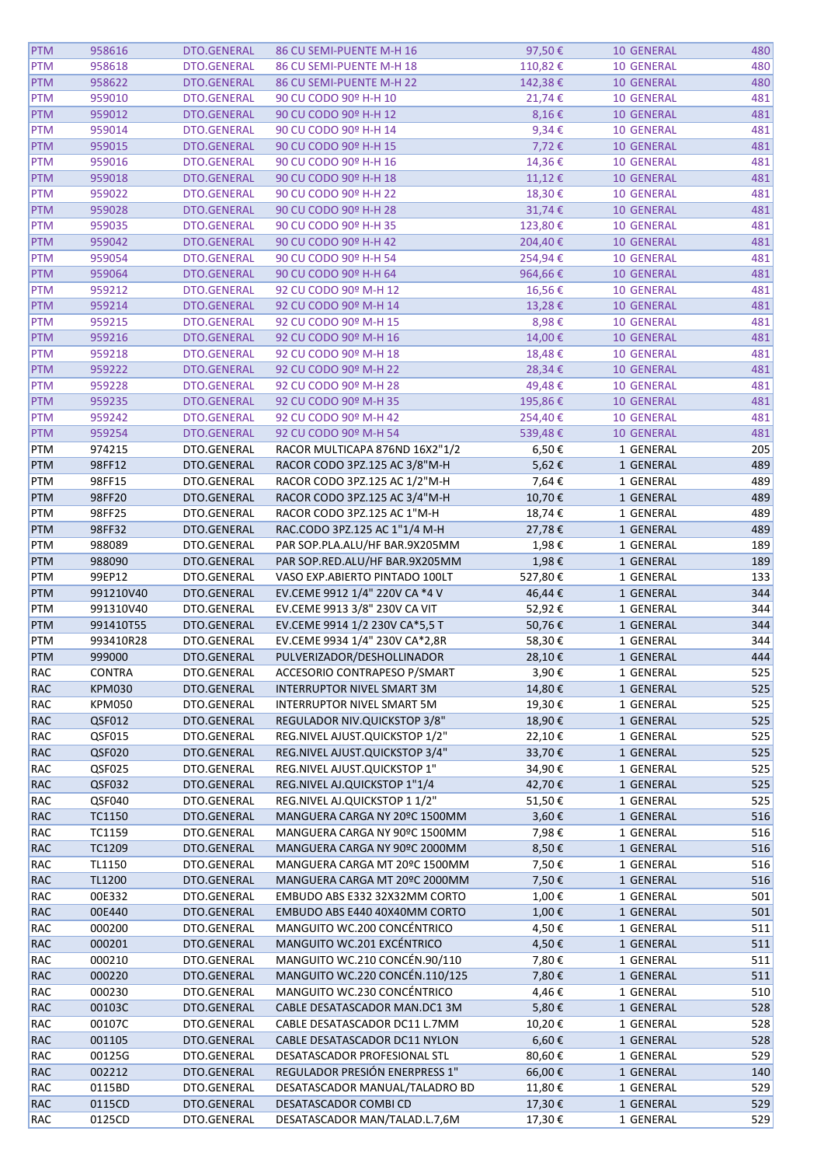| <b>PTM</b> | 958616        | DTO.GENERAL | 86 CU SEMI-PUENTE M-H 16            | 97,50€     | <b>10 GENERAL</b> | 480        |
|------------|---------------|-------------|-------------------------------------|------------|-------------------|------------|
| <b>PTM</b> | 958618        | DTO.GENERAL | 86 CU SEMI-PUENTE M-H 18            | 110,82€    | <b>10 GENERAL</b> | 480        |
| <b>PTM</b> | 958622        | DTO.GENERAL | 86 CU SEMI-PUENTE M-H 22            | 142,38€    | <b>10 GENERAL</b> | 480        |
| <b>PTM</b> | 959010        | DTO.GENERAL | 90 CU CODO 90º H-H 10               | 21,74€     | <b>10 GENERAL</b> | 481        |
|            | 959012        |             | 90 CU CODO 90º H-H 12               |            |                   | 481        |
| <b>PTM</b> |               | DTO.GENERAL |                                     | $8,16 \in$ | <b>10 GENERAL</b> |            |
| <b>PTM</b> | 959014        | DTO.GENERAL | 90 CU CODO 90º H-H 14               | $9,34 \in$ | <b>10 GENERAL</b> | 481        |
| <b>PTM</b> | 959015        | DTO.GENERAL | 90 CU CODO 90º H-H 15               | 7,72€      | <b>10 GENERAL</b> | 481        |
| <b>PTM</b> | 959016        | DTO.GENERAL | 90 CU CODO 90º H-H 16               | 14,36€     | <b>10 GENERAL</b> | 481        |
| <b>PTM</b> | 959018        | DTO.GENERAL | 90 CU CODO 90º H-H 18               | $11,12$ €  | <b>10 GENERAL</b> | 481        |
| <b>PTM</b> | 959022        | DTO.GENERAL | 90 CU CODO 90º H-H 22               | 18,30€     | <b>10 GENERAL</b> | 481        |
| <b>PTM</b> | 959028        | DTO.GENERAL | 90 CU CODO 90º H-H 28               | 31,74€     | <b>10 GENERAL</b> | 481        |
| <b>PTM</b> | 959035        | DTO.GENERAL | 90 CU CODO 90º H-H 35               | 123,80€    | <b>10 GENERAL</b> | 481        |
| <b>PTM</b> | 959042        | DTO.GENERAL | 90 CU CODO 90º H-H 42               | 204,40€    | <b>10 GENERAL</b> | 481        |
| <b>PTM</b> | 959054        | DTO.GENERAL | 90 CU CODO 90º H-H 54               | 254,94€    | <b>10 GENERAL</b> | 481        |
| <b>PTM</b> | 959064        | DTO.GENERAL | 90 CU CODO 90º H-H 64               | 964,66€    | <b>10 GENERAL</b> | 481        |
| <b>PTM</b> | 959212        | DTO.GENERAL | 92 CU CODO 90º M-H 12               | 16,56€     | <b>10 GENERAL</b> | 481        |
| <b>PTM</b> | 959214        | DTO.GENERAL | 92 CU CODO 90º M-H 14               | 13,28€     | <b>10 GENERAL</b> | 481        |
| <b>PTM</b> | 959215        | DTO.GENERAL | 92 CU CODO 90º M-H 15               | 8,98€      | <b>10 GENERAL</b> | 481        |
| <b>PTM</b> | 959216        | DTO.GENERAL | 92 CU CODO 90º M-H 16               | 14,00€     | 10 GENERAL        | 481        |
| <b>PTM</b> | 959218        | DTO.GENERAL | 92 CU CODO 90º M-H 18               | 18,48€     | <b>10 GENERAL</b> | 481        |
| <b>PTM</b> | 959222        | DTO.GENERAL | 92 CU CODO 90º M-H 22               | 28,34€     | <b>10 GENERAL</b> | 481        |
| <b>PTM</b> | 959228        | DTO.GENERAL | 92 CU CODO 90º M-H 28               | 49,48€     | <b>10 GENERAL</b> | 481        |
|            |               |             |                                     |            |                   |            |
| <b>PTM</b> | 959235        | DTO.GENERAL | 92 CU CODO 90º M-H 35               | 195,86€    | <b>10 GENERAL</b> | 481        |
| <b>PTM</b> | 959242        | DTO.GENERAL | 92 CU CODO 90º M-H 42               | 254,40€    | <b>10 GENERAL</b> | 481        |
| <b>PTM</b> | 959254        | DTO.GENERAL | 92 CU CODO 90º M-H 54               | 539,48€    | <b>10 GENERAL</b> | 481        |
| PTM        | 974215        | DTO.GENERAL | RACOR MULTICAPA 876ND 16X2"1/2      | 6,50€      | 1 GENERAL         | 205        |
| <b>PTM</b> | 98FF12        | DTO.GENERAL | RACOR CODO 3PZ.125 AC 3/8"M-H       | 5,62€      | 1 GENERAL         | 489        |
| PTM        | 98FF15        | DTO.GENERAL | RACOR CODO 3PZ.125 AC 1/2"M-H       | 7,64€      | 1 GENERAL         | 489        |
| <b>PTM</b> | 98FF20        | DTO.GENERAL | RACOR CODO 3PZ.125 AC 3/4"M-H       | 10,70€     | 1 GENERAL         | 489        |
| PTM        | 98FF25        | DTO.GENERAL | RACOR CODO 3PZ.125 AC 1"M-H         | 18,74€     | 1 GENERAL         | 489        |
| <b>PTM</b> | 98FF32        | DTO.GENERAL | RAC.CODO 3PZ.125 AC 1"1/4 M-H       | 27,78€     | 1 GENERAL         | 489        |
| PTM        | 988089        | DTO.GENERAL | PAR SOP.PLA.ALU/HF BAR.9X205MM      | 1,98€      | 1 GENERAL         | 189        |
| <b>PTM</b> | 988090        | DTO.GENERAL | PAR SOP.RED.ALU/HF BAR.9X205MM      | 1,98€      | 1 GENERAL         | 189        |
| PTM        | 99EP12        | DTO.GENERAL | VASO EXP.ABIERTO PINTADO 100LT      | 527,80€    | 1 GENERAL         | 133        |
| <b>PTM</b> | 991210V40     | DTO.GENERAL | EV.CEME 9912 1/4" 220V CA *4 V      | 46,44€     | 1 GENERAL         | 344        |
| PTM        | 991310V40     | DTO.GENERAL | EV.CEME 9913 3/8" 230V CA VIT       | 52,92€     | 1 GENERAL         | 344        |
| <b>PTM</b> | 991410T55     | DTO.GENERAL | EV.CEME 9914 1/2 230V CA*5,5 T      | 50,76€     | 1 GENERAL         | 344        |
| PTM        | 993410R28     | DTO.GENERAL | EV.CEME 9934 1/4" 230V CA*2,8R      | 58,30€     | 1 GENERAL         | 344        |
| <b>PTM</b> | 999000        | DTO.GENERAL | PULVERIZADOR/DESHOLLINADOR          | 28,10€     | 1 GENERAL         | 444        |
|            |               |             |                                     |            |                   | 525        |
| RAC        | CONTRA        | DTO.GENERAL | ACCESORIO CONTRAPESO P/SMART        | 3,90€      | 1 GENERAL         |            |
| <b>RAC</b> | <b>KPM030</b> | DTO.GENERAL | <b>INTERRUPTOR NIVEL SMART 3M</b>   | 14,80€     | 1 GENERAL         | 525        |
| RAC        | <b>KPM050</b> | DTO.GENERAL | <b>INTERRUPTOR NIVEL SMART 5M</b>   | 19,30€     | 1 GENERAL         | 525        |
| <b>RAC</b> | QSF012        | DTO.GENERAL | <b>REGULADOR NIV.QUICKSTOP 3/8"</b> | 18,90€     | 1 GENERAL         | 525        |
| <b>RAC</b> | QSF015        | DTO.GENERAL | REG.NIVEL AJUST.QUICKSTOP 1/2"      | 22,10€     | 1 GENERAL         | 525        |
| <b>RAC</b> | QSF020        | DTO.GENERAL | REG.NIVEL AJUST.QUICKSTOP 3/4"      | 33,70€     | 1 GENERAL         | 525        |
| RAC        | QSF025        | DTO.GENERAL | REG.NIVEL AJUST.QUICKSTOP 1"        | 34,90€     | 1 GENERAL         | 525        |
| <b>RAC</b> | QSF032        | DTO.GENERAL | REG.NIVEL AJ.QUICKSTOP 1"1/4        | 42,70€     | 1 GENERAL         | 525        |
| RAC        | QSF040        | DTO.GENERAL | REG.NIVEL AJ.QUICKSTOP 1 1/2"       | 51,50€     | 1 GENERAL         | 525        |
| <b>RAC</b> | TC1150        | DTO.GENERAL | MANGUERA CARGA NY 20°C 1500MM       |            |                   | 516        |
| <b>RAC</b> |               |             |                                     | 3,60€      | 1 GENERAL         |            |
| <b>RAC</b> | TC1159        | DTO.GENERAL | MANGUERA CARGA NY 90ºC 1500MM       | 7,98€      | 1 GENERAL         | 516        |
|            | TC1209        | DTO.GENERAL | MANGUERA CARGA NY 90°C 2000MM       | 8,50€      | 1 GENERAL         | 516        |
|            |               | DTO.GENERAL | MANGUERA CARGA MT 20ºC 1500MM       |            |                   | 516        |
| RAC        | TL1150        |             |                                     | 7,50€      | 1 GENERAL         |            |
| <b>RAC</b> | TL1200        | DTO.GENERAL | MANGUERA CARGA MT 20ºC 2000MM       | 7,50€      | 1 GENERAL         | 516        |
| RAC        | 00E332        | DTO.GENERAL | EMBUDO ABS E332 32X32MM CORTO       | 1,00€      | 1 GENERAL         | 501        |
| <b>RAC</b> | 00E440        | DTO.GENERAL | EMBUDO ABS E440 40X40MM CORTO       | 1,00€      | 1 GENERAL         | 501        |
| <b>RAC</b> | 000200        | DTO.GENERAL | MANGUITO WC.200 CONCÉNTRICO         | 4,50€      | 1 GENERAL         | 511        |
| <b>RAC</b> | 000201        | DTO.GENERAL | MANGUITO WC.201 EXCÉNTRICO          | 4,50€      | 1 GENERAL         | 511        |
| RAC        | 000210        | DTO.GENERAL | MANGUITO WC.210 CONCÉN.90/110       | 7,80€      | 1 GENERAL         | 511        |
| <b>RAC</b> | 000220        | DTO.GENERAL | MANGUITO WC.220 CONCÉN.110/125      | 7,80€      | 1 GENERAL         | 511        |
| RAC        | 000230        | DTO.GENERAL | MANGUITO WC.230 CONCÉNTRICO         | 4,46€      | 1 GENERAL         | 510        |
| <b>RAC</b> | 00103C        | DTO.GENERAL | CABLE DESATASCADOR MAN.DC1 3M       | 5,80€      | 1 GENERAL         | 528        |
| <b>RAC</b> | 00107C        | DTO.GENERAL | CABLE DESATASCADOR DC11 L.7MM       | 10,20€     | 1 GENERAL         | 528        |
| <b>RAC</b> | 001105        | DTO.GENERAL | CABLE DESATASCADOR DC11 NYLON       | $6,60 \in$ | 1 GENERAL         | 528        |
| RAC        | 00125G        | DTO.GENERAL | DESATASCADOR PROFESIONAL STL        | 80,60€     | 1 GENERAL         | 529        |
| <b>RAC</b> | 002212        | DTO.GENERAL | REGULADOR PRESIÓN ENERPRESS 1"      | 66,00€     | 1 GENERAL         | 140        |
| RAC        | 0115BD        | DTO.GENERAL | DESATASCADOR MANUAL/TALADRO BD      | 11,80€     | 1 GENERAL         | 529        |
| <b>RAC</b> | 0115CD        | DTO.GENERAL | DESATASCADOR COMBI CD               | 17,30€     | 1 GENERAL         | 529<br>529 |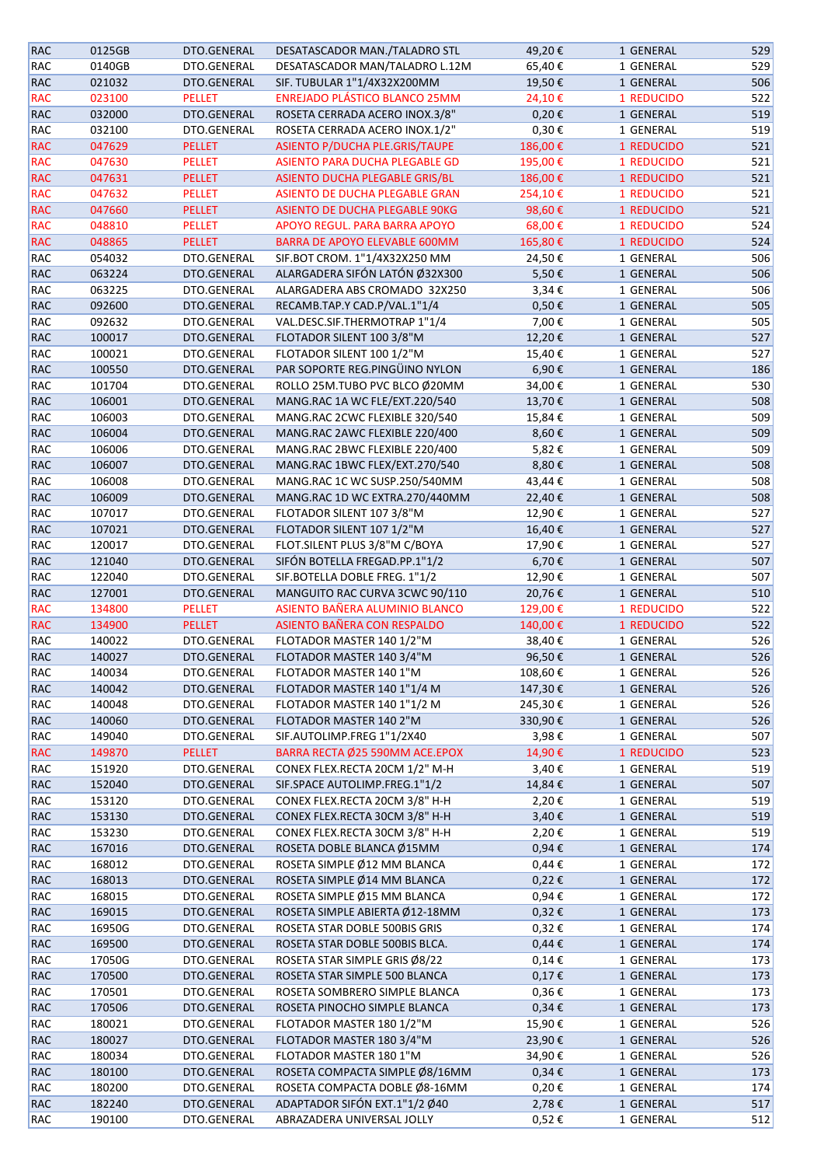| <b>RAC</b> | 0125GB | DTO.GENERAL   | DESATASCADOR MAN./TALADRO STL         | 49,20€     | 1 GENERAL  | 529 |
|------------|--------|---------------|---------------------------------------|------------|------------|-----|
| RAC        | 0140GB | DTO.GENERAL   | DESATASCADOR MAN/TALADRO L.12M        | 65,40€     | 1 GENERAL  | 529 |
| <b>RAC</b> | 021032 | DTO.GENERAL   | SIF. TUBULAR 1"1/4X32X200MM           | 19,50€     | 1 GENERAL  | 506 |
| <b>RAC</b> | 023100 | <b>PELLET</b> | <b>ENREJADO PLÁSTICO BLANCO 25MM</b>  | 24,10€     | 1 REDUCIDO | 522 |
| <b>RAC</b> | 032000 | DTO.GENERAL   | ROSETA CERRADA ACERO INOX.3/8"        | $0,20 \in$ | 1 GENERAL  | 519 |
| <b>RAC</b> | 032100 | DTO.GENERAL   | ROSETA CERRADA ACERO INOX.1/2"        | 0,30€      | 1 GENERAL  | 519 |
| <b>RAC</b> | 047629 | <b>PELLET</b> | ASIENTO P/DUCHA PLE.GRIS/TAUPE        | 186,00€    | 1 REDUCIDO | 521 |
| <b>RAC</b> | 047630 | PELLET        | ASIENTO PARA DUCHA PLEGABLE GD        | 195,00€    | 1 REDUCIDO | 521 |
| <b>RAC</b> | 047631 | PELLET        | ASIENTO DUCHA PLEGABLE GRIS/BL        | 186,00€    | 1 REDUCIDO | 521 |
| <b>RAC</b> | 047632 | <b>PELLET</b> | ASIENTO DE DUCHA PLEGABLE GRAN        | 254,10€    | 1 REDUCIDO | 521 |
| <b>RAC</b> | 047660 | PELLET        | <b>ASIENTO DE DUCHA PLEGABLE 90KG</b> | 98,60€     | 1 REDUCIDO | 521 |
| <b>RAC</b> | 048810 | <b>PELLET</b> | APOYO REGUL. PARA BARRA APOYO         | 68,00€     | 1 REDUCIDO | 524 |
|            |        |               | BARRA DE APOYO ELEVABLE 600MM         |            |            |     |
| <b>RAC</b> | 048865 | PELLET        |                                       | 165,80€    | 1 REDUCIDO | 524 |
| <b>RAC</b> | 054032 | DTO.GENERAL   | SIF.BOT CROM. 1"1/4X32X250 MM         | 24,50€     | 1 GENERAL  | 506 |
| <b>RAC</b> | 063224 | DTO.GENERAL   | ALARGADERA SIFÓN LATÓN Ø32X300        | 5,50€      | 1 GENERAL  | 506 |
| RAC        | 063225 | DTO.GENERAL   | ALARGADERA ABS CROMADO 32X250         | 3,34€      | 1 GENERAL  | 506 |
| <b>RAC</b> | 092600 | DTO.GENERAL   | RECAMB.TAP.Y CAD.P/VAL.1"1/4          | 0,50€      | 1 GENERAL  | 505 |
| <b>RAC</b> | 092632 | DTO.GENERAL   | VAL.DESC.SIF.THERMOTRAP 1"1/4         | 7,00€      | 1 GENERAL  | 505 |
| <b>RAC</b> | 100017 | DTO.GENERAL   | FLOTADOR SILENT 100 3/8"M             | 12,20€     | 1 GENERAL  | 527 |
| RAC        | 100021 | DTO.GENERAL   | FLOTADOR SILENT 100 1/2"M             | 15,40€     | 1 GENERAL  | 527 |
| <b>RAC</b> | 100550 | DTO.GENERAL   | PAR SOPORTE REG.PINGÜINO NYLON        | 6,90€      | 1 GENERAL  | 186 |
| <b>RAC</b> | 101704 | DTO.GENERAL   | ROLLO 25M.TUBO PVC BLCO Ø20MM         | 34,00€     | 1 GENERAL  | 530 |
| <b>RAC</b> | 106001 | DTO.GENERAL   | MANG.RAC 1A WC FLE/EXT.220/540        | 13,70€     | 1 GENERAL  | 508 |
| <b>RAC</b> | 106003 | DTO.GENERAL   | MANG.RAC 2CWC FLEXIBLE 320/540        | 15,84€     | 1 GENERAL  | 509 |
| <b>RAC</b> | 106004 | DTO.GENERAL   | MANG.RAC 2AWC FLEXIBLE 220/400        | 8,60€      | 1 GENERAL  | 509 |
| RAC        | 106006 | DTO.GENERAL   | MANG.RAC 2BWC FLEXIBLE 220/400        | 5,82€      | 1 GENERAL  | 509 |
| <b>RAC</b> | 106007 | DTO.GENERAL   | MANG.RAC 1BWC FLEX/EXT.270/540        | 8,80€      | 1 GENERAL  | 508 |
| <b>RAC</b> | 106008 | DTO.GENERAL   | MANG.RAC 1C WC SUSP.250/540MM         | 43,44€     | 1 GENERAL  | 508 |
| <b>RAC</b> | 106009 | DTO.GENERAL   | MANG.RAC 1D WC EXTRA.270/440MM        | 22,40€     | 1 GENERAL  | 508 |
| <b>RAC</b> | 107017 | DTO.GENERAL   | FLOTADOR SILENT 107 3/8"M             | 12,90€     | 1 GENERAL  | 527 |
| <b>RAC</b> | 107021 | DTO.GENERAL   | FLOTADOR SILENT 107 1/2"M             | 16,40€     | 1 GENERAL  | 527 |
| RAC        | 120017 | DTO.GENERAL   | FLOT.SILENT PLUS 3/8"M C/BOYA         | 17,90€     | 1 GENERAL  | 527 |
| <b>RAC</b> | 121040 | DTO.GENERAL   | SIFÓN BOTELLA FREGAD.PP.1"1/2         | 6,70€      | 1 GENERAL  | 507 |
| <b>RAC</b> | 122040 | DTO.GENERAL   | SIF.BOTELLA DOBLE FREG. 1"1/2         | 12,90€     | 1 GENERAL  | 507 |
| <b>RAC</b> | 127001 | DTO.GENERAL   | MANGUITO RAC CURVA 3CWC 90/110        | 20,76€     | 1 GENERAL  | 510 |
| <b>RAC</b> | 134800 | <b>PELLET</b> | ASIENTO BAÑERA ALUMINIO BLANCO        | 129,00€    | 1 REDUCIDO | 522 |
| <b>RAC</b> | 134900 | <b>PELLET</b> | ASIENTO BAÑERA CON RESPALDO           | 140,00€    | 1 REDUCIDO | 522 |
| RAC        | 140022 | DTO.GENERAL   | FLOTADOR MASTER 140 1/2"M             | 38,40€     | 1 GENERAL  | 526 |
| <b>RAC</b> | 140027 | DTO.GENERAL   | FLOTADOR MASTER 140 3/4"M             | 96,50€     | 1 GENERAL  | 526 |
| <b>RAC</b> | 140034 | DTO.GENERAL   | FLOTADOR MASTER 140 1"M               | 108,60€    | 1 GENERAL  | 526 |
| RAC        | 140042 | DTO.GENERAL   | FLOTADOR MASTER 140 1"1/4 M           | 147,30€    | 1 GENERAL  | 526 |
| <b>RAC</b> | 140048 | DTO.GENERAL   | FLOTADOR MASTER 140 1"1/2 M           | 245,30€    | 1 GENERAL  | 526 |
| RAC        | 140060 | DTO.GENERAL   | FLOTADOR MASTER 140 2"M               | 330,90€    | 1 GENERAL  | 526 |
| <b>RAC</b> | 149040 | DTO.GENERAL   | SIF.AUTOLIMP.FREG 1"1/2X40            | 3,98€      | 1 GENERAL  | 507 |
| <b>RAC</b> |        | <b>PELLET</b> | BARRA RECTA Ø25 590MM ACE.EPOX        |            |            | 523 |
|            | 149870 |               |                                       | 14,90€     | 1 REDUCIDO |     |
| RAC        | 151920 | DTO.GENERAL   | CONEX FLEX.RECTA 20CM 1/2" M-H        | 3,40€      | 1 GENERAL  | 519 |
| RAC        | 152040 | DTO.GENERAL   | SIF.SPACE AUTOLIMP.FREG.1"1/2         | 14,84€     | 1 GENERAL  | 507 |
| RAC        | 153120 | DTO.GENERAL   | CONEX FLEX.RECTA 20CM 3/8" H-H        | 2,20€      | 1 GENERAL  | 519 |
| RAC        | 153130 | DTO.GENERAL   | CONEX FLEX.RECTA 30CM 3/8" H-H        | 3,40€      | 1 GENERAL  | 519 |
| RAC        | 153230 | DTO.GENERAL   | CONEX FLEX.RECTA 30CM 3/8" H-H        | 2,20€      | 1 GENERAL  | 519 |
| RAC        | 167016 | DTO.GENERAL   | ROSETA DOBLE BLANCA Ø15MM             | $0,94 \in$ | 1 GENERAL  | 174 |
| RAC        | 168012 | DTO.GENERAL   | ROSETA SIMPLE Ø12 MM BLANCA           | $0,44 \in$ | 1 GENERAL  | 172 |
| RAC        | 168013 | DTO.GENERAL   | ROSETA SIMPLE Ø14 MM BLANCA           | 0,22€      | 1 GENERAL  | 172 |
| RAC        | 168015 | DTO.GENERAL   | ROSETA SIMPLE Ø15 MM BLANCA           | 0,94€      | 1 GENERAL  | 172 |
| <b>RAC</b> | 169015 | DTO.GENERAL   | ROSETA SIMPLE ABIERTA Ø12-18MM        | $0,32 \in$ | 1 GENERAL  | 173 |
| <b>RAC</b> | 16950G | DTO.GENERAL   | ROSETA STAR DOBLE 500BIS GRIS         | 0,32€      | 1 GENERAL  | 174 |
| <b>RAC</b> | 169500 | DTO.GENERAL   | ROSETA STAR DOBLE 500BIS BLCA.        | $0,44 \in$ | 1 GENERAL  | 174 |
| RAC        | 17050G | DTO.GENERAL   | ROSETA STAR SIMPLE GRIS Ø8/22         | $0,14 \in$ | 1 GENERAL  | 173 |
| RAC        | 170500 | DTO.GENERAL   | ROSETA STAR SIMPLE 500 BLANCA         | $0,17 \in$ | 1 GENERAL  | 173 |
| RAC        | 170501 | DTO.GENERAL   | ROSETA SOMBRERO SIMPLE BLANCA         | 0,36€      | 1 GENERAL  | 173 |
| RAC        | 170506 | DTO.GENERAL   | ROSETA PINOCHO SIMPLE BLANCA          | $0,34 \in$ | 1 GENERAL  | 173 |
| RAC        | 180021 | DTO.GENERAL   | FLOTADOR MASTER 180 1/2"M             | 15,90€     | 1 GENERAL  | 526 |
| RAC        | 180027 | DTO.GENERAL   | FLOTADOR MASTER 180 3/4"M             | 23,90€     | 1 GENERAL  | 526 |
| RAC        | 180034 | DTO.GENERAL   | FLOTADOR MASTER 180 1"M               | 34,90€     | 1 GENERAL  | 526 |
| RAC        | 180100 | DTO.GENERAL   | ROSETA COMPACTA SIMPLE Ø8/16MM        | $0,34 \in$ | 1 GENERAL  | 173 |
| RAC        | 180200 | DTO.GENERAL   | ROSETA COMPACTA DOBLE Ø8-16MM         | 0,20€      | 1 GENERAL  | 174 |
| RAC        | 182240 | DTO.GENERAL   | ADAPTADOR SIFÓN EXT.1"1/2 Ø40         | 2,78€      | 1 GENERAL  | 517 |
| <b>RAC</b> | 190100 | DTO.GENERAL   | ABRAZADERA UNIVERSAL JOLLY            | 0,52€      | 1 GENERAL  | 512 |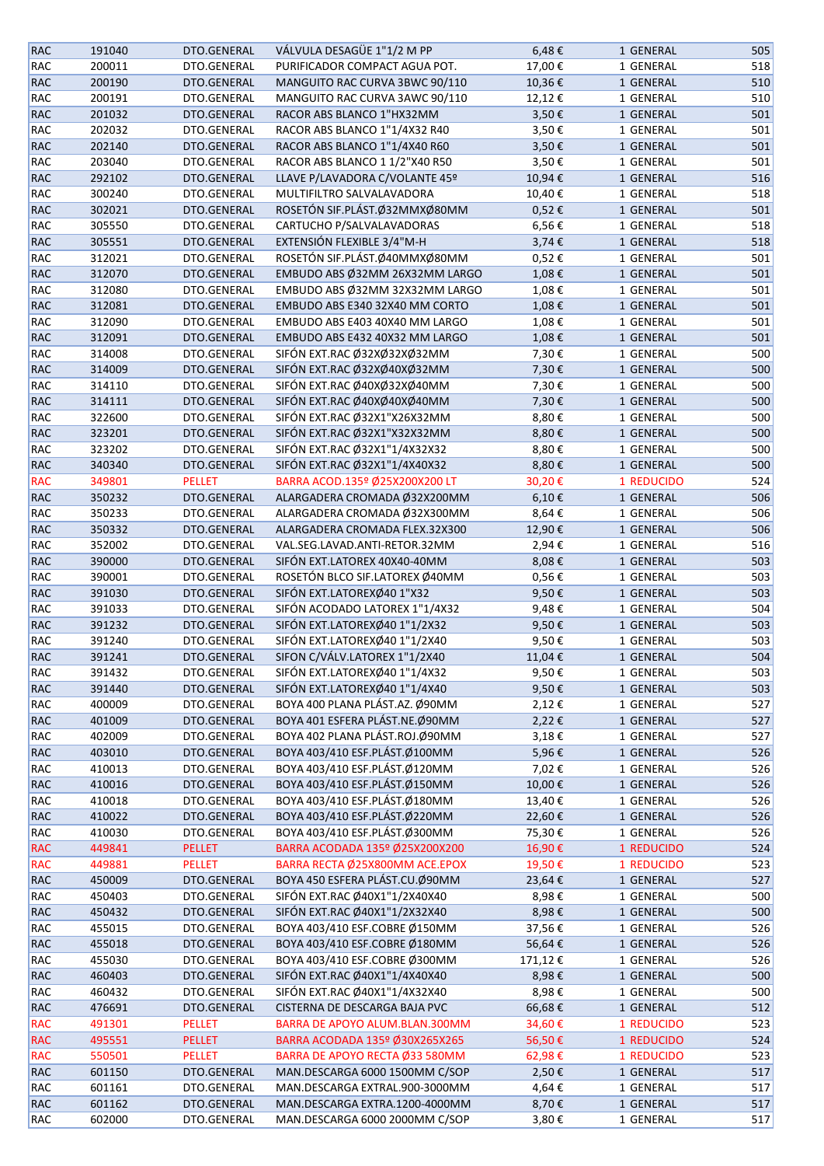| <b>RAC</b> | 191040 | DTO.GENERAL   | VÁLVULA DESAGÜE 1"1/2 M PP     | 6,48€         | 1 GENERAL  | 505 |
|------------|--------|---------------|--------------------------------|---------------|------------|-----|
| RAC        | 200011 | DTO.GENERAL   | PURIFICADOR COMPACT AGUA POT.  | 17,00€        | 1 GENERAL  | 518 |
| RAC        | 200190 | DTO.GENERAL   | MANGUITO RAC CURVA 3BWC 90/110 | 10,36€        | 1 GENERAL  | 510 |
| RAC        | 200191 | DTO.GENERAL   | MANGUITO RAC CURVA 3AWC 90/110 | 12,12€        | 1 GENERAL  | 510 |
| <b>RAC</b> | 201032 | DTO.GENERAL   | RACOR ABS BLANCO 1"HX32MM      | 3,50€         | 1 GENERAL  | 501 |
| RAC        | 202032 | DTO.GENERAL   | RACOR ABS BLANCO 1"1/4X32 R40  | 3,50€         | 1 GENERAL  | 501 |
| <b>RAC</b> | 202140 | DTO.GENERAL   | RACOR ABS BLANCO 1"1/4X40 R60  | 3,50€         | 1 GENERAL  | 501 |
| RAC        | 203040 | DTO.GENERAL   | RACOR ABS BLANCO 1 1/2"X40 R50 | 3,50€         | 1 GENERAL  | 501 |
|            | 292102 | DTO.GENERAL   | LLAVE P/LAVADORA C/VOLANTE 45º | 10,94€        | 1 GENERAL  | 516 |
| RAC        |        |               |                                |               |            |     |
| RAC        | 300240 | DTO.GENERAL   | MULTIFILTRO SALVALAVADORA      | 10,40€        | 1 GENERAL  | 518 |
| RAC        | 302021 | DTO.GENERAL   | ROSETÓN SIF.PLÁST.Ø32MMXØ80MM  | 0,52€         | 1 GENERAL  | 501 |
| RAC        | 305550 | DTO.GENERAL   | CARTUCHO P/SALVALAVADORAS      | 6,56€         | 1 GENERAL  | 518 |
| RAC        | 305551 | DTO.GENERAL   | EXTENSIÓN FLEXIBLE 3/4"M-H     | 3,74€         | 1 GENERAL  | 518 |
| RAC        | 312021 | DTO.GENERAL   | ROSETÓN SIF.PLÁST.Ø40MMXØ80MM  | 0,52€         | 1 GENERAL  | 501 |
| RAC        | 312070 | DTO.GENERAL   | EMBUDO ABS Ø32MM 26X32MM LARGO | 1,08€         | 1 GENERAL  | 501 |
| RAC        | 312080 | DTO.GENERAL   | EMBUDO ABS Ø32MM 32X32MM LARGO | 1,08€         | 1 GENERAL  | 501 |
| <b>RAC</b> | 312081 | DTO.GENERAL   | EMBUDO ABS E340 32X40 MM CORTO | 1,08€         | 1 GENERAL  | 501 |
| RAC        | 312090 | DTO.GENERAL   | EMBUDO ABS E403 40X40 MM LARGO | 1,08€         | 1 GENERAL  | 501 |
| <b>RAC</b> | 312091 | DTO.GENERAL   | EMBUDO ABS E432 40X32 MM LARGO | 1,08€         | 1 GENERAL  | 501 |
| RAC        | 314008 | DTO.GENERAL   | SIFÓN EXT.RAC Ø32XØ32XØ32MM    | 7,30€         | 1 GENERAL  | 500 |
| <b>RAC</b> | 314009 | DTO.GENERAL   | SIFÓN EXT.RAC Ø32XØ40XØ32MM    | 7,30€         | 1 GENERAL  | 500 |
| RAC        | 314110 | DTO.GENERAL   | SIFÓN EXT.RAC Ø40XØ32XØ40MM    | 7,30€         | 1 GENERAL  | 500 |
| RAC        | 314111 | DTO.GENERAL   | SIFÓN EXT.RAC Ø40XØ40XØ40MM    | 7,30€         | 1 GENERAL  | 500 |
| RAC        | 322600 | DTO.GENERAL   | SIFÓN EXT.RAC Ø32X1"X26X32MM   | 8,80€         | 1 GENERAL  | 500 |
| RAC        | 323201 | DTO.GENERAL   | SIFÓN EXT.RAC Ø32X1"X32X32MM   | 8,80€         | 1 GENERAL  | 500 |
| RAC        | 323202 | DTO.GENERAL   | SIFÓN EXT.RAC Ø32X1"1/4X32X32  | 8,80€         | 1 GENERAL  | 500 |
| RAC        | 340340 | DTO.GENERAL   | SIFÓN EXT.RAC Ø32X1"1/4X40X32  | 8,80€         | 1 GENERAL  | 500 |
|            | 349801 | <b>PELLET</b> | BARRA ACOD.135º Ø25X200X200 LT |               | 1 REDUCIDO |     |
| <b>RAC</b> |        |               |                                | 30,20€        |            | 524 |
| RAC        | 350232 | DTO.GENERAL   | ALARGADERA CROMADA Ø32X200MM   | 6,10€         | 1 GENERAL  | 506 |
| RAC        | 350233 | DTO.GENERAL   | ALARGADERA CROMADA Ø32X300MM   | 8,64€         | 1 GENERAL  | 506 |
| RAC        | 350332 | DTO.GENERAL   | ALARGADERA CROMADA FLEX.32X300 | 12,90€        | 1 GENERAL  | 506 |
| RAC        | 352002 | DTO.GENERAL   | VAL.SEG.LAVAD.ANTI-RETOR.32MM  | 2,94€         | 1 GENERAL  | 516 |
| RAC        | 390000 | DTO.GENERAL   | SIFÓN EXT.LATOREX 40X40-40MM   | 8,08€         | 1 GENERAL  | 503 |
| RAC        | 390001 | DTO.GENERAL   | ROSETÓN BLCO SIF.LATOREX Ø40MM | 0,56€         | 1 GENERAL  | 503 |
| RAC        | 391030 | DTO.GENERAL   | SIFÓN EXT.LATOREXØ40 1"X32     | 9,50€         | 1 GENERAL  | 503 |
| RAC        | 391033 | DTO.GENERAL   | SIFÓN ACODADO LATOREX 1"1/4X32 | 9,48€         | 1 GENERAL  | 504 |
| RAC        | 391232 | DTO.GENERAL   | SIFÓN EXT.LATOREXØ40 1"1/2X32  | 9,50€         | 1 GENERAL  | 503 |
| RAC        | 391240 | DTO.GENERAL   | SIFÓN EXT.LATOREXØ40 1"1/2X40  | 9,50€         | 1 GENERAL  | 503 |
| <b>RAC</b> | 391241 | DTO.GENERAL   | SIFON C/VÁLV.LATOREX 1"1/2X40  | 11,04€        | 1 GENERAL  | 504 |
| RAC        | 391432 | DTO.GENERAL   | SIFÓN EXT.LATOREXØ40 1"1/4X32  | 9,50€         | 1 GENERAL  | 503 |
| <b>RAC</b> | 391440 | DTO.GENERAL   | SIFÓN EXT.LATOREXØ40 1"1/4X40  | 9,50€         | 1 GENERAL  | 503 |
| RAC        | 400009 | DTO.GENERAL   | BOYA 400 PLANA PLÁST.AZ. Ø90MM | 2,12€         | 1 GENERAL  | 527 |
| <b>RAC</b> | 401009 | DTO.GENERAL   | BOYA 401 ESFERA PLÁST.NE.Ø90MM | $2,22 \notin$ | 1 GENERAL  | 527 |
| RAC        | 402009 | DTO.GENERAL   | BOYA 402 PLANA PLÁST.ROJ.Ø90MM | 3,18€         | 1 GENERAL  | 527 |
| <b>RAC</b> | 403010 | DTO.GENERAL   | BOYA 403/410 ESF.PLÁST.Ø100MM  | 5,96€         | 1 GENERAL  | 526 |
| RAC        | 410013 | DTO.GENERAL   | BOYA 403/410 ESF.PLÁST.Ø120MM  | 7,02€         | 1 GENERAL  | 526 |
| RAC        | 410016 | DTO.GENERAL   | BOYA 403/410 ESF.PLÁST.Ø150MM  | 10,00€        | 1 GENERAL  | 526 |
| RAC        | 410018 | DTO.GENERAL   | BOYA 403/410 ESF.PLÁST.Ø180MM  | 13,40€        | 1 GENERAL  | 526 |
| RAC        | 410022 | DTO.GENERAL   | BOYA 403/410 ESF.PLÁST.Ø220MM  | 22,60€        | 1 GENERAL  | 526 |
| RAC        | 410030 | DTO.GENERAL   | BOYA 403/410 ESF.PLÁST.Ø300MM  | 75,30€        | 1 GENERAL  | 526 |
| <b>RAC</b> | 449841 | <b>PELLET</b> | BARRA ACODADA 135º Ø25X200X200 | 16,90€        | 1 REDUCIDO | 524 |
| <b>RAC</b> | 449881 | <b>PELLET</b> | BARRA RECTA Ø25X800MM ACE.EPOX | 19,50€        | 1 REDUCIDO | 523 |
|            |        |               | BOYA 450 ESFERA PLÁST.CU.Ø90MM |               |            |     |
| RAC        | 450009 | DTO.GENERAL   |                                | 23,64€        | 1 GENERAL  | 527 |
| RAC        | 450403 | DTO.GENERAL   | SIFÓN EXT.RAC Ø40X1"1/2X40X40  | 8,98€         | 1 GENERAL  | 500 |
| <b>RAC</b> | 450432 | DTO.GENERAL   | SIFÓN EXT.RAC Ø40X1"1/2X32X40  | 8,98€         | 1 GENERAL  | 500 |
| RAC        | 455015 | DTO.GENERAL   | BOYA 403/410 ESF.COBRE Ø150MM  | 37,56€        | 1 GENERAL  | 526 |
| <b>RAC</b> | 455018 | DTO.GENERAL   | BOYA 403/410 ESF.COBRE Ø180MM  | 56,64€        | 1 GENERAL  | 526 |
| RAC        | 455030 | DTO.GENERAL   | BOYA 403/410 ESF.COBRE Ø300MM  | 171,12€       | 1 GENERAL  | 526 |
| RAC        | 460403 | DTO.GENERAL   | SIFÓN EXT.RAC Ø40X1"1/4X40X40  | 8,98€         | 1 GENERAL  | 500 |
| RAC        | 460432 | DTO.GENERAL   | SIFÓN EXT.RAC Ø40X1"1/4X32X40  | 8,98€         | 1 GENERAL  | 500 |
| RAC        | 476691 | DTO.GENERAL   | CISTERNA DE DESCARGA BAJA PVC  | 66,68€        | 1 GENERAL  | 512 |
| <b>RAC</b> | 491301 | <b>PELLET</b> | BARRA DE APOYO ALUM.BLAN.300MM | 34,60€        | 1 REDUCIDO | 523 |
| <b>RAC</b> | 495551 | <b>PELLET</b> | BARRA ACODADA 135º Ø30X265X265 | 56,50€        | 1 REDUCIDO | 524 |
| <b>RAC</b> | 550501 | <b>PELLET</b> | BARRA DE APOYO RECTA Ø33 580MM | 62,98€        | 1 REDUCIDO | 523 |
| RAC        | 601150 | DTO.GENERAL   | MAN.DESCARGA 6000 1500MM C/SOP | 2,50€         | 1 GENERAL  | 517 |
| RAC        | 601161 | DTO.GENERAL   | MAN.DESCARGA EXTRAL.900-3000MM | 4,64€         | 1 GENERAL  | 517 |
| <b>RAC</b> | 601162 | DTO.GENERAL   | MAN.DESCARGA EXTRA.1200-4000MM | 8,70€         | 1 GENERAL  | 517 |
| RAC        | 602000 | DTO.GENERAL   | MAN.DESCARGA 6000 2000MM C/SOP | 3,80€         | 1 GENERAL  | 517 |